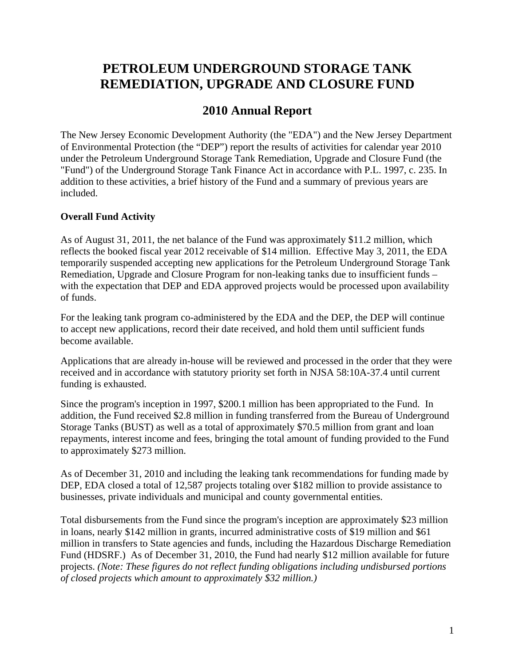# **PETROLEUM UNDERGROUND STORAGE TANK REMEDIATION, UPGRADE AND CLOSURE FUND**

## **2010 Annual Report**

The New Jersey Economic Development Authority (the "EDA") and the New Jersey Department of Environmental Protection (the "DEP") report the results of activities for calendar year 2010 under the Petroleum Underground Storage Tank Remediation, Upgrade and Closure Fund (the "Fund") of the Underground Storage Tank Finance Act in accordance with P.L. 1997, c. 235. In addition to these activities, a brief history of the Fund and a summary of previous years are included.

### **Overall Fund Activity**

As of August 31, 2011, the net balance of the Fund was approximately \$11.2 million, which reflects the booked fiscal year 2012 receivable of \$14 million. Effective May 3, 2011, the EDA temporarily suspended accepting new applications for the Petroleum Underground Storage Tank Remediation, Upgrade and Closure Program for non-leaking tanks due to insufficient funds – with the expectation that DEP and EDA approved projects would be processed upon availability of funds.

For the leaking tank program co-administered by the EDA and the DEP, the DEP will continue to accept new applications, record their date received, and hold them until sufficient funds become available.

Applications that are already in-house will be reviewed and processed in the order that they were received and in accordance with statutory priority set forth in NJSA 58:10A-37.4 until current funding is exhausted.

Since the program's inception in 1997, \$200.1 million has been appropriated to the Fund. In addition, the Fund received \$2.8 million in funding transferred from the Bureau of Underground Storage Tanks (BUST) as well as a total of approximately \$70.5 million from grant and loan repayments, interest income and fees, bringing the total amount of funding provided to the Fund to approximately \$273 million.

As of December 31, 2010 and including the leaking tank recommendations for funding made by DEP, EDA closed a total of 12,587 projects totaling over \$182 million to provide assistance to businesses, private individuals and municipal and county governmental entities.

Total disbursements from the Fund since the program's inception are approximately \$23 million in loans, nearly \$142 million in grants, incurred administrative costs of \$19 million and \$61 million in transfers to State agencies and funds, including the Hazardous Discharge Remediation Fund (HDSRF.) As of December 31, 2010, the Fund had nearly \$12 million available for future projects. *(Note: These figures do not reflect funding obligations including undisbursed portions of closed projects which amount to approximately \$32 million.)*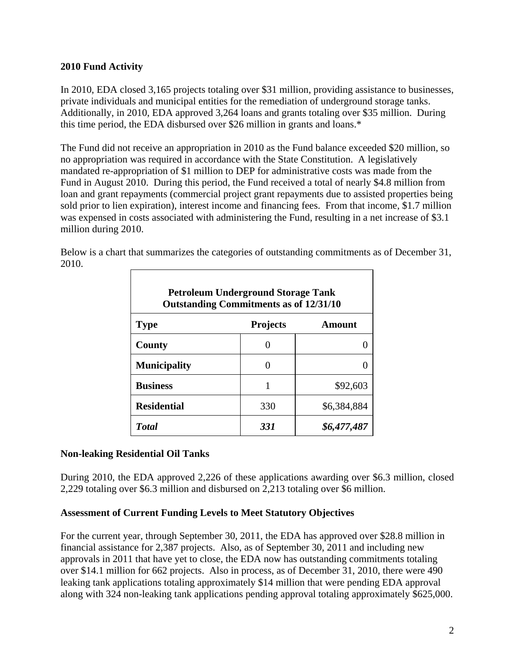### **2010 Fund Activity**

In 2010, EDA closed 3,165 projects totaling over \$31 million, providing assistance to businesses, private individuals and municipal entities for the remediation of underground storage tanks. Additionally, in 2010, EDA approved 3,264 loans and grants totaling over \$35 million. During this time period, the EDA disbursed over \$26 million in grants and loans.\*

The Fund did not receive an appropriation in 2010 as the Fund balance exceeded \$20 million, so no appropriation was required in accordance with the State Constitution. A legislatively mandated re-appropriation of \$1 million to DEP for administrative costs was made from the Fund in August 2010. During this period, the Fund received a total of nearly \$4.8 million from loan and grant repayments (commercial project grant repayments due to assisted properties being sold prior to lien expiration), interest income and financing fees. From that income, \$1.7 million was expensed in costs associated with administering the Fund, resulting in a net increase of \$3.1 million during 2010.

Below is a chart that summarizes the categories of outstanding commitments as of December 31, 2010.

|                     | <b>Petroleum Underground Storage Tank</b><br><b>Outstanding Commitments as of 12/31/10</b> |               |  |  |  |  |  |  |  |  |
|---------------------|--------------------------------------------------------------------------------------------|---------------|--|--|--|--|--|--|--|--|
| <b>Type</b>         | <b>Projects</b>                                                                            | <b>Amount</b> |  |  |  |  |  |  |  |  |
| <b>County</b>       |                                                                                            |               |  |  |  |  |  |  |  |  |
| <b>Municipality</b> |                                                                                            |               |  |  |  |  |  |  |  |  |
| <b>Business</b>     |                                                                                            | \$92,603      |  |  |  |  |  |  |  |  |
| <b>Residential</b>  | 330                                                                                        | \$6,384,884   |  |  |  |  |  |  |  |  |
| <b>T</b> otal       | 331                                                                                        | \$6,477,487   |  |  |  |  |  |  |  |  |

### **Non-leaking Residential Oil Tanks**

During 2010, the EDA approved 2,226 of these applications awarding over \$6.3 million, closed 2,229 totaling over \$6.3 million and disbursed on 2,213 totaling over \$6 million.

### **Assessment of Current Funding Levels to Meet Statutory Objectives**

For the current year, through September 30, 2011, the EDA has approved over \$28.8 million in financial assistance for 2,387 projects. Also, as of September 30, 2011 and including new approvals in 2011 that have yet to close, the EDA now has outstanding commitments totaling over \$14.1 million for 662 projects. Also in process, as of December 31, 2010, there were 490 leaking tank applications totaling approximately \$14 million that were pending EDA approval along with 324 non-leaking tank applications pending approval totaling approximately \$625,000.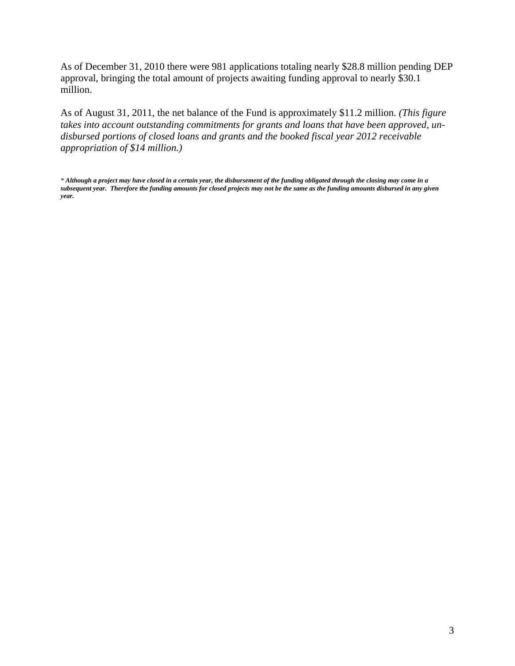As of December 31, 2010 there were 981 applications totaling nearly \$28.8 million pending DEP approval, bringing the total amount of projects awaiting funding approval to nearly \$30.1 million.

As of August 31, 2011, the net balance of the Fund is approximately \$11.2 million. *(This figure takes into account outstanding commitments for grants and loans that have been approved, undisbursed portions of closed loans and grants and the booked fiscal year 2012 receivable appropriation of \$14 million.)* 

*\* Although a project may have closed in a certain year, the disbursement of the funding obligated through the closing may come in a subsequent year. Therefore the funding amounts for closed projects may not be the same as the funding amounts disbursed in any given year.*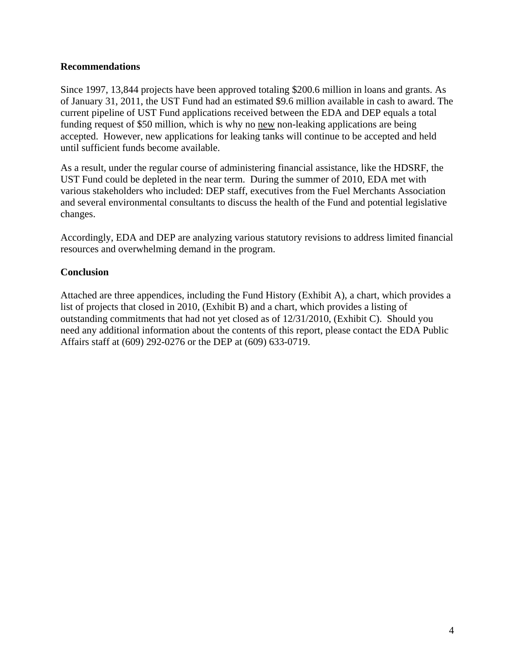### **Recommendations**

Since 1997, 13,844 projects have been approved totaling \$200.6 million in loans and grants. As of January 31, 2011, the UST Fund had an estimated \$9.6 million available in cash to award. The current pipeline of UST Fund applications received between the EDA and DEP equals a total funding request of \$50 million, which is why no new non-leaking applications are being accepted. However, new applications for leaking tanks will continue to be accepted and held until sufficient funds become available.

As a result, under the regular course of administering financial assistance, like the HDSRF, the UST Fund could be depleted in the near term. During the summer of 2010, EDA met with various stakeholders who included: DEP staff, executives from the Fuel Merchants Association and several environmental consultants to discuss the health of the Fund and potential legislative changes.

Accordingly, EDA and DEP are analyzing various statutory revisions to address limited financial resources and overwhelming demand in the program.

### **Conclusion**

Attached are three appendices, including the Fund History (Exhibit A), a chart, which provides a list of projects that closed in 2010, (Exhibit B) and a chart, which provides a listing of outstanding commitments that had not yet closed as of 12/31/2010, (Exhibit C). Should you need any additional information about the contents of this report, please contact the EDA Public Affairs staff at (609) 292-0276 or the DEP at (609) 633-0719.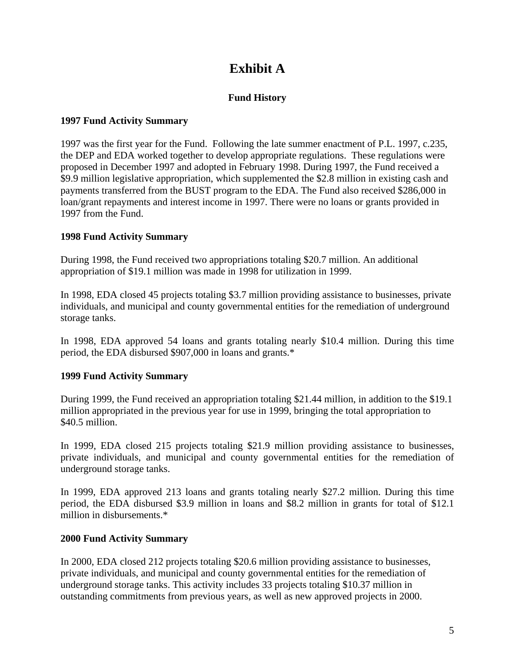# **Exhibit A**

### **Fund History**

### **1997 Fund Activity Summary**

1997 was the first year for the Fund. Following the late summer enactment of P.L. 1997, c.235, the DEP and EDA worked together to develop appropriate regulations. These regulations were proposed in December 1997 and adopted in February 1998. During 1997, the Fund received a \$9.9 million legislative appropriation, which supplemented the \$2.8 million in existing cash and payments transferred from the BUST program to the EDA. The Fund also received \$286,000 in loan/grant repayments and interest income in 1997. There were no loans or grants provided in 1997 from the Fund.

### **1998 Fund Activity Summary**

During 1998, the Fund received two appropriations totaling \$20.7 million. An additional appropriation of \$19.1 million was made in 1998 for utilization in 1999.

In 1998, EDA closed 45 projects totaling \$3.7 million providing assistance to businesses, private individuals, and municipal and county governmental entities for the remediation of underground storage tanks.

In 1998, EDA approved 54 loans and grants totaling nearly \$10.4 million. During this time period, the EDA disbursed \$907,000 in loans and grants.\*

### **1999 Fund Activity Summary**

During 1999, the Fund received an appropriation totaling \$21.44 million, in addition to the \$19.1 million appropriated in the previous year for use in 1999, bringing the total appropriation to \$40.5 million.

In 1999, EDA closed 215 projects totaling \$21.9 million providing assistance to businesses, private individuals, and municipal and county governmental entities for the remediation of underground storage tanks.

In 1999, EDA approved 213 loans and grants totaling nearly \$27.2 million. During this time period, the EDA disbursed \$3.9 million in loans and \$8.2 million in grants for total of \$12.1 million in disbursements.\*

### **2000 Fund Activity Summary**

In 2000, EDA closed 212 projects totaling \$20.6 million providing assistance to businesses, private individuals, and municipal and county governmental entities for the remediation of underground storage tanks. This activity includes 33 projects totaling \$10.37 million in outstanding commitments from previous years, as well as new approved projects in 2000.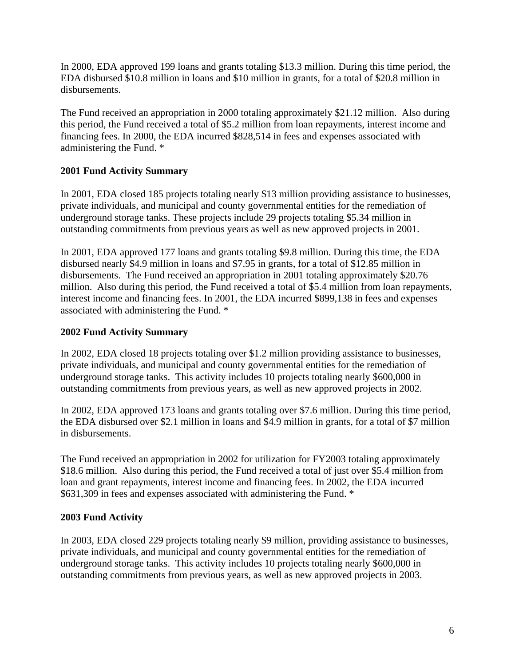In 2000, EDA approved 199 loans and grants totaling \$13.3 million. During this time period, the EDA disbursed \$10.8 million in loans and \$10 million in grants, for a total of \$20.8 million in disbursements.

The Fund received an appropriation in 2000 totaling approximately \$21.12 million. Also during this period, the Fund received a total of \$5.2 million from loan repayments, interest income and financing fees. In 2000, the EDA incurred \$828,514 in fees and expenses associated with administering the Fund. \*

### **2001 Fund Activity Summary**

In 2001, EDA closed 185 projects totaling nearly \$13 million providing assistance to businesses, private individuals, and municipal and county governmental entities for the remediation of underground storage tanks. These projects include 29 projects totaling \$5.34 million in outstanding commitments from previous years as well as new approved projects in 2001.

In 2001, EDA approved 177 loans and grants totaling \$9.8 million. During this time, the EDA disbursed nearly \$4.9 million in loans and \$7.95 in grants, for a total of \$12.85 million in disbursements. The Fund received an appropriation in 2001 totaling approximately \$20.76 million. Also during this period, the Fund received a total of \$5.4 million from loan repayments, interest income and financing fees. In 2001, the EDA incurred \$899,138 in fees and expenses associated with administering the Fund. \*

### **2002 Fund Activity Summary**

In 2002, EDA closed 18 projects totaling over \$1.2 million providing assistance to businesses, private individuals, and municipal and county governmental entities for the remediation of underground storage tanks. This activity includes 10 projects totaling nearly \$600,000 in outstanding commitments from previous years, as well as new approved projects in 2002.

In 2002, EDA approved 173 loans and grants totaling over \$7.6 million. During this time period, the EDA disbursed over \$2.1 million in loans and \$4.9 million in grants, for a total of \$7 million in disbursements.

The Fund received an appropriation in 2002 for utilization for FY2003 totaling approximately \$18.6 million. Also during this period, the Fund received a total of just over \$5.4 million from loan and grant repayments, interest income and financing fees. In 2002, the EDA incurred \$631,309 in fees and expenses associated with administering the Fund. \*

### **2003 Fund Activity**

In 2003, EDA closed 229 projects totaling nearly \$9 million, providing assistance to businesses, private individuals, and municipal and county governmental entities for the remediation of underground storage tanks. This activity includes 10 projects totaling nearly \$600,000 in outstanding commitments from previous years, as well as new approved projects in 2003.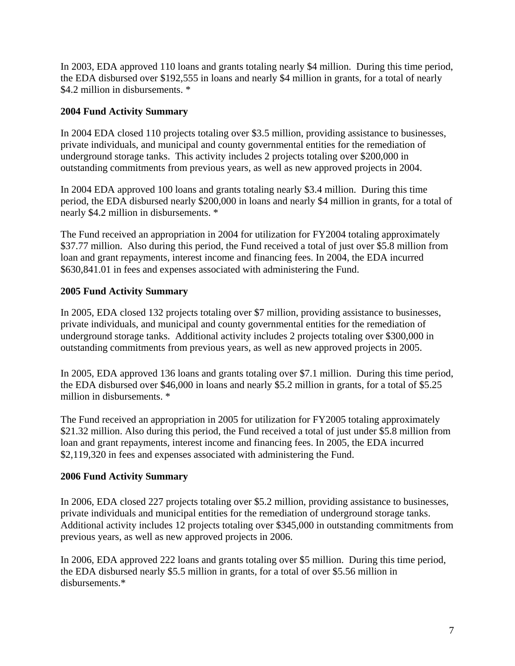In 2003, EDA approved 110 loans and grants totaling nearly \$4 million. During this time period, the EDA disbursed over \$192,555 in loans and nearly \$4 million in grants, for a total of nearly \$4.2 million in disbursements.  $*$ 

### **2004 Fund Activity Summary**

In 2004 EDA closed 110 projects totaling over \$3.5 million, providing assistance to businesses, private individuals, and municipal and county governmental entities for the remediation of underground storage tanks. This activity includes 2 projects totaling over \$200,000 in outstanding commitments from previous years, as well as new approved projects in 2004.

In 2004 EDA approved 100 loans and grants totaling nearly \$3.4 million. During this time period, the EDA disbursed nearly \$200,000 in loans and nearly \$4 million in grants, for a total of nearly \$4.2 million in disbursements. \*

The Fund received an appropriation in 2004 for utilization for FY2004 totaling approximately \$37.77 million. Also during this period, the Fund received a total of just over \$5.8 million from loan and grant repayments, interest income and financing fees. In 2004, the EDA incurred \$630,841.01 in fees and expenses associated with administering the Fund.

### **2005 Fund Activity Summary**

In 2005, EDA closed 132 projects totaling over \$7 million, providing assistance to businesses, private individuals, and municipal and county governmental entities for the remediation of underground storage tanks. Additional activity includes 2 projects totaling over \$300,000 in outstanding commitments from previous years, as well as new approved projects in 2005.

In 2005, EDA approved 136 loans and grants totaling over \$7.1 million. During this time period, the EDA disbursed over \$46,000 in loans and nearly \$5.2 million in grants, for a total of \$5.25 million in disbursements. \*

The Fund received an appropriation in 2005 for utilization for FY2005 totaling approximately \$21.32 million. Also during this period, the Fund received a total of just under \$5.8 million from loan and grant repayments, interest income and financing fees. In 2005, the EDA incurred \$2,119,320 in fees and expenses associated with administering the Fund.

### **2006 Fund Activity Summary**

In 2006, EDA closed 227 projects totaling over \$5.2 million, providing assistance to businesses, private individuals and municipal entities for the remediation of underground storage tanks. Additional activity includes 12 projects totaling over \$345,000 in outstanding commitments from previous years, as well as new approved projects in 2006.

In 2006, EDA approved 222 loans and grants totaling over \$5 million. During this time period, the EDA disbursed nearly \$5.5 million in grants, for a total of over \$5.56 million in disbursements.\*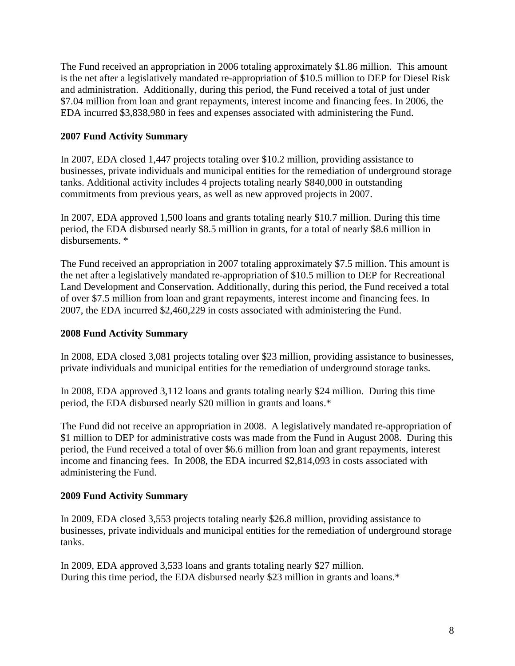The Fund received an appropriation in 2006 totaling approximately \$1.86 million. This amount is the net after a legislatively mandated re-appropriation of \$10.5 million to DEP for Diesel Risk and administration. Additionally, during this period, the Fund received a total of just under \$7.04 million from loan and grant repayments, interest income and financing fees. In 2006, the EDA incurred \$3,838,980 in fees and expenses associated with administering the Fund.

### **2007 Fund Activity Summary**

In 2007, EDA closed 1,447 projects totaling over \$10.2 million, providing assistance to businesses, private individuals and municipal entities for the remediation of underground storage tanks. Additional activity includes 4 projects totaling nearly \$840,000 in outstanding commitments from previous years, as well as new approved projects in 2007.

In 2007, EDA approved 1,500 loans and grants totaling nearly \$10.7 million. During this time period, the EDA disbursed nearly \$8.5 million in grants, for a total of nearly \$8.6 million in disbursements. \*

The Fund received an appropriation in 2007 totaling approximately \$7.5 million. This amount is the net after a legislatively mandated re-appropriation of \$10.5 million to DEP for Recreational Land Development and Conservation. Additionally, during this period, the Fund received a total of over \$7.5 million from loan and grant repayments, interest income and financing fees. In 2007, the EDA incurred \$2,460,229 in costs associated with administering the Fund.

### **2008 Fund Activity Summary**

In 2008, EDA closed 3,081 projects totaling over \$23 million, providing assistance to businesses, private individuals and municipal entities for the remediation of underground storage tanks.

In 2008, EDA approved 3,112 loans and grants totaling nearly \$24 million. During this time period, the EDA disbursed nearly \$20 million in grants and loans.\*

The Fund did not receive an appropriation in 2008. A legislatively mandated re-appropriation of \$1 million to DEP for administrative costs was made from the Fund in August 2008. During this period, the Fund received a total of over \$6.6 million from loan and grant repayments, interest income and financing fees. In 2008, the EDA incurred \$2,814,093 in costs associated with administering the Fund.

### **2009 Fund Activity Summary**

In 2009, EDA closed 3,553 projects totaling nearly \$26.8 million, providing assistance to businesses, private individuals and municipal entities for the remediation of underground storage tanks.

In 2009, EDA approved 3,533 loans and grants totaling nearly \$27 million. During this time period, the EDA disbursed nearly \$23 million in grants and loans.\*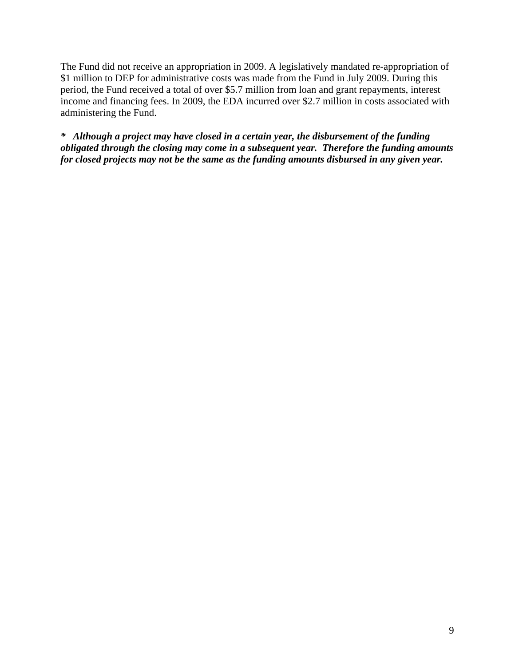The Fund did not receive an appropriation in 2009. A legislatively mandated re-appropriation of \$1 million to DEP for administrative costs was made from the Fund in July 2009. During this period, the Fund received a total of over \$5.7 million from loan and grant repayments, interest income and financing fees. In 2009, the EDA incurred over \$2.7 million in costs associated with administering the Fund.

*\* Although a project may have closed in a certain year, the disbursement of the funding obligated through the closing may come in a subsequent year. Therefore the funding amounts for closed projects may not be the same as the funding amounts disbursed in any given year.*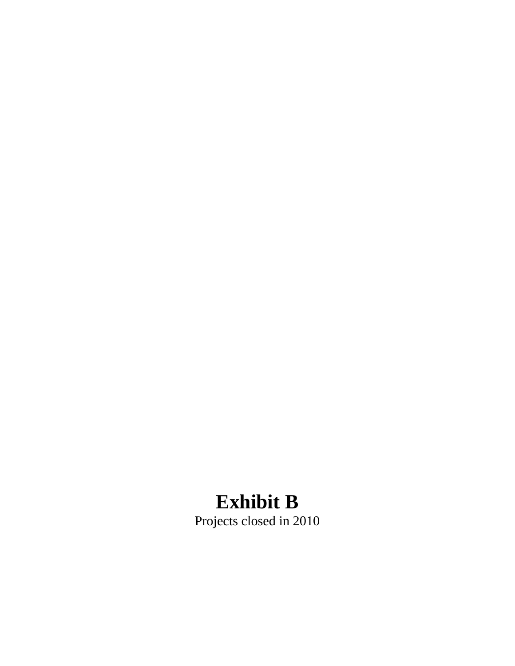# **Exhibit B**

Projects closed in 2010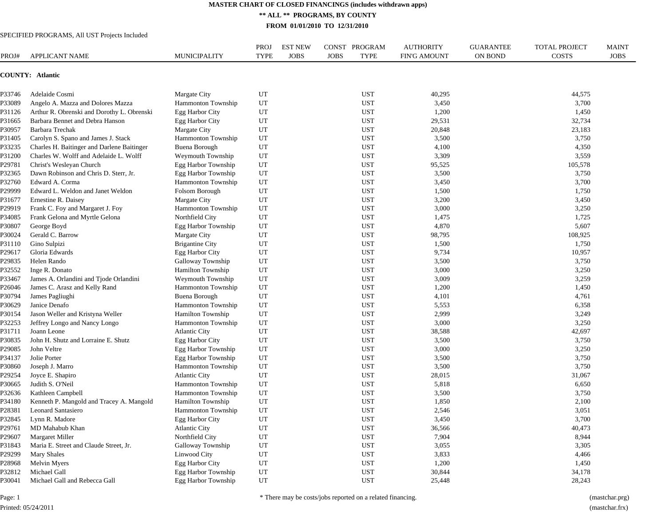**\*\* ALL \*\* PROGRAMS, BY COUNTY**

**FROM 01/01/2010 TO 12/31/2010**

#### SPECIFIED PROGRAMS, All UST Projects Included

| PROJ#  | APPLICANT NAME                             | <b>MUNICIPALITY</b>       | <b>PROJ</b><br><b>TYPE</b> | <b>EST NEW</b><br><b>JOBS</b> | CONST PROGRAM<br><b>TYPE</b><br><b>JOBS</b> | <b>AUTHORITY</b><br><b>FIN'G AMOUNT</b> | <b>GUARANTEE</b><br><b>ON BOND</b> | <b>TOTAL PROJECT</b><br><b>COSTS</b> | <b>MAINT</b><br><b>JOBS</b> |
|--------|--------------------------------------------|---------------------------|----------------------------|-------------------------------|---------------------------------------------|-----------------------------------------|------------------------------------|--------------------------------------|-----------------------------|
|        | COUNTY: Atlantic                           |                           |                            |                               |                                             |                                         |                                    |                                      |                             |
| P33746 | Adelaide Cosmi                             | Margate City              | UT                         |                               | <b>UST</b>                                  | 40,295                                  |                                    | 44,575                               |                             |
| P33089 | Angelo A. Mazza and Dolores Mazza          | Hammonton Township        | UT                         |                               | <b>UST</b>                                  | 3,450                                   |                                    | 3,700                                |                             |
| P31126 | Arthur R. Obrenski and Dorothy L. Obrenski | Egg Harbor City           | UT                         |                               | <b>UST</b>                                  | 1,200                                   |                                    | 1,450                                |                             |
| P31665 | Barbara Bennet and Debra Hanson            | Egg Harbor City           | UT                         |                               | <b>UST</b>                                  | 29,531                                  |                                    | 32,734                               |                             |
| P30957 | Barbara Trechak                            | Margate City              | UT                         |                               | <b>UST</b>                                  | 20,848                                  |                                    | 23,183                               |                             |
| P31405 | Carolyn S. Spano and James J. Stack        | Hammonton Township        | UT                         |                               | <b>UST</b>                                  | 3,500                                   |                                    | 3,750                                |                             |
| P33235 | Charles H. Baitinger and Darlene Baitinger | <b>Buena Borough</b>      | UT                         |                               | <b>UST</b>                                  | 4,100                                   |                                    | 4,350                                |                             |
| P31200 | Charles W. Wolff and Adelaide L. Wolff     | Weymouth Township         | UT                         |                               | <b>UST</b>                                  | 3,309                                   |                                    | 3,559                                |                             |
| P29781 | Christ's Wesleyan Church                   | Egg Harbor Township       | UT                         |                               | <b>UST</b>                                  | 95,525                                  |                                    | 105,578                              |                             |
| P32365 | Dawn Robinson and Chris D. Sterr, Jr.      | Egg Harbor Township       | UT                         |                               | <b>UST</b>                                  | 3,500                                   |                                    | 3,750                                |                             |
| P32760 | Edward A. Corma                            | Hammonton Township        | UT                         |                               | <b>UST</b>                                  | 3,450                                   |                                    | 3,700                                |                             |
| P29999 | Edward L. Weldon and Janet Weldon          | Folsom Borough            | UT                         |                               | <b>UST</b>                                  | 1,500                                   |                                    | 1,750                                |                             |
| P31677 | Ernestine R. Daisey                        | Margate City              | UT                         |                               | <b>UST</b>                                  | 3,200                                   |                                    | 3,450                                |                             |
| P29919 | Frank C. Foy and Margaret J. Foy           | Hammonton Township        | UT                         |                               | <b>UST</b>                                  | 3,000                                   |                                    | 3,250                                |                             |
| P34085 | Frank Gelona and Myrtle Gelona             | Northfield City           | UT                         |                               | <b>UST</b>                                  | 1,475                                   |                                    | 1,725                                |                             |
| P30807 | George Boyd                                | Egg Harbor Township       | UT                         |                               | <b>UST</b>                                  | 4,870                                   |                                    | 5,607                                |                             |
| P30024 | Gerald C. Barrow                           | Margate City              | UT                         |                               | <b>UST</b>                                  | 98,795                                  |                                    | 108,925                              |                             |
| P31110 | Gino Sulpizi                               | <b>Brigantine City</b>    | UT                         |                               | <b>UST</b>                                  | 1,500                                   |                                    | 1,750                                |                             |
| P29617 | Gloria Edwards                             | Egg Harbor City           | UT                         |                               | <b>UST</b>                                  | 9,734                                   |                                    | 10,957                               |                             |
| P29835 | Helen Rando                                | <b>Galloway Township</b>  | UT                         |                               | <b>UST</b>                                  | 3,500                                   |                                    | 3,750                                |                             |
| P32552 | Inge R. Donato                             | Hamilton Township         | UT                         |                               | <b>UST</b>                                  | 3,000                                   |                                    | 3,250                                |                             |
| P33467 | James A. Orlandini and Tjode Orlandini     | Weymouth Township         | UT                         |                               | <b>UST</b>                                  | 3,009                                   |                                    | 3,259                                |                             |
| P26046 | James C. Arasz and Kelly Rand              | Hammonton Township        | UT                         |                               | <b>UST</b>                                  | 1,200                                   |                                    | 1,450                                |                             |
| P30794 | James Pagliughi                            | <b>Buena Borough</b>      | UT                         |                               | <b>UST</b>                                  | 4,101                                   |                                    | 4,761                                |                             |
| P30629 | Janice Denafo                              | Hammonton Township        | UT                         |                               | <b>UST</b>                                  | 5,553                                   |                                    | 6,358                                |                             |
| P30154 | Jason Weller and Kristyna Weller           | Hamilton Township         | UT                         |                               | <b>UST</b>                                  | 2,999                                   |                                    | 3,249                                |                             |
| P32253 | Jeffrey Longo and Nancy Longo              | Hammonton Township        | UT                         |                               | <b>UST</b>                                  | 3,000                                   |                                    | 3,250                                |                             |
| P31711 | Joann Leone                                | <b>Atlantic City</b>      | UT                         |                               | <b>UST</b>                                  | 38,588                                  |                                    | 42,697                               |                             |
| P30835 | John H. Shutz and Lorraine E. Shutz        | Egg Harbor City           | UT                         |                               | <b>UST</b>                                  | 3,500                                   |                                    | 3,750                                |                             |
| P29085 | John Veltre                                | Egg Harbor Township       | UT                         |                               | <b>UST</b>                                  | 3,000                                   |                                    | 3,250                                |                             |
| P34137 | Jolie Porter                               | Egg Harbor Township       | UT                         |                               | <b>UST</b>                                  | 3,500                                   |                                    | 3,750                                |                             |
| P30860 | Joseph J. Marro                            | Hammonton Township        | UT                         |                               | <b>UST</b>                                  | 3,500                                   |                                    | 3,750                                |                             |
| P29254 | Joyce E. Shapiro                           | <b>Atlantic City</b>      | UT                         |                               | <b>UST</b>                                  | 28,015                                  |                                    | 31,067                               |                             |
|        | Judith S. O'Neil                           | Hammonton Township        |                            |                               |                                             |                                         |                                    |                                      |                             |
| P30665 |                                            |                           | UT                         |                               | <b>UST</b>                                  | 5,818                                   |                                    | 6,650                                |                             |
| P32636 | Kathleen Campbell                          | Hammonton Township        | UT                         |                               | <b>UST</b>                                  | 3,500                                   |                                    | 3,750                                |                             |
| P34180 | Kenneth P. Mangold and Tracey A. Mangold   | Hamilton Township         | UT                         |                               | <b>UST</b>                                  | 1,850                                   |                                    | 2,100                                |                             |
| P28381 | <b>Leonard Santasiero</b>                  | <b>Hammonton Township</b> | UT                         |                               | <b>UST</b>                                  | 2,546                                   |                                    | 3,051                                |                             |
|        | P32845 Lynn R. Madore                      | Egg Harbor City           | $_{\rm UT}$                |                               | $_{\rm UST}$                                | 3,450                                   |                                    | 3,700                                |                             |
| P29761 | MD Mahabub Khan                            | <b>Atlantic City</b>      | UT                         |                               | <b>UST</b>                                  | 36,566                                  |                                    | 40,473                               |                             |
| P29607 | Margaret Miller                            | Northfield City           | UT                         |                               | <b>UST</b>                                  | 7,904                                   |                                    | 8,944                                |                             |
| P31843 | Maria E. Street and Claude Street, Jr.     | Galloway Township         | UT                         |                               | <b>UST</b>                                  | 3,055                                   |                                    | 3,305                                |                             |
| P29299 | <b>Mary Shales</b>                         | Linwood City              | UT                         |                               | <b>UST</b>                                  | 3,833                                   |                                    | 4,466                                |                             |
| P28968 | Melvin Myers                               | Egg Harbor City           | UT                         |                               | <b>UST</b>                                  | 1,200                                   |                                    | 1,450                                |                             |
| P32812 | Michael Gall                               | Egg Harbor Township       | UT                         |                               | <b>UST</b>                                  | 30,844                                  |                                    | 34,178                               |                             |
| P30041 | Michael Gall and Rebecca Gall              | Egg Harbor Township       | UT                         |                               | <b>UST</b>                                  | 25,448                                  |                                    | 28,243                               |                             |

\* There may be costs/jobs reported on a related financing. (mastchar.prg)

Page: 1

Printed: 05/24/2011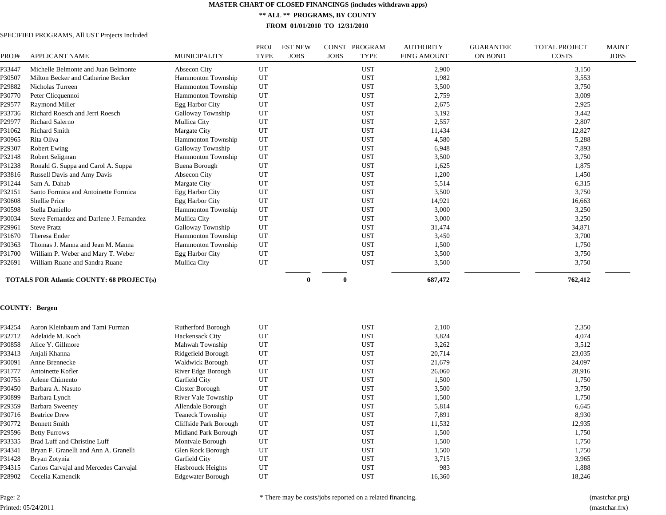**\*\* ALL \*\* PROGRAMS, BY COUNTY**

**FROM 01/01/2010 TO 12/31/2010**

|        |                                                  |                           | PROJ        | <b>EST NEW</b> | PROGRAM<br>CONST           | <b>AUTHORITY</b>    | <b>GUARANTEE</b> | TOTAL PROJECT | <b>MAINT</b> |
|--------|--------------------------------------------------|---------------------------|-------------|----------------|----------------------------|---------------------|------------------|---------------|--------------|
| PROJ#  | <b>APPLICANT NAME</b>                            | <b>MUNICIPALITY</b>       | <b>TYPE</b> | <b>JOBS</b>    | <b>JOBS</b><br><b>TYPE</b> | <b>FIN'G AMOUNT</b> | <b>ON BOND</b>   | <b>COSTS</b>  | <b>JOBS</b>  |
| P33447 | Michelle Belmonte and Juan Belmonte              | Absecon City              | UT          |                | <b>UST</b>                 | 2,900               |                  | 3,150         |              |
| ?30507 | Milton Becker and Catherine Becker               | Hammonton Township        | UT          |                | <b>UST</b>                 | 1,982               |                  | 3,553         |              |
| P29882 | Nicholas Turreen                                 | Hammonton Township        | UT          |                | <b>UST</b>                 | 3,500               |                  | 3,750         |              |
| ?30770 | Peter Clicquennoi                                | <b>Hammonton Township</b> | UT          |                | <b>UST</b>                 | 2,759               |                  | 3,009         |              |
| P29577 | <b>Raymond Miller</b>                            | <b>Egg Harbor City</b>    | UT          |                | <b>UST</b>                 | 2,675               |                  | 2,925         |              |
| P33736 | Richard Roesch and Jerri Roesch                  | Galloway Township         | UT          |                | <b>UST</b>                 | 3,192               |                  | 3,442         |              |
| P29977 | Richard Salerno                                  | Mullica City              | UT          |                | <b>UST</b>                 | 2,557               |                  | 2,807         |              |
| P31062 | <b>Richard Smith</b>                             | Margate City              | UT          |                | <b>UST</b>                 | 11,434              |                  | 12,827        |              |
| P30965 | Rita Oliva                                       | <b>Hammonton Township</b> | UT          |                | <b>UST</b>                 | 4,580               |                  | 5,288         |              |
| P29307 | <b>Robert Ewing</b>                              | Galloway Township         | UT          |                | <b>UST</b>                 | 6,948               |                  | 7,893         |              |
| P32148 | Robert Seligman                                  | <b>Hammonton Township</b> | UT          |                | <b>UST</b>                 | 3,500               |                  | 3,750         |              |
| P31238 | Ronald G. Suppa and Carol A. Suppa               | <b>Buena Borough</b>      | UT          |                | <b>UST</b>                 | 1,625               |                  | 1,875         |              |
| P33816 | Russell Davis and Amy Davis                      | Absecon City              | UT          |                | <b>UST</b>                 | 1,200               |                  | 1,450         |              |
| P31244 | Sam A. Dahab                                     | Margate City              | UT          |                | <b>UST</b>                 | 5,514               |                  | 6,315         |              |
| P32151 | Santo Formica and Antoinette Formica             | <b>Egg Harbor City</b>    | UT          |                | <b>UST</b>                 | 3,500               |                  | 3,750         |              |
| ?30608 | Shellie Price                                    | Egg Harbor City           | UT          |                | <b>UST</b>                 | 14,921              |                  | 16,663        |              |
| P30598 | Stella Daniello                                  | <b>Hammonton Township</b> | UT          |                | <b>UST</b>                 | 3,000               |                  | 3,250         |              |
| P30034 | Steve Fernandez and Darlene J. Fernandez         | Mullica City              | UT          |                | <b>UST</b>                 | 3,000               |                  | 3,250         |              |
| P29961 | <b>Steve Pratz</b>                               | Galloway Township         | UT          |                | <b>UST</b>                 | 31,474              |                  | 34,871        |              |
| P31670 | Theresa Ender                                    | <b>Hammonton Township</b> | UT          |                | <b>UST</b>                 | 3,450               |                  | 3,700         |              |
| P30363 | Thomas J. Manna and Jean M. Manna                | Hammonton Township        | UT          |                | <b>UST</b>                 | 1,500               |                  | 1,750         |              |
| P31700 | William P. Weber and Mary T. Weber               | Egg Harbor City           | UT          |                | <b>UST</b>                 | 3,500               |                  | 3,750         |              |
| P32691 | William Ruane and Sandra Ruane                   | Mullica City              | UT          |                | <b>UST</b>                 | 3,500               |                  | 3,750         |              |
|        |                                                  |                           |             |                |                            |                     |                  |               |              |
|        | <b>TOTALS FOR Atlantic COUNTY: 68 PROJECT(s)</b> |                           |             | $\bf{0}$       | $\bf{0}$                   | 687,472             |                  | 762,412       |              |
|        |                                                  |                           |             |                |                            |                     |                  |               |              |
|        | <b>COUNTY: Bergen</b>                            |                           |             |                |                            |                     |                  |               |              |
| P34254 | Aaron Kleinbaum and Tami Furman                  |                           |             |                | <b>UST</b>                 | 2,100               |                  |               |              |
|        |                                                  | Rutherford Borough        | UT          |                |                            |                     |                  | 2,350         |              |
| P32712 | Adelaide M. Koch                                 | Hackensack City           | UT          |                | <b>UST</b>                 | 3,824               |                  | 4,074         |              |
| P30858 | Alice Y. Gillmore                                | Mahwah Township           | UT          |                | <b>UST</b>                 | 3,262               |                  | 3,512         |              |
| P33413 | Anjali Khanna                                    | Ridgefield Borough        | UT          |                | <b>UST</b>                 | 20,714              |                  | 23,035        |              |
| P30091 | Anne Brennecke                                   | <b>Waldwick Borough</b>   | UT          |                | <b>UST</b>                 | 21,679              |                  | 24,097        |              |
| P31777 | Antoinette Kofler                                | River Edge Borough        | UT          |                | <b>UST</b>                 | 26,060              |                  | 28,916        |              |
| P30755 | Arlene Chimento                                  | Garfield City             | UT          |                | <b>UST</b>                 | 1,500               |                  | 1,750         |              |
| P30450 | Barbara A. Nasuto                                | Closter Borough           | UT          |                | <b>UST</b>                 | 3,500               |                  | 3,750         |              |
| P30899 | Barbara Lynch                                    | River Vale Township       | UT          |                | <b>UST</b>                 | 1,500               |                  | 1,750         |              |
| P29359 | <b>Barbara Sweeney</b>                           | Allendale Borough         | UT          |                | <b>UST</b>                 | 5,814               |                  | 6,645         |              |
| P30716 | <b>Beatrice Drew</b>                             | <b>Teaneck Township</b>   | UT          |                | <b>UST</b>                 | 7,891               |                  | 8,930         |              |
| P30772 | <b>Bennett Smith</b>                             | Cliffside Park Borough    | UT          |                | <b>UST</b>                 | 11,532              |                  | 12,935        |              |
| P29596 | <b>Betty Furrows</b>                             | Midland Park Borough      | UT          |                | <b>UST</b>                 | 1,500               |                  | 1,750         |              |
| P33335 | Brad Luff and Christine Luff                     | Montvale Borough          | UT          |                | <b>UST</b>                 | 1,500               |                  | 1,750         |              |
| P34341 | Bryan F. Granelli and Ann A. Granelli            | Glen Rock Borough         | UT          |                | <b>UST</b>                 | 1,500               |                  | 1,750         |              |
| P31428 | Bryan Zotynia                                    | Garfield City             | UT          |                | <b>UST</b>                 | 3,715               |                  | 3,965         |              |
| P34315 | Carlos Carvajal and Mercedes Carvajal            | Hasbrouck Heights         | UT          |                | <b>UST</b>                 | 983                 |                  | 1,888         |              |
| P28902 | Cecelia Kamencik                                 | <b>Edgewater Borough</b>  | UT          |                | <b>UST</b>                 | 16,360              |                  | 18,246        |              |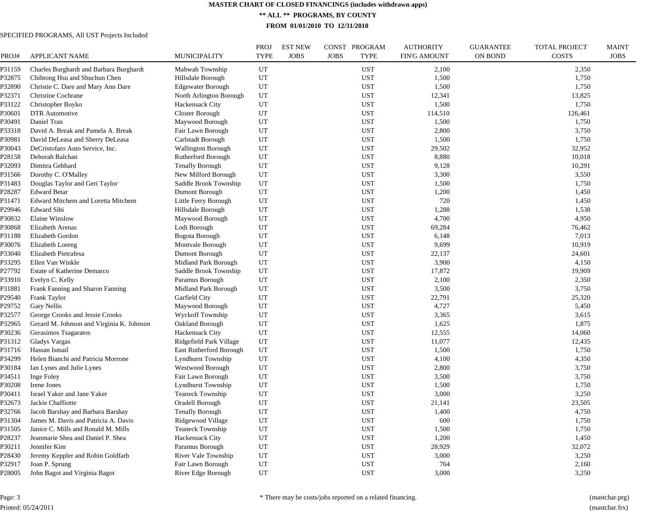**\*\* ALL \*\* PROGRAMS, BY COUNTY**

**FROM 01/01/2010 TO 12/31/2010**

| PROJ#  | <b>APPLICANT NAME</b>                     | <b>MUNICIPALITY</b>       | PROJ<br><b>TYPE</b> | <b>EST NEW</b><br><b>JOBS</b> | CONST PROGRAM<br><b>JOBS</b><br><b>TYPE</b> | <b>AUTHORITY</b><br><b>FIN'G AMOUNT</b> | <b>GUARANTEE</b><br><b>ON BOND</b> | <b>TOTAL PROJECT</b><br><b>COSTS</b> | <b>MAINT</b><br><b>JOBS</b> |
|--------|-------------------------------------------|---------------------------|---------------------|-------------------------------|---------------------------------------------|-----------------------------------------|------------------------------------|--------------------------------------|-----------------------------|
| P31159 | Charles Burghardt and Barbara Burghardt   | Mahwah Township           | UT                  |                               | <b>UST</b>                                  | 2,100                                   |                                    | 2,350                                |                             |
| P32875 | Chihtong Hsu and Shuchun Chen             | Hillsdale Borough         | UT                  |                               | <b>UST</b>                                  | 1,500                                   |                                    | 1,750                                |                             |
| P32890 | Christie C. Dare and Mary Ann Dare        | <b>Edgewater Borough</b>  | UT                  |                               | <b>UST</b>                                  | 1,500                                   |                                    | 1,750                                |                             |
| P32371 | Christine Cochrane                        | North Arlington Borough   | UT                  |                               | <b>UST</b>                                  | 12,341                                  |                                    | 13,825                               |                             |
| P33122 | Christopher Boyko                         | Hackensack City           | UT                  |                               | <b>UST</b>                                  | 1,500                                   |                                    | 1,750                                |                             |
| P30601 | <b>DTR</b> Automotive                     | Closter Borough           | UT                  |                               | <b>UST</b>                                  | 114,510                                 |                                    | 126,461                              |                             |
| P30491 | Daniel Tran                               | Maywood Borough           | UT                  |                               | <b>UST</b>                                  | 1,500                                   |                                    | 1,750                                |                             |
| P33318 | David A. Break and Pamela A. Break        | Fair Lawn Borough         | UT                  |                               | <b>UST</b>                                  | 2,800                                   |                                    | 3,750                                |                             |
| ?30981 | David DeLeasa and Sherry DeLeasa          | Carlstadt Borough         | UT                  |                               | <b>UST</b>                                  | 1,500                                   |                                    | 1,750                                |                             |
| P30043 | DeCristofaro Auto Service, Inc.           | <b>Wallington Borough</b> | UT                  |                               | <b>UST</b>                                  | 29,502                                  |                                    | 32,952                               |                             |
| P28158 | Deborah Balchan                           | Rutherford Borough        | UT                  |                               | <b>UST</b>                                  | 8,880                                   |                                    | 10,018                               |                             |
| P32093 | Dimitra Gebhard                           | <b>Tenafly Borough</b>    | UT                  |                               | <b>UST</b>                                  | 9,128                                   |                                    | 10,291                               |                             |
| P31566 | Dorothy C. O'Malley                       | New Milford Borough       | UT                  |                               | <b>UST</b>                                  | 3,300                                   |                                    | 3,550                                |                             |
| P31483 | Douglas Taylor and Geri Taylor            | Saddle Brook Township     | UT                  |                               | <b>UST</b>                                  | 1,500                                   |                                    | 1,750                                |                             |
| P28287 | <b>Edward Betar</b>                       | Dumont Borough            | UT                  |                               | <b>UST</b>                                  | 1,200                                   |                                    | 1,450                                |                             |
| P31471 | Edward Mitchem and Loretta Mitchem        | Little Ferry Borough      | UT                  |                               | <b>UST</b>                                  | 720                                     |                                    | 1,450                                |                             |
| P29946 | <b>Edward Sibi</b>                        | Hillsdale Borough         | UT                  |                               | <b>UST</b>                                  | 1,288                                   |                                    | 1,538                                |                             |
| P30832 | <b>Elaine Winslow</b>                     | Maywood Borough           | UT                  |                               | <b>UST</b>                                  | 4,700                                   |                                    | 4,950                                |                             |
| P30868 | <b>Elizabeth Arenas</b>                   | Lodi Borough              | UT                  |                               | <b>UST</b>                                  | 69,284                                  |                                    | 76,462                               |                             |
| P31188 | Elizabeth Gordon                          | Bogota Borough            | UT                  |                               | <b>UST</b>                                  | 6,148                                   |                                    | 7,013                                |                             |
| P30076 | Elizabeth Loreng                          | Montvale Borough          | UT                  |                               | <b>UST</b>                                  | 9,699                                   |                                    | 10,919                               |                             |
| P33040 | Elizabeth Pietrafesa                      | Dumont Borough            | UT                  |                               | <b>UST</b>                                  | 22,137                                  |                                    | 24,601                               |                             |
| P33295 | Ellen Van Winkle                          | Midland Park Borough      | UT                  |                               | <b>UST</b>                                  | 3,900                                   |                                    | 4,150                                |                             |
| P27792 | Estate of Katherine Demarco               | Saddle Brook Township     | UT                  |                               | <b>UST</b>                                  | 17,872                                  |                                    | 19,909                               |                             |
| P33910 | Evelyn C. Kelly                           | Paramus Borough           | UT                  |                               | <b>UST</b>                                  | 2,100                                   |                                    | 2,350                                |                             |
| P31881 | Frank Fanning and Sharon Fanning          | Midland Park Borough      | UT                  |                               | <b>UST</b>                                  | 3,500                                   |                                    | 3,750                                |                             |
| P29540 | Frank Taylor                              | Garfield City             | UT                  |                               | <b>UST</b>                                  | 22,791                                  |                                    | 25,320                               |                             |
| P29752 | Gary Nellis                               | Maywood Borough           | UT                  |                               | <b>UST</b>                                  | 4,727                                   |                                    | 5,450                                |                             |
| P32577 | George Crooks and Jessie Crooks           | <b>Wyckoff Township</b>   | UT                  |                               | <b>UST</b>                                  | 3,365                                   |                                    | 3,615                                |                             |
| P32965 | Gerard M. Johnson and Virginia K. Johnson | Oakland Borough           | UT                  |                               | <b>UST</b>                                  | 1,625                                   |                                    | 1,875                                |                             |
| P30236 | Gerasimos Tsagaratos                      | <b>Hackensack City</b>    | UT                  |                               | <b>UST</b>                                  | 12,555                                  |                                    | 14,060                               |                             |
| P31312 | Gladys Vargas                             | Ridgefield Park Village   | UT                  |                               | <b>UST</b>                                  | 11,077                                  |                                    | 12,435                               |                             |
| P31716 | Hassan Ismail                             | East Rutherford Borough   | UT                  |                               | <b>UST</b>                                  | 1,500                                   |                                    | 1,750                                |                             |
| P34299 | Helen Bianchi and Patricia Morrone        | <b>Lyndhurst Township</b> | UT                  |                               | <b>UST</b>                                  | 4,100                                   |                                    | 4,350                                |                             |
| ?30184 | Ian Lynes and Julie Lynes                 | Westwood Borough          | UT                  |                               | <b>UST</b>                                  | 2,800                                   |                                    | 3,750                                |                             |
| P34511 | Inge Foley                                | Fair Lawn Borough         | UT                  |                               | <b>UST</b>                                  | 3,500                                   |                                    | 3,750                                |                             |
| P30208 | Irene Jones                               | Lyndhurst Township        | UT                  |                               | <b>UST</b>                                  | 1,500                                   |                                    | 1,750                                |                             |
| P30411 | Israel Yaker and Jane Yaker               | <b>Teaneck Township</b>   | UT                  |                               | <b>UST</b>                                  | 3,000                                   |                                    | 3,250                                |                             |
| P32673 | Jackie Chaffiotte                         | Oradell Borough           | UT                  |                               | <b>UST</b>                                  | 21,141                                  |                                    | 23,505                               |                             |
| P32766 | Jacob Barshay and Barbara Barshay         | <b>Tenafly Borough</b>    | UT                  |                               | <b>UST</b>                                  | 1,400                                   |                                    | 4,750                                |                             |
| P31304 | James M. Davis and Patricia A. Davis      | Ridgewood Village         | UT                  |                               | <b>UST</b>                                  | 600                                     |                                    | 1,750                                |                             |
| P31505 | Janice C. Mills and Ronald M. Mills       | <b>Teaneck Township</b>   | UT                  |                               | <b>UST</b>                                  | 1,500                                   |                                    | 1,750                                |                             |
| P28237 | Jeanmarie Shea and Daniel P. Shea         | Hackensack City           | UT                  |                               | <b>UST</b>                                  | 1,200                                   |                                    | 1,450                                |                             |
| P30211 | Jennifer Kim                              | Paramus Borough           | UT                  |                               | <b>UST</b>                                  | 28,929                                  |                                    | 32,072                               |                             |
| P28430 | Jeremy Keppler and Robin Goldfarb         | River Vale Township       | UT                  |                               | <b>UST</b>                                  | 3,000                                   |                                    | 3,250                                |                             |
| P32917 | Joan P. Sprung                            | Fair Lawn Borough         | UT                  |                               | <b>UST</b>                                  | 764                                     |                                    | 2,160                                |                             |
|        |                                           |                           | UT                  |                               |                                             |                                         |                                    |                                      |                             |
| P28005 | John Bagot and Virginia Bagot             | River Edge Borough        |                     |                               | <b>UST</b>                                  | 3,000                                   |                                    | 3,250                                |                             |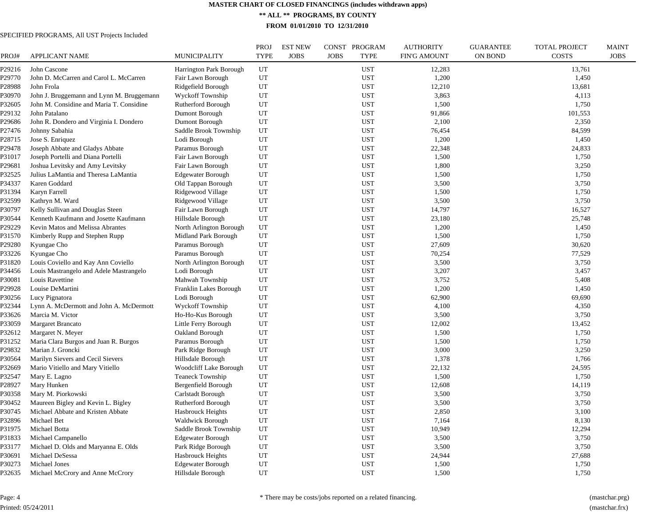**\*\* ALL \*\* PROGRAMS, BY COUNTY**

**FROM 01/01/2010 TO 12/31/2010**

| 29216<br>John Cascone<br>UT<br><b>UST</b><br>12,283<br>13,761<br><b>Harrington Park Borough</b><br>John D. McCarren and Carol L. McCarren<br>UT<br><b>UST</b><br>1,200<br>1,450<br>29770<br>Fair Lawn Borough<br>228988<br>John Frola<br>Ridgefield Borough<br>UT<br><b>UST</b><br>12,210<br>13,681<br>Wyckoff Township<br>UT<br><b>UST</b><br>?30970<br>John J. Bruggemann and Lynn M. Bruggemann<br>3,863<br>4,113<br>John M. Considine and Maria T. Considine<br><b>UST</b><br>232605<br>Rutherford Borough<br>UT<br>1,500<br>1,750<br>29132<br>John Patalano<br>Dumont Borough<br>UT<br><b>UST</b><br>91,866<br>101,553<br>229686<br>John R. Dondero and Virginia I. Dondero<br>UT<br><b>UST</b><br>2,100<br>2,350<br>Dumont Borough<br>UT<br><b>UST</b><br>84,599<br>P27476<br>Johnny Sabahia<br>Saddle Brook Township<br>76,454<br>UT<br>228715<br>Jose S. Enriquez<br>Lodi Borough<br><b>UST</b><br>1,200<br>1,450<br>29478<br>Joseph Abbate and Gladys Abbate<br>UT<br><b>UST</b><br>22,348<br>24,833<br>Paramus Borough<br>UT<br><b>UST</b><br>231017<br>Joseph Portelli and Diana Portelli<br>Fair Lawn Borough<br>1,500<br>1,750<br><b>UST</b><br>Fair Lawn Borough<br>UT<br>1,800<br>3,250<br>229681<br>Joshua Levitsky and Amy Levitsky<br>UT<br><b>UST</b><br>1,500<br>?32525<br>Julius LaMantia and Theresa LaMantia<br><b>Edgewater Borough</b><br>1,750<br>UT<br><b>UST</b><br>3,500<br>?34337<br>Karen Goddard<br>Old Tappan Borough<br>3,750<br>Karyn Farrell<br>Ridgewood Village<br>UT<br><b>UST</b><br>1,500<br>?31394<br>1,750<br>UT<br><b>UST</b><br>3,500<br>?32599<br>Kathryn M. Ward<br>Ridgewood Village<br>3,750<br>UT<br>230797<br>Kelly Sullivan and Douglas Steen<br>Fair Lawn Borough<br><b>UST</b><br>14,797<br>16,527<br>Kenneth Kaufmann and Josette Kaufmann<br>Hillsdale Borough<br>UT<br><b>UST</b><br>?30544<br>23,180<br>25,748<br>UT<br>1,450<br>29229<br>Kevin Matos and Melissa Abrantes<br>North Arlington Borough<br><b>UST</b><br>1,200<br>1,500<br>P31570<br>Kimberly Rupp and Stephen Rupp<br>Midland Park Borough<br>UT<br><b>UST</b><br>1,750<br>29280<br>Kyungae Cho<br>Paramus Borough<br>UT<br><b>UST</b><br>27,609<br>30,620<br>233226<br>Paramus Borough<br>UT<br><b>UST</b><br>70,254<br>77,529<br>Kyungae Cho<br>?31820<br>Louis Coviello and Kay Ann Coviello<br>North Arlington Borough<br>UT<br><b>UST</b><br>3,500<br>3,750<br>P34456<br>Louis Mastrangelo and Adele Mastrangelo<br>Lodi Borough<br>UT<br><b>UST</b><br>3,207<br>3,457<br>Louis Ravettine<br>UT<br><b>UST</b><br>3,752<br>5,408<br>?30081<br>Mahwah Township<br><b>UST</b><br>1,200<br>29928<br>Louise DeMartini<br>Franklin Lakes Borough<br>UT<br>1,450<br>UT<br>?30256<br>Lucy Pignatora<br>Lodi Borough<br><b>UST</b><br>62,900<br>69,690<br>232344<br>Lynn A. McDermott and John A. McDermott<br><b>Wyckoff Township</b><br>UT<br><b>UST</b><br>4,100<br>4,350<br>?33626<br>Marcia M. Victor<br>Ho-Ho-Kus Borough<br>UT<br><b>UST</b><br>3,500<br>3,750<br>P33059<br>Margaret Brancato<br>Little Ferry Borough<br>UT<br><b>UST</b><br>12,002<br>13,452<br>232612<br>Oakland Borough<br>UT<br><b>UST</b><br>1,500<br>1,750<br>Margaret N. Meyer<br>P31252<br>UT<br><b>UST</b><br>1,500<br>Maria Clara Burgos and Juan R. Burgos<br>Paramus Borough<br>1,750<br>P29832<br>UT<br><b>UST</b><br>3,000<br>3,250<br>Marian J. Groncki<br>Park Ridge Borough<br>P30564<br>Marilyn Sievers and Cecil Sievers<br>UT<br><b>UST</b><br>1,378<br>1,766<br>Hillsdale Borough<br>?32669<br>UT<br><b>UST</b><br>22,132<br>Mario Vitiello and Mary Vitiello<br>Woodcliff Lake Borough<br>24,595<br>P32547<br>UT<br><b>UST</b><br>Mary E. Lagno<br><b>Teaneck Township</b><br>1,500<br>1,750<br>P28927<br>Bergenfield Borough<br>UT<br><b>UST</b><br>12,608<br>14,119<br>Mary Hunken<br>?30358<br>UT<br><b>UST</b><br>3,750<br>Mary M. Piorkowski<br>Carlstadt Borough<br>3,500<br>UT<br>3,500<br>?30452<br>Maureen Bigley and Kevin L. Bigley<br>Rutherford Borough<br><b>UST</b><br>3,750<br>Michael Abbate and Kristen Abbate<br>UT<br><b>UST</b><br>2,850<br>3,100<br>?30745<br><b>Hasbrouck Heights</b><br>UT<br><b>UST</b><br>?32896<br>Michael Bet<br><b>Waldwick Borough</b><br>7,164<br>8,130<br>UT<br>P31975<br>Michael Botta<br>Saddle Brook Township<br><b>UST</b><br>10,949<br>12,294<br>UT<br>3,500<br>3,750<br>?31833<br>Michael Campanello<br><b>Edgewater Borough</b><br><b>UST</b><br>UT<br>P33177<br>Michael D. Olds and Maryanna E. Olds<br>Park Ridge Borough<br><b>UST</b><br>3,500<br>3,750<br>?30691<br>Michael DeSessa<br>Hasbrouck Heights<br>UT<br><b>UST</b><br>24,944<br>27,688<br>P30273<br>Michael Jones<br><b>Edgewater Borough</b><br>UT<br><b>UST</b><br>1,500<br>1,750<br>Hillsdale Borough<br>UT<br><b>UST</b><br>1,500<br>1,750<br>P32635<br>Michael McCrory and Anne McCrory | PROJ# | APPLICANT NAME | MUNICIPALITY | PROJ<br><b>TYPE</b> | <b>EST NEW</b><br><b>JOBS</b> | CONST PROGRAM<br><b>JOBS</b><br><b>TYPE</b> | <b>AUTHORITY</b><br><b>FIN'G AMOUNT</b> | <b>GUARANTEE</b><br><b>ON BOND</b> | <b>TOTAL PROJECT</b><br><b>COSTS</b> | <b>MAINT</b><br><b>JOBS</b> |
|--------------------------------------------------------------------------------------------------------------------------------------------------------------------------------------------------------------------------------------------------------------------------------------------------------------------------------------------------------------------------------------------------------------------------------------------------------------------------------------------------------------------------------------------------------------------------------------------------------------------------------------------------------------------------------------------------------------------------------------------------------------------------------------------------------------------------------------------------------------------------------------------------------------------------------------------------------------------------------------------------------------------------------------------------------------------------------------------------------------------------------------------------------------------------------------------------------------------------------------------------------------------------------------------------------------------------------------------------------------------------------------------------------------------------------------------------------------------------------------------------------------------------------------------------------------------------------------------------------------------------------------------------------------------------------------------------------------------------------------------------------------------------------------------------------------------------------------------------------------------------------------------------------------------------------------------------------------------------------------------------------------------------------------------------------------------------------------------------------------------------------------------------------------------------------------------------------------------------------------------------------------------------------------------------------------------------------------------------------------------------------------------------------------------------------------------------------------------------------------------------------------------------------------------------------------------------------------------------------------------------------------------------------------------------------------------------------------------------------------------------------------------------------------------------------------------------------------------------------------------------------------------------------------------------------------------------------------------------------------------------------------------------------------------------------------------------------------------------------------------------------------------------------------------------------------------------------------------------------------------------------------------------------------------------------------------------------------------------------------------------------------------------------------------------------------------------------------------------------------------------------------------------------------------------------------------------------------------------------------------------------------------------------------------------------------------------------------------------------------------------------------------------------------------------------------------------------------------------------------------------------------------------------------------------------------------------------------------------------------------------------------------------------------------------------------------------------------------------------------------------------------------------------------------------------------------------------------------------------------------------------------------------------------------------------------------------------------------------------------------------------------------------------------------------------------------------------------------------------------------------------------------------------------------------------------------------------------------------------------------------------------------------------------------------------------------------------------------------------------------------------------------------------------------------------------------------------------|-------|----------------|--------------|---------------------|-------------------------------|---------------------------------------------|-----------------------------------------|------------------------------------|--------------------------------------|-----------------------------|
|                                                                                                                                                                                                                                                                                                                                                                                                                                                                                                                                                                                                                                                                                                                                                                                                                                                                                                                                                                                                                                                                                                                                                                                                                                                                                                                                                                                                                                                                                                                                                                                                                                                                                                                                                                                                                                                                                                                                                                                                                                                                                                                                                                                                                                                                                                                                                                                                                                                                                                                                                                                                                                                                                                                                                                                                                                                                                                                                                                                                                                                                                                                                                                                                                                                                                                                                                                                                                                                                                                                                                                                                                                                                                                                                                                                                                                                                                                                                                                                                                                                                                                                                                                                                                                                                                                                                                                                                                                                                                                                                                                                                                                                                                                                                                                                                                                      |       |                |              |                     |                               |                                             |                                         |                                    |                                      |                             |
|                                                                                                                                                                                                                                                                                                                                                                                                                                                                                                                                                                                                                                                                                                                                                                                                                                                                                                                                                                                                                                                                                                                                                                                                                                                                                                                                                                                                                                                                                                                                                                                                                                                                                                                                                                                                                                                                                                                                                                                                                                                                                                                                                                                                                                                                                                                                                                                                                                                                                                                                                                                                                                                                                                                                                                                                                                                                                                                                                                                                                                                                                                                                                                                                                                                                                                                                                                                                                                                                                                                                                                                                                                                                                                                                                                                                                                                                                                                                                                                                                                                                                                                                                                                                                                                                                                                                                                                                                                                                                                                                                                                                                                                                                                                                                                                                                                      |       |                |              |                     |                               |                                             |                                         |                                    |                                      |                             |
|                                                                                                                                                                                                                                                                                                                                                                                                                                                                                                                                                                                                                                                                                                                                                                                                                                                                                                                                                                                                                                                                                                                                                                                                                                                                                                                                                                                                                                                                                                                                                                                                                                                                                                                                                                                                                                                                                                                                                                                                                                                                                                                                                                                                                                                                                                                                                                                                                                                                                                                                                                                                                                                                                                                                                                                                                                                                                                                                                                                                                                                                                                                                                                                                                                                                                                                                                                                                                                                                                                                                                                                                                                                                                                                                                                                                                                                                                                                                                                                                                                                                                                                                                                                                                                                                                                                                                                                                                                                                                                                                                                                                                                                                                                                                                                                                                                      |       |                |              |                     |                               |                                             |                                         |                                    |                                      |                             |
|                                                                                                                                                                                                                                                                                                                                                                                                                                                                                                                                                                                                                                                                                                                                                                                                                                                                                                                                                                                                                                                                                                                                                                                                                                                                                                                                                                                                                                                                                                                                                                                                                                                                                                                                                                                                                                                                                                                                                                                                                                                                                                                                                                                                                                                                                                                                                                                                                                                                                                                                                                                                                                                                                                                                                                                                                                                                                                                                                                                                                                                                                                                                                                                                                                                                                                                                                                                                                                                                                                                                                                                                                                                                                                                                                                                                                                                                                                                                                                                                                                                                                                                                                                                                                                                                                                                                                                                                                                                                                                                                                                                                                                                                                                                                                                                                                                      |       |                |              |                     |                               |                                             |                                         |                                    |                                      |                             |
|                                                                                                                                                                                                                                                                                                                                                                                                                                                                                                                                                                                                                                                                                                                                                                                                                                                                                                                                                                                                                                                                                                                                                                                                                                                                                                                                                                                                                                                                                                                                                                                                                                                                                                                                                                                                                                                                                                                                                                                                                                                                                                                                                                                                                                                                                                                                                                                                                                                                                                                                                                                                                                                                                                                                                                                                                                                                                                                                                                                                                                                                                                                                                                                                                                                                                                                                                                                                                                                                                                                                                                                                                                                                                                                                                                                                                                                                                                                                                                                                                                                                                                                                                                                                                                                                                                                                                                                                                                                                                                                                                                                                                                                                                                                                                                                                                                      |       |                |              |                     |                               |                                             |                                         |                                    |                                      |                             |
|                                                                                                                                                                                                                                                                                                                                                                                                                                                                                                                                                                                                                                                                                                                                                                                                                                                                                                                                                                                                                                                                                                                                                                                                                                                                                                                                                                                                                                                                                                                                                                                                                                                                                                                                                                                                                                                                                                                                                                                                                                                                                                                                                                                                                                                                                                                                                                                                                                                                                                                                                                                                                                                                                                                                                                                                                                                                                                                                                                                                                                                                                                                                                                                                                                                                                                                                                                                                                                                                                                                                                                                                                                                                                                                                                                                                                                                                                                                                                                                                                                                                                                                                                                                                                                                                                                                                                                                                                                                                                                                                                                                                                                                                                                                                                                                                                                      |       |                |              |                     |                               |                                             |                                         |                                    |                                      |                             |
|                                                                                                                                                                                                                                                                                                                                                                                                                                                                                                                                                                                                                                                                                                                                                                                                                                                                                                                                                                                                                                                                                                                                                                                                                                                                                                                                                                                                                                                                                                                                                                                                                                                                                                                                                                                                                                                                                                                                                                                                                                                                                                                                                                                                                                                                                                                                                                                                                                                                                                                                                                                                                                                                                                                                                                                                                                                                                                                                                                                                                                                                                                                                                                                                                                                                                                                                                                                                                                                                                                                                                                                                                                                                                                                                                                                                                                                                                                                                                                                                                                                                                                                                                                                                                                                                                                                                                                                                                                                                                                                                                                                                                                                                                                                                                                                                                                      |       |                |              |                     |                               |                                             |                                         |                                    |                                      |                             |
|                                                                                                                                                                                                                                                                                                                                                                                                                                                                                                                                                                                                                                                                                                                                                                                                                                                                                                                                                                                                                                                                                                                                                                                                                                                                                                                                                                                                                                                                                                                                                                                                                                                                                                                                                                                                                                                                                                                                                                                                                                                                                                                                                                                                                                                                                                                                                                                                                                                                                                                                                                                                                                                                                                                                                                                                                                                                                                                                                                                                                                                                                                                                                                                                                                                                                                                                                                                                                                                                                                                                                                                                                                                                                                                                                                                                                                                                                                                                                                                                                                                                                                                                                                                                                                                                                                                                                                                                                                                                                                                                                                                                                                                                                                                                                                                                                                      |       |                |              |                     |                               |                                             |                                         |                                    |                                      |                             |
|                                                                                                                                                                                                                                                                                                                                                                                                                                                                                                                                                                                                                                                                                                                                                                                                                                                                                                                                                                                                                                                                                                                                                                                                                                                                                                                                                                                                                                                                                                                                                                                                                                                                                                                                                                                                                                                                                                                                                                                                                                                                                                                                                                                                                                                                                                                                                                                                                                                                                                                                                                                                                                                                                                                                                                                                                                                                                                                                                                                                                                                                                                                                                                                                                                                                                                                                                                                                                                                                                                                                                                                                                                                                                                                                                                                                                                                                                                                                                                                                                                                                                                                                                                                                                                                                                                                                                                                                                                                                                                                                                                                                                                                                                                                                                                                                                                      |       |                |              |                     |                               |                                             |                                         |                                    |                                      |                             |
|                                                                                                                                                                                                                                                                                                                                                                                                                                                                                                                                                                                                                                                                                                                                                                                                                                                                                                                                                                                                                                                                                                                                                                                                                                                                                                                                                                                                                                                                                                                                                                                                                                                                                                                                                                                                                                                                                                                                                                                                                                                                                                                                                                                                                                                                                                                                                                                                                                                                                                                                                                                                                                                                                                                                                                                                                                                                                                                                                                                                                                                                                                                                                                                                                                                                                                                                                                                                                                                                                                                                                                                                                                                                                                                                                                                                                                                                                                                                                                                                                                                                                                                                                                                                                                                                                                                                                                                                                                                                                                                                                                                                                                                                                                                                                                                                                                      |       |                |              |                     |                               |                                             |                                         |                                    |                                      |                             |
|                                                                                                                                                                                                                                                                                                                                                                                                                                                                                                                                                                                                                                                                                                                                                                                                                                                                                                                                                                                                                                                                                                                                                                                                                                                                                                                                                                                                                                                                                                                                                                                                                                                                                                                                                                                                                                                                                                                                                                                                                                                                                                                                                                                                                                                                                                                                                                                                                                                                                                                                                                                                                                                                                                                                                                                                                                                                                                                                                                                                                                                                                                                                                                                                                                                                                                                                                                                                                                                                                                                                                                                                                                                                                                                                                                                                                                                                                                                                                                                                                                                                                                                                                                                                                                                                                                                                                                                                                                                                                                                                                                                                                                                                                                                                                                                                                                      |       |                |              |                     |                               |                                             |                                         |                                    |                                      |                             |
|                                                                                                                                                                                                                                                                                                                                                                                                                                                                                                                                                                                                                                                                                                                                                                                                                                                                                                                                                                                                                                                                                                                                                                                                                                                                                                                                                                                                                                                                                                                                                                                                                                                                                                                                                                                                                                                                                                                                                                                                                                                                                                                                                                                                                                                                                                                                                                                                                                                                                                                                                                                                                                                                                                                                                                                                                                                                                                                                                                                                                                                                                                                                                                                                                                                                                                                                                                                                                                                                                                                                                                                                                                                                                                                                                                                                                                                                                                                                                                                                                                                                                                                                                                                                                                                                                                                                                                                                                                                                                                                                                                                                                                                                                                                                                                                                                                      |       |                |              |                     |                               |                                             |                                         |                                    |                                      |                             |
|                                                                                                                                                                                                                                                                                                                                                                                                                                                                                                                                                                                                                                                                                                                                                                                                                                                                                                                                                                                                                                                                                                                                                                                                                                                                                                                                                                                                                                                                                                                                                                                                                                                                                                                                                                                                                                                                                                                                                                                                                                                                                                                                                                                                                                                                                                                                                                                                                                                                                                                                                                                                                                                                                                                                                                                                                                                                                                                                                                                                                                                                                                                                                                                                                                                                                                                                                                                                                                                                                                                                                                                                                                                                                                                                                                                                                                                                                                                                                                                                                                                                                                                                                                                                                                                                                                                                                                                                                                                                                                                                                                                                                                                                                                                                                                                                                                      |       |                |              |                     |                               |                                             |                                         |                                    |                                      |                             |
|                                                                                                                                                                                                                                                                                                                                                                                                                                                                                                                                                                                                                                                                                                                                                                                                                                                                                                                                                                                                                                                                                                                                                                                                                                                                                                                                                                                                                                                                                                                                                                                                                                                                                                                                                                                                                                                                                                                                                                                                                                                                                                                                                                                                                                                                                                                                                                                                                                                                                                                                                                                                                                                                                                                                                                                                                                                                                                                                                                                                                                                                                                                                                                                                                                                                                                                                                                                                                                                                                                                                                                                                                                                                                                                                                                                                                                                                                                                                                                                                                                                                                                                                                                                                                                                                                                                                                                                                                                                                                                                                                                                                                                                                                                                                                                                                                                      |       |                |              |                     |                               |                                             |                                         |                                    |                                      |                             |
|                                                                                                                                                                                                                                                                                                                                                                                                                                                                                                                                                                                                                                                                                                                                                                                                                                                                                                                                                                                                                                                                                                                                                                                                                                                                                                                                                                                                                                                                                                                                                                                                                                                                                                                                                                                                                                                                                                                                                                                                                                                                                                                                                                                                                                                                                                                                                                                                                                                                                                                                                                                                                                                                                                                                                                                                                                                                                                                                                                                                                                                                                                                                                                                                                                                                                                                                                                                                                                                                                                                                                                                                                                                                                                                                                                                                                                                                                                                                                                                                                                                                                                                                                                                                                                                                                                                                                                                                                                                                                                                                                                                                                                                                                                                                                                                                                                      |       |                |              |                     |                               |                                             |                                         |                                    |                                      |                             |
|                                                                                                                                                                                                                                                                                                                                                                                                                                                                                                                                                                                                                                                                                                                                                                                                                                                                                                                                                                                                                                                                                                                                                                                                                                                                                                                                                                                                                                                                                                                                                                                                                                                                                                                                                                                                                                                                                                                                                                                                                                                                                                                                                                                                                                                                                                                                                                                                                                                                                                                                                                                                                                                                                                                                                                                                                                                                                                                                                                                                                                                                                                                                                                                                                                                                                                                                                                                                                                                                                                                                                                                                                                                                                                                                                                                                                                                                                                                                                                                                                                                                                                                                                                                                                                                                                                                                                                                                                                                                                                                                                                                                                                                                                                                                                                                                                                      |       |                |              |                     |                               |                                             |                                         |                                    |                                      |                             |
|                                                                                                                                                                                                                                                                                                                                                                                                                                                                                                                                                                                                                                                                                                                                                                                                                                                                                                                                                                                                                                                                                                                                                                                                                                                                                                                                                                                                                                                                                                                                                                                                                                                                                                                                                                                                                                                                                                                                                                                                                                                                                                                                                                                                                                                                                                                                                                                                                                                                                                                                                                                                                                                                                                                                                                                                                                                                                                                                                                                                                                                                                                                                                                                                                                                                                                                                                                                                                                                                                                                                                                                                                                                                                                                                                                                                                                                                                                                                                                                                                                                                                                                                                                                                                                                                                                                                                                                                                                                                                                                                                                                                                                                                                                                                                                                                                                      |       |                |              |                     |                               |                                             |                                         |                                    |                                      |                             |
|                                                                                                                                                                                                                                                                                                                                                                                                                                                                                                                                                                                                                                                                                                                                                                                                                                                                                                                                                                                                                                                                                                                                                                                                                                                                                                                                                                                                                                                                                                                                                                                                                                                                                                                                                                                                                                                                                                                                                                                                                                                                                                                                                                                                                                                                                                                                                                                                                                                                                                                                                                                                                                                                                                                                                                                                                                                                                                                                                                                                                                                                                                                                                                                                                                                                                                                                                                                                                                                                                                                                                                                                                                                                                                                                                                                                                                                                                                                                                                                                                                                                                                                                                                                                                                                                                                                                                                                                                                                                                                                                                                                                                                                                                                                                                                                                                                      |       |                |              |                     |                               |                                             |                                         |                                    |                                      |                             |
|                                                                                                                                                                                                                                                                                                                                                                                                                                                                                                                                                                                                                                                                                                                                                                                                                                                                                                                                                                                                                                                                                                                                                                                                                                                                                                                                                                                                                                                                                                                                                                                                                                                                                                                                                                                                                                                                                                                                                                                                                                                                                                                                                                                                                                                                                                                                                                                                                                                                                                                                                                                                                                                                                                                                                                                                                                                                                                                                                                                                                                                                                                                                                                                                                                                                                                                                                                                                                                                                                                                                                                                                                                                                                                                                                                                                                                                                                                                                                                                                                                                                                                                                                                                                                                                                                                                                                                                                                                                                                                                                                                                                                                                                                                                                                                                                                                      |       |                |              |                     |                               |                                             |                                         |                                    |                                      |                             |
|                                                                                                                                                                                                                                                                                                                                                                                                                                                                                                                                                                                                                                                                                                                                                                                                                                                                                                                                                                                                                                                                                                                                                                                                                                                                                                                                                                                                                                                                                                                                                                                                                                                                                                                                                                                                                                                                                                                                                                                                                                                                                                                                                                                                                                                                                                                                                                                                                                                                                                                                                                                                                                                                                                                                                                                                                                                                                                                                                                                                                                                                                                                                                                                                                                                                                                                                                                                                                                                                                                                                                                                                                                                                                                                                                                                                                                                                                                                                                                                                                                                                                                                                                                                                                                                                                                                                                                                                                                                                                                                                                                                                                                                                                                                                                                                                                                      |       |                |              |                     |                               |                                             |                                         |                                    |                                      |                             |
|                                                                                                                                                                                                                                                                                                                                                                                                                                                                                                                                                                                                                                                                                                                                                                                                                                                                                                                                                                                                                                                                                                                                                                                                                                                                                                                                                                                                                                                                                                                                                                                                                                                                                                                                                                                                                                                                                                                                                                                                                                                                                                                                                                                                                                                                                                                                                                                                                                                                                                                                                                                                                                                                                                                                                                                                                                                                                                                                                                                                                                                                                                                                                                                                                                                                                                                                                                                                                                                                                                                                                                                                                                                                                                                                                                                                                                                                                                                                                                                                                                                                                                                                                                                                                                                                                                                                                                                                                                                                                                                                                                                                                                                                                                                                                                                                                                      |       |                |              |                     |                               |                                             |                                         |                                    |                                      |                             |
|                                                                                                                                                                                                                                                                                                                                                                                                                                                                                                                                                                                                                                                                                                                                                                                                                                                                                                                                                                                                                                                                                                                                                                                                                                                                                                                                                                                                                                                                                                                                                                                                                                                                                                                                                                                                                                                                                                                                                                                                                                                                                                                                                                                                                                                                                                                                                                                                                                                                                                                                                                                                                                                                                                                                                                                                                                                                                                                                                                                                                                                                                                                                                                                                                                                                                                                                                                                                                                                                                                                                                                                                                                                                                                                                                                                                                                                                                                                                                                                                                                                                                                                                                                                                                                                                                                                                                                                                                                                                                                                                                                                                                                                                                                                                                                                                                                      |       |                |              |                     |                               |                                             |                                         |                                    |                                      |                             |
|                                                                                                                                                                                                                                                                                                                                                                                                                                                                                                                                                                                                                                                                                                                                                                                                                                                                                                                                                                                                                                                                                                                                                                                                                                                                                                                                                                                                                                                                                                                                                                                                                                                                                                                                                                                                                                                                                                                                                                                                                                                                                                                                                                                                                                                                                                                                                                                                                                                                                                                                                                                                                                                                                                                                                                                                                                                                                                                                                                                                                                                                                                                                                                                                                                                                                                                                                                                                                                                                                                                                                                                                                                                                                                                                                                                                                                                                                                                                                                                                                                                                                                                                                                                                                                                                                                                                                                                                                                                                                                                                                                                                                                                                                                                                                                                                                                      |       |                |              |                     |                               |                                             |                                         |                                    |                                      |                             |
|                                                                                                                                                                                                                                                                                                                                                                                                                                                                                                                                                                                                                                                                                                                                                                                                                                                                                                                                                                                                                                                                                                                                                                                                                                                                                                                                                                                                                                                                                                                                                                                                                                                                                                                                                                                                                                                                                                                                                                                                                                                                                                                                                                                                                                                                                                                                                                                                                                                                                                                                                                                                                                                                                                                                                                                                                                                                                                                                                                                                                                                                                                                                                                                                                                                                                                                                                                                                                                                                                                                                                                                                                                                                                                                                                                                                                                                                                                                                                                                                                                                                                                                                                                                                                                                                                                                                                                                                                                                                                                                                                                                                                                                                                                                                                                                                                                      |       |                |              |                     |                               |                                             |                                         |                                    |                                      |                             |
|                                                                                                                                                                                                                                                                                                                                                                                                                                                                                                                                                                                                                                                                                                                                                                                                                                                                                                                                                                                                                                                                                                                                                                                                                                                                                                                                                                                                                                                                                                                                                                                                                                                                                                                                                                                                                                                                                                                                                                                                                                                                                                                                                                                                                                                                                                                                                                                                                                                                                                                                                                                                                                                                                                                                                                                                                                                                                                                                                                                                                                                                                                                                                                                                                                                                                                                                                                                                                                                                                                                                                                                                                                                                                                                                                                                                                                                                                                                                                                                                                                                                                                                                                                                                                                                                                                                                                                                                                                                                                                                                                                                                                                                                                                                                                                                                                                      |       |                |              |                     |                               |                                             |                                         |                                    |                                      |                             |
|                                                                                                                                                                                                                                                                                                                                                                                                                                                                                                                                                                                                                                                                                                                                                                                                                                                                                                                                                                                                                                                                                                                                                                                                                                                                                                                                                                                                                                                                                                                                                                                                                                                                                                                                                                                                                                                                                                                                                                                                                                                                                                                                                                                                                                                                                                                                                                                                                                                                                                                                                                                                                                                                                                                                                                                                                                                                                                                                                                                                                                                                                                                                                                                                                                                                                                                                                                                                                                                                                                                                                                                                                                                                                                                                                                                                                                                                                                                                                                                                                                                                                                                                                                                                                                                                                                                                                                                                                                                                                                                                                                                                                                                                                                                                                                                                                                      |       |                |              |                     |                               |                                             |                                         |                                    |                                      |                             |
|                                                                                                                                                                                                                                                                                                                                                                                                                                                                                                                                                                                                                                                                                                                                                                                                                                                                                                                                                                                                                                                                                                                                                                                                                                                                                                                                                                                                                                                                                                                                                                                                                                                                                                                                                                                                                                                                                                                                                                                                                                                                                                                                                                                                                                                                                                                                                                                                                                                                                                                                                                                                                                                                                                                                                                                                                                                                                                                                                                                                                                                                                                                                                                                                                                                                                                                                                                                                                                                                                                                                                                                                                                                                                                                                                                                                                                                                                                                                                                                                                                                                                                                                                                                                                                                                                                                                                                                                                                                                                                                                                                                                                                                                                                                                                                                                                                      |       |                |              |                     |                               |                                             |                                         |                                    |                                      |                             |
|                                                                                                                                                                                                                                                                                                                                                                                                                                                                                                                                                                                                                                                                                                                                                                                                                                                                                                                                                                                                                                                                                                                                                                                                                                                                                                                                                                                                                                                                                                                                                                                                                                                                                                                                                                                                                                                                                                                                                                                                                                                                                                                                                                                                                                                                                                                                                                                                                                                                                                                                                                                                                                                                                                                                                                                                                                                                                                                                                                                                                                                                                                                                                                                                                                                                                                                                                                                                                                                                                                                                                                                                                                                                                                                                                                                                                                                                                                                                                                                                                                                                                                                                                                                                                                                                                                                                                                                                                                                                                                                                                                                                                                                                                                                                                                                                                                      |       |                |              |                     |                               |                                             |                                         |                                    |                                      |                             |
|                                                                                                                                                                                                                                                                                                                                                                                                                                                                                                                                                                                                                                                                                                                                                                                                                                                                                                                                                                                                                                                                                                                                                                                                                                                                                                                                                                                                                                                                                                                                                                                                                                                                                                                                                                                                                                                                                                                                                                                                                                                                                                                                                                                                                                                                                                                                                                                                                                                                                                                                                                                                                                                                                                                                                                                                                                                                                                                                                                                                                                                                                                                                                                                                                                                                                                                                                                                                                                                                                                                                                                                                                                                                                                                                                                                                                                                                                                                                                                                                                                                                                                                                                                                                                                                                                                                                                                                                                                                                                                                                                                                                                                                                                                                                                                                                                                      |       |                |              |                     |                               |                                             |                                         |                                    |                                      |                             |
|                                                                                                                                                                                                                                                                                                                                                                                                                                                                                                                                                                                                                                                                                                                                                                                                                                                                                                                                                                                                                                                                                                                                                                                                                                                                                                                                                                                                                                                                                                                                                                                                                                                                                                                                                                                                                                                                                                                                                                                                                                                                                                                                                                                                                                                                                                                                                                                                                                                                                                                                                                                                                                                                                                                                                                                                                                                                                                                                                                                                                                                                                                                                                                                                                                                                                                                                                                                                                                                                                                                                                                                                                                                                                                                                                                                                                                                                                                                                                                                                                                                                                                                                                                                                                                                                                                                                                                                                                                                                                                                                                                                                                                                                                                                                                                                                                                      |       |                |              |                     |                               |                                             |                                         |                                    |                                      |                             |
|                                                                                                                                                                                                                                                                                                                                                                                                                                                                                                                                                                                                                                                                                                                                                                                                                                                                                                                                                                                                                                                                                                                                                                                                                                                                                                                                                                                                                                                                                                                                                                                                                                                                                                                                                                                                                                                                                                                                                                                                                                                                                                                                                                                                                                                                                                                                                                                                                                                                                                                                                                                                                                                                                                                                                                                                                                                                                                                                                                                                                                                                                                                                                                                                                                                                                                                                                                                                                                                                                                                                                                                                                                                                                                                                                                                                                                                                                                                                                                                                                                                                                                                                                                                                                                                                                                                                                                                                                                                                                                                                                                                                                                                                                                                                                                                                                                      |       |                |              |                     |                               |                                             |                                         |                                    |                                      |                             |
|                                                                                                                                                                                                                                                                                                                                                                                                                                                                                                                                                                                                                                                                                                                                                                                                                                                                                                                                                                                                                                                                                                                                                                                                                                                                                                                                                                                                                                                                                                                                                                                                                                                                                                                                                                                                                                                                                                                                                                                                                                                                                                                                                                                                                                                                                                                                                                                                                                                                                                                                                                                                                                                                                                                                                                                                                                                                                                                                                                                                                                                                                                                                                                                                                                                                                                                                                                                                                                                                                                                                                                                                                                                                                                                                                                                                                                                                                                                                                                                                                                                                                                                                                                                                                                                                                                                                                                                                                                                                                                                                                                                                                                                                                                                                                                                                                                      |       |                |              |                     |                               |                                             |                                         |                                    |                                      |                             |
|                                                                                                                                                                                                                                                                                                                                                                                                                                                                                                                                                                                                                                                                                                                                                                                                                                                                                                                                                                                                                                                                                                                                                                                                                                                                                                                                                                                                                                                                                                                                                                                                                                                                                                                                                                                                                                                                                                                                                                                                                                                                                                                                                                                                                                                                                                                                                                                                                                                                                                                                                                                                                                                                                                                                                                                                                                                                                                                                                                                                                                                                                                                                                                                                                                                                                                                                                                                                                                                                                                                                                                                                                                                                                                                                                                                                                                                                                                                                                                                                                                                                                                                                                                                                                                                                                                                                                                                                                                                                                                                                                                                                                                                                                                                                                                                                                                      |       |                |              |                     |                               |                                             |                                         |                                    |                                      |                             |
|                                                                                                                                                                                                                                                                                                                                                                                                                                                                                                                                                                                                                                                                                                                                                                                                                                                                                                                                                                                                                                                                                                                                                                                                                                                                                                                                                                                                                                                                                                                                                                                                                                                                                                                                                                                                                                                                                                                                                                                                                                                                                                                                                                                                                                                                                                                                                                                                                                                                                                                                                                                                                                                                                                                                                                                                                                                                                                                                                                                                                                                                                                                                                                                                                                                                                                                                                                                                                                                                                                                                                                                                                                                                                                                                                                                                                                                                                                                                                                                                                                                                                                                                                                                                                                                                                                                                                                                                                                                                                                                                                                                                                                                                                                                                                                                                                                      |       |                |              |                     |                               |                                             |                                         |                                    |                                      |                             |
|                                                                                                                                                                                                                                                                                                                                                                                                                                                                                                                                                                                                                                                                                                                                                                                                                                                                                                                                                                                                                                                                                                                                                                                                                                                                                                                                                                                                                                                                                                                                                                                                                                                                                                                                                                                                                                                                                                                                                                                                                                                                                                                                                                                                                                                                                                                                                                                                                                                                                                                                                                                                                                                                                                                                                                                                                                                                                                                                                                                                                                                                                                                                                                                                                                                                                                                                                                                                                                                                                                                                                                                                                                                                                                                                                                                                                                                                                                                                                                                                                                                                                                                                                                                                                                                                                                                                                                                                                                                                                                                                                                                                                                                                                                                                                                                                                                      |       |                |              |                     |                               |                                             |                                         |                                    |                                      |                             |
|                                                                                                                                                                                                                                                                                                                                                                                                                                                                                                                                                                                                                                                                                                                                                                                                                                                                                                                                                                                                                                                                                                                                                                                                                                                                                                                                                                                                                                                                                                                                                                                                                                                                                                                                                                                                                                                                                                                                                                                                                                                                                                                                                                                                                                                                                                                                                                                                                                                                                                                                                                                                                                                                                                                                                                                                                                                                                                                                                                                                                                                                                                                                                                                                                                                                                                                                                                                                                                                                                                                                                                                                                                                                                                                                                                                                                                                                                                                                                                                                                                                                                                                                                                                                                                                                                                                                                                                                                                                                                                                                                                                                                                                                                                                                                                                                                                      |       |                |              |                     |                               |                                             |                                         |                                    |                                      |                             |
|                                                                                                                                                                                                                                                                                                                                                                                                                                                                                                                                                                                                                                                                                                                                                                                                                                                                                                                                                                                                                                                                                                                                                                                                                                                                                                                                                                                                                                                                                                                                                                                                                                                                                                                                                                                                                                                                                                                                                                                                                                                                                                                                                                                                                                                                                                                                                                                                                                                                                                                                                                                                                                                                                                                                                                                                                                                                                                                                                                                                                                                                                                                                                                                                                                                                                                                                                                                                                                                                                                                                                                                                                                                                                                                                                                                                                                                                                                                                                                                                                                                                                                                                                                                                                                                                                                                                                                                                                                                                                                                                                                                                                                                                                                                                                                                                                                      |       |                |              |                     |                               |                                             |                                         |                                    |                                      |                             |
|                                                                                                                                                                                                                                                                                                                                                                                                                                                                                                                                                                                                                                                                                                                                                                                                                                                                                                                                                                                                                                                                                                                                                                                                                                                                                                                                                                                                                                                                                                                                                                                                                                                                                                                                                                                                                                                                                                                                                                                                                                                                                                                                                                                                                                                                                                                                                                                                                                                                                                                                                                                                                                                                                                                                                                                                                                                                                                                                                                                                                                                                                                                                                                                                                                                                                                                                                                                                                                                                                                                                                                                                                                                                                                                                                                                                                                                                                                                                                                                                                                                                                                                                                                                                                                                                                                                                                                                                                                                                                                                                                                                                                                                                                                                                                                                                                                      |       |                |              |                     |                               |                                             |                                         |                                    |                                      |                             |
|                                                                                                                                                                                                                                                                                                                                                                                                                                                                                                                                                                                                                                                                                                                                                                                                                                                                                                                                                                                                                                                                                                                                                                                                                                                                                                                                                                                                                                                                                                                                                                                                                                                                                                                                                                                                                                                                                                                                                                                                                                                                                                                                                                                                                                                                                                                                                                                                                                                                                                                                                                                                                                                                                                                                                                                                                                                                                                                                                                                                                                                                                                                                                                                                                                                                                                                                                                                                                                                                                                                                                                                                                                                                                                                                                                                                                                                                                                                                                                                                                                                                                                                                                                                                                                                                                                                                                                                                                                                                                                                                                                                                                                                                                                                                                                                                                                      |       |                |              |                     |                               |                                             |                                         |                                    |                                      |                             |
|                                                                                                                                                                                                                                                                                                                                                                                                                                                                                                                                                                                                                                                                                                                                                                                                                                                                                                                                                                                                                                                                                                                                                                                                                                                                                                                                                                                                                                                                                                                                                                                                                                                                                                                                                                                                                                                                                                                                                                                                                                                                                                                                                                                                                                                                                                                                                                                                                                                                                                                                                                                                                                                                                                                                                                                                                                                                                                                                                                                                                                                                                                                                                                                                                                                                                                                                                                                                                                                                                                                                                                                                                                                                                                                                                                                                                                                                                                                                                                                                                                                                                                                                                                                                                                                                                                                                                                                                                                                                                                                                                                                                                                                                                                                                                                                                                                      |       |                |              |                     |                               |                                             |                                         |                                    |                                      |                             |
|                                                                                                                                                                                                                                                                                                                                                                                                                                                                                                                                                                                                                                                                                                                                                                                                                                                                                                                                                                                                                                                                                                                                                                                                                                                                                                                                                                                                                                                                                                                                                                                                                                                                                                                                                                                                                                                                                                                                                                                                                                                                                                                                                                                                                                                                                                                                                                                                                                                                                                                                                                                                                                                                                                                                                                                                                                                                                                                                                                                                                                                                                                                                                                                                                                                                                                                                                                                                                                                                                                                                                                                                                                                                                                                                                                                                                                                                                                                                                                                                                                                                                                                                                                                                                                                                                                                                                                                                                                                                                                                                                                                                                                                                                                                                                                                                                                      |       |                |              |                     |                               |                                             |                                         |                                    |                                      |                             |
|                                                                                                                                                                                                                                                                                                                                                                                                                                                                                                                                                                                                                                                                                                                                                                                                                                                                                                                                                                                                                                                                                                                                                                                                                                                                                                                                                                                                                                                                                                                                                                                                                                                                                                                                                                                                                                                                                                                                                                                                                                                                                                                                                                                                                                                                                                                                                                                                                                                                                                                                                                                                                                                                                                                                                                                                                                                                                                                                                                                                                                                                                                                                                                                                                                                                                                                                                                                                                                                                                                                                                                                                                                                                                                                                                                                                                                                                                                                                                                                                                                                                                                                                                                                                                                                                                                                                                                                                                                                                                                                                                                                                                                                                                                                                                                                                                                      |       |                |              |                     |                               |                                             |                                         |                                    |                                      |                             |
|                                                                                                                                                                                                                                                                                                                                                                                                                                                                                                                                                                                                                                                                                                                                                                                                                                                                                                                                                                                                                                                                                                                                                                                                                                                                                                                                                                                                                                                                                                                                                                                                                                                                                                                                                                                                                                                                                                                                                                                                                                                                                                                                                                                                                                                                                                                                                                                                                                                                                                                                                                                                                                                                                                                                                                                                                                                                                                                                                                                                                                                                                                                                                                                                                                                                                                                                                                                                                                                                                                                                                                                                                                                                                                                                                                                                                                                                                                                                                                                                                                                                                                                                                                                                                                                                                                                                                                                                                                                                                                                                                                                                                                                                                                                                                                                                                                      |       |                |              |                     |                               |                                             |                                         |                                    |                                      |                             |
|                                                                                                                                                                                                                                                                                                                                                                                                                                                                                                                                                                                                                                                                                                                                                                                                                                                                                                                                                                                                                                                                                                                                                                                                                                                                                                                                                                                                                                                                                                                                                                                                                                                                                                                                                                                                                                                                                                                                                                                                                                                                                                                                                                                                                                                                                                                                                                                                                                                                                                                                                                                                                                                                                                                                                                                                                                                                                                                                                                                                                                                                                                                                                                                                                                                                                                                                                                                                                                                                                                                                                                                                                                                                                                                                                                                                                                                                                                                                                                                                                                                                                                                                                                                                                                                                                                                                                                                                                                                                                                                                                                                                                                                                                                                                                                                                                                      |       |                |              |                     |                               |                                             |                                         |                                    |                                      |                             |
|                                                                                                                                                                                                                                                                                                                                                                                                                                                                                                                                                                                                                                                                                                                                                                                                                                                                                                                                                                                                                                                                                                                                                                                                                                                                                                                                                                                                                                                                                                                                                                                                                                                                                                                                                                                                                                                                                                                                                                                                                                                                                                                                                                                                                                                                                                                                                                                                                                                                                                                                                                                                                                                                                                                                                                                                                                                                                                                                                                                                                                                                                                                                                                                                                                                                                                                                                                                                                                                                                                                                                                                                                                                                                                                                                                                                                                                                                                                                                                                                                                                                                                                                                                                                                                                                                                                                                                                                                                                                                                                                                                                                                                                                                                                                                                                                                                      |       |                |              |                     |                               |                                             |                                         |                                    |                                      |                             |
|                                                                                                                                                                                                                                                                                                                                                                                                                                                                                                                                                                                                                                                                                                                                                                                                                                                                                                                                                                                                                                                                                                                                                                                                                                                                                                                                                                                                                                                                                                                                                                                                                                                                                                                                                                                                                                                                                                                                                                                                                                                                                                                                                                                                                                                                                                                                                                                                                                                                                                                                                                                                                                                                                                                                                                                                                                                                                                                                                                                                                                                                                                                                                                                                                                                                                                                                                                                                                                                                                                                                                                                                                                                                                                                                                                                                                                                                                                                                                                                                                                                                                                                                                                                                                                                                                                                                                                                                                                                                                                                                                                                                                                                                                                                                                                                                                                      |       |                |              |                     |                               |                                             |                                         |                                    |                                      |                             |
|                                                                                                                                                                                                                                                                                                                                                                                                                                                                                                                                                                                                                                                                                                                                                                                                                                                                                                                                                                                                                                                                                                                                                                                                                                                                                                                                                                                                                                                                                                                                                                                                                                                                                                                                                                                                                                                                                                                                                                                                                                                                                                                                                                                                                                                                                                                                                                                                                                                                                                                                                                                                                                                                                                                                                                                                                                                                                                                                                                                                                                                                                                                                                                                                                                                                                                                                                                                                                                                                                                                                                                                                                                                                                                                                                                                                                                                                                                                                                                                                                                                                                                                                                                                                                                                                                                                                                                                                                                                                                                                                                                                                                                                                                                                                                                                                                                      |       |                |              |                     |                               |                                             |                                         |                                    |                                      |                             |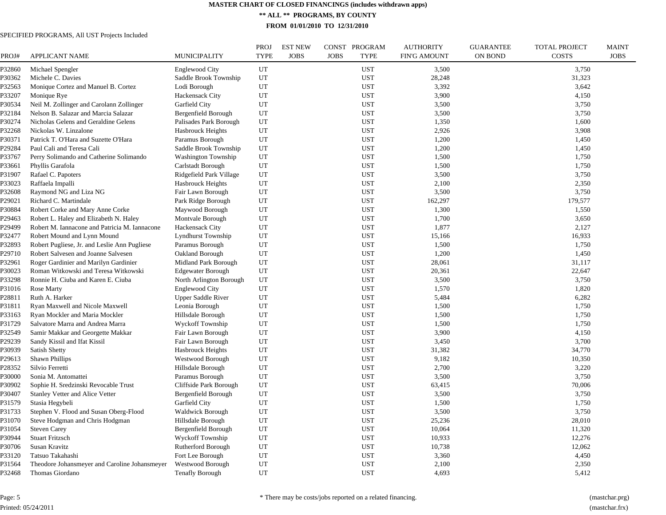**\*\* ALL \*\* PROGRAMS, BY COUNTY**

**FROM 01/01/2010 TO 12/31/2010**

#### SPECIFIED PROGRAMS, All UST Projects Included

| PROJ#            | APPLICANT NAME                                                            | <b>MUNICIPALITY</b>        | <b>PROJ</b><br><b>TYPE</b> | <b>EST NEW</b><br><b>JOBS</b> | CONST PROGRAM<br><b>JOBS</b><br><b>TYPE</b> | <b>AUTHORITY</b><br><b>FIN'G AMOUNT</b> | <b>GUARANTEE</b><br><b>ON BOND</b> | <b>TOTAL PROJECT</b><br><b>COSTS</b> | <b>MAINT</b><br><b>JOBS</b> |
|------------------|---------------------------------------------------------------------------|----------------------------|----------------------------|-------------------------------|---------------------------------------------|-----------------------------------------|------------------------------------|--------------------------------------|-----------------------------|
| P32860           | Michael Spengler                                                          | Englewood City             | UT                         |                               | <b>UST</b>                                  | 3,500                                   |                                    | 3,750                                |                             |
| P30362           | Michele C. Davies                                                         | Saddle Brook Township      | UT                         |                               | <b>UST</b>                                  | 28,248                                  |                                    | 31,323                               |                             |
| P32563           | Monique Cortez and Manuel B. Cortez                                       | Lodi Borough               | UT                         |                               | <b>UST</b>                                  | 3,392                                   |                                    | 3,642                                |                             |
| P33207           | Monique Rye                                                               | Hackensack City            | UT                         |                               | <b>UST</b>                                  | 3,900                                   |                                    | 4,150                                |                             |
| P30534           | Neil M. Zollinger and Carolann Zollinger                                  | Garfield City              | UT                         |                               | <b>UST</b>                                  | 3,500                                   |                                    | 3,750                                |                             |
| P32184           | Nelson B. Salazar and Marcia Salazar                                      | Bergenfield Borough        | UT                         |                               | <b>UST</b>                                  | 3,500                                   |                                    | 3,750                                |                             |
| P30274           | Nicholas Gelens and Geraldine Gelens                                      | Palisades Park Borough     | UT                         |                               | <b>UST</b>                                  | 1,350                                   |                                    | 1,600                                |                             |
| P32268           | Nickolas W. Linzalone                                                     | Hasbrouck Heights          | UT                         |                               | <b>UST</b>                                  | 2,926                                   |                                    | 3,908                                |                             |
| P30371           | Patrick T. O'Hara and Suzette O'Hara                                      | Paramus Borough            | UT                         |                               | <b>UST</b>                                  | 1,200                                   |                                    | 1,450                                |                             |
| P29284           | Paul Cali and Teresa Cali                                                 | Saddle Brook Township      | UT                         |                               | <b>UST</b>                                  | 1,200                                   |                                    | 1,450                                |                             |
| P33767           | Perry Solimando and Catherine Solimando                                   | <b>Washington Township</b> | UT                         |                               | <b>UST</b>                                  | 1,500                                   |                                    | 1,750                                |                             |
| P33661           | Phyllis Garafola                                                          | Carlstadt Borough          | UT                         |                               | <b>UST</b>                                  | 1,500                                   |                                    | 1,750                                |                             |
| P31907           | Rafael C. Papoters                                                        | Ridgefield Park Village    | UT                         |                               | <b>UST</b>                                  | 3,500                                   |                                    | 3,750                                |                             |
| P33023           | Raffaela Impalli                                                          | Hasbrouck Heights          | UT                         |                               | <b>UST</b>                                  | 2,100                                   |                                    | 2,350                                |                             |
| P32608           | Raymond NG and Liza NG                                                    | Fair Lawn Borough          | UT                         |                               | <b>UST</b>                                  | 3,500                                   |                                    | 3,750                                |                             |
| P29021           | Richard C. Martindale                                                     | Park Ridge Borough         | UT                         |                               | <b>UST</b>                                  | 162,297                                 |                                    | 179,577                              |                             |
| P30884           | Robert Corke and Mary Anne Corke                                          | Maywood Borough            | UT                         |                               | <b>UST</b>                                  | 1,300                                   |                                    | 1,550                                |                             |
| P29463           | Robert L. Haley and Elizabeth N. Haley                                    | Montvale Borough           | UT                         |                               | <b>UST</b>                                  | 1,700                                   |                                    | 3,650                                |                             |
| P29499           | Robert M. Iannacone and Patricia M. Iannacone                             | <b>Hackensack City</b>     | UT                         |                               | <b>UST</b>                                  | 1,877                                   |                                    | 2,127                                |                             |
| P32477           | Robert Mound and Lynn Mound                                               | <b>Lyndhurst Township</b>  | UT                         |                               | <b>UST</b>                                  | 15,166                                  |                                    | 16,933                               |                             |
| P32893           | Robert Pugliese, Jr. and Leslie Ann Pugliese                              | Paramus Borough            | UT                         |                               | <b>UST</b>                                  | 1,500                                   |                                    | 1,750                                |                             |
| P29710           | Robert Salvesen and Joanne Salvesen                                       | Oakland Borough            | UT                         |                               | <b>UST</b>                                  | 1,200                                   |                                    | 1,450                                |                             |
| P32961           | Roger Gardinier and Marilyn Gardinier                                     | Midland Park Borough       | UT                         |                               | <b>UST</b>                                  | 28,061                                  |                                    | 31,117                               |                             |
| P30023           | Roman Witkowski and Teresa Witkowski                                      | <b>Edgewater Borough</b>   | UT                         |                               | <b>UST</b>                                  | 20,361                                  |                                    | 22,647                               |                             |
| P33298           | Ronnie H. Ciuba and Karen E. Ciuba                                        | North Arlington Borough    | UT                         |                               | <b>UST</b>                                  | 3,500                                   |                                    | 3,750                                |                             |
| P31016           | Rose Marty                                                                | <b>Englewood City</b>      | UT                         |                               | <b>UST</b>                                  | 1,570                                   |                                    | 1,820                                |                             |
| P28811           | Ruth A. Harker                                                            | <b>Upper Saddle River</b>  | UT                         |                               | <b>UST</b>                                  | 5,484                                   |                                    | 6,282                                |                             |
| P31811           | Ryan Maxwell and Nicole Maxwell                                           | Leonia Borough             | UT                         |                               | <b>UST</b>                                  | 1,500                                   |                                    | 1,750                                |                             |
| P33163           | Ryan Mockler and Maria Mockler                                            | Hillsdale Borough          | UT                         |                               | <b>UST</b>                                  | 1,500                                   |                                    | 1,750                                |                             |
| P31729           | Salvatore Marra and Andrea Marra                                          | <b>Wyckoff Township</b>    | UT                         |                               | <b>UST</b>                                  | 1,500                                   |                                    | 1,750                                |                             |
| P32549           | Samir Makkar and Georgette Makkar                                         | Fair Lawn Borough          | UT                         |                               | <b>UST</b>                                  | 3,900                                   |                                    | 4,150                                |                             |
| P29239           | Sandy Kissil and Ifat Kissil                                              | Fair Lawn Borough          | UT                         |                               | <b>UST</b>                                  | 3,450                                   |                                    | 3,700                                |                             |
| P30939           | Satish Shetty                                                             | Hasbrouck Heights          | UT                         |                               | <b>UST</b>                                  | 31,382                                  |                                    | 34,770                               |                             |
| P29613           | <b>Shawn Phillips</b>                                                     | <b>Westwood Borough</b>    | UT                         |                               | <b>UST</b>                                  | 9,182                                   |                                    | 10,350                               |                             |
| P28352           | Silvio Ferretti                                                           | Hillsdale Borough          | UT                         |                               | <b>UST</b>                                  | 2,700                                   |                                    | 3,220                                |                             |
| P30000           | Sonia M. Antomattei                                                       | Paramus Borough            | UT                         |                               | <b>UST</b>                                  | 3,500                                   |                                    | 3,750                                |                             |
| P30902           | Sophie H. Sredzinski Revocable Trust                                      | Cliffside Park Borough     | UT                         |                               | <b>UST</b>                                  | 63,415                                  |                                    | 70,006                               |                             |
| P30407           | Stanley Vetter and Alice Vetter                                           | Bergenfield Borough        | UT                         |                               | <b>UST</b>                                  | 3,500                                   |                                    | 3,750                                |                             |
| P31579           | Stasia Hegybeli                                                           | Garfield City              | UT                         |                               | <b>UST</b>                                  | 1,500                                   |                                    | 1,750                                |                             |
|                  |                                                                           | <b>Waldwick Borough</b>    |                            |                               |                                             | 3,500                                   |                                    | 3,750                                |                             |
| P31733<br>P31070 | Stephen V. Flood and Susan Oberg-Flood<br>Steve Hodgman and Chris Hodgman | Hillsdale Borough          | UT<br>UT                   |                               | <b>UST</b><br><b>UST</b>                    | 25,236                                  |                                    | 28,010                               |                             |
| P31054           | <b>Steven Carey</b>                                                       | Bergenfield Borough        | UT                         |                               | <b>UST</b>                                  | 10,064                                  |                                    | 11,320                               |                             |
|                  |                                                                           |                            |                            |                               |                                             |                                         |                                    |                                      |                             |
| P30944           | <b>Stuart Fritzsch</b>                                                    | Wyckoff Township           | UT                         |                               | <b>UST</b>                                  | 10,933                                  |                                    | 12,276                               |                             |
| P30706           | Susan Kravitz                                                             | Rutherford Borough         | UT                         |                               | <b>UST</b>                                  | 10,738                                  |                                    | 12,062                               |                             |
| P33120           | Tatsuo Takahashi                                                          | Fort Lee Borough           | UT                         |                               | <b>UST</b>                                  | 3,360                                   |                                    | 4,450                                |                             |
| P31564           | Theodore Johansmeyer and Caroline Johansmeyer                             | Westwood Borough           | UT                         |                               | <b>UST</b>                                  | 2,100                                   |                                    | 2,350                                |                             |
| P32468           | Thomas Giordano                                                           | <b>Tenafly Borough</b>     | UT                         |                               | <b>UST</b>                                  | 4,693                                   |                                    | 5,412                                |                             |

Page: 5 Printed: 05/24/2011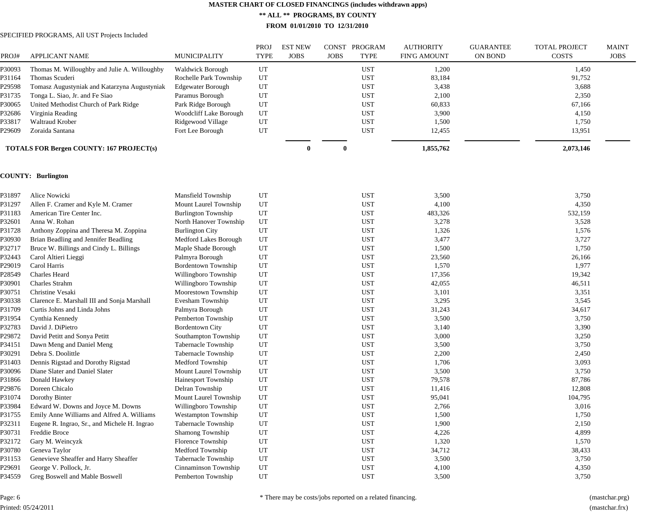**\*\* ALL \*\* PROGRAMS, BY COUNTY**

**FROM 01/01/2010 TO 12/31/2010**

#### SPECIFIED PROGRAMS, All UST Projects Included

|        |                                                 |                         | PROJ | <b>EST NEW</b> | <b>CONST</b> | PROGRAM    | <b>AUTHORITY</b>    | <b>GUARANTEE</b> | <b>TOTAL PROJECT</b> | <b>MAINT</b> |
|--------|-------------------------------------------------|-------------------------|------|----------------|--------------|------------|---------------------|------------------|----------------------|--------------|
| PROJ#  | <b>APPLICANT NAME</b>                           | <b>MUNICIPALITY</b>     | TYPE | <b>JOBS</b>    | <b>JOBS</b>  | TYPE       | <b>FIN'G AMOUNT</b> | ON BOND          | <b>COSTS</b>         | <b>JOBS</b>  |
| P30093 | Thomas M. Willoughby and Julie A. Willoughby    | <b>Waldwick Borough</b> | UT   |                |              | <b>UST</b> | 1,200               |                  | 1,450                |              |
| P31164 | Thomas Scuderi                                  | Rochelle Park Township  | UT   |                |              | <b>UST</b> | 83,184              |                  | 91,752               |              |
| P29598 | Tomasz Augustyniak and Katarzyna Augustyniak    | Edgewater Borough       | UT   |                |              | <b>UST</b> | 3,438               |                  | 3,688                |              |
| P31735 | Tonga L. Siao, Jr. and Fe Siao                  | Paramus Borough         | UT   |                |              | <b>UST</b> | 2,100               |                  | 2,350                |              |
| P30065 | United Methodist Church of Park Ridge           | Park Ridge Borough      | UT   |                |              | <b>UST</b> | 60,833              |                  | 67,166               |              |
| P32686 | Virginia Reading                                | Woodcliff Lake Borough  | UT   |                |              | <b>UST</b> | 3,900               |                  | 4,150                |              |
| P33817 | <b>Waltraud Krober</b>                          | Ridgewood Village       | UT   |                |              | <b>UST</b> | 1,500               |                  | 1,750                |              |
| P29609 | Zoraida Santana                                 | Fort Lee Borough        | UT   |                |              | <b>UST</b> | 12,455              |                  | 13,951               |              |
|        | <b>TOTALS FOR Bergen COUNTY: 167 PROJECT(s)</b> |                         |      | 0              | $\mathbf{0}$ |            | 1,855,762           |                  | 2,073,146            |              |
|        |                                                 |                         |      |                |              |            |                     |                  |                      |              |

#### **COUNTY: Burlington**

| P31897 | Alice Nowicki                                | Mansfield Township         | UT | <b>UST</b> | 3,500   | 3,750   |
|--------|----------------------------------------------|----------------------------|----|------------|---------|---------|
| P31297 | Allen F. Cramer and Kyle M. Cramer           | Mount Laurel Township      | UT | <b>UST</b> | 4,100   | 4,350   |
| P31183 | American Tire Center Inc.                    | <b>Burlington Township</b> | UT | <b>UST</b> | 483,326 | 532,159 |
| P32601 | Anna W. Rohan                                | North Hanover Township     | UT | <b>UST</b> | 3,278   | 3,528   |
| P31728 | Anthony Zoppina and Theresa M. Zoppina       | <b>Burlington City</b>     | UT | <b>UST</b> | 1,326   | 1,576   |
| P30930 | Brian Beadling and Jennifer Beadling         | Medford Lakes Borough      | UT | <b>UST</b> | 3,477   | 3,727   |
| P32717 | Bruce W. Billings and Cindy L. Billings      | Maple Shade Borough        | UT | <b>UST</b> | 1,500   | 1,750   |
| P32443 | Carol Altieri Lieggi                         | Palmyra Borough            | UT | <b>UST</b> | 23,560  | 26,166  |
| P29019 | Carol Harris                                 | <b>Bordentown Township</b> | UT | <b>UST</b> | 1,570   | 1,977   |
| P28549 | Charles Heard                                | Willingboro Township       | UT | <b>UST</b> | 17,356  | 19,342  |
| P30901 | Charles Strahm                               | Willingboro Township       | UT | <b>UST</b> | 42,055  | 46,511  |
| P30751 | Christine Vesaki                             | Moorestown Township        | UT | <b>UST</b> | 3,101   | 3,351   |
| P30338 | Clarence E. Marshall III and Sonja Marshall  | Evesham Township           | UT | <b>UST</b> | 3,295   | 3,545   |
| P31709 | Curtis Johns and Linda Johns                 | Palmyra Borough            | UT | <b>UST</b> | 31,243  | 34,617  |
| P31954 | Cynthia Kennedy                              | Pemberton Township         | UT | <b>UST</b> | 3,500   | 3,750   |
| P32783 | David J. DiPietro                            | <b>Bordentown City</b>     | UT | <b>UST</b> | 3,140   | 3,390   |
| P29872 | David Petitt and Sonya Petitt                | Southampton Township       | UT | <b>UST</b> | 3,000   | 3,250   |
| P34151 | Dawn Meng and Daniel Meng                    | Tabernacle Township        | UT | <b>UST</b> | 3,500   | 3,750   |
| P30291 | Debra S. Doolittle                           | Tabernacle Township        | UT | <b>UST</b> | 2,200   | 2,450   |
| P31403 | Dennis Rigstad and Dorothy Rigstad           | Medford Township           | UT | <b>UST</b> | 1,706   | 3,093   |
| P30096 | Diane Slater and Daniel Slater               | Mount Laurel Township      | UT | <b>UST</b> | 3,500   | 3,750   |
| P31866 | Donald Hawkey                                | Hainesport Township        | UT | <b>UST</b> | 79,578  | 87,786  |
| P29876 | Doreen Chicalo                               | Delran Township            | UT | <b>UST</b> | 11,416  | 12,808  |
| P31074 | Dorothy Binter                               | Mount Laurel Township      | UT | <b>UST</b> | 95,041  | 104,795 |
| P33984 | Edward W. Downs and Joyce M. Downs           | Willingboro Township       | UT | <b>UST</b> | 2,766   | 3,016   |
| P31755 | Emily Anne Williams and Alfred A. Williams   | <b>Westampton Township</b> | UT | <b>UST</b> | 1,500   | 1,750   |
| P32311 | Eugene R. Ingrao, Sr., and Michele H. Ingrao | Tabernacle Township        | UT | <b>UST</b> | 1,900   | 2,150   |
| P30731 | Freddie Broce                                | Shamong Township           | UT | <b>UST</b> | 4,226   | 4,899   |
| P32172 | Gary M. Weincyzk                             | Florence Township          | UT | <b>UST</b> | 1,320   | 1,570   |
| P30780 | Geneva Taylor                                | Medford Township           | UT | <b>UST</b> | 34,712  | 38,433  |
| P31153 | Genevieve Sheaffer and Harry Sheaffer        | Tabernacle Township        | UT | <b>UST</b> | 3,500   | 3,750   |
| P29691 | George V. Pollock, Jr.                       | Cinnaminson Township       | UT | <b>UST</b> | 4,100   | 4,350   |
| P34559 | Greg Boswell and Mable Boswell               | Pemberton Township         | UT | <b>UST</b> | 3,500   | 3,750   |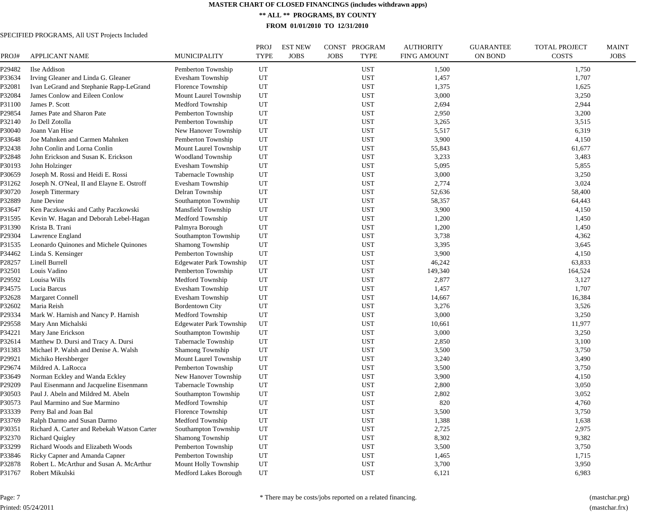**\*\* ALL \*\* PROGRAMS, BY COUNTY**

**FROM 01/01/2010 TO 12/31/2010**

#### SPECIFIED PROGRAMS, All UST Projects Included

| PROJ#  | <b>APPLICANT NAME</b>                       | <b>MUNICIPALITY</b>            | PROJ<br><b>TYPE</b> | <b>EST NEW</b><br><b>JOBS</b> | PROGRAM<br>CONST<br><b>JOBS</b><br><b>TYPE</b> | <b>AUTHORITY</b><br><b>FIN'G AMOUNT</b> | <b>GUARANTEE</b><br><b>ON BOND</b> | <b>TOTAL PROJECT</b><br><b>COSTS</b> | <b>MAINT</b><br><b>JOBS</b> |
|--------|---------------------------------------------|--------------------------------|---------------------|-------------------------------|------------------------------------------------|-----------------------------------------|------------------------------------|--------------------------------------|-----------------------------|
| P29482 | Ilse Addison                                | Pemberton Township             | UT                  |                               | <b>UST</b>                                     | 1,500                                   |                                    | 1,750                                |                             |
| P33634 | Irving Gleaner and Linda G. Gleaner         | Evesham Township               | UT                  |                               | <b>UST</b>                                     | 1,457                                   |                                    | 1,707                                |                             |
| P32081 | Ivan LeGrand and Stephanie Rapp-LeGrand     | Florence Township              | UT                  |                               | <b>UST</b>                                     | 1,375                                   |                                    | 1,625                                |                             |
| P32084 | James Conlow and Eileen Conlow              | Mount Laurel Township          | UT                  |                               | <b>UST</b>                                     | 3,000                                   |                                    | 3,250                                |                             |
| P31100 | James P. Scott                              | Medford Township               | UT                  |                               | <b>UST</b>                                     | 2,694                                   |                                    | 2,944                                |                             |
| P29854 | James Pate and Sharon Pate                  | Pemberton Township             | UT                  |                               | <b>UST</b>                                     | 2,950                                   |                                    | 3,200                                |                             |
| P32140 | Jo Dell Zotolla                             | Pemberton Township             | UT                  |                               | <b>UST</b>                                     | 3,265                                   |                                    | 3,515                                |                             |
| P30040 | Joann Van Hise                              | New Hanover Township           | UT                  |                               | <b>UST</b>                                     | 5,517                                   |                                    | 6,319                                |                             |
| P33648 | Joe Mahnken and Carmen Mahnken              | Pemberton Township             | UT                  |                               | <b>UST</b>                                     | 3,900                                   |                                    | 4,150                                |                             |
| P32438 | John Conlin and Lorna Conlin                | Mount Laurel Township          | UT                  |                               | <b>UST</b>                                     | 55,843                                  |                                    | 61,677                               |                             |
| P32848 | John Erickson and Susan K. Erickson         | <b>Woodland Township</b>       | UT                  |                               | <b>UST</b>                                     | 3,233                                   |                                    | 3,483                                |                             |
| P30193 | John Holzinger                              | Evesham Township               | UT                  |                               | <b>UST</b>                                     | 5,095                                   |                                    | 5,855                                |                             |
| P30659 | Joseph M. Rossi and Heidi E. Rossi          | Tabernacle Township            | UT                  |                               | <b>UST</b>                                     | 3,000                                   |                                    | 3,250                                |                             |
| P31262 | Joseph N. O'Neal, II and Elayne E. Ostroff  | Evesham Township               | UT                  |                               | <b>UST</b>                                     | 2,774                                   |                                    | 3,024                                |                             |
| P30720 | Joseph Tittermary                           | Delran Township                | UT                  |                               | <b>UST</b>                                     | 52,636                                  |                                    | 58,400                               |                             |
| P32889 | June Devine                                 | Southampton Township           | UT                  |                               | <b>UST</b>                                     | 58,357                                  |                                    | 64,443                               |                             |
| P33647 | Ken Paczkowski and Cathy Paczkowski         | Mansfield Township             | UT                  |                               | <b>UST</b>                                     | 3,900                                   |                                    | 4,150                                |                             |
| P31595 | Kevin W. Hagan and Deborah Lebel-Hagan      | Medford Township               | UT                  |                               | <b>UST</b>                                     | 1,200                                   |                                    | 1,450                                |                             |
| P31390 | Krista B. Trani                             | Palmyra Borough                | UT                  |                               | <b>UST</b>                                     | 1,200                                   |                                    | 1,450                                |                             |
| P29304 | Lawrence England                            | Southampton Township           | UT                  |                               | <b>UST</b>                                     | 3,738                                   |                                    | 4,362                                |                             |
| P31535 | Leonardo Quinones and Michele Quinones      | Shamong Township               | UT                  |                               | <b>UST</b>                                     | 3,395                                   |                                    | 3,645                                |                             |
| P34462 | Linda S. Kensinger                          | Pemberton Township             | UT                  |                               | <b>UST</b>                                     | 3,900                                   |                                    | 4,150                                |                             |
| P28257 | Linell Burrell                              | <b>Edgewater Park Township</b> | UT                  |                               | <b>UST</b>                                     | 46,242                                  |                                    | 63,833                               |                             |
| P32501 | Louis Vadino                                | Pemberton Township             | UT                  |                               | <b>UST</b>                                     | 149,340                                 |                                    | 164,524                              |                             |
| P29592 | Louisa Wills                                | Medford Township               | UT                  |                               | <b>UST</b>                                     | 2,877                                   |                                    | 3,127                                |                             |
| P34575 | Lucia Barcus                                | Evesham Township               | UT                  |                               | <b>UST</b>                                     | 1,457                                   |                                    | 1,707                                |                             |
| P32628 | <b>Margaret Connell</b>                     | Evesham Township               | UT                  |                               | <b>UST</b>                                     | 14,667                                  |                                    | 16,384                               |                             |
| P32602 | Maria Reish                                 | <b>Bordentown City</b>         | UT                  |                               | <b>UST</b>                                     | 3,276                                   |                                    | 3,526                                |                             |
| P29334 | Mark W. Harnish and Nancy P. Harnish        | Medford Township               | UT                  |                               | <b>UST</b>                                     | 3,000                                   |                                    | 3,250                                |                             |
| P29558 | Mary Ann Michalski                          | <b>Edgewater Park Township</b> | UT                  |                               | <b>UST</b>                                     | 10,661                                  |                                    | 11,977                               |                             |
| P34221 | Mary Jane Erickson                          | Southampton Township           | UT                  |                               | <b>UST</b>                                     | 3,000                                   |                                    | 3,250                                |                             |
| P32614 | Matthew D. Dursi and Tracy A. Dursi         | Tabernacle Township            | UT                  |                               | <b>UST</b>                                     | 2,850                                   |                                    | 3,100                                |                             |
| P31383 | Michael P. Walsh and Denise A. Walsh        | <b>Shamong Township</b>        | UT                  |                               | <b>UST</b>                                     | 3,500                                   |                                    | 3,750                                |                             |
| P29921 | Michiko Hershberger                         | Mount Laurel Township          | UT                  |                               | <b>UST</b>                                     | 3,240                                   |                                    | 3,490                                |                             |
| P29674 | Mildred A. LaRocca                          | Pemberton Township             | UT                  |                               | <b>UST</b>                                     | 3,500                                   |                                    | 3,750                                |                             |
| P33649 | Norman Eckley and Wanda Eckley              | New Hanover Township           | UT                  |                               | <b>UST</b>                                     | 3,900                                   |                                    | 4,150                                |                             |
| P29209 | Paul Eisenmann and Jacqueline Eisenmann     | Tabernacle Township            | UT                  |                               | <b>UST</b>                                     | 2,800                                   |                                    | 3,050                                |                             |
| P30503 | Paul J. Abeln and Mildred M. Abeln          | Southampton Township           | UT                  |                               | <b>UST</b>                                     | 2,802                                   |                                    | 3,052                                |                             |
| ?30573 | Paul Marmino and Sue Marmino                | Medford Township               | UT                  |                               | <b>UST</b>                                     | 820                                     |                                    | 4,760                                |                             |
| P33339 | Perry Bal and Joan Bal                      | Florence Township              | UT                  |                               | <b>UST</b>                                     | 3,500                                   |                                    | 3,750                                |                             |
| P33769 | Ralph Darmo and Susan Darmo                 | Medford Township               | UT                  |                               | <b>UST</b>                                     | 1,388                                   |                                    | 1,638                                |                             |
| P30351 | Richard A. Carter and Rebekah Watson Carter | Southampton Township           | UT                  |                               | <b>UST</b>                                     | 2,725                                   |                                    | 2,975                                |                             |
| P32370 | <b>Richard Quigley</b>                      | Shamong Township               | UT                  |                               | <b>UST</b>                                     | 8,302                                   |                                    | 9,382                                |                             |
| P33299 | Richard Woods and Elizabeth Woods           | Pemberton Township             | UT                  |                               | <b>UST</b>                                     | 3,500                                   |                                    | 3,750                                |                             |
| P33846 | Ricky Capner and Amanda Capner              | Pemberton Township             | UT                  |                               | <b>UST</b>                                     | 1,465                                   |                                    | 1,715                                |                             |
| P32878 | Robert L. McArthur and Susan A. McArthur    | Mount Holly Township           | UT                  |                               | <b>UST</b>                                     | 3,700                                   |                                    | 3,950                                |                             |
| P31767 | Robert Mikulski                             | Medford Lakes Borough          | UT                  |                               | <b>UST</b>                                     | 6,121                                   |                                    | 6,983                                |                             |

Page: 7 Printed: 05/24/2011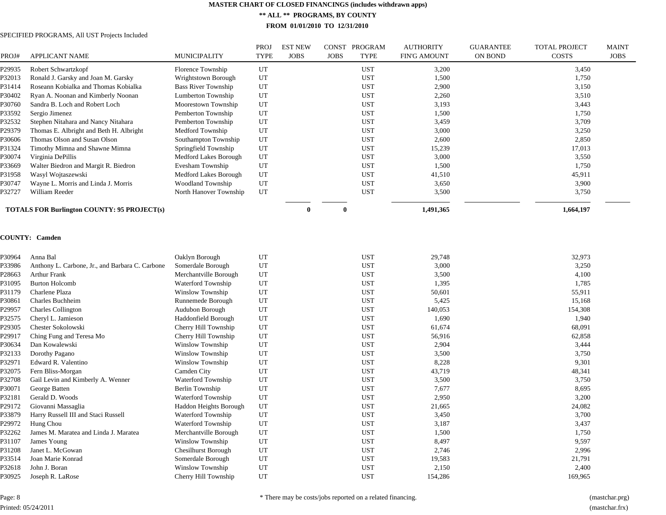**\*\* ALL \*\* PROGRAMS, BY COUNTY**

**FROM 01/01/2010 TO 12/31/2010**

#### SPECIFIED PROGRAMS, All UST Projects Included

| PROJ#  | <b>APPLICANT NAME</b>                              | <b>MUNICIPALITY</b>        | PROJ<br>TYPE | <b>EST NEW</b><br><b>JOBS</b> | <b>CONST</b><br><b>JOBS</b> | <b>PROGRAM</b><br>TYPE | <b>AUTHORITY</b><br><b>FIN'G AMOUNT</b> | <b>GUARANTEE</b><br><b>ON BOND</b> | <b>TOTAL PROJECT</b><br><b>COSTS</b> | MAINT<br><b>JOBS</b> |
|--------|----------------------------------------------------|----------------------------|--------------|-------------------------------|-----------------------------|------------------------|-----------------------------------------|------------------------------------|--------------------------------------|----------------------|
| P29935 | Robert Schwartzkopf                                | Florence Township          | UT           |                               |                             | <b>UST</b>             | 3,200                                   |                                    | 3,450                                |                      |
| P32013 | Ronald J. Garsky and Joan M. Garsky                | Wrightstown Borough        | UT           |                               |                             | <b>UST</b>             | 1,500                                   |                                    | 1,750                                |                      |
| P31414 | Roseann Kobialka and Thomas Kobialka               | <b>Bass River Township</b> | UT           |                               |                             | <b>UST</b>             | 2,900                                   |                                    | 3,150                                |                      |
| P30402 | Ryan A. Noonan and Kimberly Noonan                 | Lumberton Township         | UT           |                               |                             | <b>UST</b>             | 2,260                                   |                                    | 3,510                                |                      |
| P30760 | Sandra B. Loch and Robert Loch                     | Moorestown Township        | UT           |                               |                             | <b>UST</b>             | 3,193                                   |                                    | 3,443                                |                      |
| P33592 | Sergio Jimenez                                     | Pemberton Township         | UT           |                               |                             | <b>UST</b>             | 1,500                                   |                                    | 1,750                                |                      |
| P32532 | Stephen Nitahara and Nancy Nitahara                | Pemberton Township         | UT           |                               |                             | <b>UST</b>             | 3,459                                   |                                    | 3,709                                |                      |
| P29379 | Thomas E. Albright and Beth H. Albright            | Medford Township           | UT           |                               |                             | <b>UST</b>             | 3,000                                   |                                    | 3,250                                |                      |
| P30606 | Thomas Olson and Susan Olson                       | Southampton Township       | UT           |                               |                             | <b>UST</b>             | 2,600                                   |                                    | 2,850                                |                      |
| P31324 | Timothy Mimna and Shawne Mimna                     | Springfield Township       | UT           |                               |                             | <b>UST</b>             | 15,239                                  |                                    | 17,013                               |                      |
| P30074 | Virginia DePillis                                  | Medford Lakes Borough      | UT           |                               |                             | <b>UST</b>             | 3,000                                   |                                    | 3,550                                |                      |
| P33669 | Walter Biedron and Margit R. Biedron               | Evesham Township           | UT           |                               |                             | <b>UST</b>             | 1,500                                   |                                    | 1,750                                |                      |
| P31958 | Wasyl Wojtaszewski                                 | Medford Lakes Borough      | UT           |                               |                             | <b>UST</b>             | 41,510                                  |                                    | 45,911                               |                      |
| P30747 | Wayne L. Morris and Linda J. Morris                | Woodland Township          | UT           |                               |                             | <b>UST</b>             | 3,650                                   |                                    | 3,900                                |                      |
| P32727 | William Reeder                                     | North Hanover Township     | UT           |                               |                             | <b>UST</b>             | 3,500                                   |                                    | 3,750                                |                      |
|        | <b>TOTALS FOR Burlington COUNTY: 95 PROJECT(s)</b> |                            |              |                               | 0                           |                        | 1,491,365                               |                                    | 1,664,197                            |                      |

#### **COUNTY: Camden**

| P30964 | Anna Bal                                        | Oaklyn Borough             | UT | <b>UST</b> | 29,748  | 32,973  |
|--------|-------------------------------------------------|----------------------------|----|------------|---------|---------|
| P33986 | Anthony L. Carbone, Jr., and Barbara C. Carbone | Somerdale Borough          | UT | <b>UST</b> | 3,000   | 3,250   |
| P28663 | <b>Arthur Frank</b>                             | Merchantville Borough      | UT | <b>UST</b> | 3,500   | 4,100   |
| P31095 | <b>Burton Holcomb</b>                           | Waterford Township         | UT | <b>UST</b> | 1,395   | 1,785   |
| P31179 | Charlene Plaza                                  | Winslow Township           | UT | <b>UST</b> | 50,601  | 55,911  |
| P30861 | Charles Buchheim                                | Runnemede Borough          | UT | <b>UST</b> | 5,425   | 15,168  |
| P29957 | <b>Charles Collington</b>                       | Audubon Borough            | UT | <b>UST</b> | 140,053 | 154,308 |
| P32575 | Cheryl L. Jamieson                              | Haddonfield Borough        | UT | <b>UST</b> | 1,690   | 1,940   |
| P29305 | Chester Sokolowski                              | Cherry Hill Township       | UT | <b>UST</b> | 61,674  | 68,091  |
| P29917 | Ching Fung and Teresa Mo                        | Cherry Hill Township       | UT | <b>UST</b> | 56,916  | 62,858  |
| P30634 | Dan Kowalewski                                  | Winslow Township           | UT | <b>UST</b> | 2,904   | 3,444   |
| P32133 | Dorothy Pagano                                  | Winslow Township           | UT | <b>UST</b> | 3,500   | 3,750   |
| P32971 | Edward R. Valentino                             | Winslow Township           | UT | <b>UST</b> | 8,228   | 9,301   |
| P32075 | Fern Bliss-Morgan                               | Camden City                | UT | <b>UST</b> | 43,719  | 48,341  |
| P32708 | Gail Levin and Kimberly A. Wenner               | Waterford Township         | UT | <b>UST</b> | 3,500   | 3,750   |
| P30071 | George Batten                                   | Berlin Township            | UT | <b>UST</b> | 7,677   | 8,695   |
| P32181 | Gerald D. Woods                                 | Waterford Township         | UT | <b>UST</b> | 2,950   | 3,200   |
| P29172 | Giovanni Massaglia                              | Haddon Heights Borough     | UT | <b>UST</b> | 21,665  | 24,082  |
| P33879 | Harry Russell III and Staci Russell             | Waterford Township         | UT | <b>UST</b> | 3,450   | 3,700   |
| P29972 | Hung Chou                                       | Waterford Township         | UT | <b>UST</b> | 3,187   | 3,437   |
| P32262 | James M. Maratea and Linda J. Maratea           | Merchantville Borough      | UT | <b>UST</b> | 1,500   | 1,750   |
| P31107 | James Young                                     | Winslow Township           | UT | <b>UST</b> | 8,497   | 9,597   |
| P31208 | Janet L. McGowan                                | <b>Chesilhurst Borough</b> | UT | <b>UST</b> | 2,746   | 2,996   |
| P33514 | Joan Marie Konrad                               | Somerdale Borough          | UT | <b>UST</b> | 19,583  | 21,791  |
| P32618 | John J. Boran                                   | Winslow Township           | UT | <b>UST</b> | 2,150   | 2,400   |
| P30925 | Joseph R. LaRose                                | Cherry Hill Township       | UT | <b>UST</b> | 154,286 | 169,965 |
|        |                                                 |                            |    |            |         |         |

Page: 8 Printed: 05/24/2011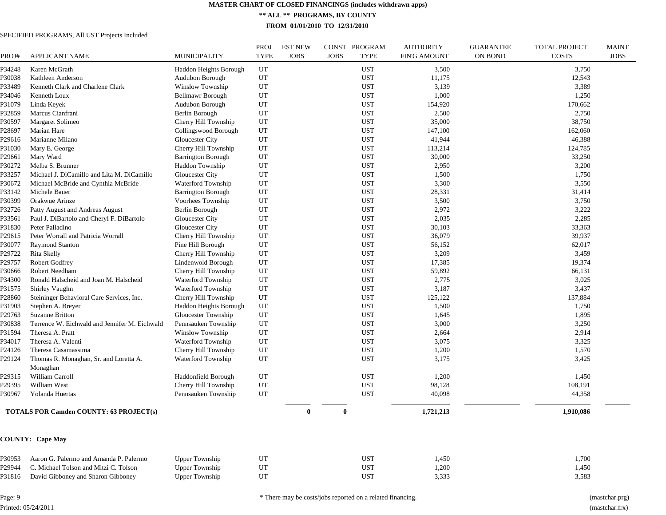**\*\* ALL \*\* PROGRAMS, BY COUNTY**

**FROM 01/01/2010 TO 12/31/2010**

#### SPECIFIED PROGRAMS, All UST Projects Included

| PROJ#  | <b>APPLICANT NAME</b>                              | <b>MUNICIPALITY</b>       | PROJ<br><b>TYPE</b> | <b>EST NEW</b><br><b>JOBS</b> | CONST PROGRAM<br><b>JOBS</b><br><b>TYPE</b> | <b>AUTHORITY</b><br><b>FIN'G AMOUNT</b> | <b>GUARANTEE</b><br><b>ON BOND</b> | <b>TOTAL PROJECT</b><br><b>COSTS</b> | <b>MAINT</b><br><b>JOBS</b> |
|--------|----------------------------------------------------|---------------------------|---------------------|-------------------------------|---------------------------------------------|-----------------------------------------|------------------------------------|--------------------------------------|-----------------------------|
| P34248 | Karen McGrath                                      | Haddon Heights Borough    | UT                  |                               | <b>UST</b>                                  | 3,500                                   |                                    | 3,750                                |                             |
| P30038 | Kathleen Anderson                                  | Audubon Borough           | UT                  |                               | <b>UST</b>                                  | 11,175                                  |                                    | 12,543                               |                             |
| P33489 | Kenneth Clark and Charlene Clark                   | Winslow Township          | UT                  |                               | <b>UST</b>                                  | 3,139                                   |                                    | 3,389                                |                             |
| P34046 | Kenneth Loux                                       | Bellmawr Borough          | UT                  |                               | <b>UST</b>                                  | 1,000                                   |                                    | 1,250                                |                             |
| P31079 | Linda Keyek                                        | Audubon Borough           | UT                  |                               | <b>UST</b>                                  | 154,920                                 |                                    | 170,662                              |                             |
| P32859 | Marcus Cianfrani                                   | Berlin Borough            | UT                  |                               | <b>UST</b>                                  | 2,500                                   |                                    | 2,750                                |                             |
| P30597 | Margaret Solimeo                                   | Cherry Hill Township      | UT                  |                               | <b>UST</b>                                  | 35,000                                  |                                    | 38,750                               |                             |
| P28697 | Marian Hare                                        | Collingswood Borough      | UT                  |                               | <b>UST</b>                                  | 147,100                                 |                                    | 162,060                              |                             |
| P29616 | Marianne Milano                                    | Gloucester City           | UT                  |                               | <b>UST</b>                                  | 41,944                                  |                                    | 46,388                               |                             |
| P31030 | Mary E. George                                     | Cherry Hill Township      | UT                  |                               | <b>UST</b>                                  | 113,214                                 |                                    | 124,785                              |                             |
| P29661 | Mary Ward                                          | <b>Barrington Borough</b> | UT                  |                               | <b>UST</b>                                  | 30,000                                  |                                    | 33,250                               |                             |
| P30272 | Melba S. Brunner                                   | Haddon Township           | UT                  |                               | <b>UST</b>                                  | 2,950                                   |                                    | 3,200                                |                             |
| P33257 | Michael J. DiCamillo and Lita M. DiCamillo         | Gloucester City           | UT                  |                               | <b>UST</b>                                  | 1,500                                   |                                    | 1,750                                |                             |
| P30672 | Michael McBride and Cynthia McBride                | Waterford Township        | UT                  |                               | <b>UST</b>                                  | 3,300                                   |                                    | 3,550                                |                             |
| P33142 | Michele Bauer                                      | <b>Barrington Borough</b> | UT                  |                               | <b>UST</b>                                  | 28,331                                  |                                    | 31,414                               |                             |
| P30399 | Orakwue Arinze                                     | Voorhees Township         | UT                  |                               | <b>UST</b>                                  | 3,500                                   |                                    | 3,750                                |                             |
| P32726 | Patty August and Andreas August                    | Berlin Borough            | UT                  |                               | <b>UST</b>                                  | 2,972                                   |                                    | 3,222                                |                             |
| P33561 | Paul J. DiBartolo and Cheryl F. DiBartolo          | Gloucester City           | UT                  |                               | <b>UST</b>                                  | 2,035                                   |                                    | 2,285                                |                             |
| P31830 | Peter Palladino                                    | Gloucester City           | UT                  |                               | <b>UST</b>                                  | 30,103                                  |                                    | 33,363                               |                             |
| P29615 | Peter Worrall and Patricia Worrall                 | Cherry Hill Township      | UT                  |                               | <b>UST</b>                                  | 36,079                                  |                                    | 39,937                               |                             |
| P30077 | <b>Raymond Stanton</b>                             | Pine Hill Borough         | UT                  |                               | <b>UST</b>                                  | 56,152                                  |                                    | 62,017                               |                             |
| P29722 | Rita Skelly                                        | Cherry Hill Township      | UT                  |                               | <b>UST</b>                                  | 3,209                                   |                                    | 3,459                                |                             |
| P29757 | Robert Godfrey                                     | Lindenwold Borough        | UT                  |                               | <b>UST</b>                                  | 17,385                                  |                                    | 19,374                               |                             |
| P30666 | Robert Needham                                     | Cherry Hill Township      | UT                  |                               | <b>UST</b>                                  | 59,892                                  |                                    | 66,131                               |                             |
| P34300 | Ronald Halscheid and Joan M. Halscheid             | Waterford Township        | UT                  |                               | <b>UST</b>                                  | 2,775                                   |                                    | 3,025                                |                             |
| P31575 | Shirley Vaughn                                     | Waterford Township        | UT                  |                               | <b>UST</b>                                  | 3,187                                   |                                    | 3,437                                |                             |
| P28860 | Steininger Behavioral Care Services, Inc.          | Cherry Hill Township      | UT                  |                               | <b>UST</b>                                  | 125,122                                 |                                    | 137,884                              |                             |
| P31903 | Stephen A. Breyer                                  | Haddon Heights Borough    | UT                  |                               | <b>UST</b>                                  | 1,500                                   |                                    | 1,750                                |                             |
| P29763 | Suzanne Britton                                    | Gloucester Township       | UT                  |                               | <b>UST</b>                                  | 1,645                                   |                                    | 1,895                                |                             |
| P30838 | Terrence W. Eichwald and Jennifer M. Eichwald      | Pennsauken Township       | UT                  |                               | <b>UST</b>                                  | 3,000                                   |                                    | 3,250                                |                             |
| P31594 | Theresa A. Pratt                                   | Winslow Township          | UT                  |                               | <b>UST</b>                                  | 2,664                                   |                                    | 2,914                                |                             |
| P34017 | Theresa A. Valenti                                 | Waterford Township        | UT                  |                               | <b>UST</b>                                  | 3,075                                   |                                    | 3,325                                |                             |
| P24126 | Theresa Casamassima                                | Cherry Hill Township      | UT                  |                               | <b>UST</b>                                  | 1,200                                   |                                    | 1,570                                |                             |
| P29124 | Thomas R. Monaghan, Sr. and Loretta A.<br>Monaghan | Waterford Township        | UT                  |                               | <b>UST</b>                                  | 3,175                                   |                                    | 3,425                                |                             |
| P29315 | William Carroll                                    | Haddonfield Borough       | UT                  |                               | <b>UST</b>                                  | 1,200                                   |                                    | 1,450                                |                             |
| P29395 | William West                                       | Cherry Hill Township      | UT                  |                               | <b>UST</b>                                  | 98,128                                  |                                    | 108,191                              |                             |
| P30967 | Yolanda Huertas                                    | Pennsauken Township       | UT                  |                               | <b>UST</b>                                  | 40,098                                  |                                    | 44,358                               |                             |
|        | <b>TOTALS FOR Camden COUNTY: 63 PROJECT(s)</b>     |                           |                     | $\mathbf{0}$                  | $\bf{0}$                                    | 1,721,213                               |                                    | 1,910,086                            |                             |
|        | <b>COUNTY: Cape May</b>                            |                           |                     |                               |                                             |                                         |                                    |                                      |                             |
| P30953 | Aaron G. Palermo and Amanda P. Palermo             | <b>Upper Township</b>     | UT                  |                               | <b>UST</b>                                  | 1,450                                   |                                    | 1,700                                |                             |
| P29944 | C. Michael Tolson and Mitzi C. Tolson              | <b>Upper Township</b>     | UT                  |                               | <b>UST</b>                                  | 1,200                                   |                                    | 1,450                                |                             |
| P31816 | David Gibboney and Sharon Gibboney                 | <b>Upper Township</b>     | UT                  |                               | <b>UST</b>                                  | 3,333                                   |                                    | 3,583                                |                             |
|        |                                                    |                           |                     |                               |                                             |                                         |                                    |                                      |                             |

Page: 9 Printed: 05/24/2011 \* There may be costs/jobs reported on a related financing. (mastchar.prg)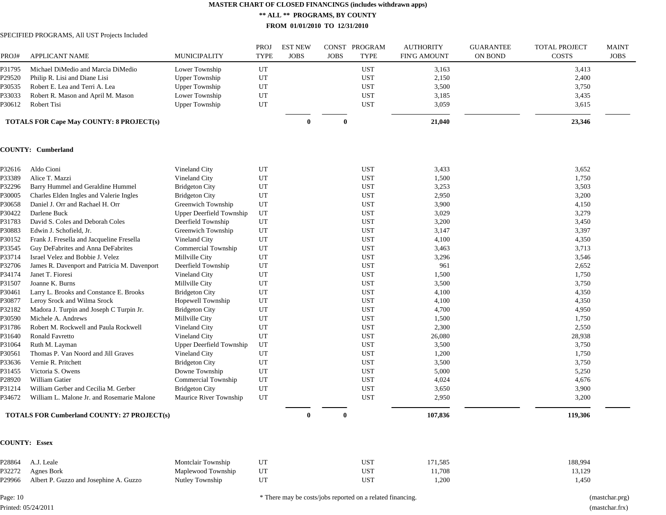**\*\* ALL \*\* PROGRAMS, BY COUNTY**

**FROM 01/01/2010 TO 12/31/2010**

SPECIFIED PROGRAMS, All UST Projects Included

| PROJ#  | <b>APPLICANT NAME</b>                           | <b>MUNICIPALITY</b>      | PROJ<br><b>TYPE</b> | <b>EST NEW</b><br><b>JOBS</b> | <b>JOBS</b>  | CONST PROGRAM<br><b>TYPE</b> | <b>AUTHORITY</b><br><b>FIN'G AMOUNT</b> | <b>GUARANTEE</b><br>ON BOND | <b>TOTAL PROJECT</b><br><b>COSTS</b> | <b>MAINT</b><br><b>JOBS</b> |
|--------|-------------------------------------------------|--------------------------|---------------------|-------------------------------|--------------|------------------------------|-----------------------------------------|-----------------------------|--------------------------------------|-----------------------------|
| P31795 | Michael DiMedio and Marcia DiMedio              | Lower Township           | UT                  |                               |              | <b>UST</b>                   | 3,163                                   |                             | 3,413                                |                             |
| P29520 | Philip R. Lisi and Diane Lisi                   | <b>Upper Township</b>    | UT                  |                               |              | <b>UST</b>                   | 2,150                                   |                             | 2,400                                |                             |
| P30535 | Robert E. Lea and Terri A. Lea                  | <b>Upper Township</b>    | UT                  |                               |              | <b>UST</b>                   | 3,500                                   |                             | 3,750                                |                             |
| P33033 | Robert R. Mason and April M. Mason              | Lower Township           | UT                  |                               |              | <b>UST</b>                   | 3,185                                   |                             | 3,435                                |                             |
| P30612 | Robert Tisi                                     | <b>Upper Township</b>    | UT                  |                               |              | <b>UST</b>                   | 3,059                                   |                             | 3,615                                |                             |
|        | <b>TOTALS FOR Cape May COUNTY: 8 PROJECT(s)</b> |                          |                     | $\mathbf{0}$                  | $\bf{0}$     |                              | 21,040                                  |                             | 23,346                               |                             |
|        | <b>COUNTY: Cumberland</b>                       |                          |                     |                               |              |                              |                                         |                             |                                      |                             |
| P32616 | Aldo Cioni                                      | Vineland City            | UT                  |                               |              | <b>UST</b>                   | 3,433                                   |                             | 3,652                                |                             |
| P33389 | Alice T. Mazzi                                  | Vineland City            | UT                  |                               |              | <b>UST</b>                   | 1,500                                   |                             | 1,750                                |                             |
| P32296 | Barry Hummel and Geraldine Hummel               | <b>Bridgeton City</b>    | UT                  |                               |              | <b>UST</b>                   | 3,253                                   |                             | 3,503                                |                             |
| P30005 | Charles Elden Ingles and Valerie Ingles         | <b>Bridgeton City</b>    | UT                  |                               |              | <b>UST</b>                   | 2,950                                   |                             | 3,200                                |                             |
| P30658 | Daniel J. Orr and Rachael H. Orr                | Greenwich Township       | UT                  |                               |              | <b>UST</b>                   | 3,900                                   |                             | 4,150                                |                             |
| P30422 | Darlene Buck                                    | Upper Deerfield Township | UT                  |                               |              | <b>UST</b>                   | 3,029                                   |                             | 3,279                                |                             |
| P31783 | David S. Coles and Deborah Coles                | Deerfield Township       | UT                  |                               |              | <b>UST</b>                   | 3,200                                   |                             | 3,450                                |                             |
| P30883 | Edwin J. Schofield, Jr.                         | Greenwich Township       | UT                  |                               |              | <b>UST</b>                   | 3,147                                   |                             | 3,397                                |                             |
| P30152 | Frank J. Fresella and Jacqueline Fresella       | Vineland City            | UT                  |                               |              | <b>UST</b>                   | 4,100                                   |                             | 4,350                                |                             |
| P33545 | Guy DeFabrites and Anna DeFabrites              | Commercial Township      | UT                  |                               |              | <b>UST</b>                   | 3,463                                   |                             | 3,713                                |                             |
| P33714 | Israel Velez and Bobbie J. Velez                | Millville City           | UT                  |                               |              | <b>UST</b>                   | 3,296                                   |                             | 3,546                                |                             |
| P32706 | James R. Davenport and Patricia M. Davenport    | Deerfield Township       | UT                  |                               |              | <b>UST</b>                   | 961                                     |                             | 2,652                                |                             |
| P34174 | Janet T. Fioresi                                | Vineland City            | UT                  |                               |              | <b>UST</b>                   | 1,500                                   |                             | 1,750                                |                             |
| P31507 | Joanne K. Burns                                 | Millville City           | UT                  |                               |              | <b>UST</b>                   | 3,500                                   |                             | 3,750                                |                             |
| P30461 | Larry L. Brooks and Constance E. Brooks         | <b>Bridgeton City</b>    | UT                  |                               |              | <b>UST</b>                   | 4,100                                   |                             | 4,350                                |                             |
| P30877 | Leroy Srock and Wilma Srock                     | Hopewell Township        | UT                  |                               |              | <b>UST</b>                   | 4,100                                   |                             | 4,350                                |                             |
| P32182 | Madora J. Turpin and Joseph C Turpin Jr.        | <b>Bridgeton City</b>    | UT                  |                               |              | <b>UST</b>                   | 4,700                                   |                             | 4,950                                |                             |
| P30590 | Michele A. Andrews                              | Millville City           | UT                  |                               |              | <b>UST</b>                   | 1,500                                   |                             | 1,750                                |                             |
| P31786 | Robert M. Rockwell and Paula Rockwell           | Vineland City            | UT                  |                               |              | <b>UST</b>                   | 2,300                                   |                             | 2,550                                |                             |
| P31640 | Ronald Favretto                                 | Vineland City            | UT                  |                               |              | <b>UST</b>                   | 26,080                                  |                             | 28,938                               |                             |
| P31064 | Ruth M. Layman                                  | Upper Deerfield Township | UT                  |                               |              | <b>UST</b>                   | 3,500                                   |                             | 3,750                                |                             |
| P30561 | Thomas P. Van Noord and Jill Graves             | Vineland City            | UT                  |                               |              | <b>UST</b>                   | 1,200                                   |                             | 1,750                                |                             |
| P33636 | Vernie R. Pritchett                             | <b>Bridgeton City</b>    | UT                  |                               |              | <b>UST</b>                   | 3,500                                   |                             | 3,750                                |                             |
| P31455 | Victoria S. Owens                               | Downe Township           | UT                  |                               |              | <b>UST</b>                   | 5,000                                   |                             | 5,250                                |                             |
| P28920 | William Gatier                                  | Commercial Township      | UT                  |                               |              | <b>UST</b>                   | 4,024                                   |                             | 4,676                                |                             |
| P31214 | William Gerber and Cecilia M. Gerber            | <b>Bridgeton City</b>    | UT                  |                               |              | <b>UST</b>                   | 3,650                                   |                             | 3,900                                |                             |
| P34672 | William L. Malone Jr. and Rosemarie Malone      | Maurice River Township   | UT                  |                               |              | <b>UST</b>                   | 2,950                                   |                             | 3,200                                |                             |
|        | TOTALS FOR Cumberland COUNTY: 27 PROJECT(s)     |                          |                     | $\mathbf{0}$                  | $\mathbf{0}$ |                              | 107,836                                 |                             | 119,306                              |                             |
|        | <b>COUNTY: Essex</b>                            |                          |                     |                               |              |                              |                                         |                             |                                      |                             |
| P28864 | A.J. Leale                                      | Montclair Township       | UT                  |                               |              | <b>UST</b>                   | 171,585                                 |                             | 188,994                              |                             |
| P32272 | Agnes Bork                                      | Maplewood Township       | UT                  |                               |              | <b>UST</b>                   | 11,708                                  |                             | 13,129                               |                             |
| P29966 | Albert P. Guzzo and Josephine A. Guzzo          | Nutley Township          | $_{\rm UT}$         |                               |              | <b>UST</b>                   | 1,200                                   |                             | 1,450                                |                             |

Page: 10 Printed: 05/24/2011 \* There may be costs/jobs reported on a related financing. (mastchar.prg)

(mastchar.frx)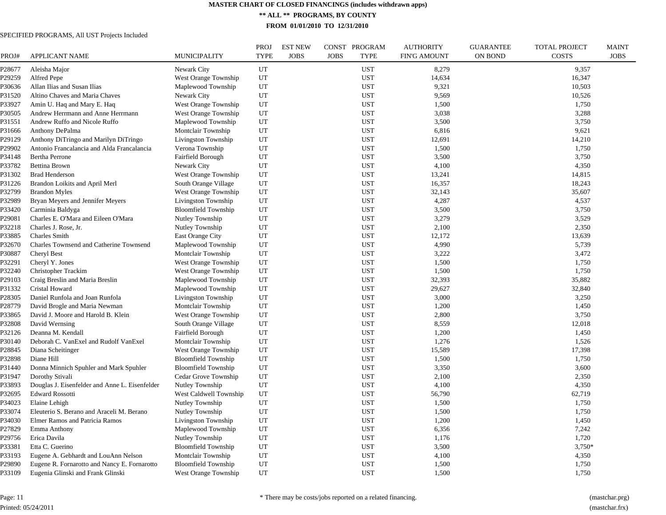**\*\* ALL \*\* PROGRAMS, BY COUNTY**

**FROM 01/01/2010 TO 12/31/2010**

#### SPECIFIED PROGRAMS, All UST Projects Included

| PROJ#  | APPLICANT NAME                                 | MUNICIPALITY                | PROJ<br><b>TYPE</b> | <b>EST NEW</b><br><b>JOBS</b> | CONST PROGRAM<br><b>JOBS</b><br><b>TYPE</b> | <b>AUTHORITY</b><br>FIN'G AMOUNT | <b>GUARANTEE</b><br><b>ON BOND</b> | <b>TOTAL PROJECT</b><br><b>COSTS</b> | <b>MAINT</b><br><b>JOBS</b> |
|--------|------------------------------------------------|-----------------------------|---------------------|-------------------------------|---------------------------------------------|----------------------------------|------------------------------------|--------------------------------------|-----------------------------|
| ?28677 | Aleisha Major                                  | Newark City                 | UT                  |                               | <b>UST</b>                                  | 8,279                            |                                    | 9,357                                |                             |
| 29259  | Alfred Pepe                                    | West Orange Township        | UT                  |                               | <b>UST</b>                                  | 14,634                           |                                    | 16,347                               |                             |
| ?30636 | Allan Ilias and Susan Ilias                    | Maplewood Township          | UT                  |                               | <b>UST</b>                                  | 9,321                            |                                    | 10,503                               |                             |
| ?31520 | Altino Chaves and Maria Chaves                 | Newark City                 | UT                  |                               | <b>UST</b>                                  | 9,569                            |                                    | 10,526                               |                             |
| 233927 | Amin U. Haq and Mary E. Haq                    | <b>West Orange Township</b> | UT                  |                               | <b>UST</b>                                  | 1,500                            |                                    | 1,750                                |                             |
| ?30505 | Andrew Herrmann and Anne Herrmann              | West Orange Township        | UT                  |                               | <b>UST</b>                                  | 3,038                            |                                    | 3,288                                |                             |
| ?31551 | Andrew Ruffo and Nicole Ruffo                  | Maplewood Township          | UT                  |                               | <b>UST</b>                                  | 3,500                            |                                    | 3,750                                |                             |
| 231666 | Anthony DePalma                                | Montclair Township          | UT                  |                               | <b>UST</b>                                  | 6,816                            |                                    | 9,621                                |                             |
| 29129  | Anthony DiTringo and Marilyn DiTringo          | Livingston Township         | UT                  |                               | <b>UST</b>                                  | 12,691                           |                                    | 14,210                               |                             |
| 29902  | Antonio Francalancia and Alda Francalancia     | Verona Township             | UT                  |                               | <b>UST</b>                                  | 1,500                            |                                    | 1,750                                |                             |
| 234148 | <b>Bertha Perrone</b>                          | Fairfield Borough           | UT                  |                               | <b>UST</b>                                  | 3,500                            |                                    | 3,750                                |                             |
| P33782 | <b>Bettina Brown</b>                           | Newark City                 | UT                  |                               | <b>UST</b>                                  | 4,100                            |                                    | 4,350                                |                             |
| 231302 | <b>Brad Henderson</b>                          | West Orange Township        | UT                  |                               | <b>UST</b>                                  | 13,241                           |                                    | 14,815                               |                             |
| P31226 | Brandon Loikits and April Merl                 | South Orange Village        | UT                  |                               | <b>UST</b>                                  | 16,357                           |                                    | 18,243                               |                             |
| ?32799 | <b>Brandon Myles</b>                           | West Orange Township        | UT                  |                               | <b>UST</b>                                  | 32,143                           |                                    | 35,607                               |                             |
| ?32989 | Bryan Meyers and Jennifer Meyers               | Livingston Township         | UT                  |                               | <b>UST</b>                                  | 4,287                            |                                    | 4,537                                |                             |
| P33420 | Carminia Baldyga                               | <b>Bloomfield Township</b>  | UT                  |                               | <b>UST</b>                                  | 3,500                            |                                    | 3,750                                |                             |
| ?29081 | Charles E. O'Mara and Eileen O'Mara            | Nutley Township             | UT                  |                               | <b>UST</b>                                  | 3,279                            |                                    | 3,529                                |                             |
| ?32218 | Charles J. Rose, Jr.                           | Nutley Township             | UT                  |                               | <b>UST</b>                                  | 2,100                            |                                    | 2,350                                |                             |
| P33885 | Charles Smith                                  | East Orange City            | UT                  |                               | <b>UST</b>                                  | 12,172                           |                                    | 13,639                               |                             |
| ?32670 | Charles Townsend and Catherine Townsend        | Maplewood Township          | UT                  |                               | <b>UST</b>                                  | 4,990                            |                                    | 5,739                                |                             |
| P30887 | Cheryl Best                                    | Montclair Township          | UT                  |                               | <b>UST</b>                                  | 3,222                            |                                    | 3,472                                |                             |
| ?32291 | Cheryl Y. Jones                                | West Orange Township        | UT                  |                               | <b>UST</b>                                  | 1,500                            |                                    | 1,750                                |                             |
| P32240 | Christopher Trackim                            | <b>West Orange Township</b> | UT                  |                               | <b>UST</b>                                  | 1,500                            |                                    | 1,750                                |                             |
| 29103  | Craig Breslin and Maria Breslin                | Maplewood Township          | UT                  |                               | <b>UST</b>                                  | 32,393                           |                                    | 35,882                               |                             |
| P31332 | Cristal Howard                                 | Maplewood Township          | UT                  |                               | <b>UST</b>                                  | 29,627                           |                                    | 32,840                               |                             |
| 228305 | Daniel Runfola and Joan Runfola                | Livingston Township         | UT                  |                               | <b>UST</b>                                  | 3,000                            |                                    | 3,250                                |                             |
| 28779  | David Brogle and Maria Newman                  | Montclair Township          | UT                  |                               | <b>UST</b>                                  | 1,200                            |                                    | 1,450                                |                             |
| ?33865 | David J. Moore and Harold B. Klein             | West Orange Township        | UT                  |                               | <b>UST</b>                                  | 2,800                            |                                    | 3,750                                |                             |
| P32808 | David Wernsing                                 | South Orange Village        | UT                  |                               | <b>UST</b>                                  | 8,559                            |                                    | 12,018                               |                             |
| ?32126 | Deanna M. Kendall                              | Fairfield Borough           | UT                  |                               | <b>UST</b>                                  | 1,200                            |                                    | 1,450                                |                             |
| P30140 | Deborah C. VanExel and Rudolf VanExel          | Montclair Township          | UT                  |                               | <b>UST</b>                                  | 1,276                            |                                    | 1,526                                |                             |
| 28845  | Diana Scheitinger                              | West Orange Township        | UT                  |                               | <b>UST</b>                                  | 15,589                           |                                    | 17,398                               |                             |
| P32898 | Diane Hill                                     | <b>Bloomfield Township</b>  | UT                  |                               | <b>UST</b>                                  | 1,500                            |                                    | 1,750                                |                             |
| P31440 | Donna Minnich Spuhler and Mark Spuhler         | <b>Bloomfield Township</b>  | UT                  |                               | <b>UST</b>                                  | 3,350                            |                                    | 3,600                                |                             |
| P31947 | Dorothy Stivali                                | Cedar Grove Township        | UT                  |                               | <b>UST</b>                                  | 2,100                            |                                    | 2,350                                |                             |
| P33893 | Douglas J. Eisenfelder and Anne L. Eisenfelder | Nutley Township             | UT                  |                               | <b>UST</b>                                  | 4,100                            |                                    | 4,350                                |                             |
| P32695 | <b>Edward Rossotti</b>                         | West Caldwell Township      | UT                  |                               | <b>UST</b>                                  | 56,790                           |                                    | 62,719                               |                             |
| P34023 | Elaine Lehigh                                  | Nutley Township             | UT                  |                               | <b>UST</b>                                  | 1,500                            |                                    | 1,750                                |                             |
| P33074 | Eleuterio S. Berano and Araceli M. Berano      | Nutley Township             | UT                  |                               | <b>UST</b>                                  | 1,500                            |                                    | 1,750                                |                             |
| P34030 | Elmer Ramos and Patricia Ramos                 | Livingston Township         | $_{\rm UT}$         |                               | <b>UST</b>                                  | 1,200                            |                                    | 1,450                                |                             |
| P27829 | Emma Anthony                                   | Maplewood Township          | UT                  |                               | <b>UST</b>                                  | 6,356                            |                                    | 7,242                                |                             |
| 29756  | Erica Davila                                   | Nutley Township             | UT                  |                               | <b>UST</b>                                  | 1,176                            |                                    | 1,720                                |                             |
| P33381 | Etta C. Guerino                                | <b>Bloomfield Township</b>  | UT                  |                               | <b>UST</b>                                  | 3,500                            |                                    | $3,750*$                             |                             |
| P33193 | Eugene A. Gebhardt and LouAnn Nelson           | Montclair Township          | UT                  |                               | <b>UST</b>                                  | 4,100                            |                                    | 4,350                                |                             |
| P29890 | Eugene R. Fornarotto and Nancy E. Fornarotto   | <b>Bloomfield Township</b>  | UT                  |                               | <b>UST</b>                                  | 1,500                            |                                    | 1,750                                |                             |
| P33109 | Eugenia Glinski and Frank Glinski              | West Orange Township        | UT                  |                               | <b>UST</b>                                  | 1,500                            |                                    | 1,750                                |                             |

Page: 11 Printed: 05/24/2011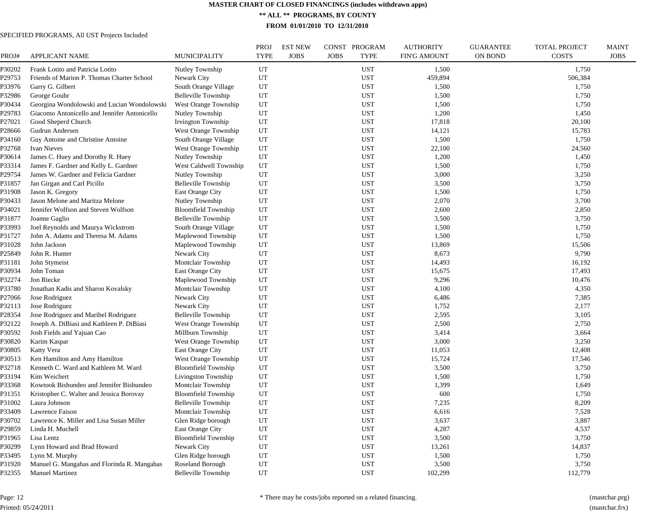**\*\* ALL \*\* PROGRAMS, BY COUNTY**

**FROM 01/01/2010 TO 12/31/2010**

| PROJ#  | APPLICANT NAME                               | <b>MUNICIPALITY</b>         | PROJ<br><b>TYPE</b> | <b>EST NEW</b><br><b>JOBS</b> | CONST PROGRAM<br><b>JOBS</b><br><b>TYPE</b> | <b>AUTHORITY</b><br>FIN'G AMOUNT | <b>GUARANTEE</b><br><b>ON BOND</b> | <b>TOTAL PROJECT</b><br><b>COSTS</b> | <b>MAINT</b><br><b>JOBS</b> |
|--------|----------------------------------------------|-----------------------------|---------------------|-------------------------------|---------------------------------------------|----------------------------------|------------------------------------|--------------------------------------|-----------------------------|
| ?30202 | Frank Lotito and Patricia Lotito             | Nutley Township             | UT                  |                               | <b>UST</b>                                  | 1,500                            |                                    | 1,750                                |                             |
| 29753  | Friends of Marion P. Thomas Charter School   | Newark City                 | UT                  |                               | <b>UST</b>                                  | 459,894                          |                                    | 506,384                              |                             |
| ?33976 | Garry G. Gilbert                             | South Orange Village        | UT                  |                               | <b>UST</b>                                  | 1,500                            |                                    | 1,750                                |                             |
| ?32986 | George Gouhr                                 | Belleville Township         | UT                  |                               | <b>UST</b>                                  | 1,500                            |                                    | 1,750                                |                             |
| 230434 | Georgina Wondolowski and Lucian Wondolowski  | West Orange Township        | UT                  |                               | <b>UST</b>                                  | 1,500                            |                                    | 1,750                                |                             |
| 229783 | Giacomo Antonicello and Jennifer Antonicello | Nutley Township             | UT                  |                               | <b>UST</b>                                  | 1,200                            |                                    | 1,450                                |                             |
| 227021 | Good Sheperd Church                          | Irvington Township          | UT                  |                               | <b>UST</b>                                  | 17,818                           |                                    | 20,100                               |                             |
| 228666 | Gudrun Andersen                              | <b>West Orange Township</b> | UT                  |                               | <b>UST</b>                                  | 14,121                           |                                    | 15,783                               |                             |
| ?34160 | Guy Antoine and Christine Antoine            | South Orange Village        | UT                  |                               | <b>UST</b>                                  | 1,500                            |                                    | 1,750                                |                             |
| ?32768 | Ivan Nieves                                  | West Orange Township        | UT                  |                               | <b>UST</b>                                  | 22,100                           |                                    | 24,560                               |                             |
| 30614  | James C. Huey and Dorothy R. Huey            | Nutley Township             | UT                  |                               | <b>UST</b>                                  | 1,200                            |                                    | 1,450                                |                             |
| ?33314 | James F. Gardner and Kelly L. Gardner        | West Caldwell Township      | UT                  |                               | <b>UST</b>                                  | 1,500                            |                                    | 1,750                                |                             |
| 29754  | James W. Gardner and Felicia Gardner         | Nutley Township             | UT                  |                               | <b>UST</b>                                  | 3,000                            |                                    | 3,250                                |                             |
| P31857 | Jan Girgan and Carl Picillo                  | Belleville Township         | UT                  |                               | <b>UST</b>                                  | 3,500                            |                                    | 3,750                                |                             |
| ?31908 | Jason K. Gregory                             | <b>East Orange City</b>     | UT                  |                               | <b>UST</b>                                  | 1,500                            |                                    | 1,750                                |                             |
| ?30433 | Jason Melone and Maritza Melone              | Nutley Township             | UT                  |                               | <b>UST</b>                                  | 2,070                            |                                    | 3,700                                |                             |
| 234021 | Jennifer Wolfson and Steven Wolfson          | <b>Bloomfield Township</b>  | UT                  |                               | <b>UST</b>                                  | 2,600                            |                                    | 2,850                                |                             |
| ?31877 | Joanne Gaglio                                | Belleville Township         | UT                  |                               | <b>UST</b>                                  | 3,500                            |                                    | 3,750                                |                             |
| ?33993 | Joel Reynolds and Maurya Wickstrom           | South Orange Village        | UT                  |                               | <b>UST</b>                                  | 1,500                            |                                    | 1,750                                |                             |
| P31727 | John A. Adams and Theresa M. Adams           | Maplewood Township          | UT                  |                               | <b>UST</b>                                  | 1,500                            |                                    | 1,750                                |                             |
| P31028 | John Jackson                                 | Maplewood Township          | UT                  |                               | <b>UST</b>                                  | 13,869                           |                                    | 15,506                               |                             |
| P25849 | John R. Hunter                               | Newark City                 | UT                  |                               | <b>UST</b>                                  | 8,673                            |                                    | 9,790                                |                             |
| P31181 | John Stymeist                                | Montclair Township          | UT                  |                               | <b>UST</b>                                  | 14,493                           |                                    | 16,192                               |                             |
| P30934 | John Toman                                   | <b>East Orange City</b>     | UT                  |                               | <b>UST</b>                                  | 15,675                           |                                    | 17,493                               |                             |
| P32274 | Jon Riecke                                   | Maplewood Township          | UT                  |                               | <b>UST</b>                                  | 9,296                            |                                    | 10,476                               |                             |
| P33780 | Jonathan Kadis and Sharon Kovalsky           | Montclair Township          | UT                  |                               | <b>UST</b>                                  | 4,100                            |                                    | 4,350                                |                             |
| 27066  | Jose Rodriguez                               | Newark City                 | UT                  |                               | <b>UST</b>                                  | 6,486                            |                                    | 7,385                                |                             |
| P32113 | Jose Rodriguez                               | Newark City                 | UT                  |                               | <b>UST</b>                                  | 1,752                            |                                    | 2,177                                |                             |
| 228354 | Jose Rodriguez and Maribel Rodriguez         | Belleville Township         | UT                  |                               | <b>UST</b>                                  | 2,595                            |                                    | 3,105                                |                             |
| P32122 | Joseph A. DiBiasi and Kathleen P. DiBiasi    | West Orange Township        | UT                  |                               | <b>UST</b>                                  | 2,500                            |                                    | 2,750                                |                             |
| ?30592 | Josh Fields and Yajuan Cao                   | Millburn Township           | UT                  |                               | <b>UST</b>                                  | 3,414                            |                                    | 3,664                                |                             |
| P30820 | Karim Kaspar                                 | West Orange Township        | UT                  |                               | <b>UST</b>                                  | 3,000                            |                                    | 3,250                                |                             |
| ?30805 | Katty Vera                                   | <b>East Orange City</b>     | UT                  |                               | <b>UST</b>                                  | 11,053                           |                                    | 12,408                               |                             |
| P30513 | Ken Hamilton and Amy Hamilton                | <b>West Orange Township</b> | UT                  |                               | <b>UST</b>                                  | 15,724                           |                                    | 17,546                               |                             |
| 232718 | Kenneth C. Ward and Kathleen M. Ward         | <b>Bloomfield Township</b>  | UT                  |                               | <b>UST</b>                                  | 3,500                            |                                    | 3,750                                |                             |
| P33194 | Kim Weichert                                 | Livingston Township         | UT                  |                               | <b>UST</b>                                  | 1,500                            |                                    | 1,750                                |                             |
| P33368 | Kowtook Bishundeo and Jennifer Bishundeo     | Montclair Township          | UT                  |                               | <b>UST</b>                                  | 1,399                            |                                    | 1,649                                |                             |
| P31351 | Kristopher C. Walter and Jessica Borovay     | <b>Bloomfield Township</b>  | UT                  |                               | <b>UST</b>                                  | 600                              |                                    | 1,750                                |                             |
| P31002 | Laura Johnson                                | <b>Belleville Township</b>  | UT                  |                               | <b>UST</b>                                  | 7,235                            |                                    | 8,209                                |                             |
| P33409 | Lawrence Faison                              | Montclair Township          | UT                  |                               | <b>UST</b>                                  | 6,616                            |                                    | 7,528                                |                             |
| ?30702 | Lawrence K. Miller and Lisa Susan Miller     | Glen Ridge borough          | UT                  |                               | <b>UST</b>                                  | 3,637                            |                                    | 3,887                                |                             |
| P29859 | Linda H. Muchell                             | East Orange City            | UT                  |                               | <b>UST</b>                                  | 4,287                            |                                    | 4,537                                |                             |
| ?31965 | Lisa Lentz                                   | <b>Bloomfield Township</b>  | UT                  |                               | <b>UST</b>                                  | 3,500                            |                                    | 3,750                                |                             |
| P30299 | Lynn Howard and Brad Howard                  | Newark City                 | UT                  |                               | <b>UST</b>                                  | 13,261                           |                                    | 14,837                               |                             |
| P33495 | Lynn M. Murphy                               | Glen Ridge borough          | UT                  |                               | <b>UST</b>                                  | 1,500                            |                                    | 1,750                                |                             |
| P31920 | Manuel G. Mangahas and Florinda R. Mangahas  | Roseland Borough            | UT                  |                               | <b>UST</b>                                  | 3,500                            |                                    | 3,750                                |                             |
| P32355 | <b>Manuel Martinez</b>                       | <b>Belleville Township</b>  | UT                  |                               | <b>UST</b>                                  | 102,299                          |                                    | 112,779                              |                             |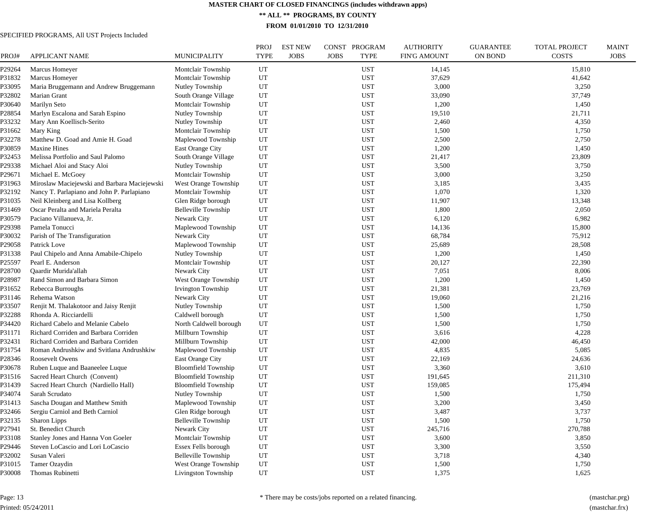**\*\* ALL \*\* PROGRAMS, BY COUNTY**

**FROM 01/01/2010 TO 12/31/2010**

#### SPECIFIED PROGRAMS, All UST Projects Included

| PROJ#  | <b>APPLICANT NAME</b>                        | <b>MUNICIPALITY</b>        | <b>PROJ</b><br><b>TYPE</b> | <b>EST NEW</b><br><b>JOBS</b> | CONST PROGRAM<br><b>JOBS</b><br><b>TYPE</b> | <b>AUTHORITY</b><br><b>FIN'G AMOUNT</b> | <b>GUARANTEE</b><br><b>ON BOND</b> | <b>TOTAL PROJECT</b><br><b>COSTS</b> | <b>MAINT</b><br><b>JOBS</b> |
|--------|----------------------------------------------|----------------------------|----------------------------|-------------------------------|---------------------------------------------|-----------------------------------------|------------------------------------|--------------------------------------|-----------------------------|
| P29264 | Marcus Homeyer                               | Montclair Township         | UT                         |                               | <b>UST</b>                                  | 14,145                                  |                                    | 15,810                               |                             |
| P31832 | Marcus Homeyer                               | Montclair Township         | UT                         |                               | <b>UST</b>                                  | 37,629                                  |                                    | 41,642                               |                             |
| P33095 | Maria Bruggemann and Andrew Bruggemann       | Nutley Township            | UT                         |                               | <b>UST</b>                                  | 3,000                                   |                                    | 3,250                                |                             |
| P32802 | Marian Grant                                 | South Orange Village       | UT                         |                               | <b>UST</b>                                  | 33,090                                  |                                    | 37,749                               |                             |
| P30640 | Marilyn Seto                                 | Montclair Township         | UT                         |                               | <b>UST</b>                                  | 1,200                                   |                                    | 1,450                                |                             |
| P28854 | Marlyn Escalona and Sarah Espino             | Nutley Township            | UT                         |                               | <b>UST</b>                                  | 19,510                                  |                                    | 21,711                               |                             |
| P33232 | Mary Ann Koellisch-Serito                    | Nutley Township            | UT                         |                               | <b>UST</b>                                  | 2,460                                   |                                    | 4,350                                |                             |
| P31662 | Mary King                                    | Montclair Township         | UT                         |                               | <b>UST</b>                                  | 1,500                                   |                                    | 1,750                                |                             |
| P32278 | Matthew D. Goad and Amie H. Goad             | Maplewood Township         | UT                         |                               | <b>UST</b>                                  | 2,500                                   |                                    | 2,750                                |                             |
| P30859 | <b>Maxine Hines</b>                          | East Orange City           | UT                         |                               | <b>UST</b>                                  | 1,200                                   |                                    | 1,450                                |                             |
| P32453 | Melissa Portfolio and Saul Palomo            | South Orange Village       | UT                         |                               | <b>UST</b>                                  | 21,417                                  |                                    | 23,809                               |                             |
| P29338 | Michael Aloi and Stacy Aloi                  | Nutley Township            | UT                         |                               | <b>UST</b>                                  | 3,500                                   |                                    | 3,750                                |                             |
| P29671 | Michael E. McGoey                            | Montclair Township         | UT                         |                               | <b>UST</b>                                  | 3,000                                   |                                    | 3,250                                |                             |
| P31963 | Miroslaw Maciejewski and Barbara Maciejewski | West Orange Township       | UT                         |                               | <b>UST</b>                                  | 3,185                                   |                                    | 3,435                                |                             |
| P32192 | Nancy T. Parlapiano and John P. Parlapiano   | Montclair Township         | UT                         |                               | <b>UST</b>                                  | 1,070                                   |                                    | 1,320                                |                             |
| P31035 | Neil Kleinberg and Lisa Kollberg             | Glen Ridge borough         | UT                         |                               | <b>UST</b>                                  | 11,907                                  |                                    | 13,348                               |                             |
| P31469 | Oscar Peralta and Mariela Peralta            | <b>Belleville Township</b> | UT                         |                               | <b>UST</b>                                  | 1,800                                   |                                    | 2,050                                |                             |
| P30579 | Paciano Villanueva, Jr.                      | Newark City                | UT                         |                               | <b>UST</b>                                  | 6,120                                   |                                    | 6,982                                |                             |
| P29398 | Pamela Tonucci                               | Maplewood Township         | UT                         |                               | <b>UST</b>                                  | 14,136                                  |                                    | 15,800                               |                             |
| P30032 | Parish of The Transfiguration                | Newark City                | UT                         |                               | <b>UST</b>                                  | 68,784                                  |                                    | 75,912                               |                             |
| P29058 | Patrick Love                                 | Maplewood Township         | UT                         |                               | <b>UST</b>                                  | 25,689                                  |                                    | 28,508                               |                             |
| P31338 | Paul Chipelo and Anna Amabile-Chipelo        | Nutley Township            | UT                         |                               | UST                                         | 1,200                                   |                                    | 1,450                                |                             |
| P25597 | Pearl E. Anderson                            | Montclair Township         | UT                         |                               | <b>UST</b>                                  | 20,127                                  |                                    | 22,390                               |                             |
| P28700 | Qaardir Murida'allah                         | Newark City                | UT                         |                               | UST                                         | 7,051                                   |                                    | 8,006                                |                             |
| P28987 | Rand Simon and Barbara Simon                 | West Orange Township       | UT                         |                               | <b>UST</b>                                  | 1,200                                   |                                    | 1,450                                |                             |
| P31652 | Rebecca Burroughs                            | Irvington Township         | UT                         |                               | <b>UST</b>                                  | 21,381                                  |                                    | 23,769                               |                             |
| P31146 | Rehema Watson                                | Newark City                | UT                         |                               | <b>UST</b>                                  | 19,060                                  |                                    | 21,216                               |                             |
| P33507 | Renjit M. Thalakotoor and Jaisy Renjit       | Nutley Township            | UT                         |                               | <b>UST</b>                                  | 1,500                                   |                                    | 1,750                                |                             |
| P32288 | Rhonda A. Ricciardelli                       | Caldwell borough           | UT                         |                               | <b>UST</b>                                  | 1,500                                   |                                    | 1,750                                |                             |
| P34420 | Richard Cabelo and Melanie Cabelo            | North Caldwell borough     | UT                         |                               | <b>UST</b>                                  | 1,500                                   |                                    | 1,750                                |                             |
| P31171 |                                              |                            | UT                         |                               | <b>UST</b>                                  | 3,616                                   |                                    | 4,228                                |                             |
| P32431 | Richard Corriden and Barbara Corriden        | Millburn Township          |                            |                               |                                             |                                         |                                    |                                      |                             |
|        | Richard Corriden and Barbara Corriden        | Millburn Township          | UT                         |                               | <b>UST</b>                                  | 42,000<br>4,835                         |                                    | 46,450                               |                             |
| P31754 | Roman Andrushkiw and Svitlana Andrushkiw     | Maplewood Township         | UT                         |                               | <b>UST</b>                                  |                                         |                                    | 5,085                                |                             |
| P28346 | Roosevelt Owens                              | <b>East Orange City</b>    | UT                         |                               | <b>UST</b>                                  | 22,169                                  |                                    | 24,636                               |                             |
| P30678 | Ruben Luque and Baaneelee Luque              | <b>Bloomfield Township</b> | UT                         |                               | UST                                         | 3,360                                   |                                    | 3,610                                |                             |
| P31516 | Sacred Heart Church (Convent)                | <b>Bloomfield Township</b> | UT                         |                               | <b>UST</b>                                  | 191,645                                 |                                    | 211,310                              |                             |
| P31439 | Sacred Heart Church (Nardiello Hall)         | <b>Bloomfield Township</b> | UT                         |                               | <b>UST</b>                                  | 159,085                                 |                                    | 175,494                              |                             |
| P34074 | Sarah Scrudato                               | Nutley Township            | UT                         |                               | <b>UST</b>                                  | 1,500                                   |                                    | 1,750                                |                             |
| P31413 | Sascha Dougan and Matthew Smith              | Maplewood Township         | UT                         |                               | <b>UST</b>                                  | 3,200                                   |                                    | 3,450                                |                             |
| P32466 | Sergiu Carniol and Beth Carniol              | Glen Ridge borough         | UT                         |                               | <b>UST</b>                                  | 3,487                                   |                                    | 3,737                                |                             |
| P32135 | Sharon Lipps                                 | Belleville Township        | UT                         |                               | <b>UST</b>                                  | 1,500                                   |                                    | 1,750                                |                             |
| P27941 | St. Benedict Church                          | Newark City                | UT                         |                               | <b>UST</b>                                  | 245,716                                 |                                    | 270,788                              |                             |
| P33108 | Stanley Jones and Hanna Von Goeler           | Montclair Township         | UT                         |                               | <b>UST</b>                                  | 3,600                                   |                                    | 3,850                                |                             |
| P29446 | Steven LoCascio and Lori LoCascio            | Essex Fells borough        | UT                         |                               | <b>UST</b>                                  | 3,300                                   |                                    | 3,550                                |                             |
| P32002 | Susan Valeri                                 | Belleville Township        | UT                         |                               | <b>UST</b>                                  | 3,718                                   |                                    | 4,340                                |                             |
| P31015 | Tamer Ozaydin                                | West Orange Township       | UT                         |                               | <b>UST</b>                                  | 1,500                                   |                                    | 1,750                                |                             |
| P30008 | Thomas Rubinetti                             | Livingston Township        | UT                         |                               | <b>UST</b>                                  | 1,375                                   |                                    | 1,625                                |                             |

Page: 13 Printed: 05/24/2011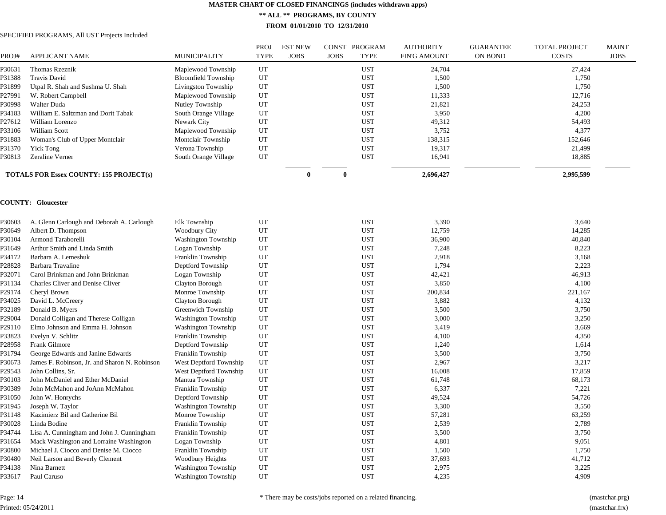**\*\* ALL \*\* PROGRAMS, BY COUNTY**

**FROM 01/01/2010 TO 12/31/2010**

#### SPECIFIED PROGRAMS, All UST Projects Included

| PROJ#  | <b>APPLICANT NAME</b>                          | <b>MUNICIPALITY</b>        | <b>PROJ</b><br><b>TYPE</b> | <b>EST NEW</b><br><b>JOBS</b> | <b>JOBS</b>  | CONST PROGRAM<br><b>TYPE</b> | <b>AUTHORITY</b><br><b>FIN'G AMOUNT</b> | <b>GUARANTEE</b><br>ON BOND | <b>TOTAL PROJECT</b><br><b>COSTS</b> | <b>MAINT</b><br><b>JOBS</b> |
|--------|------------------------------------------------|----------------------------|----------------------------|-------------------------------|--------------|------------------------------|-----------------------------------------|-----------------------------|--------------------------------------|-----------------------------|
| P30631 | Thomas Rzeznik                                 | Maplewood Township         | UT                         |                               |              | <b>UST</b>                   | 24,704                                  |                             | 27,424                               |                             |
| P31388 | <b>Travis David</b>                            | <b>Bloomfield Township</b> | UT                         |                               |              | <b>UST</b>                   | 1,500                                   |                             | 1,750                                |                             |
| P31899 | Utpal R. Shah and Sushma U. Shah               | Livingston Township        | UT                         |                               |              | <b>UST</b>                   | 1,500                                   |                             | 1,750                                |                             |
| P27991 | W. Robert Campbell                             | Maplewood Township         | UT                         |                               |              | <b>UST</b>                   | 11,333                                  |                             | 12,716                               |                             |
| P30998 | Walter Duda                                    | Nutley Township            | UT                         |                               |              | <b>UST</b>                   | 21,821                                  |                             | 24,253                               |                             |
| P34183 | William E. Saltzman and Dorit Tabak            | South Orange Village       | UT                         |                               |              | <b>UST</b>                   | 3,950                                   |                             | 4,200                                |                             |
| P27612 | William Lorenzo                                | Newark City                | UT                         |                               |              | <b>UST</b>                   | 49,312                                  |                             | 54,493                               |                             |
| P33106 | William Scott                                  | Maplewood Township         | UT                         |                               |              | <b>UST</b>                   | 3,752                                   |                             | 4,377                                |                             |
| P31883 | Woman's Club of Upper Montclair                | Montclair Township         | UT                         |                               |              | <b>UST</b>                   | 138,315                                 |                             | 152,646                              |                             |
| P31370 | <b>Yick Tong</b>                               | Verona Township            | UT                         |                               |              | <b>UST</b>                   | 19,317                                  |                             | 21,499                               |                             |
| P30813 | Zeraline Verner                                | South Orange Village       | UT                         |                               |              | <b>UST</b>                   | 16,941                                  |                             | 18,885                               |                             |
|        | <b>TOTALS FOR Essex COUNTY: 155 PROJECT(s)</b> |                            |                            | $\theta$                      | $\mathbf{0}$ |                              | 2,696,427                               |                             | 2,995,599                            |                             |
|        | <b>COUNTY: Gloucester</b>                      |                            |                            |                               |              |                              |                                         |                             |                                      |                             |
| P30603 | A. Glenn Carlough and Deborah A. Carlough      | Elk Township               | UT                         |                               |              | <b>UST</b>                   | 3,390                                   |                             | 3,640                                |                             |
| P30649 | Albert D. Thompson                             | <b>Woodbury City</b>       | UT                         |                               |              | <b>UST</b>                   | 12,759                                  |                             | 14,285                               |                             |
| P30104 | Armond Taraborelli                             | <b>Washington Township</b> | UT                         |                               |              | <b>UST</b>                   | 36,900                                  |                             | 40,840                               |                             |
| P31649 | Arthur Smith and Linda Smith                   | Logan Township             | UT                         |                               |              | <b>UST</b>                   | 7,248                                   |                             | 8,223                                |                             |
| P34172 | Barbara A. Lemeshuk                            | Franklin Township          | UT                         |                               |              | <b>UST</b>                   | 2,918                                   |                             | 3,168                                |                             |
| P28828 | Barbara Travaline                              | Deptford Township          | UT                         |                               |              | <b>UST</b>                   | 1,794                                   |                             | 2,223                                |                             |
| P32071 | Carol Brinkman and John Brinkman               | Logan Township             | UT                         |                               |              | <b>UST</b>                   | 42,421                                  |                             | 46,913                               |                             |
| P31134 | Charles Cliver and Denise Cliver               | Clayton Borough            | UT                         |                               |              | <b>UST</b>                   | 3,850                                   |                             | 4,100                                |                             |
| P29174 | Cheryl Brown                                   | Monroe Township            | UT                         |                               |              | <b>UST</b>                   | 200,834                                 |                             | 221,167                              |                             |
| P34025 | David L. McCreery                              | Clayton Borough            | UT                         |                               |              | <b>UST</b>                   | 3,882                                   |                             | 4,132                                |                             |
| P32189 | Donald B. Myers                                | Greenwich Township         | UT                         |                               |              | <b>UST</b>                   | 3,500                                   |                             | 3,750                                |                             |
| P29004 | Donald Colligan and Therese Colligan           | <b>Washington Township</b> | UT                         |                               |              | <b>UST</b>                   | 3,000                                   |                             | 3,250                                |                             |
| P29110 | Elmo Johnson and Emma H. Johnson               | <b>Washington Township</b> | UT                         |                               |              | <b>UST</b>                   | 3,419                                   |                             | 3,669                                |                             |
| P33823 | Evelyn V. Schlitz                              | Franklin Township          | UT                         |                               |              | <b>UST</b>                   | 4,100                                   |                             | 4,350                                |                             |
| P28958 | Frank Gilmore                                  | Deptford Township          | UT                         |                               |              | <b>UST</b>                   | 1,240                                   |                             | 1,614                                |                             |
| P31794 | George Edwards and Janine Edwards              | Franklin Township          | UT                         |                               |              | <b>UST</b>                   | 3,500                                   |                             | 3,750                                |                             |
| P30673 | James F. Robinson, Jr. and Sharon N. Robinson  | West Deptford Township     | UT                         |                               |              | <b>UST</b>                   | 2,967                                   |                             | 3,217                                |                             |
| P29543 | John Collins, Sr.                              | West Deptford Township     | UT                         |                               |              | <b>UST</b>                   | 16,008                                  |                             | 17,859                               |                             |
| P30103 | John McDaniel and Ether McDaniel               | Mantua Township            | UT                         |                               |              | <b>UST</b>                   | 61,748                                  |                             | 68,173                               |                             |
| P30389 | John McMahon and JoAnn McMahon                 | Franklin Township          | UT                         |                               |              | <b>UST</b>                   | 6,337                                   |                             | 7,221                                |                             |
| P31050 | John W. Honrychs                               | Deptford Township          | UT                         |                               |              | <b>UST</b>                   | 49,524                                  |                             | 54,726                               |                             |
| P31945 | Joseph W. Taylor                               | <b>Washington Township</b> | $_{\rm UT}$                |                               |              | <b>UST</b>                   | 3,300                                   |                             | 3,550                                |                             |
| P31148 | Kazimierz Bil and Catherine Bil                | Monroe Township            | UT                         |                               |              | <b>UST</b>                   | 57,281                                  |                             | 63,259                               |                             |
| P30028 | Linda Bodine                                   | Franklin Township          | UT                         |                               |              | <b>UST</b>                   | 2,539                                   |                             | 2,789                                |                             |
| P34744 | Lisa A. Cunningham and John J. Cunningham      | Franklin Township          | UT                         |                               |              | <b>UST</b>                   | 3,500                                   |                             | 3,750                                |                             |
| P31654 | Mack Washington and Lorraine Washington        | Logan Township             | UT                         |                               |              | <b>UST</b>                   | 4,801                                   |                             | 9,051                                |                             |
| P30800 | Michael J. Ciocco and Denise M. Ciocco         | Franklin Township          | UT                         |                               |              | <b>UST</b>                   | 1,500                                   |                             | 1,750                                |                             |
| P30480 | Neil Larson and Beverly Clement                | Woodbury Heights           | UT                         |                               |              | <b>UST</b>                   | 37,693                                  |                             | 41,712                               |                             |
| P34138 | Nina Barnett                                   | <b>Washington Township</b> | UT                         |                               |              | <b>UST</b>                   | 2,975                                   |                             | 3,225                                |                             |
| P33617 | Paul Caruso                                    | <b>Washington Township</b> | UT                         |                               |              | <b>UST</b>                   | 4,235                                   |                             | 4,909                                |                             |

Page: 14 Printed: 05/24/2011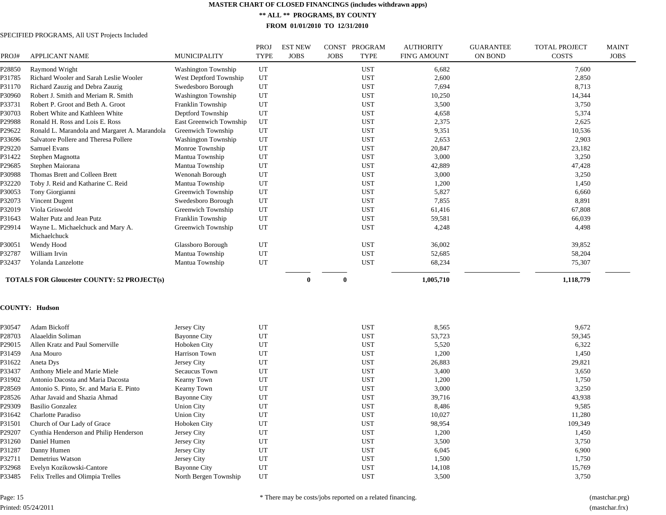**\*\* ALL \*\* PROGRAMS, BY COUNTY**

**FROM 01/01/2010 TO 12/31/2010**

#### SPECIFIED PROGRAMS, All UST Projects Included

| PROJ#  | <b>APPLICANT NAME</b>                                                         | <b>MUNICIPALITY</b>        | <b>PROJ</b><br><b>TYPE</b> | <b>EST NEW</b><br><b>JOBS</b> | <b>JOBS</b> | CONST PROGRAM<br><b>TYPE</b> | <b>AUTHORITY</b><br><b>FIN'G AMOUNT</b> | <b>GUARANTEE</b><br><b>ON BOND</b> | <b>TOTAL PROJECT</b><br><b>COSTS</b> | <b>MAINT</b><br><b>JOBS</b> |
|--------|-------------------------------------------------------------------------------|----------------------------|----------------------------|-------------------------------|-------------|------------------------------|-----------------------------------------|------------------------------------|--------------------------------------|-----------------------------|
| P28850 | Raymond Wright                                                                | Washington Township        | UT                         |                               |             | <b>UST</b>                   | 6,682                                   |                                    | 7,600                                |                             |
| P31785 | Richard Wooler and Sarah Leslie Wooler                                        | West Deptford Township     | UT                         |                               |             | <b>UST</b>                   | 2,600                                   |                                    | 2,850                                |                             |
| P31170 | Richard Zauzig and Debra Zauzig                                               | Swedesboro Borough         | UT                         |                               |             | <b>UST</b>                   | 7,694                                   |                                    | 8,713                                |                             |
| P30960 | Robert J. Smith and Meriam R. Smith                                           | <b>Washington Township</b> | UT                         |                               |             | <b>UST</b>                   | 10,250                                  |                                    | 14,344                               |                             |
| P33731 | Robert P. Groot and Beth A. Groot                                             | Franklin Township          | UT                         |                               |             | <b>UST</b>                   | 3,500                                   |                                    | 3,750                                |                             |
| P30703 | Robert White and Kathleen White                                               | Deptford Township          | UT                         |                               |             | <b>UST</b>                   | 4,658                                   |                                    | 5,374                                |                             |
| P29988 | Ronald H. Ross and Lois E. Ross                                               | East Greenwich Township    | UT                         |                               |             | <b>UST</b>                   | 2,375                                   |                                    | 2,625                                |                             |
| P29622 | Ronald L. Marandola and Margaret A. Marandola                                 | Greenwich Township         | UT                         |                               |             | <b>UST</b>                   | 9,351                                   |                                    | 10,536                               |                             |
| P33696 | Salvatore Pollere and Theresa Pollere                                         | <b>Washington Township</b> | UT                         |                               |             | <b>UST</b>                   | 2,653                                   |                                    | 2,903                                |                             |
| P29220 | Samuel Evans                                                                  | Monroe Township            | UT                         |                               |             | <b>UST</b>                   | 20,847                                  |                                    | 23,182                               |                             |
| P31422 | Stephen Magnotta                                                              | Mantua Township            | UT                         |                               |             | <b>UST</b>                   | 3,000                                   |                                    | 3,250                                |                             |
| P29685 | Stephen Maiorana                                                              | Mantua Township            | UT                         |                               |             | <b>UST</b>                   | 42,889                                  |                                    | 47,428                               |                             |
| P30988 | Thomas Brett and Colleen Brett                                                | Wenonah Borough            | UT                         |                               |             | <b>UST</b>                   | 3,000                                   |                                    | 3,250                                |                             |
| P32220 | Toby J. Reid and Katharine C. Reid                                            | Mantua Township            | UT                         |                               |             | <b>UST</b>                   | 1,200                                   |                                    | 1,450                                |                             |
| P30053 | Tony Giorgianni                                                               | Greenwich Township         | UT                         |                               |             | <b>UST</b>                   | 5,827                                   |                                    | 6,660                                |                             |
| P32073 | Vincent Dugent                                                                | Swedesboro Borough         | UT                         |                               |             | <b>UST</b>                   | 7,855                                   |                                    | 8,891                                |                             |
| P32019 | Viola Griswold                                                                | Greenwich Township         | UT                         |                               |             | <b>UST</b>                   | 61,416                                  |                                    | 67,808                               |                             |
| P31643 | Walter Putz and Jean Putz                                                     | Franklin Township          | UT                         |                               |             | <b>UST</b>                   | 59,581                                  |                                    | 66,039                               |                             |
| P29914 | Wayne L. Michaelchuck and Mary A.<br>Michaelchuck                             | Greenwich Township         | UT                         |                               |             | <b>UST</b>                   | 4,248                                   |                                    | 4,498                                |                             |
| P30051 | Wendy Hood                                                                    | Glassboro Borough          | UT                         |                               |             | <b>UST</b>                   | 36,002                                  |                                    | 39,852                               |                             |
| P32787 | William Irvin                                                                 | Mantua Township            | UT                         |                               |             | <b>UST</b>                   | 52,685                                  |                                    | 58,204                               |                             |
| P32437 | Yolanda Lanzelotte                                                            | Mantua Township            | UT                         |                               |             | <b>UST</b>                   | 68,234                                  |                                    | 75,307                               |                             |
|        | <b>TOTALS FOR Gloucester COUNTY: 52 PROJECT(s)</b>                            |                            |                            | $\theta$                      | $\bf{0}$    |                              | 1,005,710                               |                                    | 1,118,779                            |                             |
|        | <b>COUNTY: Hudson</b>                                                         |                            |                            |                               |             |                              |                                         |                                    |                                      |                             |
| P30547 | Adam Bickoff                                                                  | Jersey City                | UT                         |                               |             | <b>UST</b>                   | 8.565                                   |                                    | 9,672                                |                             |
| P28703 | Alaaeldin Soliman                                                             | <b>Bayonne City</b>        | UT                         |                               |             | <b>UST</b>                   | 53,723                                  |                                    | 59,345                               |                             |
| P29015 | Allen Kratz and Paul Somerville                                               | Hoboken City               | UT                         |                               |             | <b>UST</b>                   | 5,520                                   |                                    | 6,322                                |                             |
| P31459 | Ana Mouro                                                                     | Harrison Town              | UT                         |                               |             | <b>UST</b>                   | 1,200                                   |                                    | 1,450                                |                             |
| P31622 | Aneta Dys                                                                     | Jersey City                | UT                         |                               |             | <b>UST</b>                   | 26,883                                  |                                    | 29,821                               |                             |
| P33437 | Anthony Miele and Marie Miele                                                 | Secaucus Town              | UT                         |                               |             | <b>UST</b>                   | 3,400                                   |                                    | 3,650                                |                             |
|        |                                                                               |                            | UT                         |                               |             | <b>UST</b>                   | 1,200                                   |                                    |                                      |                             |
| P31902 | Antonio Dacosta and Maria Dacosta<br>Antonio S. Pinto, Sr. and Maria E. Pinto | Kearny Town                | UT                         |                               |             | <b>UST</b>                   |                                         |                                    | 1,750                                |                             |
| P28569 |                                                                               | Kearny Town                | UT                         |                               |             |                              | 3,000                                   |                                    | 3,250                                |                             |
| P28526 | Athar Javaid and Shazia Ahmad                                                 | <b>Bayonne City</b>        |                            |                               |             | <b>UST</b>                   | 39,716                                  |                                    | 43,938                               |                             |
| P29309 | <b>Basilio Gonzalez</b>                                                       | <b>Union City</b>          | UT                         |                               |             | <b>UST</b>                   | 8,486                                   |                                    | 9,585                                |                             |
| P31642 | Charlotte Paradiso                                                            | <b>Union City</b>          | UT                         |                               |             | <b>UST</b>                   | 10,027                                  |                                    | 11,280                               |                             |
| P31501 | Church of Our Lady of Grace                                                   | Hoboken City               | UT                         |                               |             | <b>UST</b>                   | 98,954                                  |                                    | 109,349                              |                             |
| P29207 | Cynthia Henderson and Philip Henderson                                        | Jersey City                | UT                         |                               |             | <b>UST</b>                   | 1,200                                   |                                    | 1,450                                |                             |
| P31260 | Daniel Humen                                                                  | Jersey City                | UT                         |                               |             | <b>UST</b>                   | 3,500                                   |                                    | 3,750                                |                             |
| P31287 | Danny Humen                                                                   | Jersey City                | UT                         |                               |             | <b>UST</b>                   | 6,045                                   |                                    | 6,900                                |                             |
| P32711 | Demetrius Watson                                                              | Jersey City                | UT                         |                               |             | <b>UST</b>                   | 1,500                                   |                                    | 1,750                                |                             |
| P32968 | Evelyn Kozikowski-Cantore                                                     | <b>Bayonne City</b>        | UT                         |                               |             | <b>UST</b>                   | 14,108                                  |                                    | 15,769                               |                             |
| P33485 | Felix Trelles and Olimpia Trelles                                             | North Bergen Township      | UT                         |                               |             | <b>UST</b>                   | 3,500                                   |                                    | 3,750                                |                             |

Page: 15 Printed: 05/24/2011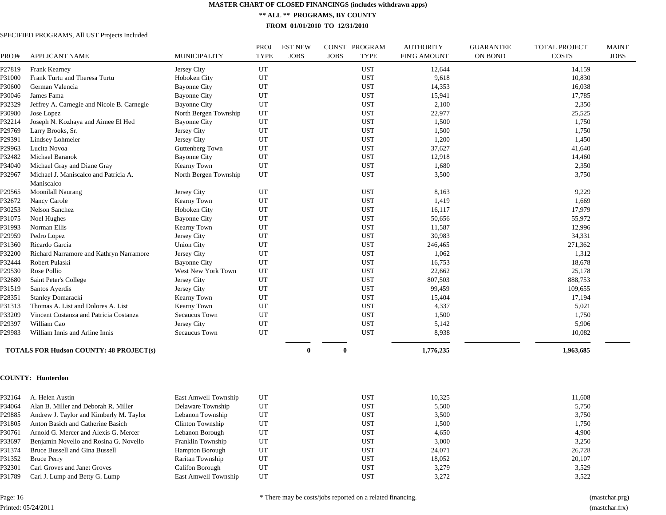**\*\* ALL \*\* PROGRAMS, BY COUNTY**

**FROM 01/01/2010 TO 12/31/2010**

#### SPECIFIED PROGRAMS, All UST Projects Included

| PROJ#  | <b>APPLICANT NAME</b>                               | <b>MUNICIPALITY</b>   | PROJ<br><b>TYPE</b> | <b>EST NEW</b><br><b>JOBS</b> | <b>JOBS</b> | CONST PROGRAM<br><b>TYPE</b> | <b>AUTHORITY</b><br><b>FIN'G AMOUNT</b> | <b>GUARANTEE</b><br>ON BOND | <b>TOTAL PROJECT</b><br><b>COSTS</b> | <b>MAINT</b><br><b>JOBS</b> |
|--------|-----------------------------------------------------|-----------------------|---------------------|-------------------------------|-------------|------------------------------|-----------------------------------------|-----------------------------|--------------------------------------|-----------------------------|
| P27819 | <b>Frank Kearney</b>                                | Jersey City           | UT                  |                               |             | <b>UST</b>                   | 12,644                                  |                             | 14,159                               |                             |
| P31000 | Frank Turtu and Theresa Turtu                       | Hoboken City          | UT                  |                               |             | <b>UST</b>                   | 9,618                                   |                             | 10,830                               |                             |
| P30600 | German Valencia                                     | <b>Bayonne City</b>   | UT                  |                               |             | <b>UST</b>                   | 14,353                                  |                             | 16,038                               |                             |
| P30046 | James Fama                                          | <b>Bayonne City</b>   | UT                  |                               |             | <b>UST</b>                   | 15,941                                  |                             | 17,785                               |                             |
| P32329 | Jeffrey A. Carnegie and Nicole B. Carnegie          | <b>Bayonne City</b>   | UT                  |                               |             | <b>UST</b>                   | 2,100                                   |                             | 2,350                                |                             |
| P30980 | Jose Lopez                                          | North Bergen Township | UT                  |                               |             | <b>UST</b>                   | 22,977                                  |                             | 25,525                               |                             |
| P32214 | Joseph N. Kozhaya and Aimee El Hed                  | <b>Bayonne City</b>   | UT                  |                               |             | <b>UST</b>                   | 1,500                                   |                             | 1,750                                |                             |
| P29769 | Larry Brooks, Sr.                                   | Jersey City           | UT                  |                               |             | <b>UST</b>                   | 1,500                                   |                             | 1,750                                |                             |
| P29391 | Lindsey Lohmeier                                    | Jersey City           | UT                  |                               |             | <b>UST</b>                   | 1,200                                   |                             | 1,450                                |                             |
| P29963 | Lucita Novoa                                        | Guttenberg Town       | UT                  |                               |             | <b>UST</b>                   | 37,627                                  |                             | 41,640                               |                             |
| P32482 | Michael Baranok                                     | <b>Bayonne City</b>   | UT                  |                               |             | <b>UST</b>                   | 12,918                                  |                             | 14,460                               |                             |
| P34040 | Michael Gray and Diane Gray                         | Kearny Town           | UT                  |                               |             | <b>UST</b>                   | 1,680                                   |                             | 2,350                                |                             |
| P32967 | Michael J. Maniscalco and Patricia A.<br>Maniscalco | North Bergen Township | UT                  |                               |             | <b>UST</b>                   | 3,500                                   |                             | 3,750                                |                             |
| P29565 | Moonilall Naurang                                   | Jersey City           | UT                  |                               |             | <b>UST</b>                   | 8,163                                   |                             | 9,229                                |                             |
| P32672 | Nancy Carole                                        | Kearny Town           | UT                  |                               |             | <b>UST</b>                   | 1,419                                   |                             | 1,669                                |                             |
| P30253 | Nelson Sanchez                                      | Hoboken City          | UT                  |                               |             | <b>UST</b>                   | 16,117                                  |                             | 17,979                               |                             |
| P31075 | Noel Hughes                                         | <b>Bayonne City</b>   | UT                  |                               |             | <b>UST</b>                   | 50,656                                  |                             | 55,972                               |                             |
| P31993 | Norman Ellis                                        | Kearny Town           | UT                  |                               |             | <b>UST</b>                   | 11,587                                  |                             | 12,996                               |                             |
| P29959 | Pedro Lopez                                         | Jersey City           | UT                  |                               |             | <b>UST</b>                   | 30,983                                  |                             | 34,331                               |                             |
| P31360 | Ricardo Garcia                                      | <b>Union City</b>     | UT                  |                               |             | <b>UST</b>                   | 246,465                                 |                             | 271,362                              |                             |
| P32200 | Richard Narramore and Kathryn Narramore             | Jersey City           | UT                  |                               |             | <b>UST</b>                   | 1,062                                   |                             | 1,312                                |                             |
| P32444 | Robert Pulaski                                      | <b>Bayonne City</b>   | UT                  |                               |             | <b>UST</b>                   | 16,753                                  |                             | 18,678                               |                             |
| P29530 | Rose Pollio                                         | West New York Town    | UT                  |                               |             | <b>UST</b>                   | 22,662                                  |                             | 25,178                               |                             |
| P32680 | Saint Peter's College                               | Jersey City           | UT                  |                               |             | <b>UST</b>                   | 807,503                                 |                             | 888,753                              |                             |
| P31519 | Santos Ayerdis                                      | Jersey City           | UT                  |                               |             | <b>UST</b>                   | 99,459                                  |                             | 109,655                              |                             |
| P28351 | Stanley Domaracki                                   | Kearny Town           | UT                  |                               |             | <b>UST</b>                   | 15,404                                  |                             | 17,194                               |                             |
| P31313 | Thomas A. List and Dolores A. List                  | Kearny Town           | UT                  |                               |             | <b>UST</b>                   | 4,337                                   |                             | 5,021                                |                             |
| P33209 | Vincent Costanza and Patricia Costanza              | Secaucus Town         | UT                  |                               |             | <b>UST</b>                   | 1,500                                   |                             | 1,750                                |                             |
| P29397 | William Cao                                         | Jersey City           | UT                  |                               |             | <b>UST</b>                   | 5,142                                   |                             | 5,906                                |                             |
| P29983 | William Innis and Arline Innis                      | Secaucus Town         | UT                  |                               |             | <b>UST</b>                   | 8,938                                   |                             | 10,082                               |                             |
|        | <b>TOTALS FOR Hudson COUNTY: 48 PROJECT(s)</b>      |                       |                     | $\bf{0}$                      | $\bf{0}$    |                              | 1,776,235                               |                             | 1,963,685                            |                             |
|        | <b>COUNTY: Hunterdon</b>                            |                       |                     |                               |             |                              |                                         |                             |                                      |                             |
| P32164 | A. Helen Austin                                     | East Amwell Township  | UT                  |                               |             | <b>UST</b>                   | 10,325                                  |                             | 11,608                               |                             |
| P34064 | Alan B. Miller and Deborah R. Miller                | Delaware Township     | UT                  |                               |             | <b>UST</b>                   | 5,500                                   |                             | 5,750                                |                             |
| P29885 | Andrew J. Taylor and Kimberly M. Taylor             | Lebanon Township      | UT                  |                               |             | <b>UST</b>                   | 3,500                                   |                             | 3,750                                |                             |
| P31805 | Anton Basich and Catherine Basich                   | Clinton Township      | UT                  |                               |             | <b>UST</b>                   | 1,500                                   |                             | 1,750                                |                             |
| P30761 | Arnold G. Mercer and Alexis G. Mercer               | Lebanon Borough       | UT                  |                               |             | <b>UST</b>                   | 4,650                                   |                             | 4,900                                |                             |
| P33697 | Benjamin Novello and Rosina G. Novello              | Franklin Township     | $_{\rm UT}$         |                               |             | <b>UST</b>                   | 3,000                                   |                             | 3,250                                |                             |
| P31374 | Bruce Bussell and Gina Bussell                      | Hampton Borough       | UT                  |                               |             | <b>UST</b>                   | 24,071                                  |                             | 26,728                               |                             |
| P31352 | <b>Bruce Perry</b>                                  | Raritan Township      | UT                  |                               |             | <b>UST</b>                   | 18,052                                  |                             | 20,107                               |                             |
| P32301 | Carl Groves and Janet Groves                        | Califon Borough       | UT                  |                               |             | <b>UST</b>                   | 3,279                                   |                             | 3,529                                |                             |
| P31789 | Carl J. Lump and Betty G. Lump                      | East Amwell Township  | UT                  |                               |             | <b>UST</b>                   | 3,272                                   |                             | 3,522                                |                             |

Page: 16 Printed: 05/24/2011 \* There may be costs/jobs reported on a related financing. (mastchar.prg)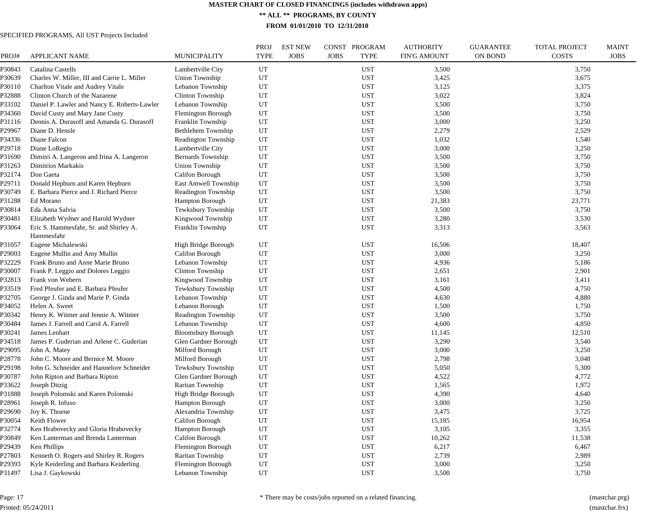**\*\* ALL \*\* PROGRAMS, BY COUNTY**

**FROM 01/01/2010 TO 12/31/2010**

#### SPECIFIED PROGRAMS, All UST Projects Included

| PROJ#  | <b>APPLICANT NAME</b>                        | <b>MUNICIPALITY</b>       | PROJ<br><b>TYPE</b> | <b>EST NEW</b><br><b>JOBS</b> | CONST PROGRAM<br><b>JOBS</b><br><b>TYPE</b> | <b>AUTHORITY</b><br><b>FIN'G AMOUNT</b> | <b>GUARANTEE</b><br><b>ON BOND</b> | <b>TOTAL PROJECT</b><br><b>COSTS</b> | <b>MAINT</b><br><b>JOBS</b> |
|--------|----------------------------------------------|---------------------------|---------------------|-------------------------------|---------------------------------------------|-----------------------------------------|------------------------------------|--------------------------------------|-----------------------------|
| ?30843 | Catalina Castells                            | Lambertville City         | UT                  |                               | <b>UST</b>                                  | 3,500                                   |                                    | 3,750                                |                             |
| ?30639 | Charles W. Miller, III and Carrie L. Miller  | Union Township            | UT                  |                               | <b>UST</b>                                  | 3,425                                   |                                    | 3,675                                |                             |
| ?30110 | Charlton Vitale and Audrey Vitale            | Lebanon Township          | UT                  |                               | <b>UST</b>                                  | 3,125                                   |                                    | 3,375                                |                             |
| ?32888 | Clinton Church of the Nazarene               | Clinton Township          | UT                  |                               | <b>UST</b>                                  | 3,022                                   |                                    | 3,824                                |                             |
| ?33102 | Daniel P. Lawler and Nancy E. Roberts-Lawler | Lebanon Township          | $_{\rm UT}$         |                               | <b>UST</b>                                  | 3,500                                   |                                    | 3,750                                |                             |
| ?34360 | David Custy and Mary Jane Custy              | <b>Flemington Borough</b> | UT                  |                               | <b>UST</b>                                  | 3,500                                   |                                    | 3,750                                |                             |
| 231116 | Dennis A. Durasoff and Amanda G. Durasoff    | Franklin Township         | UT                  |                               | <b>UST</b>                                  | 3,000                                   |                                    | 3,250                                |                             |
| 29967  | Diane D. Hensle                              | Bethlehem Township        | UT                  |                               | <b>UST</b>                                  | 2,279                                   |                                    | 2,529                                |                             |
| P34336 | Diane Falcon                                 | Readington Township       | UT                  |                               | <b>UST</b>                                  | 1,032                                   |                                    | 1,540                                |                             |
| 229718 | Diane LoRegio                                | Lambertville City         | UT                  |                               | <b>UST</b>                                  | 3,000                                   |                                    | 3,250                                |                             |
| 231690 | Dimitri A. Langeron and Irina A. Langeron    | Bernards Township         | UT                  |                               | <b>UST</b>                                  | 3,500                                   |                                    | 3,750                                |                             |
| ?31263 | Dimitrios Markakis                           | Union Township            | UT                  |                               | <b>UST</b>                                  | 3,500                                   |                                    | 3,750                                |                             |
| P32174 | Don Gaeta                                    | Califon Borough           | UT                  |                               | <b>UST</b>                                  | 3,500                                   |                                    | 3,750                                |                             |
| P29711 | Donald Hepburn and Karen Hepburn             | East Amwell Township      | $_{\rm UT}$         |                               | <b>UST</b>                                  | 3,500                                   |                                    | 3,750                                |                             |
| 230749 | E. Barbara Pierce and J. Richard Pierce      | Readington Township       | UT                  |                               | <b>UST</b>                                  | 3,500                                   |                                    | 3,750                                |                             |
| 231288 | Ed Morano                                    | <b>Hampton Borough</b>    | UT                  |                               | <b>UST</b>                                  | 21,383                                  |                                    | 23,771                               |                             |
| 30814  | Eda Anna Salvia                              | Tewksbury Township        | UT                  |                               | <b>UST</b>                                  | 3,500                                   |                                    | 3,750                                |                             |
| ?30481 | Elizabeth Wydner and Harold Wydner           | Kingwood Township         | UT                  |                               | <b>UST</b>                                  | 3,280                                   |                                    | 3,530                                |                             |
| ?33064 | Eric S. Hammesfahr, Sr. and Shirley A.       | Franklin Township         | UT                  |                               | <b>UST</b>                                  | 3,313                                   |                                    | 3,563                                |                             |
|        | Hammesfahr                                   |                           |                     |                               |                                             |                                         |                                    |                                      |                             |
| ?31057 | Eugene Michalewski                           | High Bridge Borough       | UT                  |                               | <b>UST</b>                                  | 16,506                                  |                                    | 18,407                               |                             |
| 229003 | Eugene Mullin and Amy Mullin                 | Califon Borough           | UT                  |                               | <b>UST</b>                                  | 3,000                                   |                                    | 3,250                                |                             |
| ?32229 | Frank Bruno and Anne Marie Bruno             | Lebanon Township          | UT                  |                               | <b>UST</b>                                  | 4,936                                   |                                    | 5,186                                |                             |
| ?30007 | Frank P. Leggio and Dolores Leggio           | Clinton Township          | UT                  |                               | <b>UST</b>                                  | 2,651                                   |                                    | 2,901                                |                             |
| ?32813 | Frank von Webern                             | Kingwood Township         | UT                  |                               | <b>UST</b>                                  | 3,161                                   |                                    | 3,411                                |                             |
| ?33519 | Fred Pfeufer and E. Barbara Pfeufer          | Tewksbury Township        | UT                  |                               | <b>UST</b>                                  | 4,500                                   |                                    | 4,750                                |                             |
| ?32705 | George J. Ginda and Marie P. Ginda           | Lebanon Township          | UT                  |                               | <b>UST</b>                                  | 4,630                                   |                                    | 4,880                                |                             |
| 234052 | Helen A. Sweet                               | Lebanon Borough           | UT                  |                               | <b>UST</b>                                  | 1,500                                   |                                    | 1,750                                |                             |
| ?30342 | Henry K. Witmer and Jennie A. Witmer         | Readington Township       | UT                  |                               | <b>UST</b>                                  | 3,500                                   |                                    | 3,750                                |                             |
| ?30484 | James J. Farrell and Carol A. Farrell        | Lebanon Township          | UT                  |                               | <b>UST</b>                                  | 4,600                                   |                                    | 4,850                                |                             |
| ?30241 | James Lenhart                                | <b>Bloomsbury Borough</b> | UT                  |                               | <b>UST</b>                                  | 11,145                                  |                                    | 12,510                               |                             |
| P34518 | James P. Guderian and Arlene C. Guderian     | Glen Gardner Borough      | UT                  |                               | <b>UST</b>                                  | 3,290                                   |                                    | 3,540                                |                             |
| 29095  | John A. Matey                                | Milford Borough           | UT                  |                               | <b>UST</b>                                  | 3,000                                   |                                    | 3,250                                |                             |
| 228778 | John C. Moore and Bernice M. Moore           | Milford Borough           | UT                  |                               | <b>UST</b>                                  | 2,798                                   |                                    | 3,048                                |                             |
| 229198 | John G. Schneider and Hannelore Schneider    | Tewksbury Township        | UT                  |                               | <b>UST</b>                                  | 5,050                                   |                                    | 5,300                                |                             |
| ?30787 | John Ripton and Barbara Ripton               | Glen Gardner Borough      | UT                  |                               | <b>UST</b>                                  | 4,522                                   |                                    | 4,772                                |                             |
| ?33622 | Joseph Ditzig                                | Raritan Township          | UT                  |                               | <b>UST</b>                                  | 1,565                                   |                                    | 1,972                                |                             |
| P31888 | Joseph Polomski and Karen Polomski           | High Bridge Borough       | UT                  |                               | <b>UST</b>                                  | 4,390                                   |                                    | 4,640                                |                             |
| 228961 | Joseph R. Infuso                             | Hampton Borough           | UT                  |                               | <b>UST</b>                                  | 3,000                                   |                                    | 3,250                                |                             |
| 29690  | Joy K. Thoene                                | Alexandria Township       | UT                  |                               | <b>UST</b>                                  | 3,475                                   |                                    | 3,725                                |                             |
| ?30054 | Keith Flower                                 | Califon Borough           | UT                  |                               | <b>UST</b>                                  | 15,185                                  |                                    | 16,954                               |                             |
| 232774 | Ken Hrabovecky and Gloria Hrabovecky         | Hampton Borough           | UT                  |                               | <b>UST</b>                                  | 3,105                                   |                                    | 3,355                                |                             |
| ?30849 | Ken Lanterman and Brenda Lanterman           | Califon Borough           | UT                  |                               | <b>UST</b>                                  | 10,262                                  |                                    | 11,538                               |                             |
| P29439 | Ken Phillips                                 | Flemington Borough        | UT                  |                               | <b>UST</b>                                  | 6,217                                   |                                    | 6,467                                |                             |
| 227803 | Kenneth O. Rogers and Shirley R. Rogers      | Raritan Township          | UT                  |                               | <b>UST</b>                                  | 2,739                                   |                                    | 2,989                                |                             |
| P29393 | Kyle Keiderling and Barbara Keiderling       | Flemington Borough        | UT                  |                               | <b>UST</b>                                  | 3,000                                   |                                    | 3,250                                |                             |
| P31497 | Lisa J. Gaykowski                            | Lebanon Township          | <b>UT</b>           |                               | <b>UST</b>                                  | 3,500                                   |                                    | 3,750                                |                             |
|        |                                              |                           |                     |                               |                                             |                                         |                                    |                                      |                             |

Page: 17 Printed: 05/24/2011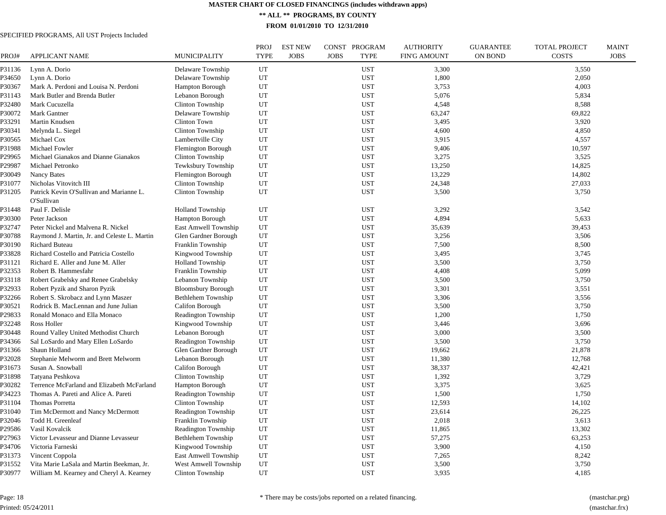**\*\* ALL \*\* PROGRAMS, BY COUNTY**

**FROM 01/01/2010 TO 12/31/2010**

| PROJ#  | <b>APPLICANT NAME</b>                                  | MUNICIPALITY              | <b>PROJ</b><br><b>TYPE</b> | <b>EST NEW</b><br><b>JOBS</b> | CONST PROGRAM<br><b>JOBS</b><br><b>TYPE</b> | <b>AUTHORITY</b><br><b>FIN'G AMOUNT</b> | <b>GUARANTEE</b><br><b>ON BOND</b> | <b>TOTAL PROJECT</b><br><b>COSTS</b> | <b>MAINT</b><br><b>JOBS</b> |
|--------|--------------------------------------------------------|---------------------------|----------------------------|-------------------------------|---------------------------------------------|-----------------------------------------|------------------------------------|--------------------------------------|-----------------------------|
| P31136 | Lynn A. Dorio                                          | Delaware Township         | UT                         |                               | <b>UST</b>                                  | 3,300                                   |                                    | 3,550                                |                             |
| P34650 | Lynn A. Dorio                                          | Delaware Township         | UT                         |                               | <b>UST</b>                                  | 1,800                                   |                                    | 2,050                                |                             |
| P30367 | Mark A. Perdoni and Louisa N. Perdoni                  | Hampton Borough           | UT                         |                               | <b>UST</b>                                  | 3,753                                   |                                    | 4,003                                |                             |
| P31143 | Mark Butler and Brenda Butler                          | Lebanon Borough           | UT                         |                               | <b>UST</b>                                  | 5,076                                   |                                    | 5,834                                |                             |
| P32480 | Mark Cucuzella                                         | Clinton Township          | UT                         |                               | <b>UST</b>                                  | 4,548                                   |                                    | 8,588                                |                             |
| P30072 | Mark Gantner                                           | Delaware Township         | UT                         |                               | <b>UST</b>                                  | 63,247                                  |                                    | 69,822                               |                             |
| P33291 | Martin Knudsen                                         | Clinton Town              | UT                         |                               | <b>UST</b>                                  | 3,495                                   |                                    | 3,920                                |                             |
| P30341 | Melynda L. Siegel                                      | Clinton Township          | UT                         |                               | <b>UST</b>                                  | 4,600                                   |                                    | 4,850                                |                             |
| P30565 | Michael Cox                                            | Lambertville City         | UT                         |                               | <b>UST</b>                                  | 3.915                                   |                                    | 4,557                                |                             |
| P31988 | Michael Fowler                                         | Flemington Borough        | UT                         |                               | <b>UST</b>                                  | 9,406                                   |                                    | 10,597                               |                             |
| P29965 | Michael Gianakos and Dianne Gianakos                   | Clinton Township          | UT                         |                               | <b>UST</b>                                  | 3,275                                   |                                    | 3,525                                |                             |
| P29987 | Michael Petronko                                       | Tewksbury Township        | UT                         |                               | <b>UST</b>                                  | 13,250                                  |                                    | 14,825                               |                             |
| P30049 | Nancy Bates                                            | Flemington Borough        | UT                         |                               | <b>UST</b>                                  | 13,229                                  |                                    | 14,802                               |                             |
| P31077 | Nicholas Vitovitch III                                 | Clinton Township          | UT                         |                               | <b>UST</b>                                  | 24,348                                  |                                    | 27,033                               |                             |
| P31205 | Patrick Kevin O'Sullivan and Marianne L.<br>O'Sullivan | Clinton Township          | UT                         |                               | UST                                         | 3,500                                   |                                    | 3,750                                |                             |
| P31448 | Paul F. Delisle                                        | <b>Holland Township</b>   | UT                         |                               | <b>UST</b>                                  | 3,292                                   |                                    | 3,542                                |                             |
| P30300 | Peter Jackson                                          | <b>Hampton Borough</b>    | UT                         |                               | <b>UST</b>                                  | 4,894                                   |                                    | 5,633                                |                             |
| P32747 | Peter Nickel and Malvena R. Nickel                     | East Amwell Township      | UT                         |                               | <b>UST</b>                                  | 35,639                                  |                                    | 39,453                               |                             |
| P30788 | Raymond J. Martin, Jr. and Celeste L. Martin           | Glen Gardner Borough      | UT                         |                               | <b>UST</b>                                  | 3,256                                   |                                    | 3,506                                |                             |
| P30190 | <b>Richard Buteau</b>                                  | Franklin Township         | UT                         |                               | <b>UST</b>                                  | 7,500                                   |                                    | 8,500                                |                             |
| P33828 | Richard Costello and Patricia Costello                 | Kingwood Township         | UT                         |                               | <b>UST</b>                                  | 3,495                                   |                                    | 3,745                                |                             |
| P31121 | Richard E. Aller and June M. Aller                     | <b>Holland Township</b>   | UT                         |                               | <b>UST</b>                                  | 3,500                                   |                                    | 3,750                                |                             |
| P32353 | Robert B. Hammesfahr                                   | Franklin Township         | UT                         |                               | <b>UST</b>                                  | 4,408                                   |                                    | 5,099                                |                             |
| P33118 | Robert Grabelsky and Renee Grabelsky                   | Lebanon Township          | UT                         |                               | <b>UST</b>                                  | 3,500                                   |                                    | 3,750                                |                             |
| P32933 | Robert Pyzik and Sharon Pyzik                          | <b>Bloomsbury Borough</b> | UT                         |                               | <b>UST</b>                                  | 3,301                                   |                                    | 3,551                                |                             |
| P32266 | Robert S. Skrobacz and Lynn Maszer                     | Bethlehem Township        | UT                         |                               | <b>UST</b>                                  | 3,306                                   |                                    | 3,556                                |                             |
| P30521 | Rodrick B. MacLennan and June Julian                   | Califon Borough           | UT                         |                               | <b>UST</b>                                  | 3,500                                   |                                    | 3,750                                |                             |
| P29833 | Ronald Monaco and Ella Monaco                          | Readington Township       | UT                         |                               | <b>UST</b>                                  | 1,200                                   |                                    | 1,750                                |                             |
| P32248 | Ross Holler                                            | Kingwood Township         | UT                         |                               | <b>UST</b>                                  | 3,446                                   |                                    | 3,696                                |                             |
|        |                                                        |                           | UT                         |                               | <b>UST</b>                                  | 3,000                                   |                                    |                                      |                             |
| P30448 | Round Valley United Methodist Church                   | Lebanon Borough           |                            |                               |                                             |                                         |                                    | 3,500                                |                             |
| P34366 | Sal LoSardo and Mary Ellen LoSardo                     | Readington Township       | UT                         |                               | <b>UST</b>                                  | 3,500                                   |                                    | 3,750                                |                             |
| P31366 | Shaun Holland                                          | Glen Gardner Borough      | UT                         |                               | <b>UST</b>                                  | 19,662                                  |                                    | 21,878                               |                             |
| P32028 | Stephanie Melworm and Brett Melworm                    | Lebanon Borough           | UT                         |                               | <b>UST</b>                                  | 11,380                                  |                                    | 12,768                               |                             |
| P31673 | Susan A. Snowball                                      | Califon Borough           | UT                         |                               | <b>UST</b>                                  | 38,337                                  |                                    | 42,421                               |                             |
| P31898 | Tatyana Peshkova                                       | Clinton Township          | UT                         |                               | <b>UST</b>                                  | 1,392                                   |                                    | 3,729                                |                             |
| P30282 | Terrence McFarland and Elizabeth McFarland             | Hampton Borough           | UT                         |                               | <b>UST</b>                                  | 3,375                                   |                                    | 3,625                                |                             |
| P34223 | Thomas A. Pareti and Alice A. Pareti                   | Readington Township       | UT                         |                               | <b>UST</b>                                  | 1,500                                   |                                    | 1,750                                |                             |
| P31104 | Thomas Porretta                                        | Clinton Township          | UT                         |                               | <b>UST</b>                                  | 12,593                                  |                                    | 14,102                               |                             |
| P31040 | Tim McDermott and Nancy McDermott                      | Readington Township       | UT                         |                               | <b>UST</b>                                  | 23,614                                  |                                    | 26,225                               |                             |
| P32046 | Todd H. Greenleaf                                      | Franklin Township         | UT                         |                               | <b>UST</b>                                  | 2,018                                   |                                    | 3,613                                |                             |
| P29586 | Vasil Kovalcik                                         | Readington Township       | UT                         |                               | <b>UST</b>                                  | 11,865                                  |                                    | 13,302                               |                             |
| P27963 | Victor Levasseur and Dianne Levasseur                  | Bethlehem Township        | UT                         |                               | <b>UST</b>                                  | 57,275                                  |                                    | 63,253                               |                             |
| P34706 | Victoria Farneski                                      | Kingwood Township         | UT                         |                               | <b>UST</b>                                  | 3,900                                   |                                    | 4,150                                |                             |
| P31373 | Vincent Coppola                                        | East Amwell Township      | $_{\rm UT}$                |                               | <b>UST</b>                                  | 7,265                                   |                                    | 8,242                                |                             |
| P31552 | Vita Marie LaSala and Martin Beekman, Jr.              | West Amwell Township      | UT                         |                               | <b>UST</b>                                  | 3,500                                   |                                    | 3,750                                |                             |
| P30977 | William M. Kearney and Cheryl A. Kearney               | Clinton Township          | UT                         |                               | <b>UST</b>                                  | 3.935                                   |                                    | 4,185                                |                             |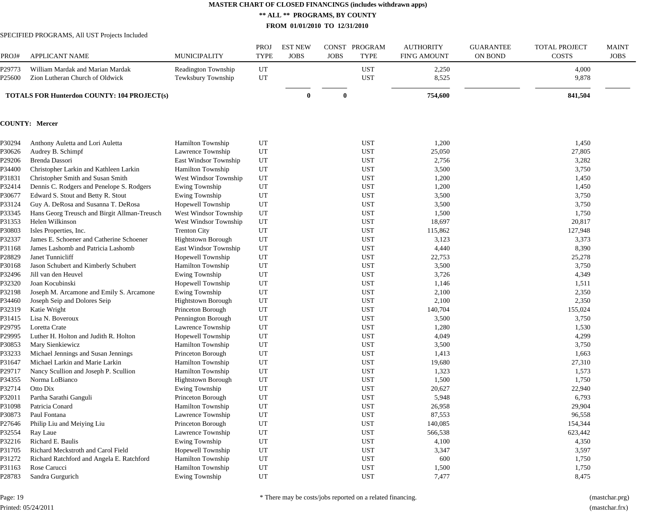**\*\* ALL \*\* PROGRAMS, BY COUNTY**

**FROM 01/01/2010 TO 12/31/2010**

#### SPECIFIED PROGRAMS, All UST Projects Included

| PROJ#          | <b>APPLICANT NAME</b>                                               | <b>MUNICIPALITY</b>                       | PROJ<br><b>TYPE</b> | <b>EST NEW</b><br><b>JOBS</b> | <b>JOBS</b>  | CONST PROGRAM<br><b>TYPE</b> | <b>AUTHORITY</b><br><b>FIN'G AMOUNT</b> | <b>GUARANTEE</b><br><b>ON BOND</b> | <b>TOTAL PROJECT</b><br><b>COSTS</b> | <b>MAINT</b><br><b>JOBS</b> |
|----------------|---------------------------------------------------------------------|-------------------------------------------|---------------------|-------------------------------|--------------|------------------------------|-----------------------------------------|------------------------------------|--------------------------------------|-----------------------------|
| 29773<br>25600 | William Mardak and Marian Mardak<br>Zion Lutheran Church of Oldwick | Readington Township<br>Tewksbury Township | UT<br>UT            |                               |              | <b>UST</b><br><b>UST</b>     | 2,250<br>8,525                          |                                    | 4,000<br>9,878                       |                             |
|                | <b>TOTALS FOR Hunterdon COUNTY: 104 PROJECT(s)</b>                  |                                           |                     | $\mathbf{0}$                  | $\mathbf{0}$ |                              | 754,600                                 |                                    | 841,504                              |                             |
|                | <b>COUNTY: Mercer</b>                                               |                                           |                     |                               |              |                              |                                         |                                    |                                      |                             |
| ?30294         | Anthony Auletta and Lori Auletta                                    | <b>Hamilton Township</b>                  | UT                  |                               |              | <b>UST</b>                   | 1,200                                   |                                    | 1,450                                |                             |
| ?30626         | Audrey B. Schimpf                                                   | Lawrence Township                         | UT                  |                               |              | <b>UST</b>                   | 25,050                                  |                                    | 27,805                               |                             |
| 29206          | Brenda Dassori                                                      | East Windsor Township                     | UT                  |                               |              | <b>UST</b>                   | 2,756                                   |                                    | 3,282                                |                             |
| ?34400         | Christopher Larkin and Kathleen Larkin                              | <b>Hamilton Township</b>                  | UT                  |                               |              | <b>UST</b>                   | 3,500                                   |                                    | 3,750                                |                             |
| 231831         | Christopher Smith and Susan Smith                                   | West Windsor Township                     | UT                  |                               |              | <b>UST</b>                   | 1,200                                   |                                    | 1,450                                |                             |
| 232414         | Dennis C. Rodgers and Penelope S. Rodgers                           | Ewing Township                            | UT                  |                               |              | <b>UST</b>                   | 1,200                                   |                                    | 1,450                                |                             |
| ?30677         | Edward S. Stout and Betty R. Stout                                  | Ewing Township                            | UT                  |                               |              | <b>UST</b>                   | 3,500                                   |                                    | 3,750                                |                             |
| ?33124         | Guy A. DeRosa and Susanna T. DeRosa                                 | Hopewell Township                         | UT                  |                               |              | <b>UST</b>                   | 3,500                                   |                                    | 3,750                                |                             |
| ?33345         | Hans Georg Treusch and Birgit Allman-Treusch                        | West Windsor Township                     | UT                  |                               |              | <b>UST</b>                   | 1,500                                   |                                    | 1,750                                |                             |
| ?31353         | Helen Wilkinson                                                     | West Windsor Township                     | UT                  |                               |              | <b>UST</b>                   | 18,697                                  |                                    | 20,817                               |                             |
| ?30803         | Isles Properties, Inc.                                              | <b>Trenton City</b>                       | UT                  |                               |              | <b>UST</b>                   | 115,862                                 |                                    | 127,948                              |                             |
| 232337         | James E. Schoener and Catherine Schoener                            | <b>Hightstown Borough</b>                 | UT                  |                               |              | <b>UST</b>                   | 3,123                                   |                                    | 3,373                                |                             |
| 231168         | James Lashomb and Patricia Lashomb                                  | East Windsor Township                     | UT                  |                               |              | <b>UST</b>                   | 4,440                                   |                                    | 8,390                                |                             |
| 228829         | Janet Tunnicliff                                                    | Hopewell Township                         | UT                  |                               |              | <b>UST</b>                   | 22,753                                  |                                    | 25,278                               |                             |
| ?30168         | Jason Schubert and Kimberly Schubert                                | <b>Hamilton Township</b>                  | UT                  |                               |              | <b>UST</b>                   | 3,500                                   |                                    | 3,750                                |                             |
| ?32496         | Jill van den Heuvel                                                 | Ewing Township                            | UT                  |                               |              | <b>UST</b>                   | 3,726                                   |                                    | 4,349                                |                             |
| ?32320         | Joan Kocubinski                                                     | Hopewell Township                         | UT                  |                               |              | <b>UST</b>                   | 1,146                                   |                                    | 1,511                                |                             |
| ?32198         | Joseph M. Arcamone and Emily S. Arcamone                            | Ewing Township                            | UT                  |                               |              | <b>UST</b>                   | 2,100                                   |                                    | 2,350                                |                             |
| 234460         | Joseph Seip and Dolores Seip                                        | <b>Hightstown Borough</b>                 | UT                  |                               |              | <b>UST</b>                   | 2,100                                   |                                    | 2,350                                |                             |
| ?32319         | Katie Wright                                                        | Princeton Borough                         | UT                  |                               |              | <b>UST</b>                   | 140,704                                 |                                    | 155,024                              |                             |
| P31415         | Lisa N. Boveroux                                                    | Pennington Borough                        | UT                  |                               |              | <b>UST</b>                   | 3,500                                   |                                    | 3,750                                |                             |
| 29795          | Loretta Crate                                                       | Lawrence Township                         | UT                  |                               |              | <b>UST</b>                   | 1,280                                   |                                    | 1,530                                |                             |
| 29995          | Luther H. Holton and Judith R. Holton                               | Hopewell Township                         | UT                  |                               |              | <b>UST</b>                   | 4,049                                   |                                    | 4,299                                |                             |
| ?30853         | Mary Sienkiewicz                                                    | <b>Hamilton Township</b>                  | UT                  |                               |              | <b>UST</b>                   | 3,500                                   |                                    | 3,750                                |                             |
| ?33233         | Michael Jennings and Susan Jennings                                 | Princeton Borough                         | UT                  |                               |              | <b>UST</b>                   | 1,413                                   |                                    | 1,663                                |                             |
| ?31647         | Michael Larkin and Marie Larkin                                     | Hamilton Township                         | UT                  |                               |              | <b>UST</b>                   | 19,680                                  |                                    | 27,310                               |                             |
| 229717         | Nancy Scullion and Joseph P. Scullion                               | Hamilton Township                         | UT                  |                               |              | <b>UST</b>                   | 1,323                                   |                                    | 1,573                                |                             |
| ?34355         | Norma LoBianco                                                      | <b>Hightstown Borough</b>                 | UT                  |                               |              | <b>UST</b>                   | 1,500                                   |                                    | 1,750                                |                             |
| P32714         | Otto Dix                                                            | Ewing Township                            | UT                  |                               |              | <b>UST</b>                   | 20,627                                  |                                    | 22,940                               |                             |
| ?32011         | Partha Sarathi Ganguli                                              | Princeton Borough                         | UT                  |                               |              | <b>UST</b>                   | 5,948                                   |                                    | 6,793                                |                             |
| ?31098         | Patricia Conard                                                     | <b>Hamilton Township</b>                  | UT                  |                               |              | <b>UST</b>                   | 26,958                                  |                                    | 29,904                               |                             |
| ?30873         | Paul Fontana                                                        | Lawrence Township                         | UT                  |                               |              | <b>UST</b>                   | 87,553                                  |                                    | 96,558                               |                             |
| P27646         | Philip Liu and Meiying Liu                                          | Princeton Borough                         | UT                  |                               |              | <b>UST</b>                   | 140,085                                 |                                    | 154,344                              |                             |
| P32554         | Ray Laue                                                            | Lawrence Township                         | UT                  |                               |              | <b>UST</b>                   | 566,538                                 |                                    | 623,442                              |                             |
| ?32216         | Richard E. Baulis                                                   | <b>Ewing Township</b>                     | UT                  |                               |              | <b>UST</b>                   | 4,100                                   |                                    | 4,350                                |                             |
| ?31705         | Richard Meckstroth and Carol Field                                  | Hopewell Township                         | UT                  |                               |              | <b>UST</b>                   | 3,347                                   |                                    | 3,597                                |                             |
| P31272         | Richard Ratchford and Angela E. Ratchford                           | <b>Hamilton Township</b>                  | UT                  |                               |              | <b>UST</b>                   | 600                                     |                                    | 1,750                                |                             |
| P31163         | Rose Carucci                                                        | <b>Hamilton Township</b>                  | UT                  |                               |              | <b>UST</b>                   | 1,500                                   |                                    | 1,750                                |                             |
| P28783         | Sandra Gurgurich                                                    | Ewing Township                            | <b>UT</b>           |                               |              | <b>UST</b>                   | 7,477                                   |                                    | 8,475                                |                             |
|                |                                                                     |                                           |                     |                               |              |                              |                                         |                                    |                                      |                             |

Page: 19 Printed: 05/24/2011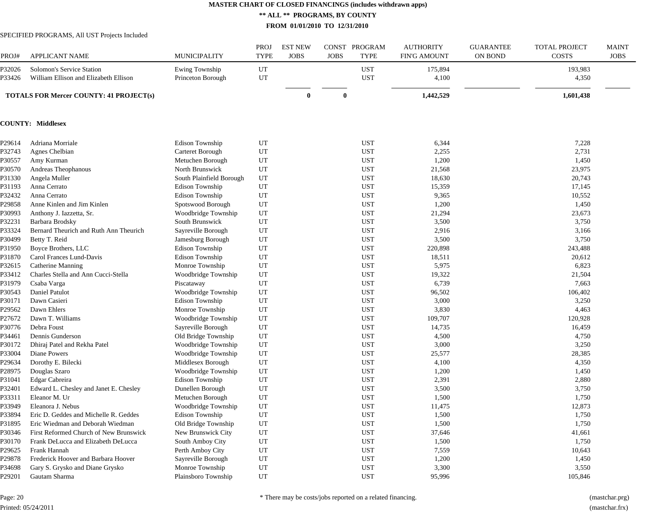**\*\* ALL \*\* PROGRAMS, BY COUNTY**

**FROM 01/01/2010 TO 12/31/2010**

#### SPECIFIED PROGRAMS, All UST Projects Included

| PROJ#              | <b>APPLICANT NAME</b>                                              | MUNICIPALITY                        | PROJ<br><b>TYPE</b> | <b>EST NEW</b><br><b>JOBS</b> | <b>JOBS</b> | CONST PROGRAM<br><b>TYPE</b> | <b>AUTHORITY</b><br><b>FIN'G AMOUNT</b> | <b>GUARANTEE</b><br><b>ON BOND</b> | <b>TOTAL PROJECT</b><br><b>COSTS</b> | <b>MAINT</b><br><b>JOBS</b> |
|--------------------|--------------------------------------------------------------------|-------------------------------------|---------------------|-------------------------------|-------------|------------------------------|-----------------------------------------|------------------------------------|--------------------------------------|-----------------------------|
| 32026<br>?33426    | Solomon's Service Station<br>William Ellison and Elizabeth Ellison | Ewing Township<br>Princeton Borough | UT<br>UT            |                               |             | <b>UST</b><br><b>UST</b>     | 175,894<br>4,100                        |                                    | 193,983<br>4,350                     |                             |
|                    | <b>TOTALS FOR Mercer COUNTY: 41 PROJECT(s)</b>                     |                                     |                     | $\bf{0}$                      | $\bf{0}$    |                              | 1,442,529                               |                                    | 1,601,438                            |                             |
|                    | <b>COUNTY: Middlesex</b>                                           |                                     |                     |                               |             |                              |                                         |                                    |                                      |                             |
| P29614             | Adriana Morriale                                                   | <b>Edison Township</b>              | UT                  |                               |             | <b>UST</b>                   | 6,344                                   |                                    | 7,228                                |                             |
| ?32743             | Agnes Chelbian                                                     | Carteret Borough                    | UT                  |                               |             | <b>UST</b>                   | 2,255                                   |                                    | 2,731                                |                             |
| ?30557             | Amy Kurman                                                         | Metuchen Borough                    | UT                  |                               |             | <b>UST</b>                   | 1,200                                   |                                    | 1,450                                |                             |
| ?30570             | Andreas Theophanous                                                | North Brunswick                     | UT                  |                               |             | <b>UST</b>                   | 21,568                                  |                                    | 23,975                               |                             |
| P31330             | Angela Muller                                                      | South Plainfield Borough            | UT                  |                               |             | <b>UST</b>                   | 18,630                                  |                                    | 20,743                               |                             |
| ?31193             | Anna Cerrato                                                       | <b>Edison Township</b>              | UT                  |                               |             | <b>UST</b>                   | 15,359                                  |                                    | 17,145                               |                             |
| 232432             | Anna Cerrato                                                       | <b>Edison Township</b>              | UT                  |                               |             | <b>UST</b>                   | 9,365                                   |                                    | 10,552                               |                             |
| 229858             | Anne Kinlen and Jim Kinlen                                         | Spotswood Borough                   | UT                  |                               |             | <b>UST</b>                   | 1,200                                   |                                    | 1,450                                |                             |
| ?30993             | Anthony J. Iazzetta, Sr.                                           | Woodbridge Township                 | UT                  |                               |             | <b>UST</b>                   | 21,294                                  |                                    | 23,673                               |                             |
| ?32231             | Barbara Brodsky                                                    | South Brunswick                     | <b>UT</b>           |                               |             | <b>UST</b>                   | 3,500                                   |                                    | 3,750                                |                             |
| ?33324             | Bernard Theurich and Ruth Ann Theurich                             | Sayreville Borough                  | UT                  |                               |             | <b>UST</b>                   | 2,916                                   |                                    | 3,166                                |                             |
| ?30499             | Betty T. Reid                                                      | Jamesburg Borough                   | UT                  |                               |             | <b>UST</b>                   | 3,500                                   |                                    | 3,750                                |                             |
| ?31950             | Boyce Brothers, LLC                                                | <b>Edison Township</b>              | UT                  |                               |             | <b>UST</b>                   | 220,898                                 |                                    | 243,488                              |                             |
| 231870             | Carol Frances Lund-Davis                                           | <b>Edison Township</b>              | UT                  |                               |             | <b>UST</b>                   | 18,511                                  |                                    | 20,612                               |                             |
| ?32615             | Catherine Manning                                                  | Monroe Township                     | UT                  |                               |             | <b>UST</b>                   | 5,975                                   |                                    | 6,823                                |                             |
| ?33412             | Charles Stella and Ann Cucci-Stella                                | Woodbridge Township                 | UT                  |                               |             | <b>UST</b>                   | 19,322                                  |                                    | 21,504                               |                             |
| P31979             | Csaba Varga                                                        | Piscataway                          | UT                  |                               |             | <b>UST</b>                   | 6,739                                   |                                    | 7,663                                |                             |
| ?30543             | Daniel Patulot                                                     | Woodbridge Township                 | UT                  |                               |             | <b>UST</b>                   | 96,502                                  |                                    | 106,402                              |                             |
| ?30171             | Dawn Casieri                                                       | <b>Edison Township</b>              | UT                  |                               |             | <b>UST</b>                   | 3,000                                   |                                    | 3,250                                |                             |
| 29562              | Dawn Ehlers                                                        | Monroe Township                     | UT                  |                               |             | <b>UST</b>                   | 3,830                                   |                                    | 4,463                                |                             |
| 27672              | Dawn T. Williams                                                   | Woodbridge Township                 | UT                  |                               |             | <b>UST</b>                   | 109,707                                 |                                    | 120,928                              |                             |
| ?30776             | Debra Foust                                                        | Sayreville Borough                  | UT                  |                               |             | <b>UST</b>                   | 14,735                                  |                                    | 16,459                               |                             |
| 234461             | Dennis Gunderson                                                   | Old Bridge Township                 | UT                  |                               |             | <b>UST</b>                   | 4,500                                   |                                    | 4,750                                |                             |
| ?30172             | Dhiraj Patel and Rekha Patel                                       | Woodbridge Township                 | UT                  |                               |             | <b>UST</b>                   | 3,000                                   |                                    | 3,250                                |                             |
| ?33004             | Diane Powers                                                       | Woodbridge Township                 | UT                  |                               |             | <b>UST</b>                   | 25,577                                  |                                    | 28,385                               |                             |
| 229634             | Dorothy E. Bilecki                                                 | Middlesex Borough                   | UT                  |                               |             | <b>UST</b>                   | 4,100                                   |                                    | 4,350                                |                             |
| 28975              | Douglas Szaro                                                      | Woodbridge Township                 | UT                  |                               |             | <b>UST</b>                   | 1,200                                   |                                    | 1,450                                |                             |
| 231041             | Edgar Cabreira                                                     | <b>Edison Township</b>              | UT                  |                               |             | <b>UST</b>                   | 2,391                                   |                                    | 2,880                                |                             |
| ?32401             | Edward L. Chesley and Janet E. Chesley                             | Dunellen Borough                    | UT                  |                               |             | <b>UST</b>                   | 3,500                                   |                                    | 3,750                                |                             |
| ?33311             | Eleanor M. Ur                                                      | Metuchen Borough                    | UT                  |                               |             | <b>UST</b>                   | 1,500                                   |                                    | 1,750                                |                             |
| ?33949             | Eleanora J. Nebus                                                  | Woodbridge Township                 | UT                  |                               |             | <b>UST</b>                   | 11,475                                  |                                    | 12,873                               |                             |
| ?33894             | Eric D. Geddes and Michelle R. Geddes                              | Edison Township                     | UT                  |                               |             | <b>UST</b>                   | 1,500                                   |                                    | 1,750                                |                             |
| ?31895             | Eric Wiedman and Deborah Wiedman                                   | Old Bridge Township                 | UT                  |                               |             | <b>UST</b>                   | 1,500                                   |                                    | 1,750                                |                             |
| ?30346             | First Reformed Church of New Brunswick                             | New Brunswick City                  | UT                  |                               |             | <b>UST</b>                   | 37,646                                  |                                    | 41,661                               |                             |
| <sup>2</sup> 30170 | Frank DeLucca and Elizabeth DeLucca                                | South Amboy City                    | UT                  |                               |             | <b>UST</b>                   | 1,500                                   |                                    | 1,750                                |                             |
| 29625              | Frank Hannah                                                       | Perth Amboy City                    | UT                  |                               |             | <b>UST</b>                   | 7,559                                   |                                    | 10,643                               |                             |
| 229878             | Frederick Hoover and Barbara Hoover                                | Sayreville Borough                  | UT                  |                               |             | <b>UST</b>                   | 1,200                                   |                                    | 1,450                                |                             |
| ?34698             | Gary S. Grysko and Diane Grysko                                    | Monroe Township                     | UT                  |                               |             | <b>UST</b>                   | 3,300                                   |                                    | 3,550                                |                             |
| P29201             | Gautam Sharma                                                      | Plainsboro Township                 | UT                  |                               |             | <b>UST</b>                   | 95,996                                  |                                    | 105,846                              |                             |

Page: 20 Printed: 05/24/2011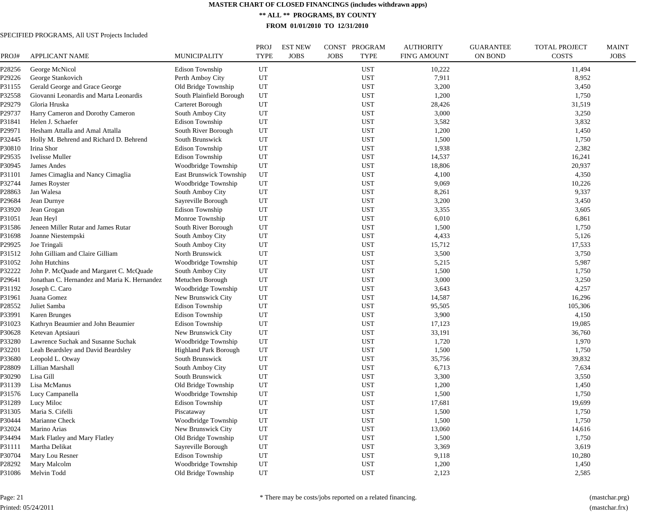**\*\* ALL \*\* PROGRAMS, BY COUNTY**

**FROM 01/01/2010 TO 12/31/2010**

#### SPECIFIED PROGRAMS, All UST Projects Included

| PROJ#  | APPLICANT NAME                               | <b>MUNICIPALITY</b>          | <b>PROJ</b><br><b>TYPE</b> | <b>EST NEW</b><br><b>JOBS</b> | CONST PROGRAM<br><b>JOBS</b><br><b>TYPE</b> | <b>AUTHORITY</b><br><b>FIN'G AMOUNT</b> | <b>GUARANTEE</b><br><b>ON BOND</b> | <b>TOTAL PROJECT</b><br><b>COSTS</b> | <b>MAINT</b><br><b>JOBS</b> |
|--------|----------------------------------------------|------------------------------|----------------------------|-------------------------------|---------------------------------------------|-----------------------------------------|------------------------------------|--------------------------------------|-----------------------------|
| 28256  | George McNicol                               | <b>Edison Township</b>       | UT                         |                               | <b>UST</b>                                  | 10,222                                  |                                    | 11,494                               |                             |
| P29226 | George Stankovich                            | Perth Amboy City             | UT                         |                               | <b>UST</b>                                  | 7,911                                   |                                    | 8,952                                |                             |
| P31155 | Gerald George and Grace George               | Old Bridge Township          | UT                         |                               | <b>UST</b>                                  | 3,200                                   |                                    | 3,450                                |                             |
| P32558 | Giovanni Leonardis and Marta Leonardis       | South Plainfield Borough     | UT                         |                               | <b>UST</b>                                  | 1,200                                   |                                    | 1,750                                |                             |
| P29279 | Gloria Hruska                                | Carteret Borough             | UT                         |                               | <b>UST</b>                                  | 28,426                                  |                                    | 31,519                               |                             |
| P29737 | Harry Cameron and Dorothy Cameron            | South Amboy City             | UT                         |                               | <b>UST</b>                                  | 3,000                                   |                                    | 3,250                                |                             |
| P31841 | Helen J. Schaefer                            | <b>Edison Township</b>       | UT                         |                               | <b>UST</b>                                  | 3,582                                   |                                    | 3,832                                |                             |
| P29971 | Hesham Attalla and Amal Attalla              | South River Borough          | UT                         |                               | <b>UST</b>                                  | 1,200                                   |                                    | 1,450                                |                             |
| P32445 | Holly M. Behrend and Richard D. Behrend      | South Brunswick              | UT                         |                               | <b>UST</b>                                  | 1,500                                   |                                    | 1,750                                |                             |
| P30810 | Irina Shor                                   | <b>Edison Township</b>       | UT                         |                               | <b>UST</b>                                  | 1,938                                   |                                    | 2,382                                |                             |
| P29535 | <b>Ivelisse Muller</b>                       | <b>Edison Township</b>       | UT                         |                               | <b>UST</b>                                  | 14,537                                  |                                    | 16,241                               |                             |
| P30945 | James Andes                                  | Woodbridge Township          | UT                         |                               | <b>UST</b>                                  | 18,806                                  |                                    | 20,937                               |                             |
| P31101 | James Cimaglia and Nancy Cimaglia            | East Brunswick Township      | UT                         |                               | <b>UST</b>                                  | 4,100                                   |                                    | 4,350                                |                             |
| P32744 | James Royster                                | Woodbridge Township          | UT                         |                               | <b>UST</b>                                  | 9,069                                   |                                    | 10,226                               |                             |
| P28863 | Jan Walesa                                   | South Amboy City             | UT                         |                               | <b>UST</b>                                  | 8,261                                   |                                    | 9,337                                |                             |
| P29684 | Jean Durnye                                  | Sayreville Borough           | UT                         |                               | <b>UST</b>                                  | 3,200                                   |                                    | 3,450                                |                             |
| P33920 | Jean Grogan                                  | <b>Edison Township</b>       | UT                         |                               | <b>UST</b>                                  | 3,355                                   |                                    | 3,605                                |                             |
| P31051 | Jean Heyl                                    | Monroe Township              | UT                         |                               | <b>UST</b>                                  | 6,010                                   |                                    | 6,861                                |                             |
| P31586 | Jeneen Miller Rutar and James Rutar          | South River Borough          | UT                         |                               | <b>UST</b>                                  | 1,500                                   |                                    | 1,750                                |                             |
| P31698 | Joanne Niestempski                           | South Amboy City             | UT                         |                               | <b>UST</b>                                  | 4,433                                   |                                    | 5,126                                |                             |
| P29925 | Joe Tringali                                 | South Amboy City             | UT                         |                               | <b>UST</b>                                  | 15,712                                  |                                    | 17,533                               |                             |
| P31512 | John Gilliam and Claire Gilliam              | North Brunswick              | UT                         |                               | <b>UST</b>                                  | 3,500                                   |                                    | 3,750                                |                             |
| P31052 | John Hutchins                                | Woodbridge Township          | UT                         |                               | <b>UST</b>                                  | 5,215                                   |                                    | 5,987                                |                             |
| P32222 | John P. McQuade and Margaret C. McQuade      | South Amboy City             | UT                         |                               | <b>UST</b>                                  | 1,500                                   |                                    | 1,750                                |                             |
| P29641 | Jonathan C. Hernandez and Maria K. Hernandez | Metuchen Borough             | UT                         |                               | <b>UST</b>                                  | 3,000                                   |                                    | 3,250                                |                             |
| P31192 | Joseph C. Caro                               | Woodbridge Township          | UT                         |                               | <b>UST</b>                                  | 3,643                                   |                                    | 4,257                                |                             |
| P31961 | Juana Gomez                                  | New Brunswick City           | UT                         |                               | <b>UST</b>                                  | 14,587                                  |                                    | 16,296                               |                             |
| P28552 | Juliet Samba                                 | <b>Edison Township</b>       | UT                         |                               | <b>UST</b>                                  | 95,505                                  |                                    | 105,306                              |                             |
| P33991 | <b>Karen Brunges</b>                         | <b>Edison Township</b>       | UT                         |                               | <b>UST</b>                                  | 3,900                                   |                                    | 4,150                                |                             |
| P31023 | Kathryn Beaumier and John Beaumier           | <b>Edison Township</b>       | UT                         |                               | <b>UST</b>                                  | 17,123                                  |                                    | 19,085                               |                             |
| P30628 | Ketevan Aptsiauri                            | New Brunswick City           | UT                         |                               | <b>UST</b>                                  | 33,191                                  |                                    | 36,760                               |                             |
| P33280 | Lawrence Suchak and Susanne Suchak           | Woodbridge Township          | UT                         |                               | <b>UST</b>                                  | 1,720                                   |                                    | 1,970                                |                             |
| P32201 | Leah Beardsley and David Beardsley           | <b>Highland Park Borough</b> | UT                         |                               | <b>UST</b>                                  | 1,500                                   |                                    | 1,750                                |                             |
| P33680 | Leopold L. Otway                             | South Brunswick              | UT                         |                               | <b>UST</b>                                  | 35,756                                  |                                    | 39,832                               |                             |
| P28809 | Lillian Marshall                             | South Amboy City             | UT                         |                               | <b>UST</b>                                  | 6,713                                   |                                    | 7,634                                |                             |
| P30290 | Lisa Gill                                    | South Brunswick              | UT                         |                               | <b>UST</b>                                  | 3,300                                   |                                    | 3,550                                |                             |
| P31139 | Lisa McManus                                 | Old Bridge Township          | UT                         |                               | <b>UST</b>                                  | 1,200                                   |                                    | 1,450                                |                             |
| P31576 | Lucy Campanella                              | Woodbridge Township          | UT                         |                               | <b>UST</b>                                  | 1,500                                   |                                    | 1,750                                |                             |
| P31289 | Lucy Miloc                                   | <b>Edison Township</b>       | UT                         |                               | <b>UST</b>                                  | 17,681                                  |                                    | 19,699                               |                             |
| P31305 | Maria S. Cifelli                             | Piscataway                   | UT                         |                               | <b>UST</b>                                  | 1,500                                   |                                    | 1,750                                |                             |
| P30444 | Marianne Check                               | Woodbridge Township          | UT                         |                               | <b>UST</b>                                  | 1,500                                   |                                    | 1,750                                |                             |
| P32024 | Marino Arias                                 | New Brunswick City           | UT                         |                               | <b>UST</b>                                  | 13,060                                  |                                    | 14,616                               |                             |
| P34494 | Mark Flatley and Mary Flatley                | Old Bridge Township          | UT                         |                               | <b>UST</b>                                  | 1,500                                   |                                    | 1,750                                |                             |
| P31111 | Martha Delikat                               | Sayreville Borough           | UT                         |                               | <b>UST</b>                                  | 3,369                                   |                                    | 3,619                                |                             |
| P30704 | Mary Lou Resner                              | <b>Edison Township</b>       | UT                         |                               | <b>UST</b>                                  | 9,118                                   |                                    | 10,280                               |                             |
| P28292 | Mary Malcolm                                 | Woodbridge Township          | UT                         |                               | <b>UST</b>                                  | 1,200                                   |                                    | 1,450                                |                             |
| P31086 | Melvin Todd                                  | Old Bridge Township          | UT                         |                               | <b>UST</b>                                  | 2,123                                   |                                    | 2,585                                |                             |

Page: 21 Printed: 05/24/2011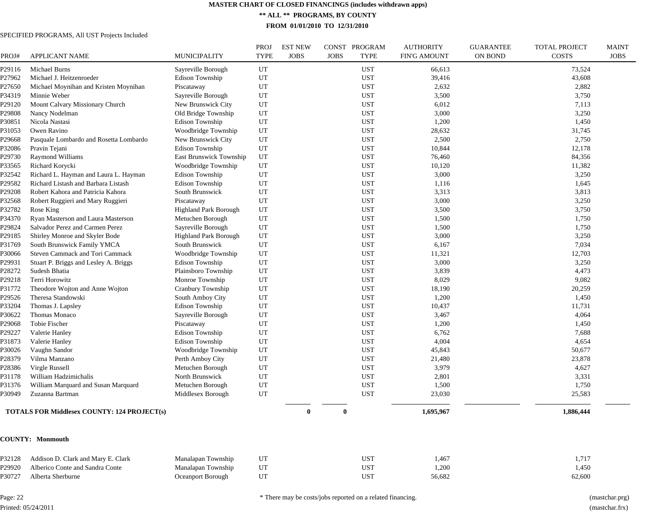**\*\* ALL \*\* PROGRAMS, BY COUNTY**

**FROM 01/01/2010 TO 12/31/2010**

#### SPECIFIED PROGRAMS, All UST Projects Included

| PROJ#            | <b>APPLICANT NAME</b>                                          | MUNICIPALITY                                  | PROJ<br><b>TYPE</b> | <b>EST NEW</b><br><b>JOBS</b> | CONST PROGRAM<br><b>JOBS</b><br><b>TYPE</b> | <b>AUTHORITY</b><br><b>FIN'G AMOUNT</b> | <b>GUARANTEE</b><br>ON BOND | <b>TOTAL PROJECT</b><br>COSTS | <b>MAINT</b><br><b>JOBS</b> |
|------------------|----------------------------------------------------------------|-----------------------------------------------|---------------------|-------------------------------|---------------------------------------------|-----------------------------------------|-----------------------------|-------------------------------|-----------------------------|
|                  |                                                                |                                               |                     |                               |                                             |                                         |                             |                               |                             |
| P29116           | Michael Burns                                                  | Sayreville Borough                            | UT                  |                               | <b>UST</b>                                  | 66,613                                  |                             | 73,524                        |                             |
| P27962           | Michael J. Heitzenroeder                                       | Edison Township<br>Piscataway                 | UT<br>UT            |                               | <b>UST</b><br><b>UST</b>                    | 39,416                                  |                             | 43,608                        |                             |
| P27650<br>P34319 | Michael Moynihan and Kristen Moynihan<br>Minnie Weber          | Sayreville Borough                            | UT                  |                               | <b>UST</b>                                  | 2,632<br>3,500                          |                             | 2,882<br>3,750                |                             |
| P29120           | Mount Calvary Missionary Church                                | New Brunswick City                            | UT                  |                               | <b>UST</b>                                  | 6,012                                   |                             | 7,113                         |                             |
|                  |                                                                |                                               | UT                  |                               | <b>UST</b>                                  | 3,000                                   |                             |                               |                             |
| P29808<br>P30851 | Nancy Nodelman<br>Nicola Nastasi                               | Old Bridge Township<br>Edison Township        | $_{\rm UT}$         |                               | <b>UST</b>                                  | 1,200                                   |                             | 3,250<br>1,450                |                             |
| P31053           | Owen Ravino                                                    | Woodbridge Township                           | UT                  |                               | <b>UST</b>                                  | 28,632                                  |                             | 31,745                        |                             |
| P29668           | Pasquale Lombardo and Rosetta Lombardo                         | New Brunswick City                            | UT                  |                               | <b>UST</b>                                  | 2,500                                   |                             | 2,750                         |                             |
| P32086           | Pravin Tejani                                                  | Edison Township                               | $\mathop{\rm UT}$   |                               | <b>UST</b>                                  | 10,844                                  |                             | 12,178                        |                             |
| P29730           | Raymond Williams                                               | <b>East Brunswick Township</b>                | $_{\rm UT}$         |                               | <b>UST</b>                                  | 76,460                                  |                             | 84,356                        |                             |
| P33565           | Richard Korycki                                                | Woodbridge Township                           | UT                  |                               | <b>UST</b>                                  | 10,120                                  |                             | 11,382                        |                             |
| P32542           | Richard L. Hayman and Laura L. Hayman                          | Edison Township                               | UT                  |                               | <b>UST</b>                                  | 3,000                                   |                             | 3,250                         |                             |
| P29582           | Richard Listash and Barbara Listash                            | Edison Township                               | UT                  |                               | <b>UST</b>                                  | 1,116                                   |                             | 1,645                         |                             |
| P29208           | Robert Kahora and Patricia Kahora                              | South Brunswick                               | UT                  |                               | <b>UST</b>                                  | 3,313                                   |                             | 3,813                         |                             |
| P32568           |                                                                |                                               | $_{\rm UT}$         |                               | <b>UST</b>                                  | 3,000                                   |                             | 3,250                         |                             |
| P32782           | Robert Ruggieri and Mary Ruggieri<br>Rose King                 | Piscataway<br><b>Highland Park Borough</b>    | UT                  |                               | <b>UST</b>                                  | 3,500                                   |                             | 3,750                         |                             |
| P34370           | Ryan Masterson and Laura Masterson                             | Metuchen Borough                              | UT                  |                               | <b>UST</b>                                  | 1,500                                   |                             | 1,750                         |                             |
| P29824           | Salvador Perez and Carmen Perez                                | Sayreville Borough                            | UT                  |                               | <b>UST</b>                                  | 1,500                                   |                             | 1,750                         |                             |
| P29185           | Shirley Monroe and Skyler Bode                                 | Highland Park Borough                         | UT                  |                               | <b>UST</b>                                  | 3,000                                   |                             | 3,250                         |                             |
| P31769           |                                                                | South Brunswick                               | $_{\rm UT}$         |                               | <b>UST</b>                                  | 6,167                                   |                             | 7,034                         |                             |
|                  | South Brunswick Family YMCA<br>Steven Cammack and Tori Cammack |                                               | UT                  |                               | <b>UST</b>                                  | 11,321                                  |                             |                               |                             |
| P30066<br>P29931 | Stuart P. Briggs and Lesley A. Briggs                          | Woodbridge Township<br><b>Edison Township</b> | UT                  |                               | <b>UST</b>                                  | 3,000                                   |                             | 12,703<br>3,250               |                             |
| P28272           | Sudesh Bhatia                                                  | Plainsboro Township                           | UT                  |                               | <b>UST</b>                                  | 3,839                                   |                             | 4,473                         |                             |
| P29218           | Terri Horowitz                                                 | Monroe Township                               | UT                  |                               | <b>UST</b>                                  | 8,029                                   |                             | 9,082                         |                             |
| P31772           | Theodore Wojton and Anne Wojton                                | Cranbury Township                             | UT                  |                               | <b>UST</b>                                  | 18,190                                  |                             | 20,259                        |                             |
| P29526           | Theresa Standowski                                             | South Amboy City                              | UT                  |                               | <b>UST</b>                                  | 1,200                                   |                             | 1,450                         |                             |
| P33204           | Thomas J. Lapsley                                              | Edison Township                               | UT                  |                               | <b>UST</b>                                  | 10,437                                  |                             | 11,731                        |                             |
| P30622           | Thomas Monaco                                                  | Sayreville Borough                            | UT                  |                               | <b>UST</b>                                  | 3,467                                   |                             | 4,064                         |                             |
| P29068           | Tobie Fischer                                                  | Piscataway                                    | UT                  |                               | <b>UST</b>                                  | 1,200                                   |                             | 1,450                         |                             |
| P29227           | Valerie Hanley                                                 | Edison Township                               | UT                  |                               | <b>UST</b>                                  | 6,762                                   |                             | 7,688                         |                             |
| P31873           | Valerie Hanley                                                 | Edison Township                               | UT                  |                               | <b>UST</b>                                  | 4,004                                   |                             | 4,654                         |                             |
| P30026           | Vaughn Sandor                                                  | Woodbridge Township                           | UT                  |                               | <b>UST</b>                                  | 45,843                                  |                             | 50,677                        |                             |
| P28379           | Vilma Manzano                                                  | Perth Amboy City                              | UT                  |                               | <b>UST</b>                                  | 21,480                                  |                             | 23,878                        |                             |
| P28386           | Virgle Russell                                                 | Metuchen Borough                              | UT                  |                               | <b>UST</b>                                  | 3,979                                   |                             | 4,627                         |                             |
| P31178           | William Hadzimichalis                                          | North Brunswick                               | UT                  |                               | <b>UST</b>                                  | 2,801                                   |                             | 3,331                         |                             |
| P31376           | William Marquard and Susan Marquard                            | Metuchen Borough                              | UT                  |                               | <b>UST</b>                                  | 1,500                                   |                             | 1,750                         |                             |
| P30949           | Zuzanna Bartman                                                | Middlesex Borough                             | $_{\rm UT}$         |                               | <b>UST</b>                                  | 23,030                                  |                             | 25,583                        |                             |
|                  | <b>TOTALS FOR Middlesex COUNTY: 124 PROJECT(s)</b>             |                                               |                     | $\bf{0}$                      | $\mathbf 0$                                 | 1,695,967                               |                             | 1,886,444                     |                             |
|                  | <b>COUNTY: Monmouth</b>                                        |                                               |                     |                               |                                             |                                         |                             |                               |                             |
| P32128           | Addison D. Clark and Mary E. Clark                             | Manalapan Township                            | UT                  |                               | <b>UST</b>                                  | 1,467                                   |                             | 1,717                         |                             |
| P29920           | Alberico Conte and Sandra Conte                                | Manalapan Township                            | UT                  |                               | <b>UST</b>                                  | 1,200                                   |                             | 1,450                         |                             |
| P30727           | Alberta Sherburne                                              | Oceanport Borough                             | UT                  |                               | <b>UST</b>                                  | 56,682                                  |                             | 62,600                        |                             |
|                  |                                                                |                                               |                     |                               |                                             |                                         |                             |                               |                             |

Page: 22 Printed: 05/24/2011 \* There may be costs/jobs reported on a related financing. (mastchar.prg)

(mastchar.frx)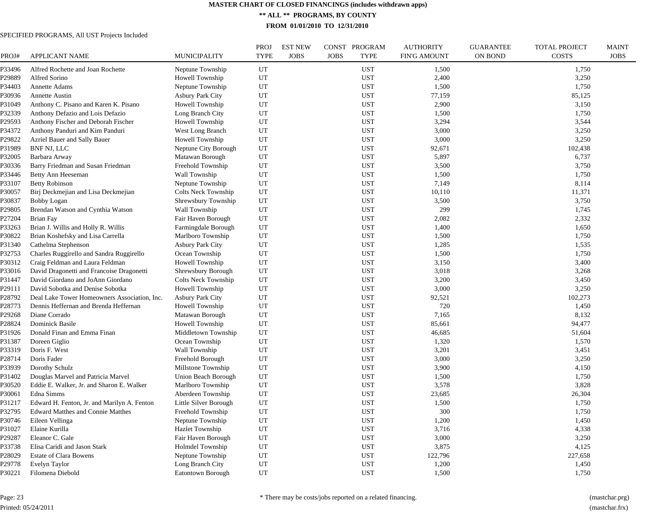**\*\* ALL \*\* PROGRAMS, BY COUNTY**

**FROM 01/01/2010 TO 12/31/2010**

| PROJ#  | <b>APPLICANT NAME</b>                        | MUNICIPALITY            | <b>PROJ</b><br><b>TYPE</b> | <b>EST NEW</b><br><b>JOBS</b> | CONST PROGRAM<br><b>JOBS</b><br><b>TYPE</b> | <b>AUTHORITY</b><br><b>FIN'G AMOUNT</b> | <b>GUARANTEE</b><br><b>ON BOND</b> | <b>TOTAL PROJECT</b><br><b>COSTS</b> | <b>MAINT</b><br><b>JOBS</b> |
|--------|----------------------------------------------|-------------------------|----------------------------|-------------------------------|---------------------------------------------|-----------------------------------------|------------------------------------|--------------------------------------|-----------------------------|
| P33496 | Alfred Rochette and Joan Rochette            | Neptune Township        | UT                         |                               | <b>UST</b>                                  | 1,500                                   |                                    | 1,750                                |                             |
| P29889 | Alfred Sorino                                | Howell Township         | UT                         |                               | <b>UST</b>                                  | 2,400                                   |                                    | 3,250                                |                             |
| P34403 | Annette Adams                                | Neptune Township        | UT                         |                               | <b>UST</b>                                  | 1,500                                   |                                    | 1,750                                |                             |
| P30936 | Annette Austin                               | <b>Asbury Park City</b> | UT                         |                               | UST                                         | 77,159                                  |                                    | 85,125                               |                             |
| P31049 | Anthony C. Pisano and Karen K. Pisano        | Howell Township         | UT                         |                               | <b>UST</b>                                  | 2,900                                   |                                    | 3,150                                |                             |
| P32339 | Anthony Defazio and Lois Defazio             | Long Branch City        | UT                         |                               | <b>UST</b>                                  | 1,500                                   |                                    | 1,750                                |                             |
| P29593 | Anthony Fischer and Deborah Fischer          | Howell Township         | UT                         |                               | <b>UST</b>                                  | 3,294                                   |                                    | 3,544                                |                             |
| P34372 | Anthony Panduri and Kim Panduri              | West Long Branch        | UT                         |                               | <b>UST</b>                                  | 3,000                                   |                                    | 3,250                                |                             |
| P29822 | Azriel Bauer and Sally Bauer                 | <b>Howell Township</b>  | UT                         |                               | <b>UST</b>                                  | 3,000                                   |                                    | 3,250                                |                             |
| P31989 | BNF NJ, LLC                                  | Neptune City Borough    | UT                         |                               | <b>UST</b>                                  | 92,671                                  |                                    | 102,438                              |                             |
| P32005 | Barbara Arway                                | Matawan Borough         | UT                         |                               | <b>UST</b>                                  | 5,897                                   |                                    | 6,737                                |                             |
| P30336 | Barry Friedman and Susan Friedman            | Freehold Township       | UT                         |                               | <b>UST</b>                                  | 3,500                                   |                                    | 3,750                                |                             |
| P33446 | Betty Ann Heeseman                           | Wall Township           | UT                         |                               | <b>UST</b>                                  | 1,500                                   |                                    | 1,750                                |                             |
| P33107 | <b>Betty Robinson</b>                        | Neptune Township        | UT                         |                               | <b>UST</b>                                  | 7,149                                   |                                    | 8,114                                |                             |
| P30057 | Birj Deckmejian and Lisa Deckmejian          | Colts Neck Township     | UT                         |                               | <b>UST</b>                                  | 10,110                                  |                                    | 11,371                               |                             |
| P30837 | <b>Bobby Logan</b>                           | Shrewsbury Township     | UT                         |                               | <b>UST</b>                                  | 3,500                                   |                                    | 3,750                                |                             |
| P29805 | Brendan Watson and Cynthia Watson            | Wall Township           | UT                         |                               | <b>UST</b>                                  | 299                                     |                                    | 1,745                                |                             |
| P27204 | <b>Brian Fay</b>                             | Fair Haven Borough      | UT                         |                               | <b>UST</b>                                  | 2,082                                   |                                    | 2,332                                |                             |
| P33263 | Brian J. Willis and Holly R. Willis          | Farmingdale Borough     | UT                         |                               | <b>UST</b>                                  | 1,400                                   |                                    | 1,650                                |                             |
| P30822 | Brian Koshefsky and Lisa Carrella            | Marlboro Township       | UT                         |                               | <b>UST</b>                                  | 1,500                                   |                                    | 1,750                                |                             |
| P31340 | Cathelma Stephenson                          | <b>Asbury Park City</b> | UT                         |                               | <b>UST</b>                                  | 1,285                                   |                                    | 1,535                                |                             |
| P32753 | Charles Ruggirello and Sandra Ruggirello     | Ocean Township          | UT                         |                               | <b>UST</b>                                  | 1,500                                   |                                    | 1,750                                |                             |
| P30312 | Craig Feldman and Laura Feldman              | Howell Township         | UT                         |                               | <b>UST</b>                                  | 3,150                                   |                                    | 3,400                                |                             |
| P33016 | David Dragonetti and Francoise Dragonetti    | Shrewsbury Borough      | UT                         |                               | <b>UST</b>                                  | 3,018                                   |                                    | 3,268                                |                             |
| P31447 | David Giordano and JoAnn Giordano            | Colts Neck Township     | UT                         |                               | <b>UST</b>                                  | 3,200                                   |                                    | 3,450                                |                             |
| P29111 | David Sobotka and Denise Sobotka             | Howell Township         | UT                         |                               | <b>UST</b>                                  | 3,000                                   |                                    | 3,250                                |                             |
| P28792 | Deal Lake Tower Homeowners Association, Inc. | <b>Asbury Park City</b> | UT                         |                               | <b>UST</b>                                  | 92,521                                  |                                    | 102,273                              |                             |
| P28773 | Dennis Heffernan and Brenda Heffernan        | Howell Township         | UT                         |                               | <b>UST</b>                                  | 720                                     |                                    | 1,450                                |                             |
| P29268 | Diane Corrado                                | Matawan Borough         | UT                         |                               | <b>UST</b>                                  | 7,165                                   |                                    | 8,132                                |                             |
| P28824 | <b>Dominick Basile</b>                       | Howell Township         | UT                         |                               | <b>UST</b>                                  | 85,661                                  |                                    | 94,477                               |                             |
| P31926 | Donald Finan and Emma Finan                  | Middletown Township     | UT                         |                               | <b>UST</b>                                  | 46,685                                  |                                    | 51,604                               |                             |
| P31387 | Doreen Giglio                                | Ocean Township          | UT                         |                               | <b>UST</b>                                  | 1,320                                   |                                    | 1,570                                |                             |
| P33319 | Doris F. West                                | Wall Township           | UT                         |                               | <b>UST</b>                                  | 3,201                                   |                                    | 3,451                                |                             |
| P28714 | Doris Fader                                  | Freehold Borough        | UT                         |                               | <b>UST</b>                                  | 3,000                                   |                                    | 3,250                                |                             |
| P33939 | Dorothy Schulz                               | Millstone Township      | UT                         |                               | <b>UST</b>                                  | 3,900                                   |                                    | 4,150                                |                             |
| P31402 | Douglas Marvel and Patricia Marvel           | Union Beach Borough     | UT                         |                               | <b>UST</b>                                  | 1,500                                   |                                    | 1,750                                |                             |
| P30520 | Eddie E. Walker, Jr. and Sharon E. Walker    | Marlboro Township       | UT                         |                               | <b>UST</b>                                  | 3,578                                   |                                    | 3,828                                |                             |
| P30061 | Edna Simms                                   | Aberdeen Township       | UT                         |                               | <b>UST</b>                                  | 23,685                                  |                                    | 26,304                               |                             |
| P31217 | Edward H. Fenton, Jr. and Marilyn A. Fenton  | Little Silver Borough   | UT                         |                               | <b>UST</b>                                  | 1,500                                   |                                    | 1,750                                |                             |
| P32795 | <b>Edward Matthes and Connie Matthes</b>     | Freehold Township       | $_{\rm UT}$                |                               | <b>UST</b>                                  | 300                                     |                                    | 1,750                                |                             |
| P30746 | Eileen Vellinga                              | Neptune Township        | UT                         |                               | <b>UST</b>                                  | 1,200                                   |                                    | 1,450                                |                             |
| P31027 | Elaine Kurilla                               | <b>Hazlet Township</b>  | UT                         |                               | <b>UST</b>                                  | 3,716                                   |                                    | 4,338                                |                             |
| P29287 | Eleanor C. Gale                              | Fair Haven Borough      | UT                         |                               | <b>UST</b>                                  | 3,000                                   |                                    | 3,250                                |                             |
| P33738 | Elisa Caridi and Jason Stark                 | <b>Holmdel Township</b> | UT                         |                               | <b>UST</b>                                  | 3,875                                   |                                    | 4,125                                |                             |
| P28029 | <b>Estate of Clara Bowens</b>                | Neptune Township        | UT                         |                               | <b>UST</b>                                  | 122,796                                 |                                    | 227,658                              |                             |
| P29778 | Evelyn Taylor                                | Long Branch City        | UT                         |                               | <b>UST</b>                                  | 1,200                                   |                                    | 1,450                                |                             |
| P30221 | Filomena Diebold                             | Eatontown Borough       | UT                         |                               | <b>UST</b>                                  | 1,500                                   |                                    | 1,750                                |                             |
|        |                                              |                         |                            |                               |                                             |                                         |                                    |                                      |                             |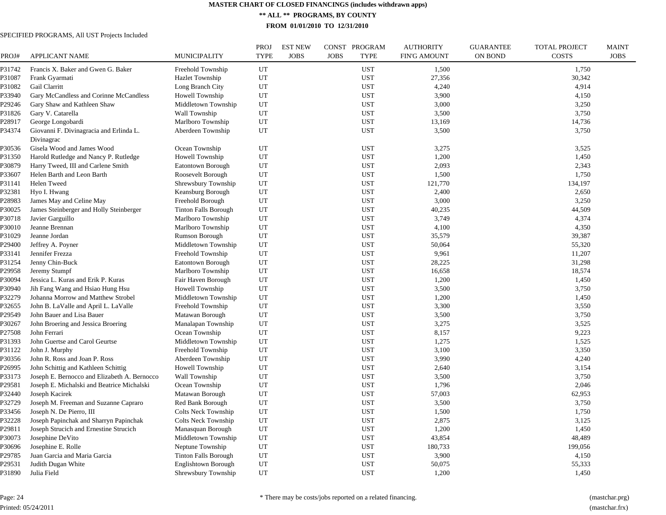**\*\* ALL \*\* PROGRAMS, BY COUNTY**

**FROM 01/01/2010 TO 12/31/2010**

#### SPECIFIED PROGRAMS, All UST Projects Included

| PROJ#  | <b>APPLICANT NAME</b>                        | <b>MUNICIPALITY</b>         | PROJ<br><b>TYPE</b> | <b>EST NEW</b><br><b>JOBS</b> | CONST PROGRAM<br><b>JOBS</b> | <b>TYPE</b> | <b>AUTHORITY</b><br><b>FIN'G AMOUNT</b> | <b>GUARANTEE</b><br><b>ON BOND</b> | <b>TOTAL PROJECT</b><br><b>COSTS</b> | <b>MAINT</b><br><b>JOBS</b> |
|--------|----------------------------------------------|-----------------------------|---------------------|-------------------------------|------------------------------|-------------|-----------------------------------------|------------------------------------|--------------------------------------|-----------------------------|
| P31742 | Francis X. Baker and Gwen G. Baker           | Freehold Township           | UT                  |                               |                              | <b>UST</b>  | 1,500                                   |                                    | 1,750                                |                             |
| P31087 | Frank Gyarmati                               | <b>Hazlet Township</b>      | UT                  |                               |                              | <b>UST</b>  | 27,356                                  |                                    | 30,342                               |                             |
| P31082 | Gail Clarritt                                | Long Branch City            | UT                  |                               |                              | <b>UST</b>  | 4,240                                   |                                    | 4,914                                |                             |
| P33940 | Gary McCandless and Corinne McCandless       | Howell Township             | UT                  |                               |                              | <b>UST</b>  | 3,900                                   |                                    | 4,150                                |                             |
| P29246 | Gary Shaw and Kathleen Shaw                  | Middletown Township         | UT                  |                               |                              | <b>UST</b>  | 3,000                                   |                                    | 3,250                                |                             |
| P31826 | Gary V. Catarella                            | Wall Township               | UT                  |                               |                              | <b>UST</b>  | 3,500                                   |                                    | 3,750                                |                             |
| P28917 | George Longobardi                            | Marlboro Township           | UT                  |                               |                              | <b>UST</b>  | 13,169                                  |                                    | 14,736                               |                             |
| P34374 | Giovanni F. Divinagracia and Erlinda L.      | Aberdeen Township           | UT                  |                               |                              | <b>UST</b>  | 3,500                                   |                                    | 3,750                                |                             |
|        | Divinagrac                                   |                             |                     |                               |                              |             |                                         |                                    |                                      |                             |
| P30536 | Gisela Wood and James Wood                   | Ocean Township              | UT                  |                               |                              | <b>UST</b>  | 3,275                                   |                                    | 3,525                                |                             |
| P31350 | Harold Rutledge and Nancy P. Rutledge        | Howell Township             | UT                  |                               |                              | <b>UST</b>  | 1,200                                   |                                    | 1,450                                |                             |
| P30879 | Harry Tweed, III and Carlene Smith           | Eatontown Borough           | UT                  |                               |                              | <b>UST</b>  | 2,093                                   |                                    | 2,343                                |                             |
| P33607 | Helen Barth and Leon Barth                   | Roosevelt Borough           | UT                  |                               |                              | <b>UST</b>  | 1,500                                   |                                    | 1,750                                |                             |
| P31141 | <b>Helen Tweed</b>                           | Shrewsbury Township         | UT                  |                               |                              | <b>UST</b>  | 121,770                                 |                                    | 134,197                              |                             |
| P32381 | Hyo I. Hwang                                 | Keansburg Borough           | UT                  |                               |                              | <b>UST</b>  | 2,400                                   |                                    | 2,650                                |                             |
| P28983 | James May and Celine May                     | Freehold Borough            | UT                  |                               |                              | <b>UST</b>  | 3,000                                   |                                    | 3,250                                |                             |
| P30025 | James Steinberger and Holly Steinberger      | <b>Tinton Falls Borough</b> | UT                  |                               |                              | <b>UST</b>  | 40,235                                  |                                    | 44,509                               |                             |
| P30718 | Javier Garguillo                             | Marlboro Township           | UT                  |                               |                              | <b>UST</b>  | 3,749                                   |                                    | 4,374                                |                             |
| P30010 | Jeanne Brennan                               | Marlboro Township           | UT                  |                               |                              | <b>UST</b>  | 4,100                                   |                                    | 4,350                                |                             |
| P31029 | Jeanne Jordan                                | Rumson Borough              | UT                  |                               |                              | <b>UST</b>  | 35,579                                  |                                    | 39,387                               |                             |
| P29400 | Jeffrey A. Poyner                            | Middletown Township         | UT                  |                               |                              | <b>UST</b>  | 50,064                                  |                                    | 55,320                               |                             |
| P33141 | Jennifer Frezza                              | Freehold Township           | UT                  |                               |                              | <b>UST</b>  | 9,961                                   |                                    | 11,207                               |                             |
| P31254 | Jenny Chin-Buck                              | <b>Eatontown Borough</b>    | UT                  |                               |                              | <b>UST</b>  | 28,225                                  |                                    | 31,298                               |                             |
| P29958 | Jeremy Stumpf                                | Marlboro Township           | UT                  |                               |                              | <b>UST</b>  | 16,658                                  |                                    | 18,574                               |                             |
| P30094 | Jessica L. Kuras and Erik P. Kuras           | Fair Haven Borough          | UT                  |                               |                              | <b>UST</b>  | 1,200                                   |                                    | 1,450                                |                             |
| P30940 | Jih Fang Wang and Hsiao Hung Hsu             | Howell Township             | UT                  |                               |                              | <b>UST</b>  | 3,500                                   |                                    | 3,750                                |                             |
| P32279 | Johanna Morrow and Matthew Strobel           | Middletown Township         | UT                  |                               |                              | <b>UST</b>  | 1,200                                   |                                    | 1,450                                |                             |
| P32655 | John B. LaValle and April L. LaValle         | Freehold Township           | UT                  |                               |                              | <b>UST</b>  | 3,300                                   |                                    | 3,550                                |                             |
| 29549  | John Bauer and Lisa Bauer                    | Matawan Borough             | UT                  |                               |                              | <b>UST</b>  | 3,500                                   |                                    | 3,750                                |                             |
| P30267 | John Broering and Jessica Broering           | Manalapan Township          | UT                  |                               |                              | <b>UST</b>  | 3,275                                   |                                    | 3,525                                |                             |
| P27508 | John Ferrari                                 | Ocean Township              | UT                  |                               |                              | <b>UST</b>  | 8,157                                   |                                    | 9,223                                |                             |
| P31393 | John Guertse and Carol Geurtse               | Middletown Township         | UT                  |                               |                              | <b>UST</b>  | 1,275                                   |                                    | 1,525                                |                             |
| P31122 | John J. Murphy                               | Freehold Township           | UT                  |                               |                              | <b>UST</b>  | 3,100                                   |                                    | 3,350                                |                             |
| P30356 | John R. Ross and Joan P. Ross                | Aberdeen Township           | UT                  |                               |                              | <b>UST</b>  | 3,990                                   |                                    | 4,240                                |                             |
| 226995 | John Schittig and Kathleen Schittig          | Howell Township             | UT                  |                               |                              | <b>UST</b>  | 2,640                                   |                                    | 3,154                                |                             |
| P33173 | Joseph E. Bernocco and Elizabeth A. Bernocco | Wall Township               | UT                  |                               |                              | <b>UST</b>  | 3,500                                   |                                    | 3,750                                |                             |
| P29581 | Joseph E. Michalski and Beatrice Michalski   | Ocean Township              | UT                  |                               |                              | <b>UST</b>  | 1,796                                   |                                    | 2,046                                |                             |
| P32440 | Joseph Kacirek                               | Matawan Borough             | UT                  |                               |                              | <b>UST</b>  | 57,003                                  |                                    | 62,953                               |                             |
| P32729 | Joseph M. Freeman and Suzanne Capraro        | Red Bank Borough            | UT                  |                               |                              | <b>UST</b>  | 3,500                                   |                                    | 3,750                                |                             |
| P33456 | Joseph N. De Pierro, III                     | Colts Neck Township         | UT                  |                               |                              | <b>UST</b>  | 1,500                                   |                                    | 1,750                                |                             |
| 32228  | Joseph Papinchak and Sharryn Papinchak       | <b>Colts Neck Township</b>  | UT                  |                               |                              | <b>UST</b>  | 2,875                                   |                                    | 3,125                                |                             |
| P29811 | Joseph Strucich and Ernestine Strucich       | Manasquan Borough           | UT                  |                               |                              | <b>UST</b>  | 1,200                                   |                                    | 1,450                                |                             |
| ?30073 | Josephine DeVito                             | Middletown Township         | UT                  |                               |                              | <b>UST</b>  | 43,854                                  |                                    | 48,489                               |                             |
| P30696 | Josephine E. Rolle                           | Neptune Township            | UT                  |                               |                              | <b>UST</b>  | 180,733                                 |                                    | 199,056                              |                             |
| 229785 | Juan Garcia and Maria Garcia                 | <b>Tinton Falls Borough</b> | UT                  |                               |                              | <b>UST</b>  | 3,900                                   |                                    | 4,150                                |                             |
| P29531 | Judith Dugan White                           | Englishtown Borough         | UT                  |                               |                              | <b>UST</b>  | 50,075                                  |                                    | 55,333                               |                             |
| P31890 | Julia Field                                  | Shrewsbury Township         | UT                  |                               |                              | <b>UST</b>  | 1,200                                   |                                    | 1,450                                |                             |
|        |                                              |                             |                     |                               |                              |             |                                         |                                    |                                      |                             |

Page: 24 Printed: 05/24/2011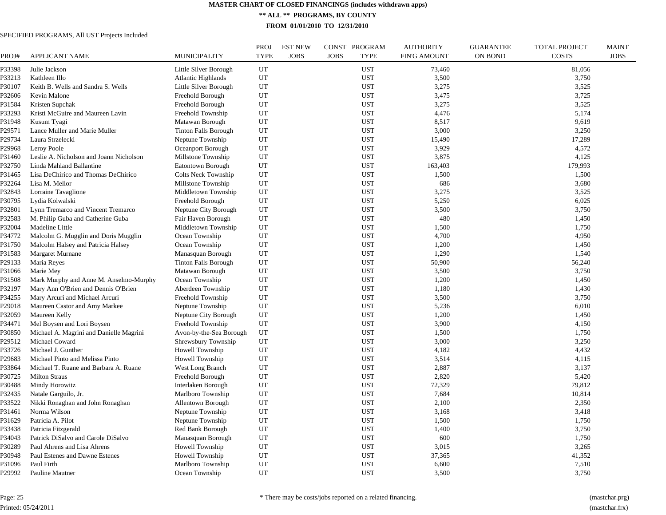**\*\* ALL \*\* PROGRAMS, BY COUNTY**

**FROM 01/01/2010 TO 12/31/2010**

| PROJ#  | <b>APPLICANT NAME</b>                   | <b>MUNICIPALITY</b>         | PROJ<br><b>TYPE</b> | <b>EST NEW</b><br><b>JOBS</b> | PROGRAM<br>CONST<br><b>JOBS</b><br><b>TYPE</b> | <b>AUTHORITY</b><br><b>FIN'G AMOUNT</b> | <b>GUARANTEE</b><br><b>ON BOND</b> | <b>TOTAL PROJECT</b><br><b>COSTS</b> | <b>MAINT</b><br><b>JOBS</b> |
|--------|-----------------------------------------|-----------------------------|---------------------|-------------------------------|------------------------------------------------|-----------------------------------------|------------------------------------|--------------------------------------|-----------------------------|
| P33398 | Julie Jackson                           | Little Silver Borough       | UT                  |                               | <b>UST</b>                                     | 73,460                                  |                                    | 81,056                               |                             |
| P33213 | Kathleen Illo                           | <b>Atlantic Highlands</b>   | UT                  |                               | <b>UST</b>                                     | 3,500                                   |                                    | 3,750                                |                             |
| P30107 | Keith B. Wells and Sandra S. Wells      | Little Silver Borough       | UT                  |                               | <b>UST</b>                                     | 3,275                                   |                                    | 3,525                                |                             |
| P32606 | Kevin Malone                            | Freehold Borough            | UT                  |                               | <b>UST</b>                                     | 3,475                                   |                                    | 3,725                                |                             |
| P31584 | Kristen Supchak                         | Freehold Borough            | UT                  |                               | <b>UST</b>                                     | 3,275                                   |                                    | 3,525                                |                             |
| P33293 | Kristi McGuire and Maureen Lavin        | Freehold Township           | UT                  |                               | <b>UST</b>                                     | 4,476                                   |                                    | 5,174                                |                             |
| P31948 | Kusum Tyagi                             | Matawan Borough             | UT                  |                               | <b>UST</b>                                     | 8,517                                   |                                    | 9,619                                |                             |
| P29571 | Lance Muller and Marie Muller           | <b>Tinton Falls Borough</b> | UT                  |                               | <b>UST</b>                                     | 3,000                                   |                                    | 3,250                                |                             |
| P29734 | Laura Strzelecki                        | Neptune Township            | UT                  |                               | <b>UST</b>                                     | 15,490                                  |                                    | 17,289                               |                             |
| P29968 | Leroy Poole                             | Oceanport Borough           | UT                  |                               | <b>UST</b>                                     | 3,929                                   |                                    | 4,572                                |                             |
| P31460 | Leslie A. Nicholson and Joann Nicholson | Millstone Township          | UT                  |                               | <b>UST</b>                                     | 3,875                                   |                                    | 4,125                                |                             |
| P32750 | Linda Mahland Ballantine                | Eatontown Borough           | UT                  |                               | <b>UST</b>                                     | 163,403                                 |                                    | 179,993                              |                             |
| P31465 | Lisa DeChirico and Thomas DeChirico     | <b>Colts Neck Township</b>  | UT                  |                               | <b>UST</b>                                     | 1,500                                   |                                    | 1,500                                |                             |
| P32264 | Lisa M. Mellor                          | Millstone Township          | UT                  |                               | <b>UST</b>                                     | 686                                     |                                    | 3,680                                |                             |
| P32843 | Lorraine Tavaglione                     | Middletown Township         | UT                  |                               | <b>UST</b>                                     | 3,275                                   |                                    | 3,525                                |                             |
| P30795 | Lydia Kolwalski                         | Freehold Borough            | UT                  |                               | <b>UST</b>                                     | 5,250                                   |                                    | 6,025                                |                             |
| P32801 | Lynn Tremarco and Vincent Tremarco      | Neptune City Borough        | UT                  |                               | <b>UST</b>                                     | 3,500                                   |                                    | 3,750                                |                             |
| P32583 | M. Philip Guba and Catherine Guba       | Fair Haven Borough          | UT                  |                               | <b>UST</b>                                     | 480                                     |                                    | 1,450                                |                             |
| P32004 | Madeline Little                         | Middletown Township         | UT                  |                               | <b>UST</b>                                     | 1,500                                   |                                    | 1,750                                |                             |
| P34772 | Malcolm G. Mugglin and Doris Mugglin    | Ocean Township              | UT                  |                               | <b>UST</b>                                     | 4,700                                   |                                    | 4,950                                |                             |
| P31750 | Malcolm Halsey and Patricia Halsey      | Ocean Township              | UT                  |                               | <b>UST</b>                                     | 1,200                                   |                                    | 1,450                                |                             |
| P31583 | <b>Margaret Murnane</b>                 | Manasquan Borough           | UT                  |                               | <b>UST</b>                                     | 1,290                                   |                                    | 1,540                                |                             |
| P29133 | Maria Reyes                             | <b>Tinton Falls Borough</b> | UT                  |                               | <b>UST</b>                                     | 50,900                                  |                                    | 56,240                               |                             |
| P31066 | Marie Mey                               | Matawan Borough             | UT                  |                               | <b>UST</b>                                     | 3,500                                   |                                    | 3,750                                |                             |
| P31508 | Mark Murphy and Anne M. Anselmo-Murphy  | Ocean Township              | UT                  |                               | <b>UST</b>                                     | 1,200                                   |                                    | 1,450                                |                             |
| P32197 | Mary Ann O'Brien and Dennis O'Brien     | Aberdeen Township           | UT                  |                               | <b>UST</b>                                     | 1,180                                   |                                    | 1,430                                |                             |
| P34255 | Mary Arcuri and Michael Arcuri          | Freehold Township           | UT                  |                               | <b>UST</b>                                     | 3,500                                   |                                    | 3,750                                |                             |
| P29018 | Maureen Castor and Amy Markee           | Neptune Township            | UT                  |                               | <b>UST</b>                                     | 5,236                                   |                                    | 6,010                                |                             |
| P32059 | Maureen Kelly                           | Neptune City Borough        | UT                  |                               | <b>UST</b>                                     | 1,200                                   |                                    | 1,450                                |                             |
| P34471 | Mel Boysen and Lori Boysen              | Freehold Township           | UT                  |                               | <b>UST</b>                                     | 3,900                                   |                                    | 4,150                                |                             |
| P30850 | Michael A. Magrini and Danielle Magrini | Avon-by-the-Sea Borough     | UT                  |                               | <b>UST</b>                                     | 1,500                                   |                                    | 1,750                                |                             |
| P29512 | Michael Coward                          | Shrewsbury Township         | UT                  |                               | <b>UST</b>                                     | 3,000                                   |                                    | 3,250                                |                             |
| P33726 | Michael J. Gunther                      | Howell Township             | UT                  |                               | <b>UST</b>                                     | 4,182                                   |                                    | 4,432                                |                             |
| P29683 | Michael Pinto and Melissa Pinto         | Howell Township             | UT                  |                               | <b>UST</b>                                     | 3,514                                   |                                    | 4,115                                |                             |
| P33864 | Michael T. Ruane and Barbara A. Ruane   | West Long Branch            | UT                  |                               | <b>UST</b>                                     | 2,887                                   |                                    | 3,137                                |                             |
| P30725 | <b>Milton Straus</b>                    | Freehold Borough            | UT                  |                               | <b>UST</b>                                     | 2,820                                   |                                    | 5,420                                |                             |
| 230488 | Mindy Horowitz                          | Interlaken Borough          | UT                  |                               | <b>UST</b>                                     | 72,329                                  |                                    | 79,812                               |                             |
| P32435 | Natale Garguilo, Jr.                    | Marlboro Township           | UT                  |                               | <b>UST</b>                                     | 7,684                                   |                                    | 10,814                               |                             |
| P33522 | Nikki Ronaghan and John Ronaghan        | <b>Allentown Borough</b>    | UT                  |                               | <b>UST</b>                                     | 2,100                                   |                                    | 2,350                                |                             |
| P31461 | Norma Wilson                            | Neptune Township            | UT                  |                               | <b>UST</b>                                     | 3,168                                   |                                    | 3,418                                |                             |
| P31629 | Patricia A. Pilot                       | Neptune Township            | UT                  |                               | <b>UST</b>                                     | 1,500                                   |                                    | 1,750                                |                             |
| P33438 | Patricia Fitzgerald                     | Red Bank Borough            | UT                  |                               | <b>UST</b>                                     | 1,400                                   |                                    | 3,750                                |                             |
| P34043 | Patrick DiSalvo and Carole DiSalvo      | Manasquan Borough           | UT                  |                               | <b>UST</b>                                     | 600                                     |                                    | 1,750                                |                             |
| P30289 | Paul Ahrens and Lisa Ahrens             | Howell Township             | UT                  |                               | <b>UST</b>                                     | 3,015                                   |                                    | 3,265                                |                             |
| P30948 | Paul Estenes and Dawne Estenes          | Howell Township             | UT                  |                               | <b>UST</b>                                     | 37,365                                  |                                    | 41,352                               |                             |
| P31096 | Paul Firth                              | Marlboro Township           | UT                  |                               | <b>UST</b>                                     | 6,600                                   |                                    | 7,510                                |                             |
| P29992 | Pauline Mautner                         | Ocean Township              | UT                  |                               | <b>UST</b>                                     | 3,500                                   |                                    | 3,750                                |                             |
|        |                                         |                             |                     |                               |                                                |                                         |                                    |                                      |                             |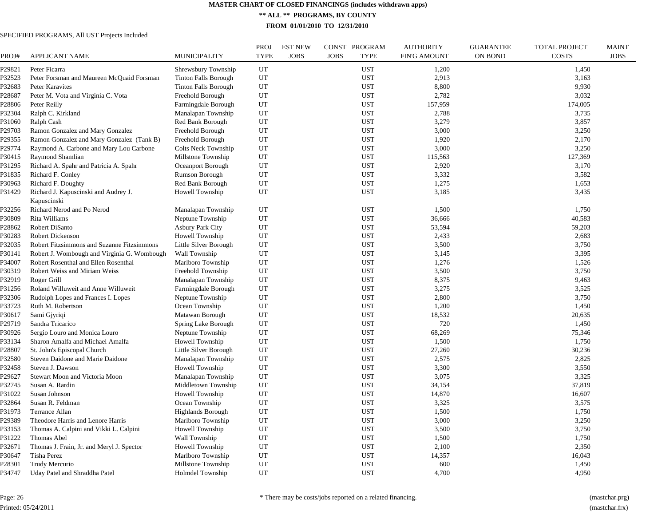**\*\* ALL \*\* PROGRAMS, BY COUNTY**

**FROM 01/01/2010 TO 12/31/2010**

| PROJ#  | <b>APPLICANT NAME</b>                               | <b>MUNICIPALITY</b>         | <b>PROJ</b><br><b>TYPE</b> | <b>EST NEW</b><br><b>JOBS</b> | PROGRAM<br>CONST<br><b>JOBS</b><br><b>TYPE</b> | <b>AUTHORITY</b><br><b>FIN'G AMOUNT</b> | <b>GUARANTEE</b><br><b>ON BOND</b> | TOTAL PROJECT<br><b>COSTS</b> | <b>MAINT</b><br><b>JOBS</b> |
|--------|-----------------------------------------------------|-----------------------------|----------------------------|-------------------------------|------------------------------------------------|-----------------------------------------|------------------------------------|-------------------------------|-----------------------------|
| P29821 | Peter Ficarra                                       | Shrewsbury Township         | UT                         |                               | <b>UST</b>                                     | 1,200                                   |                                    | 1,450                         |                             |
| P32523 | Peter Forsman and Maureen McQuaid Forsman           | <b>Tinton Falls Borough</b> | UT                         |                               | <b>UST</b>                                     | 2,913                                   |                                    | 3,163                         |                             |
| P32683 | Peter Karavites                                     | <b>Tinton Falls Borough</b> | UT                         |                               | <b>UST</b>                                     | 8,800                                   |                                    | 9,930                         |                             |
| P28687 | Peter M. Vota and Virginia C. Vota                  | Freehold Borough            | UT                         |                               | <b>UST</b>                                     | 2,782                                   |                                    | 3,032                         |                             |
| P28806 | Peter Reilly                                        | Farmingdale Borough         | UT                         |                               | <b>UST</b>                                     | 157,959                                 |                                    | 174,005                       |                             |
| P32304 | Ralph C. Kirkland                                   | Manalapan Township          | UT                         |                               | <b>UST</b>                                     | 2,788                                   |                                    | 3,735                         |                             |
| P31060 | Ralph Cash                                          | Red Bank Borough            | UT                         |                               | <b>UST</b>                                     | 3,279                                   |                                    | 3,857                         |                             |
| P29703 | Ramon Gonzalez and Mary Gonzalez                    | Freehold Borough            | UT                         |                               | <b>UST</b>                                     | 3,000                                   |                                    | 3,250                         |                             |
| P29355 | Ramon Gonzalez and Mary Gonzalez (Tank B)           | Freehold Borough            | UT                         |                               | <b>UST</b>                                     | 1,920                                   |                                    | 2,170                         |                             |
| P29774 | Raymond A. Carbone and Mary Lou Carbone             | <b>Colts Neck Township</b>  | UT                         |                               | <b>UST</b>                                     | 3,000                                   |                                    | 3,250                         |                             |
| P30415 | Raymond Shamlian                                    | Millstone Township          | UT                         |                               | <b>UST</b>                                     | 115,563                                 |                                    | 127,369                       |                             |
| P31295 | Richard A. Spahr and Patricia A. Spahr              | Oceanport Borough           | UT                         |                               | <b>UST</b>                                     | 2,920                                   |                                    | 3,170                         |                             |
| P31835 | Richard F. Conley                                   | Rumson Borough              | UT                         |                               | <b>UST</b>                                     | 3,332                                   |                                    | 3,582                         |                             |
| P30963 | Richard F. Doughty                                  | <b>Red Bank Borough</b>     | UT                         |                               | <b>UST</b>                                     | 1,275                                   |                                    | 1,653                         |                             |
| P31429 | Richard J. Kapuscinski and Audrey J.<br>Kapuscinski | Howell Township             | UT                         |                               | <b>UST</b>                                     | 3,185                                   |                                    | 3,435                         |                             |
| P32256 | Richard Nerod and Po Nerod                          | Manalapan Township          | UT                         |                               | <b>UST</b>                                     | 1,500                                   |                                    | 1,750                         |                             |
| P30809 | Rita Williams                                       | Neptune Township            | UT                         |                               | <b>UST</b>                                     | 36,666                                  |                                    | 40,583                        |                             |
| P28862 | Robert DiSanto                                      | <b>Asbury Park City</b>     | UT                         |                               | <b>UST</b>                                     | 53,594                                  |                                    | 59,203                        |                             |
| P30283 | <b>Robert Dickenson</b>                             | Howell Township             | UT                         |                               | <b>UST</b>                                     | 2,433                                   |                                    | 2,683                         |                             |
| P32035 | Robert Fitzsimmons and Suzanne Fitzsimmons          | Little Silver Borough       | UT                         |                               | <b>UST</b>                                     | 3,500                                   |                                    | 3,750                         |                             |
| P30141 | Robert J. Wombough and Virginia G. Wombough         | Wall Township               | UT                         |                               | <b>UST</b>                                     | 3,145                                   |                                    | 3,395                         |                             |
| P34007 | Robert Rosenthal and Ellen Rosenthal                | Marlboro Township           | UT                         |                               | <b>UST</b>                                     | 1,276                                   |                                    | 1,526                         |                             |
| P30319 | Robert Weiss and Miriam Weiss                       | Freehold Township           | UT                         |                               | <b>UST</b>                                     | 3,500                                   |                                    | 3,750                         |                             |
| P32919 | Roger Grill                                         | Manalapan Township          | UT                         |                               | <b>UST</b>                                     | 8,375                                   |                                    | 9,463                         |                             |
| P31256 | Roland Willuweit and Anne Willuweit                 | Farmingdale Borough         | UT                         |                               | <b>UST</b>                                     | 3,275                                   |                                    | 3,525                         |                             |
| P32306 | Rudolph Lopes and Frances I. Lopes                  | Neptune Township            | UT                         |                               | <b>UST</b>                                     | 2,800                                   |                                    | 3,750                         |                             |
| P33723 | Ruth M. Robertson                                   | Ocean Township              | UT                         |                               | <b>UST</b>                                     | 1,200                                   |                                    | 1,450                         |                             |
| P30617 | Sami Gjyriqi                                        | Matawan Borough             | UT                         |                               | <b>UST</b>                                     | 18,532                                  |                                    | 20,635                        |                             |
| P29719 | Sandra Tricarico                                    | Spring Lake Borough         | UT                         |                               | <b>UST</b>                                     | 720                                     |                                    | 1,450                         |                             |
| P30926 | Sergio Louro and Monica Louro                       | Neptune Township            | UT                         |                               | <b>UST</b>                                     | 68,269                                  |                                    | 75,346                        |                             |
| P33134 | Sharon Amalfa and Michael Amalfa                    | Howell Township             | UT                         |                               | <b>UST</b>                                     | 1,500                                   |                                    | 1,750                         |                             |
| 28807  | St. John's Episcopal Church                         | Little Silver Borough       | UT                         |                               | <b>UST</b>                                     | 27,260                                  |                                    | 30,236                        |                             |
| P32580 | Steven Daidone and Marie Daidone                    | Manalapan Township          | UT                         |                               | <b>UST</b>                                     | 2,575                                   |                                    | 2,825                         |                             |
| P32458 | Steven J. Dawson                                    | Howell Township             | UT                         |                               | <b>UST</b>                                     | 3,300                                   |                                    | 3,550                         |                             |
| P29627 | Stewart Moon and Victoria Moon                      | Manalapan Township          | UT                         |                               | <b>UST</b>                                     | 3,075                                   |                                    | 3,325                         |                             |
| P32745 | Susan A. Rardin                                     | Middletown Township         | UT                         |                               | <b>UST</b>                                     | 34,154                                  |                                    | 37,819                        |                             |
| P31022 | Susan Johnson                                       | Howell Township             | UT                         |                               | <b>UST</b>                                     | 14,870                                  |                                    | 16,607                        |                             |
| P32864 | Susan R. Feldman                                    | Ocean Township              | UT                         |                               | <b>UST</b>                                     | 3,325                                   |                                    | 3,575                         |                             |
| P31973 | Terrance Allan                                      | <b>Highlands Borough</b>    | UT                         |                               | <b>UST</b>                                     | 1,500                                   |                                    | 1,750                         |                             |
| P29389 | Theodore Harris and Lenore Harris                   | Marlboro Township           | UT                         |                               | <b>UST</b>                                     | 3,000                                   |                                    | 3,250                         |                             |
| P33153 | Thomas A. Calpini and Vikki L. Calpini              | Howell Township             | UT                         |                               | <b>UST</b>                                     | 3,500                                   |                                    | 3,750                         |                             |
| P31222 | Thomas Abel                                         | Wall Township               | UT                         |                               | <b>UST</b>                                     | 1,500                                   |                                    | 1,750                         |                             |
| P32671 | Thomas J. Frain, Jr. and Meryl J. Spector           | Howell Township             | UT                         |                               | <b>UST</b>                                     | 2,100                                   |                                    | 2,350                         |                             |
| P30647 | <b>Tisha Perez</b>                                  | Marlboro Township           | UT                         |                               | <b>UST</b>                                     | 14,357                                  |                                    | 16,043                        |                             |
| P28301 | Trudy Mercurio                                      | Millstone Township          | UT                         |                               | <b>UST</b>                                     | 600                                     |                                    | 1,450                         |                             |
| P34747 | Uday Patel and Shraddha Patel                       | <b>Holmdel Township</b>     | UT                         |                               | <b>UST</b>                                     | 4,700                                   |                                    | 4,950                         |                             |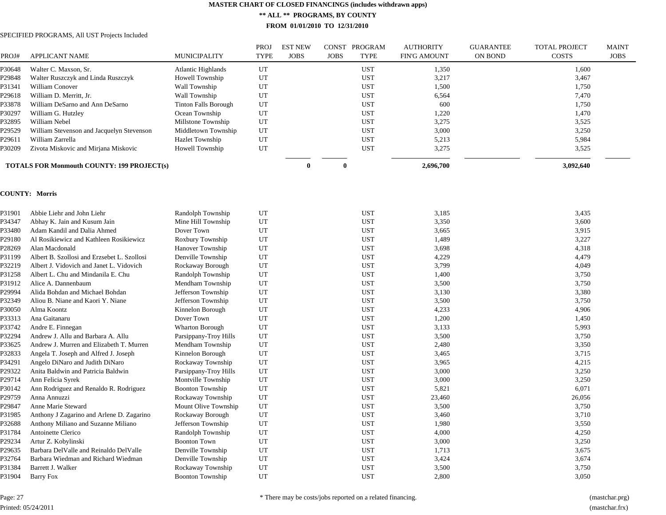**\*\* ALL \*\* PROGRAMS, BY COUNTY**

**FROM 01/01/2010 TO 12/31/2010**

# SPECIFIED PROGRAMS, All UST Projects Included

| 1,600<br>P30648<br>UT<br><b>UST</b><br>Walter C. Maxson, Sr.<br><b>Atlantic Highlands</b><br>1,350<br>UT<br><b>UST</b><br>3,217<br>3,467<br>P29848<br>Walter Ruszczyk and Linda Ruszczyk<br>Howell Township<br>UT<br>P31341<br>William Conover<br>Wall Township<br><b>UST</b><br>1,500<br>1,750<br>UT<br><b>UST</b><br>P29618<br>William D. Merritt, Jr.<br>Wall Township<br>6,564<br>7,470<br>UT<br>P33878<br><b>Tinton Falls Borough</b><br><b>UST</b><br>600<br>William DeSarno and Ann DeSarno<br>1,750<br>UT<br>William G. Hutzley<br><b>UST</b><br>1,220<br>P30297<br>Ocean Township<br>1,470<br>UT<br><b>UST</b><br>3,275<br>P32895<br>William Nebel<br>Millstone Township<br>3,525<br>UT<br><b>UST</b><br>3,000<br>P29529<br>William Stevenson and Jacquelyn Stevenson<br>Middletown Township<br>3,250<br>UT<br><b>UST</b><br>5,213<br>5,984<br>William Zarrella<br><b>Hazlet Township</b><br>P29611<br>UT<br><b>UST</b><br>3,275<br>3,525<br>Zivota Miskovic and Mirjana Miskovic<br><b>Howell Township</b><br>P30209<br>$\mathbf{0}$<br>$\bf{0}$<br>2,696,700<br>3,092,640<br><b>TOTALS FOR Monmouth COUNTY: 199 PROJECT(s)</b><br><b>COUNTY: Morris</b><br>P31901<br>Abbie Liehr and John Liehr<br>Randolph Township<br>UT<br><b>UST</b><br>3,185<br>3,435<br>UT<br>P34347<br>Abhay K. Jain and Kusum Jain<br>Mine Hill Township<br><b>UST</b><br>3,350<br>3,600<br>P33480<br>Adam Kandil and Dalia Ahmed<br>Dover Town<br>UT<br><b>UST</b><br>3,665<br>3,915<br>P29180<br>Al Rosikiewicz and Kathleen Rosikiewicz<br>Roxbury Township<br>UT<br><b>UST</b><br>1,489<br>3,227<br>P28269<br>Hanover Township<br>UT<br><b>UST</b><br>3,698<br>4,318<br>Alan Macdonald<br>UT<br>4,229<br>P31199<br>Albert B. Szollosi and Erzsebet L. Szollosi<br>Denville Township<br><b>UST</b><br>4,479<br>UT<br><b>UST</b><br>3,799<br>P32219<br>Albert J. Vidovich and Janet L. Vidovich<br>Rockaway Borough<br>4,049<br>P31258<br>Albert L. Chu and Mindanila E. Chu<br>Randolph Township<br>UT<br><b>UST</b><br>1,400<br>3,750<br>P31912<br>Alice A. Dannenbaum<br>Mendham Township<br>UT<br><b>UST</b><br>3,500<br>3,750<br>P29994<br>Alida Bohdan and Michael Bohdan<br>Jefferson Township<br>UT<br><b>UST</b><br>3,130<br>3,380<br>P32349<br>Aliou B. Niane and Kaori Y. Niane<br>Jefferson Township<br>UT<br><b>UST</b><br>3,500<br>3,750<br>UT<br>4,233<br>P30050<br>Alma Koontz<br>Kinnelon Borough<br><b>UST</b><br>4,906<br>UT<br>1,200<br>P33313<br>Ana Gaitanaru<br>Dover Town<br><b>UST</b><br>1,450<br>UT<br>P33742<br>Andre E. Finnegan<br>Wharton Borough<br><b>UST</b><br>3,133<br>5,993<br>P32294<br>Andrew J. Allu and Barbara A. Allu<br>Parsippany-Troy Hills<br>UT<br><b>UST</b><br>3,500<br>3,750<br>P33625<br>Andrew J. Murren and Elizabeth T. Murren<br>Mendham Township<br>UT<br><b>UST</b><br>2,480<br>3,350<br>P32833<br>Kinnelon Borough<br>UT<br><b>UST</b><br>3,465<br>3,715<br>Angela T. Joseph and Alfred J. Joseph<br>UT<br>3,965<br>P34291<br>Angelo DiNaro and Judith DiNaro<br>Rockaway Township<br><b>UST</b><br>4,215<br>Anita Baldwin and Patricia Baldwin<br>UT<br><b>UST</b><br>3,000<br>P29322<br>Parsippany-Troy Hills<br>3,250<br>UT<br>P29714<br>Ann Felicia Syrek<br>Montville Township<br><b>UST</b><br>3,000<br>3,250<br>P30142<br>Ann Rodriguez and Renaldo R. Rodriguez<br><b>Boonton Township</b><br>UT<br><b>UST</b><br>5,821<br>6,071<br>P29759<br>Anna Annuzzi<br>Rockaway Township<br>UT<br><b>UST</b><br>23,460<br>26,056<br>P29847<br>Anne Marie Steward<br>Mount Olive Township<br>UT<br><b>UST</b><br>3,500<br>3,750<br>P31985<br>UT<br><b>UST</b><br>3,460<br>3,710<br>Anthony J Zagarino and Arlene D. Zagarino<br>Rockaway Borough<br>UT<br><b>UST</b><br>1,980<br>P32688<br>Anthony Miliano and Suzanne Miliano<br>Jefferson Township<br>3,550<br>UT<br>P31784<br>Antoinette Clerico<br>Randolph Township<br><b>UST</b><br>4,000<br>4,250<br>UT<br>P29234<br>Artur Z. Kobylinski<br><b>Boonton Town</b><br><b>UST</b><br>3,000<br>3,250<br>P29635<br>Barbara DelValle and Reinaldo DelValle<br>Denville Township<br>UT<br><b>UST</b><br>1,713<br>3,675<br>UT<br>P32764<br>Barbara Wiedman and Richard Wiedman<br>Denville Township<br><b>UST</b><br>3,424<br>3,674<br>P31384<br>Barrett J. Walker<br>UT<br><b>UST</b><br>3,500<br>3,750<br>Rockaway Township<br>UT<br><b>UST</b><br>2,800<br>3,050<br>P31904<br><b>Barry Fox</b><br><b>Boonton Township</b> | PROJ# | <b>APPLICANT NAME</b> | <b>MUNICIPALITY</b> | <b>PROJ</b><br><b>TYPE</b> | <b>EST NEW</b><br><b>JOBS</b> | <b>JOBS</b> | CONST PROGRAM<br><b>TYPE</b> | <b>AUTHORITY</b><br><b>FIN'G AMOUNT</b> | <b>GUARANTEE</b><br><b>ON BOND</b> | <b>TOTAL PROJECT</b><br><b>COSTS</b> | <b>MAINT</b><br><b>JOBS</b> |
|--------------------------------------------------------------------------------------------------------------------------------------------------------------------------------------------------------------------------------------------------------------------------------------------------------------------------------------------------------------------------------------------------------------------------------------------------------------------------------------------------------------------------------------------------------------------------------------------------------------------------------------------------------------------------------------------------------------------------------------------------------------------------------------------------------------------------------------------------------------------------------------------------------------------------------------------------------------------------------------------------------------------------------------------------------------------------------------------------------------------------------------------------------------------------------------------------------------------------------------------------------------------------------------------------------------------------------------------------------------------------------------------------------------------------------------------------------------------------------------------------------------------------------------------------------------------------------------------------------------------------------------------------------------------------------------------------------------------------------------------------------------------------------------------------------------------------------------------------------------------------------------------------------------------------------------------------------------------------------------------------------------------------------------------------------------------------------------------------------------------------------------------------------------------------------------------------------------------------------------------------------------------------------------------------------------------------------------------------------------------------------------------------------------------------------------------------------------------------------------------------------------------------------------------------------------------------------------------------------------------------------------------------------------------------------------------------------------------------------------------------------------------------------------------------------------------------------------------------------------------------------------------------------------------------------------------------------------------------------------------------------------------------------------------------------------------------------------------------------------------------------------------------------------------------------------------------------------------------------------------------------------------------------------------------------------------------------------------------------------------------------------------------------------------------------------------------------------------------------------------------------------------------------------------------------------------------------------------------------------------------------------------------------------------------------------------------------------------------------------------------------------------------------------------------------------------------------------------------------------------------------------------------------------------------------------------------------------------------------------------------------------------------------------------------------------------------------------------------------------------------------------------------------------------------------------------------------------------------------------------------------------------------------------------------------------------------------------------------------------------------------------------------------------------------|-------|-----------------------|---------------------|----------------------------|-------------------------------|-------------|------------------------------|-----------------------------------------|------------------------------------|--------------------------------------|-----------------------------|
|                                                                                                                                                                                                                                                                                                                                                                                                                                                                                                                                                                                                                                                                                                                                                                                                                                                                                                                                                                                                                                                                                                                                                                                                                                                                                                                                                                                                                                                                                                                                                                                                                                                                                                                                                                                                                                                                                                                                                                                                                                                                                                                                                                                                                                                                                                                                                                                                                                                                                                                                                                                                                                                                                                                                                                                                                                                                                                                                                                                                                                                                                                                                                                                                                                                                                                                                                                                                                                                                                                                                                                                                                                                                                                                                                                                                                                                                                                                                                                                                                                                                                                                                                                                                                                                                                                                                                                                                                          |       |                       |                     |                            |                               |             |                              |                                         |                                    |                                      |                             |
|                                                                                                                                                                                                                                                                                                                                                                                                                                                                                                                                                                                                                                                                                                                                                                                                                                                                                                                                                                                                                                                                                                                                                                                                                                                                                                                                                                                                                                                                                                                                                                                                                                                                                                                                                                                                                                                                                                                                                                                                                                                                                                                                                                                                                                                                                                                                                                                                                                                                                                                                                                                                                                                                                                                                                                                                                                                                                                                                                                                                                                                                                                                                                                                                                                                                                                                                                                                                                                                                                                                                                                                                                                                                                                                                                                                                                                                                                                                                                                                                                                                                                                                                                                                                                                                                                                                                                                                                                          |       |                       |                     |                            |                               |             |                              |                                         |                                    |                                      |                             |
|                                                                                                                                                                                                                                                                                                                                                                                                                                                                                                                                                                                                                                                                                                                                                                                                                                                                                                                                                                                                                                                                                                                                                                                                                                                                                                                                                                                                                                                                                                                                                                                                                                                                                                                                                                                                                                                                                                                                                                                                                                                                                                                                                                                                                                                                                                                                                                                                                                                                                                                                                                                                                                                                                                                                                                                                                                                                                                                                                                                                                                                                                                                                                                                                                                                                                                                                                                                                                                                                                                                                                                                                                                                                                                                                                                                                                                                                                                                                                                                                                                                                                                                                                                                                                                                                                                                                                                                                                          |       |                       |                     |                            |                               |             |                              |                                         |                                    |                                      |                             |
|                                                                                                                                                                                                                                                                                                                                                                                                                                                                                                                                                                                                                                                                                                                                                                                                                                                                                                                                                                                                                                                                                                                                                                                                                                                                                                                                                                                                                                                                                                                                                                                                                                                                                                                                                                                                                                                                                                                                                                                                                                                                                                                                                                                                                                                                                                                                                                                                                                                                                                                                                                                                                                                                                                                                                                                                                                                                                                                                                                                                                                                                                                                                                                                                                                                                                                                                                                                                                                                                                                                                                                                                                                                                                                                                                                                                                                                                                                                                                                                                                                                                                                                                                                                                                                                                                                                                                                                                                          |       |                       |                     |                            |                               |             |                              |                                         |                                    |                                      |                             |
|                                                                                                                                                                                                                                                                                                                                                                                                                                                                                                                                                                                                                                                                                                                                                                                                                                                                                                                                                                                                                                                                                                                                                                                                                                                                                                                                                                                                                                                                                                                                                                                                                                                                                                                                                                                                                                                                                                                                                                                                                                                                                                                                                                                                                                                                                                                                                                                                                                                                                                                                                                                                                                                                                                                                                                                                                                                                                                                                                                                                                                                                                                                                                                                                                                                                                                                                                                                                                                                                                                                                                                                                                                                                                                                                                                                                                                                                                                                                                                                                                                                                                                                                                                                                                                                                                                                                                                                                                          |       |                       |                     |                            |                               |             |                              |                                         |                                    |                                      |                             |
|                                                                                                                                                                                                                                                                                                                                                                                                                                                                                                                                                                                                                                                                                                                                                                                                                                                                                                                                                                                                                                                                                                                                                                                                                                                                                                                                                                                                                                                                                                                                                                                                                                                                                                                                                                                                                                                                                                                                                                                                                                                                                                                                                                                                                                                                                                                                                                                                                                                                                                                                                                                                                                                                                                                                                                                                                                                                                                                                                                                                                                                                                                                                                                                                                                                                                                                                                                                                                                                                                                                                                                                                                                                                                                                                                                                                                                                                                                                                                                                                                                                                                                                                                                                                                                                                                                                                                                                                                          |       |                       |                     |                            |                               |             |                              |                                         |                                    |                                      |                             |
|                                                                                                                                                                                                                                                                                                                                                                                                                                                                                                                                                                                                                                                                                                                                                                                                                                                                                                                                                                                                                                                                                                                                                                                                                                                                                                                                                                                                                                                                                                                                                                                                                                                                                                                                                                                                                                                                                                                                                                                                                                                                                                                                                                                                                                                                                                                                                                                                                                                                                                                                                                                                                                                                                                                                                                                                                                                                                                                                                                                                                                                                                                                                                                                                                                                                                                                                                                                                                                                                                                                                                                                                                                                                                                                                                                                                                                                                                                                                                                                                                                                                                                                                                                                                                                                                                                                                                                                                                          |       |                       |                     |                            |                               |             |                              |                                         |                                    |                                      |                             |
|                                                                                                                                                                                                                                                                                                                                                                                                                                                                                                                                                                                                                                                                                                                                                                                                                                                                                                                                                                                                                                                                                                                                                                                                                                                                                                                                                                                                                                                                                                                                                                                                                                                                                                                                                                                                                                                                                                                                                                                                                                                                                                                                                                                                                                                                                                                                                                                                                                                                                                                                                                                                                                                                                                                                                                                                                                                                                                                                                                                                                                                                                                                                                                                                                                                                                                                                                                                                                                                                                                                                                                                                                                                                                                                                                                                                                                                                                                                                                                                                                                                                                                                                                                                                                                                                                                                                                                                                                          |       |                       |                     |                            |                               |             |                              |                                         |                                    |                                      |                             |
|                                                                                                                                                                                                                                                                                                                                                                                                                                                                                                                                                                                                                                                                                                                                                                                                                                                                                                                                                                                                                                                                                                                                                                                                                                                                                                                                                                                                                                                                                                                                                                                                                                                                                                                                                                                                                                                                                                                                                                                                                                                                                                                                                                                                                                                                                                                                                                                                                                                                                                                                                                                                                                                                                                                                                                                                                                                                                                                                                                                                                                                                                                                                                                                                                                                                                                                                                                                                                                                                                                                                                                                                                                                                                                                                                                                                                                                                                                                                                                                                                                                                                                                                                                                                                                                                                                                                                                                                                          |       |                       |                     |                            |                               |             |                              |                                         |                                    |                                      |                             |
|                                                                                                                                                                                                                                                                                                                                                                                                                                                                                                                                                                                                                                                                                                                                                                                                                                                                                                                                                                                                                                                                                                                                                                                                                                                                                                                                                                                                                                                                                                                                                                                                                                                                                                                                                                                                                                                                                                                                                                                                                                                                                                                                                                                                                                                                                                                                                                                                                                                                                                                                                                                                                                                                                                                                                                                                                                                                                                                                                                                                                                                                                                                                                                                                                                                                                                                                                                                                                                                                                                                                                                                                                                                                                                                                                                                                                                                                                                                                                                                                                                                                                                                                                                                                                                                                                                                                                                                                                          |       |                       |                     |                            |                               |             |                              |                                         |                                    |                                      |                             |
|                                                                                                                                                                                                                                                                                                                                                                                                                                                                                                                                                                                                                                                                                                                                                                                                                                                                                                                                                                                                                                                                                                                                                                                                                                                                                                                                                                                                                                                                                                                                                                                                                                                                                                                                                                                                                                                                                                                                                                                                                                                                                                                                                                                                                                                                                                                                                                                                                                                                                                                                                                                                                                                                                                                                                                                                                                                                                                                                                                                                                                                                                                                                                                                                                                                                                                                                                                                                                                                                                                                                                                                                                                                                                                                                                                                                                                                                                                                                                                                                                                                                                                                                                                                                                                                                                                                                                                                                                          |       |                       |                     |                            |                               |             |                              |                                         |                                    |                                      |                             |
|                                                                                                                                                                                                                                                                                                                                                                                                                                                                                                                                                                                                                                                                                                                                                                                                                                                                                                                                                                                                                                                                                                                                                                                                                                                                                                                                                                                                                                                                                                                                                                                                                                                                                                                                                                                                                                                                                                                                                                                                                                                                                                                                                                                                                                                                                                                                                                                                                                                                                                                                                                                                                                                                                                                                                                                                                                                                                                                                                                                                                                                                                                                                                                                                                                                                                                                                                                                                                                                                                                                                                                                                                                                                                                                                                                                                                                                                                                                                                                                                                                                                                                                                                                                                                                                                                                                                                                                                                          |       |                       |                     |                            |                               |             |                              |                                         |                                    |                                      |                             |
|                                                                                                                                                                                                                                                                                                                                                                                                                                                                                                                                                                                                                                                                                                                                                                                                                                                                                                                                                                                                                                                                                                                                                                                                                                                                                                                                                                                                                                                                                                                                                                                                                                                                                                                                                                                                                                                                                                                                                                                                                                                                                                                                                                                                                                                                                                                                                                                                                                                                                                                                                                                                                                                                                                                                                                                                                                                                                                                                                                                                                                                                                                                                                                                                                                                                                                                                                                                                                                                                                                                                                                                                                                                                                                                                                                                                                                                                                                                                                                                                                                                                                                                                                                                                                                                                                                                                                                                                                          |       |                       |                     |                            |                               |             |                              |                                         |                                    |                                      |                             |
|                                                                                                                                                                                                                                                                                                                                                                                                                                                                                                                                                                                                                                                                                                                                                                                                                                                                                                                                                                                                                                                                                                                                                                                                                                                                                                                                                                                                                                                                                                                                                                                                                                                                                                                                                                                                                                                                                                                                                                                                                                                                                                                                                                                                                                                                                                                                                                                                                                                                                                                                                                                                                                                                                                                                                                                                                                                                                                                                                                                                                                                                                                                                                                                                                                                                                                                                                                                                                                                                                                                                                                                                                                                                                                                                                                                                                                                                                                                                                                                                                                                                                                                                                                                                                                                                                                                                                                                                                          |       |                       |                     |                            |                               |             |                              |                                         |                                    |                                      |                             |
|                                                                                                                                                                                                                                                                                                                                                                                                                                                                                                                                                                                                                                                                                                                                                                                                                                                                                                                                                                                                                                                                                                                                                                                                                                                                                                                                                                                                                                                                                                                                                                                                                                                                                                                                                                                                                                                                                                                                                                                                                                                                                                                                                                                                                                                                                                                                                                                                                                                                                                                                                                                                                                                                                                                                                                                                                                                                                                                                                                                                                                                                                                                                                                                                                                                                                                                                                                                                                                                                                                                                                                                                                                                                                                                                                                                                                                                                                                                                                                                                                                                                                                                                                                                                                                                                                                                                                                                                                          |       |                       |                     |                            |                               |             |                              |                                         |                                    |                                      |                             |
|                                                                                                                                                                                                                                                                                                                                                                                                                                                                                                                                                                                                                                                                                                                                                                                                                                                                                                                                                                                                                                                                                                                                                                                                                                                                                                                                                                                                                                                                                                                                                                                                                                                                                                                                                                                                                                                                                                                                                                                                                                                                                                                                                                                                                                                                                                                                                                                                                                                                                                                                                                                                                                                                                                                                                                                                                                                                                                                                                                                                                                                                                                                                                                                                                                                                                                                                                                                                                                                                                                                                                                                                                                                                                                                                                                                                                                                                                                                                                                                                                                                                                                                                                                                                                                                                                                                                                                                                                          |       |                       |                     |                            |                               |             |                              |                                         |                                    |                                      |                             |
|                                                                                                                                                                                                                                                                                                                                                                                                                                                                                                                                                                                                                                                                                                                                                                                                                                                                                                                                                                                                                                                                                                                                                                                                                                                                                                                                                                                                                                                                                                                                                                                                                                                                                                                                                                                                                                                                                                                                                                                                                                                                                                                                                                                                                                                                                                                                                                                                                                                                                                                                                                                                                                                                                                                                                                                                                                                                                                                                                                                                                                                                                                                                                                                                                                                                                                                                                                                                                                                                                                                                                                                                                                                                                                                                                                                                                                                                                                                                                                                                                                                                                                                                                                                                                                                                                                                                                                                                                          |       |                       |                     |                            |                               |             |                              |                                         |                                    |                                      |                             |
|                                                                                                                                                                                                                                                                                                                                                                                                                                                                                                                                                                                                                                                                                                                                                                                                                                                                                                                                                                                                                                                                                                                                                                                                                                                                                                                                                                                                                                                                                                                                                                                                                                                                                                                                                                                                                                                                                                                                                                                                                                                                                                                                                                                                                                                                                                                                                                                                                                                                                                                                                                                                                                                                                                                                                                                                                                                                                                                                                                                                                                                                                                                                                                                                                                                                                                                                                                                                                                                                                                                                                                                                                                                                                                                                                                                                                                                                                                                                                                                                                                                                                                                                                                                                                                                                                                                                                                                                                          |       |                       |                     |                            |                               |             |                              |                                         |                                    |                                      |                             |
|                                                                                                                                                                                                                                                                                                                                                                                                                                                                                                                                                                                                                                                                                                                                                                                                                                                                                                                                                                                                                                                                                                                                                                                                                                                                                                                                                                                                                                                                                                                                                                                                                                                                                                                                                                                                                                                                                                                                                                                                                                                                                                                                                                                                                                                                                                                                                                                                                                                                                                                                                                                                                                                                                                                                                                                                                                                                                                                                                                                                                                                                                                                                                                                                                                                                                                                                                                                                                                                                                                                                                                                                                                                                                                                                                                                                                                                                                                                                                                                                                                                                                                                                                                                                                                                                                                                                                                                                                          |       |                       |                     |                            |                               |             |                              |                                         |                                    |                                      |                             |
|                                                                                                                                                                                                                                                                                                                                                                                                                                                                                                                                                                                                                                                                                                                                                                                                                                                                                                                                                                                                                                                                                                                                                                                                                                                                                                                                                                                                                                                                                                                                                                                                                                                                                                                                                                                                                                                                                                                                                                                                                                                                                                                                                                                                                                                                                                                                                                                                                                                                                                                                                                                                                                                                                                                                                                                                                                                                                                                                                                                                                                                                                                                                                                                                                                                                                                                                                                                                                                                                                                                                                                                                                                                                                                                                                                                                                                                                                                                                                                                                                                                                                                                                                                                                                                                                                                                                                                                                                          |       |                       |                     |                            |                               |             |                              |                                         |                                    |                                      |                             |
|                                                                                                                                                                                                                                                                                                                                                                                                                                                                                                                                                                                                                                                                                                                                                                                                                                                                                                                                                                                                                                                                                                                                                                                                                                                                                                                                                                                                                                                                                                                                                                                                                                                                                                                                                                                                                                                                                                                                                                                                                                                                                                                                                                                                                                                                                                                                                                                                                                                                                                                                                                                                                                                                                                                                                                                                                                                                                                                                                                                                                                                                                                                                                                                                                                                                                                                                                                                                                                                                                                                                                                                                                                                                                                                                                                                                                                                                                                                                                                                                                                                                                                                                                                                                                                                                                                                                                                                                                          |       |                       |                     |                            |                               |             |                              |                                         |                                    |                                      |                             |
|                                                                                                                                                                                                                                                                                                                                                                                                                                                                                                                                                                                                                                                                                                                                                                                                                                                                                                                                                                                                                                                                                                                                                                                                                                                                                                                                                                                                                                                                                                                                                                                                                                                                                                                                                                                                                                                                                                                                                                                                                                                                                                                                                                                                                                                                                                                                                                                                                                                                                                                                                                                                                                                                                                                                                                                                                                                                                                                                                                                                                                                                                                                                                                                                                                                                                                                                                                                                                                                                                                                                                                                                                                                                                                                                                                                                                                                                                                                                                                                                                                                                                                                                                                                                                                                                                                                                                                                                                          |       |                       |                     |                            |                               |             |                              |                                         |                                    |                                      |                             |
|                                                                                                                                                                                                                                                                                                                                                                                                                                                                                                                                                                                                                                                                                                                                                                                                                                                                                                                                                                                                                                                                                                                                                                                                                                                                                                                                                                                                                                                                                                                                                                                                                                                                                                                                                                                                                                                                                                                                                                                                                                                                                                                                                                                                                                                                                                                                                                                                                                                                                                                                                                                                                                                                                                                                                                                                                                                                                                                                                                                                                                                                                                                                                                                                                                                                                                                                                                                                                                                                                                                                                                                                                                                                                                                                                                                                                                                                                                                                                                                                                                                                                                                                                                                                                                                                                                                                                                                                                          |       |                       |                     |                            |                               |             |                              |                                         |                                    |                                      |                             |
|                                                                                                                                                                                                                                                                                                                                                                                                                                                                                                                                                                                                                                                                                                                                                                                                                                                                                                                                                                                                                                                                                                                                                                                                                                                                                                                                                                                                                                                                                                                                                                                                                                                                                                                                                                                                                                                                                                                                                                                                                                                                                                                                                                                                                                                                                                                                                                                                                                                                                                                                                                                                                                                                                                                                                                                                                                                                                                                                                                                                                                                                                                                                                                                                                                                                                                                                                                                                                                                                                                                                                                                                                                                                                                                                                                                                                                                                                                                                                                                                                                                                                                                                                                                                                                                                                                                                                                                                                          |       |                       |                     |                            |                               |             |                              |                                         |                                    |                                      |                             |
|                                                                                                                                                                                                                                                                                                                                                                                                                                                                                                                                                                                                                                                                                                                                                                                                                                                                                                                                                                                                                                                                                                                                                                                                                                                                                                                                                                                                                                                                                                                                                                                                                                                                                                                                                                                                                                                                                                                                                                                                                                                                                                                                                                                                                                                                                                                                                                                                                                                                                                                                                                                                                                                                                                                                                                                                                                                                                                                                                                                                                                                                                                                                                                                                                                                                                                                                                                                                                                                                                                                                                                                                                                                                                                                                                                                                                                                                                                                                                                                                                                                                                                                                                                                                                                                                                                                                                                                                                          |       |                       |                     |                            |                               |             |                              |                                         |                                    |                                      |                             |
|                                                                                                                                                                                                                                                                                                                                                                                                                                                                                                                                                                                                                                                                                                                                                                                                                                                                                                                                                                                                                                                                                                                                                                                                                                                                                                                                                                                                                                                                                                                                                                                                                                                                                                                                                                                                                                                                                                                                                                                                                                                                                                                                                                                                                                                                                                                                                                                                                                                                                                                                                                                                                                                                                                                                                                                                                                                                                                                                                                                                                                                                                                                                                                                                                                                                                                                                                                                                                                                                                                                                                                                                                                                                                                                                                                                                                                                                                                                                                                                                                                                                                                                                                                                                                                                                                                                                                                                                                          |       |                       |                     |                            |                               |             |                              |                                         |                                    |                                      |                             |
|                                                                                                                                                                                                                                                                                                                                                                                                                                                                                                                                                                                                                                                                                                                                                                                                                                                                                                                                                                                                                                                                                                                                                                                                                                                                                                                                                                                                                                                                                                                                                                                                                                                                                                                                                                                                                                                                                                                                                                                                                                                                                                                                                                                                                                                                                                                                                                                                                                                                                                                                                                                                                                                                                                                                                                                                                                                                                                                                                                                                                                                                                                                                                                                                                                                                                                                                                                                                                                                                                                                                                                                                                                                                                                                                                                                                                                                                                                                                                                                                                                                                                                                                                                                                                                                                                                                                                                                                                          |       |                       |                     |                            |                               |             |                              |                                         |                                    |                                      |                             |
|                                                                                                                                                                                                                                                                                                                                                                                                                                                                                                                                                                                                                                                                                                                                                                                                                                                                                                                                                                                                                                                                                                                                                                                                                                                                                                                                                                                                                                                                                                                                                                                                                                                                                                                                                                                                                                                                                                                                                                                                                                                                                                                                                                                                                                                                                                                                                                                                                                                                                                                                                                                                                                                                                                                                                                                                                                                                                                                                                                                                                                                                                                                                                                                                                                                                                                                                                                                                                                                                                                                                                                                                                                                                                                                                                                                                                                                                                                                                                                                                                                                                                                                                                                                                                                                                                                                                                                                                                          |       |                       |                     |                            |                               |             |                              |                                         |                                    |                                      |                             |
|                                                                                                                                                                                                                                                                                                                                                                                                                                                                                                                                                                                                                                                                                                                                                                                                                                                                                                                                                                                                                                                                                                                                                                                                                                                                                                                                                                                                                                                                                                                                                                                                                                                                                                                                                                                                                                                                                                                                                                                                                                                                                                                                                                                                                                                                                                                                                                                                                                                                                                                                                                                                                                                                                                                                                                                                                                                                                                                                                                                                                                                                                                                                                                                                                                                                                                                                                                                                                                                                                                                                                                                                                                                                                                                                                                                                                                                                                                                                                                                                                                                                                                                                                                                                                                                                                                                                                                                                                          |       |                       |                     |                            |                               |             |                              |                                         |                                    |                                      |                             |
|                                                                                                                                                                                                                                                                                                                                                                                                                                                                                                                                                                                                                                                                                                                                                                                                                                                                                                                                                                                                                                                                                                                                                                                                                                                                                                                                                                                                                                                                                                                                                                                                                                                                                                                                                                                                                                                                                                                                                                                                                                                                                                                                                                                                                                                                                                                                                                                                                                                                                                                                                                                                                                                                                                                                                                                                                                                                                                                                                                                                                                                                                                                                                                                                                                                                                                                                                                                                                                                                                                                                                                                                                                                                                                                                                                                                                                                                                                                                                                                                                                                                                                                                                                                                                                                                                                                                                                                                                          |       |                       |                     |                            |                               |             |                              |                                         |                                    |                                      |                             |
|                                                                                                                                                                                                                                                                                                                                                                                                                                                                                                                                                                                                                                                                                                                                                                                                                                                                                                                                                                                                                                                                                                                                                                                                                                                                                                                                                                                                                                                                                                                                                                                                                                                                                                                                                                                                                                                                                                                                                                                                                                                                                                                                                                                                                                                                                                                                                                                                                                                                                                                                                                                                                                                                                                                                                                                                                                                                                                                                                                                                                                                                                                                                                                                                                                                                                                                                                                                                                                                                                                                                                                                                                                                                                                                                                                                                                                                                                                                                                                                                                                                                                                                                                                                                                                                                                                                                                                                                                          |       |                       |                     |                            |                               |             |                              |                                         |                                    |                                      |                             |
|                                                                                                                                                                                                                                                                                                                                                                                                                                                                                                                                                                                                                                                                                                                                                                                                                                                                                                                                                                                                                                                                                                                                                                                                                                                                                                                                                                                                                                                                                                                                                                                                                                                                                                                                                                                                                                                                                                                                                                                                                                                                                                                                                                                                                                                                                                                                                                                                                                                                                                                                                                                                                                                                                                                                                                                                                                                                                                                                                                                                                                                                                                                                                                                                                                                                                                                                                                                                                                                                                                                                                                                                                                                                                                                                                                                                                                                                                                                                                                                                                                                                                                                                                                                                                                                                                                                                                                                                                          |       |                       |                     |                            |                               |             |                              |                                         |                                    |                                      |                             |
|                                                                                                                                                                                                                                                                                                                                                                                                                                                                                                                                                                                                                                                                                                                                                                                                                                                                                                                                                                                                                                                                                                                                                                                                                                                                                                                                                                                                                                                                                                                                                                                                                                                                                                                                                                                                                                                                                                                                                                                                                                                                                                                                                                                                                                                                                                                                                                                                                                                                                                                                                                                                                                                                                                                                                                                                                                                                                                                                                                                                                                                                                                                                                                                                                                                                                                                                                                                                                                                                                                                                                                                                                                                                                                                                                                                                                                                                                                                                                                                                                                                                                                                                                                                                                                                                                                                                                                                                                          |       |                       |                     |                            |                               |             |                              |                                         |                                    |                                      |                             |
|                                                                                                                                                                                                                                                                                                                                                                                                                                                                                                                                                                                                                                                                                                                                                                                                                                                                                                                                                                                                                                                                                                                                                                                                                                                                                                                                                                                                                                                                                                                                                                                                                                                                                                                                                                                                                                                                                                                                                                                                                                                                                                                                                                                                                                                                                                                                                                                                                                                                                                                                                                                                                                                                                                                                                                                                                                                                                                                                                                                                                                                                                                                                                                                                                                                                                                                                                                                                                                                                                                                                                                                                                                                                                                                                                                                                                                                                                                                                                                                                                                                                                                                                                                                                                                                                                                                                                                                                                          |       |                       |                     |                            |                               |             |                              |                                         |                                    |                                      |                             |
|                                                                                                                                                                                                                                                                                                                                                                                                                                                                                                                                                                                                                                                                                                                                                                                                                                                                                                                                                                                                                                                                                                                                                                                                                                                                                                                                                                                                                                                                                                                                                                                                                                                                                                                                                                                                                                                                                                                                                                                                                                                                                                                                                                                                                                                                                                                                                                                                                                                                                                                                                                                                                                                                                                                                                                                                                                                                                                                                                                                                                                                                                                                                                                                                                                                                                                                                                                                                                                                                                                                                                                                                                                                                                                                                                                                                                                                                                                                                                                                                                                                                                                                                                                                                                                                                                                                                                                                                                          |       |                       |                     |                            |                               |             |                              |                                         |                                    |                                      |                             |
|                                                                                                                                                                                                                                                                                                                                                                                                                                                                                                                                                                                                                                                                                                                                                                                                                                                                                                                                                                                                                                                                                                                                                                                                                                                                                                                                                                                                                                                                                                                                                                                                                                                                                                                                                                                                                                                                                                                                                                                                                                                                                                                                                                                                                                                                                                                                                                                                                                                                                                                                                                                                                                                                                                                                                                                                                                                                                                                                                                                                                                                                                                                                                                                                                                                                                                                                                                                                                                                                                                                                                                                                                                                                                                                                                                                                                                                                                                                                                                                                                                                                                                                                                                                                                                                                                                                                                                                                                          |       |                       |                     |                            |                               |             |                              |                                         |                                    |                                      |                             |
|                                                                                                                                                                                                                                                                                                                                                                                                                                                                                                                                                                                                                                                                                                                                                                                                                                                                                                                                                                                                                                                                                                                                                                                                                                                                                                                                                                                                                                                                                                                                                                                                                                                                                                                                                                                                                                                                                                                                                                                                                                                                                                                                                                                                                                                                                                                                                                                                                                                                                                                                                                                                                                                                                                                                                                                                                                                                                                                                                                                                                                                                                                                                                                                                                                                                                                                                                                                                                                                                                                                                                                                                                                                                                                                                                                                                                                                                                                                                                                                                                                                                                                                                                                                                                                                                                                                                                                                                                          |       |                       |                     |                            |                               |             |                              |                                         |                                    |                                      |                             |
|                                                                                                                                                                                                                                                                                                                                                                                                                                                                                                                                                                                                                                                                                                                                                                                                                                                                                                                                                                                                                                                                                                                                                                                                                                                                                                                                                                                                                                                                                                                                                                                                                                                                                                                                                                                                                                                                                                                                                                                                                                                                                                                                                                                                                                                                                                                                                                                                                                                                                                                                                                                                                                                                                                                                                                                                                                                                                                                                                                                                                                                                                                                                                                                                                                                                                                                                                                                                                                                                                                                                                                                                                                                                                                                                                                                                                                                                                                                                                                                                                                                                                                                                                                                                                                                                                                                                                                                                                          |       |                       |                     |                            |                               |             |                              |                                         |                                    |                                      |                             |
|                                                                                                                                                                                                                                                                                                                                                                                                                                                                                                                                                                                                                                                                                                                                                                                                                                                                                                                                                                                                                                                                                                                                                                                                                                                                                                                                                                                                                                                                                                                                                                                                                                                                                                                                                                                                                                                                                                                                                                                                                                                                                                                                                                                                                                                                                                                                                                                                                                                                                                                                                                                                                                                                                                                                                                                                                                                                                                                                                                                                                                                                                                                                                                                                                                                                                                                                                                                                                                                                                                                                                                                                                                                                                                                                                                                                                                                                                                                                                                                                                                                                                                                                                                                                                                                                                                                                                                                                                          |       |                       |                     |                            |                               |             |                              |                                         |                                    |                                      |                             |
|                                                                                                                                                                                                                                                                                                                                                                                                                                                                                                                                                                                                                                                                                                                                                                                                                                                                                                                                                                                                                                                                                                                                                                                                                                                                                                                                                                                                                                                                                                                                                                                                                                                                                                                                                                                                                                                                                                                                                                                                                                                                                                                                                                                                                                                                                                                                                                                                                                                                                                                                                                                                                                                                                                                                                                                                                                                                                                                                                                                                                                                                                                                                                                                                                                                                                                                                                                                                                                                                                                                                                                                                                                                                                                                                                                                                                                                                                                                                                                                                                                                                                                                                                                                                                                                                                                                                                                                                                          |       |                       |                     |                            |                               |             |                              |                                         |                                    |                                      |                             |
|                                                                                                                                                                                                                                                                                                                                                                                                                                                                                                                                                                                                                                                                                                                                                                                                                                                                                                                                                                                                                                                                                                                                                                                                                                                                                                                                                                                                                                                                                                                                                                                                                                                                                                                                                                                                                                                                                                                                                                                                                                                                                                                                                                                                                                                                                                                                                                                                                                                                                                                                                                                                                                                                                                                                                                                                                                                                                                                                                                                                                                                                                                                                                                                                                                                                                                                                                                                                                                                                                                                                                                                                                                                                                                                                                                                                                                                                                                                                                                                                                                                                                                                                                                                                                                                                                                                                                                                                                          |       |                       |                     |                            |                               |             |                              |                                         |                                    |                                      |                             |
|                                                                                                                                                                                                                                                                                                                                                                                                                                                                                                                                                                                                                                                                                                                                                                                                                                                                                                                                                                                                                                                                                                                                                                                                                                                                                                                                                                                                                                                                                                                                                                                                                                                                                                                                                                                                                                                                                                                                                                                                                                                                                                                                                                                                                                                                                                                                                                                                                                                                                                                                                                                                                                                                                                                                                                                                                                                                                                                                                                                                                                                                                                                                                                                                                                                                                                                                                                                                                                                                                                                                                                                                                                                                                                                                                                                                                                                                                                                                                                                                                                                                                                                                                                                                                                                                                                                                                                                                                          |       |                       |                     |                            |                               |             |                              |                                         |                                    |                                      |                             |
|                                                                                                                                                                                                                                                                                                                                                                                                                                                                                                                                                                                                                                                                                                                                                                                                                                                                                                                                                                                                                                                                                                                                                                                                                                                                                                                                                                                                                                                                                                                                                                                                                                                                                                                                                                                                                                                                                                                                                                                                                                                                                                                                                                                                                                                                                                                                                                                                                                                                                                                                                                                                                                                                                                                                                                                                                                                                                                                                                                                                                                                                                                                                                                                                                                                                                                                                                                                                                                                                                                                                                                                                                                                                                                                                                                                                                                                                                                                                                                                                                                                                                                                                                                                                                                                                                                                                                                                                                          |       |                       |                     |                            |                               |             |                              |                                         |                                    |                                      |                             |

Page: 27 Printed: 05/24/2011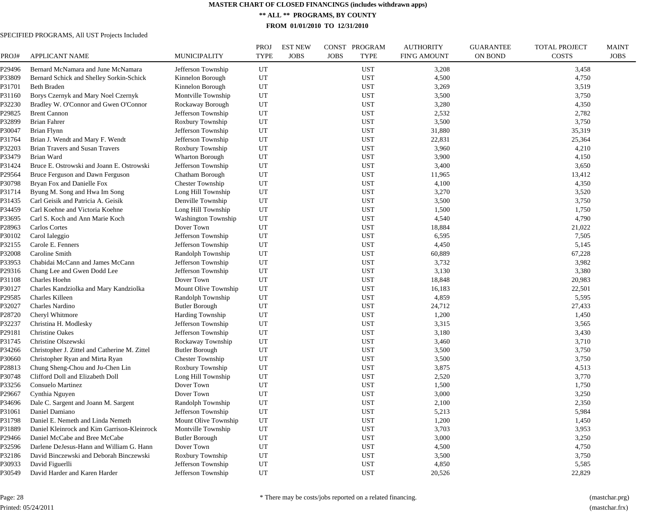**\*\* ALL \*\* PROGRAMS, BY COUNTY**

**FROM 01/01/2010 TO 12/31/2010**

| PROJ#            | <b>APPLICANT NAME</b>                                                      | <b>MUNICIPALITY</b>                    | PROJ<br><b>TYPE</b> | <b>EST NEW</b><br><b>JOBS</b> | CONST PROGRAM<br><b>JOBS</b><br><b>TYPE</b> | <b>AUTHORITY</b><br><b>FIN'G AMOUNT</b> | <b>GUARANTEE</b><br><b>ON BOND</b> | TOTAL PROJECT<br><b>COSTS</b> | <b>MAINT</b><br><b>JOBS</b> |
|------------------|----------------------------------------------------------------------------|----------------------------------------|---------------------|-------------------------------|---------------------------------------------|-----------------------------------------|------------------------------------|-------------------------------|-----------------------------|
|                  |                                                                            |                                        |                     |                               |                                             |                                         |                                    |                               |                             |
| 29496<br>?33809  | Bernard McNamara and June McNamara                                         | Jefferson Township                     | UT<br>UT            |                               | <b>UST</b><br><b>UST</b>                    | 3,208<br>4,500                          |                                    | 3,458                         |                             |
|                  | Bernard Schick and Shelley Sorkin-Schick                                   | Kinnelon Borough                       |                     |                               |                                             |                                         |                                    | 4,750                         |                             |
| P31701<br>?31160 | <b>Beth Braden</b><br>Borys Czernyk and Mary Noel Czernyk                  | Kinnelon Borough<br>Montville Township | UT<br>UT            |                               | <b>UST</b><br><b>UST</b>                    | 3,269<br>3,500                          |                                    | 3,519<br>3,750                |                             |
| P32230           | Bradley W. O'Connor and Gwen O'Connor                                      | Rockaway Borough                       | UT                  |                               | <b>UST</b>                                  | 3,280                                   |                                    | 4,350                         |                             |
| 29825            |                                                                            | Jefferson Township                     | UT                  |                               | <b>UST</b>                                  | 2,532                                   |                                    |                               |                             |
|                  | <b>Brent Cannon</b><br><b>Brian Fahrer</b>                                 |                                        | UT                  |                               | <b>UST</b>                                  | 3,500                                   |                                    | 2,782<br>3,750                |                             |
| P32899           |                                                                            | Roxbury Township                       | UT                  |                               |                                             |                                         |                                    |                               |                             |
| ?30047           | <b>Brian Flynn</b>                                                         | Jefferson Township                     | UT                  |                               | <b>UST</b>                                  | 31,880                                  |                                    | 35,319                        |                             |
| P31764<br>?32203 | Brian J. Wendt and Mary F. Wendt<br><b>Brian Travers and Susan Travers</b> | Jefferson Township<br>Roxbury Township | UT                  |                               | <b>UST</b><br><b>UST</b>                    | 22,831<br>3,960                         |                                    | 25,364<br>4,210               |                             |
| P33479           | Brian Ward                                                                 | Wharton Borough                        | UT                  |                               | <b>UST</b>                                  | 3,900                                   |                                    | 4,150                         |                             |
|                  |                                                                            |                                        |                     |                               |                                             |                                         |                                    |                               |                             |
| P31424           | Bruce E. Ostrowski and Joann E. Ostrowski                                  | Jefferson Township                     | UT                  |                               | <b>UST</b>                                  | 3,400                                   |                                    | 3,650                         |                             |
| 29564            | Bruce Ferguson and Dawn Ferguson                                           | Chatham Borough                        | UT                  |                               | <b>UST</b>                                  | 11,965                                  |                                    | 13,412                        |                             |
| ?30798           | Bryan Fox and Danielle Fox                                                 | <b>Chester Township</b>                | UT                  |                               | <b>UST</b>                                  | 4,100                                   |                                    | 4,350                         |                             |
| 231714           | Byung M. Song and Hwa Im Song                                              | Long Hill Township                     | UT                  |                               | <b>UST</b>                                  | 3,270                                   |                                    | 3,520                         |                             |
| 231435           | Carl Geisik and Patricia A. Geisik                                         | Denville Township                      | UT                  |                               | <b>UST</b>                                  | 3,500                                   |                                    | 3,750                         |                             |
| 234459           | Carl Koehne and Victoria Koehne                                            | Long Hill Township                     | UT                  |                               | <b>UST</b>                                  | 1,500                                   |                                    | 1,750                         |                             |
| ?33695           | Carl S. Koch and Ann Marie Koch                                            | <b>Washington Township</b>             | UT                  |                               | <b>UST</b>                                  | 4,540                                   |                                    | 4,790                         |                             |
| 228963           | Carlos Cortes                                                              | Dover Town                             | UT                  |                               | <b>UST</b>                                  | 18,884                                  |                                    | 21,022                        |                             |
| ?30102           | Carol Ialeggio                                                             | Jefferson Township                     | UT                  |                               | <b>UST</b>                                  | 6,595                                   |                                    | 7,505                         |                             |
| 232155           | Carole E. Fenners                                                          | Jefferson Township                     | UT                  |                               | <b>UST</b>                                  | 4,450                                   |                                    | 5,145                         |                             |
| ?32008           | Caroline Smith                                                             | Randolph Township                      | UT                  |                               | <b>UST</b>                                  | 60,889                                  |                                    | 67,228                        |                             |
| 933953           | Chabidai McCann and James McCann                                           | Jefferson Township                     | UT                  |                               | <b>UST</b>                                  | 3,732                                   |                                    | 3,982                         |                             |
| 229316           | Chang Lee and Gwen Dodd Lee                                                | Jefferson Township                     | UT                  |                               | <b>UST</b>                                  | 3,130                                   |                                    | 3,380                         |                             |
| 231108           | Charles Hoehn                                                              | Dover Town                             | UT                  |                               | <b>UST</b>                                  | 18,848                                  |                                    | 20,983                        |                             |
| ?30127           | Charles Kandziolka and Mary Kandziolka                                     | Mount Olive Township                   | UT                  |                               | <b>UST</b>                                  | 16,183                                  |                                    | 22,501                        |                             |
| 229585           | Charles Killeen                                                            | Randolph Township                      | UT                  |                               | <b>UST</b>                                  | 4,859                                   |                                    | 5,595                         |                             |
| ?32027           | Charles Nardino                                                            | <b>Butler Borough</b>                  | UT                  |                               | <b>UST</b>                                  | 24,712                                  |                                    | 27,433                        |                             |
| 28720            | Cheryl Whitmore                                                            | <b>Harding Township</b>                | UT                  |                               | <b>UST</b>                                  | 1,200                                   |                                    | 1,450                         |                             |
| ?32237           | Christina H. Modlesky                                                      | Jefferson Township                     | UT                  |                               | <b>UST</b>                                  | 3,315                                   |                                    | 3,565                         |                             |
| 229181           | <b>Christine Oakes</b>                                                     | Jefferson Township                     | UT                  |                               | <b>UST</b>                                  | 3,180                                   |                                    | 3,430                         |                             |
| P31745           | Christine Olszewski                                                        | Rockaway Township                      | UT                  |                               | <b>UST</b>                                  | 3,460                                   |                                    | 3,710                         |                             |
| ?34266           | Christopher J. Zittel and Catherine M. Zittel                              | <b>Butler Borough</b>                  | UT                  |                               | <b>UST</b>                                  | 3,500                                   |                                    | 3,750                         |                             |
| ?30660           | Christopher Ryan and Mirta Ryan                                            | <b>Chester Township</b>                | UT                  |                               | <b>UST</b>                                  | 3,500                                   |                                    | 3,750                         |                             |
| 228813           | Chung Sheng-Chou and Ju-Chen Lin                                           | Roxbury Township                       | UT                  |                               | <b>UST</b>                                  | 3,875                                   |                                    | 4,513                         |                             |
| ?30748           | Clifford Doll and Elizabeth Doll                                           | Long Hill Township                     | UT                  |                               | <b>UST</b>                                  | 2,520                                   |                                    | 3,770                         |                             |
| ?33256           | Consuelo Martinez                                                          | Dover Town                             | UT                  |                               | <b>UST</b>                                  | 1,500                                   |                                    | 1,750                         |                             |
| 29667            | Cynthia Nguyen                                                             | Dover Town                             | UT                  |                               | <b>UST</b>                                  | 3,000                                   |                                    | 3,250                         |                             |
| ?34696           | Dale C. Sargent and Joann M. Sargent                                       | Randolph Township                      | UT                  |                               | <b>UST</b>                                  | 2,100                                   |                                    | 2,350                         |                             |
| P31061           | Daniel Damiano                                                             | Jefferson Township                     | UT                  |                               | <b>UST</b>                                  | 5,213                                   |                                    | 5,984                         |                             |
| 231798           | Daniel E. Nemeth and Linda Nemeth                                          | Mount Olive Township                   | UT                  |                               | <b>UST</b>                                  | 1,200                                   |                                    | 1,450                         |                             |
| P31889           | Daniel Kleinrock and Kim Garrison-Kleinrock                                | Montville Township                     | UT                  |                               | <b>UST</b>                                  | 3,703                                   |                                    | 3,953                         |                             |
| 29466            | Daniel McCabe and Bree McCabe                                              | <b>Butler Borough</b>                  | UT                  |                               | <b>UST</b>                                  | 3,000                                   |                                    | 3,250                         |                             |
| P32596           | Darlene DeJesus-Hann and William G. Hann                                   | Dover Town                             | UT                  |                               | <b>UST</b>                                  | 4,500                                   |                                    | 4,750                         |                             |
| ?32186           | David Binczewski and Deborah Binczewski                                    | Roxbury Township                       | UT                  |                               | <b>UST</b>                                  | 3,500                                   |                                    | 3,750                         |                             |
| P30933           | David Figuerlli                                                            | Jefferson Township                     | UT                  |                               | <b>UST</b>                                  | 4,850                                   |                                    | 5,585                         |                             |
| P30549           | David Harder and Karen Harder                                              | Jefferson Township                     | UT                  |                               | <b>UST</b>                                  | 20,526                                  |                                    | 22,829                        |                             |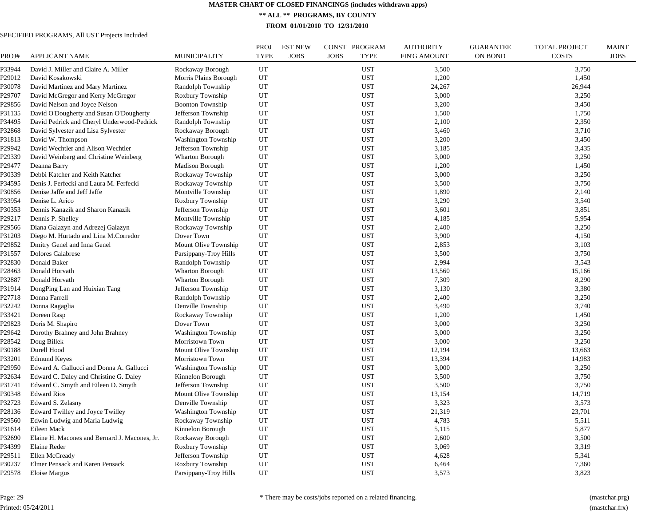**\*\* ALL \*\* PROGRAMS, BY COUNTY**

**FROM 01/01/2010 TO 12/31/2010**

| PROJ#  | <b>APPLICANT NAME</b>                         | <b>MUNICIPALITY</b>        | <b>PROJ</b><br><b>TYPE</b> | <b>EST NEW</b><br><b>JOBS</b> | CONST PROGRAM<br><b>JOBS</b><br><b>TYPE</b> | <b>AUTHORITY</b><br><b>FIN'G AMOUNT</b> | <b>GUARANTEE</b><br><b>ON BOND</b> | <b>TOTAL PROJECT</b><br><b>COSTS</b> | <b>MAINT</b><br><b>JOBS</b> |
|--------|-----------------------------------------------|----------------------------|----------------------------|-------------------------------|---------------------------------------------|-----------------------------------------|------------------------------------|--------------------------------------|-----------------------------|
| P33944 | David J. Miller and Claire A. Miller          | Rockaway Borough           | UT                         |                               | <b>UST</b>                                  | 3,500                                   |                                    | 3,750                                |                             |
| P29012 | David Kosakowski                              | Morris Plains Borough      | UT                         |                               | <b>UST</b>                                  | 1,200                                   |                                    | 1,450                                |                             |
| P30078 | David Martinez and Mary Martinez              | Randolph Township          | UT                         |                               | <b>UST</b>                                  | 24,267                                  |                                    | 26,944                               |                             |
| P29707 | David McGregor and Kerry McGregor             | Roxbury Township           | UT                         |                               | <b>UST</b>                                  | 3,000                                   |                                    | 3,250                                |                             |
| P29856 | David Nelson and Joyce Nelson                 | <b>Boonton Township</b>    | UT                         |                               | <b>UST</b>                                  | 3,200                                   |                                    | 3,450                                |                             |
| P31135 | David O'Dougherty and Susan O'Dougherty       | Jefferson Township         | UT                         |                               | <b>UST</b>                                  | 1,500                                   |                                    | 1,750                                |                             |
| P34495 | David Pedrick and Cheryl Underwood-Pedrick    | Randolph Township          | UT                         |                               | <b>UST</b>                                  | 2,100                                   |                                    | 2,350                                |                             |
| P32868 | David Sylvester and Lisa Sylvester            | Rockaway Borough           | UT                         |                               | <b>UST</b>                                  | 3,460                                   |                                    | 3,710                                |                             |
| P31813 | David W. Thompson                             | <b>Washington Township</b> | UT                         |                               | <b>UST</b>                                  | 3,200                                   |                                    | 3,450                                |                             |
| P29942 | David Wechtler and Alison Wechtler            | Jefferson Township         | UT                         |                               | <b>UST</b>                                  | 3,185                                   |                                    | 3,435                                |                             |
| P29339 | David Weinberg and Christine Weinberg         | Wharton Borough            | UT                         |                               | <b>UST</b>                                  | 3,000                                   |                                    | 3,250                                |                             |
| P29477 | Deanna Barry                                  | <b>Madison Borough</b>     | UT                         |                               | <b>UST</b>                                  | 1,200                                   |                                    | 1,450                                |                             |
| P30339 | Debbi Katcher and Keith Katcher               | Rockaway Township          | UT                         |                               | <b>UST</b>                                  | 3,000                                   |                                    | 3,250                                |                             |
| P34595 | Denis J. Ferfecki and Laura M. Ferfecki       | Rockaway Township          | UT                         |                               | <b>UST</b>                                  | 3,500                                   |                                    | 3,750                                |                             |
| P30856 | Denise Jaffe and Jeff Jaffe                   | Montville Township         | UT                         |                               | <b>UST</b>                                  | 1,890                                   |                                    | 2,140                                |                             |
| P33954 | Denise L. Arico                               | Roxbury Township           | UT                         |                               | <b>UST</b>                                  | 3,290                                   |                                    | 3,540                                |                             |
| P30353 | Dennis Kanazik and Sharon Kanazik             | Jefferson Township         | UT                         |                               | <b>UST</b>                                  | 3,601                                   |                                    | 3,851                                |                             |
| P29217 | Dennis P. Shelley                             | Montville Township         | UT                         |                               | <b>UST</b>                                  | 4,185                                   |                                    | 5,954                                |                             |
| P29566 | Diana Galazyn and Adrezej Galazyn             | Rockaway Township          | UT                         |                               | <b>UST</b>                                  | 2,400                                   |                                    | 3,250                                |                             |
| P31203 | Diego M. Hurtado and Lina M.Corredor          | Dover Town                 | UT                         |                               | <b>UST</b>                                  | 3,900                                   |                                    | 4,150                                |                             |
| P29852 | Dmitry Genel and Inna Genel                   | Mount Olive Township       | UT                         |                               | <b>UST</b>                                  | 2,853                                   |                                    | 3,103                                |                             |
|        |                                               |                            | UT                         |                               |                                             |                                         |                                    |                                      |                             |
| P31557 | Dolores Calabrese<br>Donald Baker             | Parsippany-Troy Hills      | UT                         |                               | <b>UST</b><br><b>UST</b>                    | 3,500<br>2,994                          |                                    | 3,750                                |                             |
| P32830 |                                               | Randolph Township          |                            |                               |                                             |                                         |                                    | 3,543                                |                             |
| P28463 | Donald Horvath                                | Wharton Borough            | UT                         |                               | <b>UST</b>                                  | 13,560                                  |                                    | 15,166                               |                             |
| P32887 | Donald Horvath                                | <b>Wharton Borough</b>     | UT                         |                               | <b>UST</b>                                  | 7,309                                   |                                    | 8,290                                |                             |
| P31914 | DongPing Lan and Huixian Tang                 | Jefferson Township         | UT                         |                               | <b>UST</b>                                  | 3,130                                   |                                    | 3,380                                |                             |
| P27718 | Donna Farrell                                 | Randolph Township          | UT                         |                               | <b>UST</b>                                  | 2,400                                   |                                    | 3,250                                |                             |
| P32242 | Donna Ragaglia                                | Denville Township          | UT                         |                               | <b>UST</b>                                  | 3,490                                   |                                    | 3,740                                |                             |
| P33421 | Doreen Rasp                                   | Rockaway Township          | UT                         |                               | <b>UST</b>                                  | 1,200                                   |                                    | 1,450                                |                             |
| P29823 | Doris M. Shapiro                              | Dover Town                 | UT                         |                               | <b>UST</b>                                  | 3,000                                   |                                    | 3,250                                |                             |
| P29642 | Dorothy Brahney and John Brahney              | Washington Township        | UT                         |                               | <b>UST</b>                                  | 3,000                                   |                                    | 3,250                                |                             |
| P28542 | Doug Billek                                   | Morristown Town            | UT                         |                               | <b>UST</b>                                  | 3,000                                   |                                    | 3,250                                |                             |
| P30188 | Durell Hood                                   | Mount Olive Township       | UT                         |                               | <b>UST</b>                                  | 12,194                                  |                                    | 13,663                               |                             |
| P33201 | <b>Edmund Keyes</b>                           | Morristown Town            | UT                         |                               | <b>UST</b>                                  | 13,394                                  |                                    | 14,983                               |                             |
| P29950 | Edward A. Gallucci and Donna A. Gallucci      | <b>Washington Township</b> | UT                         |                               | <b>UST</b>                                  | 3,000                                   |                                    | 3,250                                |                             |
| P32634 | Edward C. Daley and Christine G. Daley        | Kinnelon Borough           | UT                         |                               | <b>UST</b>                                  | 3,500                                   |                                    | 3,750                                |                             |
| P31741 | Edward C. Smyth and Eileen D. Smyth           | Jefferson Township         | UT                         |                               | <b>UST</b>                                  | 3,500                                   |                                    | 3,750                                |                             |
| P30348 | <b>Edward Rios</b>                            | Mount Olive Township       | UT                         |                               | <b>UST</b>                                  | 13,154                                  |                                    | 14,719                               |                             |
| P32723 | Edward S. Zelasny                             | Denville Township          | UT                         |                               | <b>UST</b>                                  | 3,323                                   |                                    | 3,573                                |                             |
| P28136 | Edward Twilley and Joyce Twilley              | <b>Washington Township</b> | UT                         |                               | <b>UST</b>                                  | 21,319                                  |                                    | 23,701                               |                             |
| P29560 | Edwin Ludwig and Maria Ludwig                 | Rockaway Township          | UT                         |                               | <b>UST</b>                                  | 4,783                                   |                                    | 5,511                                |                             |
| P31614 | Eileen Mack                                   | Kinnelon Borough           | UT                         |                               | <b>UST</b>                                  | 5,115                                   |                                    | 5,877                                |                             |
| P32690 | Elaine H. Macones and Bernard J. Macones, Jr. | Rockaway Borough           | UT                         |                               | <b>UST</b>                                  | 2,600                                   |                                    | 3,500                                |                             |
| P34399 | Elaine Reder                                  | Roxbury Township           | UT                         |                               | <b>UST</b>                                  | 3,069                                   |                                    | 3,319                                |                             |
| P29511 | Ellen McCready                                | Jefferson Township         | UT                         |                               | <b>UST</b>                                  | 4,628                                   |                                    | 5,341                                |                             |
| P30237 | Elmer Pensack and Karen Pensack               | Roxbury Township           | UT                         |                               | <b>UST</b>                                  | 6,464                                   |                                    | 7,360                                |                             |
| P29578 | Eloise Margus                                 | Parsippany-Troy Hills      | UT                         |                               | <b>UST</b>                                  | 3,573                                   |                                    | 3,823                                |                             |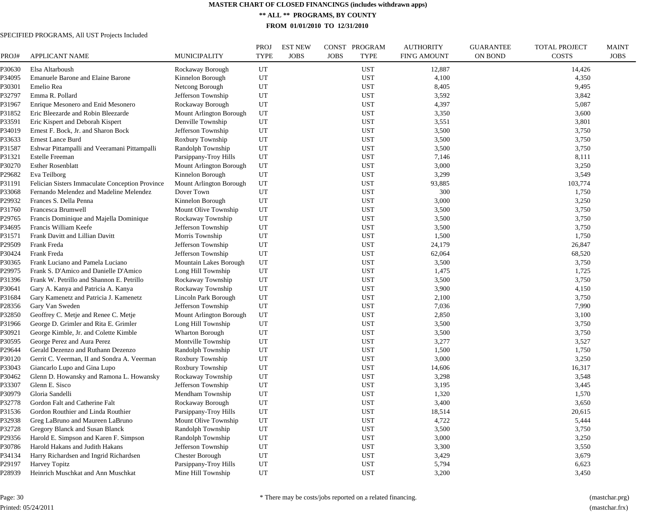**\*\* ALL \*\* PROGRAMS, BY COUNTY**

**FROM 01/01/2010 TO 12/31/2010**

| PROJ#  | <b>APPLICANT NAME</b>                           | MUNICIPALITY            | <b>PROJ</b><br><b>TYPE</b> | <b>EST NEW</b><br><b>JOBS</b> | CONST PROGRAM<br><b>JOBS</b><br><b>TYPE</b> | <b>AUTHORITY</b><br><b>FIN'G AMOUNT</b> | <b>GUARANTEE</b><br><b>ON BOND</b> | <b>TOTAL PROJECT</b><br><b>COSTS</b> | <b>MAINT</b><br><b>JOBS</b> |
|--------|-------------------------------------------------|-------------------------|----------------------------|-------------------------------|---------------------------------------------|-----------------------------------------|------------------------------------|--------------------------------------|-----------------------------|
| P30630 | Elsa Altarboush                                 | Rockaway Borough        | UT                         |                               | <b>UST</b>                                  | 12,887                                  |                                    | 14,426                               |                             |
| P34095 | <b>Emanuele Barone and Elaine Barone</b>        | Kinnelon Borough        | UT                         |                               | <b>UST</b>                                  | 4,100                                   |                                    | 4,350                                |                             |
| P30301 | Emelio Rea                                      | Netcong Borough         | UT                         |                               | <b>UST</b>                                  | 8.405                                   |                                    | 9.495                                |                             |
| P32797 | Emma R. Pollard                                 | Jefferson Township      | UT                         |                               | <b>UST</b>                                  | 3,592                                   |                                    | 3,842                                |                             |
| P31967 | Enrique Mesonero and Enid Mesonero              | Rockaway Borough        | UT                         |                               | <b>UST</b>                                  | 4,397                                   |                                    | 5,087                                |                             |
| P31852 | Eric Bleezarde and Robin Bleezarde              | Mount Arlington Borough | UT                         |                               | <b>UST</b>                                  | 3,350                                   |                                    | 3,600                                |                             |
| P33591 | Eric Kispert and Deborah Kispert                | Denville Township       | UT                         |                               | <b>UST</b>                                  | 3,551                                   |                                    | 3,801                                |                             |
| P34019 | Ernest F. Bock, Jr. and Sharon Bock             | Jefferson Township      | UT                         |                               | <b>UST</b>                                  | 3,500                                   |                                    | 3,750                                |                             |
| P33633 | Ernest Lance Burd                               | Roxbury Township        | UT                         |                               | <b>UST</b>                                  | 3,500                                   |                                    | 3,750                                |                             |
| P31587 | Eshwar Pittampalli and Veeramani Pittampalli    | Randolph Township       | UT                         |                               | <b>UST</b>                                  | 3,500                                   |                                    | 3,750                                |                             |
| P31321 | <b>Estelle Freeman</b>                          | Parsippany-Troy Hills   | UT                         |                               | <b>UST</b>                                  | 7,146                                   |                                    | 8,111                                |                             |
| P30270 | <b>Esther Rosenblatt</b>                        | Mount Arlington Borough | UT                         |                               | <b>UST</b>                                  | 3,000                                   |                                    | 3,250                                |                             |
| P29682 | Eva Teilborg                                    | Kinnelon Borough        | UT                         |                               | <b>UST</b>                                  | 3,299                                   |                                    | 3,549                                |                             |
| P31191 | Felician Sisters Immaculate Conception Province | Mount Arlington Borough | UT                         |                               | <b>UST</b>                                  | 93,885                                  |                                    | 103,774                              |                             |
| P33068 | Fernando Melendez and Madeline Melendez         | Dover Town              | UT                         |                               | <b>UST</b>                                  | 300                                     |                                    | 1,750                                |                             |
| P29932 | Frances S. Della Penna                          | Kinnelon Borough        | UT                         |                               | <b>UST</b>                                  | 3,000                                   |                                    | 3,250                                |                             |
| P31760 | Francesca Brumwell                              | Mount Olive Township    | UT                         |                               | <b>UST</b>                                  | 3,500                                   |                                    | 3,750                                |                             |
| P29765 | Francis Dominique and Majella Dominique         | Rockaway Township       | UT                         |                               | <b>UST</b>                                  | 3,500                                   |                                    | 3,750                                |                             |
| P34695 | Francis William Keefe                           | Jefferson Township      | UT                         |                               | <b>UST</b>                                  | 3,500                                   |                                    | 3,750                                |                             |
| P31571 | Frank Davitt and Lillian Davitt                 | Morris Township         | UT                         |                               | <b>UST</b>                                  | 1,500                                   |                                    | 1,750                                |                             |
| P29509 | Frank Freda                                     | Jefferson Township      | UT                         |                               | <b>UST</b>                                  | 24,179                                  |                                    | 26,847                               |                             |
| P30424 | Frank Freda                                     | Jefferson Township      | UT                         |                               | <b>UST</b>                                  | 62,064                                  |                                    | 68,520                               |                             |
| P30365 | Frank Luciano and Pamela Luciano                | Mountain Lakes Borough  | UT                         |                               | <b>UST</b>                                  | 3,500                                   |                                    | 3,750                                |                             |
| P29975 | Frank S. D'Amico and Danielle D'Amico           | Long Hill Township      | UT                         |                               | <b>UST</b>                                  | 1,475                                   |                                    | 1,725                                |                             |
| P31396 | Frank W. Petrillo and Shannon E. Petrillo       | Rockaway Township       | UT                         |                               | <b>UST</b>                                  | 3,500                                   |                                    | 3,750                                |                             |
| P30641 | Gary A. Kanya and Patricia A. Kanya             | Rockaway Township       | UT                         |                               | <b>UST</b>                                  | 3,900                                   |                                    | 4,150                                |                             |
| P31684 | Gary Kamenetz and Patricia J. Kamenetz          | Lincoln Park Borough    | UT                         |                               | <b>UST</b>                                  | 2,100                                   |                                    | 3,750                                |                             |
| P28356 | Gary Van Sweden                                 | Jefferson Township      | UT                         |                               | <b>UST</b>                                  | 7,036                                   |                                    | 7,990                                |                             |
| P32850 | Geoffrey C. Metje and Renee C. Metje            | Mount Arlington Borough | UT                         |                               | <b>UST</b>                                  | 2,850                                   |                                    | 3,100                                |                             |
| P31966 | George D. Grimler and Rita E. Grimler           | Long Hill Township      | UT                         |                               | <b>UST</b>                                  | 3,500                                   |                                    | 3,750                                |                             |
| P30921 | George Kimble, Jr. and Colette Kimble           | Wharton Borough         | UT                         |                               | UST                                         | 3,500                                   |                                    | 3,750                                |                             |
| P30595 | George Perez and Aura Perez                     | Montville Township      | UT                         |                               | <b>UST</b>                                  | 3,277                                   |                                    | 3,527                                |                             |
| P29644 | Gerald Dezenzo and Ruthann Dezenzo              | Randolph Township       | UT                         |                               | <b>UST</b>                                  | 1,500                                   |                                    | 1,750                                |                             |
| P30120 | Gerrit C. Veerman, II and Sondra A. Veerman     | Roxbury Township        | UT                         |                               | <b>UST</b>                                  | 3,000                                   |                                    | 3,250                                |                             |
| P33043 | Giancarlo Lupo and Gina Lupo                    | Roxbury Township        | UT                         |                               | <b>UST</b>                                  | 14,606                                  |                                    | 16,317                               |                             |
| P30462 | Glenn D. Howansky and Ramona L. Howansky        | Rockaway Township       | UT                         |                               | <b>UST</b>                                  | 3,298                                   |                                    | 3,548                                |                             |
| P33307 | Glenn E. Sisco                                  | Jefferson Township      | UT                         |                               | <b>UST</b>                                  | 3,195                                   |                                    | 3,445                                |                             |
| P30979 | Gloria Sandelli                                 | Mendham Township        | UT                         |                               | <b>UST</b>                                  | 1,320                                   |                                    | 1,570                                |                             |
| P32778 | Gordon Falt and Catherine Falt                  | Rockaway Borough        | UT                         |                               | <b>UST</b>                                  | 3,400                                   |                                    | 3,650                                |                             |
| P31536 | Gordon Routhier and Linda Routhier              | Parsippany-Troy Hills   | UT                         |                               | <b>UST</b>                                  | 18,514                                  |                                    | 20,615                               |                             |
| P32938 | Greg LaBruno and Maureen LaBruno                | Mount Olive Township    | UT                         |                               | <b>UST</b>                                  | 4,722                                   |                                    | 5,444                                |                             |
| P32728 | Gregory Blanck and Susan Blanck                 | Randolph Township       | UT                         |                               | <b>UST</b>                                  | 3,500                                   |                                    | 3,750                                |                             |
| P29356 | Harold E. Simpson and Karen F. Simpson          | Randolph Township       | UT                         |                               | <b>UST</b>                                  | 3,000                                   |                                    | 3,250                                |                             |
| P30786 | Harold Hakans and Judith Hakans                 | Jefferson Township      | UT                         |                               | <b>UST</b>                                  | 3,300                                   |                                    | 3,550                                |                             |
| P34134 | Harry Richardsen and Ingrid Richardsen          | <b>Chester Borough</b>  | UT                         |                               | <b>UST</b>                                  | 3,429                                   |                                    | 3,679                                |                             |
| P29197 | <b>Harvey Topitz</b>                            | Parsippany-Troy Hills   | UT                         |                               | <b>UST</b>                                  | 5,794                                   |                                    | 6,623                                |                             |
| P28939 | Heinrich Muschkat and Ann Muschkat              | Mine Hill Township      | UT                         |                               | <b>UST</b>                                  | 3,200                                   |                                    | 3,450                                |                             |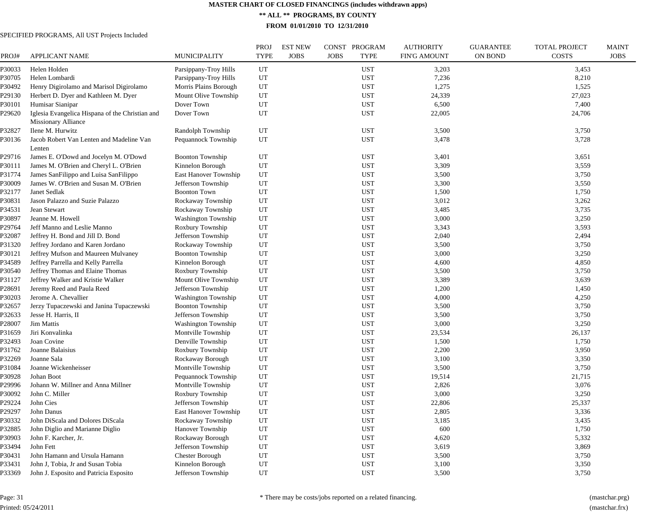**\*\* ALL \*\* PROGRAMS, BY COUNTY**

**FROM 01/01/2010 TO 12/31/2010**

# SPECIFIED PROGRAMS, All UST Projects Included

| PROJ#            | <b>APPLICANT NAME</b>                           | MUNICIPALITY               | PROJ<br><b>TYPE</b> | <b>EST NEW</b><br><b>JOBS</b> | CONST PROGRAM<br><b>JOBS</b><br><b>TYPE</b> | <b>AUTHORITY</b><br><b>FIN'G AMOUNT</b> | <b>GUARANTEE</b><br><b>ON BOND</b> | <b>TOTAL PROJECT</b><br><b>COSTS</b> | <b>MAINT</b><br><b>JOBS</b> |
|------------------|-------------------------------------------------|----------------------------|---------------------|-------------------------------|---------------------------------------------|-----------------------------------------|------------------------------------|--------------------------------------|-----------------------------|
| P30033           | Helen Holden                                    | Parsippany-Troy Hills      | UT                  |                               | <b>UST</b>                                  | 3,203                                   |                                    | 3,453                                |                             |
| P30705           | Helen Lombardi                                  | Parsippany-Troy Hills      | UT                  |                               | <b>UST</b>                                  | 7,236                                   |                                    | 8,210                                |                             |
| P30492           | Henry Digirolamo and Marisol Digirolamo         | Morris Plains Borough      | UT                  |                               | <b>UST</b>                                  | 1,275                                   |                                    | 1,525                                |                             |
| P29130           | Herbert D. Dyer and Kathleen M. Dyer            | Mount Olive Township       | UT                  |                               | <b>UST</b>                                  | 24,339                                  |                                    | 27,023                               |                             |
| P30101           | Humisar Sianipar                                | Dover Town                 | UT                  |                               | <b>UST</b>                                  | 6,500                                   |                                    | 7,400                                |                             |
| P29620           | Iglesia Evangelica Hispana of the Christian and | Dover Town                 | UT                  |                               | <b>UST</b>                                  | 22,005                                  |                                    | 24,706                               |                             |
|                  | <b>Missionary Alliance</b><br>Ilene M. Hurwitz  | Randolph Township          | UT                  |                               | <b>UST</b>                                  | 3,500                                   |                                    | 3,750                                |                             |
| P32827<br>P30136 | Jacob Robert Van Lenten and Madeline Van        |                            | UT                  |                               | <b>UST</b>                                  | 3,478                                   |                                    | 3,728                                |                             |
|                  | Lenten                                          | Pequannock Township        |                     |                               |                                             |                                         |                                    |                                      |                             |
| P29716           | James E. O'Dowd and Jocelyn M. O'Dowd           | <b>Boonton Township</b>    | UT                  |                               | <b>UST</b>                                  | 3,401                                   |                                    | 3,651                                |                             |
| P30111           | James M. O'Brien and Cheryl L. O'Brien          | Kinnelon Borough           | UT                  |                               | <b>UST</b>                                  | 3,309                                   |                                    | 3,559                                |                             |
| P31774           | James SanFilippo and Luisa SanFilippo           | East Hanover Township      | UT                  |                               | <b>UST</b>                                  | 3,500                                   |                                    | 3,750                                |                             |
| P30009           | James W. O'Brien and Susan M. O'Brien           | Jefferson Township         | UT                  |                               | <b>UST</b>                                  | 3,300                                   |                                    | 3,550                                |                             |
| P32177           | Janet Sedlak                                    | <b>Boonton Town</b>        | UT                  |                               | <b>UST</b>                                  | 1,500                                   |                                    | 1,750                                |                             |
| P30831           | Jason Palazzo and Suzie Palazzo                 | Rockaway Township          | UT                  |                               | <b>UST</b>                                  | 3,012                                   |                                    | 3,262                                |                             |
| P34531           | Jean Stewart                                    | Rockaway Township          | UT                  |                               | <b>UST</b>                                  | 3,485                                   |                                    | 3,735                                |                             |
| P30897           | Jeanne M. Howell                                | <b>Washington Township</b> | UT                  |                               | <b>UST</b>                                  | 3,000                                   |                                    | 3,250                                |                             |
| P29764           | Jeff Manno and Leslie Manno                     | Roxbury Township           | UT                  |                               | <b>UST</b>                                  | 3,343                                   |                                    | 3,593                                |                             |
| P32087           | Jeffrey H. Bond and Jill D. Bond                | Jefferson Township         | UT                  |                               | <b>UST</b>                                  | 2,040                                   |                                    | 2,494                                |                             |
| P31320           | Jeffrey Jordano and Karen Jordano               | Rockaway Township          | UT                  |                               | <b>UST</b>                                  | 3,500                                   |                                    | 3,750                                |                             |
| P30121           | Jeffrey Mufson and Maureen Mulvaney             | <b>Boonton Township</b>    | UT                  |                               | <b>UST</b>                                  | 3,000                                   |                                    | 3,250                                |                             |
| P34589           | Jeffrey Parrella and Kelly Parrella             | Kinnelon Borough           | UT                  |                               | <b>UST</b>                                  | 4,600                                   |                                    | 4,850                                |                             |
| P30540           | Jeffrey Thomas and Elaine Thomas                | Roxbury Township           | UT                  |                               | <b>UST</b>                                  | 3,500                                   |                                    | 3,750                                |                             |
| P31127           | Jeffrey Walker and Kristie Walker               | Mount Olive Township       | UT                  |                               | <b>UST</b>                                  | 3,389                                   |                                    | 3,639                                |                             |
| P28691           | Jeremy Reed and Paula Reed                      | Jefferson Township         | UT                  |                               | <b>UST</b>                                  | 1,200                                   |                                    | 1,450                                |                             |
| P30203           | Jerome A. Chevallier                            | <b>Washington Township</b> | UT                  |                               | <b>UST</b>                                  | 4,000                                   |                                    | 4,250                                |                             |
| P32657           | Jerzy Tupaczewski and Janina Tupaczewski        | <b>Boonton Township</b>    | UT                  |                               | <b>UST</b>                                  | 3,500                                   |                                    | 3,750                                |                             |
| P32633           | Jesse H. Harris, II                             | Jefferson Township         | UT                  |                               | <b>UST</b>                                  | 3,500                                   |                                    | 3,750                                |                             |
| P28007           | <b>Jim Mattis</b>                               | <b>Washington Township</b> | UT                  |                               | <b>UST</b>                                  | 3,000                                   |                                    | 3,250                                |                             |
| P31659           | Jiri Konvalinka                                 | Montville Township         | UT                  |                               | <b>UST</b>                                  | 23,534                                  |                                    | 26,137                               |                             |
| P32493           | Joan Covine                                     | Denville Township          | UT                  |                               | <b>UST</b>                                  | 1,500                                   |                                    | 1,750                                |                             |
| P31762           | Joanne Balaisius                                | Roxbury Township           | UT                  |                               | <b>UST</b>                                  | 2,200                                   |                                    | 3,950                                |                             |
| P32269           | Joanne Sala                                     | Rockaway Borough           | UT                  |                               | <b>UST</b>                                  | 3,100                                   |                                    | 3,350                                |                             |
| P31084           | Joanne Wickenheisser                            | Montville Township         | UT                  |                               | <b>UST</b>                                  | 3,500                                   |                                    | 3,750                                |                             |
| P30928           | Johan Boot                                      | Pequannock Township        | UT                  |                               | <b>UST</b>                                  | 19,514                                  |                                    | 21,715                               |                             |
| P29996           | Johann W. Millner and Anna Millner              | Montville Township         | UT                  |                               | <b>UST</b>                                  | 2,826                                   |                                    | 3,076                                |                             |
| P30092           | John C. Miller                                  | Roxbury Township           | UT                  |                               | <b>UST</b>                                  | 3,000                                   |                                    | 3,250                                |                             |
| P29224           | John Cies                                       | Jefferson Township         | UT                  |                               | <b>UST</b>                                  | 22,806                                  |                                    | 25,337                               |                             |
| P29297           | John Danus                                      | East Hanover Township      | UT                  |                               | <b>UST</b>                                  | 2,805                                   |                                    | 3,336                                |                             |
| P30332           | John DiScala and Dolores DiScala                | Rockaway Township          | UT                  |                               | <b>UST</b>                                  | 3,185                                   |                                    | 3,435                                |                             |
| P32885           | John Diglio and Marianne Diglio                 | Hanover Township           | UT                  |                               | <b>UST</b>                                  | 600                                     |                                    | 1,750                                |                             |
| P30903           | John F. Karcher, Jr.                            | Rockaway Borough           | UT                  |                               | <b>UST</b>                                  | 4,620                                   |                                    | 5,332                                |                             |
| P33494           | John Fett                                       | Jefferson Township         | UT                  |                               | <b>UST</b>                                  | 3,619                                   |                                    | 3,869                                |                             |
| P30431           | John Hamann and Ursula Hamann                   | <b>Chester Borough</b>     | UT                  |                               | <b>UST</b>                                  | 3,500                                   |                                    | 3,750                                |                             |
| P33431           | John J, Tobia, Jr and Susan Tobia               | Kinnelon Borough           | UT                  |                               | <b>UST</b>                                  | 3,100                                   |                                    | 3,350                                |                             |
| P33369           | John J. Esposito and Patricia Esposito          | Jefferson Township         | UT                  |                               | <b>UST</b>                                  | 3,500                                   |                                    | 3,750                                |                             |

Page: 31 Printed: 05/24/2011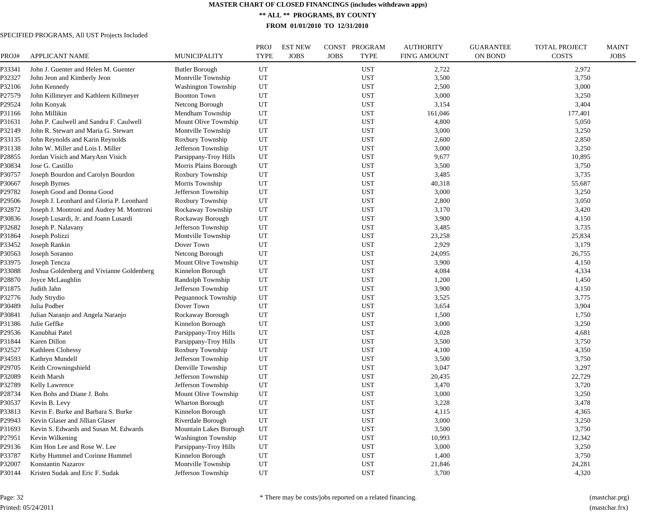**\*\* ALL \*\* PROGRAMS, BY COUNTY**

**FROM 01/01/2010 TO 12/31/2010**

| PROJ#  | <b>APPLICANT NAME</b>                     | MUNICIPALITY               | <b>PROJ</b><br><b>TYPE</b> | <b>EST NEW</b><br><b>JOBS</b> | CONST PROGRAM<br><b>JOBS</b><br><b>TYPE</b> | <b>AUTHORITY</b><br><b>FIN'G AMOUNT</b> | <b>GUARANTEE</b><br><b>ON BOND</b> | <b>TOTAL PROJECT</b><br><b>COSTS</b> | <b>MAINT</b><br><b>JOBS</b> |
|--------|-------------------------------------------|----------------------------|----------------------------|-------------------------------|---------------------------------------------|-----------------------------------------|------------------------------------|--------------------------------------|-----------------------------|
| P33341 | John J. Guenter and Helen M. Guenter      | <b>Butler Borough</b>      | UT                         |                               | <b>UST</b>                                  | 2,722                                   |                                    | 2,972                                |                             |
| P32327 | John Jeon and Kimberly Jeon               | Montville Township         | UT                         |                               | <b>UST</b>                                  | 3,500                                   |                                    | 3,750                                |                             |
| P32106 | John Kennedy                              | <b>Washington Township</b> | UT                         |                               | <b>UST</b>                                  | 2,500                                   |                                    | 3,000                                |                             |
| P27579 | John Killmeyer and Kathleen Killmeyer     | <b>Boonton Town</b>        | UT                         |                               | <b>UST</b>                                  | 3,000                                   |                                    | 3,250                                |                             |
| P29524 | John Konyak                               | Netcong Borough            | UT                         |                               | <b>UST</b>                                  | 3,154                                   |                                    | 3,404                                |                             |
| P31166 | John Millikin                             | Mendham Township           | UT                         |                               | <b>UST</b>                                  | 161,046                                 |                                    | 177,401                              |                             |
| P31631 | John P. Caulwell and Sandra F. Caulwell   | Mount Olive Township       | UT                         |                               | <b>UST</b>                                  | 4,800                                   |                                    | 5,050                                |                             |
| P32149 | John R. Stewart and Maria G. Stewart      | Montville Township         | UT                         |                               | <b>UST</b>                                  | 3,000                                   |                                    | 3,250                                |                             |
| P33135 | John Reynolds and Karin Reynolds          | Roxbury Township           | UT                         |                               | <b>UST</b>                                  | 2,600                                   |                                    | 2,850                                |                             |
| P31138 | John W. Miller and Lois I. Miller         | Jefferson Township         | UT                         |                               | <b>UST</b>                                  | 3,000                                   |                                    | 3,250                                |                             |
| P28855 | Jordan Visich and MaryAnn Visich          | Parsippany-Troy Hills      | UT                         |                               | <b>UST</b>                                  | 9,677                                   |                                    | 10,895                               |                             |
| P30834 | Jose G. Castillo                          | Morris Plains Borough      | UT                         |                               | <b>UST</b>                                  | 3,500                                   |                                    | 3,750                                |                             |
| P30757 | Joseph Bourdon and Carolyn Bourdon        | Roxbury Township           | UT                         |                               | <b>UST</b>                                  | 3,485                                   |                                    | 3,735                                |                             |
| P30667 | Joseph Byrnes                             | Morris Township            | UT                         |                               | <b>UST</b>                                  | 40,318                                  |                                    | 55,687                               |                             |
| P29782 | Joseph Good and Donna Good                | Jefferson Township         | UT                         |                               | <b>UST</b>                                  | 3,000                                   |                                    | 3,250                                |                             |
| P29506 | Joseph J. Leonhard and Gloria P. Leonhard | Roxbury Township           | UT                         |                               | <b>UST</b>                                  | 2,800                                   |                                    | 3,050                                |                             |
| P32872 | Joseph J. Montroni and Audrey M. Montroni | Rockaway Township          | UT                         |                               | <b>UST</b>                                  | 3,170                                   |                                    | 3,420                                |                             |
| P30836 | Joseph Lusardi, Jr. and Joann Lusardi     | Rockaway Borough           | UT                         |                               | <b>UST</b>                                  | 3,900                                   |                                    | 4,150                                |                             |
| P32682 | Joseph P. Nalavany                        | Jefferson Township         | UT                         |                               | <b>UST</b>                                  | 3,485                                   |                                    | 3,735                                |                             |
| P31864 | Joseph Polizzi                            | Montville Township         | UT                         |                               | <b>UST</b>                                  | 23,258                                  |                                    | 25,834                               |                             |
| P33452 | Joseph Rankin                             | Dover Town                 | UT                         |                               | <b>UST</b>                                  | 2,929                                   |                                    | 3,179                                |                             |
| P30563 | Joseph Soranno                            | Netcong Borough            | UT                         |                               | <b>UST</b>                                  | 24,095                                  |                                    | 26,755                               |                             |
| P33975 | Joseph Tencza                             | Mount Olive Township       | UT                         |                               | <b>UST</b>                                  | 3,900                                   |                                    | 4,150                                |                             |
| P33088 | Joshua Goldenberg and Vivianne Goldenberg | Kinnelon Borough           | UT                         |                               | <b>UST</b>                                  | 4,084                                   |                                    | 4,334                                |                             |
| P28870 | Joyce McLaughlin                          | Randolph Township          | UT                         |                               | <b>UST</b>                                  | 1,200                                   |                                    | 1,450                                |                             |
| P31875 | Judith Jahn                               | Jefferson Township         | UT                         |                               | <b>UST</b>                                  | 3,900                                   |                                    | 4,150                                |                             |
| P32776 | Judy Strydio                              | Pequannock Township        | UT                         |                               | <b>UST</b>                                  | 3,525                                   |                                    | 3,775                                |                             |
| P30489 | Julia Podber                              | Dover Town                 | UT                         |                               | <b>UST</b>                                  | 3,654                                   |                                    | 3,904                                |                             |
| P30841 | Julian Naranjo and Angela Naranjo         | Rockaway Borough           | UT                         |                               | <b>UST</b>                                  | 1,500                                   |                                    | 1,750                                |                             |
| P31386 | Julie Geffke                              | Kinnelon Borough           | UT                         |                               | <b>UST</b>                                  | 3,000                                   |                                    | 3,250                                |                             |
| P29536 | Kanubhai Patel                            | Parsippany-Troy Hills      | UT                         |                               | <b>UST</b>                                  | 4,028                                   |                                    | 4,681                                |                             |
| P31844 | Karen Dillon                              | Parsippany-Troy Hills      | UT                         |                               | <b>UST</b>                                  | 3,500                                   |                                    | 3,750                                |                             |
| P32527 | Kathleen Clohessy                         | Roxbury Township           | UT                         |                               | <b>UST</b>                                  | 4,100                                   |                                    | 4,350                                |                             |
| P34593 | Kathryn Mundell                           | Jefferson Township         | UT                         |                               | <b>UST</b>                                  | 3,500                                   |                                    | 3,750                                |                             |
| P29705 | Keith Crowningshield                      | Denville Township          | UT                         |                               | <b>UST</b>                                  | 3,047                                   |                                    | 3,297                                |                             |
| P32089 | Keith Marsh                               | Jefferson Township         | UT                         |                               | <b>UST</b>                                  | 20,435                                  |                                    | 22,729                               |                             |
| P32789 | Kelly Lawrence                            | Jefferson Township         | UT                         |                               | <b>UST</b>                                  | 3,470                                   |                                    | 3,720                                |                             |
| P28734 | Ken Bohs and Diane J. Bohs                | Mount Olive Township       | UT                         |                               | <b>UST</b>                                  | 3,000                                   |                                    | 3,250                                |                             |
| P30537 | Kevin B. Levy                             | Wharton Borough            | UT                         |                               | <b>UST</b>                                  | 3,228                                   |                                    | 3,478                                |                             |
| P33813 | Kevin F. Burke and Barbara S. Burke       | Kinnelon Borough           | UT                         |                               | <b>UST</b>                                  | 4,115                                   |                                    | 4,365                                |                             |
| P29943 | Kevin Glaser and Jillian Glaser           | Riverdale Borough          | UT                         |                               | <b>UST</b>                                  | 3,000                                   |                                    | 3,250                                |                             |
| P31693 | Kevin S. Edwards and Susan M. Edwards     | Mountain Lakes Borough     | UT                         |                               | <b>UST</b>                                  | 3,500                                   |                                    | 3,750                                |                             |
| P27951 | Kevin Wilkening                           | Washington Township        | UT                         |                               | UST                                         | 10,993                                  |                                    | 12,342                               |                             |
| P29136 | Kim Hon Lee and Rose W. Lee               | Parsippany-Troy Hills      | UT                         |                               | <b>UST</b>                                  | 3,000                                   |                                    | 3,250                                |                             |
| P33787 | Kirby Hummel and Corinne Hummel           | Kinnelon Borough           | UT                         |                               | <b>UST</b>                                  | 1,400                                   |                                    | 3,750                                |                             |
| P32007 | Konstantin Nazarov                        | Montville Township         | UT                         |                               | <b>UST</b>                                  | 21,846                                  |                                    | 24,281                               |                             |
| P30144 | Kristen Sudak and Eric F. Sudak           | Jefferson Township         | UT                         |                               | <b>UST</b>                                  | 3,700                                   |                                    | 4,320                                |                             |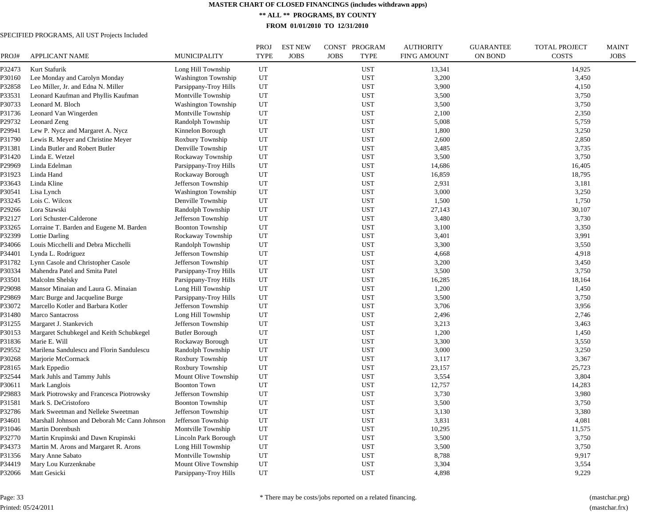**\*\* ALL \*\* PROGRAMS, BY COUNTY**

**FROM 01/01/2010 TO 12/31/2010**

| PROJ#  | <b>APPLICANT NAME</b>                                                        | <b>MUNICIPALITY</b>                        | <b>PROJ</b><br><b>TYPE</b> | <b>EST NEW</b><br><b>JOBS</b> | CONST PROGRAM<br><b>JOBS</b> | <b>TYPE</b> | <b>AUTHORITY</b><br><b>FIN'G AMOUNT</b> | <b>GUARANTEE</b><br>ON BOND | <b>TOTAL PROJECT</b><br><b>COSTS</b> | <b>MAINT</b><br><b>JOBS</b> |
|--------|------------------------------------------------------------------------------|--------------------------------------------|----------------------------|-------------------------------|------------------------------|-------------|-----------------------------------------|-----------------------------|--------------------------------------|-----------------------------|
| P32473 | Kurt Stafurik                                                                | Long Hill Township                         | UT                         |                               |                              | <b>UST</b>  | 13,341                                  |                             | 14,925                               |                             |
| P30160 | Lee Monday and Carolyn Monday                                                | <b>Washington Township</b>                 | UT                         |                               |                              | <b>UST</b>  | 3,200                                   |                             | 3,450                                |                             |
| P32858 | Leo Miller, Jr. and Edna N. Miller                                           | Parsippany-Troy Hills                      | UT                         |                               |                              | <b>UST</b>  | 3,900                                   |                             | 4,150                                |                             |
| P33531 | Leonard Kaufman and Phyllis Kaufman                                          | Montville Township                         | UT                         |                               |                              | <b>UST</b>  | 3,500                                   |                             | 3,750                                |                             |
| P30733 | Leonard M. Bloch                                                             | <b>Washington Township</b>                 | UT                         |                               |                              | <b>UST</b>  | 3,500                                   |                             | 3,750                                |                             |
| P31736 | Leonard Van Wingerden                                                        | Montville Township                         | UT                         |                               |                              | <b>UST</b>  | 2,100                                   |                             | 2,350                                |                             |
| P29732 | Leonard Zeng                                                                 | Randolph Township                          | UT                         |                               |                              | <b>UST</b>  | 5,008                                   |                             | 5,759                                |                             |
| P29941 | Lew P. Nycz and Margaret A. Nycz                                             | Kinnelon Borough                           | UT                         |                               |                              | <b>UST</b>  | 1,800                                   |                             | 3,250                                |                             |
| P31790 | Lewis R. Meyer and Christine Meyer                                           | Roxbury Township                           | UT                         |                               |                              | <b>UST</b>  | 2,600                                   |                             | 2,850                                |                             |
| P31381 | Linda Butler and Robert Butler                                               | Denville Township                          | UT                         |                               |                              | <b>UST</b>  | 3,485                                   |                             | 3,735                                |                             |
| P31420 | Linda E. Wetzel                                                              | Rockaway Township                          | UT                         |                               |                              | <b>UST</b>  | 3,500                                   |                             | 3,750                                |                             |
| P29969 | Linda Edelman                                                                | Parsippany-Troy Hills                      | UT                         |                               |                              | <b>UST</b>  | 14,686                                  |                             | 16,405                               |                             |
| P31923 | Linda Hand                                                                   | Rockaway Borough                           | UT                         |                               |                              | <b>UST</b>  | 16,859                                  |                             | 18,795                               |                             |
| P33643 | Linda Kline                                                                  | Jefferson Township                         | UT                         |                               |                              | <b>UST</b>  | 2,931                                   |                             | 3,181                                |                             |
| P30541 | Lisa Lynch                                                                   | <b>Washington Township</b>                 | UT                         |                               |                              | <b>UST</b>  | 3,000                                   |                             | 3,250                                |                             |
| P33245 | Lois C. Wilcox                                                               | Denville Township                          | UT                         |                               |                              | <b>UST</b>  | 1,500                                   |                             | 1,750                                |                             |
| P29266 | Lora Stawski                                                                 | Randolph Township                          | UT                         |                               |                              | <b>UST</b>  | 27,143                                  |                             | 30,107                               |                             |
| P32127 | Lori Schuster-Calderone                                                      | Jefferson Township                         | UT                         |                               |                              | <b>UST</b>  | 3,480                                   |                             | 3,730                                |                             |
| P33265 | Lorraine T. Barden and Eugene M. Barden                                      | <b>Boonton Township</b>                    | UT                         |                               |                              | <b>UST</b>  | 3,100                                   |                             | 3,350                                |                             |
| P32399 | Lottie Darling                                                               | Rockaway Township                          | UT                         |                               |                              | <b>UST</b>  | 3,401                                   |                             | 3,991                                |                             |
| P34066 | Louis Micchelli and Debra Micchelli                                          | Randolph Township                          | UT                         |                               |                              | <b>UST</b>  | 3,300                                   |                             | 3,550                                |                             |
| P34401 | Lynda L. Rodriguez                                                           | Jefferson Township                         | UT                         |                               |                              | <b>UST</b>  | 4,668                                   |                             | 4,918                                |                             |
| P31782 | Lynn Casole and Christopher Casole                                           | Jefferson Township                         | UT                         |                               |                              | <b>UST</b>  | 3,200                                   |                             | 3,450                                |                             |
| P30334 | Mahendra Patel and Smita Patel                                               | Parsippany-Troy Hills                      | UT                         |                               |                              | <b>UST</b>  | 3,500                                   |                             | 3,750                                |                             |
| P33501 | Malcolm Shelsky                                                              | Parsippany-Troy Hills                      | UT                         |                               |                              | <b>UST</b>  | 16,285                                  |                             | 18,164                               |                             |
| P29098 | Mansor Minaian and Laura G. Minaian                                          | Long Hill Township                         | UT                         |                               |                              | <b>UST</b>  | 1,200                                   |                             | 1,450                                |                             |
| P29869 | Marc Burge and Jacqueline Burge                                              | Parsippany-Troy Hills                      | UT                         |                               |                              | <b>UST</b>  | 3,500                                   |                             | 3,750                                |                             |
| P33072 | Marcello Kotler and Barbara Kotler                                           | Jefferson Township                         | UT                         |                               |                              | <b>UST</b>  | 3,706                                   |                             | 3,956                                |                             |
| P31480 | Marco Santacross                                                             | Long Hill Township                         | UT                         |                               |                              | <b>UST</b>  | 2,496                                   |                             | 2,746                                |                             |
| P31255 | Margaret J. Stankevich                                                       | Jefferson Township                         | UT                         |                               |                              | <b>UST</b>  | 3,213                                   |                             | 3,463                                |                             |
| P30153 | Margaret Schubkegel and Keith Schubkegel                                     | <b>Butler Borough</b>                      | UT                         |                               |                              | <b>UST</b>  | 1,200                                   |                             | 1,450                                |                             |
| P31836 | Marie E. Will                                                                | Rockaway Borough                           | UT                         |                               |                              | <b>UST</b>  | 3,300                                   |                             | 3,550                                |                             |
| P29552 | Marilena Sandulescu and Florin Sandulescu                                    | Randolph Township                          | UT                         |                               |                              | <b>UST</b>  | 3,000                                   |                             | 3,250                                |                             |
| P30268 | Marjorie McCormack                                                           | Roxbury Township                           | UT                         |                               |                              | <b>UST</b>  | 3,117                                   |                             | 3,367                                |                             |
| P28165 | Mark Eppedio                                                                 | Roxbury Township                           | UT                         |                               |                              | <b>UST</b>  | 23,157                                  |                             | 25,723                               |                             |
| P32544 | Mark Juhls and Tammy Juhls                                                   | Mount Olive Township                       | UT                         |                               |                              | <b>UST</b>  | 3,554                                   |                             | 3,804                                |                             |
| P30611 | Mark Langlois                                                                | <b>Boonton Town</b>                        | UT                         |                               |                              | <b>UST</b>  | 12,757                                  |                             | 14,283                               |                             |
| P29883 | Mark Piotrowsky and Francesca Piotrowsky                                     | Jefferson Township                         | UT                         |                               |                              | <b>UST</b>  | 3,730                                   |                             | 3,980                                |                             |
| P31581 | Mark S. DeCristoforo                                                         | <b>Boonton Township</b>                    | UT                         |                               |                              | <b>UST</b>  | 3,500                                   |                             | 3,750                                |                             |
| P32786 | Mark Sweetman and Nelleke Sweetman                                           | Jefferson Township                         | UT                         |                               |                              | <b>UST</b>  | 3,130                                   |                             | 3,380                                |                             |
| P34601 | Marshall Johnson and Deborah Mc Cann Johnson                                 | Jefferson Township                         | UT                         |                               |                              | <b>UST</b>  | 3,831                                   |                             | 4,081                                |                             |
| P31046 | Martin Dorenbush                                                             | Montville Township                         | UT                         |                               |                              | <b>UST</b>  | 10,295                                  |                             | 11,575                               |                             |
| P32770 |                                                                              |                                            | UT                         |                               |                              | <b>UST</b>  | 3,500                                   |                             |                                      |                             |
| P34373 | Martin Krupinski and Dawn Krupinski<br>Martin M. Arons and Margaret R. Arons | Lincoln Park Borough<br>Long Hill Township | UT                         |                               |                              | <b>UST</b>  | 3,500                                   |                             | 3,750<br>3,750                       |                             |
|        |                                                                              |                                            | UT                         |                               |                              | <b>UST</b>  |                                         |                             |                                      |                             |
| P31356 | Mary Anne Sabato                                                             | Montville Township                         |                            |                               |                              |             | 8,788                                   |                             | 9,917                                |                             |
| P34419 | Mary Lou Kurzenknabe                                                         | Mount Olive Township                       | UT                         |                               |                              | <b>UST</b>  | 3,304                                   |                             | 3,554                                |                             |
| P32066 | Matt Gesicki                                                                 | Parsippany-Troy Hills                      | UT                         |                               |                              | <b>UST</b>  | 4,898                                   |                             | 9,229                                |                             |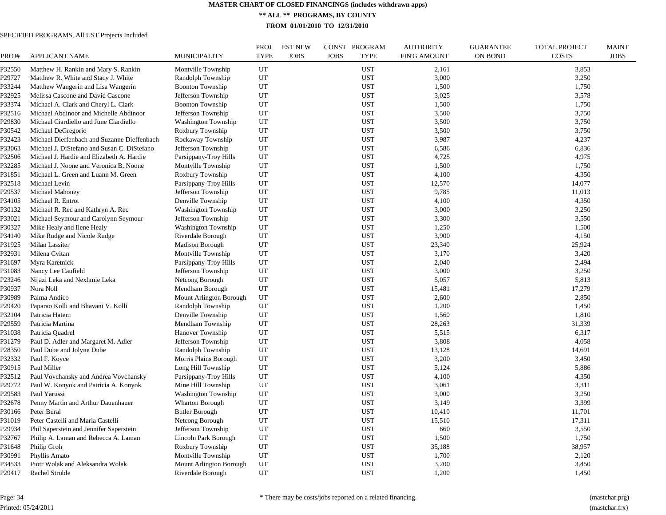**\*\* ALL \*\* PROGRAMS, BY COUNTY**

**FROM 01/01/2010 TO 12/31/2010**

# SPECIFIED PROGRAMS, All UST Projects Included

| PROJ#  | <b>APPLICANT NAME</b>                       | MUNICIPALITY               | <b>PROJ</b><br><b>TYPE</b> | <b>EST NEW</b><br><b>JOBS</b> | CONST PROGRAM<br><b>JOBS</b><br><b>TYPE</b> | <b>AUTHORITY</b><br><b>FIN'G AMOUNT</b> | <b>GUARANTEE</b><br><b>ON BOND</b> | <b>TOTAL PROJECT</b><br><b>COSTS</b> | <b>MAINT</b><br><b>JOBS</b> |
|--------|---------------------------------------------|----------------------------|----------------------------|-------------------------------|---------------------------------------------|-----------------------------------------|------------------------------------|--------------------------------------|-----------------------------|
| P32550 | Matthew H. Rankin and Mary S. Rankin        | Montville Township         | UT                         |                               | <b>UST</b>                                  | 2,161                                   |                                    | 3,853                                |                             |
| P29727 | Matthew R. White and Stacy J. White         | Randolph Township          | UT                         |                               | <b>UST</b>                                  | 3,000                                   |                                    | 3,250                                |                             |
| P33244 | Matthew Wangerin and Lisa Wangerin          | <b>Boonton Township</b>    | UT                         |                               | <b>UST</b>                                  | 1,500                                   |                                    | 1,750                                |                             |
| P32925 | Melissa Cascone and David Cascone           | Jefferson Township         | UT                         |                               | <b>UST</b>                                  | 3,025                                   |                                    | 3,578                                |                             |
| P33374 | Michael A. Clark and Cheryl L. Clark        | <b>Boonton Township</b>    | UT                         |                               | <b>UST</b>                                  | 1,500                                   |                                    | 1,750                                |                             |
| P32516 | Michael Abdinoor and Michelle Abdinoor      | Jefferson Township         | UT                         |                               | <b>UST</b>                                  | 3,500                                   |                                    | 3,750                                |                             |
| P29830 | Michael Ciardiello and June Ciardiello      | <b>Washington Township</b> | UT                         |                               | <b>UST</b>                                  | 3,500                                   |                                    | 3,750                                |                             |
| P30542 | Michael DeGregorio                          | Roxbury Township           | UT                         |                               | <b>UST</b>                                  | 3,500                                   |                                    | 3,750                                |                             |
| P32423 | Michael Dieffenbach and Suzanne Dieffenbach | Rockaway Township          | UT                         |                               | <b>UST</b>                                  | 3,987                                   |                                    | 4,237                                |                             |
| P33063 | Michael J. DiStefano and Susan C. DiStefano | Jefferson Township         | UT                         |                               | <b>UST</b>                                  | 6,586                                   |                                    | 6,836                                |                             |
| P32506 | Michael J. Hardie and Elizabeth A. Hardie   | Parsippany-Troy Hills      | UT                         |                               | <b>UST</b>                                  | 4,725                                   |                                    | 4,975                                |                             |
| P32285 | Michael J. Noone and Veronica B. Noone      | Montville Township         | UT                         |                               | <b>UST</b>                                  | 1,500                                   |                                    | 1,750                                |                             |
| P31851 | Michael L. Green and Luann M. Green         | Roxbury Township           | UT                         |                               | <b>UST</b>                                  | 4,100                                   |                                    | 4,350                                |                             |
| P32518 | Michael Levin                               | Parsippany-Troy Hills      | UT                         |                               | <b>UST</b>                                  | 12,570                                  |                                    | 14,077                               |                             |
| P29537 | Michael Mahoney                             | Jefferson Township         | UT                         |                               | <b>UST</b>                                  | 9,785                                   |                                    | 11,013                               |                             |
| P34105 | Michael R. Entrot                           | Denville Township          | UT                         |                               | <b>UST</b>                                  | 4,100                                   |                                    | 4,350                                |                             |
| P30132 | Michael R. Rec and Kathryn A. Rec           | <b>Washington Township</b> | UT                         |                               | <b>UST</b>                                  | 3,000                                   |                                    | 3,250                                |                             |
| P33021 | Michael Seymour and Carolynn Seymour        | Jefferson Township         | UT                         |                               | <b>UST</b>                                  | 3,300                                   |                                    | 3,550                                |                             |
| P30327 | Mike Healy and Ilene Healy                  | <b>Washington Township</b> | UT                         |                               | <b>UST</b>                                  | 1,250                                   |                                    | 1,500                                |                             |
| P34140 | Mike Rudge and Nicole Rudge                 | Riverdale Borough          | UT                         |                               | <b>UST</b>                                  | 3,900                                   |                                    | 4,150                                |                             |
| P31925 | Milan Lassiter                              | <b>Madison Borough</b>     | UT                         |                               | <b>UST</b>                                  | 23,340                                  |                                    | 25,924                               |                             |
| P32931 | Milena Cvitan                               | Montville Township         | UT                         |                               | <b>UST</b>                                  | 3,170                                   |                                    | 3,420                                |                             |
| P31697 | Myra Karetnick                              | Parsippany-Troy Hills      | UT                         |                               | <b>UST</b>                                  | 2,040                                   |                                    | 2,494                                |                             |
| P31083 | Nancy Lee Caufield                          | Jefferson Township         | UT                         |                               | <b>UST</b>                                  | 3,000                                   |                                    | 3,250                                |                             |
| P23246 | Nijazi Leka and Nexhmie Leka                | Netcong Borough            | UT                         |                               | <b>UST</b>                                  | 5,057                                   |                                    | 5,813                                |                             |
| P30937 | Nora Noll                                   | Mendham Borough            | UT                         |                               | <b>UST</b>                                  | 15,481                                  |                                    | 17,279                               |                             |
| P30989 | Palma Andico                                | Mount Arlington Borough    | UT                         |                               | <b>UST</b>                                  | 2,600                                   |                                    | 2,850                                |                             |
| P29420 | Paparao Kolli and Bhavani V. Kolli          | Randolph Township          | UT                         |                               | <b>UST</b>                                  | 1,200                                   |                                    | 1,450                                |                             |
| P32104 | Patricia Hatem                              | Denville Township          | UT                         |                               | <b>UST</b>                                  | 1,560                                   |                                    | 1,810                                |                             |
| P29559 | Patricia Martina                            | Mendham Township           | UT                         |                               | <b>UST</b>                                  | 28,263                                  |                                    | 31,339                               |                             |
| P31038 | Patricia Quadrel                            | Hanover Township           | UT                         |                               | <b>UST</b>                                  | 5,515                                   |                                    | 6,317                                |                             |
| P31279 | Paul D. Adler and Margaret M. Adler         | Jefferson Township         | UT                         |                               | <b>UST</b>                                  | 3,808                                   |                                    | 4,058                                |                             |
| P28350 | Paul Dube and Jolyne Dube                   | Randolph Township          | UT                         |                               | <b>UST</b>                                  | 13,128                                  |                                    | 14,691                               |                             |
| P32332 | Paul F. Koyce                               | Morris Plains Borough      | UT                         |                               | <b>UST</b>                                  | 3,200                                   |                                    | 3,450                                |                             |
| P30915 | Paul Miller                                 | Long Hill Township         | UT                         |                               | <b>UST</b>                                  | 5,124                                   |                                    | 5,886                                |                             |
| P32512 | Paul Vovchansky and Andrea Vovchansky       | Parsippany-Troy Hills      | UT                         |                               | <b>UST</b>                                  | 4,100                                   |                                    | 4,350                                |                             |
| P29772 | Paul W. Konyok and Patricia A. Konyok       | Mine Hill Township         | UT                         |                               | <b>UST</b>                                  | 3,061                                   |                                    | 3,311                                |                             |
| P29583 | Paul Yarussi                                | <b>Washington Township</b> | UT                         |                               | <b>UST</b>                                  | 3,000                                   |                                    | 3,250                                |                             |
| P32678 | Penny Martin and Arthur Dauenhauer          | Wharton Borough            | UT                         |                               | <b>UST</b>                                  | 3,149                                   |                                    | 3,399                                |                             |
| P30166 | Peter Bural                                 | <b>Butler Borough</b>      | UT                         |                               | <b>UST</b>                                  | 10,410                                  |                                    | 11,701                               |                             |
| P31019 | Peter Castelli and Maria Castelli           | Netcong Borough            | UT                         |                               | <b>UST</b>                                  | 15,510                                  |                                    | 17,311                               |                             |
| P29934 | Phil Saperstein and Jennifer Saperstein     | Jefferson Township         | UT                         |                               | <b>UST</b>                                  | 660                                     |                                    | 3,550                                |                             |
| P32767 | Philip A. Laman and Rebecca A. Laman        | Lincoln Park Borough       | UT                         |                               | <b>UST</b>                                  | 1,500                                   |                                    | 1,750                                |                             |
| P31648 | Philip Groh                                 | Roxbury Township           | UT                         |                               | <b>UST</b>                                  | 35,188                                  |                                    | 38,957                               |                             |
| P30991 | Phyllis Amato                               | Montville Township         | UT                         |                               | <b>UST</b>                                  | 1,700                                   |                                    | 2,120                                |                             |
| P34533 | Piotr Wolak and Aleksandra Wolak            | Mount Arlington Borough    | UT                         |                               | <b>UST</b>                                  | 3,200                                   |                                    | 3,450                                |                             |
| P29417 | Rachel Struble                              | Riverdale Borough          | UT                         |                               | <b>UST</b>                                  | 1,200                                   |                                    | 1,450                                |                             |
|        |                                             |                            |                            |                               |                                             |                                         |                                    |                                      |                             |

Page: 34 Printed: 05/24/2011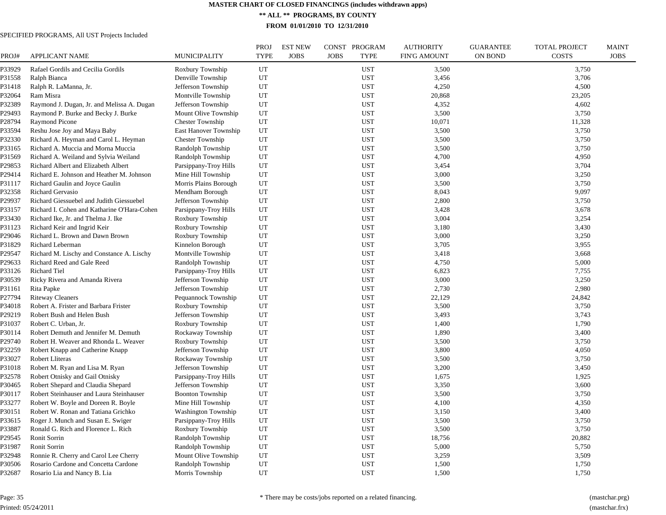**\*\* ALL \*\* PROGRAMS, BY COUNTY**

**FROM 01/01/2010 TO 12/31/2010**

| PROJ#  | <b>APPLICANT NAME</b>                       | MUNICIPALITY               | <b>PROJ</b><br><b>TYPE</b> | <b>EST NEW</b><br><b>JOBS</b> | CONST PROGRAM<br><b>JOBS</b><br><b>TYPE</b> | <b>AUTHORITY</b><br><b>FIN'G AMOUNT</b> | <b>GUARANTEE</b><br><b>ON BOND</b> | <b>TOTAL PROJECT</b><br><b>COSTS</b> | <b>MAINT</b><br><b>JOBS</b> |
|--------|---------------------------------------------|----------------------------|----------------------------|-------------------------------|---------------------------------------------|-----------------------------------------|------------------------------------|--------------------------------------|-----------------------------|
| P33929 | Rafael Gordils and Cecilia Gordils          | Roxbury Township           | UT                         |                               | <b>UST</b>                                  | 3,500                                   |                                    | 3,750                                |                             |
| P31558 | Ralph Bianca                                | Denville Township          | UT                         |                               | <b>UST</b>                                  | 3,456                                   |                                    | 3,706                                |                             |
| P31418 | Ralph R. LaManna, Jr.                       | Jefferson Township         | UT                         |                               | <b>UST</b>                                  | 4,250                                   |                                    | 4,500                                |                             |
| P32064 | Ram Misra                                   | Montville Township         | UT                         |                               | <b>UST</b>                                  | 20,868                                  |                                    | 23,205                               |                             |
| P32389 | Raymond J. Dugan, Jr. and Melissa A. Dugan  | Jefferson Township         | UT                         |                               | <b>UST</b>                                  | 4,352                                   |                                    | 4,602                                |                             |
| P29493 | Raymond P. Burke and Becky J. Burke         | Mount Olive Township       | UT                         |                               | <b>UST</b>                                  | 3,500                                   |                                    | 3,750                                |                             |
| P28794 | Raymond Picone                              | <b>Chester Township</b>    | UT                         |                               | <b>UST</b>                                  | 10,071                                  |                                    | 11,328                               |                             |
| P33594 | Reshu Jose Joy and Maya Baby                | East Hanover Township      | UT                         |                               | <b>UST</b>                                  | 3,500                                   |                                    | 3,750                                |                             |
| P32330 | Richard A. Heyman and Carol L. Heyman       | <b>Chester Township</b>    | UT                         |                               | <b>UST</b>                                  | 3,500                                   |                                    | 3,750                                |                             |
| P33165 | Richard A. Muccia and Morna Muccia          | Randolph Township          | UT                         |                               | <b>UST</b>                                  | 3,500                                   |                                    | 3,750                                |                             |
| P31569 | Richard A. Weiland and Sylvia Weiland       | Randolph Township          | UT                         |                               | UST                                         | 4,700                                   |                                    | 4,950                                |                             |
| P29853 | Richard Albert and Elizabeth Albert         | Parsippany-Troy Hills      | UT                         |                               | <b>UST</b>                                  | 3,454                                   |                                    | 3,704                                |                             |
| P29414 | Richard E. Johnson and Heather M. Johnson   | Mine Hill Township         | UT                         |                               | <b>UST</b>                                  | 3,000                                   |                                    | 3,250                                |                             |
| P31117 | Richard Gaulin and Joyce Gaulin             | Morris Plains Borough      | UT                         |                               | <b>UST</b>                                  | 3,500                                   |                                    | 3,750                                |                             |
| P32358 | Richard Gervasio                            | Mendham Borough            | UT                         |                               | <b>UST</b>                                  | 8,043                                   |                                    | 9,097                                |                             |
| P29937 | Richard Giessuebel and Judith Giessuebel    | Jefferson Township         | UT                         |                               | <b>UST</b>                                  | 2,800                                   |                                    | 3,750                                |                             |
| P33157 | Richard I. Cohen and Katharine O'Hara-Cohen | Parsippany-Troy Hills      | UT                         |                               | <b>UST</b>                                  | 3,428                                   |                                    | 3,678                                |                             |
| P33430 | Richard Ike, Jr. and Thelma J. Ike          | Roxbury Township           | UT                         |                               | <b>UST</b>                                  | 3,004                                   |                                    | 3,254                                |                             |
| P31123 | Richard Keir and Ingrid Keir                | Roxbury Township           | UT                         |                               | <b>UST</b>                                  | 3,180                                   |                                    | 3,430                                |                             |
| P29046 | Richard L. Brown and Dawn Brown             | Roxbury Township           | UT                         |                               | <b>UST</b>                                  | 3,000                                   |                                    | 3,250                                |                             |
| P31829 | Richard Leberman                            | Kinnelon Borough           | UT                         |                               | <b>UST</b>                                  | 3,705                                   |                                    | 3,955                                |                             |
| P29547 | Richard M. Lischy and Constance A. Lischy   | Montville Township         | UT                         |                               | <b>UST</b>                                  | 3,418                                   |                                    | 3,668                                |                             |
| P29633 | Richard Reed and Gale Reed                  | Randolph Township          | UT                         |                               | <b>UST</b>                                  | 4,750                                   |                                    | 5,000                                |                             |
| P33126 | Richard Tiel                                | Parsippany-Troy Hills      | UT                         |                               | <b>UST</b>                                  | 6,823                                   |                                    | 7,755                                |                             |
| P30539 | Ricky Rivera and Amanda Rivera              | Jefferson Township         | UT                         |                               | <b>UST</b>                                  | 3,000                                   |                                    | 3,250                                |                             |
| P31161 | Rita Papke                                  | Jefferson Township         | UT                         |                               | <b>UST</b>                                  | 2,730                                   |                                    | 2,980                                |                             |
| P27794 | <b>Riteway Cleaners</b>                     | Pequannock Township        | UT                         |                               | <b>UST</b>                                  | 22,129                                  |                                    | 24,842                               |                             |
| P34018 | Robert A. Frister and Barbara Frister       | Roxbury Township           | UT                         |                               | UST                                         | 3,500                                   |                                    | 3,750                                |                             |
| P29219 | Robert Bush and Helen Bush                  | Jefferson Township         | UT                         |                               | <b>UST</b>                                  | 3,493                                   |                                    | 3,743                                |                             |
| P31037 | Robert C. Urban, Jr.                        | Roxbury Township           | UT                         |                               | <b>UST</b>                                  | 1,400                                   |                                    | 1,790                                |                             |
| P30114 | Robert Demuth and Jennifer M. Demuth        | Rockaway Township          | UT                         |                               | UST                                         | 1,890                                   |                                    | 3,400                                |                             |
| P29740 | Robert H. Weaver and Rhonda L. Weaver       | Roxbury Township           | UT                         |                               | <b>UST</b>                                  | 3,500                                   |                                    | 3,750                                |                             |
| P32259 | Robert Knapp and Catherine Knapp            | Jefferson Township         | UT                         |                               | <b>UST</b>                                  | 3,800                                   |                                    | 4,050                                |                             |
| P33027 | <b>Robert Lliteras</b>                      | Rockaway Township          | UT                         |                               | <b>UST</b>                                  | 3,500                                   |                                    | 3,750                                |                             |
| P31018 | Robert M. Ryan and Lisa M. Ryan             | Jefferson Township         | UT                         |                               | <b>UST</b>                                  | 3,200                                   |                                    | 3,450                                |                             |
| P32578 | Robert Otnisky and Gail Otnisky             | Parsippany-Troy Hills      | UT                         |                               | <b>UST</b>                                  | 1,675                                   |                                    | 1,925                                |                             |
| P30465 | Robert Shepard and Claudia Shepard          | Jefferson Township         | UT                         |                               | <b>UST</b>                                  | 3,350                                   |                                    | 3,600                                |                             |
| P30117 | Robert Steinhauser and Laura Steinhauser    | <b>Boonton Township</b>    | UT                         |                               | <b>UST</b>                                  | 3,500                                   |                                    | 3,750                                |                             |
| P33277 | Robert W. Boyle and Doreen R. Boyle         | Mine Hill Township         | UT                         |                               | <b>UST</b>                                  | 4,100                                   |                                    | 4,350                                |                             |
| P30151 | Robert W. Ronan and Tatiana Grichko         | <b>Washington Township</b> | UT                         |                               | <b>UST</b>                                  | 3,150                                   |                                    | 3,400                                |                             |
| P33615 | Roger J. Munch and Susan E. Swiger          | Parsippany-Troy Hills      | UT                         |                               | UST                                         | 3,500                                   |                                    | 3,750                                |                             |
| P33887 | Ronald G. Rich and Florence L. Rich         | Roxbury Township           | UT                         |                               | <b>UST</b>                                  | 3,500                                   |                                    | 3,750                                |                             |
| P29545 | Ronit Sorrin                                | Randolph Township          | UT                         |                               | <b>UST</b>                                  | 18,756                                  |                                    | 20,882                               |                             |
| P31987 | Ronit Sorrin                                | Randolph Township          | UT                         |                               | <b>UST</b>                                  | 5,000                                   |                                    | 5,750                                |                             |
| P32948 | Ronnie R. Cherry and Carol Lee Cherry       | Mount Olive Township       | UT                         |                               | <b>UST</b>                                  | 3,259                                   |                                    | 3,509                                |                             |
| P30506 | Rosario Cardone and Concetta Cardone        | Randolph Township          | UT                         |                               | <b>UST</b>                                  | 1,500                                   |                                    | 1,750                                |                             |
| P32687 | Rosario Lia and Nancy B. Lia                | Morris Township            | UT                         |                               | <b>UST</b>                                  | 1,500                                   |                                    | 1,750                                |                             |
|        |                                             |                            |                            |                               |                                             |                                         |                                    |                                      |                             |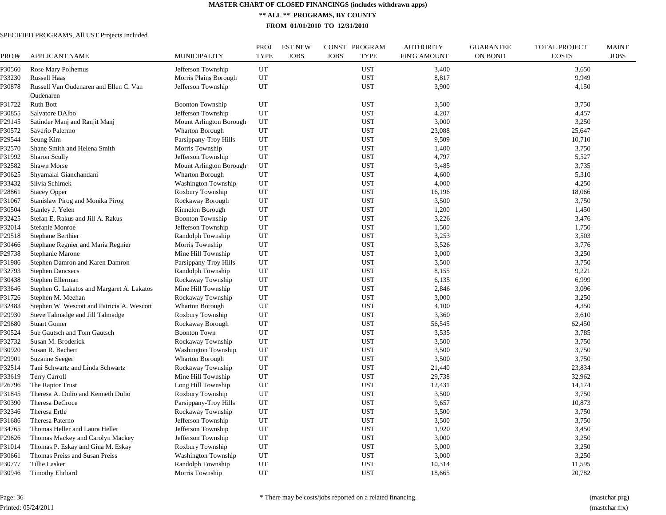**\*\* ALL \*\* PROGRAMS, BY COUNTY**

**FROM 01/01/2010 TO 12/31/2010**

| PROJ#              | <b>APPLICANT NAME</b>                      | <b>MUNICIPALITY</b>        | PROJ<br><b>TYPE</b> | <b>EST NEW</b><br><b>JOBS</b> | CONST PROGRAM<br><b>JOBS</b><br><b>TYPE</b> | <b>AUTHORITY</b><br><b>FIN'G AMOUNT</b> | <b>GUARANTEE</b><br><b>ON BOND</b> | <b>TOTAL PROJECT</b><br><b>COSTS</b> | <b>MAINT</b><br><b>JOBS</b> |
|--------------------|--------------------------------------------|----------------------------|---------------------|-------------------------------|---------------------------------------------|-----------------------------------------|------------------------------------|--------------------------------------|-----------------------------|
| P30560             | Rose Mary Polhemus                         | Jefferson Township         | UT                  |                               | <b>UST</b>                                  | 3,400                                   |                                    | 3,650                                |                             |
| P33230             | Russell Haas                               | Morris Plains Borough      | UT                  |                               | <b>UST</b>                                  | 8,817                                   |                                    | 9,949                                |                             |
| P30878             | Russell Van Oudenaren and Ellen C. Van     | Jefferson Township         | UT                  |                               | <b>UST</b>                                  | 3,900                                   |                                    | 4,150                                |                             |
|                    | Oudenaren                                  |                            |                     |                               |                                             |                                         |                                    |                                      |                             |
| P31722             | <b>Ruth Bott</b>                           | <b>Boonton Township</b>    | UT                  |                               | <b>UST</b>                                  | 3,500                                   |                                    | 3,750                                |                             |
| P30855             | Salvatore DAlbo                            | Jefferson Township         | UT                  |                               | <b>UST</b>                                  | 4,207                                   |                                    | 4,457                                |                             |
| P29145             | Satinder Manj and Ranjit Manj              | Mount Arlington Borough    | UT                  |                               | <b>UST</b>                                  | 3,000                                   |                                    | 3,250                                |                             |
| P30572             | Saverio Palermo                            | Wharton Borough            | UT                  |                               | <b>UST</b>                                  | 23,088                                  |                                    | 25,647                               |                             |
| P29544             | Seung Kim                                  | Parsippany-Troy Hills      | UT                  |                               | <b>UST</b>                                  | 9,509                                   |                                    | 10,710                               |                             |
| P32570             | Shane Smith and Helena Smith               | Morris Township            | UT                  |                               | <b>UST</b>                                  | 1,400                                   |                                    | 3,750                                |                             |
| P31992             | <b>Sharon Scully</b>                       | Jefferson Township         | UT                  |                               | <b>UST</b>                                  | 4,797                                   |                                    | 5,527                                |                             |
| P32582             | Shawn Morse                                | Mount Arlington Borough    | UT                  |                               | <b>UST</b>                                  | 3,485                                   |                                    | 3,735                                |                             |
| P30625             | Shyamalal Gianchandani                     | <b>Wharton Borough</b>     | UT                  |                               | <b>UST</b>                                  | 4,600                                   |                                    | 5,310                                |                             |
| P33432             | Silvia Schimek                             | Washington Township        | UT                  |                               | <b>UST</b>                                  | 4,000                                   |                                    | 4,250                                |                             |
| P28861             | <b>Stacey Opper</b>                        | Roxbury Township           | UT                  |                               | <b>UST</b>                                  | 16,196                                  |                                    | 18,066                               |                             |
| P31067             | Stanislaw Pirog and Monika Pirog           | Rockaway Borough           | UT                  |                               | <b>UST</b>                                  | 3,500                                   |                                    | 3,750                                |                             |
| P30504             | Stanley J. Yelen                           | Kinnelon Borough           | UT                  |                               | <b>UST</b>                                  | 1,200                                   |                                    | 1,450                                |                             |
| P32425             | Stefan E. Rakus and Jill A. Rakus          | <b>Boonton Township</b>    | UT                  |                               | <b>UST</b>                                  | 3,226                                   |                                    | 3,476                                |                             |
| P32014             | Stefanie Monroe                            | Jefferson Township         | UT                  |                               | <b>UST</b>                                  | 1,500                                   |                                    | 1,750                                |                             |
| P29518             | Stephane Berthier                          | Randolph Township          | UT                  |                               | <b>UST</b>                                  | 3,253                                   |                                    | 3,503                                |                             |
| ?30466             | Stephane Regnier and Maria Regnier         | Morris Township            | UT                  |                               | <b>UST</b>                                  | 3,526                                   |                                    | 3,776                                |                             |
| P29738             | Stephanie Marone                           | Mine Hill Township         | UT                  |                               | <b>UST</b>                                  | 3,000                                   |                                    | 3,250                                |                             |
| P31986             | Stephen Damron and Karen Damron            | Parsippany-Troy Hills      | UT                  |                               | <b>UST</b>                                  | 3,500                                   |                                    | 3,750                                |                             |
| P32793             | <b>Stephen Dancsecs</b>                    | Randolph Township          | UT                  |                               | <b>UST</b>                                  | 8,155                                   |                                    | 9,221                                |                             |
| P30438             | Stephen Ellerman                           | Rockaway Township          | UT                  |                               | <b>UST</b>                                  | 6,135                                   |                                    | 6,999                                |                             |
| P33646             | Stephen G. Lakatos and Margaret A. Lakatos | Mine Hill Township         | UT                  |                               | <b>UST</b>                                  | 2,846                                   |                                    | 3,096                                |                             |
| P31726             | Stephen M. Meehan                          | Rockaway Township          | UT                  |                               | <b>UST</b>                                  | 3,000                                   |                                    | 3,250                                |                             |
| P32483             | Stephen W. Wescott and Patricia A. Wescott | <b>Wharton Borough</b>     | UT                  |                               | <b>UST</b>                                  | 4,100                                   |                                    | 4,350                                |                             |
| 29930              | Steve Talmadge and Jill Talmadge           | Roxbury Township           | UT                  |                               | <b>UST</b>                                  | 3,360                                   |                                    | 3,610                                |                             |
| P29680             | <b>Stuart Gomer</b>                        | Rockaway Borough           | UT                  |                               | <b>UST</b>                                  | 56,545                                  |                                    | 62,450                               |                             |
| P30524             | Sue Gautsch and Tom Gautsch                | <b>Boonton Town</b>        | UT                  |                               | <b>UST</b>                                  | 3,535                                   |                                    | 3,785                                |                             |
| P32732             | Susan M. Broderick                         | Rockaway Township          | UT                  |                               | <b>UST</b>                                  | 3,500                                   |                                    | 3,750                                |                             |
| P30920             | Susan R. Bachert                           | <b>Washington Township</b> | UT                  |                               | <b>UST</b>                                  | 3,500                                   |                                    | 3,750                                |                             |
| P <sub>29901</sub> | Suzanne Seeger                             | <b>Wharton Borough</b>     | UT                  |                               | <b>UST</b>                                  | 3,500                                   |                                    | 3,750                                |                             |
| P32514             | Tani Schwartz and Linda Schwartz           | Rockaway Township          | UT                  |                               | <b>UST</b>                                  | 21,440                                  |                                    | 23,834                               |                             |
| P33619             | <b>Terry Carroll</b>                       | Mine Hill Township         | UT                  |                               | <b>UST</b>                                  | 29,738                                  |                                    | 32,962                               |                             |
| P26796             | The Raptor Trust                           | Long Hill Township         | UT                  |                               | <b>UST</b>                                  | 12,431                                  |                                    | 14,174                               |                             |
| P31845             | Theresa A. Dulio and Kenneth Dulio         | Roxbury Township           | UT                  |                               | <b>UST</b>                                  | 3,500                                   |                                    | 3,750                                |                             |
| P30390             | Theresa DeCroce                            | Parsippany-Troy Hills      | UT                  |                               | <b>UST</b>                                  | 9,657                                   |                                    | 10,873                               |                             |
| P32346             | Theresa Ertle                              | Rockaway Township          | UT                  |                               | <b>UST</b>                                  | 3,500                                   |                                    | 3,750                                |                             |
| P31686             | Theresa Paterno                            | Jefferson Township         | UT                  |                               | <b>UST</b>                                  | 3,500                                   |                                    | 3,750                                |                             |
| P34765             | Thomas Heller and Laura Heller             | Jefferson Township         | UT                  |                               | <b>UST</b>                                  | 1,920                                   |                                    | 3,450                                |                             |
| P29626             | Thomas Mackey and Carolyn Mackey           | Jefferson Township         | UT                  |                               | <b>UST</b>                                  | 3,000                                   |                                    | 3,250                                |                             |
| P31014             | Thomas P. Eskay and Gina M. Eskay          | Roxbury Township           | UT                  |                               | <b>UST</b>                                  | 3,000                                   |                                    | 3,250                                |                             |
| ?30661             | Thomas Preiss and Susan Preiss             | Washington Township        | UT                  |                               | <b>UST</b>                                  | 3,000                                   |                                    | 3,250                                |                             |
| P30777             | Tillie Lasker                              | Randolph Township          | UT                  |                               | <b>UST</b>                                  | 10,314                                  |                                    | 11,595                               |                             |
| P30946             | <b>Timothy Ehrhard</b>                     | Morris Township            | <b>UT</b>           |                               | <b>UST</b>                                  | 18,665                                  |                                    | 20,782                               |                             |
|                    |                                            |                            |                     |                               |                                             |                                         |                                    |                                      |                             |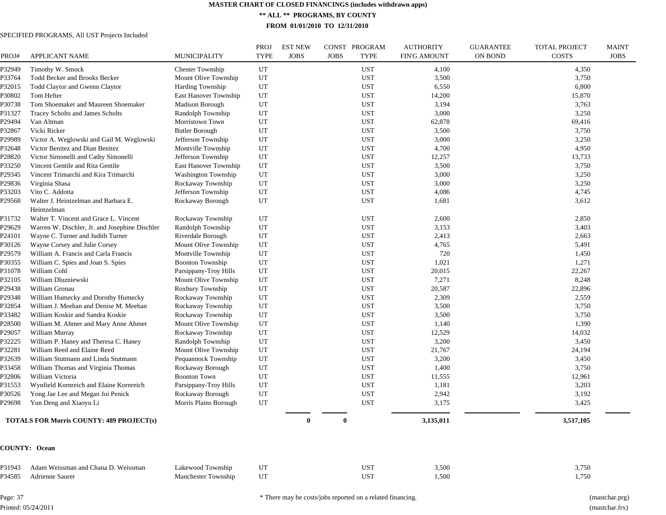**\*\* ALL \*\* PROGRAMS, BY COUNTY**

**FROM 01/01/2010 TO 12/31/2010**

# SPECIFIED PROGRAMS, All UST Projects Included

| PROJ#  | <b>APPLICANT NAME</b>                          | MUNICIPALITY               | PROJ<br><b>TYPE</b> | <b>EST NEW</b><br><b>JOBS</b> | CONST PROGRAM<br><b>JOBS</b> | <b>TYPE</b> | <b>AUTHORITY</b><br><b>FIN'G AMOUNT</b> | <b>GUARANTEE</b><br>ON BOND | <b>TOTAL PROJECT</b><br><b>COSTS</b> | MAINT<br><b>JOBS</b> |
|--------|------------------------------------------------|----------------------------|---------------------|-------------------------------|------------------------------|-------------|-----------------------------------------|-----------------------------|--------------------------------------|----------------------|
| P32949 | Timothy W. Smock                               | Chester Township           | UT                  |                               |                              | <b>UST</b>  | 4,100                                   |                             | 4,350                                |                      |
| P33764 | Todd Becker and Brooks Becker                  | Mount Olive Township       | UT                  |                               |                              | <b>UST</b>  | 3,500                                   |                             | 3,750                                |                      |
| P32015 | Todd Claytor and Gwenn Claytor                 | Harding Township           | UT                  |                               |                              | <b>UST</b>  | 6,550                                   |                             | 6,800                                |                      |
| P30802 | Tom Hefter                                     | East Hanover Township      | UT                  |                               |                              | <b>UST</b>  | 14,200                                  |                             | 15,870                               |                      |
| P30738 | Tom Shoemaker and Maureen Shoemaker            | Madison Borough            | UT                  |                               |                              | <b>UST</b>  | 3,194                                   |                             | 3,763                                |                      |
| P31327 | Tracey Scholts and James Scholts               | Randolph Township          | $_{\rm UT}$         |                               |                              | <b>UST</b>  | 3,000                                   |                             | 3,250                                |                      |
| P29494 | Van Altman                                     | Morristown Town            | UT                  |                               |                              | <b>UST</b>  | 62,878                                  |                             | 69,416                               |                      |
| P32867 | Vicki Ricker                                   | <b>Butler Borough</b>      | $_{\rm UT}$         |                               |                              | <b>UST</b>  | 3,500                                   |                             | 3,750                                |                      |
| P29989 | Victor A. Weglowski and Gail M. Weglowski      | Jefferson Township         | UT                  |                               |                              | <b>UST</b>  | 3,000                                   |                             | 3,250                                |                      |
| P32648 | Victor Benitez and Dian Benitez                | Montville Township         | UT                  |                               |                              | <b>UST</b>  | 4,700                                   |                             | 4,950                                |                      |
| P28820 | Victor Simonelli and Cathy Simonelli           | Jefferson Township         | UT                  |                               |                              | <b>UST</b>  | 12,257                                  |                             | 13,733                               |                      |
| P33250 | Vincent Gentile and Rita Gentile               | East Hanover Township      | UT                  |                               |                              | <b>UST</b>  | 3,500                                   |                             | 3,750                                |                      |
| P29345 | Vincent Trimarchi and Kira Trimarchi           | <b>Washington Township</b> | UT                  |                               |                              | <b>UST</b>  | 3,000                                   |                             | 3,250                                |                      |
| P29836 | Virginia Shasa                                 | Rockaway Township          | $_{\rm UT}$         |                               |                              | <b>UST</b>  | 3,000                                   |                             | 3,250                                |                      |
| P33203 | Vito C. Addotta                                | Jefferson Township         | UT                  |                               |                              | <b>UST</b>  | 4,086                                   |                             | 4,745                                |                      |
| P29568 | Walter J. Heintzelman and Barbara E.           | Rockaway Borough           | UT                  |                               |                              | <b>UST</b>  | 1,681                                   |                             | 3,612                                |                      |
|        | Heintzelman                                    |                            |                     |                               |                              |             |                                         |                             |                                      |                      |
| P31732 | Walter T. Vincent and Grace L. Vincent         | Rockaway Township          | UT                  |                               |                              | <b>UST</b>  | 2,600                                   |                             | 2,850                                |                      |
| P29629 | Warren W. Dischler, Jr. and Josephine Dischler | Randolph Township          | UT                  |                               |                              | <b>UST</b>  | 3,153                                   |                             | 3,403                                |                      |
| P24101 | Wayne C. Turner and Judith Turner              | Riverdale Borough          | UT                  |                               |                              | <b>UST</b>  | 2,413                                   |                             | 2,663                                |                      |
| P30126 | Wayne Corsey and Julie Corsey                  | Mount Olive Township       | UT                  |                               |                              | <b>UST</b>  | 4,765                                   |                             | 5,491                                |                      |
| P29579 | William A. Francis and Carla Francis           | Montville Township         | UT                  |                               |                              | <b>UST</b>  | 720                                     |                             | 1,450                                |                      |
| P30355 | William C. Spies and Joan S. Spies             | <b>Boonton Township</b>    | UT                  |                               |                              | <b>UST</b>  | 1,021                                   |                             | 1,271                                |                      |
| P31078 | William Cohl                                   | Parsippany-Troy Hills      | UT                  |                               |                              | <b>UST</b>  | 20,015                                  |                             | 22,267                               |                      |
| P32105 | William Dluzniewski                            | Mount Olive Township       | UT                  |                               |                              | <b>UST</b>  | 7,271                                   |                             | 8,248                                |                      |
| P29438 | William Gronau                                 | Roxbury Township           | UT                  |                               |                              | <b>UST</b>  | 20,587                                  |                             | 22,896                               |                      |
| P29348 | William Humecky and Dorothy Humecky            | Rockaway Township          | UT                  |                               |                              | <b>UST</b>  | 2,309                                   |                             | 2,559                                |                      |
| P32854 | William J. Meehan and Denise M. Meehan         | Rockaway Township          | UT                  |                               |                              | <b>UST</b>  | 3,500                                   |                             | 3,750                                |                      |
| P33482 | William Koskie and Sandra Koskie               | Rockaway Township          | UT                  |                               |                              | <b>UST</b>  | 3,500                                   |                             | 3,750                                |                      |
| P28500 | William M. Ahmer and Mary Anne Ahmer           | Mount Olive Township       | UT                  |                               |                              | <b>UST</b>  | 1,140                                   |                             | 1,390                                |                      |
| P29057 | William Murray                                 | Rockaway Township          | UT                  |                               |                              | <b>UST</b>  | 12,529                                  |                             | 14,032                               |                      |
| P32225 | William P. Haney and Theresa C. Haney          | Randolph Township          | UT                  |                               |                              | <b>UST</b>  | 3,200                                   |                             | 3,450                                |                      |
| P32281 | William Reed and Elaine Reed                   | Mount Olive Township       | UT                  |                               |                              | <b>UST</b>  | 21,767                                  |                             | 24,194                               |                      |
| P32639 | William Stutmann and Linda Stutmann            | Pequannock Township        | UT                  |                               |                              | <b>UST</b>  | 3,200                                   |                             | 3,450                                |                      |
| P33458 | William Thomas and Virginia Thomas             | Rockaway Borough           | UT                  |                               |                              | <b>UST</b>  | 1,400                                   |                             | 3,750                                |                      |
| P32806 | William Victoria                               | <b>Boonton Town</b>        | $_{\rm UT}$         |                               |                              | <b>UST</b>  | 11,555                                  |                             | 12,961                               |                      |
| P31553 | Wynfield Kornreich and Elaine Kornreich        | Parsippany-Troy Hills      | UT                  |                               |                              | <b>UST</b>  | 1,181                                   |                             | 3,203                                |                      |
| P30526 | Yong Jae Lee and Megan Joi Penick              | Rockaway Borough           | $_{\rm UT}$         |                               |                              | <b>UST</b>  | 2,942                                   |                             | 3,192                                |                      |
| P29698 | Yun Deng and Xiaoyu Li                         | Morris Plains Borough      | UT                  |                               |                              | <b>UST</b>  | 3,175                                   |                             | 3,425                                |                      |
|        | TOTALS FOR Morris COUNTY: 489 PROJECT(s)       |                            |                     | $\bf{0}$                      |                              |             | 3,135,011                               |                             | 3,517,105                            |                      |
|        | <b>COUNTY: Ocean</b>                           |                            |                     |                               |                              |             |                                         |                             |                                      |                      |
| P31943 | Adam Weissman and Chana D. Weissman            | Lakewood Township          | UT                  |                               |                              | UST         | 3,500                                   |                             | 3,750                                |                      |
| P34585 | Adrienne Saurer                                | Manchester Township        | UT                  |                               |                              | <b>UST</b>  | 1,500                                   |                             | 1,750                                |                      |
|        |                                                |                            |                     |                               |                              |             |                                         |                             |                                      |                      |

Page: 37 Printed: 05/24/2011 \* There may be costs/jobs reported on a related financing. (mastchar.prg)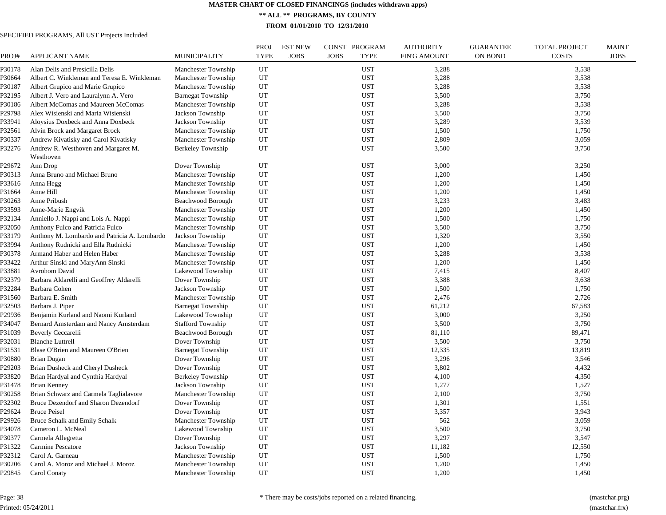**\*\* ALL \*\* PROGRAMS, BY COUNTY**

**FROM 01/01/2010 TO 12/31/2010**

# SPECIFIED PROGRAMS, All UST Projects Included

|                  |                                              |                          | PROJ        | <b>EST NEW</b> | CONST PROGRAM              | <b>AUTHORITY</b>    | <b>GUARANTEE</b> | <b>TOTAL PROJECT</b> | <b>MAINT</b> |
|------------------|----------------------------------------------|--------------------------|-------------|----------------|----------------------------|---------------------|------------------|----------------------|--------------|
| PROJ#            | APPLICANT NAME                               | <b>MUNICIPALITY</b>      | <b>TYPE</b> | <b>JOBS</b>    | <b>JOBS</b><br><b>TYPE</b> | <b>FIN'G AMOUNT</b> | <b>ON BOND</b>   | <b>COSTS</b>         | <b>JOBS</b>  |
| P30178           | Alan Delis and Presicilla Delis              | Manchester Township      | UT          |                | <b>UST</b>                 | 3,288               |                  | 3,538                |              |
| P30664           | Albert C. Winkleman and Teresa E. Winkleman  | Manchester Township      | UT          |                | <b>UST</b>                 | 3,288               |                  | 3,538                |              |
| P30187           | Albert Grupico and Marie Grupico             | Manchester Township      | UT          |                | <b>UST</b>                 | 3,288               |                  | 3,538                |              |
| P32195           | Albert J. Vero and Lauralynn A. Vero         | <b>Barnegat Township</b> | UT          |                | <b>UST</b>                 | 3,500               |                  | 3,750                |              |
| P30186           | Albert McComas and Maureen McComas           | Manchester Township      | UT          |                | <b>UST</b>                 | 3,288               |                  | 3,538                |              |
| P29798           | Alex Wisienski and Maria Wisienski           | Jackson Township         | UT          |                | <b>UST</b>                 | 3,500               |                  | 3,750                |              |
| P33941           | Aloysius Doxbeck and Anna Doxbeck            | Jackson Township         | UT          |                | <b>UST</b>                 | 3,289               |                  | 3,539                |              |
| P32561           | Alvin Brock and Margaret Brock               | Manchester Township      | UT          |                | <b>UST</b>                 | 1,500               |                  | 1,750                |              |
| P30337           | Andrew Kivatisky and Carol Kivatisky         | Manchester Township      | UT          |                | <b>UST</b>                 | 2,809               |                  | 3,059                |              |
| P32276           | Andrew R. Westhoven and Margaret M.          | Berkeley Township        | UT          |                | <b>UST</b>                 | 3,500               |                  | 3,750                |              |
|                  | Westhoven                                    |                          |             |                |                            |                     |                  |                      |              |
| P29672           | Ann Drop                                     | Dover Township           | UT          |                | <b>UST</b>                 | 3,000               |                  | 3,250                |              |
| P30313           | Anna Bruno and Michael Bruno                 | Manchester Township      | UT          |                | <b>UST</b>                 | 1,200               |                  | 1,450                |              |
| P33616           | Anna Hegg                                    | Manchester Township      | UT          |                | <b>UST</b>                 | 1,200               |                  | 1,450                |              |
| P31664           | Anne Hill                                    | Manchester Township      | UT          |                | <b>UST</b>                 | 1,200               |                  | 1,450                |              |
| P30263           | Anne Pribush                                 | Beachwood Borough        | UT          |                | <b>UST</b>                 | 3,233               |                  | 3,483                |              |
| P33593           | Anne-Marie Engvik                            | Manchester Township      | UT          |                | <b>UST</b>                 | 1,200               |                  | 1,450                |              |
| P32134           | Anniello J. Nappi and Lois A. Nappi          | Manchester Township      | UT          |                | <b>UST</b>                 | 1,500               |                  | 1,750                |              |
| P32050           | Anthony Fulco and Patricia Fulco             | Manchester Township      | UT          |                | <b>UST</b>                 | 3,500               |                  | 3,750                |              |
| P33179           | Anthony M. Lombardo and Patricia A. Lombardo | Jackson Township         | UT          |                | <b>UST</b>                 | 1,320               |                  | 3,550                |              |
| P33994           | Anthony Rudnicki and Ella Rudnicki           | Manchester Township      | UT          |                | <b>UST</b>                 | 1,200               |                  | 1,450                |              |
| P30378           | Armand Haber and Helen Haber                 | Manchester Township      | UT          |                | <b>UST</b>                 | 3,288               |                  | 3,538                |              |
| P33422           | Arthur Sinski and MaryAnn Sinski             | Manchester Township      | UT          |                | <b>UST</b>                 | 1,200               |                  | 1,450                |              |
| P33881           | Avrohom David                                | Lakewood Township        | UT          |                | <b>UST</b>                 | 7,415               |                  | 8,407                |              |
| P32379           | Barbara Aldarelli and Geoffrey Aldarelli     | Dover Township           | UT          |                | <b>UST</b>                 | 3,388               |                  | 3,638                |              |
| P32284           | Barbara Cohen                                | Jackson Township         | UT          |                | <b>UST</b>                 | 1,500               |                  | 1,750                |              |
| P31560           | Barbara E. Smith                             | Manchester Township      | UT          |                | <b>UST</b>                 | 2,476               |                  | 2,726                |              |
| P32503           | Barbara J. Piper                             | <b>Barnegat Township</b> | UT          |                | <b>UST</b>                 | 61,212              |                  | 67,583               |              |
| P29936           | Benjamin Kurland and Naomi Kurland           | Lakewood Township        | UT          |                | <b>UST</b>                 | 3,000               |                  | 3,250                |              |
| P34047           | Bernard Amsterdam and Nancy Amsterdam        | <b>Stafford Township</b> | UT          |                | <b>UST</b>                 | 3,500               |                  | 3,750                |              |
| P31039           | <b>Beverly Ceccarelli</b>                    | Beachwood Borough        | UT          |                | <b>UST</b>                 | 81,110              |                  | 89,471               |              |
| P32031           | <b>Blanche Luttrell</b>                      | Dover Township           | UT          |                | <b>UST</b>                 | 3,500               |                  | 3,750                |              |
| P31531           | Blase O'Brien and Maureen O'Brien            | <b>Barnegat Township</b> | UT          |                | <b>UST</b>                 | 12,335              |                  | 13,819               |              |
| P30880           | <b>Brian Dugan</b>                           | Dover Township           | UT          |                | <b>UST</b>                 | 3,296               |                  | 3,546                |              |
|                  |                                              |                          | UT          |                | <b>UST</b>                 | 3,802               |                  |                      |              |
| P29203<br>P33820 | Brian Dusheck and Cheryl Dusheck             | Dover Township           | UT          |                | <b>UST</b>                 | 4,100               |                  | 4,432<br>4,350       |              |
|                  | Brian Hardyal and Cynthia Hardyal            | <b>Berkeley Township</b> | UT          |                | <b>UST</b>                 |                     |                  |                      |              |
| P31478           | <b>Brian Kenney</b>                          | Jackson Township         |             |                |                            | 1,277               |                  | 1,527                |              |
| P30258           | Brian Schwarz and Carmela Taglialavore       | Manchester Township      | UT          |                | <b>UST</b>                 | 2,100               |                  | 3,750                |              |
| P32302           | Bruce Dezendorf and Sharon Dezendorf         | Dover Township           | UT          |                | <b>UST</b>                 | 1,301               |                  | 1,551                |              |
| P29624           | <b>Bruce Peisel</b>                          | Dover Township           | UT          |                | <b>UST</b>                 | 3,357               |                  | 3,943                |              |
| P29926           | <b>Bruce Schalk and Emily Schalk</b>         | Manchester Township      | UT          |                | <b>UST</b>                 | 562                 |                  | 3,059                |              |
| P34078           | Cameron L. McNeal                            | Lakewood Township        | UT          |                | <b>UST</b>                 | 3,500               |                  | 3,750                |              |
| P30377           | Carmela Allegretta                           | Dover Township           | UT          |                | <b>UST</b>                 | 3,297               |                  | 3,547                |              |
| P31322           | <b>Carmine Pescatore</b>                     | Jackson Township         | UT          |                | <b>UST</b>                 | 11,182              |                  | 12,550               |              |
| P32312           | Carol A. Garneau                             | Manchester Township      | UT          |                | <b>UST</b>                 | 1,500               |                  | 1,750                |              |
| P30206           | Carol A. Moroz and Michael J. Moroz          | Manchester Township      | UT          |                | <b>UST</b>                 | 1,200               |                  | 1,450                |              |
| P29845           | Carol Conaty                                 | Manchester Township      | UT          |                | <b>UST</b>                 | 1,200               |                  | 1,450                |              |

Page: 38 Printed: 05/24/2011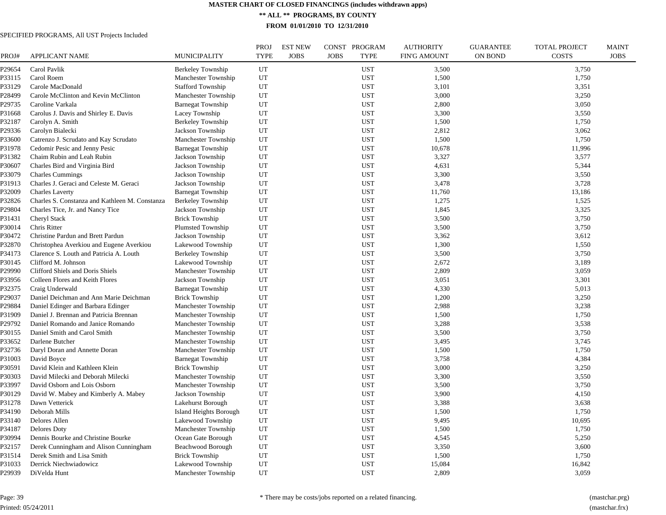**\*\* ALL \*\* PROGRAMS, BY COUNTY**

**FROM 01/01/2010 TO 12/31/2010**

| PROJ#  | <b>APPLICANT NAME</b>                          | <b>MUNICIPALITY</b>      | PROJ<br><b>TYPE</b> | <b>EST NEW</b><br><b>JOBS</b> | CONST PROGRAM<br><b>JOBS</b><br><b>TYPE</b> | <b>AUTHORITY</b><br><b>FIN'G AMOUNT</b> | <b>GUARANTEE</b><br><b>ON BOND</b> | <b>TOTAL PROJECT</b><br><b>COSTS</b> | <b>MAINT</b><br><b>JOBS</b> |
|--------|------------------------------------------------|--------------------------|---------------------|-------------------------------|---------------------------------------------|-----------------------------------------|------------------------------------|--------------------------------------|-----------------------------|
| P29654 | Carol Pavlik                                   | Berkeley Township        | UT                  |                               | <b>UST</b>                                  | 3,500                                   |                                    | 3,750                                |                             |
| P33115 | Carol Roem                                     | Manchester Township      | UT                  |                               | <b>UST</b>                                  | 1,500                                   |                                    | 1,750                                |                             |
| P33129 | Carole MacDonald                               | <b>Stafford Township</b> | UT                  |                               | <b>UST</b>                                  | 3,101                                   |                                    | 3,351                                |                             |
| P28499 | Carole McClinton and Kevin McClinton           | Manchester Township      | UT                  |                               | <b>UST</b>                                  | 3,000                                   |                                    | 3,250                                |                             |
| P29735 | Caroline Varkala                               | <b>Barnegat Township</b> | UT                  |                               | <b>UST</b>                                  | 2,800                                   |                                    | 3,050                                |                             |
| P31668 | Carolus J. Davis and Shirley E. Davis          | Lacey Township           | UT                  |                               | <b>UST</b>                                  | 3,300                                   |                                    | 3,550                                |                             |
| P32187 | Carolyn A. Smith                               | Berkeley Township        | UT                  |                               | <b>UST</b>                                  | 1,500                                   |                                    | 1,750                                |                             |
| P29336 | Carolyn Bialecki                               | Jackson Township         | UT                  |                               | <b>UST</b>                                  | 2,812                                   |                                    | 3,062                                |                             |
| P33600 | Catrenzo J. Scrudato and Kay Scrudato          | Manchester Township      | UT                  |                               | <b>UST</b>                                  | 1,500                                   |                                    | 1,750                                |                             |
| P31978 | Cedomir Pesic and Jenny Pesic                  | <b>Barnegat Township</b> | UT                  |                               | <b>UST</b>                                  | 10,678                                  |                                    | 11,996                               |                             |
| P31382 | Chaim Rubin and Leah Rubin                     | Jackson Township         | UT                  |                               | <b>UST</b>                                  | 3,327                                   |                                    | 3,577                                |                             |
| P30607 | Charles Bird and Virginia Bird                 | Jackson Township         | UT                  |                               | <b>UST</b>                                  | 4,631                                   |                                    | 5,344                                |                             |
| P33079 | <b>Charles Cummings</b>                        | Jackson Township         | UT                  |                               | <b>UST</b>                                  | 3,300                                   |                                    | 3,550                                |                             |
| P31913 | Charles J. Geraci and Celeste M. Geraci        | Jackson Township         | UT                  |                               | <b>UST</b>                                  | 3,478                                   |                                    | 3,728                                |                             |
| P32009 | <b>Charles Laverty</b>                         | <b>Barnegat Township</b> | UT                  |                               | <b>UST</b>                                  | 11,760                                  |                                    | 13,186                               |                             |
| P32826 | Charles S. Constanza and Kathleen M. Constanza | Berkeley Township        | UT                  |                               | <b>UST</b>                                  | 1,275                                   |                                    | 1,525                                |                             |
| P29804 | Charles Tice, Jr. and Nancy Tice               | Jackson Township         | UT                  |                               | <b>UST</b>                                  | 1,845                                   |                                    | 3,325                                |                             |
| P31431 | Cheryl Stack                                   | <b>Brick Township</b>    | UT                  |                               | <b>UST</b>                                  | 3,500                                   |                                    | 3,750                                |                             |
| P30014 | Chris Ritter                                   | <b>Plumsted Township</b> | UT                  |                               | <b>UST</b>                                  | 3,500                                   |                                    | 3,750                                |                             |
| P30472 | Christine Pardun and Brett Pardun              | Jackson Township         | UT                  |                               | <b>UST</b>                                  | 3,362                                   |                                    | 3,612                                |                             |
| P32870 | Christophea Averkiou and Eugene Averkiou       | Lakewood Township        | UT                  |                               | <b>UST</b>                                  | 1,300                                   |                                    | 1,550                                |                             |
| P34173 | Clarence S. Louth and Patricia A. Louth        | Berkeley Township        | UT                  |                               | <b>UST</b>                                  | 3,500                                   |                                    | 3,750                                |                             |
| P30145 | Clifford M. Johnson                            | Lakewood Township        | UT                  |                               | <b>UST</b>                                  | 2,672                                   |                                    | 3,189                                |                             |
| P29990 | Clifford Shiels and Doris Shiels               | Manchester Township      | UT                  |                               | <b>UST</b>                                  | 2,809                                   |                                    | 3,059                                |                             |
| P33956 | Colleen Flores and Keith Flores                | Jackson Township         | UT                  |                               | <b>UST</b>                                  | 3,051                                   |                                    | 3,301                                |                             |
| P32375 | Craig Underwald                                | <b>Barnegat Township</b> | UT                  |                               | <b>UST</b>                                  | 4,330                                   |                                    | 5,013                                |                             |
| P29037 | Daniel Deichman and Ann Marie Deichman         | <b>Brick Township</b>    | UT                  |                               | <b>UST</b>                                  | 1,200                                   |                                    | 3,250                                |                             |
| P29884 | Daniel Edinger and Barbara Edinger             | Manchester Township      | UT                  |                               | <b>UST</b>                                  | 2,988                                   |                                    | 3,238                                |                             |
| P31909 | Daniel J. Brennan and Patricia Brennan         | Manchester Township      | UT                  |                               | <b>UST</b>                                  | 1,500                                   |                                    | 1,750                                |                             |
| P29792 | Daniel Romando and Janice Romando              | Manchester Township      | UT                  |                               | <b>UST</b>                                  | 3,288                                   |                                    | 3,538                                |                             |
| P30155 | Daniel Smith and Carol Smith                   | Manchester Township      | UT                  |                               | <b>UST</b>                                  | 3,500                                   |                                    | 3,750                                |                             |
| P33652 | Darlene Butcher                                | Manchester Township      | UT                  |                               | <b>UST</b>                                  | 3,495                                   |                                    | 3,745                                |                             |
| P32736 | Daryl Doran and Annette Doran                  | Manchester Township      | UT                  |                               | <b>UST</b>                                  | 1,500                                   |                                    | 1,750                                |                             |
| P31003 | David Boyce                                    | <b>Barnegat Township</b> | UT                  |                               | <b>UST</b>                                  | 3,758                                   |                                    | 4,384                                |                             |
| ?30591 | David Klein and Kathleen Klein                 | <b>Brick Township</b>    | UT                  |                               | <b>UST</b>                                  | 3,000                                   |                                    | 3,250                                |                             |
| P30303 | David Milecki and Deborah Milecki              | Manchester Township      | UT                  |                               | <b>UST</b>                                  | 3,300                                   |                                    | 3,550                                |                             |
| P33997 | David Osborn and Lois Osborn                   | Manchester Township      | UT                  |                               | <b>UST</b>                                  | 3,500                                   |                                    | 3,750                                |                             |
| P30129 | David W. Mabey and Kimberly A. Mabey           | Jackson Township         | UT                  |                               | <b>UST</b>                                  | 3,900                                   |                                    | 4,150                                |                             |
| P31278 | Dawn Vetterick                                 | Lakehurst Borough        | UT                  |                               | <b>UST</b>                                  | 3,388                                   |                                    | 3,638                                |                             |
| P34190 | Deborah Mills                                  | Island Heights Borough   | UT                  |                               | <b>UST</b>                                  | 1,500                                   |                                    | 1,750                                |                             |
| P33140 | Delores Allen                                  | Lakewood Township        | UT                  |                               | <b>UST</b>                                  | 9,495                                   |                                    | 10,695                               |                             |
| P34187 | <b>Delores Doty</b>                            | Manchester Township      | UT                  |                               | <b>UST</b>                                  | 1,500                                   |                                    | 1,750                                |                             |
| P30994 | Dennis Bourke and Christine Bourke             | Ocean Gate Borough       | UT                  |                               | <b>UST</b>                                  | 4,545                                   |                                    | 5,250                                |                             |
| P32157 | Derek Cunningham and Alison Cunningham         | Beachwood Borough        | UT                  |                               | <b>UST</b>                                  | 3,350                                   |                                    | 3,600                                |                             |
| P31514 | Derek Smith and Lisa Smith                     | <b>Brick Township</b>    | UT                  |                               | <b>UST</b>                                  | 1,500                                   |                                    | 1,750                                |                             |
| P31033 | Derrick Niechwiadowicz                         | Lakewood Township        | UT                  |                               | <b>UST</b>                                  | 15,084                                  |                                    | 16,842                               |                             |
| P29939 | DiVelda Hunt                                   | Manchester Township      | UT                  |                               | <b>UST</b>                                  | 2,809                                   |                                    | 3,059                                |                             |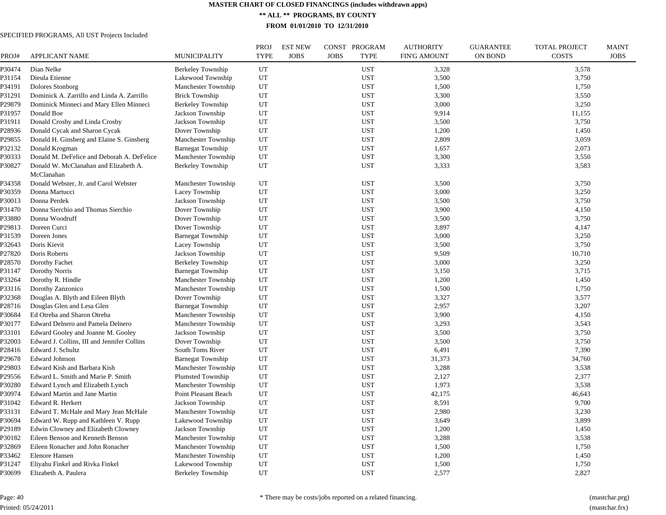**\*\* ALL \*\* PROGRAMS, BY COUNTY**

**FROM 01/01/2010 TO 12/31/2010**

| PROJ#  | <b>APPLICANT NAME</b>                       | MUNICIPALITY               | <b>PROJ</b><br><b>TYPE</b> | <b>EST NEW</b><br><b>JOBS</b> | CONST PROGRAM<br><b>JOBS</b><br><b>TYPE</b> | <b>AUTHORITY</b><br>FIN'G AMOUNT | <b>GUARANTEE</b><br><b>ON BOND</b> | <b>TOTAL PROJECT</b><br><b>COSTS</b> | <b>MAINT</b><br><b>JOBS</b> |
|--------|---------------------------------------------|----------------------------|----------------------------|-------------------------------|---------------------------------------------|----------------------------------|------------------------------------|--------------------------------------|-----------------------------|
| P30474 | Dian Nelke                                  | Berkeley Township          | UT                         |                               | <b>UST</b>                                  | 3,328                            |                                    | 3,578                                |                             |
| P31154 | Dieula Etienne                              | Lakewood Township          | UT                         |                               | <b>UST</b>                                  | 3,500                            |                                    | 3,750                                |                             |
| P34191 | Dolores Stonborg                            | <b>Manchester Township</b> | UT                         |                               | <b>UST</b>                                  | 1,500                            |                                    | 1,750                                |                             |
| P31291 | Dominick A. Zarrillo and Linda A. Zarrillo  | <b>Brick Township</b>      | UT                         |                               | <b>UST</b>                                  | 3,300                            |                                    | 3,550                                |                             |
| P29879 | Dominick Minneci and Mary Ellen Minneci     | <b>Berkeley Township</b>   | UT                         |                               | <b>UST</b>                                  | 3,000                            |                                    | 3,250                                |                             |
| P31957 | Donald Boe                                  | Jackson Township           | UT                         |                               | <b>UST</b>                                  | 9.914                            |                                    | 11,155                               |                             |
| P31911 | Donald Crosby and Linda Crosby              | Jackson Township           | UT                         |                               | <b>UST</b>                                  | 3,500                            |                                    | 3,750                                |                             |
| P28936 | Donald Cycak and Sharon Cycak               | Dover Township             | UT                         |                               | <b>UST</b>                                  | 1,200                            |                                    | 1,450                                |                             |
| P29855 | Donald H. Ginsberg and Elaine S. Ginsberg   | Manchester Township        | UT                         |                               | <b>UST</b>                                  | 2,809                            |                                    | 3,059                                |                             |
| P32132 | Donald Krogman                              | <b>Barnegat Township</b>   | UT                         |                               | <b>UST</b>                                  | 1,657                            |                                    | 2,073                                |                             |
| P30333 | Donald M. DeFelice and Deborah A. DeFelice  | Manchester Township        | UT                         |                               | <b>UST</b>                                  | 3,300                            |                                    | 3,550                                |                             |
| P30827 | Donald W. McClanahan and Elizabeth A.       | <b>Berkeley Township</b>   | UT                         |                               | <b>UST</b>                                  | 3,333                            |                                    | 3,583                                |                             |
|        | McClanahan                                  |                            |                            |                               |                                             |                                  |                                    |                                      |                             |
| P34358 | Donald Webster, Jr. and Carol Webster       | Manchester Township        | UT                         |                               | <b>UST</b>                                  | 3,500                            |                                    | 3,750                                |                             |
| P30359 | Donna Martucci                              | Lacey Township             | UT                         |                               | <b>UST</b>                                  | 3,000                            |                                    | 3,250                                |                             |
| P30013 | Donna Perdek                                | Jackson Township           | UT                         |                               | <b>UST</b>                                  | 3,500                            |                                    | 3,750                                |                             |
| P31470 | Donna Sierchio and Thomas Sierchio          | Dover Township             | UT                         |                               | <b>UST</b>                                  | 3,900                            |                                    | 4,150                                |                             |
| P33880 | Donna Woodruff                              | Dover Township             | UT                         |                               | <b>UST</b>                                  | 3,500                            |                                    | 3,750                                |                             |
| P29813 | Doreen Curci                                | Dover Township             | UT                         |                               | <b>UST</b>                                  | 3,897                            |                                    | 4,147                                |                             |
| P31539 | Doreen Jones                                | <b>Barnegat Township</b>   | UT                         |                               | <b>UST</b>                                  | 3,000                            |                                    | 3,250                                |                             |
| P32643 | Doris Kievit                                | Lacey Township             | UT                         |                               | <b>UST</b>                                  | 3,500                            |                                    | 3,750                                |                             |
| P27820 | Doris Roberts                               | Jackson Township           | UT                         |                               | <b>UST</b>                                  | 9,509                            |                                    | 10,710                               |                             |
| P28570 | Dorothy Fachet                              | <b>Berkeley Township</b>   | UT                         |                               | <b>UST</b>                                  | 3,000                            |                                    | 3,250                                |                             |
| P31147 | Dorothy Norris                              | <b>Barnegat Township</b>   | UT                         |                               | <b>UST</b>                                  | 3,150                            |                                    | 3,715                                |                             |
| P33264 | Dorothy R. Hindle                           | Manchester Township        | UT                         |                               | <b>UST</b>                                  | 1,200                            |                                    | 1,450                                |                             |
| P33116 | Dorothy Zanzonico                           | Manchester Township        | UT                         |                               | <b>UST</b>                                  | 1,500                            |                                    | 1,750                                |                             |
| P32368 | Douglas A. Blyth and Eileen Blyth           | Dover Township             | UT                         |                               | <b>UST</b>                                  | 3,327                            |                                    | 3,577                                |                             |
| P28716 | Douglas Glen and Lesa Glen                  | <b>Barnegat Township</b>   | UT                         |                               | <b>UST</b>                                  | 2,957                            |                                    | 3,207                                |                             |
| P30684 | Ed Otreba and Sharon Otreba                 | Manchester Township        | UT                         |                               | <b>UST</b>                                  | 3,900                            |                                    | 4,150                                |                             |
| P30177 | Edward Delnero and Pamela Delnero           | Manchester Township        | UT                         |                               | <b>UST</b>                                  | 3,293                            |                                    | 3,543                                |                             |
| P33101 | Edward Gooley and Joanne M. Gooley          | Jackson Township           | UT                         |                               | <b>UST</b>                                  | 3,500                            |                                    | 3,750                                |                             |
| P32003 | Edward J. Collins, III and Jennifer Collins | Dover Township             | UT                         |                               | <b>UST</b>                                  | 3,500                            |                                    | 3,750                                |                             |
| P28416 | Edward J. Schultz                           | South Toms River           | UT                         |                               | <b>UST</b>                                  | 6.491                            |                                    | 7,390                                |                             |
| P29678 | <b>Edward Johnson</b>                       | <b>Barnegat Township</b>   | UT                         |                               | <b>UST</b>                                  | 31,373                           |                                    | 34,760                               |                             |
| P29803 | Edward Kish and Barbara Kish                | Manchester Township        | UT                         |                               | UST                                         | 3,288                            |                                    | 3,538                                |                             |
| P29556 | Edward L. Smith and Marie P. Smith          | <b>Plumsted Township</b>   | UT                         |                               | <b>UST</b>                                  | 2,127                            |                                    | 2,377                                |                             |
| P30280 | Edward Lynch and Elizabeth Lynch            | Manchester Township        | UT                         |                               | <b>UST</b>                                  | 1,973                            |                                    | 3,538                                |                             |
| P30974 | <b>Edward Martin and Jane Martin</b>        | Point Pleasant Beach       | UT                         |                               | <b>UST</b>                                  | 42,175                           |                                    | 46,643                               |                             |
| P31042 | Edward R. Herkert                           | Jackson Township           | UT                         |                               | <b>UST</b>                                  | 8,591                            |                                    | 9,700                                |                             |
| P33131 | Edward T. McHale and Mary Jean McHale       | Manchester Township        | UT                         |                               | <b>UST</b>                                  | 2,980                            |                                    | 3,230                                |                             |
| P30694 | Edward W. Rupp and Kathleen V. Rupp         | Lakewood Township          | UT                         |                               | <b>UST</b>                                  | 3,649                            |                                    | 3,899                                |                             |
| P29189 | Edwin Clowney and Elizabeth Clowney         | Jackson Township           | UT                         |                               | <b>UST</b>                                  | 1,200                            |                                    | 1,450                                |                             |
| P30182 | Eileen Benson and Kenneth Benson            | Manchester Township        | UT                         |                               | <b>UST</b>                                  | 3,288                            |                                    | 3,538                                |                             |
| P32869 | Eileen Ronacher and John Ronacher           | Manchester Township        | UT                         |                               | <b>UST</b>                                  | 1,500                            |                                    | 1,750                                |                             |
| P33462 | <b>Elenore Hansen</b>                       | Manchester Township        | UT                         |                               | <b>UST</b>                                  | 1,200                            |                                    | 1,450                                |                             |
| P31247 | Eliyahu Finkel and Rivka Finkel             | Lakewood Township          | UT                         |                               | <b>UST</b>                                  | 1,500                            |                                    | 1,750                                |                             |
| P30699 | Elizabeth A. Paulera                        | Berkeley Township          | UT                         |                               | <b>UST</b>                                  | 2,577                            |                                    | 2,827                                |                             |
|        |                                             |                            |                            |                               |                                             |                                  |                                    |                                      |                             |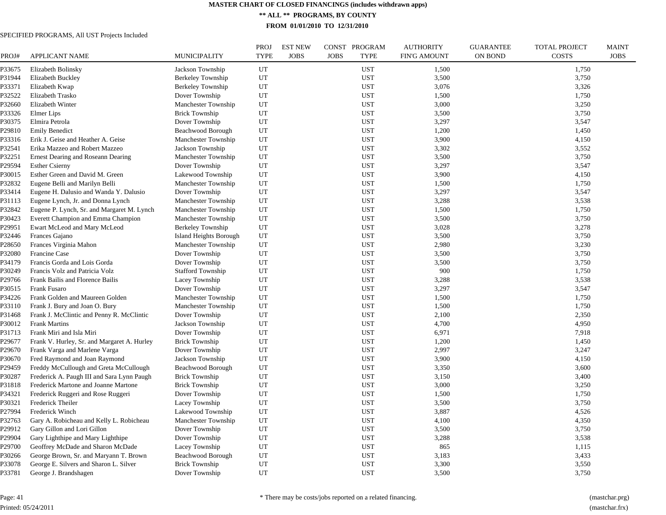**\*\* ALL \*\* PROGRAMS, BY COUNTY**

**FROM 01/01/2010 TO 12/31/2010**

# SPECIFIED PROGRAMS, All UST Projects Included

| PROJ#  | <b>APPLICANT NAME</b>                       | MUNICIPALITY             | <b>PROJ</b><br><b>TYPE</b> | <b>EST NEW</b><br><b>JOBS</b> | CONST PROGRAM<br><b>JOBS</b><br><b>TYPE</b> | <b>AUTHORITY</b><br><b>FIN'G AMOUNT</b> | <b>GUARANTEE</b><br><b>ON BOND</b> | <b>TOTAL PROJECT</b><br><b>COSTS</b> | <b>MAINT</b><br><b>JOBS</b> |
|--------|---------------------------------------------|--------------------------|----------------------------|-------------------------------|---------------------------------------------|-----------------------------------------|------------------------------------|--------------------------------------|-----------------------------|
| P33675 | Elizabeth Bolinsky                          | Jackson Township         | UT                         |                               | <b>UST</b>                                  | 1,500                                   |                                    | 1,750                                |                             |
| P31944 | Elizabeth Buckley                           | Berkeley Township        | UT                         |                               | <b>UST</b>                                  | 3,500                                   |                                    | 3,750                                |                             |
| P33371 | Elizabeth Kwap                              | <b>Berkeley Township</b> | UT                         |                               | <b>UST</b>                                  | 3,076                                   |                                    | 3,326                                |                             |
| P32522 | Elizabeth Trasko                            | Dover Township           | UT                         |                               | <b>UST</b>                                  | 1,500                                   |                                    | 1,750                                |                             |
| P32660 | Elizabeth Winter                            | Manchester Township      | UT                         |                               | <b>UST</b>                                  | 3,000                                   |                                    | 3,250                                |                             |
| P33326 | Elmer Lips                                  | <b>Brick Township</b>    | UT                         |                               | <b>UST</b>                                  | 3,500                                   |                                    | 3,750                                |                             |
| P30375 | Elmira Petrola                              | Dover Township           | UT                         |                               | <b>UST</b>                                  | 3,297                                   |                                    | 3,547                                |                             |
| P29810 | <b>Emily Benedict</b>                       | Beachwood Borough        | UT                         |                               | <b>UST</b>                                  | 1,200                                   |                                    | 1,450                                |                             |
| P33316 | Erik J. Geise and Heather A. Geise          | Manchester Township      | UT                         |                               | <b>UST</b>                                  | 3,900                                   |                                    | 4,150                                |                             |
| P32541 | Erika Mazzeo and Robert Mazzeo              | Jackson Township         | UT                         |                               | <b>UST</b>                                  | 3,302                                   |                                    | 3,552                                |                             |
| P32251 | Ernest Dearing and Roseann Dearing          | Manchester Township      | UT                         |                               | <b>UST</b>                                  | 3,500                                   |                                    | 3,750                                |                             |
| P29594 | <b>Esther Csierny</b>                       | Dover Township           | UT                         |                               | <b>UST</b>                                  | 3,297                                   |                                    | 3,547                                |                             |
| P30015 | Esther Green and David M. Green             | Lakewood Township        | UT                         |                               | <b>UST</b>                                  | 3,900                                   |                                    | 4,150                                |                             |
| P32832 | Eugene Belli and Marilyn Belli              | Manchester Township      | UT                         |                               | <b>UST</b>                                  | 1,500                                   |                                    | 1,750                                |                             |
| P33414 | Eugene H. Dalusio and Wanda Y. Dalusio      | Dover Township           | UT                         |                               | <b>UST</b>                                  | 3,297                                   |                                    | 3,547                                |                             |
| P31113 | Eugene Lynch, Jr. and Donna Lynch           | Manchester Township      | UT                         |                               | <b>UST</b>                                  | 3,288                                   |                                    | 3,538                                |                             |
| P32842 | Eugene P. Lynch, Sr. and Margaret M. Lynch  | Manchester Township      | UT                         |                               | <b>UST</b>                                  | 1,500                                   |                                    | 1,750                                |                             |
| P30423 | Everett Champion and Emma Champion          | Manchester Township      | UT                         |                               | <b>UST</b>                                  | 3,500                                   |                                    | 3,750                                |                             |
| P29951 | Ewart McLeod and Mary McLeod                | Berkeley Township        | UT                         |                               | <b>UST</b>                                  | 3,028                                   |                                    | 3,278                                |                             |
| P32446 | Frances Gajano                              | Island Heights Borough   | UT                         |                               | <b>UST</b>                                  | 3,500                                   |                                    | 3,750                                |                             |
| P28650 | Frances Virginia Mahon                      | Manchester Township      | UT                         |                               | <b>UST</b>                                  | 2,980                                   |                                    | 3,230                                |                             |
| P32080 | Francine Case                               | Dover Township           | UT                         |                               | <b>UST</b>                                  | 3,500                                   |                                    | 3,750                                |                             |
| P34179 | Francis Gorda and Lois Gorda                | Dover Township           | UT                         |                               | <b>UST</b>                                  | 3,500                                   |                                    | 3,750                                |                             |
| P30249 | Francis Volz and Patricia Volz              | <b>Stafford Township</b> | UT                         |                               | <b>UST</b>                                  | 900                                     |                                    | 1,750                                |                             |
| P29766 | Frank Bailis and Florence Bailis            | Lacey Township           | UT                         |                               | <b>UST</b>                                  | 3,288                                   |                                    | 3,538                                |                             |
| P30515 | Frank Fusaro                                | Dover Township           | UT                         |                               | UST                                         | 3,297                                   |                                    | 3,547                                |                             |
| P34226 | Frank Golden and Maureen Golden             | Manchester Township      | UT                         |                               | <b>UST</b>                                  | 1,500                                   |                                    | 1,750                                |                             |
| P33110 | Frank J. Bury and Joan O. Bury              | Manchester Township      | UT                         |                               | <b>UST</b>                                  | 1,500                                   |                                    | 1,750                                |                             |
| P31468 | Frank J. McClintic and Penny R. McClintic   | Dover Township           | UT                         |                               | UST                                         | 2,100                                   |                                    | 2,350                                |                             |
| P30012 | <b>Frank Martins</b>                        | Jackson Township         | UT                         |                               | UST                                         | 4,700                                   |                                    | 4,950                                |                             |
| P31713 | Frank Miri and Isla Miri                    | Dover Township           | UT                         |                               | <b>UST</b>                                  | 6,971                                   |                                    | 7,918                                |                             |
| P29677 | Frank V. Hurley, Sr. and Margaret A. Hurley | <b>Brick Township</b>    | UT                         |                               | <b>UST</b>                                  | 1,200                                   |                                    | 1,450                                |                             |
| P29670 | Frank Varga and Marlene Varga               | Dover Township           | UT                         |                               | <b>UST</b>                                  | 2,997                                   |                                    | 3,247                                |                             |
| P30670 | Fred Raymond and Joan Raymond               | Jackson Township         | UT                         |                               | <b>UST</b>                                  | 3,900                                   |                                    | 4,150                                |                             |
| P29459 | Freddy McCullough and Greta McCullough      | Beachwood Borough        | UT                         |                               | <b>UST</b>                                  | 3,350                                   |                                    | 3,600                                |                             |
| P30287 | Frederick A. Paugh III and Sara Lynn Paugh  | <b>Brick Township</b>    | UT                         |                               | <b>UST</b>                                  | 3,150                                   |                                    | 3,400                                |                             |
| P31818 | Frederick Martone and Joanne Martone        | <b>Brick Township</b>    | UT                         |                               | <b>UST</b>                                  | 3,000                                   |                                    | 3,250                                |                             |
| P34321 | Frederick Ruggeri and Rose Ruggeri          | Dover Township           | UT                         |                               | <b>UST</b>                                  | 1,500                                   |                                    | 1,750                                |                             |
| P30321 | Frederick Theiler                           | Lacey Township           | UT                         |                               | <b>UST</b>                                  | 3,500                                   |                                    | 3,750                                |                             |
| P27994 | Frederick Winch                             | Lakewood Township        | UT                         |                               | <b>UST</b>                                  | 3,887                                   |                                    | 4,526                                |                             |
| P32763 | Gary A. Robicheau and Kelly L. Robicheau    | Manchester Township      | UT                         |                               | <b>UST</b>                                  | 4,100                                   |                                    | 4,350                                |                             |
| P29912 | Gary Gillon and Lori Gillon                 | Dover Township           | UT                         |                               | <b>UST</b>                                  | 3,500                                   |                                    | 3,750                                |                             |
|        |                                             |                          |                            |                               |                                             |                                         |                                    |                                      |                             |
| P29904 | Gary Lighthipe and Mary Lighthipe           | Dover Township           | UT<br>UT                   |                               | <b>UST</b><br><b>UST</b>                    | 3,288                                   |                                    | 3,538                                |                             |
| P29700 | Geoffrey McDade and Sharon McDade           | Lacey Township           |                            |                               |                                             | 865                                     |                                    | 1,115                                |                             |
| P30266 | George Brown, Sr. and Maryann T. Brown      | Beachwood Borough        | UT                         |                               | <b>UST</b>                                  | 3,183                                   |                                    | 3,433                                |                             |
| P33078 | George E. Silvers and Sharon L. Silver      | <b>Brick Township</b>    | UT                         |                               | <b>UST</b>                                  | 3,300                                   |                                    | 3,550                                |                             |
| P33781 | George J. Brandshagen                       | Dover Township           | UT                         |                               | <b>UST</b>                                  | 3,500                                   |                                    | 3,750                                |                             |

Page: 41 Printed: 05/24/2011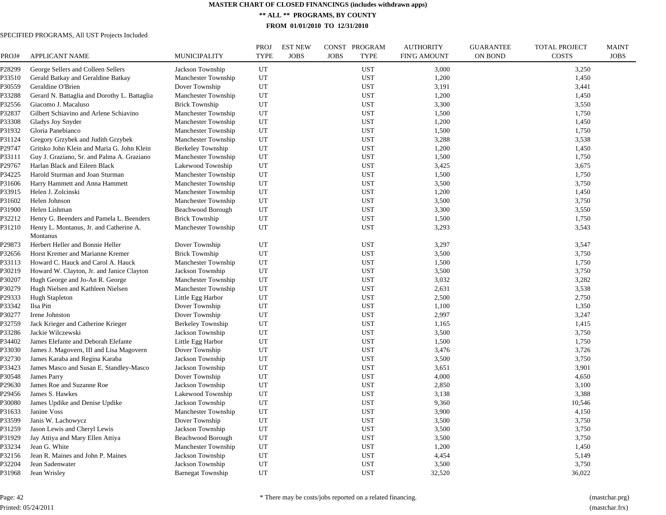**\*\* ALL \*\* PROGRAMS, BY COUNTY**

**FROM 01/01/2010 TO 12/31/2010**

| PROJ#  | APPLICANT NAME                               | <b>MUNICIPALITY</b>      | <b>PROJ</b><br><b>TYPE</b> | <b>EST NEW</b><br><b>JOBS</b> | CONST PROGRAM<br><b>JOBS</b><br><b>TYPE</b> | <b>AUTHORITY</b><br><b>FIN'G AMOUNT</b> | <b>GUARANTEE</b><br><b>ON BOND</b> | <b>TOTAL PROJECT</b><br><b>COSTS</b> | <b>MAINT</b><br><b>JOBS</b> |
|--------|----------------------------------------------|--------------------------|----------------------------|-------------------------------|---------------------------------------------|-----------------------------------------|------------------------------------|--------------------------------------|-----------------------------|
| P28299 | George Sellers and Colleen Sellers           | Jackson Township         | UT                         |                               | <b>UST</b>                                  | 3,000                                   |                                    | 3,250                                |                             |
| P33510 | Gerald Batkay and Geraldine Batkay           | Manchester Township      | UT                         |                               | <b>UST</b>                                  | 1,200                                   |                                    | 1,450                                |                             |
| P30559 | Geraldine O'Brien                            | Dover Township           | UT                         |                               | <b>UST</b>                                  | 3,191                                   |                                    | 3,441                                |                             |
| P33288 | Gerard N. Battaglia and Dorothy L. Battaglia | Manchester Township      | UT                         |                               | <b>UST</b>                                  | 1,200                                   |                                    | 1,450                                |                             |
| P32556 | Giacomo J. Macaluso                          | <b>Brick Township</b>    | UT                         |                               | <b>UST</b>                                  | 3,300                                   |                                    | 3,550                                |                             |
| P32837 | Gilbert Schiavino and Arlene Schiavino       | Manchester Township      | UT                         |                               | <b>UST</b>                                  | 1,500                                   |                                    | 1,750                                |                             |
| P33308 | Gladys Joy Snyder                            | Manchester Township      | UT                         |                               | <b>UST</b>                                  | 1,200                                   |                                    | 1,450                                |                             |
| P31932 | Gloria Panebianco                            | Manchester Township      | UT                         |                               | <b>UST</b>                                  | 1,500                                   |                                    | 1,750                                |                             |
| P31124 | Gregory Grzybek and Judith Grzybek           | Manchester Township      | UT                         |                               | <b>UST</b>                                  | 3,288                                   |                                    | 3,538                                |                             |
| P29747 | Gritsko John Klein and Maria G. John Klein   | Berkeley Township        | UT                         |                               | <b>UST</b>                                  | 1,200                                   |                                    | 1,450                                |                             |
| P33111 | Guy J. Graziano, Sr. and Palma A. Graziano   | Manchester Township      | UT                         |                               | <b>UST</b>                                  | 1,500                                   |                                    | 1,750                                |                             |
| P29767 | Harlan Black and Eileen Black                | Lakewood Township        | UT                         |                               | <b>UST</b>                                  | 3,425                                   |                                    | 3,675                                |                             |
| P34225 | Harold Sturman and Joan Sturman              | Manchester Township      | UT                         |                               | <b>UST</b>                                  | 1,500                                   |                                    | 1,750                                |                             |
| P31606 | Harry Hammett and Anna Hammett               | Manchester Township      | UT                         |                               | <b>UST</b>                                  | 3,500                                   |                                    | 3,750                                |                             |
| P33915 | Helen J. Zolcinski                           | Manchester Township      | UT                         |                               | <b>UST</b>                                  | 1,200                                   |                                    | 1,450                                |                             |
| P31602 | Helen Johnson                                | Manchester Township      | UT                         |                               | <b>UST</b>                                  | 3,500                                   |                                    | 3,750                                |                             |
| P31900 | Helen Lishman                                | Beachwood Borough        | UT                         |                               | <b>UST</b>                                  | 3,300                                   |                                    | 3,550                                |                             |
| P32212 | Henry G. Beenders and Pamela L. Beenders     | <b>Brick Township</b>    | UT                         |                               | <b>UST</b>                                  | 1,500                                   |                                    | 1,750                                |                             |
| P31210 | Henry L. Montanus, Jr. and Catherine A.      | Manchester Township      | UT                         |                               | <b>UST</b>                                  | 3,293                                   |                                    | 3,543                                |                             |
|        | Montanus                                     |                          |                            |                               |                                             |                                         |                                    |                                      |                             |
| P29873 | Herbert Heller and Bonnie Heller             | Dover Township           | UT                         |                               | <b>UST</b>                                  | 3,297                                   |                                    | 3,547                                |                             |
| P32656 | Horst Kremer and Marianne Kremer             | <b>Brick Township</b>    | UT                         |                               | <b>UST</b>                                  | 3,500                                   |                                    | 3,750                                |                             |
| P33113 | Howard C. Hauck and Carol A. Hauck           | Manchester Township      | UT                         |                               | <b>UST</b>                                  | 1,500                                   |                                    | 1,750                                |                             |
| P30219 | Howard W. Clayton, Jr. and Janice Clayton    | Jackson Township         | UT                         |                               | <b>UST</b>                                  | 3,500                                   |                                    | 3,750                                |                             |
| P30207 | Hugh George and Jo-An R. George              | Manchester Township      | UT                         |                               | <b>UST</b>                                  | 3,032                                   |                                    | 3,282                                |                             |
| P30279 | Hugh Nielsen and Kathleen Nielsen            | Manchester Township      | UT                         |                               | <b>UST</b>                                  | 2,631                                   |                                    | 3,538                                |                             |
| P29333 | <b>Hugh Stapleton</b>                        | Little Egg Harbor        | UT                         |                               | <b>UST</b>                                  | 2,500                                   |                                    | 2,750                                |                             |
| P33342 | Ilsa Pitt                                    | Dover Township           | UT                         |                               | <b>UST</b>                                  | 1,100                                   |                                    | 1,350                                |                             |
| P30277 | Irene Johnston                               | Dover Township           | UT                         |                               | <b>UST</b>                                  | 2,997                                   |                                    | 3,247                                |                             |
| P32759 | Jack Krieger and Catherine Krieger           | Berkeley Township        | UT                         |                               | <b>UST</b>                                  | 1,165                                   |                                    | 1,415                                |                             |
| P33286 | Jackie Wilczewski                            | Jackson Township         | UT                         |                               | <b>UST</b>                                  | 3,500                                   |                                    | 3,750                                |                             |
| P34402 | James Elefante and Deborah Elefante          | Little Egg Harbor        | UT                         |                               | <b>UST</b>                                  | 1,500                                   |                                    | 1,750                                |                             |
| P33030 | James J. Magovern, III and Lisa Magovern     | Dover Township           | UT                         |                               | <b>UST</b>                                  | 3,476                                   |                                    | 3,726                                |                             |
| P32730 | James Karaba and Regina Karaba               | Jackson Township         | UT                         |                               | <b>UST</b>                                  | 3,500                                   |                                    | 3,750                                |                             |
| P33423 | James Masco and Susan E. Standley-Masco      | Jackson Township         | UT                         |                               | <b>UST</b>                                  | 3,651                                   |                                    | 3,901                                |                             |
| P30548 | James Parry                                  | Dover Township           | UT                         |                               | <b>UST</b>                                  | 4,000                                   |                                    | 4,650                                |                             |
| P29630 | James Roe and Suzanne Roe                    | Jackson Township         | UT                         |                               | <b>UST</b>                                  | 2,850                                   |                                    | 3,100                                |                             |
| P29456 | James S. Hawkes                              | Lakewood Township        | UT                         |                               | <b>UST</b>                                  | 3,138                                   |                                    | 3,388                                |                             |
| P30080 | James Updike and Denise Updike               | Jackson Township         | UT                         |                               | <b>UST</b>                                  | 9,360                                   |                                    | 10,546                               |                             |
| P31633 | Janine Voss                                  | Manchester Township      | UT                         |                               | <b>UST</b>                                  | 3,900                                   |                                    | 4,150                                |                             |
| P33599 | Janis W. Lachowycz                           | Dover Township           | UT                         |                               | <b>UST</b>                                  | 3,500                                   |                                    | 3,750                                |                             |
| P31259 | Jason Lewis and Cheryl Lewis                 | Jackson Township         | UT                         |                               | <b>UST</b>                                  | 3,500                                   |                                    | 3,750                                |                             |
| P31929 | Jay Attiya and Mary Ellen Attiya             | Beachwood Borough        | UT                         |                               | <b>UST</b>                                  | 3,500                                   |                                    | 3,750                                |                             |
| P33234 | Jean G. White                                | Manchester Township      | UT                         |                               | <b>UST</b>                                  | 1,200                                   |                                    | 1,450                                |                             |
| P32156 | Jean R. Maines and John P. Maines            | Jackson Township         | UT                         |                               | <b>UST</b>                                  | 4,454                                   |                                    | 5,149                                |                             |
| P32204 | Jean Sadenwater                              | Jackson Township         | UT                         |                               | <b>UST</b>                                  | 3,500                                   |                                    | 3,750                                |                             |
| P31968 | Jean Wrisley                                 | <b>Barnegat Township</b> | UT                         |                               | <b>UST</b>                                  | 32,520                                  |                                    | 36,022                               |                             |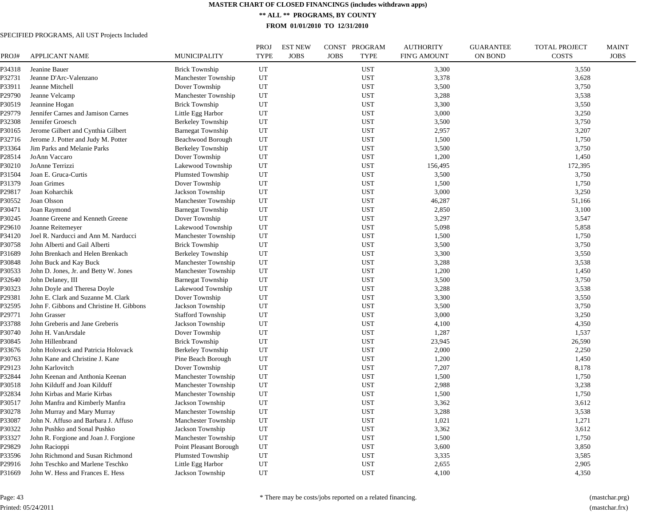**\*\* ALL \*\* PROGRAMS, BY COUNTY**

**FROM 01/01/2010 TO 12/31/2010**

| PROJ#  | <b>APPLICANT NAME</b>                    | MUNICIPALITY             | <b>PROJ</b><br><b>TYPE</b> | <b>EST NEW</b><br><b>JOBS</b> | CONST PROGRAM<br><b>JOBS</b><br><b>TYPE</b> | <b>AUTHORITY</b><br><b>FIN'G AMOUNT</b> | <b>GUARANTEE</b><br><b>ON BOND</b> | <b>TOTAL PROJECT</b><br><b>COSTS</b> | <b>MAINT</b><br><b>JOBS</b> |
|--------|------------------------------------------|--------------------------|----------------------------|-------------------------------|---------------------------------------------|-----------------------------------------|------------------------------------|--------------------------------------|-----------------------------|
| P34318 | Jeanine Bauer                            | <b>Brick Township</b>    | UT                         |                               | <b>UST</b>                                  | 3,300                                   |                                    | 3,550                                |                             |
| P32731 | Jeanne D'Arc-Valenzano                   | Manchester Township      | UT                         |                               | <b>UST</b>                                  | 3,378                                   |                                    | 3,628                                |                             |
| P33911 | Jeanne Mitchell                          | Dover Township           | UT                         |                               | <b>UST</b>                                  | 3,500                                   |                                    | 3,750                                |                             |
| P29790 | Jeanne Velcamp                           | Manchester Township      | UT                         |                               | <b>UST</b>                                  | 3,288                                   |                                    | 3,538                                |                             |
| P30519 | Jeannine Hogan                           | <b>Brick Township</b>    | UT                         |                               | <b>UST</b>                                  | 3,300                                   |                                    | 3,550                                |                             |
| P29779 | Jennifer Carnes and Jamison Carnes       | Little Egg Harbor        | UT                         |                               | <b>UST</b>                                  | 3,000                                   |                                    | 3,250                                |                             |
| P32308 | Jennifer Groesch                         | Berkeley Township        | UT                         |                               | <b>UST</b>                                  | 3,500                                   |                                    | 3,750                                |                             |
| P30165 | Jerome Gilbert and Cynthia Gilbert       | <b>Barnegat Township</b> | UT                         |                               | <b>UST</b>                                  | 2,957                                   |                                    | 3,207                                |                             |
| P32716 | Jerome J. Potter and Judy M. Potter      | Beachwood Borough        | UT                         |                               | <b>UST</b>                                  | 1,500                                   |                                    | 1,750                                |                             |
| P33364 | Jim Parks and Melanie Parks              | Berkeley Township        | UT                         |                               | <b>UST</b>                                  | 3,500                                   |                                    | 3,750                                |                             |
| P28514 | JoAnn Vaccaro                            | Dover Township           | UT                         |                               | <b>UST</b>                                  | 1,200                                   |                                    | 1,450                                |                             |
| P30210 | JoAnne Terrizzi                          | Lakewood Township        | UT                         |                               | <b>UST</b>                                  | 156,495                                 |                                    | 172,395                              |                             |
| P31504 | Joan E. Gruca-Curtis                     | <b>Plumsted Township</b> | UT                         |                               | <b>UST</b>                                  | 3,500                                   |                                    | 3,750                                |                             |
| P31379 | Joan Grimes                              | Dover Township           | UT                         |                               | <b>UST</b>                                  | 1,500                                   |                                    | 1,750                                |                             |
| P29817 | Joan Koharchik                           | Jackson Township         | UT                         |                               | <b>UST</b>                                  | 3,000                                   |                                    | 3,250                                |                             |
| P30552 | Joan Olsson                              | Manchester Township      | UT                         |                               | <b>UST</b>                                  | 46,287                                  |                                    | 51,166                               |                             |
| P30471 | Joan Raymond                             | <b>Barnegat Township</b> | UT                         |                               | <b>UST</b>                                  | 2,850                                   |                                    | 3,100                                |                             |
| P30245 | Joanne Greene and Kenneth Greene         | Dover Township           | UT                         |                               | <b>UST</b>                                  | 3,297                                   |                                    | 3,547                                |                             |
| P29610 | Joanne Reitemeyer                        | Lakewood Township        | UT                         |                               | <b>UST</b>                                  | 5,098                                   |                                    | 5,858                                |                             |
| P34120 | Joel R. Narducci and Ann M. Narducci     | Manchester Township      | UT                         |                               | <b>UST</b>                                  | 1,500                                   |                                    | 1,750                                |                             |
| P30758 | John Alberti and Gail Alberti            | <b>Brick Township</b>    | UT                         |                               | <b>UST</b>                                  | 3,500                                   |                                    | 3,750                                |                             |
| P31689 | John Brenkach and Helen Brenkach         | Berkeley Township        | UT                         |                               | <b>UST</b>                                  | 3,300                                   |                                    | 3,550                                |                             |
| P30848 | John Buck and Kay Buck                   | Manchester Township      | UT                         |                               | <b>UST</b>                                  | 3,288                                   |                                    | 3,538                                |                             |
| P30533 | John D. Jones, Jr. and Betty W. Jones    | Manchester Township      | UT                         |                               | <b>UST</b>                                  | 1,200                                   |                                    | 1,450                                |                             |
| P32640 | John Delaney, III                        | Barnegat Township        | UT                         |                               | <b>UST</b>                                  | 3,500                                   |                                    | 3,750                                |                             |
| P30323 | John Doyle and Theresa Doyle             | Lakewood Township        | UT                         |                               | <b>UST</b>                                  | 3,288                                   |                                    | 3,538                                |                             |
| P29381 | John E. Clark and Suzanne M. Clark       | Dover Township           | UT                         |                               | <b>UST</b>                                  | 3,300                                   |                                    | 3,550                                |                             |
| P32595 | John F. Gibbons and Christine H. Gibbons | Jackson Township         | UT                         |                               | UST                                         | 3,500                                   |                                    | 3,750                                |                             |
| P29771 | John Grasser                             | <b>Stafford Township</b> | UT                         |                               | <b>UST</b>                                  | 3,000                                   |                                    | 3,250                                |                             |
| P33788 | John Greberis and Jane Greberis          | Jackson Township         | UT                         |                               | <b>UST</b>                                  | 4,100                                   |                                    | 4,350                                |                             |
| P30740 | John H. VanArsdale                       | Dover Township           | UT                         |                               | <b>UST</b>                                  | 1,287                                   |                                    | 1,537                                |                             |
| P30845 | John Hillenbrand                         | <b>Brick Township</b>    | UT                         |                               | <b>UST</b>                                  | 23,945                                  |                                    | 26,590                               |                             |
| P33676 | John Holovack and Patricia Holovack      | Berkeley Township        | UT                         |                               | <b>UST</b>                                  | 2,000                                   |                                    | 2,250                                |                             |
| P30763 | John Kane and Christine J. Kane          | Pine Beach Borough       | UT                         |                               | <b>UST</b>                                  | 1,200                                   |                                    | 1,450                                |                             |
| P29123 | John Karlovitch                          | Dover Township           | UT                         |                               | <b>UST</b>                                  | 7,207                                   |                                    | 8,178                                |                             |
| P32844 | John Keenan and Anthonia Keenan          | Manchester Township      | UT                         |                               | <b>UST</b>                                  | 1,500                                   |                                    | 1,750                                |                             |
| P30518 | John Kilduff and Joan Kilduff            | Manchester Township      | UT                         |                               | <b>UST</b>                                  | 2,988                                   |                                    | 3,238                                |                             |
| P32834 | John Kirbas and Marie Kirbas             | Manchester Township      | UT                         |                               | <b>UST</b>                                  | 1,500                                   |                                    | 1,750                                |                             |
| P30517 | John Manfra and Kimberly Manfra          | Jackson Township         | UT                         |                               | <b>UST</b>                                  | 3,362                                   |                                    | 3,612                                |                             |
| P30278 | John Murray and Mary Murray              | Manchester Township      | UT                         |                               | <b>UST</b>                                  | 3,288                                   |                                    | 3,538                                |                             |
| P33087 | John N. Affuso and Barbara J. Affuso     | Manchester Township      | UT                         |                               | <b>UST</b>                                  | 1,021                                   |                                    | 1,271                                |                             |
| P30322 | John Pushko and Sonal Pushko             | Jackson Township         | UT                         |                               | <b>UST</b>                                  | 3,362                                   |                                    | 3,612                                |                             |
| P33327 | John R. Forgione and Joan J. Forgione    | Manchester Township      | UT                         |                               | <b>UST</b>                                  | 1,500                                   |                                    | 1,750                                |                             |
| P29829 | John Racioppi                            | Point Pleasant Borough   | UT                         |                               | <b>UST</b>                                  | 3,600                                   |                                    | 3,850                                |                             |
| P33596 | John Richmond and Susan Richmond         | Plumsted Township        | UT                         |                               | <b>UST</b>                                  | 3,335                                   |                                    | 3,585                                |                             |
| P29916 | John Teschko and Marlene Teschko         | Little Egg Harbor        | UT                         |                               | <b>UST</b>                                  | 2,655                                   |                                    | 2,905                                |                             |
| P31669 | John W. Hess and Frances E. Hess         | Jackson Township         | UT                         |                               | <b>UST</b>                                  | 4,100                                   |                                    | 4,350                                |                             |
|        |                                          |                          |                            |                               |                                             |                                         |                                    |                                      |                             |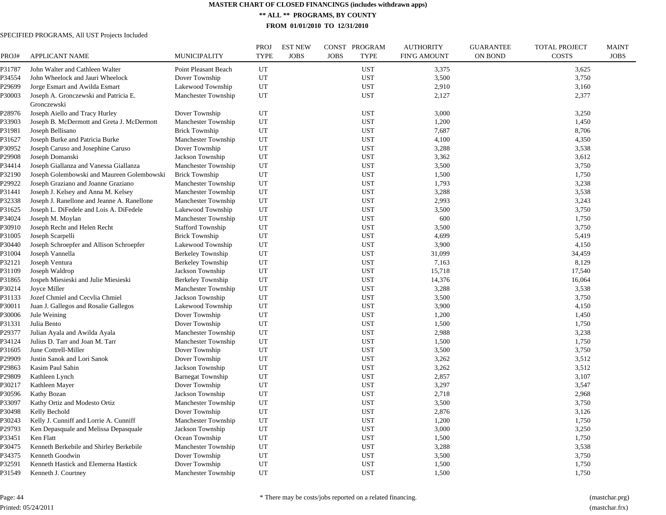**\*\* ALL \*\* PROGRAMS, BY COUNTY**

**FROM 01/01/2010 TO 12/31/2010**

| PROJ#  | <b>APPLICANT NAME</b>                       | <b>MUNICIPALITY</b>      | <b>PROJ</b><br><b>TYPE</b> | <b>EST NEW</b><br><b>JOBS</b> | PROGRAM<br><b>CONST</b><br><b>JOBS</b><br><b>TYPE</b> | <b>AUTHORITY</b><br><b>FIN'G AMOUNT</b> | <b>GUARANTEE</b><br><b>ON BOND</b> | TOTAL PROJECT<br><b>COSTS</b> | <b>MAINT</b><br><b>JOBS</b> |
|--------|---------------------------------------------|--------------------------|----------------------------|-------------------------------|-------------------------------------------------------|-----------------------------------------|------------------------------------|-------------------------------|-----------------------------|
| P31787 | John Walter and Cathleen Walter             | Point Pleasant Beach     | UT                         |                               | <b>UST</b>                                            | 3,375                                   |                                    | 3,625                         |                             |
| P34554 | John Wheelock and Jauri Wheelock            | Dover Township           | UT                         |                               | <b>UST</b>                                            | 3,500                                   |                                    | 3,750                         |                             |
| P29699 | Jorge Esmart and Awilda Esmart              | Lakewood Township        | UT                         |                               | <b>UST</b>                                            | 2,910                                   |                                    | 3,160                         |                             |
| ?30003 | Joseph A. Gronczewski and Patricia E.       | Manchester Township      | UT                         |                               | <b>UST</b>                                            | 2,127                                   |                                    | 2,377                         |                             |
|        | Gronczewski                                 |                          |                            |                               |                                                       |                                         |                                    |                               |                             |
| P28976 | Joseph Aiello and Tracy Hurley              | Dover Township           | UT                         |                               | <b>UST</b>                                            | 3,000                                   |                                    | 3,250                         |                             |
| P33903 | Joseph B. McDermott and Greta J. McDermott  | Manchester Township      | UT                         |                               | <b>UST</b>                                            | 1,200                                   |                                    | 1,450                         |                             |
| P31981 | Joseph Bellisano                            | <b>Brick Township</b>    | UT                         |                               | <b>UST</b>                                            | 7,687                                   |                                    | 8,706                         |                             |
| P31627 | Joseph Burke and Patricia Burke             | Manchester Township      | UT                         |                               | <b>UST</b>                                            | 4,100                                   |                                    | 4,350                         |                             |
| P30952 | Joseph Caruso and Josephine Caruso          | Dover Township           | UT                         |                               | <b>UST</b>                                            | 3,288                                   |                                    | 3,538                         |                             |
| P29908 | Joseph Domanski                             | Jackson Township         | UT                         |                               | <b>UST</b>                                            | 3,362                                   |                                    | 3,612                         |                             |
| P34414 | Joseph Giallanza and Vanessa Giallanza      | Manchester Township      | UT                         |                               | <b>UST</b>                                            | 3,500                                   |                                    | 3,750                         |                             |
| P32190 | Joseph Golembowski and Maureen Golembowski  | <b>Brick Township</b>    | UT                         |                               | <b>UST</b>                                            | 1,500                                   |                                    | 1,750                         |                             |
| P29922 | Joseph Graziano and Joanne Graziano         | Manchester Township      | UT                         |                               | <b>UST</b>                                            | 1,793                                   |                                    | 3,238                         |                             |
| P31441 | Joseph J. Kelsey and Anna M. Kelsey         | Manchester Township      | UT                         |                               | <b>UST</b>                                            | 3,288                                   |                                    | 3,538                         |                             |
| P32338 | Joseph J. Ranellone and Jeanne A. Ranellone | Manchester Township      | UT                         |                               | <b>UST</b>                                            | 2,993                                   |                                    | 3,243                         |                             |
| P31625 | Joseph L. DiFedele and Lois A. DiFedele     | Lakewood Township        | UT                         |                               | <b>UST</b>                                            | 3,500                                   |                                    | 3,750                         |                             |
| P34024 | Joseph M. Moylan                            | Manchester Township      | UT                         |                               | <b>UST</b>                                            | 600                                     |                                    | 1,750                         |                             |
| P30910 | Joseph Recht and Helen Recht                | <b>Stafford Township</b> | UT                         |                               | <b>UST</b>                                            | 3,500                                   |                                    | 3,750                         |                             |
| P31005 | Joseph Scarpelli                            | <b>Brick Township</b>    | UT                         |                               | <b>UST</b>                                            | 4,699                                   |                                    | 5,419                         |                             |
| P30440 | Joseph Schroepfer and Allison Schroepfer    | Lakewood Township        | UT                         |                               | <b>UST</b>                                            | 3,900                                   |                                    | 4,150                         |                             |
| P31004 | Joseph Vannella                             | <b>Berkeley Township</b> | UT                         |                               | <b>UST</b>                                            | 31,099                                  |                                    | 34,459                        |                             |
| P32121 | Joseph Ventura                              | <b>Berkeley Township</b> | UT                         |                               | <b>UST</b>                                            | 7,163                                   |                                    | 8,129                         |                             |
| P31109 | Joseph Waldrop                              | Jackson Township         | UT                         |                               | <b>UST</b>                                            | 15,718                                  |                                    | 17,540                        |                             |
| P31865 | Jospeh Miesieski and Julie Miesieski        | Berkeley Township        | UT                         |                               | <b>UST</b>                                            | 14,376                                  |                                    | 16,064                        |                             |
| P30214 | Joyce Miller                                | Manchester Township      | UT                         |                               | <b>UST</b>                                            | 3,288                                   |                                    | 3,538                         |                             |
| P31133 | Jozef Chmiel and Cecvlia Chmiel             | Jackson Township         | UT                         |                               | <b>UST</b>                                            | 3,500                                   |                                    | 3,750                         |                             |
| P30011 | Juan J. Gallegos and Rosalie Gallegos       | Lakewood Township        | UT                         |                               | <b>UST</b>                                            | 3,900                                   |                                    | 4,150                         |                             |
| P30006 | Jule Weining                                | Dover Township           | UT                         |                               | <b>UST</b>                                            | 1,200                                   |                                    | 1,450                         |                             |
| P31331 | Julia Bento                                 | Dover Township           | UT                         |                               | <b>UST</b>                                            | 1,500                                   |                                    | 1,750                         |                             |
| P29377 | Julian Ayala and Awilda Ayala               | Manchester Township      | UT                         |                               | <b>UST</b>                                            | 2,988                                   |                                    | 3,238                         |                             |
| P34124 | Julius D. Tarr and Joan M. Tarr             | Manchester Township      | UT                         |                               | <b>UST</b>                                            | 1,500                                   |                                    | 1,750                         |                             |
| P31605 | June Cottrell-Miller                        | Dover Township           | UT                         |                               | <b>UST</b>                                            | 3,500                                   |                                    | 3,750                         |                             |
| P29909 | Justin Sanok and Lori Sanok                 | Dover Township           | UT                         |                               | <b>UST</b>                                            | 3,262                                   |                                    | 3,512                         |                             |
| 229863 | Kasim Paul Sahin                            | Jackson Township         | UT                         |                               | <b>UST</b>                                            | 3,262                                   |                                    | 3,512                         |                             |
| P29809 | Kathleen Lynch                              | <b>Barnegat Township</b> | UT                         |                               | <b>UST</b>                                            | 2,857                                   |                                    | 3,107                         |                             |
| P30217 | Kathleen Mayer                              | Dover Township           | UT                         |                               | <b>UST</b>                                            | 3,297                                   |                                    | 3,547                         |                             |
| P30596 | Kathy Bozan                                 | Jackson Township         | UT                         |                               | <b>UST</b>                                            | 2,718                                   |                                    | 2,968                         |                             |
| P33097 | Kathy Ortiz and Modesto Ortiz               | Manchester Township      | UT                         |                               | <b>UST</b>                                            | 3,500                                   |                                    | 3,750                         |                             |
| P30498 | Kelly Bechold                               | Dover Township           | UT                         |                               | <b>UST</b>                                            | 2,876                                   |                                    | 3,126                         |                             |
| ?30243 | Kelly J. Cunniff and Lorrie A. Cunniff      | Manchester Township      | UT                         |                               | <b>UST</b>                                            | 1,200                                   |                                    | 1,750                         |                             |
| P29793 | Ken Depasquale and Melissa Depasquale       | Jackson Township         | UT                         |                               | <b>UST</b>                                            | 3,000                                   |                                    | 3,250                         |                             |
| P33451 | Ken Flatt                                   | Ocean Township           | UT                         |                               | <b>UST</b>                                            | 1,500                                   |                                    | 1,750                         |                             |
| P30475 | Kenneth Berkebile and Shirley Berkebile     | Manchester Township      | UT                         |                               | <b>UST</b>                                            | 3,288                                   |                                    | 3,538                         |                             |
| P34375 | Kenneth Goodwin                             | Dover Township           | UT                         |                               | <b>UST</b>                                            | 3,500                                   |                                    | 3,750                         |                             |
| P32591 | Kenneth Hastick and Elemerna Hastick        | Dover Township           | UT                         |                               | <b>UST</b>                                            | 1,500                                   |                                    | 1,750                         |                             |
| P31549 | Kenneth J. Courtney                         | Manchester Township      | UT                         |                               | <b>UST</b>                                            | 1,500                                   |                                    | 1,750                         |                             |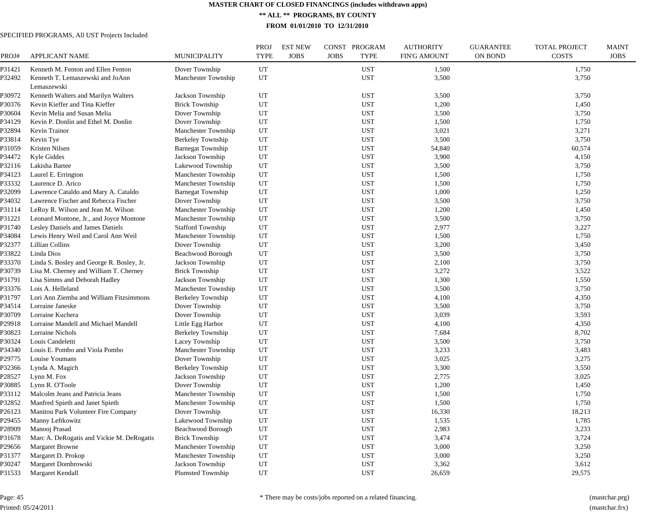**\*\* ALL \*\* PROGRAMS, BY COUNTY**

**FROM 01/01/2010 TO 12/31/2010**

| PROJ#  | <b>APPLICANT NAME</b>                           | <b>MUNICIPALITY</b>      | <b>PROJ</b><br><b>TYPE</b> | <b>EST NEW</b><br><b>JOBS</b> | <b>JOBS</b> | CONST PROGRAM<br><b>TYPE</b> | <b>AUTHORITY</b><br><b>FIN'G AMOUNT</b> | <b>GUARANTEE</b><br>ON BOND | <b>TOTAL PROJECT</b><br><b>COSTS</b> | <b>MAINT</b><br><b>JOBS</b> |
|--------|-------------------------------------------------|--------------------------|----------------------------|-------------------------------|-------------|------------------------------|-----------------------------------------|-----------------------------|--------------------------------------|-----------------------------|
| P31421 | Kenneth M. Fenton and Ellen Fenton              | Dover Township           | UT                         |                               |             | <b>UST</b>                   | 1,500                                   |                             | 1,750                                |                             |
| P32492 | Kenneth T. Lemaszewski and JoAnn<br>Lemaszewski | Manchester Township      | UT                         |                               |             | <b>UST</b>                   | 3,500                                   |                             | 3,750                                |                             |
| P30972 | Kenneth Walters and Marilyn Walters             | Jackson Township         | UT                         |                               |             | <b>UST</b>                   | 3,500                                   |                             | 3,750                                |                             |
| P30376 | Kevin Kieffer and Tina Kieffer                  | <b>Brick Township</b>    | UT                         |                               |             | <b>UST</b>                   | 1,200                                   |                             | 1,450                                |                             |
| P30604 | Kevin Melia and Susan Melia                     | Dover Township           | UT                         |                               |             | <b>UST</b>                   | 3,500                                   |                             | 3,750                                |                             |
| P34129 | Kevin P. Donlin and Ethel M. Donlin             | Dover Township           | UT                         |                               |             | <b>UST</b>                   | 1,500                                   |                             | 1,750                                |                             |
| P32894 | Kevin Trainor                                   | Manchester Township      | UT                         |                               |             | <b>UST</b>                   | 3,021                                   |                             | 3,271                                |                             |
| P33814 | Kevin Tye                                       | Berkeley Township        | UT                         |                               |             | <b>UST</b>                   | 3,500                                   |                             | 3,750                                |                             |
| P31059 | Kristen Nilsen                                  | <b>Barnegat Township</b> | UT                         |                               |             | <b>UST</b>                   | 54,840                                  |                             | 60,574                               |                             |
| P34472 | Kyle Giddes                                     | Jackson Township         | UT                         |                               |             | <b>UST</b>                   | 3,900                                   |                             | 4,150                                |                             |
| P32116 | Lakisha Bartee                                  | Lakewood Township        | UT                         |                               |             | <b>UST</b>                   | 3,500                                   |                             | 3,750                                |                             |
| P34123 | Laurel E. Errington                             | Manchester Township      | UT                         |                               |             | <b>UST</b>                   | 1,500                                   |                             | 1,750                                |                             |
| P33332 | Laurence D. Arico                               | Manchester Township      | UT                         |                               |             | <b>UST</b>                   | 1,500                                   |                             | 1,750                                |                             |
| P32099 | Lawrence Cataldo and Mary A. Cataldo            | <b>Barnegat Township</b> | UT                         |                               |             | <b>UST</b>                   | 1,000                                   |                             | 1,250                                |                             |
| P34032 | Lawrence Fischer and Rebecca Fischer            | Dover Township           | UT                         |                               |             | <b>UST</b>                   | 3,500                                   |                             | 3,750                                |                             |
| P31114 | LeRoy R. Wilson and Jean M. Wilson              | Manchester Township      | UT                         |                               |             | <b>UST</b>                   | 1,200                                   |                             | 1,450                                |                             |
| P31221 | Leonard Montone, Jr., and Joyce Montone         | Manchester Township      | UT                         |                               |             | <b>UST</b>                   | 3,500                                   |                             | 3,750                                |                             |
| P31740 | Lesley Daniels and James Daniels                | <b>Stafford Township</b> | UT                         |                               |             | <b>UST</b>                   | 2,977                                   |                             | 3,227                                |                             |
| P34084 | Lewis Henry Weil and Carol Ann Weil             | Manchester Township      | UT                         |                               |             | <b>UST</b>                   | 1,500                                   |                             | 1,750                                |                             |
| P32377 | Lillian Collins                                 | Dover Township           | UT                         |                               |             | <b>UST</b>                   | 3,200                                   |                             | 3,450                                |                             |
| P33822 | Linda Dios                                      | Beachwood Borough        | UT                         |                               |             | <b>UST</b>                   | 3,500                                   |                             | 3,750                                |                             |
| P33370 | Linda S. Bosley and George R. Bosley, Jr.       | Jackson Township         | UT                         |                               |             | <b>UST</b>                   | 2,100                                   |                             | 3,750                                |                             |
| P30739 | Lisa M. Cherney and William T. Cherney          | <b>Brick Township</b>    | UT                         |                               |             | <b>UST</b>                   | 3,272                                   |                             | 3,522                                |                             |
| P31791 | Lisa Simms and Deborah Hadley                   | Jackson Township         | UT                         |                               |             | <b>UST</b>                   | 1,300                                   |                             | 1,550                                |                             |
| P33376 | Lois A. Helleland                               | Manchester Township      | UT                         |                               |             | <b>UST</b>                   | 3,500                                   |                             | 3,750                                |                             |
| P31797 | Lori Ann Ziemba and William Fitzsimmons         | <b>Berkeley Township</b> | UT                         |                               |             | <b>UST</b>                   | 4,100                                   |                             | 4,350                                |                             |
| P34514 | Lorraine Janeske                                | Dover Township           | UT                         |                               |             | <b>UST</b>                   | 3,500                                   |                             | 3,750                                |                             |
| P30709 | Lorraine Kuchera                                | Dover Township           | UT                         |                               |             | <b>UST</b>                   | 3,039                                   |                             | 3,593                                |                             |
| P29918 | Lorraine Mandell and Michael Mandell            | Little Egg Harbor        | UT                         |                               |             | <b>UST</b>                   | 4,100                                   |                             | 4,350                                |                             |
| P30823 | Lorraine Nichols                                | <b>Berkeley Township</b> | UT                         |                               |             | <b>UST</b>                   | 7,684                                   |                             | 8,702                                |                             |
| P30324 | Louis Candeletti                                | Lacey Township           | UT                         |                               |             | <b>UST</b>                   | 3,500                                   |                             | 3,750                                |                             |
| P34340 | Louis E. Pombo and Viola Pombo                  | Manchester Township      | UT                         |                               |             | <b>UST</b>                   | 3,233                                   |                             | 3,483                                |                             |
| P29775 | Louise Youmans                                  | Dover Township           | UT                         |                               |             | <b>UST</b>                   | 3,025                                   |                             | 3,275                                |                             |
| P32366 | Lynda A. Magich                                 | <b>Berkeley Township</b> | UT                         |                               |             | <b>UST</b>                   | 3,300                                   |                             | 3,550                                |                             |
| P28527 | Lynn M. Fox                                     | Jackson Township         | UT                         |                               |             | <b>UST</b>                   | 2,775                                   |                             | 3,025                                |                             |
| P30885 | Lynn R. O'Toole                                 | Dover Township           | UT                         |                               |             | <b>UST</b>                   | 1,200                                   |                             | 1,450                                |                             |
| P33112 | Malcolm Jeans and Patricia Jeans                | Manchester Township      | UT                         |                               |             | <b>UST</b>                   | 1,500                                   |                             | 1,750                                |                             |
| P32852 | Manfred Spieth and Janet Spieth                 | Manchester Township      | UT                         |                               |             | <b>UST</b>                   | 1,500                                   |                             | 1,750                                |                             |
| P26123 | Manitou Park Volunteer Fire Company             | Dover Township           | UT                         |                               |             | <b>UST</b>                   | 16,330                                  |                             | 18,213                               |                             |
| P29455 | Manny Leftkowitz                                | Lakewood Township        | UT                         |                               |             | <b>UST</b>                   | 1,535                                   |                             | 1,785                                |                             |
| P28909 | Manooj Prasad                                   | Beachwood Borough        | UT                         |                               |             | <b>UST</b>                   | 2,983                                   |                             | 3,233                                |                             |
| P31678 | Marc A. DeRogatis and Vickie M. DeRogatis       | <b>Brick Township</b>    | UT                         |                               |             | <b>UST</b>                   | 3,474                                   |                             | 3,724                                |                             |
| P29656 | <b>Margaret Browne</b>                          | Manchester Township      | UT                         |                               |             | <b>UST</b>                   | 3,000                                   |                             | 3,250                                |                             |
| P31377 | Margaret D. Prokop                              | Manchester Township      | UT                         |                               |             | <b>UST</b>                   | 3,000                                   |                             | 3,250                                |                             |
| P30247 | Margaret Dombrowski                             | Jackson Township         | UT                         |                               |             | <b>UST</b>                   | 3,362                                   |                             | 3,612                                |                             |
| P31533 | Margaret Kendall                                | <b>Plumsted Township</b> | UT                         |                               |             | <b>UST</b>                   | 26,659                                  |                             | 29,575                               |                             |
|        |                                                 |                          |                            |                               |             |                              |                                         |                             |                                      |                             |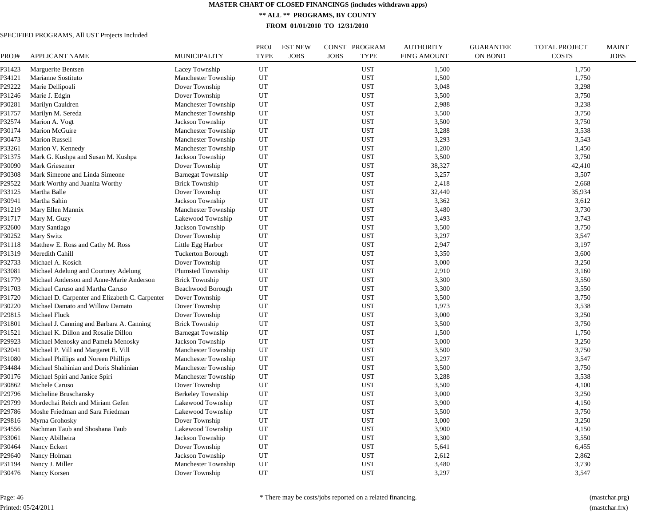**\*\* ALL \*\* PROGRAMS, BY COUNTY**

**FROM 01/01/2010 TO 12/31/2010**

| PROJ#  | <b>APPLICANT NAME</b>                           | MUNICIPALITY             | <b>PROJ</b><br><b>TYPE</b> | <b>EST NEW</b><br><b>JOBS</b> | PROGRAM<br>CONST<br><b>JOBS</b><br><b>TYPE</b> | <b>AUTHORITY</b><br><b>FIN'G AMOUNT</b> | <b>GUARANTEE</b><br>ON BOND | <b>TOTAL PROJECT</b><br><b>COSTS</b> | <b>MAINT</b><br><b>JOBS</b> |
|--------|-------------------------------------------------|--------------------------|----------------------------|-------------------------------|------------------------------------------------|-----------------------------------------|-----------------------------|--------------------------------------|-----------------------------|
| 231423 | Marguerite Bentsen                              | Lacey Township           | UT                         |                               | <b>UST</b>                                     | 1,500                                   |                             | 1,750                                |                             |
| ?34121 | Marianne Sostituto                              | Manchester Township      | UT                         |                               | <b>UST</b>                                     | 1,500                                   |                             | 1,750                                |                             |
| P29222 | Marie Dellipoali                                | Dover Township           | UT                         |                               | <b>UST</b>                                     | 3,048                                   |                             | 3,298                                |                             |
| 231246 | Marie J. Edgin                                  | Dover Township           | UT                         |                               | <b>UST</b>                                     | 3,500                                   |                             | 3,750                                |                             |
| ?30281 | Marilyn Cauldren                                | Manchester Township      | UT                         |                               | <b>UST</b>                                     | 2,988                                   |                             | 3,238                                |                             |
| 231757 | Marilyn M. Sereda                               | Manchester Township      | UT                         |                               | <b>UST</b>                                     | 3,500                                   |                             | 3,750                                |                             |
| ?32574 | Marion A. Vogt                                  | Jackson Township         | UT                         |                               | <b>UST</b>                                     | 3,500                                   |                             | 3,750                                |                             |
| ?30174 | Marion McGuire                                  | Manchester Township      | UT                         |                               | <b>UST</b>                                     | 3,288                                   |                             | 3,538                                |                             |
| ?30473 | <b>Marion Russell</b>                           | Manchester Township      | UT                         |                               | <b>UST</b>                                     | 3,293                                   |                             | 3,543                                |                             |
| ?33261 | Marion V. Kennedy                               | Manchester Township      | UT                         |                               | <b>UST</b>                                     | 1,200                                   |                             | 1,450                                |                             |
| 231375 | Mark G. Kushpa and Susan M. Kushpa              | Jackson Township         | UT                         |                               | <b>UST</b>                                     | 3,500                                   |                             | 3,750                                |                             |
| ?30090 | Mark Griesemer                                  | Dover Township           | UT                         |                               | <b>UST</b>                                     | 38,327                                  |                             | 42,410                               |                             |
| ?30308 | Mark Simeone and Linda Simeone                  | <b>Barnegat Township</b> | UT                         |                               | <b>UST</b>                                     | 3,257                                   |                             | 3,507                                |                             |
| 29522  | Mark Worthy and Juanita Worthy                  | <b>Brick Township</b>    | UT                         |                               | <b>UST</b>                                     | 2,418                                   |                             | 2,668                                |                             |
| P33125 | Martha Balle                                    | Dover Township           | UT                         |                               | <b>UST</b>                                     | 32,440                                  |                             | 35,934                               |                             |
| ?30941 | Martha Sahin                                    | Jackson Township         | UT                         |                               | <b>UST</b>                                     | 3,362                                   |                             | 3,612                                |                             |
| P31219 | Mary Ellen Mannix                               | Manchester Township      | UT                         |                               | <b>UST</b>                                     | 3,480                                   |                             | 3,730                                |                             |
| P31717 | Mary M. Guzy                                    | Lakewood Township        | UT                         |                               | <b>UST</b>                                     | 3,493                                   |                             | 3,743                                |                             |
| P32600 | Mary Santiago                                   | Jackson Township         | UT                         |                               | <b>UST</b>                                     | 3,500                                   |                             | 3,750                                |                             |
| P30252 | Mary Switz                                      | Dover Township           | UT                         |                               | <b>UST</b>                                     | 3,297                                   |                             | 3,547                                |                             |
| P31118 | Matthew E. Ross and Cathy M. Ross               | Little Egg Harbor        | UT                         |                               | <b>UST</b>                                     | 2,947                                   |                             | 3,197                                |                             |
| P31319 | Meredith Cahill                                 | <b>Tuckerton Borough</b> | UT                         |                               | <b>UST</b>                                     | 3,350                                   |                             | 3,600                                |                             |
| ?32733 | Michael A. Kosich                               | Dover Township           | UT                         |                               | <b>UST</b>                                     | 3,000                                   |                             | 3,250                                |                             |
| P33081 | Michael Adelung and Courtney Adelung            | Plumsted Township        | UT                         |                               | <b>UST</b>                                     | 2,910                                   |                             | 3,160                                |                             |
| P31779 | Michael Anderson and Anne-Marie Anderson        | <b>Brick Township</b>    | UT                         |                               | <b>UST</b>                                     | 3,300                                   |                             | 3,550                                |                             |
| P31703 | Michael Caruso and Martha Caruso                | Beachwood Borough        | UT                         |                               | <b>UST</b>                                     | 3,300                                   |                             | 3,550                                |                             |
| P31720 | Michael D. Carpenter and Elizabeth C. Carpenter | Dover Township           | UT                         |                               | <b>UST</b>                                     | 3,500                                   |                             | 3,750                                |                             |
| P30220 | Michael Damato and Willow Damato                | Dover Township           | UT                         |                               | <b>UST</b>                                     | 1,973                                   |                             | 3,538                                |                             |
| 229815 | Michael Fluck                                   | Dover Township           | UT                         |                               | <b>UST</b>                                     | 3,000                                   |                             | 3,250                                |                             |
| P31801 | Michael J. Canning and Barbara A. Canning       | <b>Brick Township</b>    | UT                         |                               | <b>UST</b>                                     | 3,500                                   |                             | 3,750                                |                             |
| P31521 | Michael K. Dillon and Rosalie Dillon            | <b>Barnegat Township</b> | UT                         |                               | <b>UST</b>                                     | 1,500                                   |                             | 1,750                                |                             |
| P29923 | Michael Menosky and Pamela Menosky              | Jackson Township         | UT                         |                               | <b>UST</b>                                     | 3,000                                   |                             | 3,250                                |                             |
| ?32041 | Michael P. Vill and Margaret E. Vill            | Manchester Township      | UT                         |                               | <b>UST</b>                                     | 3,500                                   |                             | 3,750                                |                             |
| P31080 | Michael Phillips and Noreen Phillips            | Manchester Township      | UT                         |                               | <b>UST</b>                                     | 3,297                                   |                             | 3,547                                |                             |
| ?34484 | Michael Shahinian and Doris Shahinian           | Manchester Township      | UT                         |                               | <b>UST</b>                                     | 3,500                                   |                             | 3,750                                |                             |
| P30176 | Michael Spiri and Janice Spiri                  | Manchester Township      | UT                         |                               | <b>UST</b>                                     | 3,288                                   |                             | 3,538                                |                             |
| ?30862 | Michele Caruso                                  | Dover Township           | UT                         |                               | <b>UST</b>                                     | 3,500                                   |                             | 4,100                                |                             |
| P29796 | Micheline Bruschansky                           | Berkeley Township        | UT                         |                               | <b>UST</b>                                     | 3,000                                   |                             | 3,250                                |                             |
| 29799  | Mordechai Reich and Miriam Gefen                | Lakewood Township        | UT                         |                               | <b>UST</b>                                     | 3,900                                   |                             | 4,150                                |                             |
| P29786 | Moshe Friedman and Sara Friedman                | Lakewood Township        | UT                         |                               | <b>UST</b>                                     | 3,500                                   |                             | 3,750                                |                             |
| 229816 | Myrna Grohosky                                  | Dover Township           | UT                         |                               | <b>UST</b>                                     | 3,000                                   |                             | 3,250                                |                             |
| P34556 | Nachman Taub and Shoshana Taub                  | Lakewood Township        | UT                         |                               | <b>UST</b>                                     | 3,900                                   |                             | 4,150                                |                             |
| P33061 | Nancy Abilheira                                 | Jackson Township         | UT                         |                               | <b>UST</b>                                     | 3,300                                   |                             | 3,550                                |                             |
| P30464 | Nancy Eckert                                    | Dover Township           | UT                         |                               | <b>UST</b>                                     | 5,641                                   |                             | 6,455                                |                             |
| P29640 | Nancy Holman                                    | Jackson Township         | UT                         |                               | <b>UST</b>                                     | 2,612                                   |                             | 2,862                                |                             |
| P31194 | Nancy J. Miller                                 | Manchester Township      | UT                         |                               | <b>UST</b>                                     | 3,480                                   |                             | 3,730                                |                             |
| P30476 | Nancy Korsen                                    | Dover Township           | UT                         |                               | <b>UST</b>                                     | 3,297                                   |                             | 3,547                                |                             |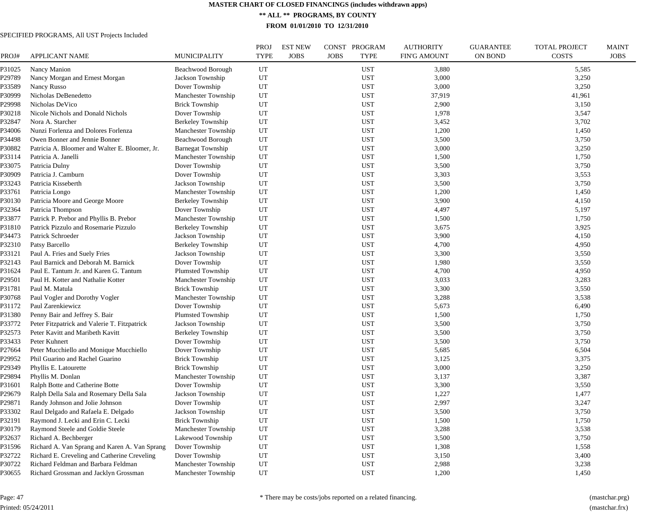**\*\* ALL \*\* PROGRAMS, BY COUNTY**

**FROM 01/01/2010 TO 12/31/2010**

| PROJ#  | <b>APPLICANT NAME</b>                          | <b>MUNICIPALITY</b>      | <b>PROJ</b><br><b>TYPE</b> | <b>EST NEW</b><br><b>JOBS</b> | CONST PROGRAM<br><b>TYPE</b><br><b>JOBS</b> | <b>AUTHORITY</b><br><b>FIN'G AMOUNT</b> | <b>GUARANTEE</b><br><b>ON BOND</b> | <b>TOTAL PROJECT</b><br><b>COSTS</b> | <b>MAINT</b><br><b>JOBS</b> |
|--------|------------------------------------------------|--------------------------|----------------------------|-------------------------------|---------------------------------------------|-----------------------------------------|------------------------------------|--------------------------------------|-----------------------------|
| P31025 | Nancy Manion                                   | Beachwood Borough        | UT                         |                               | <b>UST</b>                                  | 3,880                                   |                                    | 5,585                                |                             |
| P29789 | Nancy Morgan and Ernest Morgan                 | Jackson Township         | UT                         |                               | <b>UST</b>                                  | 3,000                                   |                                    | 3,250                                |                             |
| P33589 | Nancy Russo                                    | Dover Township           | UT                         |                               | <b>UST</b>                                  | 3,000                                   |                                    | 3,250                                |                             |
| P30999 | Nicholas DeBenedetto                           | Manchester Township      | UT                         |                               | <b>UST</b>                                  | 37,919                                  |                                    | 41,961                               |                             |
| P29998 | Nicholas DeVico                                | <b>Brick Township</b>    | UT                         |                               | <b>UST</b>                                  | 2,900                                   |                                    | 3,150                                |                             |
| P30218 | Nicole Nichols and Donald Nichols              | Dover Township           | UT                         |                               | <b>UST</b>                                  | 1,978                                   |                                    | 3,547                                |                             |
| P32847 | Nora A. Starcher                               | <b>Berkeley Township</b> | UT                         |                               | <b>UST</b>                                  | 3,452                                   |                                    | 3,702                                |                             |
| P34006 | Nunzi Forlenza and Dolores Forlenza            | Manchester Township      | UT                         |                               | <b>UST</b>                                  | 1,200                                   |                                    | 1,450                                |                             |
| P34498 | Owen Bonner and Jennie Bonner                  | <b>Beachwood Borough</b> | UT                         |                               | <b>UST</b>                                  | 3,500                                   |                                    | 3,750                                |                             |
| P30882 | Patricia A. Bloomer and Walter E. Bloomer, Jr. | <b>Barnegat Township</b> | UT                         |                               | <b>UST</b>                                  | 3,000                                   |                                    | 3,250                                |                             |
| P33114 | Patricia A. Janelli                            | Manchester Township      | UT                         |                               | <b>UST</b>                                  | 1,500                                   |                                    | 1,750                                |                             |
| P33075 | Patricia Dulny                                 | Dover Township           | UT                         |                               | <b>UST</b>                                  | 3,500                                   |                                    | 3,750                                |                             |
| P30909 | Patricia J. Camburn                            | Dover Township           | UT                         |                               | <b>UST</b>                                  | 3,303                                   |                                    | 3,553                                |                             |
| P33243 | Patricia Kisseberth                            | Jackson Township         | UT                         |                               | <b>UST</b>                                  | 3,500                                   |                                    | 3,750                                |                             |
| P33761 | Patricia Longo                                 | Manchester Township      | UT                         |                               | <b>UST</b>                                  | 1,200                                   |                                    | 1,450                                |                             |
| P30130 | Patricia Moore and George Moore                | <b>Berkeley Township</b> | UT                         |                               | <b>UST</b>                                  | 3,900                                   |                                    | 4,150                                |                             |
| P32364 | Patricia Thompson                              | Dover Township           | UT                         |                               | <b>UST</b>                                  | 4,497                                   |                                    | 5,197                                |                             |
| P33877 | Patrick P. Prebor and Phyllis B. Prebor        | Manchester Township      | UT                         |                               | <b>UST</b>                                  | 1,500                                   |                                    | 1,750                                |                             |
| P31810 | Patrick Pizzulo and Rosemarie Pizzulo          | <b>Berkeley Township</b> | UT                         |                               | <b>UST</b>                                  | 3,675                                   |                                    | 3,925                                |                             |
| P34473 | Patrick Schroeder                              | Jackson Township         | UT                         |                               | <b>UST</b>                                  | 3,900                                   |                                    | 4,150                                |                             |
| P32310 | Patsy Barcello                                 | <b>Berkeley Township</b> | UT                         |                               | <b>UST</b>                                  | 4,700                                   |                                    | 4,950                                |                             |
| P33121 | Paul A. Fries and Suely Fries                  | Jackson Township         | UT                         |                               | <b>UST</b>                                  | 3,300                                   |                                    | 3,550                                |                             |
| P32143 | Paul Barnick and Deborah M. Barnick            | Dover Township           | UT                         |                               | UST                                         | 1,980                                   |                                    | 3,550                                |                             |
| P31624 | Paul E. Tantum Jr. and Karen G. Tantum         | Plumsted Township        | UT                         |                               | <b>UST</b>                                  | 4,700                                   |                                    | 4,950                                |                             |
| P29501 | Paul H. Kotter and Nathalie Kotter             | Manchester Township      | UT                         |                               | <b>UST</b>                                  | 3,033                                   |                                    | 3,283                                |                             |
| P31781 | Paul M. Matula                                 | <b>Brick Township</b>    | UT                         |                               | <b>UST</b>                                  | 3,300                                   |                                    | 3,550                                |                             |
| P30768 | Paul Vogler and Dorothy Vogler                 | Manchester Township      | UT                         |                               | <b>UST</b>                                  | 3,288                                   |                                    | 3,538                                |                             |
| P31172 | Paul Zarenkiewicz                              | Dover Township           | UT                         |                               | <b>UST</b>                                  | 5,673                                   |                                    | 6,490                                |                             |
| P31380 | Penny Bair and Jeffrey S. Bair                 | Plumsted Township        | UT                         |                               | <b>UST</b>                                  | 1,500                                   |                                    | 1,750                                |                             |
| P33772 | Peter Fitzpatrick and Valerie T. Fitzpatrick   | Jackson Township         | UT                         |                               | <b>UST</b>                                  | 3,500                                   |                                    | 3,750                                |                             |
| P32573 | Peter Kavitt and Maribeth Kavitt               | <b>Berkeley Township</b> | UT                         |                               | <b>UST</b>                                  | 3,500                                   |                                    | 3,750                                |                             |
| P33433 | Peter Kuhnert                                  | Dover Township           | UT                         |                               | <b>UST</b>                                  | 3,500                                   |                                    | 3,750                                |                             |
| P27664 | Peter Mucchiello and Monique Mucchiello        | Dover Township           | UT                         |                               | <b>UST</b>                                  | 5,685                                   |                                    | 6,504                                |                             |
| P29952 | Phil Guarino and Rachel Guarino                | <b>Brick Township</b>    | UT                         |                               | <b>UST</b>                                  | 3,125                                   |                                    | 3,375                                |                             |
| P29349 | Phyllis E. Latourette                          | <b>Brick Township</b>    | UT                         |                               | <b>UST</b>                                  | 3,000                                   |                                    | 3,250                                |                             |
| P29894 | Phyllis M. Donlan                              | Manchester Township      | UT                         |                               | <b>UST</b>                                  | 3,137                                   |                                    | 3,387                                |                             |
| P31601 | Ralph Botte and Catherine Botte                | Dover Township           | UT                         |                               | <b>UST</b>                                  | 3,300                                   |                                    | 3,550                                |                             |
| P29679 | Ralph Della Sala and Rosemary Della Sala       | Jackson Township         | UT                         |                               | <b>UST</b>                                  | 1,227                                   |                                    | 1,477                                |                             |
| P29871 | Randy Johnson and Jolie Johnson                | Dover Township           | UT                         |                               | <b>UST</b>                                  | 2,997                                   |                                    | 3,247                                |                             |
| P33302 | Raul Delgado and Rafaela E. Delgado            | Jackson Township         | UT                         |                               | <b>UST</b>                                  | 3,500                                   |                                    | 3,750                                |                             |
| P32191 | Raymond J. Lecki and Erin C. Lecki             | <b>Brick Township</b>    | UT                         |                               | <b>UST</b>                                  | 1,500                                   |                                    | 1,750                                |                             |
| P30179 | Raymond Steele and Goldie Steele               | Manchester Township      | UT                         |                               | <b>UST</b>                                  | 3,288                                   |                                    | 3,538                                |                             |
| P32637 | Richard A. Bechberger                          | Lakewood Township        | UT                         |                               | <b>UST</b>                                  | 3,500                                   |                                    | 3,750                                |                             |
| P31596 | Richard A. Van Sprang and Karen A. Van Sprang  | Dover Township           | UT                         |                               | <b>UST</b>                                  | 1,308                                   |                                    | 1,558                                |                             |
| P32722 | Richard E. Creveling and Catherine Creveling   | Dover Township           | UT                         |                               | <b>UST</b>                                  | 3,150                                   |                                    | 3,400                                |                             |
| P30722 | Richard Feldman and Barbara Feldman            | Manchester Township      | UT                         |                               | <b>UST</b>                                  | 2,988                                   |                                    | 3,238                                |                             |
| P30655 | Richard Grossman and Jacklyn Grossman          | Manchester Township      | UT                         |                               | <b>UST</b>                                  | 1,200                                   |                                    | 1,450                                |                             |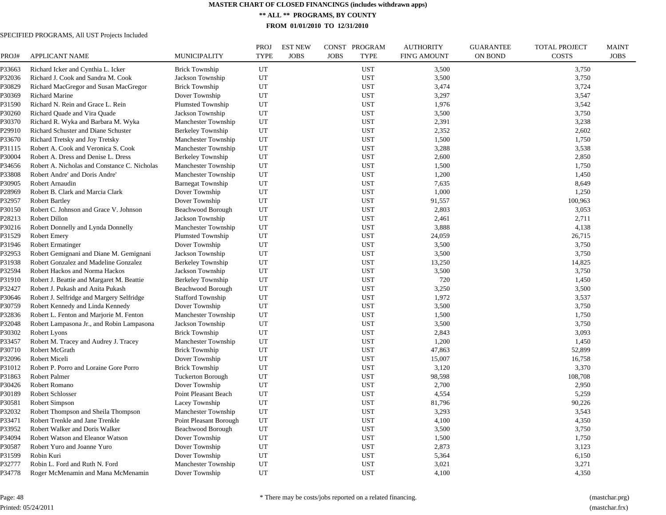**\*\* ALL \*\* PROGRAMS, BY COUNTY**

**FROM 01/01/2010 TO 12/31/2010**

| PROJ#  | <b>APPLICANT NAME</b>                        | MUNICIPALITY             | PROJ<br><b>TYPE</b> | <b>EST NEW</b><br><b>JOBS</b> | CONST PROGRAM<br><b>JOBS</b><br><b>TYPE</b> | <b>AUTHORITY</b><br><b>FIN'G AMOUNT</b> | <b>GUARANTEE</b><br><b>ON BOND</b> | <b>TOTAL PROJECT</b><br><b>COSTS</b> | <b>MAINT</b><br><b>JOBS</b> |
|--------|----------------------------------------------|--------------------------|---------------------|-------------------------------|---------------------------------------------|-----------------------------------------|------------------------------------|--------------------------------------|-----------------------------|
| P33663 | Richard Icker and Cynthia L. Icker           | <b>Brick Township</b>    | UT                  |                               | <b>UST</b>                                  | 3,500                                   |                                    | 3,750                                |                             |
| P32036 | Richard J. Cook and Sandra M. Cook           | Jackson Township         | UT                  |                               | <b>UST</b>                                  | 3,500                                   |                                    | 3,750                                |                             |
| P30829 | Richard MacGregor and Susan MacGregor        | <b>Brick Township</b>    | UT                  |                               | <b>UST</b>                                  | 3,474                                   |                                    | 3,724                                |                             |
| P30369 | <b>Richard Marine</b>                        | Dover Township           | UT                  |                               | <b>UST</b>                                  | 3,297                                   |                                    | 3,547                                |                             |
| P31590 | Richard N. Rein and Grace L. Rein            | <b>Plumsted Township</b> | UT                  |                               | <b>UST</b>                                  | 1,976                                   |                                    | 3,542                                |                             |
| P30260 | Richard Quade and Vira Quade                 | Jackson Township         | UT                  |                               | <b>UST</b>                                  | 3,500                                   |                                    | 3,750                                |                             |
| P30370 | Richard R. Wyka and Barbara M. Wyka          | Manchester Township      | UT                  |                               | <b>UST</b>                                  | 2,391                                   |                                    | 3,238                                |                             |
| P29910 | Richard Schuster and Diane Schuster          | <b>Berkeley Township</b> | UT                  |                               | <b>UST</b>                                  | 2,352                                   |                                    | 2,602                                |                             |
| P33670 | Richard Tretsky and Joy Tretsky              | Manchester Township      | UT                  |                               | <b>UST</b>                                  | 1,500                                   |                                    | 1,750                                |                             |
| P31115 | Robert A. Cook and Veronica S. Cook          | Manchester Township      | UT                  |                               | <b>UST</b>                                  | 3,288                                   |                                    | 3,538                                |                             |
| P30004 | Robert A. Dress and Denise L. Dress          | Berkeley Township        | UT                  |                               | <b>UST</b>                                  | 2,600                                   |                                    | 2,850                                |                             |
| P34656 | Robert A. Nicholas and Constance C. Nicholas | Manchester Township      | UT                  |                               | <b>UST</b>                                  | 1,500                                   |                                    | 1,750                                |                             |
| ?33808 | Robert Andre' and Doris Andre'               | Manchester Township      | UT                  |                               | <b>UST</b>                                  | 1,200                                   |                                    | 1,450                                |                             |
| P30905 | Robert Arnaudin                              | <b>Barnegat Township</b> | UT                  |                               | <b>UST</b>                                  | 7,635                                   |                                    | 8,649                                |                             |
| 228969 | Robert B. Clark and Marcia Clark             | Dover Township           | UT                  |                               | <b>UST</b>                                  | 1,000                                   |                                    | 1,250                                |                             |
| P32957 | <b>Robert Bartley</b>                        | Dover Township           | UT                  |                               | <b>UST</b>                                  | 91,557                                  |                                    | 100,963                              |                             |
| P30150 | Robert C. Johnson and Grace V. Johnson       | Beachwood Borough        | UT                  |                               | <b>UST</b>                                  | 2,803                                   |                                    | 3,053                                |                             |
| P28213 | Robert Dillon                                | Jackson Township         | UT                  |                               | <b>UST</b>                                  | 2,461                                   |                                    | 2,711                                |                             |
| P30216 | Robert Donnelly and Lynda Donnelly           | Manchester Township      | UT                  |                               | <b>UST</b>                                  | 3,888                                   |                                    | 4,138                                |                             |
| P31529 | <b>Robert Emery</b>                          | Plumsted Township        | UT                  |                               | <b>UST</b>                                  | 24,059                                  |                                    | 26,715                               |                             |
| P31946 | <b>Robert Ermatinger</b>                     | Dover Township           | UT                  |                               | <b>UST</b>                                  | 3,500                                   |                                    | 3,750                                |                             |
| P32953 | Robert Gemignani and Diane M. Gemignani      | Jackson Township         | UT                  |                               | <b>UST</b>                                  | 3,500                                   |                                    | 3,750                                |                             |
| P31938 | Robert Gonzalez and Madeline Gonzalez        | <b>Berkeley Township</b> | UT                  |                               | <b>UST</b>                                  | 13,250                                  |                                    | 14,825                               |                             |
| P32594 | Robert Hackos and Norma Hackos               | Jackson Township         | UT                  |                               | <b>UST</b>                                  | 3,500                                   |                                    | 3,750                                |                             |
| P31910 | Robert J. Beattie and Margaret M. Beattie    | Berkeley Township        | UT                  |                               | <b>UST</b>                                  | 720                                     |                                    | 1,450                                |                             |
| P32427 | Robert J. Pukash and Anita Pukash            | Beachwood Borough        | UT                  |                               | <b>UST</b>                                  | 3,250                                   |                                    | 3,500                                |                             |
| P30646 | Robert J. Selfridge and Margery Selfridge    | <b>Stafford Township</b> | UT                  |                               | <b>UST</b>                                  | 1,972                                   |                                    | 3,537                                |                             |
| P30759 | Robert Kennedy and Linda Kennedy             | Dover Township           | UT                  |                               | <b>UST</b>                                  | 3,500                                   |                                    | 3,750                                |                             |
| 232836 | Robert L. Fenton and Marjorie M. Fenton      | Manchester Township      | UT                  |                               | <b>UST</b>                                  | 1,500                                   |                                    | 1,750                                |                             |
| P32048 | Robert Lampasona Jr., and Robin Lampasona    | Jackson Township         | UT                  |                               | <b>UST</b>                                  | 3,500                                   |                                    | 3,750                                |                             |
| P30302 | Robert Lyons                                 | <b>Brick Township</b>    | UT                  |                               | <b>UST</b>                                  | 2,843                                   |                                    | 3,093                                |                             |
| P33457 | Robert M. Tracey and Audrey J. Tracey        | Manchester Township      | UT                  |                               | <b>UST</b>                                  | 1,200                                   |                                    | 1,450                                |                             |
| P30710 | Robert McGrath                               | <b>Brick Township</b>    | UT                  |                               | <b>UST</b>                                  | 47,863                                  |                                    | 52,899                               |                             |
| P32096 | Robert Miceli                                | Dover Township           | UT                  |                               | <b>UST</b>                                  | 15,007                                  |                                    | 16,758                               |                             |
| P31012 | Robert P. Porro and Loraine Gore Porro       | <b>Brick Township</b>    | UT                  |                               | <b>UST</b>                                  | 3,120                                   |                                    | 3,370                                |                             |
| P31863 | <b>Robert Palmer</b>                         | <b>Tuckerton Borough</b> | UT                  |                               | <b>UST</b>                                  | 98,598                                  |                                    | 108,708                              |                             |
| P30426 | Robert Romano                                | Dover Township           | UT                  |                               | <b>UST</b>                                  | 2,700                                   |                                    | 2,950                                |                             |
| P30189 | Robert Schlosser                             | Point Pleasant Beach     | UT                  |                               | <b>UST</b>                                  | 4,554                                   |                                    | 5,259                                |                             |
| P30581 | Robert Simpson                               | Lacey Township           | UT                  |                               | <b>UST</b>                                  | 81,796                                  |                                    | 90,226                               |                             |
| P32032 | Robert Thompson and Sheila Thompson          | Manchester Township      | UT                  |                               | <b>UST</b>                                  | 3,293                                   |                                    | 3,543                                |                             |
| P33471 | Robert Trenkle and Jane Trenkle              | Point Pleasant Borough   | UT                  |                               | <b>UST</b>                                  | 4,100                                   |                                    | 4,350                                |                             |
| P33952 | Robert Walker and Doris Walker               | Beachwood Borough        | UT                  |                               | <b>UST</b>                                  | 3,500                                   |                                    | 3,750                                |                             |
| P34094 | Robert Watson and Eleanor Watson             | Dover Township           | UT                  |                               | <b>UST</b>                                  | 1,500                                   |                                    | 1,750                                |                             |
| P30587 | Robert Yuro and Joanne Yuro                  | Dover Township           | UT                  |                               | <b>UST</b>                                  | 2,873                                   |                                    | 3,123                                |                             |
| P31599 | Robin Kuri                                   | Dover Township           | UT                  |                               | <b>UST</b>                                  | 5,364                                   |                                    | 6,150                                |                             |
| P32777 | Robin L. Ford and Ruth N. Ford               | Manchester Township      | UT                  |                               | <b>UST</b>                                  | 3,021                                   |                                    | 3,271                                |                             |
| P34778 | Roger McMenamin and Mana McMenamin           | Dover Township           | UT                  |                               | <b>UST</b>                                  | 4,100                                   |                                    | 4,350                                |                             |
|        |                                              |                          |                     |                               |                                             |                                         |                                    |                                      |                             |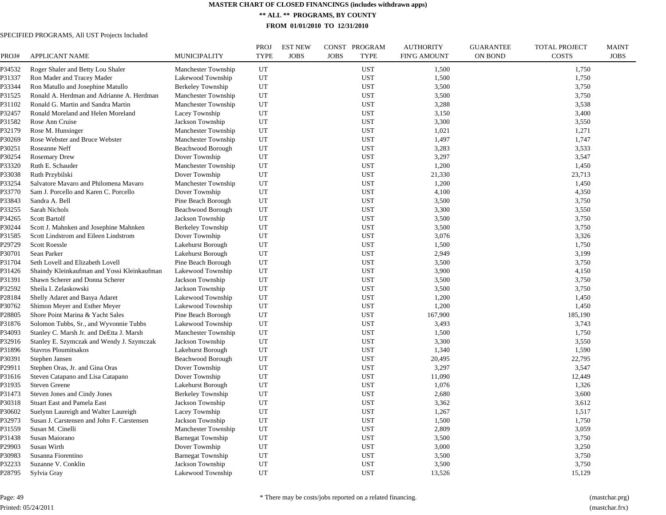**\*\* ALL \*\* PROGRAMS, BY COUNTY**

**FROM 01/01/2010 TO 12/31/2010**

| PROJ#            | <b>APPLICANT NAME</b>                                                              | <b>MUNICIPALITY</b>                | <b>PROJ</b><br><b>TYPE</b> | <b>EST NEW</b><br><b>JOBS</b> | CONST PROGRAM<br><b>JOBS</b><br><b>TYPE</b> | <b>AUTHORITY</b><br><b>FIN'G AMOUNT</b> | <b>GUARANTEE</b><br><b>ON BOND</b> | <b>TOTAL PROJECT</b><br><b>COSTS</b> | <b>MAINT</b><br><b>JOBS</b> |
|------------------|------------------------------------------------------------------------------------|------------------------------------|----------------------------|-------------------------------|---------------------------------------------|-----------------------------------------|------------------------------------|--------------------------------------|-----------------------------|
| P34532           | Roger Shaler and Betty Lou Shaler                                                  | Manchester Township                | UT                         |                               | <b>UST</b>                                  | 1,500                                   |                                    | 1,750                                |                             |
| P31337           | Ron Mader and Tracey Mader                                                         | Lakewood Township                  | UT                         |                               | <b>UST</b>                                  | 1,500                                   |                                    | 1,750                                |                             |
| P33344           | Ron Matullo and Josephine Matullo                                                  | <b>Berkeley Township</b>           | UT                         |                               | <b>UST</b>                                  | 3,500                                   |                                    | 3,750                                |                             |
| P31525           | Ronald A. Herdman and Adrianne A. Herdman                                          | Manchester Township                | UT                         |                               | <b>UST</b>                                  | 3,500                                   |                                    | 3,750                                |                             |
| P31102           | Ronald G. Martin and Sandra Martin                                                 | Manchester Township                | UT                         |                               | <b>UST</b>                                  | 3,288                                   |                                    | 3,538                                |                             |
| P32457           | Ronald Moreland and Helen Moreland                                                 | Lacey Township                     | UT                         |                               | <b>UST</b>                                  | 3,150                                   |                                    | 3,400                                |                             |
| P31582           | Rose Ann Cruise                                                                    | Jackson Township                   | UT                         |                               | <b>UST</b>                                  | 3,300                                   |                                    | 3,550                                |                             |
| P32179           | Rose M. Hunsinger                                                                  | Manchester Township                | UT                         |                               | <b>UST</b>                                  | 1,021                                   |                                    | 1,271                                |                             |
| P30269           | Rose Webster and Bruce Webster                                                     | Manchester Township                | UT                         |                               | <b>UST</b>                                  | 1,497                                   |                                    | 1,747                                |                             |
| P30251           | Roseanne Neff                                                                      | Beachwood Borough                  | UT                         |                               | <b>UST</b>                                  | 3.283                                   |                                    | 3,533                                |                             |
| P30254           | <b>Rosemary Drew</b>                                                               | Dover Township                     | UT                         |                               | <b>UST</b>                                  | 3,297                                   |                                    | 3,547                                |                             |
| P33320           | Ruth E. Schauder                                                                   | Manchester Township                | UT                         |                               | <b>UST</b>                                  | 1,200                                   |                                    | 1,450                                |                             |
| P33038           | Ruth Przybilski                                                                    | Dover Township                     | UT                         |                               | <b>UST</b>                                  | 21,330                                  |                                    | 23,713                               |                             |
| P33254           | Salvatore Mavaro and Philomena Mavaro                                              | Manchester Township                | UT                         |                               | <b>UST</b>                                  | 1,200                                   |                                    | 1,450                                |                             |
| P33770           | Sam J. Porcello and Karen C. Porcello                                              | Dover Township                     | UT                         |                               | <b>UST</b>                                  | 4,100                                   |                                    | 4,350                                |                             |
| P33843           | Sandra A. Bell                                                                     | Pine Beach Borough                 | UT                         |                               | <b>UST</b>                                  | 3,500                                   |                                    | 3,750                                |                             |
| P33255           | Sarah Nichols                                                                      | Beachwood Borough                  | UT                         |                               | <b>UST</b>                                  | 3,300                                   |                                    | 3,550                                |                             |
| P34265           | Scott Bartolf                                                                      | Jackson Township                   | UT                         |                               | <b>UST</b>                                  | 3,500                                   |                                    | 3,750                                |                             |
| P30244           | Scott J. Mahnken and Josephine Mahnken                                             | Berkeley Township                  | UT                         |                               | <b>UST</b>                                  | 3,500                                   |                                    | 3,750                                |                             |
| P31585           | Scott Lindstrom and Eileen Lindstrom                                               | Dover Township                     | UT                         |                               | <b>UST</b>                                  | 3,076                                   |                                    | 3,326                                |                             |
| 29729            | <b>Scott Roessle</b>                                                               | Lakehurst Borough                  | UT                         |                               | <b>UST</b>                                  | 1,500                                   |                                    | 1,750                                |                             |
| P30701           | Sean Parker                                                                        | Lakehurst Borough                  | UT                         |                               | <b>UST</b>                                  | 2,949                                   |                                    | 3,199                                |                             |
| P31704           | Seth Lovell and Elizabeth Lovell                                                   | Pine Beach Borough                 | UT                         |                               | <b>UST</b>                                  | 3,500                                   |                                    | 3,750                                |                             |
| P31426           | Shaindy Kleinkaufman and Yossi Kleinkaufman                                        | Lakewood Township                  | UT                         |                               | <b>UST</b>                                  | 3,900                                   |                                    | 4,150                                |                             |
| P31391           | Shawn Scherer and Donna Scherer                                                    | Jackson Township                   | UT                         |                               | <b>UST</b>                                  | 3,500                                   |                                    | 3,750                                |                             |
| P32592           | Sheila I. Zelaskowski                                                              | Jackson Township                   | UT                         |                               | <b>UST</b>                                  | 3,500                                   |                                    | 3,750                                |                             |
| P28184           | Shelly Adaret and Basya Adaret                                                     | Lakewood Township                  | UT                         |                               | <b>UST</b>                                  | 1,200                                   |                                    | 1,450                                |                             |
| P30762           | Shimon Meyer and Esther Meyer                                                      | Lakewood Township                  | UT                         |                               | <b>UST</b>                                  | 1,200                                   |                                    | 1,450                                |                             |
| P28805           | Shore Point Marina & Yacht Sales                                                   | Pine Beach Borough                 | UT                         |                               | <b>UST</b>                                  | 167,900                                 |                                    | 185,190                              |                             |
| P31876           | Solomon Tubbs, Sr., and Wyvonnie Tubbs                                             | Lakewood Township                  | UT                         |                               | <b>UST</b>                                  | 3,493                                   |                                    | 3,743                                |                             |
| P34093           | Stanley C. Marsh Jr. and DeEtta J. Marsh                                           | Manchester Township                | UT                         |                               | <b>UST</b>                                  | 1,500                                   |                                    | 1,750                                |                             |
| P32916           | Stanley E. Szymczak and Wendy J. Szymczak                                          | Jackson Township                   | UT                         |                               | <b>UST</b>                                  | 3,300                                   |                                    | 3,550                                |                             |
| P31896           | Stavros Ploumitsakos                                                               | Lakehurst Borough                  | UT                         |                               | <b>UST</b>                                  | 1,340                                   |                                    | 1,590                                |                             |
| P30391           | Stephen Jansen                                                                     | Beachwood Borough                  | UT                         |                               | <b>UST</b>                                  | 20,495                                  |                                    | 22,795                               |                             |
| P29911           | Stephen Oras, Jr. and Gina Oras                                                    | Dover Township                     | UT                         |                               | <b>UST</b>                                  | 3,297                                   |                                    | 3,547                                |                             |
| P31616           | Steven Catapano and Lisa Catapano                                                  | Dover Township                     | UT                         |                               | <b>UST</b>                                  | 11,090                                  |                                    | 12,449                               |                             |
| P31935           | <b>Steven Greene</b>                                                               | Lakehurst Borough                  | UT                         |                               | <b>UST</b>                                  | 1,076                                   |                                    | 1,326                                |                             |
| P31473           | Steven Jones and Cindy Jones                                                       | <b>Berkeley Township</b>           | UT                         |                               | <b>UST</b>                                  | 2,680                                   |                                    | 3,600                                |                             |
| P30318           | <b>Stuart East and Pamela East</b>                                                 | Jackson Township                   | UT                         |                               | <b>UST</b>                                  | 3,362                                   |                                    | 3,612                                |                             |
|                  |                                                                                    |                                    | UT                         |                               | <b>UST</b>                                  | 1,267                                   |                                    | 1,517                                |                             |
| P30602<br>P32973 | Suelynn Laureigh and Walter Laureigh<br>Susan J. Carstensen and John F. Carstensen | Lacey Township<br>Jackson Township | UT                         |                               | <b>UST</b>                                  | 1,500                                   |                                    | 1,750                                |                             |
|                  | Susan M. Cinelli                                                                   |                                    |                            |                               |                                             |                                         |                                    |                                      |                             |
| P31559           |                                                                                    | Manchester Township                | UT                         |                               | <b>UST</b>                                  | 2,809                                   |                                    | 3,059                                |                             |
| P31438           | Susan Maiorano                                                                     | <b>Barnegat Township</b>           | UT                         |                               | <b>UST</b>                                  | 3,500                                   |                                    | 3,750                                |                             |
| P29903           | Susan Wirth                                                                        | Dover Township                     | UT                         |                               | <b>UST</b>                                  | 3,000                                   |                                    | 3,250                                |                             |
| P30983           | Susanna Fiorentino                                                                 | <b>Barnegat Township</b>           | UT                         |                               | <b>UST</b>                                  | 3,500                                   |                                    | 3,750                                |                             |
| P32233           | Suzanne V. Conklin                                                                 | Jackson Township                   | UT                         |                               | <b>UST</b>                                  | 3,500                                   |                                    | 3,750                                |                             |
| P28795           | Sylvia Gray                                                                        | Lakewood Township                  | UT                         |                               | <b>UST</b>                                  | 13,526                                  |                                    | 15,129                               |                             |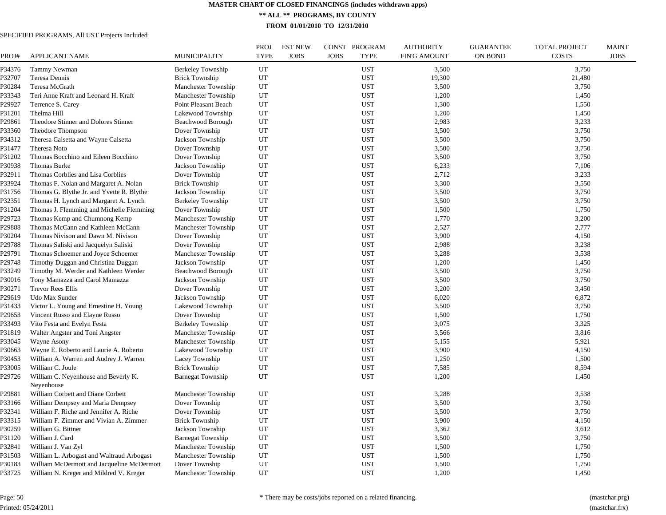**\*\* ALL \*\* PROGRAMS, BY COUNTY**

**FROM 01/01/2010 TO 12/31/2010**

| PROJ#  | <b>APPLICANT NAME</b>                      | <b>MUNICIPALITY</b>      | PROJ<br><b>TYPE</b> | <b>EST NEW</b><br><b>JOBS</b> | CONST PROGRAM<br><b>TYPE</b><br><b>JOBS</b> | <b>AUTHORITY</b><br><b>FIN'G AMOUNT</b> | <b>GUARANTEE</b><br>ON BOND | <b>TOTAL PROJECT</b><br><b>COSTS</b> | <b>MAINT</b><br><b>JOBS</b> |
|--------|--------------------------------------------|--------------------------|---------------------|-------------------------------|---------------------------------------------|-----------------------------------------|-----------------------------|--------------------------------------|-----------------------------|
| P34376 | Tammy Newman                               | Berkeley Township        | UT                  |                               | <b>UST</b>                                  | 3,500                                   |                             | 3,750                                |                             |
| P32707 | Teresa Dennis                              | <b>Brick Township</b>    | UT                  |                               | <b>UST</b>                                  | 19,300                                  |                             | 21,480                               |                             |
| P30284 | Teresa McGrath                             | Manchester Township      | UT                  |                               | <b>UST</b>                                  | 3,500                                   |                             | 3,750                                |                             |
| P33343 | Teri Anne Kraft and Leonard H. Kraft       | Manchester Township      | UT                  |                               | <b>UST</b>                                  | 1,200                                   |                             | 1,450                                |                             |
| P29927 | Terrence S. Carey                          | Point Pleasant Beach     | UT                  |                               | <b>UST</b>                                  | 1,300                                   |                             | 1,550                                |                             |
| P31201 | Thelma Hill                                | Lakewood Township        | UT                  |                               | <b>UST</b>                                  | 1,200                                   |                             | 1,450                                |                             |
| P29861 | Theodore Stinner and Dolores Stinner       | Beachwood Borough        | UT                  |                               | <b>UST</b>                                  | 2,983                                   |                             | 3,233                                |                             |
| P33360 | Theodore Thompson                          | Dover Township           | UT                  |                               | <b>UST</b>                                  | 3,500                                   |                             | 3,750                                |                             |
| P34312 | Theresa Calsetta and Wayne Calsetta        | Jackson Township         | UT                  |                               | <b>UST</b>                                  | 3,500                                   |                             | 3,750                                |                             |
| P31477 | Theresa Noto                               | Dover Township           | UT                  |                               | <b>UST</b>                                  | 3,500                                   |                             | 3,750                                |                             |
| P31202 | Thomas Bocchino and Eileen Bocchino        | Dover Township           | UT                  |                               | <b>UST</b>                                  | 3,500                                   |                             | 3,750                                |                             |
| P30938 | Thomas Burke                               | Jackson Township         | UT                  |                               | <b>UST</b>                                  | 6,233                                   |                             | 7,106                                |                             |
| P32911 | Thomas Corblies and Lisa Corblies          | Dover Township           | UT                  |                               | <b>UST</b>                                  | 2,712                                   |                             | 3,233                                |                             |
| P33924 | Thomas F. Nolan and Margaret A. Nolan      | <b>Brick Township</b>    | UT                  |                               | <b>UST</b>                                  | 3,300                                   |                             | 3,550                                |                             |
| P31756 | Thomas G. Blythe Jr. and Yvette R. Blythe  | Jackson Township         | UT                  |                               | <b>UST</b>                                  | 3,500                                   |                             | 3,750                                |                             |
| P32351 | Thomas H. Lynch and Margaret A. Lynch      | Berkeley Township        | UT                  |                               | <b>UST</b>                                  | 3,500                                   |                             | 3,750                                |                             |
| P31204 | Thomas J. Flemming and Michelle Flemming   | Dover Township           | UT                  |                               | <b>UST</b>                                  | 1,500                                   |                             | 1,750                                |                             |
| P29723 | Thomas Kemp and Chumnong Kemp              | Manchester Township      | UT                  |                               | <b>UST</b>                                  | 1,770                                   |                             | 3,200                                |                             |
| P29888 | Thomas McCann and Kathleen McCann          | Manchester Township      | UT                  |                               | <b>UST</b>                                  | 2,527                                   |                             | 2,777                                |                             |
| P30204 | Thomas Nivison and Dawn M. Nivison         | Dover Township           | UT                  |                               | <b>UST</b>                                  | 3,900                                   |                             | 4,150                                |                             |
| P29788 | Thomas Saliski and Jacquelyn Saliski       | Dover Township           | UT                  |                               | <b>UST</b>                                  | 2,988                                   |                             | 3,238                                |                             |
| P29791 | Thomas Schoemer and Joyce Schoemer         | Manchester Township      | UT                  |                               | <b>UST</b>                                  | 3,288                                   |                             | 3,538                                |                             |
| P29748 | Timothy Duggan and Christina Duggan        | Jackson Township         | UT                  |                               | <b>UST</b>                                  | 1,200                                   |                             | 1,450                                |                             |
| P33249 | Timothy M. Werder and Kathleen Werder      | Beachwood Borough        | UT                  |                               | <b>UST</b>                                  | 3,500                                   |                             | 3,750                                |                             |
| P30016 | Tony Mamazza and Carol Mamazza             | Jackson Township         | UT                  |                               | <b>UST</b>                                  | 3,500                                   |                             | 3,750                                |                             |
| P30271 | <b>Trevor Rees Ellis</b>                   | Dover Township           | UT                  |                               | <b>UST</b>                                  | 3,200                                   |                             | 3,450                                |                             |
| P29619 | Udo Max Sunder                             | Jackson Township         | UT                  |                               | <b>UST</b>                                  | 6,020                                   |                             | 6,872                                |                             |
| P31433 | Victor L. Young and Ernestine H. Young     | Lakewood Township        | UT                  |                               | <b>UST</b>                                  | 3,500                                   |                             | 3,750                                |                             |
| P29653 | Vincent Russo and Elayne Russo             | Dover Township           | UT                  |                               | <b>UST</b>                                  | 1,500                                   |                             | 1,750                                |                             |
| P33493 | Vito Festa and Evelyn Festa                | Berkeley Township        | UT                  |                               | <b>UST</b>                                  | 3,075                                   |                             | 3,325                                |                             |
| P31819 | Walter Angster and Toni Angster            | Manchester Township      | UT                  |                               | <b>UST</b>                                  | 3,566                                   |                             | 3,816                                |                             |
| P33045 | Wayne Asony                                | Manchester Township      | UT                  |                               | <b>UST</b>                                  | 5,155                                   |                             | 5,921                                |                             |
| P30663 | Wayne E. Roberto and Laurie A. Roberto     | Lakewood Township        | UT                  |                               | <b>UST</b>                                  | 3,900                                   |                             | 4,150                                |                             |
| P30453 | William A. Warren and Audrey J. Warren     | Lacey Township           | UT                  |                               | <b>UST</b>                                  | 1,250                                   |                             | 1,500                                |                             |
| P33005 | William C. Joule                           | <b>Brick Township</b>    | UT                  |                               | <b>UST</b>                                  | 7,585                                   |                             | 8,594                                |                             |
| P29726 | William C. Neyenhouse and Beverly K.       | <b>Barnegat Township</b> | UT                  |                               | <b>UST</b>                                  | 1,200                                   |                             | 1,450                                |                             |
|        | Nevenhouse                                 |                          |                     |                               |                                             |                                         |                             |                                      |                             |
| P29881 | William Corbett and Diane Corbett          | Manchester Township      | UT                  |                               | <b>UST</b>                                  | 3,288                                   |                             | 3,538                                |                             |
| P33166 | William Dempsey and Maria Dempsey          | Dover Township           | UT                  |                               | <b>UST</b>                                  | 3,500                                   |                             | 3,750                                |                             |
| P32341 | William F. Riche and Jennifer A. Riche     | Dover Township           | UT                  |                               | <b>UST</b>                                  | 3,500                                   |                             | 3,750                                |                             |
| P33315 | William F. Zimmer and Vivian A. Zimmer     | <b>Brick Township</b>    | UT                  |                               | <b>UST</b>                                  | 3,900                                   |                             | 4,150                                |                             |
| P30259 | William G. Bittner                         | Jackson Township         | UT                  |                               | <b>UST</b>                                  | 3,362                                   |                             | 3,612                                |                             |
| P31120 | William J. Card                            | <b>Barnegat Township</b> | UT                  |                               | <b>UST</b>                                  | 3,500                                   |                             | 3,750                                |                             |
| P32841 | William J. Van Zyl                         | Manchester Township      | UT                  |                               | <b>UST</b>                                  | 1,500                                   |                             | 1,750                                |                             |
| P31503 | William L. Arbogast and Waltraud Arbogast  | Manchester Township      | UT                  |                               | <b>UST</b>                                  | 1,500                                   |                             | 1,750                                |                             |
| P30183 | William McDermott and Jacqueline McDermott | Dover Township           | UT                  |                               | <b>UST</b>                                  | 1,500                                   |                             | 1,750                                |                             |
| P33725 | William N. Kreger and Mildred V. Kreger    | Manchester Township      | UT                  |                               | <b>UST</b>                                  | 1,200                                   |                             | 1,450                                |                             |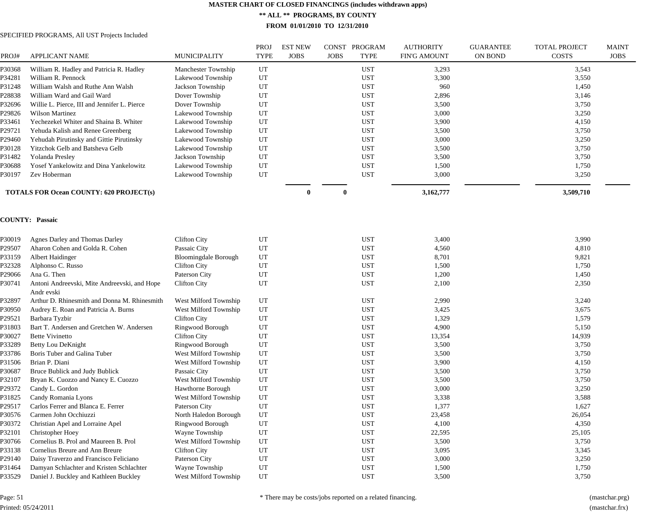**\*\* ALL \*\* PROGRAMS, BY COUNTY**

**FROM 01/01/2010 TO 12/31/2010**

| PROJ#  | <b>APPLICANT NAME</b>                                      | <b>MUNICIPALITY</b>         | <b>PROJ</b><br><b>TYPE</b> | <b>EST NEW</b><br><b>JOBS</b> | CONST<br><b>JOBS</b> | PROGRAM<br><b>TYPE</b> | <b>AUTHORITY</b><br><b>FIN'G AMOUNT</b> | <b>GUARANTEE</b><br>ON BOND | <b>TOTAL PROJECT</b><br>COSTS | <b>MAINT</b><br><b>JOBS</b> |
|--------|------------------------------------------------------------|-----------------------------|----------------------------|-------------------------------|----------------------|------------------------|-----------------------------------------|-----------------------------|-------------------------------|-----------------------------|
| P30368 | William R. Hadley and Patricia R. Hadley                   | Manchester Township         | UT                         |                               |                      | <b>UST</b>             | 3,293                                   |                             | 3,543                         |                             |
| P34281 | William R. Pennock                                         | Lakewood Township           | UT                         |                               |                      | <b>UST</b>             | 3,300                                   |                             | 3,550                         |                             |
| P31248 | William Walsh and Ruthe Ann Walsh                          | Jackson Township            | UT                         |                               |                      | <b>UST</b>             | 960                                     |                             | 1,450                         |                             |
| P28838 | William Ward and Gail Ward                                 | Dover Township              | UT                         |                               |                      | <b>UST</b>             | 2,896                                   |                             | 3,146                         |                             |
| P32696 | Willie L. Pierce, III and Jennifer L. Pierce               | Dover Township              | UT                         |                               |                      | <b>UST</b>             | 3,500                                   |                             | 3,750                         |                             |
| P29826 | <b>Wilson Martinez</b>                                     | Lakewood Township           | UT                         |                               |                      | <b>UST</b>             | 3,000                                   |                             | 3,250                         |                             |
| P33461 | Yechezekel Whiter and Shaina B. Whiter                     | Lakewood Township           | UT                         |                               |                      | <b>UST</b>             | 3,900                                   |                             | 4,150                         |                             |
| P29721 | Yehuda Kalish and Renee Greenberg                          | Lakewood Township           | UT                         |                               |                      | <b>UST</b>             | 3,500                                   |                             | 3,750                         |                             |
| P29460 | Yehudah Pirutinsky and Gittie Pirutinsky                   | Lakewood Township           | UT                         |                               |                      | <b>UST</b>             | 3,000                                   |                             | 3,250                         |                             |
| P30128 | Yitzchok Gelb and Batsheva Gelb                            | Lakewood Township           | UT                         |                               |                      | <b>UST</b>             | 3,500                                   |                             | 3,750                         |                             |
| P31482 | Yolanda Presley                                            | Jackson Township            | UT                         |                               |                      | <b>UST</b>             | 3,500                                   |                             | 3,750                         |                             |
| P30688 | Yosef Yankelowitz and Dina Yankelowitz                     | Lakewood Township           | UT                         |                               |                      | <b>UST</b>             | 1,500                                   |                             | 1,750                         |                             |
| P30197 | Zev Hoberman                                               | Lakewood Township           | UT                         |                               |                      | <b>UST</b>             | 3,000                                   |                             | 3,250                         |                             |
|        | <b>TOTALS FOR Ocean COUNTY: 620 PROJECT(s)</b>             |                             |                            | $\bf{0}$                      | $\bf{0}$             |                        | 3,162,777                               |                             | 3,509,710                     |                             |
|        | <b>COUNTY: Passaic</b>                                     |                             |                            |                               |                      |                        |                                         |                             |                               |                             |
| P30019 | Agnes Darley and Thomas Darley                             | <b>Clifton City</b>         | UT                         |                               |                      | <b>UST</b>             | 3,400                                   |                             | 3,990                         |                             |
| P29507 | Aharon Cohen and Golda R. Cohen                            | Passaic City                | UT                         |                               |                      | <b>UST</b>             | 4,560                                   |                             | 4,810                         |                             |
| P33159 | Albert Haidinger                                           | <b>Bloomingdale Borough</b> | UT                         |                               |                      | <b>UST</b>             | 8,701                                   |                             | 9,821                         |                             |
| P32328 | Alphonso C. Russo                                          | <b>Clifton City</b>         | UT                         |                               |                      | <b>UST</b>             | 1,500                                   |                             | 1,750                         |                             |
| P29066 | Ana G. Then                                                | Paterson City               | UT                         |                               |                      | <b>UST</b>             | 1,200                                   |                             | 1,450                         |                             |
| P30741 | Antoni Andreevski, Mite Andreevski, and Hope<br>Andr evski | <b>Clifton City</b>         | UT                         |                               |                      | <b>UST</b>             | 2,100                                   |                             | 2,350                         |                             |
| P32897 | Arthur D. Rhinesmith and Donna M. Rhinesmith               | West Milford Township       | UT                         |                               |                      | <b>UST</b>             | 2,990                                   |                             | 3,240                         |                             |
| P30950 | Audrey E. Roan and Patricia A. Burns                       | West Milford Township       | UT                         |                               |                      | <b>UST</b>             | 3,425                                   |                             | 3,675                         |                             |
| P29521 | Barbara Tyzbir                                             | <b>Clifton City</b>         | UT                         |                               |                      | <b>UST</b>             | 1,329                                   |                             | 1,579                         |                             |
| P31803 | Bart T. Andersen and Gretchen W. Andersen                  | Ringwood Borough            | UT                         |                               |                      | <b>UST</b>             | 4,900                                   |                             | 5,150                         |                             |
| P30027 | <b>Bette Vivinetto</b>                                     | <b>Clifton City</b>         | UT                         |                               |                      | <b>UST</b>             | 13,354                                  |                             | 14,939                        |                             |
| P33289 | Betty Lou DeKnight                                         | <b>Ringwood Borough</b>     | UT                         |                               |                      | <b>UST</b>             | 3,500                                   |                             | 3,750                         |                             |
| P33786 | Boris Tuber and Galina Tuber                               | West Milford Township       | UT                         |                               |                      | <b>UST</b>             | 3,500                                   |                             | 3,750                         |                             |
| P31506 | Brian P. Diani                                             | West Milford Township       | UT                         |                               |                      | <b>UST</b>             | 3,900                                   |                             | 4,150                         |                             |
| P30687 | <b>Bruce Bublick and Judy Bublick</b>                      | Passaic City                | UT                         |                               |                      | <b>UST</b>             | 3,500                                   |                             | 3,750                         |                             |
| P32107 | Bryan K. Cuozzo and Nancy E. Cuozzo                        | West Milford Township       | UT                         |                               |                      | <b>UST</b>             | 3,500                                   |                             | 3,750                         |                             |
| P29372 | Candy L. Gordon                                            | Hawthorne Borough           | UT                         |                               |                      | <b>UST</b>             | 3,000                                   |                             | 3,250                         |                             |
| P31825 | Candy Romania Lyons                                        | West Milford Township       | UT                         |                               |                      | <b>UST</b>             | 3,338                                   |                             | 3,588                         |                             |
| P29517 | Carlos Ferrer and Blanca E. Ferrer                         | Paterson City               | UT                         |                               |                      | <b>UST</b>             | 1,377                                   |                             | 1,627                         |                             |
| P30576 | Carmen John Occhiuzzi                                      | North Haledon Borough       | UT                         |                               |                      | <b>UST</b>             | 23,458                                  |                             | 26,054                        |                             |
| P30372 | Christian Apel and Lorraine Apel                           | Ringwood Borough            | UT                         |                               |                      | <b>UST</b>             | 4,100                                   |                             | 4,350                         |                             |
| P32101 | Christopher Hoey                                           | Wayne Township              | UT                         |                               |                      | <b>UST</b>             | 22,595                                  |                             | 25,105                        |                             |
| P30766 | Cornelius B. Prol and Maureen B. Prol                      | West Milford Township       | UT                         |                               |                      | <b>UST</b>             | 3,500                                   |                             | 3,750                         |                             |
| P33138 | Cornelius Breure and Ann Breure                            | <b>Clifton City</b>         | UT                         |                               |                      | <b>UST</b>             | 3,095                                   |                             | 3,345                         |                             |
| P29140 | Daisy Traverzo and Francisco Feliciano                     | Paterson City               | UT                         |                               |                      | <b>UST</b>             | 3,000                                   |                             | 3,250                         |                             |
| P31464 | Damyan Schlachter and Kristen Schlachter                   | Wayne Township              | UT                         |                               |                      | <b>UST</b>             | 1,500                                   |                             | 1,750                         |                             |
| P33529 | Daniel J. Buckley and Kathleen Buckley                     | West Milford Township       | UT                         |                               |                      | <b>UST</b>             | 3,500                                   |                             | 3,750                         |                             |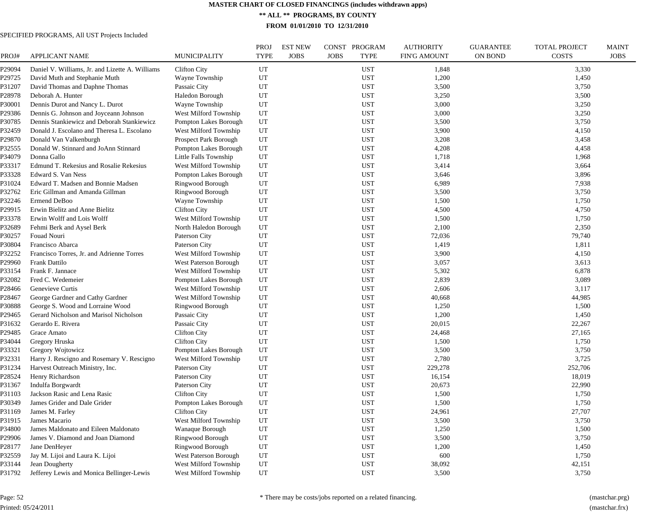**\*\* ALL \*\* PROGRAMS, BY COUNTY**

**FROM 01/01/2010 TO 12/31/2010**

# SPECIFIED PROGRAMS, All UST Projects Included

| PROJ#  | <b>APPLICANT NAME</b>                           | <b>MUNICIPALITY</b>          | PROJ<br><b>TYPE</b> | <b>EST NEW</b><br><b>JOBS</b> | CONST PROGRAM<br><b>JOBS</b><br><b>TYPE</b> | <b>AUTHORITY</b><br><b>FIN'G AMOUNT</b> | <b>GUARANTEE</b><br><b>ON BOND</b> | <b>TOTAL PROJECT</b><br><b>COSTS</b> | <b>MAINT</b><br><b>JOBS</b> |
|--------|-------------------------------------------------|------------------------------|---------------------|-------------------------------|---------------------------------------------|-----------------------------------------|------------------------------------|--------------------------------------|-----------------------------|
| P29094 | Daniel V. Williams, Jr. and Lizette A. Williams | <b>Clifton City</b>          | UT                  |                               | <b>UST</b>                                  | 1,848                                   |                                    | 3,330                                |                             |
| P29725 | David Muth and Stephanie Muth                   | Wayne Township               | UT                  |                               | <b>UST</b>                                  | 1,200                                   |                                    | 1,450                                |                             |
| P31207 | David Thomas and Daphne Thomas                  | Passaic City                 | UT                  |                               | <b>UST</b>                                  | 3,500                                   |                                    | 3,750                                |                             |
| P28978 | Deborah A. Hunter                               | Haledon Borough              | UT                  |                               | <b>UST</b>                                  | 3,250                                   |                                    | 3,500                                |                             |
| P30001 | Dennis Durot and Nancy L. Durot                 | Wayne Township               | UT                  |                               | <b>UST</b>                                  | 3,000                                   |                                    | 3,250                                |                             |
| P29386 | Dennis G. Johnson and Joyceann Johnson          | West Milford Township        | UT                  |                               | <b>UST</b>                                  | 3,000                                   |                                    | 3,250                                |                             |
| P30785 | Dennis Stankiewicz and Deborah Stankiewicz      | Pompton Lakes Borough        | UT                  |                               | <b>UST</b>                                  | 3,500                                   |                                    | 3,750                                |                             |
| P32459 | Donald J. Escolano and Theresa L. Escolano      | West Milford Township        | UT                  |                               | <b>UST</b>                                  | 3,900                                   |                                    | 4,150                                |                             |
| P29870 | Donald Van Valkenburgh                          | Prospect Park Borough        | UT                  |                               | <b>UST</b>                                  | 3,208                                   |                                    | 3,458                                |                             |
| P32555 | Donald W. Stinnard and JoAnn Stinnard           | Pompton Lakes Borough        | UT                  |                               | <b>UST</b>                                  | 4,208                                   |                                    | 4,458                                |                             |
| P34079 | Donna Gallo                                     | Little Falls Township        | UT                  |                               | <b>UST</b>                                  | 1,718                                   |                                    | 1,968                                |                             |
| P33317 | Edmund T. Rekesius and Rosalie Rekesius         | West Milford Township        | UT                  |                               | <b>UST</b>                                  | 3,414                                   |                                    | 3,664                                |                             |
| P33328 | Edward S. Van Ness                              | Pompton Lakes Borough        | UT                  |                               | <b>UST</b>                                  | 3,646                                   |                                    | 3,896                                |                             |
| P31024 | Edward T. Madsen and Bonnie Madsen              | Ringwood Borough             | UT                  |                               | <b>UST</b>                                  | 6,989                                   |                                    | 7,938                                |                             |
| P32762 | Eric Gillman and Amanda Gillman                 | Ringwood Borough             | UT                  |                               | <b>UST</b>                                  | 3,500                                   |                                    | 3,750                                |                             |
| P32246 | Ermend DeBoo                                    | Wayne Township               | UT                  |                               | <b>UST</b>                                  | 1,500                                   |                                    | 1,750                                |                             |
| P29915 | Erwin Bielitz and Anne Bielitz                  | <b>Clifton City</b>          | UT                  |                               | <b>UST</b>                                  | 4,500                                   |                                    | 4,750                                |                             |
| P33378 | Erwin Wolff and Lois Wolff                      | West Milford Township        | UT                  |                               | <b>UST</b>                                  | 1,500                                   |                                    | 1,750                                |                             |
| P32689 | Fehmi Berk and Aysel Berk                       | North Haledon Borough        | UT                  |                               | <b>UST</b>                                  | 2,100                                   |                                    | 2,350                                |                             |
| P30257 | Fouad Nouri                                     | Paterson City                | UT                  |                               | <b>UST</b>                                  | 72,036                                  |                                    | 79,740                               |                             |
| P30804 | Francisco Abarca                                | Paterson City                | UT                  |                               | <b>UST</b>                                  | 1,419                                   |                                    | 1,811                                |                             |
| P32252 | Francisco Torres, Jr. and Adrienne Torres       | West Milford Township        | UT                  |                               | <b>UST</b>                                  | 3,900                                   |                                    | 4,150                                |                             |
| P29960 | Frank Dattilo                                   | <b>West Paterson Borough</b> | UT                  |                               | <b>UST</b>                                  | 3,057                                   |                                    | 3,613                                |                             |
| P33154 | Frank F. Jannace                                | West Milford Township        | UT                  |                               | <b>UST</b>                                  | 5,302                                   |                                    | 6,878                                |                             |
| P32082 | Fred C. Wedemeier                               | Pompton Lakes Borough        | UT                  |                               | <b>UST</b>                                  | 2,839                                   |                                    | 3,089                                |                             |
| P28466 | Genevieve Curtis                                | West Milford Township        | UT                  |                               | <b>UST</b>                                  | 2,606                                   |                                    | 3,117                                |                             |
| 228467 | George Gardner and Cathy Gardner                | West Milford Township        | UT                  |                               | <b>UST</b>                                  | 40,668                                  |                                    | 44,985                               |                             |
| P30888 | George S. Wood and Lorraine Wood                | Ringwood Borough             | UT                  |                               | <b>UST</b>                                  | 1,250                                   |                                    | 1,500                                |                             |
| 29465  | Gerard Nicholson and Marisol Nicholson          | Passaic City                 | UT                  |                               | <b>UST</b>                                  | 1,200                                   |                                    | 1,450                                |                             |
| P31632 | Gerardo E. Rivera                               | Passaic City                 | UT                  |                               | <b>UST</b>                                  | 20,015                                  |                                    | 22,267                               |                             |
| P29485 | Grace Amato                                     | <b>Clifton City</b>          | UT                  |                               | <b>UST</b>                                  | 24,468                                  |                                    | 27,165                               |                             |
| P34044 | Gregory Hruska                                  | <b>Clifton City</b>          | UT                  |                               | <b>UST</b>                                  | 1,500                                   |                                    | 1,750                                |                             |
| P33321 | Gregory Wojtowicz                               | Pompton Lakes Borough        | UT                  |                               | <b>UST</b>                                  | 3,500                                   |                                    | 3,750                                |                             |
| P32331 | Harry J. Rescigno and Rosemary V. Rescigno      | West Milford Township        | UT                  |                               | <b>UST</b>                                  | 2,780                                   |                                    | 3,725                                |                             |
| P31234 | Harvest Outreach Ministry, Inc.                 | Paterson City                | UT                  |                               | <b>UST</b>                                  | 229,278                                 |                                    | 252,706                              |                             |
| P28524 | Henry Richardson                                | Paterson City                | UT                  |                               | <b>UST</b>                                  | 16,154                                  |                                    | 18,019                               |                             |
| P31367 | Indulfa Borgwardt                               | Paterson City                | UT                  |                               | <b>UST</b>                                  | 20,673                                  |                                    | 22,990                               |                             |
| P31103 | Jackson Rasic and Lena Rasic                    | <b>Clifton City</b>          | UT                  |                               | <b>UST</b>                                  | 1,500                                   |                                    | 1,750                                |                             |
| P30349 | James Grider and Dale Grider                    | Pompton Lakes Borough        | UT                  |                               | <b>UST</b>                                  | 1,500                                   |                                    | 1,750                                |                             |
| P31169 | James M. Farley                                 | <b>Clifton City</b>          | UT                  |                               | <b>UST</b>                                  | 24,961                                  |                                    | 27,707                               |                             |
| P31915 | James Macario                                   | West Milford Township        | UT                  |                               | <b>UST</b>                                  | 3,500                                   |                                    | 3,750                                |                             |
| P34800 | James Maldonato and Eileen Maldonato            | Wanaque Borough              | UT                  |                               | <b>UST</b>                                  | 1,250                                   |                                    | 1,500                                |                             |
| P29906 | James V. Diamond and Joan Diamond               | Ringwood Borough             | UT                  |                               | <b>UST</b>                                  | 3,500                                   |                                    | 3,750                                |                             |
| P28177 | Jane DenHeyer                                   | Ringwood Borough             | UT                  |                               | <b>UST</b>                                  | 1,200                                   |                                    | 1,450                                |                             |
| P32559 | Jay M. Lijoi and Laura K. Lijoi                 | <b>West Paterson Borough</b> | UT                  |                               | <b>UST</b>                                  | 600                                     |                                    | 1,750                                |                             |
| P33144 | Jean Dougherty                                  | West Milford Township        | UT                  |                               | <b>UST</b>                                  | 38,092                                  |                                    | 42,151                               |                             |
| P31792 | Jefferey Lewis and Monica Bellinger-Lewis       | West Milford Township        | UT                  |                               | <b>UST</b>                                  | 3,500                                   |                                    | 3,750                                |                             |
|        |                                                 |                              |                     |                               |                                             |                                         |                                    |                                      |                             |

Page: 52 Printed: 05/24/2011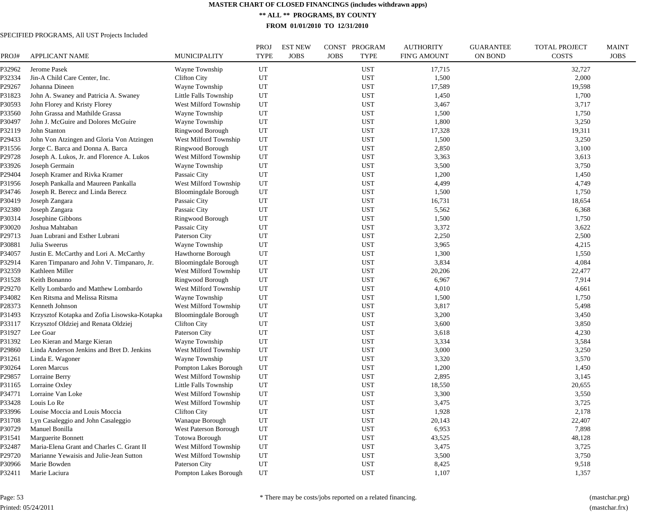**\*\* ALL \*\* PROGRAMS, BY COUNTY**

**FROM 01/01/2010 TO 12/31/2010**

| PROJ#  | <b>APPLICANT NAME</b>                        | <b>MUNICIPALITY</b>          | <b>PROJ</b><br><b>TYPE</b> | <b>EST NEW</b><br><b>JOBS</b> | CONST PROGRAM<br><b>JOBS</b><br><b>TYPE</b> | <b>AUTHORITY</b><br><b>FIN'G AMOUNT</b> | <b>GUARANTEE</b><br><b>ON BOND</b> | <b>TOTAL PROJECT</b><br><b>COSTS</b> | <b>MAINT</b><br><b>JOBS</b> |
|--------|----------------------------------------------|------------------------------|----------------------------|-------------------------------|---------------------------------------------|-----------------------------------------|------------------------------------|--------------------------------------|-----------------------------|
| P32962 | Jerome Pasek                                 | Wayne Township               | UT                         |                               | <b>UST</b>                                  | 17,715                                  |                                    | 32,727                               |                             |
| P32334 | Jin-A Child Care Center, Inc.                | <b>Clifton City</b>          | UT                         |                               | <b>UST</b>                                  | 1,500                                   |                                    | 2,000                                |                             |
| P29267 | Johanna Dineen                               | Wayne Township               | UT                         |                               | <b>UST</b>                                  | 17,589                                  |                                    | 19,598                               |                             |
| P31823 | John A. Swaney and Patricia A. Swaney        | Little Falls Township        | UT                         |                               | <b>UST</b>                                  | 1,450                                   |                                    | 1,700                                |                             |
| P30593 | John Florey and Kristy Florey                | West Milford Township        | UT                         |                               | <b>UST</b>                                  | 3,467                                   |                                    | 3,717                                |                             |
| P33560 | John Grassa and Mathilde Grassa              | Wayne Township               | UT                         |                               | UST                                         | 1,500                                   |                                    | 1,750                                |                             |
| P30497 | John J. McGuire and Dolores McGuire          | Wayne Township               | UT                         |                               | <b>UST</b>                                  | 1,800                                   |                                    | 3,250                                |                             |
| P32119 | John Stanton                                 | Ringwood Borough             | UT                         |                               | <b>UST</b>                                  | 17,328                                  |                                    | 19,311                               |                             |
| P29433 | John Von Atzingen and Gloria Von Atzingen    | West Milford Township        | UT                         |                               | <b>UST</b>                                  | 1,500                                   |                                    | 3,250                                |                             |
| P31556 | Jorge C. Barca and Donna A. Barca            | Ringwood Borough             | UT                         |                               | <b>UST</b>                                  | 2,850                                   |                                    | 3,100                                |                             |
| P29728 | Joseph A. Lukos, Jr. and Florence A. Lukos   | West Milford Township        | UT                         |                               | <b>UST</b>                                  | 3,363                                   |                                    | 3,613                                |                             |
| P33926 | Joseph Germain                               | Wayne Township               | UT                         |                               | <b>UST</b>                                  | 3,500                                   |                                    | 3,750                                |                             |
| P29404 | Joseph Kramer and Rivka Kramer               | Passaic City                 | UT                         |                               | <b>UST</b>                                  | 1,200                                   |                                    | 1,450                                |                             |
| P31956 | Joseph Pankalla and Maureen Pankalla         | West Milford Township        | UT                         |                               | <b>UST</b>                                  | 4,499                                   |                                    | 4,749                                |                             |
| P34746 | Joseph R. Berecz and Linda Berecz            | <b>Bloomingdale Borough</b>  | UT                         |                               | <b>UST</b>                                  | 1,500                                   |                                    | 1,750                                |                             |
| P30419 | Joseph Zangara                               | Passaic City                 | UT                         |                               | <b>UST</b>                                  | 16,731                                  |                                    | 18,654                               |                             |
| P32380 | Joseph Zangara                               | Passaic City                 | UT                         |                               | <b>UST</b>                                  | 5,562                                   |                                    | 6,368                                |                             |
| P30314 | Josephine Gibbons                            | Ringwood Borough             | UT                         |                               | <b>UST</b>                                  | 1,500                                   |                                    | 1,750                                |                             |
| P30020 | Joshua Mahtaban                              | Passaic City                 | UT                         |                               | <b>UST</b>                                  | 3,372                                   |                                    | 3,622                                |                             |
| P29713 | Juan Lubrani and Esther Lubrani              | Paterson City                | UT                         |                               | <b>UST</b>                                  | 2,250                                   |                                    | 2,500                                |                             |
| P30881 | Julia Sweerus                                | Wayne Township               | UT                         |                               | <b>UST</b>                                  | 3,965                                   |                                    | 4,215                                |                             |
| P34057 | Justin E. McCarthy and Lori A. McCarthy      | Hawthorne Borough            | UT                         |                               | <b>UST</b>                                  | 1,300                                   |                                    | 1,550                                |                             |
| P32914 | Karen Timpanaro and John V. Timpanaro, Jr.   | <b>Bloomingdale Borough</b>  | UT                         |                               | <b>UST</b>                                  | 3,834                                   |                                    | 4,084                                |                             |
| P32359 | Kathleen Miller                              | West Milford Township        | UT                         |                               | <b>UST</b>                                  | 20,206                                  |                                    | 22,477                               |                             |
| P31528 | Keith Bonanno                                | Ringwood Borough             | UT                         |                               | <b>UST</b>                                  | 6,967                                   |                                    | 7,914                                |                             |
| P29270 | Kelly Lombardo and Matthew Lombardo          | West Milford Township        | UT                         |                               | <b>UST</b>                                  | 4,010                                   |                                    | 4,661                                |                             |
| P34082 | Ken Ritsma and Melissa Ritsma                | Wayne Township               | UT                         |                               | UST                                         | 1,500                                   |                                    | 1,750                                |                             |
| P28373 | Kenneth Johnson                              | West Milford Township        | UT                         |                               | <b>UST</b>                                  | 3,817                                   |                                    | 5,498                                |                             |
| P31493 | Krzysztof Kotapka and Zofia Lisowska-Kotapka | <b>Bloomingdale Borough</b>  | UT                         |                               | <b>UST</b>                                  | 3,200                                   |                                    | 3,450                                |                             |
| P33117 | Krzysztof Oldziej and Renata Oldziej         | <b>Clifton City</b>          | UT                         |                               | UST                                         | 3,600                                   |                                    | 3,850                                |                             |
| P31927 | Lee Goar                                     | Paterson City                | UT                         |                               | <b>UST</b>                                  | 3,618                                   |                                    | 4,230                                |                             |
| P31392 | Leo Kieran and Marge Kieran                  | Wayne Township               | UT                         |                               | <b>UST</b>                                  | 3,334                                   |                                    | 3,584                                |                             |
| P29860 | Linda Anderson Jenkins and Bret D. Jenkins   | West Milford Township        | UT                         |                               | <b>UST</b>                                  | 3,000                                   |                                    | 3,250                                |                             |
| P31261 | Linda E. Wagoner                             | Wayne Township               | UT                         |                               | <b>UST</b>                                  | 3,320                                   |                                    | 3,570                                |                             |
| P30264 | Loren Marcus                                 | Pompton Lakes Borough        | UT                         |                               | UST                                         | 1,200                                   |                                    | 1,450                                |                             |
| P29857 | Lorraine Berry                               | West Milford Township        | UT                         |                               | <b>UST</b>                                  | 2,895                                   |                                    | 3,145                                |                             |
| P31165 | Lorraine Oxley                               | Little Falls Township        | UT                         |                               | <b>UST</b>                                  | 18,550                                  |                                    | 20,655                               |                             |
| P34771 | Lorraine Van Loke                            | West Milford Township        | UT                         |                               | <b>UST</b>                                  | 3,300                                   |                                    | 3,550                                |                             |
| P33428 | Louis Lo Re                                  | West Milford Township        | UT                         |                               | <b>UST</b>                                  | 3,475                                   |                                    | 3,725                                |                             |
| P33996 | Louise Moccia and Louis Moccia               | <b>Clifton City</b>          | UT                         |                               | <b>UST</b>                                  | 1,928                                   |                                    | 2,178                                |                             |
| P31708 | Lyn Casaleggio and John Casaleggio           | Wanaque Borough              | UT                         |                               | <b>UST</b>                                  | 20,143                                  |                                    | 22,407                               |                             |
| P30729 | Manuel Bonilla                               | <b>West Paterson Borough</b> | UT                         |                               | <b>UST</b>                                  | 6,953                                   |                                    | 7,898                                |                             |
| P31541 | Marguerite Bonnett                           | Totowa Borough               | UT                         |                               | <b>UST</b>                                  | 43,525                                  |                                    | 48,128                               |                             |
| P32487 | Maria-Elena Grant and Charles C. Grant II    | West Milford Township        | UT                         |                               | <b>UST</b>                                  | 3,475                                   |                                    | 3,725                                |                             |
| P29720 | Marianne Yewaisis and Julie-Jean Sutton      | West Milford Township        | UT                         |                               | <b>UST</b>                                  | 3,500                                   |                                    | 3,750                                |                             |
| P30966 | Marie Bowden                                 | Paterson City                | UT                         |                               | <b>UST</b>                                  | 8,425                                   |                                    | 9,518                                |                             |
| P32411 | Marie Laciura                                | Pompton Lakes Borough        | UT                         |                               | <b>UST</b>                                  | 1,107                                   |                                    | 1,357                                |                             |
|        |                                              |                              |                            |                               |                                             |                                         |                                    |                                      |                             |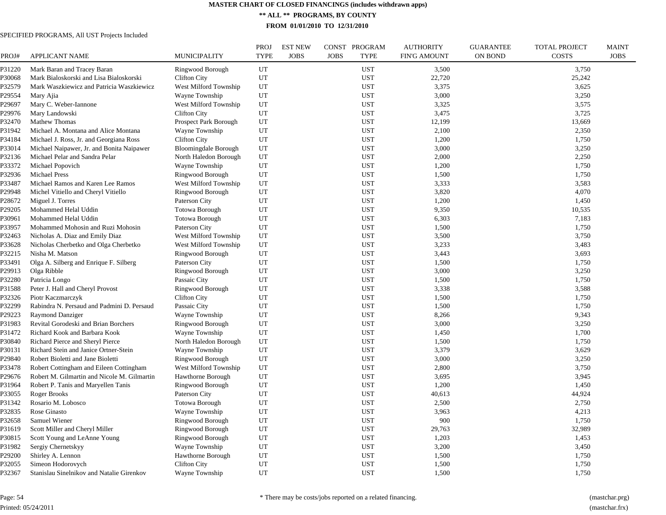**\*\* ALL \*\* PROGRAMS, BY COUNTY**

**FROM 01/01/2010 TO 12/31/2010**

| PROJ#  | APPLICANT NAME                              | <b>MUNICIPALITY</b>         | <b>PROJ</b><br><b>TYPE</b> | <b>EST NEW</b><br><b>JOBS</b> | CONST PROGRAM<br><b>TYPE</b><br><b>JOBS</b> | <b>AUTHORITY</b><br><b>FIN'G AMOUNT</b> | <b>GUARANTEE</b><br><b>ON BOND</b> | TOTAL PROJECT<br><b>COSTS</b> | <b>MAINT</b><br><b>JOBS</b> |
|--------|---------------------------------------------|-----------------------------|----------------------------|-------------------------------|---------------------------------------------|-----------------------------------------|------------------------------------|-------------------------------|-----------------------------|
| P31220 | Mark Baran and Tracey Baran                 | Ringwood Borough            | UT                         |                               | <b>UST</b>                                  | 3,500                                   |                                    | 3,750                         |                             |
| P30068 | Mark Bialoskorski and Lisa Bialoskorski     | Clifton City                | UT                         |                               | <b>UST</b>                                  | 22,720                                  |                                    | 25,242                        |                             |
| P32579 | Mark Waszkiewicz and Patricia Waszkiewicz   | West Milford Township       | UT                         |                               | <b>UST</b>                                  | 3,375                                   |                                    | 3,625                         |                             |
| P29554 | Mary Ajia                                   | Wayne Township              | UT                         |                               | <b>UST</b>                                  | 3,000                                   |                                    | 3,250                         |                             |
| P29697 | Mary C. Weber-Iannone                       | West Milford Township       | UT                         |                               | <b>UST</b>                                  | 3,325                                   |                                    | 3,575                         |                             |
| P29976 | Mary Landowski                              | Clifton City                | UT                         |                               | <b>UST</b>                                  | 3,475                                   |                                    | 3,725                         |                             |
| P32470 | Mathew Thomas                               | Prospect Park Borough       | UT                         |                               | <b>UST</b>                                  | 12,199                                  |                                    | 13,669                        |                             |
| P31942 | Michael A. Montana and Alice Montana        | Wayne Township              | UT                         |                               | <b>UST</b>                                  | 2,100                                   |                                    | 2,350                         |                             |
| P34184 | Michael J. Ross, Jr. and Georgiana Ross     | <b>Clifton City</b>         | UT                         |                               | <b>UST</b>                                  | 1,200                                   |                                    | 1,750                         |                             |
| P33014 | Michael Naipawer, Jr. and Bonita Naipawer   | <b>Bloomingdale Borough</b> | UT                         |                               | <b>UST</b>                                  | 3,000                                   |                                    | 3,250                         |                             |
| P32136 | Michael Pelar and Sandra Pelar              | North Haledon Borough       | UT                         |                               | <b>UST</b>                                  | 2,000                                   |                                    | 2,250                         |                             |
| P33372 | Michael Popovich                            | Wayne Township              | UT                         |                               | <b>UST</b>                                  | 1,200                                   |                                    | 1,750                         |                             |
| P32936 | <b>Michael Press</b>                        | Ringwood Borough            | UT                         |                               | <b>UST</b>                                  | 1,500                                   |                                    | 1,750                         |                             |
| P33487 | Michael Ramos and Karen Lee Ramos           | West Milford Township       | $_{\rm UT}$                |                               | <b>UST</b>                                  | 3,333                                   |                                    | 3,583                         |                             |
| P29948 | Michel Vitiello and Cheryl Vitiello         | Ringwood Borough            | UT                         |                               | <b>UST</b>                                  | 3,820                                   |                                    | 4,070                         |                             |
| P28672 | Miguel J. Torres                            | Paterson City               | UT                         |                               | <b>UST</b>                                  | 1,200                                   |                                    | 1,450                         |                             |
| P29205 | Mohammed Helal Uddin                        | <b>Totowa Borough</b>       | UT                         |                               | <b>UST</b>                                  | 9,350                                   |                                    | 10,535                        |                             |
| P30961 | Mohammed Helal Uddin                        | <b>Totowa Borough</b>       | UT                         |                               | <b>UST</b>                                  | 6,303                                   |                                    | 7,183                         |                             |
| P33957 | Mohammed Mohosin and Ruzi Mohosin           | Paterson City               | UT                         |                               | <b>UST</b>                                  | 1,500                                   |                                    | 1,750                         |                             |
| P32463 | Nicholas A. Diaz and Emily Diaz             | West Milford Township       | UT                         |                               | <b>UST</b>                                  | 3,500                                   |                                    | 3,750                         |                             |
| P33628 | Nicholas Cherbetko and Olga Cherbetko       | West Milford Township       | UT                         |                               | <b>UST</b>                                  | 3,233                                   |                                    | 3,483                         |                             |
| P32215 | Nisha M. Matson                             | Ringwood Borough            | UT                         |                               | <b>UST</b>                                  | 3,443                                   |                                    | 3,693                         |                             |
| P33491 | Olga A. Silberg and Enrique F. Silberg      | Paterson City               | UT                         |                               | <b>UST</b>                                  | 1,500                                   |                                    | 1,750                         |                             |
| P29913 | Olga Ribble                                 | Ringwood Borough            | UT                         |                               | <b>UST</b>                                  | 3,000                                   |                                    | 3,250                         |                             |
| P32280 | Patricia Longo                              | Passaic City                | UT                         |                               | <b>UST</b>                                  | 1,500                                   |                                    | 1,750                         |                             |
| P31588 | Peter J. Hall and Cheryl Provost            | Ringwood Borough            | UT                         |                               | <b>UST</b>                                  | 3,338                                   |                                    | 3,588                         |                             |
| P32326 | Piotr Kaczmarczyk                           | <b>Clifton City</b>         | UT                         |                               | <b>UST</b>                                  | 1,500                                   |                                    | 1,750                         |                             |
| P32299 | Rabindra N. Persaud and Padmini D. Persaud  | Passaic City                | UT                         |                               | <b>UST</b>                                  | 1,500                                   |                                    | 1,750                         |                             |
| P29223 | <b>Raymond Danziger</b>                     | Wayne Township              | UT                         |                               | <b>UST</b>                                  | 8,266                                   |                                    | 9,343                         |                             |
| P31983 | Revital Gorodeski and Brian Borchers        | Ringwood Borough            | UT                         |                               | <b>UST</b>                                  | 3,000                                   |                                    | 3,250                         |                             |
| P31472 | Richard Kook and Barbara Kook               | Wayne Township              | UT                         |                               | <b>UST</b>                                  | 1,450                                   |                                    | 1,700                         |                             |
| P30840 | Richard Pierce and Sheryl Pierce            | North Haledon Borough       | UT                         |                               | <b>UST</b>                                  | 1,500                                   |                                    | 1,750                         |                             |
| P30131 | Richard Stein and Janice Ortner-Stein       | Wayne Township              | UT                         |                               | <b>UST</b>                                  | 3,379                                   |                                    | 3,629                         |                             |
| P29840 | Robert Bioletti and Jane Bioletti           | Ringwood Borough            | UT                         |                               | <b>UST</b>                                  | 3,000                                   |                                    | 3,250                         |                             |
| P33478 | Robert Cottingham and Eileen Cottingham     | West Milford Township       | UT                         |                               | <b>UST</b>                                  | 2,800                                   |                                    | 3,750                         |                             |
| P29676 | Robert M. Gilmartin and Nicole M. Gilmartin | Hawthorne Borough           | UT                         |                               | <b>UST</b>                                  | 3,695                                   |                                    | 3,945                         |                             |
| P31964 | Robert P. Tanis and Maryellen Tanis         | Ringwood Borough            | UT                         |                               | <b>UST</b>                                  | 1,200                                   |                                    | 1,450                         |                             |
| P33055 | <b>Roger Brooks</b>                         | Paterson City               | UT                         |                               | <b>UST</b>                                  | 40,613                                  |                                    | 44,924                        |                             |
| P31342 | Rosario M. Lobosco                          | <b>Totowa Borough</b>       | UT                         |                               | <b>UST</b>                                  | 2,500                                   |                                    | 2,750                         |                             |
| P32835 | Rose Ginasto                                | Wayne Township              | UT                         |                               | <b>UST</b>                                  | 3,963                                   |                                    | 4,213                         |                             |
| P32658 | Samuel Wiener                               | <b>Ringwood Borough</b>     | UT                         |                               | <b>UST</b>                                  | 900                                     |                                    | 1,750                         |                             |
| P31619 | Scott Miller and Cheryl Miller              | Ringwood Borough            | UT                         |                               | <b>UST</b>                                  | 29,763                                  |                                    | 32,989                        |                             |
| P30815 | Scott Young and LeAnne Young                | Ringwood Borough            | UT                         |                               | <b>UST</b>                                  | 1,203                                   |                                    | 1,453                         |                             |
| P31982 | Sergiy Chernetskyy                          | Wayne Township              | UT                         |                               | <b>UST</b>                                  | 3,200                                   |                                    | 3,450                         |                             |
| P29200 | Shirley A. Lennon                           | Hawthorne Borough           | UT                         |                               | <b>UST</b>                                  | 1,500                                   |                                    | 1,750                         |                             |
| P32055 | Simeon Hodorovych                           | <b>Clifton City</b>         | UT                         |                               | <b>UST</b>                                  | 1,500                                   |                                    | 1,750                         |                             |
| P32367 | Stanislau Sinelnikov and Natalie Girenkov   | Wayne Township              | UT                         |                               | <b>UST</b>                                  | 1,500                                   |                                    | 1,750                         |                             |
|        |                                             |                             |                            |                               |                                             |                                         |                                    |                               |                             |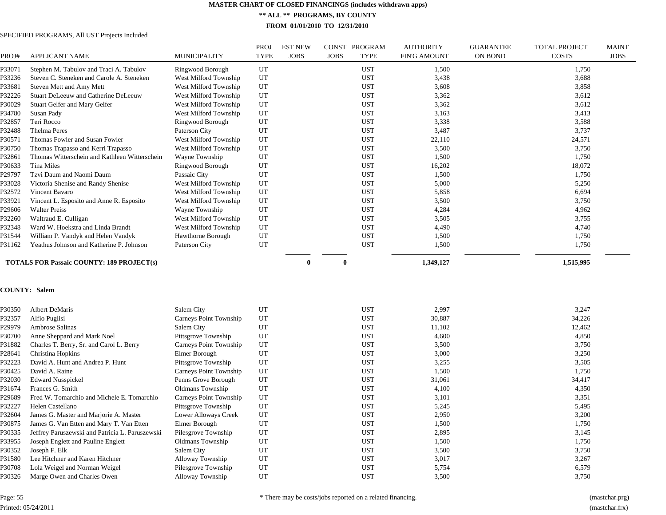**\*\* ALL \*\* PROGRAMS, BY COUNTY**

**FROM 01/01/2010 TO 12/31/2010**

| PROJ#  | <b>APPLICANT NAME</b>                            | <b>MUNICIPALITY</b>     | <b>PROJ</b><br><b>TYPE</b> | <b>EST NEW</b><br><b>JOBS</b> | <b>JOBS</b> | CONST PROGRAM<br><b>TYPE</b> | <b>AUTHORITY</b><br><b>FIN'G AMOUNT</b> | <b>GUARANTEE</b><br>ON BOND | <b>TOTAL PROJECT</b><br><b>COSTS</b> | <b>MAINT</b><br><b>JOBS</b> |
|--------|--------------------------------------------------|-------------------------|----------------------------|-------------------------------|-------------|------------------------------|-----------------------------------------|-----------------------------|--------------------------------------|-----------------------------|
| P33071 | Stephen M. Tabulov and Traci A. Tabulov          | Ringwood Borough        | UT                         |                               |             | <b>UST</b>                   | 1,500                                   |                             | 1,750                                |                             |
| P33236 | Steven C. Steneken and Carole A. Steneken        | West Milford Township   | UT                         |                               |             | <b>UST</b>                   | 3,438                                   |                             | 3,688                                |                             |
| P33681 | Steven Mett and Amy Mett                         | West Milford Township   | UT                         |                               |             | <b>UST</b>                   | 3,608                                   |                             | 3,858                                |                             |
| P32226 | Stuart DeLeeuw and Catherine DeLeeuw             | West Milford Township   | UT                         |                               |             | <b>UST</b>                   | 3,362                                   |                             | 3,612                                |                             |
| P30029 | Stuart Gelfer and Mary Gelfer                    | West Milford Township   | UT                         |                               |             | <b>UST</b>                   | 3,362                                   |                             | 3,612                                |                             |
| P34780 | Susan Pady                                       | West Milford Township   | UT                         |                               |             | <b>UST</b>                   | 3,163                                   |                             | 3,413                                |                             |
| P32857 | Teri Rocco                                       | Ringwood Borough        | UT                         |                               |             | <b>UST</b>                   | 3,338                                   |                             | 3,588                                |                             |
| P32488 | Thelma Peres                                     | Paterson City           | UT                         |                               |             | <b>UST</b>                   | 3,487                                   |                             | 3,737                                |                             |
| P30571 | Thomas Fowler and Susan Fowler                   | West Milford Township   | UT                         |                               |             | <b>UST</b>                   | 22,110                                  |                             | 24,571                               |                             |
| P30750 | Thomas Trapasso and Kerri Trapasso               | West Milford Township   | UT                         |                               |             | <b>UST</b>                   | 3,500                                   |                             | 3,750                                |                             |
| P32861 | Thomas Witterschein and Kathleen Witterschein    | Wayne Township          | UT                         |                               |             | UST                          | 1,500                                   |                             | 1,750                                |                             |
| P30633 | Tina Miles                                       | Ringwood Borough        | UT                         |                               |             | <b>UST</b>                   | 16,202                                  |                             | 18,072                               |                             |
| P29797 | Tzvi Daum and Naomi Daum                         | Passaic City            | UT                         |                               |             | <b>UST</b>                   | 1,500                                   |                             | 1,750                                |                             |
| P33028 | Victoria Shenise and Randy Shenise               | West Milford Township   | UT                         |                               |             | <b>UST</b>                   | 5,000                                   |                             | 5,250                                |                             |
| P32572 | Vincent Bavaro                                   | West Milford Township   | UT                         |                               |             | <b>UST</b>                   | 5,858                                   |                             | 6,694                                |                             |
| P33921 | Vincent L. Esposito and Anne R. Esposito         | West Milford Township   | UT                         |                               |             | <b>UST</b>                   | 3,500                                   |                             | 3,750                                |                             |
| P29606 | <b>Walter Preiss</b>                             | Wayne Township          | UT                         |                               |             | <b>UST</b>                   | 4,284                                   |                             | 4,962                                |                             |
| P32260 | Waltraud E. Culligan                             | West Milford Township   | UT                         |                               |             | <b>UST</b>                   | 3,505                                   |                             | 3,755                                |                             |
| P32348 | Ward W. Hoekstra and Linda Brandt                | West Milford Township   | UT                         |                               |             | <b>UST</b>                   | 4,490                                   |                             | 4,740                                |                             |
| P31544 | William P. Vandyk and Helen Vandyk               | Hawthorne Borough       | UT                         |                               |             | <b>UST</b>                   | 1,500                                   |                             | 1,750                                |                             |
| P31162 | Yeathus Johnson and Katherine P. Johnson         | Paterson City           | UT                         |                               |             | <b>UST</b>                   | 1,500                                   |                             | 1,750                                |                             |
|        | <b>TOTALS FOR Passaic COUNTY: 189 PROJECT(s)</b> |                         |                            | $\mathbf{0}$                  | $\bf{0}$    |                              | 1,349,127                               |                             | 1,515,995                            |                             |
|        | <b>COUNTY: Salem</b>                             |                         |                            |                               |             |                              |                                         |                             |                                      |                             |
| P30350 | Albert DeMaris                                   | Salem City              | UT                         |                               |             | <b>UST</b>                   | 2,997                                   |                             | 3,247                                |                             |
| P32357 | Alfio Puglisi                                    | Carneys Point Township  | UT                         |                               |             | <b>UST</b>                   | 30,887                                  |                             | 34,226                               |                             |
| P29979 | Ambrose Salinas                                  | Salem City              | UT                         |                               |             | <b>UST</b>                   | 11,102                                  |                             | 12,462                               |                             |
| P30700 | Anne Sheppard and Mark Noel                      | Pittsgrove Township     | UT                         |                               |             | <b>UST</b>                   | 4,600                                   |                             | 4,850                                |                             |
| P31882 | Charles T. Berry, Sr. and Carol L. Berry         | Carneys Point Township  | UT                         |                               |             | <b>UST</b>                   | 3,500                                   |                             | 3,750                                |                             |
| P28641 | Christina Hopkins                                | Elmer Borough           | UT                         |                               |             | <b>UST</b>                   | 3,000                                   |                             | 3,250                                |                             |
| P32223 | David A. Hunt and Andrea P. Hunt                 | Pittsgrove Township     | UT                         |                               |             | <b>UST</b>                   | 3,255                                   |                             | 3,505                                |                             |
| P30425 | David A. Raine                                   | Carneys Point Township  | UT                         |                               |             | <b>UST</b>                   | 1,500                                   |                             | 1,750                                |                             |
| P32030 | <b>Edward Nusspickel</b>                         | Penns Grove Borough     | UT                         |                               |             | <b>UST</b>                   | 31,061                                  |                             | 34,417                               |                             |
| P31674 | Frances G. Smith                                 | <b>Oldmans Township</b> | UT                         |                               |             | <b>UST</b>                   | 4,100                                   |                             | 4,350                                |                             |
| P29689 | Fred W. Tomarchio and Michele E. Tomarchio       | Carneys Point Township  | UT                         |                               |             | <b>UST</b>                   | 3,101                                   |                             | 3,351                                |                             |
| P32227 | Helen Castellano                                 | Pittsgrove Township     | UT                         |                               |             | <b>UST</b>                   | 5,245                                   |                             | 5,495                                |                             |
| P32604 | James G. Master and Marjorie A. Master           | Lower Alloways Creek    | UT                         |                               |             | <b>UST</b>                   | 2,950                                   |                             | 3,200                                |                             |
| P30875 | James G. Van Etten and Mary T. Van Etten         | Elmer Borough           | UT                         |                               |             | <b>UST</b>                   | 1,500                                   |                             | 1,750                                |                             |
|        |                                                  |                         | UT                         |                               |             |                              |                                         |                             |                                      |                             |
| P30335 | Jeffrey Paruszewski and Patricia L. Paruszewski  | Pilesgrove Township     |                            |                               |             | <b>UST</b>                   | 2,895                                   |                             | 3,145                                |                             |
| P33955 | Joseph Englett and Pauline Englett               | Oldmans Township        | UT                         |                               |             | <b>UST</b>                   | 1,500                                   |                             | 1,750                                |                             |
| P30352 | Joseph F. Elk                                    | Salem City              | UT                         |                               |             | <b>UST</b>                   | 3,500                                   |                             | 3,750                                |                             |
| P31580 | Lee Hitchner and Karen Hitchner                  | Alloway Township        | UT                         |                               |             | <b>UST</b>                   | 3,017                                   |                             | 3,267                                |                             |
| P30708 | Lola Weigel and Norman Weigel                    | Pilesgrove Township     | UT                         |                               |             | <b>UST</b>                   | 5,754                                   |                             | 6,579                                |                             |
| P30326 | Marge Owen and Charles Owen                      | Alloway Township        | UT                         |                               |             | <b>UST</b>                   | 3,500                                   |                             | 3,750                                |                             |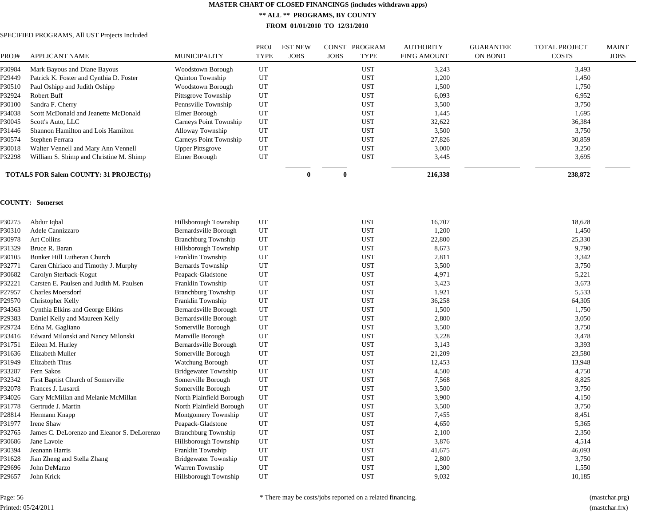**\*\* ALL \*\* PROGRAMS, BY COUNTY**

**FROM 01/01/2010 TO 12/31/2010**

# SPECIFIED PROGRAMS, All UST Projects Included

| PROJ#  | <b>APPLICANT NAME</b>                         | MUNICIPALITY                  | <b>PROJ</b><br><b>TYPE</b> | <b>EST NEW</b><br><b>JOBS</b> | <b>JOBS</b> | CONST PROGRAM<br><b>TYPE</b> | <b>AUTHORITY</b><br><b>FIN'G AMOUNT</b> | <b>GUARANTEE</b><br>ON BOND | TOTAL PROJECT<br><b>COSTS</b> | <b>MAINT</b><br><b>JOBS</b> |
|--------|-----------------------------------------------|-------------------------------|----------------------------|-------------------------------|-------------|------------------------------|-----------------------------------------|-----------------------------|-------------------------------|-----------------------------|
| P30984 | Mark Bayous and Diane Bayous                  | Woodstown Borough             | UT                         |                               |             | <b>UST</b>                   | 3,243                                   |                             | 3,493                         |                             |
| P29449 | Patrick K. Foster and Cynthia D. Foster       | Quinton Township              | UT                         |                               |             | <b>UST</b>                   | 1,200                                   |                             | 1,450                         |                             |
| P30510 | Paul Oshipp and Judith Oshipp                 | <b>Woodstown Borough</b>      | UT                         |                               |             | <b>UST</b>                   | 1,500                                   |                             | 1,750                         |                             |
| P32924 | Robert Buff                                   | Pittsgrove Township           | UT                         |                               |             | <b>UST</b>                   | 6,093                                   |                             | 6,952                         |                             |
| P30100 | Sandra F. Cherry                              | Pennsville Township           | UT                         |                               |             | <b>UST</b>                   | 3,500                                   |                             | 3,750                         |                             |
| P34038 | Scott McDonald and Jeanette McDonald          | Elmer Borough                 | UT                         |                               |             | <b>UST</b>                   | 1,445                                   |                             | 1,695                         |                             |
| P30045 | Scott's Auto, LLC                             | Carneys Point Township        | UT                         |                               |             | <b>UST</b>                   | 32,622                                  |                             | 36,384                        |                             |
| P31446 | Shannon Hamilton and Lois Hamilton            | Alloway Township              | UT                         |                               |             | <b>UST</b>                   | 3,500                                   |                             | 3,750                         |                             |
| P30574 | Stephen Ferrara                               | <b>Carneys Point Township</b> | UT                         |                               |             | <b>UST</b>                   | 27,826                                  |                             | 30,859                        |                             |
| P30018 | Walter Vennell and Mary Ann Vennell           | <b>Upper Pittsgrove</b>       | UT                         |                               |             | <b>UST</b>                   | 3,000                                   |                             | 3,250                         |                             |
| P32298 | William S. Shimp and Christine M. Shimp       | Elmer Borough                 | UT                         |                               |             | <b>UST</b>                   | 3,445                                   |                             | 3,695                         |                             |
|        | <b>TOTALS FOR Salem COUNTY: 31 PROJECT(s)</b> |                               |                            | $\theta$                      | $\theta$    |                              | 216,338                                 |                             | 238,872                       |                             |
|        | <b>COUNTY: Somerset</b>                       |                               |                            |                               |             |                              |                                         |                             |                               |                             |
| P30275 | Abdur Iqbal                                   | Hillsborough Township         | UT                         |                               |             | <b>UST</b>                   | 16,707                                  |                             | 18,628                        |                             |
| P30310 | Adele Cannizzaro                              | Bernardsville Borough         | UT                         |                               |             | <b>UST</b>                   | 1,200                                   |                             | 1,450                         |                             |
| P30978 | Art Collins                                   | <b>Branchburg Township</b>    | UT                         |                               |             | <b>UST</b>                   | 22,800                                  |                             | 25,330                        |                             |
| P31329 | Bruce R. Baran                                | Hillsborough Township         | UT                         |                               |             | <b>UST</b>                   | 8,673                                   |                             | 9,790                         |                             |
| P30105 | Bunker Hill Lutheran Church                   | Franklin Township             | UT                         |                               |             | <b>UST</b>                   | 2,811                                   |                             | 3,342                         |                             |
| P32771 | Caren Chiriaco and Timothy J. Murphy          | Bernards Township             | UT                         |                               |             | <b>UST</b>                   | 3,500                                   |                             | 3,750                         |                             |
| P30682 | Carolyn Sterback-Kogut                        | Peapack-Gladstone             | UT                         |                               |             | <b>UST</b>                   | 4,971                                   |                             | 5,221                         |                             |
| P32221 | Carsten E. Paulsen and Judith M. Paulsen      | Franklin Township             | UT                         |                               |             | <b>UST</b>                   | 3,423                                   |                             | 3,673                         |                             |
| P27957 | <b>Charles Moersdorf</b>                      | <b>Branchburg Township</b>    | UT                         |                               |             | <b>UST</b>                   | 1,921                                   |                             | 5,533                         |                             |
| P29570 | Christopher Kelly                             | Franklin Township             | UT                         |                               |             | <b>UST</b>                   | 36,258                                  |                             | 64,305                        |                             |
| P34363 | Cynthia Elkins and George Elkins              | Bernardsville Borough         | UT                         |                               |             | <b>UST</b>                   | 1,500                                   |                             | 1,750                         |                             |
| P29383 | Daniel Kelly and Maureen Kelly                | Bernardsville Borough         | UT                         |                               |             | <b>UST</b>                   | 2,800                                   |                             | 3,050                         |                             |
| P29724 | Edna M. Gagliano                              | Somerville Borough            | UT                         |                               |             | <b>UST</b>                   | 3,500                                   |                             | 3,750                         |                             |
| P33416 | Edward Milonski and Nancy Milonski            | Manville Borough              | UT                         |                               |             | <b>UST</b>                   | 3,228                                   |                             | 3,478                         |                             |
| P31751 | Eileen M. Hurley                              | Bernardsville Borough         | UT                         |                               |             | <b>UST</b>                   | 3,143                                   |                             | 3,393                         |                             |
| P31636 | Elizabeth Muller                              | Somerville Borough            | UT                         |                               |             | <b>UST</b>                   | 21,209                                  |                             | 23,580                        |                             |
| P31949 | <b>Elizabeth Titus</b>                        | Watchung Borough              | UT                         |                               |             | <b>UST</b>                   | 12,453                                  |                             | 13,948                        |                             |
| P33287 | Fern Sakos                                    | <b>Bridgewater Township</b>   | UT                         |                               |             | <b>UST</b>                   | 4,500                                   |                             | 4,750                         |                             |
| P32342 | First Baptist Church of Somerville            | Somerville Borough            | UT                         |                               |             | <b>UST</b>                   | 7,568                                   |                             | 8,825                         |                             |
| P32078 | Frances J. Lusardi                            | Somerville Borough            | UT                         |                               |             | <b>UST</b>                   | 3,500                                   |                             | 3,750                         |                             |
| P34026 | Gary McMillan and Melanie McMillan            | North Plainfield Borough      | UT                         |                               |             | <b>UST</b>                   | 3,900                                   |                             | 4,150                         |                             |
| P31778 | Gertrude J. Martin                            | North Plainfield Borough      | UT                         |                               |             | <b>UST</b>                   | 3,500                                   |                             | 3,750                         |                             |
| P28814 | Hermann Knapp                                 | Montgomery Township           | UT                         |                               |             | <b>UST</b>                   | 7,455                                   |                             | 8,451                         |                             |
| P31977 | Irene Shaw                                    | Peapack-Gladstone             | UT                         |                               |             | <b>UST</b>                   | 4,650                                   |                             | 5,365                         |                             |
| P32765 | James C. DeLorenzo and Eleanor S. DeLorenzo   | <b>Branchburg Township</b>    | UT                         |                               |             | <b>UST</b>                   | 2,100                                   |                             | 2,350                         |                             |
| P30686 | Jane Lavoie                                   | Hillsborough Township         | UT                         |                               |             | <b>UST</b>                   | 3,876                                   |                             | 4,514                         |                             |
| P30394 | Jeanann Harris                                | Franklin Township             | UT                         |                               |             | <b>UST</b>                   | 41,675                                  |                             | 46,093                        |                             |
| P31628 | Jian Zheng and Stella Zhang                   | <b>Bridgewater Township</b>   | UT                         |                               |             | <b>UST</b>                   | 2,800                                   |                             | 3,750                         |                             |
| P29696 | John DeMarzo                                  | Warren Township               | UT                         |                               |             | <b>UST</b>                   | 1,300                                   |                             | 1,550                         |                             |
| P29657 | John Krick                                    | Hillsborough Township         | UT                         |                               |             | <b>UST</b>                   | 9,032                                   |                             | 10,185                        |                             |

Page: 56 Printed: 05/24/2011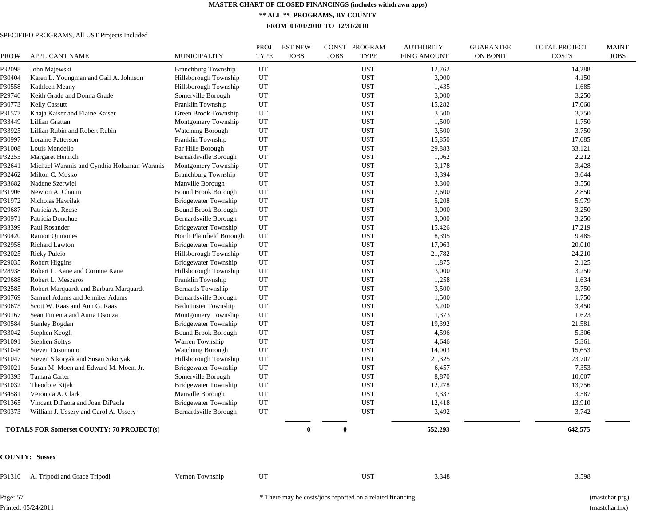**\*\* ALL \*\* PROGRAMS, BY COUNTY**

**FROM 01/01/2010 TO 12/31/2010**

# SPECIFIED PROGRAMS, All UST Projects Included

| PROJ#  | <b>APPLICANT NAME</b>                            | <b>MUNICIPALITY</b>         | PROJ<br><b>TYPE</b> | <b>EST NEW</b><br><b>JOBS</b> | <b>JOBS</b> | CONST PROGRAM<br><b>TYPE</b> | <b>AUTHORITY</b><br><b>FIN'G AMOUNT</b> | <b>GUARANTEE</b><br>ON BOND | <b>TOTAL PROJECT</b><br><b>COSTS</b> | <b>MAINT</b><br><b>JOBS</b> |
|--------|--------------------------------------------------|-----------------------------|---------------------|-------------------------------|-------------|------------------------------|-----------------------------------------|-----------------------------|--------------------------------------|-----------------------------|
| P32098 | John Majewski                                    | <b>Branchburg Township</b>  | UT                  |                               |             | <b>UST</b>                   | 12,762                                  |                             | 14,288                               |                             |
| P30404 | Karen L. Youngman and Gail A. Johnson            | Hillsborough Township       | UT                  |                               |             | <b>UST</b>                   | 3,900                                   |                             | 4,150                                |                             |
| P30558 | Kathleen Meany                                   | Hillsborough Township       | $_{\rm UT}$         |                               |             | <b>UST</b>                   | 1,435                                   |                             | 1,685                                |                             |
| P29746 | Keith Grade and Donna Grade                      | Somerville Borough          | UT                  |                               |             | <b>UST</b>                   | 3,000                                   |                             | 3,250                                |                             |
| P30773 | <b>Kelly Cassutt</b>                             | Franklin Township           | UT                  |                               |             | <b>UST</b>                   | 15,282                                  |                             | 17,060                               |                             |
| P31577 | Khaja Kaiser and Elaine Kaiser                   | Green Brook Township        | UT                  |                               |             | <b>UST</b>                   | 3,500                                   |                             | 3,750                                |                             |
| P33449 | Lillian Grattan                                  | Montgomery Township         | UT                  |                               |             | <b>UST</b>                   | 1,500                                   |                             | 1,750                                |                             |
| P33925 | Lillian Rubin and Robert Rubin                   | Watchung Borough            | UT                  |                               |             | <b>UST</b>                   | 3,500                                   |                             | 3,750                                |                             |
| P30997 | Loraine Patterson                                | Franklin Township           | UT                  |                               |             | <b>UST</b>                   | 15,850                                  |                             | 17,685                               |                             |
| P31008 | Louis Mondello                                   | Far Hills Borough           | UT                  |                               |             | <b>UST</b>                   | 29,883                                  |                             | 33,121                               |                             |
| P32255 | Margaret Henrich                                 | Bernardsville Borough       | UT                  |                               |             | <b>UST</b>                   | 1,962                                   |                             | 2,212                                |                             |
| P32641 | Michael Waranis and Cynthia Holtzman-Waranis     | Montgomery Township         | UT                  |                               |             | <b>UST</b>                   | 3,178                                   |                             | 3,428                                |                             |
| P32462 | Milton C. Mosko                                  | <b>Branchburg Township</b>  | UT                  |                               |             | <b>UST</b>                   | 3,394                                   |                             | 3,644                                |                             |
| P33682 | Nadene Szerwiel                                  | Manville Borough            | UT                  |                               |             | <b>UST</b>                   | 3,300                                   |                             | 3,550                                |                             |
| P31906 | Newton A. Chanin                                 | <b>Bound Brook Borough</b>  | UT                  |                               |             | <b>UST</b>                   | 2,600                                   |                             | 2,850                                |                             |
| P31972 | Nicholas Havrilak                                | <b>Bridgewater Township</b> | UT                  |                               |             | <b>UST</b>                   | 5,208                                   |                             | 5,979                                |                             |
| P29687 | Patricia A. Reese                                | <b>Bound Brook Borough</b>  | UT                  |                               |             | <b>UST</b>                   | 3,000                                   |                             | 3,250                                |                             |
| P30971 | Patricia Donohue                                 | Bernardsville Borough       | UT                  |                               |             | <b>UST</b>                   | 3,000                                   |                             | 3,250                                |                             |
| P33399 | Paul Rosander                                    | <b>Bridgewater Township</b> | UT                  |                               |             | <b>UST</b>                   | 15,426                                  |                             | 17,219                               |                             |
| P30420 | <b>Ramon Quinones</b>                            | North Plainfield Borough    | UT                  |                               |             | <b>UST</b>                   | 8,395                                   |                             | 9,485                                |                             |
| P32958 | Richard Lawton                                   | <b>Bridgewater Township</b> | UT                  |                               |             | <b>UST</b>                   | 17,963                                  |                             | 20,010                               |                             |
| P32025 | <b>Ricky Puleio</b>                              | Hillsborough Township       | $\mathop{\rm UT}$   |                               |             | <b>UST</b>                   | 21,782                                  |                             | 24,210                               |                             |
| P29035 | <b>Robert Higgins</b>                            | <b>Bridgewater Township</b> | UT                  |                               |             | <b>UST</b>                   | 1,875                                   |                             | 2,125                                |                             |
| P28938 | Robert L. Kane and Corinne Kane                  | Hillsborough Township       | UT                  |                               |             | <b>UST</b>                   | 3,000                                   |                             | 3,250                                |                             |
| P29688 | Robert L. Meszaros                               | Franklin Township           | $_{\rm UT}$         |                               |             | <b>UST</b>                   | 1,258                                   |                             | 1,634                                |                             |
| P32585 | Robert Marquardt and Barbara Marquardt           | Bernards Township           | UT                  |                               |             | <b>UST</b>                   | 3,500                                   |                             | 3,750                                |                             |
|        |                                                  |                             | UT                  |                               |             | <b>UST</b>                   | 1,500                                   |                             |                                      |                             |
| P30769 | Samuel Adams and Jennifer Adams                  | Bernardsville Borough       |                     |                               |             |                              |                                         |                             | 1,750                                |                             |
| P30675 | Scott W. Raas and Ann G. Raas                    | <b>Bedminster Township</b>  | UT<br>UT            |                               |             | <b>UST</b><br><b>UST</b>     | 3,200<br>1,373                          |                             | 3,450                                |                             |
| P30167 | Sean Pimenta and Auria Dsouza                    | Montgomery Township         |                     |                               |             |                              |                                         |                             | 1,623                                |                             |
| P30584 | <b>Stanley Bogdan</b>                            | Bridgewater Township        | UT                  |                               |             | <b>UST</b>                   | 19,392                                  |                             | 21,581                               |                             |
| P33042 | Stephen Keogh                                    | <b>Bound Brook Borough</b>  | UT                  |                               |             | <b>UST</b>                   | 4,596                                   |                             | 5,306                                |                             |
| P31091 | <b>Stephen Soltys</b>                            | Warren Township             | UT                  |                               |             | <b>UST</b>                   | 4,646                                   |                             | 5,361                                |                             |
| P31048 | Steven Cusumano                                  | Watchung Borough            | $_{\rm UT}$         |                               |             | <b>UST</b>                   | 14,003                                  |                             | 15,653                               |                             |
| P31047 | Steven Sikoryak and Susan Sikoryak               | Hillsborough Township       | UT                  |                               |             | <b>UST</b>                   | 21,325                                  |                             | 23,707                               |                             |
| P30021 | Susan M. Moen and Edward M. Moen, Jr.            | <b>Bridgewater Township</b> | UT                  |                               |             | <b>UST</b>                   | 6,457                                   |                             | 7,353                                |                             |
| P30393 | Tamara Carter                                    | Somerville Borough          | UT                  |                               |             | <b>UST</b>                   | 8,870                                   |                             | 10,007                               |                             |
| P31032 | Theodore Kijek                                   | <b>Bridgewater Township</b> | UT                  |                               |             | <b>UST</b>                   | 12,278                                  |                             | 13,756                               |                             |
| P34581 | Veronica A. Clark                                | Manville Borough            | UT                  |                               |             | <b>UST</b>                   | 3,337                                   |                             | 3,587                                |                             |
| P31365 | Vincent DiPaola and Joan DiPaola                 | <b>Bridgewater Township</b> | UT                  |                               |             | <b>UST</b>                   | 12,418                                  |                             | 13,910                               |                             |
| P30373 | William J. Ussery and Carol A. Ussery            | Bernardsville Borough       | UT                  |                               |             | <b>UST</b>                   | 3,492                                   |                             | 3,742                                |                             |
|        | <b>TOTALS FOR Somerset COUNTY: 70 PROJECT(s)</b> |                             |                     | 0                             |             |                              | 552,293                                 |                             | 642,575                              |                             |
|        | <b>COUNTY: Sussex</b>                            |                             |                     |                               |             |                              |                                         |                             |                                      |                             |
| P31310 | Al Tripodi and Grace Tripodi                     | Vernon Township             | UT                  |                               |             | <b>UST</b>                   | 3,348                                   |                             | 3,598                                |                             |

Page: 57 Printed: 05/24/2011 \* There may be costs/jobs reported on a related financing. (mastchar.prg)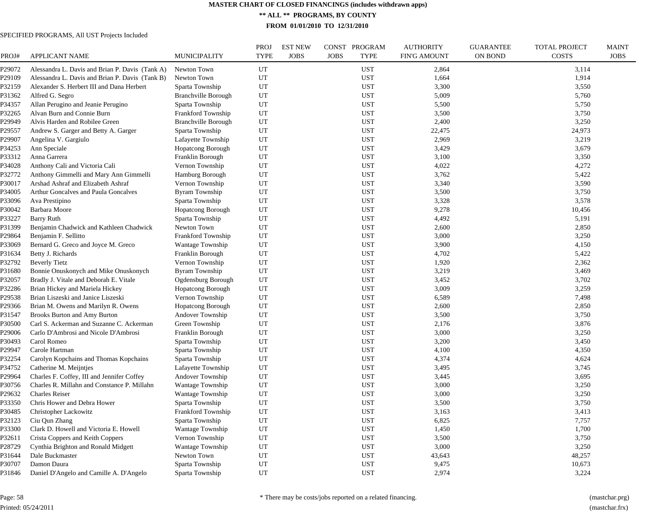**\*\* ALL \*\* PROGRAMS, BY COUNTY**

**FROM 01/01/2010 TO 12/31/2010**

SPECIFIED PROGRAMS, All UST Projects Included

| PROJ#  | <b>APPLICANT NAME</b>                           | <b>MUNICIPALITY</b>        | PROJ<br><b>TYPE</b> | <b>EST NEW</b><br><b>JOBS</b> | <b>CONST</b><br>PROGRAM<br><b>TYPE</b><br><b>JOBS</b> | <b>AUTHORITY</b><br><b>FIN'G AMOUNT</b> | <b>GUARANTEE</b><br><b>ON BOND</b> | <b>TOTAL PROJECT</b><br><b>COSTS</b> | <b>MAINT</b><br><b>JOBS</b> |
|--------|-------------------------------------------------|----------------------------|---------------------|-------------------------------|-------------------------------------------------------|-----------------------------------------|------------------------------------|--------------------------------------|-----------------------------|
| P29072 | Alessandra L. Davis and Brian P. Davis (Tank A) | Newton Town                | UT                  |                               | <b>UST</b>                                            | 2,864                                   |                                    | 3,114                                |                             |
| P29109 | Alessandra L. Davis and Brian P. Davis (Tank B) | Newton Town                | UT                  |                               | <b>UST</b>                                            | 1,664                                   |                                    | 1,914                                |                             |
| P32159 | Alexander S. Herbert III and Dana Herbert       | Sparta Township            | UT                  |                               | <b>UST</b>                                            | 3,300                                   |                                    | 3,550                                |                             |
| P31362 | Alfred G. Segro                                 | Branchville Borough        | UT                  |                               | <b>UST</b>                                            | 5,009                                   |                                    | 5,760                                |                             |
| P34357 | Allan Perugino and Jeanie Perugino              | Sparta Township            | UT                  |                               | <b>UST</b>                                            | 5,500                                   |                                    | 5,750                                |                             |
| P32265 | Alvan Burn and Connie Burn                      | Frankford Township         | UT                  |                               | <b>UST</b>                                            | 3,500                                   |                                    | 3,750                                |                             |
| P29949 | Alvis Harden and Robilee Green                  | <b>Branchville Borough</b> | UT                  |                               | <b>UST</b>                                            | 2,400                                   |                                    | 3,250                                |                             |
| P29557 | Andrew S. Garger and Betty A. Garger            | Sparta Township            | UT                  |                               | <b>UST</b>                                            | 22,475                                  |                                    | 24,973                               |                             |
| P29907 | Angelina V. Gargiulo                            | Lafayette Township         | UT                  |                               | <b>UST</b>                                            | 2,969                                   |                                    | 3,219                                |                             |
| P34253 | Ann Speciale                                    | <b>Hopatcong Borough</b>   | UT                  |                               | <b>UST</b>                                            | 3,429                                   |                                    | 3,679                                |                             |
| P33312 | Anna Garrera                                    | Franklin Borough           | UT                  |                               | <b>UST</b>                                            | 3,100                                   |                                    | 3,350                                |                             |
| P34028 | Anthony Cali and Victoria Cali                  | Vernon Township            | UT                  |                               | <b>UST</b>                                            | 4,022                                   |                                    | 4,272                                |                             |
| P32772 | Anthony Gimmelli and Mary Ann Gimmelli          | Hamburg Borough            | UT                  |                               | <b>UST</b>                                            | 3,762                                   |                                    | 5,422                                |                             |
| P30017 | Arshad Ashraf and Elizabeth Ashraf              | Vernon Township            | UT                  |                               | <b>UST</b>                                            | 3,340                                   |                                    | 3,590                                |                             |
| P34005 | Arthur Goncalves and Paula Goncalves            | <b>Byram Township</b>      | UT                  |                               | <b>UST</b>                                            | 3,500                                   |                                    | 3,750                                |                             |
| P33096 | Ava Prestipino                                  | Sparta Township            | UT                  |                               | <b>UST</b>                                            | 3,328                                   |                                    | 3,578                                |                             |
| P30042 | Barbara Moore                                   | <b>Hopatcong Borough</b>   | UT                  |                               | <b>UST</b>                                            | 9,278                                   |                                    | 10,456                               |                             |
| P33227 | <b>Barry Ruth</b>                               | Sparta Township            | UT                  |                               | <b>UST</b>                                            | 4,492                                   |                                    | 5,191                                |                             |
| P31399 | Benjamin Chadwick and Kathleen Chadwick         | Newton Town                | UT                  |                               | <b>UST</b>                                            | 2,600                                   |                                    | 2,850                                |                             |
| P29864 | Benjamin F. Sellitto                            | Frankford Township         | UT                  |                               | <b>UST</b>                                            | 3,000                                   |                                    | 3,250                                |                             |
| P33069 | Bernard G. Greco and Joyce M. Greco             | Wantage Township           | UT                  |                               | <b>UST</b>                                            | 3,900                                   |                                    | 4,150                                |                             |
| P31634 | Betty J. Richards                               | Franklin Borough           | UT                  |                               | <b>UST</b>                                            | 4,702                                   |                                    | 5,422                                |                             |
| P32792 | <b>Beverly Tietz</b>                            | Vernon Township            | UT                  |                               | <b>UST</b>                                            | 1,920                                   |                                    | 2,362                                |                             |
| P31680 | Bonnie Onuskonych and Mike Onuskonych           | <b>Byram Township</b>      | UT                  |                               | <b>UST</b>                                            | 3,219                                   |                                    | 3,469                                |                             |
| P32057 | Bradly J. Vitale and Deborah E. Vitale          | Ogdensburg Borough         | UT                  |                               | <b>UST</b>                                            | 3,452                                   |                                    | 3,702                                |                             |
| P32286 | Brian Hickey and Mariela Hickey                 | <b>Hopatcong Borough</b>   | UT                  |                               | <b>UST</b>                                            | 3,009                                   |                                    | 3,259                                |                             |
| P29538 | Brian Liszeski and Janice Liszeski              | Vernon Township            | UT                  |                               | <b>UST</b>                                            | 6,589                                   |                                    | 7,498                                |                             |
| P29366 | Brian M. Owens and Marilyn R. Owens             | <b>Hopatcong Borough</b>   | UT                  |                               | <b>UST</b>                                            | 2,600                                   |                                    | 2,850                                |                             |
| P31547 | Brooks Burton and Amy Burton                    | Andover Township           | UT                  |                               | <b>UST</b>                                            | 3,500                                   |                                    | 3,750                                |                             |
| P30500 | Carl S. Ackerman and Suzanne C. Ackerman        | Green Township             | UT                  |                               | <b>UST</b>                                            | 2,176                                   |                                    | 3,876                                |                             |
| P29006 | Carlo D'Ambrosi and Nicole D'Ambrosi            | Franklin Borough           | UT                  |                               | <b>UST</b>                                            | 3,000                                   |                                    | 3,250                                |                             |
| P30493 | Carol Romeo                                     | Sparta Township            | UT                  |                               | <b>UST</b>                                            | 3,200                                   |                                    | 3,450                                |                             |
| P29947 | Carole Hartman                                  | Sparta Township            | UT                  |                               | <b>UST</b>                                            | 4,100                                   |                                    | 4,350                                |                             |
| P32254 | Carolyn Kopchains and Thomas Kopchains          | Sparta Township            | UT                  |                               | <b>UST</b>                                            | 4,374                                   |                                    | 4,624                                |                             |
| P34752 | Catherine M. Meijntjes                          | Lafayette Township         | UT                  |                               | <b>UST</b>                                            | 3,495                                   |                                    | 3,745                                |                             |
| P29964 | Charles F. Coffey, III and Jennifer Coffey      | Andover Township           | UT                  |                               | <b>UST</b>                                            | 3,445                                   |                                    | 3,695                                |                             |
| P30756 | Charles R. Millahn and Constance P. Millahn     | <b>Wantage Township</b>    | UT                  |                               | <b>UST</b>                                            | 3,000                                   |                                    | 3,250                                |                             |
| P29632 | <b>Charles Reiser</b>                           | Wantage Township           | UT                  |                               | <b>UST</b>                                            | 3,000                                   |                                    | 3,250                                |                             |
| P33350 | Chris Hower and Debra Hower                     | Sparta Township            | UT                  |                               | <b>UST</b>                                            | 3,500                                   |                                    | 3,750                                |                             |
| P30485 | Christopher Lackowitz                           | Frankford Township         | UT                  |                               | <b>UST</b>                                            | 3,163                                   |                                    | 3,413                                |                             |
| P32123 | Ciu Qun Zhang                                   | Sparta Township            | UT                  |                               | <b>UST</b>                                            | 6,825                                   |                                    | 7,757                                |                             |
| P33300 | Clark D. Howell and Victoria E. Howell          | Wantage Township           | UT                  |                               | <b>UST</b>                                            | 1,450                                   |                                    | 1,700                                |                             |
| P32611 | Crista Coppers and Keith Coppers                | Vernon Township            | UT                  |                               | <b>UST</b>                                            | 3,500                                   |                                    | 3,750                                |                             |
| P28729 | Cynthia Brighton and Ronald Midgett             | <b>Wantage Township</b>    | UT                  |                               | <b>UST</b>                                            | 3,000                                   |                                    | 3,250                                |                             |
| P31644 | Dale Buckmaster                                 | Newton Town                | UT                  |                               | <b>UST</b>                                            | 43,643                                  |                                    | 48,257                               |                             |
| P30707 | Damon Daura                                     | Sparta Township            | UT                  |                               | <b>UST</b>                                            | 9,475                                   |                                    | 10,673                               |                             |
| P31846 | Daniel D'Angelo and Camille A. D'Angelo         | Sparta Township            | UT                  |                               | <b>UST</b>                                            | 2,974                                   |                                    | 3,224                                |                             |
|        |                                                 |                            |                     |                               |                                                       |                                         |                                    |                                      |                             |

Page: 58 Printed: 05/24/2011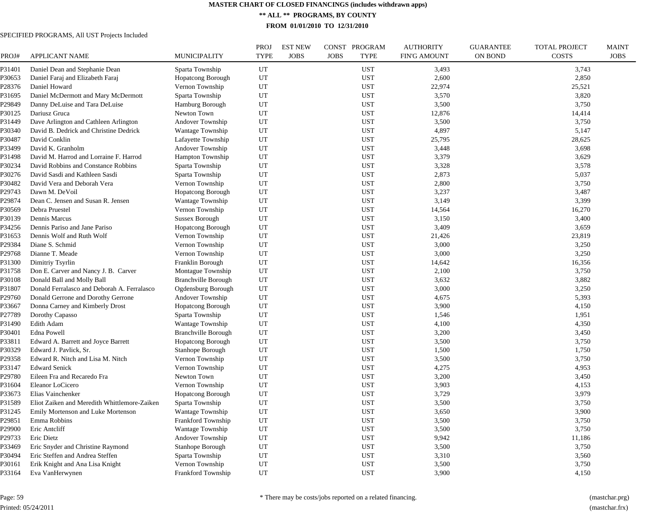**\*\* ALL \*\* PROGRAMS, BY COUNTY**

**FROM 01/01/2010 TO 12/31/2010**

# SPECIFIED PROGRAMS, All UST Projects Included

| PROJ#  | <b>APPLICANT NAME</b>                        | <b>MUNICIPALITY</b>        | <b>PROJ</b><br><b>TYPE</b> | <b>EST NEW</b><br><b>JOBS</b> | CONST PROGRAM<br><b>JOBS</b><br><b>TYPE</b> | <b>AUTHORITY</b><br><b>FIN'G AMOUNT</b> | <b>GUARANTEE</b><br><b>ON BOND</b> | <b>TOTAL PROJECT</b><br><b>COSTS</b> | <b>MAINT</b><br><b>JOBS</b> |
|--------|----------------------------------------------|----------------------------|----------------------------|-------------------------------|---------------------------------------------|-----------------------------------------|------------------------------------|--------------------------------------|-----------------------------|
| P31401 | Daniel Dean and Stephanie Dean               | Sparta Township            | UT                         |                               | <b>UST</b>                                  | 3,493                                   |                                    | 3,743                                |                             |
| P30653 | Daniel Faraj and Elizabeth Faraj             | <b>Hopatcong Borough</b>   | UT                         |                               | <b>UST</b>                                  | 2,600                                   |                                    | 2,850                                |                             |
| P28376 | Daniel Howard                                | Vernon Township            | UT                         |                               | <b>UST</b>                                  | 22,974                                  |                                    | 25,521                               |                             |
| P31695 | Daniel McDermott and Mary McDermott          | Sparta Township            | UT                         |                               | <b>UST</b>                                  | 3,570                                   |                                    | 3,820                                |                             |
| P29849 | Danny DeLuise and Tara DeLuise               | Hamburg Borough            | UT                         |                               | <b>UST</b>                                  | 3,500                                   |                                    | 3,750                                |                             |
| P30125 | Dariusz Gruca                                | Newton Town                | UT                         |                               | <b>UST</b>                                  | 12,876                                  |                                    | 14,414                               |                             |
| P31449 | Dave Arlington and Cathleen Arlington        | Andover Township           | UT                         |                               | <b>UST</b>                                  | 3,500                                   |                                    | 3,750                                |                             |
| P30340 | David B. Dedrick and Christine Dedrick       | Wantage Township           | UT                         |                               | <b>UST</b>                                  | 4,897                                   |                                    | 5,147                                |                             |
| P30487 | David Conklin                                | Lafayette Township         | UT                         |                               | <b>UST</b>                                  | 25,795                                  |                                    | 28,625                               |                             |
| P33499 | David K. Granholm                            | Andover Township           | UT                         |                               | <b>UST</b>                                  | 3,448                                   |                                    | 3,698                                |                             |
| P31498 | David M. Harrod and Lorraine F. Harrod       | Hampton Township           | UT                         |                               | <b>UST</b>                                  | 3,379                                   |                                    | 3,629                                |                             |
| P30234 | David Robbins and Constance Robbins          | Sparta Township            | UT                         |                               | <b>UST</b>                                  | 3,328                                   |                                    | 3,578                                |                             |
| P30276 | David Sasdi and Kathleen Sasdi               | Sparta Township            | UT                         |                               | <b>UST</b>                                  | 2,873                                   |                                    | 5,037                                |                             |
| P30482 | David Vera and Deborah Vera                  | Vernon Township            | UT                         |                               | <b>UST</b>                                  | 2,800                                   |                                    | 3,750                                |                             |
| P29743 | Dawn M. DeVoil                               | <b>Hopatcong Borough</b>   | UT                         |                               | <b>UST</b>                                  | 3,237                                   |                                    | 3,487                                |                             |
| P29874 | Dean C. Jensen and Susan R. Jensen           | Wantage Township           | UT                         |                               | <b>UST</b>                                  | 3,149                                   |                                    | 3,399                                |                             |
| P30569 | Debra Pruestel                               | Vernon Township            | UT                         |                               | <b>UST</b>                                  | 14,564                                  |                                    | 16,270                               |                             |
| P30139 | Dennis Marcus                                | <b>Sussex Borough</b>      | UT                         |                               | <b>UST</b>                                  | 3,150                                   |                                    | 3,400                                |                             |
| P34256 | Dennis Pariso and Jane Pariso                | <b>Hopatcong Borough</b>   | UT                         |                               | UST                                         | 3,409                                   |                                    | 3,659                                |                             |
| P31653 | Dennis Wolf and Ruth Wolf                    | Vernon Township            | UT                         |                               | <b>UST</b>                                  | 21,426                                  |                                    | 23,819                               |                             |
| P29384 | Diane S. Schmid                              | Vernon Township            | UT                         |                               | <b>UST</b>                                  | 3,000                                   |                                    | 3,250                                |                             |
| P29768 | Dianne T. Meade                              | Vernon Township            | UT                         |                               | <b>UST</b>                                  | 3,000                                   |                                    | 3,250                                |                             |
| P31300 | Dimitriy Tsyrlin                             | Franklin Borough           | UT                         |                               | <b>UST</b>                                  | 14,642                                  |                                    | 16,356                               |                             |
| P31758 | Don E. Carver and Nancy J. B. Carver         | Montague Township          | UT                         |                               | <b>UST</b>                                  | 2,100                                   |                                    | 3,750                                |                             |
| P30108 | Donald Ball and Molly Ball                   | <b>Branchville Borough</b> | UT                         |                               | <b>UST</b>                                  | 3,632                                   |                                    | 3,882                                |                             |
| P31807 | Donald Ferralasco and Deborah A. Ferralasco  | Ogdensburg Borough         | UT                         |                               | <b>UST</b>                                  | 3,000                                   |                                    | 3,250                                |                             |
| P29760 | Donald Gerrone and Dorothy Gerrone           | Andover Township           | UT                         |                               | <b>UST</b>                                  | 4,675                                   |                                    | 5,393                                |                             |
| P33667 | Donna Carney and Kimberly Drost              | <b>Hopatcong Borough</b>   | UT                         |                               | <b>UST</b>                                  | 3,900                                   |                                    | 4,150                                |                             |
| P27789 | Dorothy Capasso                              | Sparta Township            | UT                         |                               | <b>UST</b>                                  | 1,546                                   |                                    | 1,951                                |                             |
| P31490 | Edith Adam                                   | <b>Wantage Township</b>    | UT                         |                               | <b>UST</b>                                  | 4,100                                   |                                    | 4,350                                |                             |
| P30401 | Edna Powell                                  | <b>Branchville Borough</b> | UT                         |                               | <b>UST</b>                                  | 3,200                                   |                                    | 3,450                                |                             |
| P33811 | Edward A. Barrett and Joyce Barrett          | <b>Hopatcong Borough</b>   | UT                         |                               | <b>UST</b>                                  | 3,500                                   |                                    | 3,750                                |                             |
| P30329 | Edward J. Pavlick, Sr.                       | Stanhope Borough           | UT                         |                               | <b>UST</b>                                  | 1,500                                   |                                    | 1,750                                |                             |
| P29358 | Edward R. Nitch and Lisa M. Nitch            | Vernon Township            | UT                         |                               | <b>UST</b>                                  | 3,500                                   |                                    | 3,750                                |                             |
| P33147 | <b>Edward Senick</b>                         | Vernon Township            | UT                         |                               | <b>UST</b>                                  | 4,275                                   |                                    | 4,953                                |                             |
| P29780 | Eileen Fra and Recaredo Fra                  | Newton Town                | UT                         |                               | <b>UST</b>                                  | 3,200                                   |                                    | 3,450                                |                             |
| P31604 | Eleanor LoCicero                             | Vernon Township            | UT                         |                               | <b>UST</b>                                  | 3,903                                   |                                    | 4,153                                |                             |
| P33673 | Elias Vainchenker                            | <b>Hopatcong Borough</b>   | UT                         |                               | <b>UST</b>                                  | 3,729                                   |                                    | 3,979                                |                             |
| P31589 | Eliot Zaiken and Meredith Whittlemore-Zaiken | Sparta Township            | UT                         |                               | <b>UST</b>                                  | 3,500                                   |                                    | 3,750                                |                             |
| P31245 | Emily Mortenson and Luke Mortenson           | Wantage Township           | UT                         |                               | <b>UST</b>                                  | 3,650                                   |                                    | 3,900                                |                             |
| P29851 | Emma Robbins                                 | Frankford Township         | UT                         |                               | <b>UST</b>                                  | 3,500                                   |                                    | 3,750                                |                             |
| P29900 | Eric Anteliff                                | <b>Wantage Township</b>    | UT                         |                               | <b>UST</b>                                  | 3,500                                   |                                    | 3,750                                |                             |
| P29733 | Eric Dietz                                   | Andover Township           | UT                         |                               | <b>UST</b>                                  | 9,942                                   |                                    | 11,186                               |                             |
| P33469 | Eric Snyder and Christine Raymond            | Stanhope Borough           | UT                         |                               | <b>UST</b>                                  | 3,500                                   |                                    | 3,750                                |                             |
| P30494 | Eric Steffen and Andrea Steffen              | Sparta Township            | UT                         |                               | <b>UST</b>                                  | 3,310                                   |                                    | 3,560                                |                             |
| P30161 | Erik Knight and Ana Lisa Knight              | Vernon Township            | UT                         |                               | <b>UST</b>                                  | 3,500                                   |                                    | 3,750                                |                             |
| P33164 | Eva VanHerwynen                              | Frankford Township         | UT                         |                               | <b>UST</b>                                  | 3,900                                   |                                    | 4,150                                |                             |
|        |                                              |                            |                            |                               |                                             |                                         |                                    |                                      |                             |

Page: 59 Printed: 05/24/2011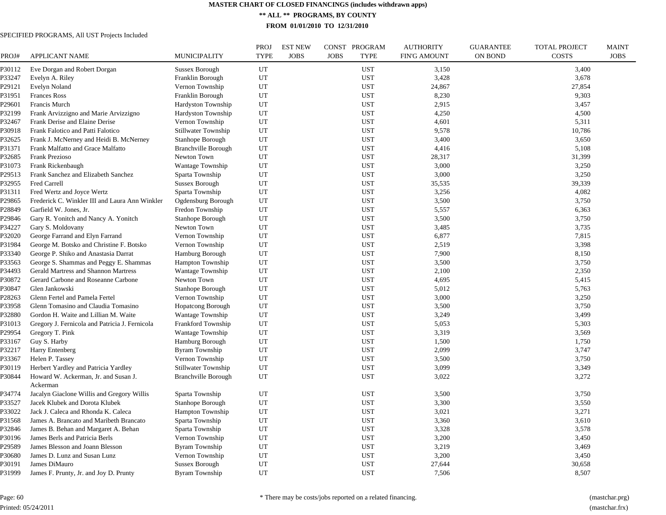**\*\* ALL \*\* PROGRAMS, BY COUNTY**

**FROM 01/01/2010 TO 12/31/2010**

| PROJ#  | <b>APPLICANT NAME</b>                          | MUNICIPALITY               | <b>PROJ</b><br><b>TYPE</b> | <b>EST NEW</b><br><b>JOBS</b> | CONST PROGRAM<br><b>JOBS</b><br><b>TYPE</b> | <b>AUTHORITY</b><br><b>FIN'G AMOUNT</b> | <b>GUARANTEE</b><br><b>ON BOND</b> | <b>TOTAL PROJECT</b><br><b>COSTS</b> | <b>MAINT</b><br><b>JOBS</b> |
|--------|------------------------------------------------|----------------------------|----------------------------|-------------------------------|---------------------------------------------|-----------------------------------------|------------------------------------|--------------------------------------|-----------------------------|
| P30112 | Eve Dorgan and Robert Dorgan                   | Sussex Borough             | UT                         |                               | <b>UST</b>                                  | 3,150                                   |                                    | 3,400                                |                             |
| P33247 | Evelyn A. Riley                                | Franklin Borough           | UT                         |                               | <b>UST</b>                                  | 3,428                                   |                                    | 3,678                                |                             |
| P29121 | <b>Evelyn Noland</b>                           | Vernon Township            | UT                         |                               | <b>UST</b>                                  | 24,867                                  |                                    | 27,854                               |                             |
| P31951 | <b>Frances Ross</b>                            | Franklin Borough           | UT                         |                               | <b>UST</b>                                  | 8,230                                   |                                    | 9,303                                |                             |
| P29601 | Francis Murch                                  | Hardyston Township         | UT                         |                               | <b>UST</b>                                  | 2,915                                   |                                    | 3,457                                |                             |
| P32199 | Frank Arvizzigno and Marie Arvizzigno          | Hardyston Township         | UT                         |                               | <b>UST</b>                                  | 4,250                                   |                                    | 4,500                                |                             |
| P32467 | Frank Derise and Elaine Derise                 | Vernon Township            | UT                         |                               | <b>UST</b>                                  | 4,601                                   |                                    | 5,311                                |                             |
| P30918 | Frank Falotico and Patti Falotico              | Stillwater Township        | UT                         |                               | <b>UST</b>                                  | 9,578                                   |                                    | 10,786                               |                             |
| P32625 | Frank J. McNerney and Heidi B. McNerney        | Stanhope Borough           | UT                         |                               | <b>UST</b>                                  | 3,400                                   |                                    | 3,650                                |                             |
| P31371 | Frank Malfatto and Grace Malfatto              | <b>Branchville Borough</b> | UT                         |                               | <b>UST</b>                                  | 4,416                                   |                                    | 5,108                                |                             |
| P32685 | Frank Prezioso                                 | Newton Town                | UT                         |                               | UST                                         | 28,317                                  |                                    | 31,399                               |                             |
| P31073 | Frank Rickenbaugh                              | Wantage Township           | UT                         |                               | <b>UST</b>                                  | 3,000                                   |                                    | 3,250                                |                             |
| P29513 | Frank Sanchez and Elizabeth Sanchez            | Sparta Township            | UT                         |                               | <b>UST</b>                                  | 3,000                                   |                                    | 3,250                                |                             |
| P32955 | Fred Carrell                                   | Sussex Borough             | UT                         |                               | <b>UST</b>                                  | 35,535                                  |                                    | 39,339                               |                             |
| P31311 | Fred Wertz and Joyce Wertz                     | Sparta Township            | UT                         |                               | <b>UST</b>                                  | 3,256                                   |                                    | 4,082                                |                             |
| P29865 | Frederick C. Winkler III and Laura Ann Winkler | Ogdensburg Borough         | UT                         |                               | <b>UST</b>                                  | 3,500                                   |                                    | 3,750                                |                             |
| P28849 | Garfield W. Jones, Jr.                         | Fredon Township            | UT                         |                               | <b>UST</b>                                  | 5,557                                   |                                    | 6,363                                |                             |
| P29846 | Gary R. Yonitch and Nancy A. Yonitch           | Stanhope Borough           | UT                         |                               | <b>UST</b>                                  | 3,500                                   |                                    | 3,750                                |                             |
| P34227 | Gary S. Moldovany                              | Newton Town                | UT                         |                               | <b>UST</b>                                  | 3,485                                   |                                    | 3,735                                |                             |
| P32020 | George Farrand and Elyn Farrand                | Vernon Township            | UT                         |                               | <b>UST</b>                                  | 6,877                                   |                                    | 7,815                                |                             |
| P31984 | George M. Botsko and Christine F. Botsko       | Vernon Township            | UT                         |                               | <b>UST</b>                                  | 2,519                                   |                                    | 3,398                                |                             |
| P33340 | George P. Shiko and Anastasia Darrat           | Hamburg Borough            | UT                         |                               | <b>UST</b>                                  | 7,900                                   |                                    | 8,150                                |                             |
| P33563 | George S. Shammas and Peggy E. Shammas         | <b>Hampton Township</b>    | UT                         |                               | <b>UST</b>                                  | 3,500                                   |                                    | 3,750                                |                             |
| P34493 | Gerald Martress and Shannon Martress           | Wantage Township           | UT                         |                               | <b>UST</b>                                  | 2,100                                   |                                    | 2,350                                |                             |
| P30872 | Gerard Carbone and Roseanne Carbone            | Newton Town                | UT                         |                               | <b>UST</b>                                  | 4,695                                   |                                    | 5,415                                |                             |
| P30847 | Glen Jankowski                                 | Stanhope Borough           | UT                         |                               | <b>UST</b>                                  | 5,012                                   |                                    | 5,763                                |                             |
| P28263 | Glenn Fertel and Pamela Fertel                 | Vernon Township            | UT                         |                               | <b>UST</b>                                  | 3,000                                   |                                    | 3,250                                |                             |
| P33958 | Glenn Tomasino and Claudia Tomasino            | <b>Hopatcong Borough</b>   | UT                         |                               | UST                                         | 3,500                                   |                                    | 3,750                                |                             |
| P32880 | Gordon H. Waite and Lillian M. Waite           | Wantage Township           | UT                         |                               | <b>UST</b>                                  | 3,249                                   |                                    | 3,499                                |                             |
| P31013 | Gregory J. Fernicola and Patricia J. Fernicola | Frankford Township         | UT                         |                               | <b>UST</b>                                  | 5,053                                   |                                    | 5,303                                |                             |
| P29954 | Gregory T. Pink                                | Wantage Township           | UT                         |                               | <b>UST</b>                                  | 3,319                                   |                                    | 3,569                                |                             |
| P33167 | Guy S. Harby                                   | Hamburg Borough            | UT                         |                               | <b>UST</b>                                  | 1,500                                   |                                    | 1,750                                |                             |
| P32217 | <b>Harry Entenberg</b>                         | <b>Byram Township</b>      | UT                         |                               | <b>UST</b>                                  | 2,099                                   |                                    | 3,747                                |                             |
| P33367 | Helen P. Tassey                                | Vernon Township            | UT                         |                               | <b>UST</b>                                  | 3,500                                   |                                    | 3,750                                |                             |
| P30119 | Herbert Yardley and Patricia Yardley           | Stillwater Township        | UT                         |                               | <b>UST</b>                                  | 3,099                                   |                                    | 3,349                                |                             |
| P30844 | Howard W. Ackerman, Jr. and Susan J.           | <b>Branchville Borough</b> | UT                         |                               | <b>UST</b>                                  | 3,022                                   |                                    | 3,272                                |                             |
|        | Ackerman                                       |                            |                            |                               |                                             |                                         |                                    |                                      |                             |
| P34774 | Jacalyn Giaclone Willis and Gregory Willis     | Sparta Township            | UT                         |                               | UST                                         | 3,500                                   |                                    | 3,750                                |                             |
| P33527 | Jacek Klubek and Dorota Klubek                 | Stanhope Borough           | UT                         |                               | <b>UST</b>                                  | 3,300                                   |                                    | 3,550                                |                             |
| P33022 | Jack J. Caleca and Rhonda K. Caleca            | <b>Hampton Township</b>    | UT                         |                               | <b>UST</b>                                  | 3,021                                   |                                    | 3,271                                |                             |
| P31568 | James A. Brancato and Maribeth Brancato        | Sparta Township            | UT                         |                               | UST                                         | 3,360                                   |                                    | 3,610                                |                             |
| P32846 | James B. Behan and Margaret A. Behan           | Sparta Township            | UT                         |                               | <b>UST</b>                                  | 3,328                                   |                                    | 3,578                                |                             |
| P30196 | James Berls and Patricia Berls                 | Vernon Township            | UT                         |                               | <b>UST</b>                                  | 3,200                                   |                                    | 3,450                                |                             |
| P29589 | James Blesson and Joann Blesson                | <b>Byram Township</b>      | UT                         |                               | <b>UST</b>                                  | 3,219                                   |                                    | 3,469                                |                             |
| P30680 | James D. Lunz and Susan Lunz                   | Vernon Township            | UT                         |                               | <b>UST</b>                                  | 3,200                                   |                                    | 3,450                                |                             |
| P30191 | James DiMauro                                  | Sussex Borough             | UT                         |                               | <b>UST</b>                                  | 27,644                                  |                                    | 30,658                               |                             |
| P31999 | James F. Prunty, Jr. and Joy D. Prunty         | <b>Byram Township</b>      | UT                         |                               | <b>UST</b>                                  | 7,506                                   |                                    | 8,507                                |                             |
|        |                                                |                            |                            |                               |                                             |                                         |                                    |                                      |                             |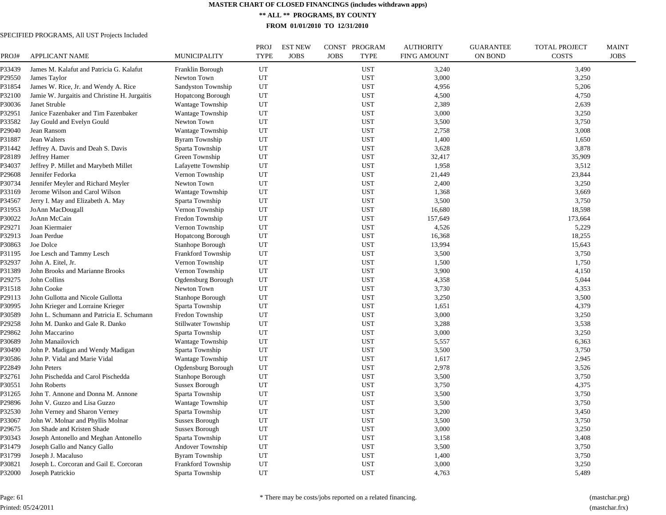**\*\* ALL \*\* PROGRAMS, BY COUNTY**

**FROM 01/01/2010 TO 12/31/2010**

# SPECIFIED PROGRAMS, All UST Projects Included

| PROJ#  | <b>APPLICANT NAME</b>                         | MUNICIPALITY             | <b>PROJ</b><br><b>TYPE</b> | <b>EST NEW</b><br><b>JOBS</b> | CONST PROGRAM<br><b>JOBS</b><br><b>TYPE</b> | <b>AUTHORITY</b><br>FIN'G AMOUNT | <b>GUARANTEE</b><br><b>ON BOND</b> | <b>TOTAL PROJECT</b><br><b>COSTS</b> | <b>MAINT</b><br><b>JOBS</b> |
|--------|-----------------------------------------------|--------------------------|----------------------------|-------------------------------|---------------------------------------------|----------------------------------|------------------------------------|--------------------------------------|-----------------------------|
|        |                                               |                          |                            |                               |                                             |                                  |                                    |                                      |                             |
| P33439 | James M. Kalafut and Patricia G. Kalafut      | Franklin Borough         | UT                         |                               | <b>UST</b>                                  | 3,240                            |                                    | 3,490                                |                             |
| P29550 | James Taylor                                  | Newton Town              | UT                         |                               | <b>UST</b>                                  | 3,000                            |                                    | 3,250                                |                             |
| P31854 | James W. Rice, Jr. and Wendy A. Rice          | Sandyston Township       | UT                         |                               | <b>UST</b>                                  | 4,956                            |                                    | 5,206                                |                             |
| P32100 | Jamie W. Jurgaitis and Christine H. Jurgaitis | <b>Hopatcong Borough</b> | UT                         |                               | <b>UST</b>                                  | 4,500                            |                                    | 4,750                                |                             |
| P30036 | Janet Struble                                 | Wantage Township         | UT                         |                               | <b>UST</b>                                  | 2,389                            |                                    | 2,639                                |                             |
| P32951 | Janice Fazenbaker and Tim Fazenbaker          | Wantage Township         | UT                         |                               | <b>UST</b>                                  | 3,000                            |                                    | 3,250                                |                             |
| P33582 | Jay Gould and Evelyn Gould                    | Newton Town              | UT                         |                               | <b>UST</b>                                  | 3,500                            |                                    | 3,750                                |                             |
| P29040 | Jean Ransom                                   | <b>Wantage Township</b>  | UT                         |                               | <b>UST</b>                                  | 2,758                            |                                    | 3,008                                |                             |
| P31887 | Jean Walters                                  | <b>Byram Township</b>    | UT                         |                               | <b>UST</b>                                  | 1,400                            |                                    | 1,650                                |                             |
| P31442 | Jeffrey A. Davis and Deah S. Davis            | Sparta Township          | UT                         |                               | <b>UST</b>                                  | 3,628                            |                                    | 3,878                                |                             |
| P28189 | Jeffrey Hamer                                 | Green Township           | UT                         |                               | <b>UST</b>                                  | 32,417                           |                                    | 35,909                               |                             |
| P34037 | Jeffrey P. Millet and Marybeth Millet         | Lafayette Township       | UT                         |                               | <b>UST</b>                                  | 1,958                            |                                    | 3,512                                |                             |
| P29608 | Jennifer Fedorka                              | Vernon Township          | UT                         |                               | <b>UST</b>                                  | 21,449                           |                                    | 23,844                               |                             |
| P30734 | Jennifer Meyler and Richard Meyler            | Newton Town              | UT                         |                               | <b>UST</b>                                  | 2,400                            |                                    | 3,250                                |                             |
| P33169 | Jerome Wilson and Carol Wilson                | <b>Wantage Township</b>  | UT                         |                               | <b>UST</b>                                  | 1,368                            |                                    | 3,669                                |                             |
| P34567 | Jerry I. May and Elizabeth A. May             | Sparta Township          | UT                         |                               | <b>UST</b>                                  | 3,500                            |                                    | 3,750                                |                             |
| P31953 | JoAnn MacDougall                              | Vernon Township          | UT                         |                               | <b>UST</b>                                  | 16,680                           |                                    | 18,598                               |                             |
| P30022 | JoAnn McCain                                  | Fredon Township          | UT                         |                               | <b>UST</b>                                  | 157,649                          |                                    | 173,664                              |                             |
| P29271 | Joan Kiermaier                                | Vernon Township          | UT                         |                               | <b>UST</b>                                  | 4,526                            |                                    | 5,229                                |                             |
| P32913 | Joan Perdue                                   | <b>Hopatcong Borough</b> | UT                         |                               | <b>UST</b>                                  | 16,368                           |                                    | 18,255                               |                             |
| P30863 | Joe Dolce                                     | Stanhope Borough         | UT                         |                               | <b>UST</b>                                  | 13,994                           |                                    | 15,643                               |                             |
| P31195 | Joe Lesch and Tammy Lesch                     | Frankford Township       | UT                         |                               | <b>UST</b>                                  | 3,500                            |                                    | 3,750                                |                             |
| P32937 | John A. Eitel, Jr.                            | Vernon Township          | UT                         |                               | <b>UST</b>                                  | 1,500                            |                                    | 1,750                                |                             |
| P31389 | John Brooks and Marianne Brooks               | Vernon Township          | UT                         |                               | <b>UST</b>                                  | 3,900                            |                                    | 4,150                                |                             |
| P29275 | John Collins                                  | Ogdensburg Borough       | UT                         |                               | <b>UST</b>                                  | 4,358                            |                                    | 5,044                                |                             |
| P31518 | John Cooke                                    | Newton Town              | UT                         |                               | <b>UST</b>                                  | 3,730                            |                                    | 4,353                                |                             |
| P29113 | John Gullotta and Nicole Gullotta             | Stanhope Borough         | UT                         |                               | <b>UST</b>                                  | 3,250                            |                                    | 3,500                                |                             |
| P30995 | John Krieger and Lorraine Krieger             | Sparta Township          | UT                         |                               | <b>UST</b>                                  | 1,651                            |                                    | 4,379                                |                             |
| P30589 | John L. Schumann and Patricia E. Schumann     | Fredon Township          | UT                         |                               | <b>UST</b>                                  | 3,000                            |                                    | 3,250                                |                             |
| P29258 | John M. Danko and Gale R. Danko               | Stillwater Township      | UT                         |                               | <b>UST</b>                                  | 3,288                            |                                    | 3,538                                |                             |
| P29862 | John Maccarino                                | Sparta Township          | UT                         |                               | <b>UST</b>                                  | 3,000                            |                                    | 3,250                                |                             |
| P30689 | John Manailovich                              | <b>Wantage Township</b>  | UT                         |                               | <b>UST</b>                                  | 5,557                            |                                    | 6,363                                |                             |
| P30490 | John P. Madigan and Wendy Madigan             | Sparta Township          | UT                         |                               | <b>UST</b>                                  | 3,500                            |                                    | 3,750                                |                             |
| P30586 | John P. Vidal and Marie Vidal                 | <b>Wantage Township</b>  | UT                         |                               | <b>UST</b>                                  | 1,617                            |                                    | 2,945                                |                             |
| P22849 | John Peters                                   | Ogdensburg Borough       | UT                         |                               | <b>UST</b>                                  | 2,978                            |                                    | 3,526                                |                             |
| P32761 | John Pischedda and Carol Pischedda            | Stanhope Borough         | UT                         |                               | <b>UST</b>                                  | 3,500                            |                                    | 3,750                                |                             |
| P30551 | John Roberts                                  | Sussex Borough           | UT                         |                               | <b>UST</b>                                  | 3,750                            |                                    | 4,375                                |                             |
| P31265 | John T. Annone and Donna M. Annone            | Sparta Township          | UT                         |                               | <b>UST</b>                                  | 3,500                            |                                    | 3,750                                |                             |
| P29896 | John V. Guzzo and Lisa Guzzo                  | Wantage Township         | UT                         |                               | <b>UST</b>                                  | 3,500                            |                                    | 3,750                                |                             |
| P32530 | John Verney and Sharon Verney                 | Sparta Township          | UT                         |                               | <b>UST</b>                                  | 3,200                            |                                    | 3,450                                |                             |
| P33067 | John W. Molnar and Phyllis Molnar             | <b>Sussex Borough</b>    | UT                         |                               | <b>UST</b>                                  | 3,500                            |                                    | 3,750                                |                             |
| P29675 | Jon Shade and Kristen Shade                   | <b>Sussex Borough</b>    | UT                         |                               | <b>UST</b>                                  | 3,000                            |                                    | 3,250                                |                             |
| P30343 | Joseph Antonello and Meghan Antonello         | Sparta Township          | UT                         |                               | <b>UST</b>                                  | 3,158                            |                                    | 3,408                                |                             |
| P31479 | Joseph Gallo and Nancy Gallo                  | Andover Township         | UT                         |                               | <b>UST</b>                                  | 3,500                            |                                    | 3,750                                |                             |
|        |                                               |                          | UT                         |                               |                                             |                                  |                                    |                                      |                             |
| P31799 | Joseph J. Macaluso                            | <b>Byram Township</b>    |                            |                               | <b>UST</b>                                  | 1,400                            |                                    | 3,750                                |                             |
| P30821 | Joseph L. Corcoran and Gail E. Corcoran       | Frankford Township       | UT                         |                               | <b>UST</b>                                  | 3,000                            |                                    | 3,250                                |                             |
| P32000 | Joseph Patrickio                              | Sparta Township          | UT                         |                               | <b>UST</b>                                  | 4,763                            |                                    | 5,489                                |                             |

Page: 61 Printed: 05/24/2011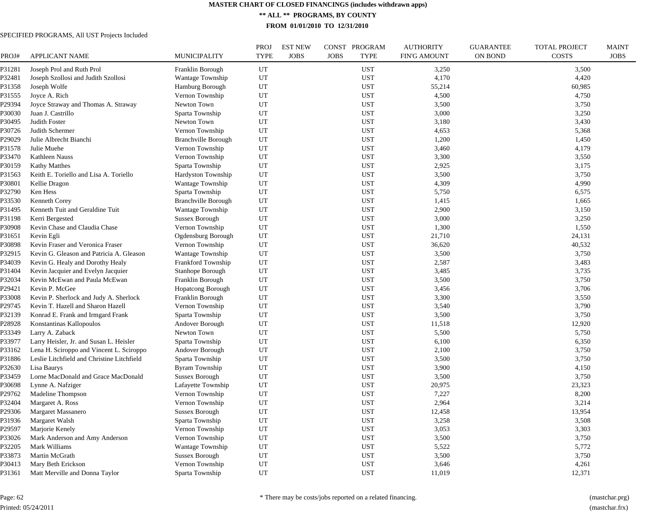**\*\* ALL \*\* PROGRAMS, BY COUNTY**

**FROM 01/01/2010 TO 12/31/2010**

| PROJ#  | <b>APPLICANT NAME</b>                      | <b>MUNICIPALITY</b>        | <b>PROJ</b><br><b>TYPE</b> | <b>EST NEW</b><br><b>JOBS</b> | CONST PROGRAM<br><b>JOBS</b><br><b>TYPE</b> | <b>AUTHORITY</b><br><b>FIN'G AMOUNT</b> | <b>GUARANTEE</b><br><b>ON BOND</b> | <b>TOTAL PROJECT</b><br><b>COSTS</b> | <b>MAINT</b><br><b>JOBS</b> |
|--------|--------------------------------------------|----------------------------|----------------------------|-------------------------------|---------------------------------------------|-----------------------------------------|------------------------------------|--------------------------------------|-----------------------------|
| P31281 | Joseph Prol and Ruth Prol                  | Franklin Borough           | UT                         |                               | UST                                         | 3,250                                   |                                    | 3,500                                |                             |
| P32481 | Joseph Szollosi and Judith Szollosi        | Wantage Township           | UT                         |                               | <b>UST</b>                                  | 4,170                                   |                                    | 4,420                                |                             |
| P31358 | Joseph Wolfe                               | Hamburg Borough            | UT                         |                               | <b>UST</b>                                  | 55,214                                  |                                    | 60,985                               |                             |
| P31555 | Joyce A. Rich                              | Vernon Township            | UT                         |                               | <b>UST</b>                                  | 4,500                                   |                                    | 4,750                                |                             |
| P29394 | Joyce Straway and Thomas A. Straway        | Newton Town                | UT                         |                               | <b>UST</b>                                  | 3,500                                   |                                    | 3,750                                |                             |
| P30030 | Juan J. Castrillo                          | Sparta Township            | UT                         |                               | <b>UST</b>                                  | 3,000                                   |                                    | 3,250                                |                             |
| P30495 | Judith Foster                              | Newton Town                | UT                         |                               | <b>UST</b>                                  | 3,180                                   |                                    | 3,430                                |                             |
| P30726 | Judith Schermer                            | Vernon Township            | UT                         |                               | <b>UST</b>                                  | 4,653                                   |                                    | 5,368                                |                             |
| P29029 | Julie Albrecht Bianchi                     | <b>Branchville Borough</b> | UT                         |                               | <b>UST</b>                                  | 1,200                                   |                                    | 1,450                                |                             |
| P31578 | Julie Muehe                                | Vernon Township            | UT                         |                               | <b>UST</b>                                  | 3,460                                   |                                    | 4,179                                |                             |
| P33470 | Kathleen Nauss                             | Vernon Township            | UT                         |                               | <b>UST</b>                                  | 3,300                                   |                                    | 3,550                                |                             |
| P30159 | <b>Kathy Matthes</b>                       | Sparta Township            | UT                         |                               | <b>UST</b>                                  | 2,925                                   |                                    | 3,175                                |                             |
| P31563 | Keith E. Toriello and Lisa A. Toriello     | Hardyston Township         | UT                         |                               | <b>UST</b>                                  | 3,500                                   |                                    | 3,750                                |                             |
| P30801 | Kellie Dragon                              | Wantage Township           | UT                         |                               | <b>UST</b>                                  | 4,309                                   |                                    | 4,990                                |                             |
| P32790 | Ken Hess                                   | Sparta Township            | UT                         |                               | <b>UST</b>                                  | 5,750                                   |                                    | 6,575                                |                             |
| P33530 | Kenneth Corey                              | <b>Branchville Borough</b> | UT                         |                               | <b>UST</b>                                  | 1,415                                   |                                    | 1,665                                |                             |
| P31495 | Kenneth Tuit and Geraldine Tuit            | Wantage Township           | UT                         |                               | <b>UST</b>                                  | 2,900                                   |                                    | 3,150                                |                             |
| P31198 | Kerri Bergested                            | Sussex Borough             | UT                         |                               | <b>UST</b>                                  | 3,000                                   |                                    | 3,250                                |                             |
| P30908 | Kevin Chase and Claudia Chase              | Vernon Township            | UT                         |                               | <b>UST</b>                                  | 1,300                                   |                                    | 1,550                                |                             |
| P31651 | Kevin Egli                                 | Ogdensburg Borough         | UT                         |                               | <b>UST</b>                                  | 21,710                                  |                                    | 24,131                               |                             |
| P30898 | Kevin Fraser and Veronica Fraser           | Vernon Township            | UT                         |                               | <b>UST</b>                                  | 36,620                                  |                                    | 40,532                               |                             |
| P32915 | Kevin G. Gleason and Patricia A. Gleason   | Wantage Township           | UT                         |                               | <b>UST</b>                                  | 3,500                                   |                                    | 3,750                                |                             |
| P34039 | Kevin G. Healy and Dorothy Healy           | <b>Frankford Township</b>  | UT                         |                               | <b>UST</b>                                  | 2,587                                   |                                    | 3,483                                |                             |
| P31404 | Kevin Jacquier and Evelyn Jacquier         | Stanhope Borough           | UT                         |                               | <b>UST</b>                                  | 3,485                                   |                                    | 3,735                                |                             |
| P32034 | Kevin McEwan and Paula McEwan              | Franklin Borough           | UT                         |                               | <b>UST</b>                                  | 3,500                                   |                                    | 3,750                                |                             |
| P29421 | Kevin P. McGee                             | <b>Hopatcong Borough</b>   | UT                         |                               | UST                                         | 3,456                                   |                                    | 3,706                                |                             |
| P33008 | Kevin P. Sherlock and Judy A. Sherlock     | Franklin Borough           | UT                         |                               | <b>UST</b>                                  | 3,300                                   |                                    | 3,550                                |                             |
| P29745 | Kevin T. Hazell and Sharon Hazell          | Vernon Township            | UT                         |                               | <b>UST</b>                                  | 3,540                                   |                                    | 3,790                                |                             |
| P32139 | Konrad E. Frank and Irmgard Frank          | Sparta Township            | UT                         |                               | <b>UST</b>                                  | 3,500                                   |                                    | 3,750                                |                             |
| P28928 | Konstantinas Kallopoulos                   | Andover Borough            | UT                         |                               | <b>UST</b>                                  | 11,518                                  |                                    | 12,920                               |                             |
| P33349 | Larry A. Zaback                            | Newton Town                | UT                         |                               | <b>UST</b>                                  | 5,500                                   |                                    | 5,750                                |                             |
| P33977 | Larry Heisler, Jr. and Susan L. Heisler    | Sparta Township            | UT                         |                               | <b>UST</b>                                  | 6,100                                   |                                    | 6,350                                |                             |
| P33162 | Lena H. Sciroppo and Vincent L. Sciroppo   | Andover Borough            | UT                         |                               | <b>UST</b>                                  | 2,100                                   |                                    | 3,750                                |                             |
| P31886 | Leslie Litchfield and Christine Litchfield | Sparta Township            | UT                         |                               | <b>UST</b>                                  | 3,500                                   |                                    | 3,750                                |                             |
| P32630 | Lisa Baurys                                | <b>Byram Township</b>      | UT                         |                               | <b>UST</b>                                  | 3,900                                   |                                    | 4,150                                |                             |
| P33459 | Lorne MacDonald and Grace MacDonald        | <b>Sussex Borough</b>      | UT                         |                               | <b>UST</b>                                  | 3,500                                   |                                    | 3,750                                |                             |
| P30698 | Lynne A. Nafziger                          | Lafayette Township         | UT                         |                               | <b>UST</b>                                  | 20,975                                  |                                    | 23,323                               |                             |
| P29762 | Madeline Thompson                          | Vernon Township            | UT                         |                               | <b>UST</b>                                  | 7,227                                   |                                    | 8,200                                |                             |
| P32404 | Margaret A. Ross                           | Vernon Township            | UT                         |                               | <b>UST</b>                                  | 2,964                                   |                                    | 3,214                                |                             |
| P29306 | Margaret Massanero                         | <b>Sussex Borough</b>      | UT                         |                               | <b>UST</b>                                  | 12,458                                  |                                    | 13,954                               |                             |
| P31936 | Margaret Walsh                             | Sparta Township            | UT                         |                               | <b>UST</b>                                  | 3,258                                   |                                    | 3,508                                |                             |
| P29597 | Marjorie Kenely                            | Vernon Township            | UT                         |                               | <b>UST</b>                                  | 3,053                                   |                                    | 3,303                                |                             |
| P33026 | Mark Anderson and Amy Anderson             | Vernon Township            | UT                         |                               | <b>UST</b>                                  | 3,500                                   |                                    | 3,750                                |                             |
| P32205 | Mark Williams                              | <b>Wantage Township</b>    | UT                         |                               | <b>UST</b>                                  | 5,522                                   |                                    | 5,772                                |                             |
| P33873 | Martin McGrath                             | Sussex Borough             | UT                         |                               | <b>UST</b>                                  | 3,500                                   |                                    | 3,750                                |                             |
| P30413 | Mary Beth Erickson                         | Vernon Township            | UT                         |                               | <b>UST</b>                                  | 3,646                                   |                                    | 4,261                                |                             |
| P31361 | Matt Merville and Donna Taylor             | Sparta Township            | UT                         |                               | <b>UST</b>                                  | 11,019                                  |                                    | 12,371                               |                             |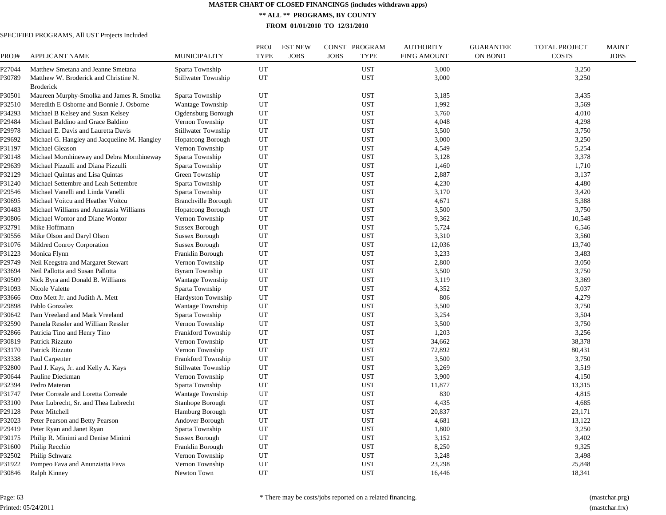**\*\* ALL \*\* PROGRAMS, BY COUNTY**

**FROM 01/01/2010 TO 12/31/2010**

| PROJ#  | <b>APPLICANT NAME</b>                        | MUNICIPALITY               | PROJ<br><b>TYPE</b> | <b>EST NEW</b><br><b>JOBS</b> | CONST<br>PROGRAM<br><b>JOBS</b><br><b>TYPE</b> | <b>AUTHORITY</b><br><b>FIN'G AMOUNT</b> | <b>GUARANTEE</b><br>ON BOND | <b>TOTAL PROJECT</b><br><b>COSTS</b> | <b>MAINT</b><br><b>JOBS</b> |
|--------|----------------------------------------------|----------------------------|---------------------|-------------------------------|------------------------------------------------|-----------------------------------------|-----------------------------|--------------------------------------|-----------------------------|
| P27044 | Matthew Smetana and Jeanne Smetana           | Sparta Township            | UT                  |                               | <b>UST</b>                                     | 3,000                                   |                             | 3,250                                |                             |
| P30789 | Matthew W. Broderick and Christine N.        | Stillwater Township        | UT                  |                               | <b>UST</b>                                     | 3,000                                   |                             | 3,250                                |                             |
|        | <b>Broderick</b>                             |                            |                     |                               |                                                |                                         |                             |                                      |                             |
| P30501 | Maureen Murphy-Smolka and James R. Smolka    | Sparta Township            | UT                  |                               | <b>UST</b>                                     | 3,185                                   |                             | 3,435                                |                             |
| P32510 | Meredith E Osborne and Bonnie J. Osborne     | Wantage Township           | UT                  |                               | <b>UST</b>                                     | 1,992                                   |                             | 3,569                                |                             |
| P34293 | Michael B Kelsey and Susan Kelsey            | Ogdensburg Borough         | UT                  |                               | <b>UST</b>                                     | 3,760                                   |                             | 4,010                                |                             |
| P29484 | Michael Baldino and Grace Baldino            | Vernon Township            | UT                  |                               | <b>UST</b>                                     | 4,048                                   |                             | 4,298                                |                             |
| P29978 | Michael E. Davis and Lauretta Davis          | <b>Stillwater Township</b> | UT                  |                               | <b>UST</b>                                     | 3,500                                   |                             | 3,750                                |                             |
| P29692 | Michael G. Hangley and Jacqueline M. Hangley | <b>Hopatcong Borough</b>   | UT                  |                               | <b>UST</b>                                     | 3,000                                   |                             | 3,250                                |                             |
| P31197 | Michael Gleason                              | Vernon Township            | UT                  |                               | <b>UST</b>                                     | 4,549                                   |                             | 5,254                                |                             |
| P30148 | Michael Mornhineway and Debra Mornhineway    | Sparta Township            | UT                  |                               | <b>UST</b>                                     | 3,128                                   |                             | 3,378                                |                             |
| P29639 | Michael Pizzulli and Diana Pizzulli          | Sparta Township            | UT                  |                               | <b>UST</b>                                     | 1,460                                   |                             | 1,710                                |                             |
| P32129 | Michael Quintas and Lisa Quintas             | Green Township             | UT                  |                               | <b>UST</b>                                     | 2,887                                   |                             | 3,137                                |                             |
| P31240 | Michael Settembre and Leah Settembre         | Sparta Township            | UT                  |                               | <b>UST</b>                                     | 4,230                                   |                             | 4,480                                |                             |
| P29546 | Michael Vanelli and Linda Vanelli            | Sparta Township            | UT                  |                               | <b>UST</b>                                     | 3,170                                   |                             | 3,420                                |                             |
| ?30695 | Michael Voitcu and Heather Voitcu            | <b>Branchville Borough</b> | UT                  |                               | <b>UST</b>                                     | 4,671                                   |                             | 5,388                                |                             |
| P30483 | Michael Williams and Anastasia Williams      | <b>Hopatcong Borough</b>   | UT                  |                               | <b>UST</b>                                     | 3,500                                   |                             | 3,750                                |                             |
| P30806 | Michael Wontor and Diane Wontor              | Vernon Township            | UT                  |                               | <b>UST</b>                                     | 9,362                                   |                             | 10,548                               |                             |
| P32791 | Mike Hoffmann                                | Sussex Borough             | UT                  |                               | <b>UST</b>                                     | 5,724                                   |                             | 6,546                                |                             |
| P30556 | Mike Olson and Daryl Olson                   | Sussex Borough             | UT                  |                               | <b>UST</b>                                     | 3,310                                   |                             | 3,560                                |                             |
| P31076 | Mildred Conroy Corporation                   | <b>Sussex Borough</b>      | UT                  |                               | <b>UST</b>                                     | 12,036                                  |                             | 13,740                               |                             |
| P31223 | Monica Flynn                                 | Franklin Borough           | UT                  |                               | <b>UST</b>                                     | 3.233                                   |                             | 3,483                                |                             |
| P29749 | Neil Keegstra and Margaret Stewart           | Vernon Township            | UT                  |                               | <b>UST</b>                                     | 2,800                                   |                             | 3,050                                |                             |
| P33694 | Neil Pallotta and Susan Pallotta             | <b>Byram Township</b>      | UT                  |                               | <b>UST</b>                                     | 3,500                                   |                             | 3,750                                |                             |
| P30509 | Nick Byra and Donald B. Williams             | Wantage Township           | UT                  |                               | <b>UST</b>                                     | 3,119                                   |                             | 3,369                                |                             |
| P31093 | Nicole Valette                               | Sparta Township            | UT                  |                               | <b>UST</b>                                     | 4,352                                   |                             | 5,037                                |                             |
| P33666 | Otto Mett Jr. and Judith A. Mett             | Hardyston Township         | UT                  |                               | <b>UST</b>                                     | 806                                     |                             | 4,279                                |                             |
| P29898 | Pablo Gonzalez                               | <b>Wantage Township</b>    | UT                  |                               | <b>UST</b>                                     | 3,500                                   |                             | 3,750                                |                             |
| P30642 | Pam Vreeland and Mark Vreeland               | Sparta Township            | UT                  |                               | <b>UST</b>                                     | 3,254                                   |                             | 3,504                                |                             |
| P32590 | Pamela Ressler and William Ressler           | Vernon Township            | UT                  |                               | <b>UST</b>                                     | 3,500                                   |                             | 3,750                                |                             |
| P32866 | Patricia Tino and Henry Tino                 | Frankford Township         | UT                  |                               | <b>UST</b>                                     | 1,203                                   |                             | 3,256                                |                             |
| P30819 | Patrick Rizzuto                              | Vernon Township            | UT                  |                               | <b>UST</b>                                     | 34,662                                  |                             | 38,378                               |                             |
| P33170 | Patrick Rizzuto                              | Vernon Township            | UT                  |                               | <b>UST</b>                                     | 72,892                                  |                             | 80,431                               |                             |
| P33338 | Paul Carpenter                               | Frankford Township         | UT                  |                               | <b>UST</b>                                     | 3,500                                   |                             | 3,750                                |                             |
| P32800 | Paul J. Kays, Jr. and Kelly A. Kays          | <b>Stillwater Township</b> | UT                  |                               | <b>UST</b>                                     | 3,269                                   |                             | 3,519                                |                             |
| P30644 | Pauline Dieckman                             | Vernon Township            | UT                  |                               | <b>UST</b>                                     | 3,900                                   |                             | 4,150                                |                             |
| P32394 | Pedro Materan                                | Sparta Township            | UT                  |                               | <b>UST</b>                                     | 11,877                                  |                             | 13,315                               |                             |
| P31747 | Peter Correale and Loretta Correale          | Wantage Township           | UT                  |                               | <b>UST</b>                                     | 830                                     |                             | 4,815                                |                             |
| P33100 | Peter Lubrecht, Sr. and Thea Lubrecht        | Stanhope Borough           | UT                  |                               | <b>UST</b>                                     | 4,435                                   |                             | 4,685                                |                             |
| P29128 | Peter Mitchell                               | Hamburg Borough            | UT                  |                               | <b>UST</b>                                     | 20,837                                  |                             | 23,171                               |                             |
| P32023 | Peter Pearson and Betty Pearson              | Andover Borough            | UT                  |                               | <b>UST</b>                                     | 4,681                                   |                             | 13,122                               |                             |
| P29419 |                                              |                            | UT                  |                               | <b>UST</b>                                     | 1,800                                   |                             |                                      |                             |
|        | Peter Ryan and Janet Ryan                    | Sparta Township            |                     |                               |                                                |                                         |                             | 3,250                                |                             |
| P30175 | Philip R. Minimi and Denise Minimi           | <b>Sussex Borough</b>      | UT<br>UT            |                               | <b>UST</b>                                     | 3,152                                   |                             | 3,402                                |                             |
| P31600 | Philip Recchio                               | Franklin Borough           |                     |                               | <b>UST</b>                                     | 8,250                                   |                             | 9,325                                |                             |
| P32502 | Philip Schwarz                               | Vernon Township            | UT                  |                               | <b>UST</b>                                     | 3,248                                   |                             | 3,498                                |                             |
| P31922 | Pompeo Fava and Anunziatta Fava              | Vernon Township            | UT                  |                               | <b>UST</b>                                     | 23,298                                  |                             | 25,848                               |                             |
| P30846 | Ralph Kinney                                 | Newton Town                | UT                  |                               | <b>UST</b>                                     | 16,446                                  |                             | 18,341                               |                             |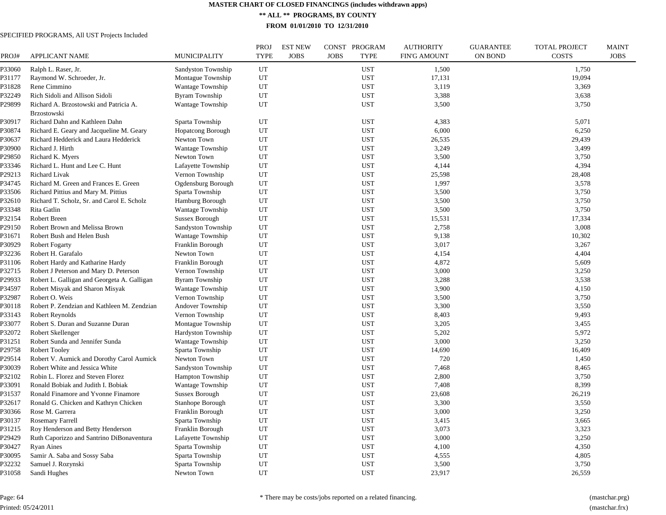**\*\* ALL \*\* PROGRAMS, BY COUNTY**

**FROM 01/01/2010 TO 12/31/2010**

| PROJ#            | <b>APPLICANT NAME</b>                                 | <b>MUNICIPALITY</b>                       | <b>PROJ</b><br><b>TYPE</b> | <b>EST NEW</b><br><b>JOBS</b><br><b>JOBS</b> | CONST PROGRAM<br><b>TYPE</b> | <b>AUTHORITY</b><br><b>FIN'G AMOUNT</b> | <b>GUARANTEE</b><br><b>ON BOND</b> | <b>TOTAL PROJECT</b><br><b>COSTS</b> | <b>MAINT</b><br><b>JOBS</b> |
|------------------|-------------------------------------------------------|-------------------------------------------|----------------------------|----------------------------------------------|------------------------------|-----------------------------------------|------------------------------------|--------------------------------------|-----------------------------|
| P33060           | Ralph L. Raser, Jr.                                   | Sandyston Township                        | UT                         |                                              | <b>UST</b>                   | 1,500                                   |                                    | 1,750                                |                             |
| P31177           | Raymond W. Schroeder, Jr.                             | Montague Township                         | UT                         |                                              | <b>UST</b>                   | 17,131                                  |                                    | 19,094                               |                             |
| P31828           | Rene Cimmino                                          | <b>Wantage Township</b>                   | UT                         |                                              | <b>UST</b>                   | 3,119                                   |                                    | 3,369                                |                             |
| P32249           | Rich Sidoli and Allison Sidoli                        | Byram Township                            | UT                         |                                              | <b>UST</b>                   | 3,388                                   |                                    | 3,638                                |                             |
| P29899           | Richard A. Brzostowski and Patricia A.<br>Brzostowski | Wantage Township                          | UT                         |                                              | <b>UST</b>                   | 3,500                                   |                                    | 3,750                                |                             |
| P30917           | Richard Dahn and Kathleen Dahn                        | Sparta Township                           | UT                         |                                              | <b>UST</b>                   | 4,383                                   |                                    | 5,071                                |                             |
| P30874           | Richard E. Geary and Jacqueline M. Geary              | Hopatcong Borough                         | UT                         |                                              | <b>UST</b>                   | 6,000                                   |                                    | 6,250                                |                             |
| P30637           | Richard Hedderick and Laura Hedderick                 | Newton Town                               | UT                         |                                              | <b>UST</b>                   | 26,535                                  |                                    | 29,439                               |                             |
| P30900           | Richard J. Hirth                                      | Wantage Township                          | UT                         |                                              | <b>UST</b>                   | 3,249                                   |                                    | 3,499                                |                             |
| P29850           | Richard K. Myers                                      | Newton Town                               | UT                         |                                              | <b>UST</b>                   | 3,500                                   |                                    | 3,750                                |                             |
| P33346           | Richard L. Hunt and Lee C. Hunt                       | Lafayette Township                        | UT                         |                                              | <b>UST</b>                   | 4,144                                   |                                    | 4,394                                |                             |
| P29213           | Richard Livak                                         | Vernon Township                           | UT                         |                                              | <b>UST</b>                   | 25,598                                  |                                    | 28,408                               |                             |
| P34745           | Richard M. Green and Frances E. Green                 | Ogdensburg Borough                        | UT                         |                                              | <b>UST</b>                   | 1,997                                   |                                    | 3,578                                |                             |
| P33506           | Richard Pittius and Mary M. Pittius                   | Sparta Township                           | UT                         |                                              | <b>UST</b>                   | 3,500                                   |                                    | 3,750                                |                             |
| P32610           | Richard T. Scholz, Sr. and Carol E. Scholz            | <b>Hamburg Borough</b>                    | UT                         |                                              | <b>UST</b>                   | 3,500                                   |                                    | 3,750                                |                             |
| P33348           | Rita Gatlin                                           | Wantage Township                          | UT                         |                                              | <b>UST</b>                   | 3,500                                   |                                    | 3,750                                |                             |
| P32154           | Robert Breen                                          | <b>Sussex Borough</b>                     | UT                         |                                              | <b>UST</b>                   | 15,531                                  |                                    | 17,334                               |                             |
| P29150           | Robert Brown and Melissa Brown                        | Sandyston Township                        | UT                         |                                              | <b>UST</b>                   | 2,758                                   |                                    | 3,008                                |                             |
| P31671           | Robert Bush and Helen Bush                            | <b>Wantage Township</b>                   | UT                         |                                              | <b>UST</b>                   | 9,138                                   |                                    | 10,302                               |                             |
| P30929           | <b>Robert Fogarty</b>                                 | Franklin Borough                          | UT                         |                                              | <b>UST</b>                   | 3,017                                   |                                    | 3,267                                |                             |
| P32236           | Robert H. Garafalo                                    | Newton Town                               | UT                         |                                              | <b>UST</b>                   | 4,154                                   |                                    | 4,404                                |                             |
| P31106           | Robert Hardy and Katharine Hardy                      | Franklin Borough                          | UT                         |                                              | <b>UST</b>                   | 4,872                                   |                                    | 5,609                                |                             |
| P32715           | Robert J Peterson and Mary D. Peterson                | Vernon Township                           | UT                         |                                              | <b>UST</b>                   | 3,000                                   |                                    | 3,250                                |                             |
| P29933           | Robert L. Galligan and Georgeta A. Galligan           | <b>Byram Township</b>                     | UT                         |                                              | <b>UST</b>                   | 3,288                                   |                                    | 3,538                                |                             |
| P34597           | Robert Misyak and Sharon Misyak                       | Wantage Township                          | UT                         |                                              | <b>UST</b>                   | 3,900                                   |                                    | 4,150                                |                             |
| P32987           | Robert O. Weis                                        | Vernon Township                           | UT                         |                                              | <b>UST</b>                   | 3,500                                   |                                    | 3,750                                |                             |
| P30118           | Robert P. Zendzian and Kathleen M. Zendzian           | Andover Township                          | UT                         |                                              | <b>UST</b>                   | 3,300                                   |                                    | 3,550                                |                             |
| P33143           | Robert Reynolds                                       | Vernon Township                           | UT                         |                                              | <b>UST</b>                   | 8,403                                   |                                    | 9,493                                |                             |
| P33077           | Robert S. Duran and Suzanne Duran                     | Montague Township                         | UT                         |                                              | <b>UST</b>                   | 3,205                                   |                                    | 3,455                                |                             |
| P32072           | Robert Skellenger                                     | Hardyston Township                        | UT                         |                                              | <b>UST</b>                   | 5,202                                   |                                    | 5,972                                |                             |
| P31251           | Robert Sunda and Jennifer Sunda                       | <b>Wantage Township</b>                   | UT                         |                                              | <b>UST</b>                   | 3,000                                   |                                    | 3,250                                |                             |
| P29758           | <b>Robert Tooley</b>                                  | Sparta Township                           | UT                         |                                              | <b>UST</b>                   | 14,690                                  |                                    | 16,409                               |                             |
| P29514           | Robert V. Aumick and Dorothy Carol Aumick             | Newton Town                               | UT                         |                                              | <b>UST</b>                   | 720                                     |                                    | 1,450                                |                             |
| P30039           | Robert White and Jessica White                        | Sandyston Township                        | UT                         |                                              | <b>UST</b>                   | 7,468                                   |                                    | 8,465                                |                             |
| P32102           | Robin L. Florez and Steven Florez                     | Hampton Township                          | UT                         |                                              | <b>UST</b>                   | 2,800                                   |                                    | 3,750                                |                             |
|                  | Ronald Bobiak and Judith I. Bobiak                    |                                           | UT                         |                                              | <b>UST</b>                   | 7,408                                   |                                    | 8,399                                |                             |
| P33091<br>P31537 | Ronald Finamore and Yvonne Finamore                   | Wantage Township<br><b>Sussex Borough</b> | UT                         |                                              | <b>UST</b>                   | 23,608                                  |                                    | 26,219                               |                             |
|                  |                                                       |                                           |                            |                                              |                              |                                         |                                    |                                      |                             |
| P32617           | Ronald G. Chicken and Kathryn Chicken                 | Stanhope Borough                          | UT                         |                                              | <b>UST</b>                   | 3,300                                   |                                    | 3,550                                |                             |
| P30366           | Rose M. Garrera                                       | Franklin Borough                          | UT<br>UT                   |                                              | <b>UST</b><br><b>UST</b>     | 3,000                                   |                                    | 3,250                                |                             |
| P30137           | Rosemary Farrell                                      | Sparta Township                           |                            |                                              |                              | 3,415                                   |                                    | 3,665                                |                             |
| P31215           | Roy Henderson and Betty Henderson                     | Franklin Borough                          | UT                         |                                              | <b>UST</b>                   | 3,073                                   |                                    | 3,323                                |                             |
| P29429           | Ruth Caporizzo and Santrino DiBonaventura             | Lafayette Township                        | UT                         |                                              | <b>UST</b>                   | 3,000                                   |                                    | 3,250                                |                             |
| P30427           | <b>Ryan Aines</b>                                     | Sparta Township                           | UT                         |                                              | <b>UST</b>                   | 4,100                                   |                                    | 4,350                                |                             |
| P30095           | Samir A. Saba and Sossy Saba                          | Sparta Township                           | UT                         |                                              | <b>UST</b>                   | 4,555                                   |                                    | 4,805                                |                             |
| P32232           | Samuel J. Rozynski                                    | Sparta Township                           | UT                         |                                              | <b>UST</b>                   | 3,500                                   |                                    | 3,750                                |                             |
| P31058           | Sandi Hughes                                          | Newton Town                               | UT                         |                                              | <b>UST</b>                   | 23,917                                  |                                    | 26,559                               |                             |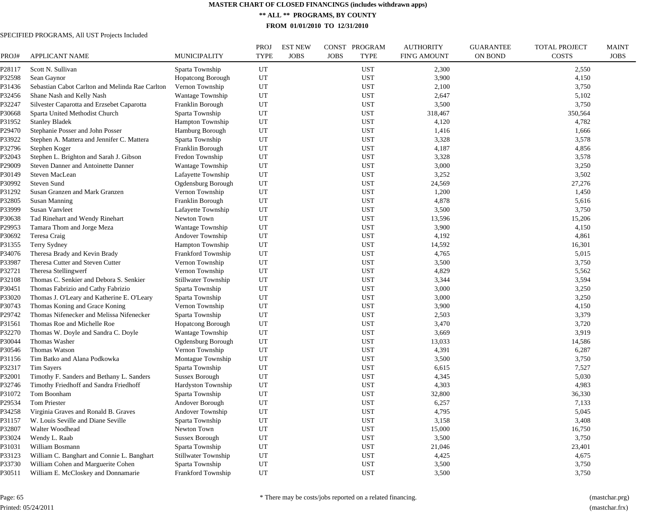**\*\* ALL \*\* PROGRAMS, BY COUNTY**

**FROM 01/01/2010 TO 12/31/2010**

| PROJ#  | <b>APPLICANT NAME</b>                           | MUNICIPALITY               | <b>PROJ</b><br><b>TYPE</b> | <b>EST NEW</b><br><b>JOBS</b> | CONST PROGRAM<br><b>JOBS</b><br><b>TYPE</b> | <b>AUTHORITY</b><br>FIN'G AMOUNT | <b>GUARANTEE</b><br><b>ON BOND</b> | <b>TOTAL PROJECT</b><br><b>COSTS</b> | <b>MAINT</b><br><b>JOBS</b> |
|--------|-------------------------------------------------|----------------------------|----------------------------|-------------------------------|---------------------------------------------|----------------------------------|------------------------------------|--------------------------------------|-----------------------------|
| P28117 | Scott N. Sullivan                               | Sparta Township            | UT                         |                               | <b>UST</b>                                  | 2,300                            |                                    | 2,550                                |                             |
| P32598 | Sean Gaynor                                     | <b>Hopatcong Borough</b>   | UT                         |                               | <b>UST</b>                                  | 3,900                            |                                    | 4,150                                |                             |
| P31436 | Sebastian Cabot Carlton and Melinda Rae Carlton | Vernon Township            | UT                         |                               | <b>UST</b>                                  | 2,100                            |                                    | 3,750                                |                             |
| P32456 | Shane Nash and Kelly Nash                       | <b>Wantage Township</b>    | UT                         |                               | <b>UST</b>                                  | 2,647                            |                                    | 5,102                                |                             |
| P32247 | Silvester Caparotta and Erzsebet Caparotta      | Franklin Borough           | UT                         |                               | <b>UST</b>                                  | 3,500                            |                                    | 3,750                                |                             |
| P30668 | Sparta United Methodist Church                  | Sparta Township            | UT                         |                               | <b>UST</b>                                  | 318,467                          |                                    | 350,564                              |                             |
| P31952 | <b>Stanley Bladek</b>                           | <b>Hampton Township</b>    | UT                         |                               | <b>UST</b>                                  | 4,120                            |                                    | 4,782                                |                             |
| P29470 | Stephanie Posser and John Posser                | Hamburg Borough            | UT                         |                               | <b>UST</b>                                  | 1,416                            |                                    | 1,666                                |                             |
| P33922 | Stephen A. Mattera and Jennifer C. Mattera      | Sparta Township            | UT                         |                               | <b>UST</b>                                  | 3,328                            |                                    | 3,578                                |                             |
| P32796 | Stephen Koger                                   | Franklin Borough           | UT                         |                               | <b>UST</b>                                  | 4,187                            |                                    | 4,856                                |                             |
| P32043 | Stephen L. Brighton and Sarah J. Gibson         | Fredon Township            | UT                         |                               | <b>UST</b>                                  | 3,328                            |                                    | 3,578                                |                             |
| P29009 | Steven Danner and Antoinette Danner             | Wantage Township           | UT                         |                               | <b>UST</b>                                  | 3,000                            |                                    | 3,250                                |                             |
| P30149 | Steven MacLean                                  | Lafayette Township         | UT                         |                               | <b>UST</b>                                  | 3,252                            |                                    | 3,502                                |                             |
| P30992 | Steven Sund                                     | Ogdensburg Borough         | UT                         |                               | <b>UST</b>                                  | 24,569                           |                                    | 27,276                               |                             |
| P31292 | Susan Granzen and Mark Granzen                  | Vernon Township            | UT                         |                               | <b>UST</b>                                  | 1,200                            |                                    | 1,450                                |                             |
| P32805 | <b>Susan Manning</b>                            | Franklin Borough           | UT                         |                               | <b>UST</b>                                  | 4,878                            |                                    | 5,616                                |                             |
| P33999 | Susan Vanvleet                                  | Lafayette Township         | UT                         |                               | <b>UST</b>                                  | 3,500                            |                                    | 3,750                                |                             |
| P30638 | Tad Rinehart and Wendy Rinehart                 | Newton Town                | UT                         |                               | <b>UST</b>                                  | 13,596                           |                                    | 15,206                               |                             |
| P29953 | Tamara Thom and Jorge Meza                      | <b>Wantage Township</b>    | UT                         |                               | <b>UST</b>                                  | 3,900                            |                                    | 4,150                                |                             |
| P30692 | Teresa Craig                                    | Andover Township           | UT                         |                               | <b>UST</b>                                  | 4,192                            |                                    | 4,861                                |                             |
| P31355 | Terry Sydney                                    | Hampton Township           | UT                         |                               | <b>UST</b>                                  | 14,592                           |                                    | 16,301                               |                             |
| P34076 | Theresa Brady and Kevin Brady                   | Frankford Township         | UT                         |                               | <b>UST</b>                                  | 4,765                            |                                    | 5,015                                |                             |
| P33987 | Theresa Cutter and Steven Cutter                | Vernon Township            | UT                         |                               | <b>UST</b>                                  | 3,500                            |                                    | 3,750                                |                             |
| P32721 | Theresa Stellingwerf                            | Vernon Township            | UT                         |                               | <b>UST</b>                                  | 4,829                            |                                    | 5,562                                |                             |
| P32108 | Thomas C. Senkier and Debora S. Senkier         | <b>Stillwater Township</b> | UT                         |                               | <b>UST</b>                                  | 3,344                            |                                    | 3,594                                |                             |
| P30451 | Thomas Fabrizio and Cathy Fabrizio              | Sparta Township            | UT                         |                               | <b>UST</b>                                  | 3,000                            |                                    | 3,250                                |                             |
| P33020 | Thomas J. O'Leary and Katherine E. O'Leary      | Sparta Township            | UT                         |                               | <b>UST</b>                                  | 3,000                            |                                    | 3,250                                |                             |
| P30743 | Thomas Koning and Grace Koning                  | Vernon Township            | UT                         |                               | <b>UST</b>                                  | 3,900                            |                                    | 4,150                                |                             |
| P29742 | Thomas Nifenecker and Melissa Nifenecker        | Sparta Township            | UT                         |                               | <b>UST</b>                                  | 2,503                            |                                    | 3,379                                |                             |
| P31561 | Thomas Roe and Michelle Roe                     | <b>Hopatcong Borough</b>   | UT                         |                               | <b>UST</b>                                  | 3,470                            |                                    | 3,720                                |                             |
| P32270 | Thomas W. Doyle and Sandra C. Doyle             | Wantage Township           | UT                         |                               | <b>UST</b>                                  | 3,669                            |                                    | 3,919                                |                             |
| P30044 | Thomas Washer                                   | Ogdensburg Borough         | UT                         |                               | <b>UST</b>                                  | 13,033                           |                                    | 14,586                               |                             |
| P30546 | Thomas Watson                                   | Vernon Township            | UT                         |                               | <b>UST</b>                                  | 4,391                            |                                    | 6,287                                |                             |
| P31156 | Tim Batko and Alana Podkowka                    | Montague Township          | UT                         |                               | <b>UST</b>                                  | 3,500                            |                                    | 3,750                                |                             |
| P32317 | <b>Tim Sayers</b>                               | Sparta Township            | UT                         |                               | <b>UST</b>                                  | 6,615                            |                                    | 7,527                                |                             |
| P32001 | Timothy F. Sanders and Bethany L. Sanders       | Sussex Borough             | UT                         |                               | <b>UST</b>                                  | 4,345                            |                                    | 5,030                                |                             |
| P32746 | Timothy Friedhoff and Sandra Friedhoff          | Hardyston Township         | UT                         |                               | <b>UST</b>                                  | 4,303                            |                                    | 4,983                                |                             |
| P31072 | Tom Boonham                                     | Sparta Township            | UT                         |                               | <b>UST</b>                                  | 32,800                           |                                    | 36,330                               |                             |
| P29534 | Tom Priester                                    | Andover Borough            | UT                         |                               | <b>UST</b>                                  | 6,257                            |                                    | 7,133                                |                             |
| P34258 | Virginia Graves and Ronald B. Graves            | Andover Township           | UT                         |                               | <b>UST</b>                                  | 4,795                            |                                    | 5,045                                |                             |
| P31157 | W. Louis Seville and Diane Seville              | Sparta Township            | UT                         |                               | <b>UST</b>                                  | 3,158                            |                                    | 3,408                                |                             |
| P32807 | Walter Woodhead                                 | Newton Town                | UT                         |                               | <b>UST</b>                                  | 15,000                           |                                    | 16,750                               |                             |
| P33024 | Wendy L. Raab                                   | <b>Sussex Borough</b>      | UT                         |                               | <b>UST</b>                                  | 3,500                            |                                    | 3,750                                |                             |
| P31031 | William Bosmann                                 | Sparta Township            | UT                         |                               | <b>UST</b>                                  | 21,046                           |                                    | 23,401                               |                             |
| P33123 | William C. Banghart and Connie L. Banghart      | <b>Stillwater Township</b> | UT                         |                               | <b>UST</b>                                  | 4,425                            |                                    | 4,675                                |                             |
| P33730 | William Cohen and Marguerite Cohen              | Sparta Township            | UT                         |                               | <b>UST</b>                                  | 3,500                            |                                    | 3,750                                |                             |
| P30511 | William E. McCloskey and Donnamarie             | <b>Frankford Township</b>  | UT                         |                               | <b>UST</b>                                  | 3,500                            |                                    | 3,750                                |                             |
|        |                                                 |                            |                            |                               |                                             |                                  |                                    |                                      |                             |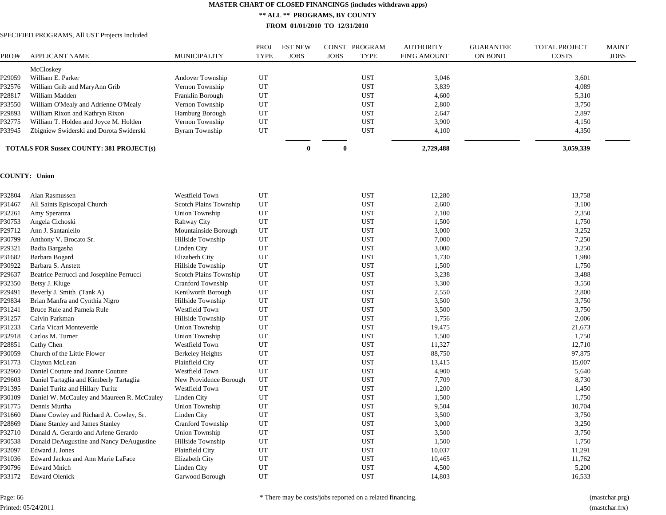**\*\* ALL \*\* PROGRAMS, BY COUNTY**

**FROM 01/01/2010 TO 12/31/2010**

## SPECIFIED PROGRAMS, All UST Projects Included

|        |                                                 |                        | PROJ        | <b>EST NEW</b> | <b>CONST</b> | PROGRAM    | <b>AUTHORITY</b>    | <b>GUARANTEE</b> | <b>TOTAL PROJECT</b> | <b>MAINT</b> |
|--------|-------------------------------------------------|------------------------|-------------|----------------|--------------|------------|---------------------|------------------|----------------------|--------------|
| PROJ#  | <b>APPLICANT NAME</b>                           | MUNICIPALITY           | <b>TYPE</b> | <b>JOBS</b>    | <b>JOBS</b>  | TYPE       | <b>FIN'G AMOUNT</b> | ON BOND          | <b>COSTS</b>         | <b>JOBS</b>  |
|        | McCloskey                                       |                        |             |                |              |            |                     |                  |                      |              |
| P29059 | William E. Parker                               | Andover Township       | UT          |                |              | <b>UST</b> | 3,046               |                  | 3,601                |              |
| P32576 | William Grib and MaryAnn Grib                   | Vernon Township        | UT          |                |              | <b>UST</b> | 3,839               |                  | 4,089                |              |
| P28817 | William Madden                                  | Franklin Borough       | UT          |                |              | <b>UST</b> | 4,600               |                  | 5,310                |              |
| P33550 | William O'Mealy and Adrienne O'Mealy            | Vernon Township        | UT          |                |              | <b>UST</b> | 2,800               |                  | 3,750                |              |
| P29893 | William Rixon and Kathryn Rixon                 | <b>Hamburg Borough</b> | UT          |                |              | <b>UST</b> | 2,647               |                  | 2,897                |              |
| P32775 | William T. Holden and Joyce M. Holden           | Vernon Township        | UT          |                |              | <b>UST</b> | 3,900               |                  | 4,150                |              |
| P33945 | Zbigniew Swiderski and Dorota Swiderski         | Byram Township         | UT          |                |              | <b>UST</b> | 4,100               |                  | 4,350                |              |
|        | <b>TOTALS FOR Sussex COUNTY: 381 PROJECT(s)</b> |                        |             | o              |              |            | 2,729,488           |                  | 3,059,339            |              |

#### **COUNTY: Union**

| Alan Rasmussen                             | Westfield Town          | UT | <b>UST</b> | 12,280 | 13,758 |
|--------------------------------------------|-------------------------|----|------------|--------|--------|
| All Saints Episcopal Church                | Scotch Plains Township  | UT | <b>UST</b> | 2,600  | 3,100  |
| Amy Speranza                               | Union Township          | UT | <b>UST</b> | 2,100  | 2,350  |
| Angela Cichoski                            | Rahway City             | UT | <b>UST</b> | 1,500  | 1,750  |
| Ann J. Santaniello                         | Mountainside Borough    | UT | <b>UST</b> | 3,000  | 3,252  |
| Anthony V. Brocato Sr.                     | Hillside Township       | UT | <b>UST</b> | 7,000  | 7,250  |
| Badia Bargasha                             | Linden City             | UT | <b>UST</b> | 3,000  | 3,250  |
| Barbara Bogard                             | Elizabeth City          | UT | <b>UST</b> | 1,730  | 1,980  |
| Barbara S. Anstett                         | Hillside Township       | UT | <b>UST</b> | 1,500  | 1,750  |
| Beatrice Perrucci and Josephine Perrucci   | Scotch Plains Township  | UT | <b>UST</b> | 3,238  | 3,488  |
| Betsy J. Kluge                             | Cranford Township       | UT | <b>UST</b> | 3,300  | 3,550  |
| Beverly J. Smith (Tank A)                  | Kenilworth Borough      | UT | <b>UST</b> | 2,550  | 2,800  |
| Brian Manfra and Cynthia Nigro             | Hillside Township       | UT | <b>UST</b> | 3,500  | 3,750  |
| Bruce Rule and Pamela Rule                 | Westfield Town          | UT | <b>UST</b> | 3,500  | 3,750  |
| Calvin Parkman                             | Hillside Township       | UT | <b>UST</b> | 1,756  | 2,006  |
| Carla Vicari Monteverde                    | Union Township          | UT | <b>UST</b> | 19,475 | 21,673 |
| Carlos M. Turner                           | Union Township          | UT | <b>UST</b> | 1,500  | 1,750  |
| Cathy Chen                                 | <b>Westfield Town</b>   | UT | <b>UST</b> | 11,327 | 12,710 |
| Church of the Little Flower                | <b>Berkeley Heights</b> | UT | <b>UST</b> | 88,750 | 97,875 |
| Clayton McLean                             | Plainfield City         | UT | <b>UST</b> | 13,415 | 15,007 |
| Daniel Couture and Joanne Couture          | Westfield Town          | UT | <b>UST</b> | 4,900  | 5,640  |
| Daniel Tartaglia and Kimberly Tartaglia    | New Providence Borough  | UT | <b>UST</b> | 7,709  | 8,730  |
| Daniel Turitz and Hillary Turitz           | Westfield Town          | UT | <b>UST</b> | 1,200  | 1,450  |
| Daniel W. McCauley and Maureen R. McCauley | Linden City             | UT | <b>UST</b> | 1,500  | 1,750  |
| Dennis Murtha                              | Union Township          | UT | <b>UST</b> | 9,504  | 10,704 |
| Diane Cowley and Richard A. Cowley, Sr.    | Linden City             | UT | <b>UST</b> | 3,500  | 3,750  |
| Diane Stanley and James Stanley            | Cranford Township       | UT | <b>UST</b> | 3,000  | 3,250  |
| Donald A. Gerardo and Arlene Gerardo       | Union Township          | UT | <b>UST</b> | 3,500  | 3,750  |
| Donald DeAugustine and Nancy DeAugustine   | Hillside Township       | UT | <b>UST</b> | 1,500  | 1,750  |
| Edward J. Jones                            | Plainfield City         | UT | <b>UST</b> | 10,037 | 11,291 |
| Edward Jackus and Ann Marie LaFace         | Elizabeth City          | UT | <b>UST</b> | 10,465 | 11,762 |
| <b>Edward Mnich</b>                        | Linden City             | UT | <b>UST</b> | 4,500  | 5,200  |
| <b>Edward Olenick</b>                      | Garwood Borough         | UT | <b>UST</b> | 14,803 | 16,533 |
|                                            |                         |    |            |        |        |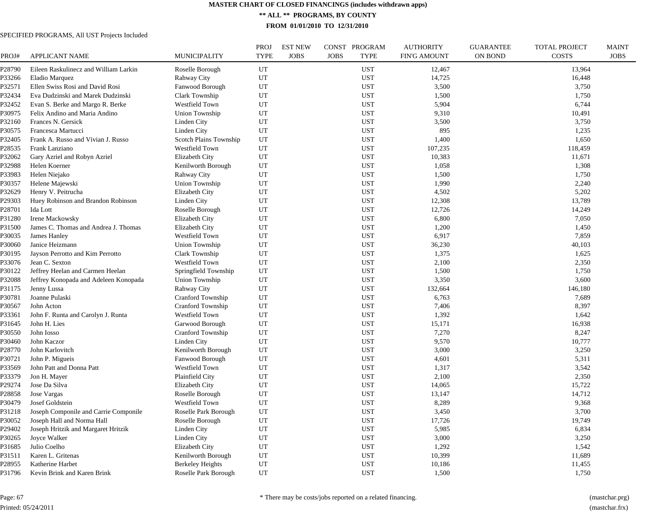**\*\* ALL \*\* PROGRAMS, BY COUNTY**

**FROM 01/01/2010 TO 12/31/2010**

| PROJ#              | <b>APPLICANT NAME</b>                 | <b>MUNICIPALITY</b>      | <b>PROJ</b><br><b>TYPE</b> | <b>EST NEW</b><br><b>JOBS</b> | CONST PROGRAM<br><b>JOBS</b><br><b>TYPE</b> | <b>AUTHORITY</b><br><b>FIN'G AMOUNT</b> | <b>GUARANTEE</b><br><b>ON BOND</b> | TOTAL PROJECT<br><b>COSTS</b> | <b>MAINT</b><br><b>JOBS</b> |
|--------------------|---------------------------------------|--------------------------|----------------------------|-------------------------------|---------------------------------------------|-----------------------------------------|------------------------------------|-------------------------------|-----------------------------|
| P28790             | Eileen Raskulinecz and William Larkin | Roselle Borough          | UT                         |                               | <b>UST</b>                                  | 12,467                                  |                                    | 13,964                        |                             |
| P33266             | Eladio Marquez                        | Rahway City              | UT                         |                               | <b>UST</b>                                  | 14,725                                  |                                    | 16,448                        |                             |
| P32571             | Ellen Swiss Rosi and David Rosi       | Fanwood Borough          | UT                         |                               | <b>UST</b>                                  | 3,500                                   |                                    | 3,750                         |                             |
| P32434             | Eva Dudzinski and Marek Dudzinski     | Clark Township           | UT                         |                               | <b>UST</b>                                  | 1,500                                   |                                    | 1,750                         |                             |
| P32452             | Evan S. Berke and Margo R. Berke      | Westfield Town           | UT                         |                               | <b>UST</b>                                  | 5,904                                   |                                    | 6,744                         |                             |
| P30975             | Felix Andino and Maria Andino         | Union Township           | UT                         |                               | <b>UST</b>                                  | 9,310                                   |                                    | 10,491                        |                             |
| P32160             | Frances N. Gersick                    | Linden City              | UT                         |                               | <b>UST</b>                                  | 3,500                                   |                                    | 3,750                         |                             |
| P30575             | Francesca Martucci                    | Linden City              | UT                         |                               | <b>UST</b>                                  | 895                                     |                                    | 1,235                         |                             |
| P32405             | Frank A. Russo and Vivian J. Russo    | Scotch Plains Township   | UT                         |                               | <b>UST</b>                                  | 1,400                                   |                                    | 1,650                         |                             |
| P28535             | Frank Lanziano                        | Westfield Town           | UT                         |                               | <b>UST</b>                                  | 107,235                                 |                                    | 118,459                       |                             |
| P32062             | Gary Azriel and Robyn Azriel          | Elizabeth City           | UT                         |                               | <b>UST</b>                                  | 10,383                                  |                                    | 11,671                        |                             |
| P32988             | Helen Koerner                         | Kenilworth Borough       | UT                         |                               | <b>UST</b>                                  | 1,058                                   |                                    | 1,308                         |                             |
| P33983             | Helen Niejako                         | Rahway City              | UT                         |                               | <b>UST</b>                                  | 1,500                                   |                                    | 1,750                         |                             |
| P30357             | Helene Majewski                       | Union Township           | UT                         |                               | <b>UST</b>                                  | 1,990                                   |                                    | 2,240                         |                             |
| P32629             | Henry V. Peitrucha                    | Elizabeth City           | UT                         |                               | <b>UST</b>                                  | 4,502                                   |                                    | 5,202                         |                             |
| P29303             | Huey Robinson and Brandon Robinson    | <b>Linden City</b>       | UT                         |                               | <b>UST</b>                                  | 12,308                                  |                                    | 13,789                        |                             |
| P <sub>28701</sub> | Ida Lott                              | Roselle Borough          | UT                         |                               | <b>UST</b>                                  | 12,726                                  |                                    | 14,249                        |                             |
| P31280             | Irene Mackowsky                       | <b>Elizabeth City</b>    | UT                         |                               | <b>UST</b>                                  | 6,800                                   |                                    | 7,050                         |                             |
| P31500             | James C. Thomas and Andrea J. Thomas  | Elizabeth City           | UT                         |                               | <b>UST</b>                                  | 1,200                                   |                                    | 1,450                         |                             |
| P30035             | James Hanley                          | Westfield Town           | UT                         |                               | <b>UST</b>                                  | 6,917                                   |                                    | 7,859                         |                             |
| P30060             | Janice Heizmann                       | <b>Union Township</b>    | UT                         |                               | <b>UST</b>                                  | 36,230                                  |                                    | 40,103                        |                             |
| P30195             | Jayson Perrotto and Kim Perrotto      | Clark Township           | UT                         |                               | <b>UST</b>                                  | 1,375                                   |                                    | 1,625                         |                             |
| P33076             | Jean C. Sexton                        | Westfield Town           | UT                         |                               | <b>UST</b>                                  | 2,100                                   |                                    | 2,350                         |                             |
| P30122             | Jeffrey Heelan and Carmen Heelan      | Springfield Township     | UT                         |                               | <b>UST</b>                                  | 1,500                                   |                                    | 1,750                         |                             |
| P32088             | Jeffrey Konopada and Adeleen Konopada | Union Township           | UT                         |                               | <b>UST</b>                                  | 3,350                                   |                                    | 3,600                         |                             |
| P31175             | Jenny Lussa                           | Rahway City              | UT                         |                               | <b>UST</b>                                  | 132,664                                 |                                    | 146,180                       |                             |
| P30781             | Joanne Pulaski                        | <b>Cranford Township</b> | UT                         |                               | <b>UST</b>                                  | 6,763                                   |                                    | 7,689                         |                             |
| P30567             | John Acton                            | <b>Cranford Township</b> | UT                         |                               | <b>UST</b>                                  | 7,406                                   |                                    | 8,397                         |                             |
| P33361             | John F. Runta and Carolyn J. Runta    | Westfield Town           | UT                         |                               | <b>UST</b>                                  | 1,392                                   |                                    | 1,642                         |                             |
| P31645             | John H. Lies                          | Garwood Borough          | UT                         |                               | <b>UST</b>                                  | 15,171                                  |                                    | 16,938                        |                             |
| P30550             | John Iosso                            | <b>Cranford Township</b> | UT                         |                               | <b>UST</b>                                  | 7,270                                   |                                    | 8,247                         |                             |
| P30460             | John Kaczor                           | Linden City              | UT                         |                               | <b>UST</b>                                  | 9,570                                   |                                    | 10,777                        |                             |
| P28770             | John Karlovitch                       | Kenilworth Borough       | UT                         |                               | <b>UST</b>                                  | 3,000                                   |                                    | 3,250                         |                             |
| P30721             | John P. Migueis                       | Fanwood Borough          | UT                         |                               | <b>UST</b>                                  | 4,601                                   |                                    | 5,311                         |                             |
| P33569             | John Patt and Donna Patt              | Westfield Town           | UT                         |                               | <b>UST</b>                                  | 1,317                                   |                                    | 3,542                         |                             |
| P33379             | Jon H. Mayer                          | Plainfield City          | UT                         |                               | <b>UST</b>                                  | 2,100                                   |                                    | 2,350                         |                             |
| P29274             | Jose Da Silva                         | Elizabeth City           | UT                         |                               | <b>UST</b>                                  | 14,065                                  |                                    | 15,722                        |                             |
| P28858             | Jose Vargas                           | Roselle Borough          | UT                         |                               | <b>UST</b>                                  | 13,147                                  |                                    | 14,712                        |                             |
| P30479             | Josef Goldstein                       | Westfield Town           | UT                         |                               | <b>UST</b>                                  | 8,289                                   |                                    | 9,368                         |                             |
| P31218             | Joseph Componile and Carrie Componile | Roselle Park Borough     | UT                         |                               | <b>UST</b>                                  | 3,450                                   |                                    | 3,700                         |                             |
| P30052             | Joseph Hall and Norma Hall            | Roselle Borough          | UT                         |                               | <b>UST</b>                                  | 17,726                                  |                                    | 19,749                        |                             |
| P29402             | Joseph Hritzik and Margaret Hritzik   | <b>Linden City</b>       | UT                         |                               | <b>UST</b>                                  | 5,985                                   |                                    | 6,834                         |                             |
| P30265             | Joyce Walker                          | Linden City              | UT                         |                               | <b>UST</b>                                  | 3,000                                   |                                    | 3,250                         |                             |
| P31685             | Julio Coelho                          | <b>Elizabeth City</b>    | UT                         |                               | <b>UST</b>                                  | 1,292                                   |                                    | 1,542                         |                             |
| P31511             | Karen L. Gritenas                     | Kenilworth Borough       | UT                         |                               | <b>UST</b>                                  | 10,399                                  |                                    | 11,689                        |                             |
| P28955             | Katherine Harbet                      | <b>Berkeley Heights</b>  | UT                         |                               | <b>UST</b>                                  | 10,186                                  |                                    | 11,455                        |                             |
| P31796             | Kevin Brink and Karen Brink           | Roselle Park Borough     | UT                         |                               | <b>UST</b>                                  | 1,500                                   |                                    | 1,750                         |                             |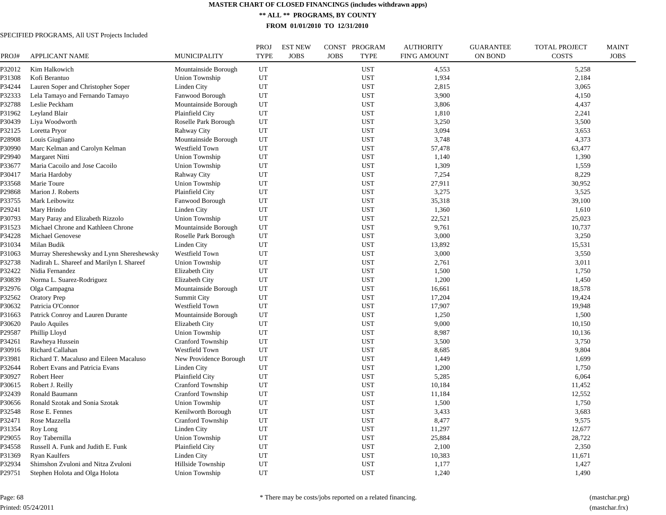**\*\* ALL \*\* PROGRAMS, BY COUNTY**

**FROM 01/01/2010 TO 12/31/2010**

| PROJ#  | <b>APPLICANT NAME</b>                     | <b>MUNICIPALITY</b>      | <b>PROJ</b><br><b>TYPE</b> | <b>EST NEW</b><br><b>JOBS</b> | CONST PROGRAM<br><b>JOBS</b><br><b>TYPE</b> | <b>AUTHORITY</b><br><b>FIN'G AMOUNT</b> | <b>GUARANTEE</b><br><b>ON BOND</b> | <b>TOTAL PROJECT</b><br><b>COSTS</b> | <b>MAINT</b><br><b>JOBS</b> |
|--------|-------------------------------------------|--------------------------|----------------------------|-------------------------------|---------------------------------------------|-----------------------------------------|------------------------------------|--------------------------------------|-----------------------------|
| P32012 | Kim Halkowich                             | Mountainside Borough     | UT                         |                               | <b>UST</b>                                  | 4,553                                   |                                    | 5,258                                |                             |
| P31308 | Kofi Berantuo                             | Union Township           | UT                         |                               | <b>UST</b>                                  | 1,934                                   |                                    | 2,184                                |                             |
| P34244 | Lauren Soper and Christopher Soper        | Linden City              | UT                         |                               | <b>UST</b>                                  | 2,815                                   |                                    | 3,065                                |                             |
| P32333 | Lela Tamayo and Fernando Tamayo           | Fanwood Borough          | UT                         |                               | <b>UST</b>                                  | 3,900                                   |                                    | 4,150                                |                             |
| P32788 | Leslie Peckham                            | Mountainside Borough     | UT                         |                               | <b>UST</b>                                  | 3,806                                   |                                    | 4,437                                |                             |
| P31962 | Leyland Blair                             | Plainfield City          | UT                         |                               | <b>UST</b>                                  | 1,810                                   |                                    | 2,241                                |                             |
| P30439 | Liya Woodworth                            | Roselle Park Borough     | UT                         |                               | <b>UST</b>                                  | 3,250                                   |                                    | 3,500                                |                             |
| P32125 | Loretta Pryor                             | Rahway City              | UT                         |                               | <b>UST</b>                                  | 3,094                                   |                                    | 3,653                                |                             |
| P28908 | Louis Giugliano                           | Mountainside Borough     | UT                         |                               | <b>UST</b>                                  | 3,748                                   |                                    | 4,373                                |                             |
| P30990 | Marc Kelman and Carolyn Kelman            | Westfield Town           | UT                         |                               | <b>UST</b>                                  | 57,478                                  |                                    | 63,477                               |                             |
| P29940 | Margaret Nitti                            | Union Township           | UT                         |                               | <b>UST</b>                                  | 1,140                                   |                                    | 1,390                                |                             |
| P33677 | Maria Cacoilo and Jose Cacoilo            | Union Township           | UT                         |                               | <b>UST</b>                                  | 1,309                                   |                                    | 1,559                                |                             |
| P30417 | Maria Hardoby                             | Rahway City              | UT                         |                               | <b>UST</b>                                  | 7,254                                   |                                    | 8,229                                |                             |
| P33568 | Marie Toure                               | Union Township           | UT                         |                               | <b>UST</b>                                  | 27,911                                  |                                    | 30,952                               |                             |
| P29868 | Marion J. Roberts                         | Plainfield City          | UT                         |                               | <b>UST</b>                                  | 3,275                                   |                                    | 3,525                                |                             |
| P33755 | Mark Leibowitz                            | Fanwood Borough          | UT                         |                               | <b>UST</b>                                  | 35,318                                  |                                    | 39,100                               |                             |
| P29241 | Mary Hrindo                               | Linden City              | UT                         |                               | <b>UST</b>                                  | 1,360                                   |                                    | 1,610                                |                             |
| P30793 | Mary Paray and Elizabeth Rizzolo          | Union Township           | UT                         |                               | <b>UST</b>                                  | 22,521                                  |                                    | 25,023                               |                             |
| P31523 | Michael Chrone and Kathleen Chrone        | Mountainside Borough     | UT                         |                               | <b>UST</b>                                  | 9,761                                   |                                    | 10,737                               |                             |
| P34228 | Michael Genovese                          | Roselle Park Borough     | UT                         |                               | <b>UST</b>                                  | 3,000                                   |                                    | 3,250                                |                             |
| P31034 | Milan Budik                               | Linden City              | UT                         |                               | <b>UST</b>                                  | 13,892                                  |                                    | 15,531                               |                             |
| P31063 | Murray Shereshewsky and Lynn Shereshewsky | Westfield Town           | UT                         |                               | UST                                         | 3,000                                   |                                    | 3,550                                |                             |
| P32738 | Nadirah L. Shareef and Marilyn I. Shareef | <b>Union Township</b>    | UT                         |                               | <b>UST</b>                                  | 2,761                                   |                                    | 3,011                                |                             |
| P32422 | Nidia Fernandez                           | Elizabeth City           | UT                         |                               | <b>UST</b>                                  | 1,500                                   |                                    | 1,750                                |                             |
| P30839 | Norma L. Suarez-Rodriguez                 | Elizabeth City           | UT                         |                               | <b>UST</b>                                  | 1,200                                   |                                    | 1,450                                |                             |
| P32976 | Olga Campagna                             | Mountainside Borough     | UT                         |                               | <b>UST</b>                                  | 16,661                                  |                                    | 18,578                               |                             |
| P32562 | <b>Oratory Prep</b>                       | <b>Summit City</b>       | UT                         |                               | <b>UST</b>                                  | 17,204                                  |                                    | 19,424                               |                             |
| P30632 | Patricia O'Connor                         | Westfield Town           | UT                         |                               | <b>UST</b>                                  | 17,907                                  |                                    | 19,948                               |                             |
| P31663 | Patrick Conroy and Lauren Durante         | Mountainside Borough     | UT                         |                               | <b>UST</b>                                  | 1,250                                   |                                    | 1,500                                |                             |
| P30620 | Paulo Aquiles                             | <b>Elizabeth City</b>    | UT                         |                               | <b>UST</b>                                  | 9,000                                   |                                    | 10,150                               |                             |
| P29587 | Phillip Lloyd                             | Union Township           | UT                         |                               | <b>UST</b>                                  | 8,987                                   |                                    | 10,136                               |                             |
| P34261 | Rawheya Hussein                           | <b>Cranford Township</b> | UT                         |                               | <b>UST</b>                                  | 3,500                                   |                                    | 3,750                                |                             |
| P30916 | Richard Callahan                          | Westfield Town           | UT                         |                               | <b>UST</b>                                  | 8.685                                   |                                    | 9,804                                |                             |
| P33981 | Richard T. Macaluso and Eileen Macaluso   | New Providence Borough   | UT                         |                               | <b>UST</b>                                  | 1,449                                   |                                    | 1,699                                |                             |
| P32644 | Robert Evans and Patricia Evans           | <b>Linden City</b>       | UT                         |                               | <b>UST</b>                                  | 1,200                                   |                                    | 1,750                                |                             |
| P30927 | Robert Heer                               | Plainfield City          | UT                         |                               | <b>UST</b>                                  | 5,285                                   |                                    | 6,064                                |                             |
| P30615 | Robert J. Reilly                          | <b>Cranford Township</b> | UT                         |                               | <b>UST</b>                                  | 10,184                                  |                                    | 11,452                               |                             |
| P32439 | Ronald Baumann                            | <b>Cranford Township</b> | UT                         |                               | <b>UST</b>                                  | 11,184                                  |                                    | 12,552                               |                             |
| P30656 | Ronald Szotak and Sonia Szotak            | Union Township           | UT                         |                               | <b>UST</b>                                  | 1,500                                   |                                    | 1,750                                |                             |
| P32548 | Rose E. Fennes                            | Kenilworth Borough       | UT                         |                               | <b>UST</b>                                  | 3.433                                   |                                    | 3,683                                |                             |
| P32471 | Rose Mazzella                             | <b>Cranford Township</b> | UT                         |                               | <b>UST</b>                                  | 8,477                                   |                                    | 9,575                                |                             |
| P31354 | Roy Long                                  | Linden City              | UT                         |                               | <b>UST</b>                                  | 11,297                                  |                                    | 12,677                               |                             |
| P29055 | Roy Tabernilla                            | <b>Union Township</b>    | UT                         |                               | <b>UST</b>                                  | 25,884                                  |                                    | 28,722                               |                             |
| P34558 | Russell A. Funk and Judith E. Funk        | Plainfield City          | UT                         |                               | <b>UST</b>                                  | 2,100                                   |                                    | 2,350                                |                             |
| P31369 | Ryan Kaulfers                             | Linden City              | UT                         |                               | <b>UST</b>                                  | 10,383                                  |                                    | 11,671                               |                             |
| P32934 | Shimshon Zvuloni and Nitza Zvuloni        | Hillside Township        | UT                         |                               | <b>UST</b>                                  | 1,177                                   |                                    | 1,427                                |                             |
| P29751 | Stephen Holota and Olga Holota            | Union Township           | UT                         |                               | <b>UST</b>                                  | 1,240                                   |                                    | 1,490                                |                             |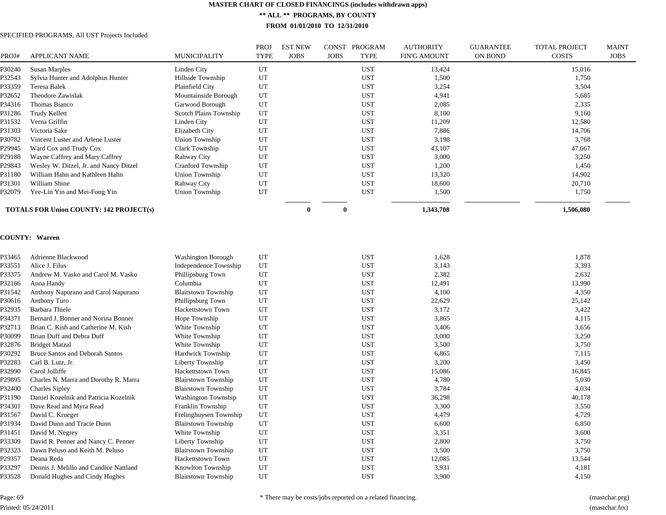**\*\* ALL \*\* PROGRAMS, BY COUNTY**

**FROM 01/01/2010 TO 12/31/2010**

## SPECIFIED PROGRAMS, All UST Projects Included

| PROJ#  | <b>APPLICANT NAME</b>                          | <b>MUNICIPALITY</b>    | <b>PROJ</b><br><b>TYPE</b> | <b>EST NEW</b><br><b>JOBS</b> | <b>CONST</b><br>PROGRAM<br><b>JOBS</b><br>TYPE | <b>AUTHORITY</b><br><b>FIN'G AMOUNT</b> | <b>GUARANTEE</b><br>ON BOND | TOTAL PROJECT<br><b>COSTS</b> | <b>MAINT</b><br><b>JOBS</b> |
|--------|------------------------------------------------|------------------------|----------------------------|-------------------------------|------------------------------------------------|-----------------------------------------|-----------------------------|-------------------------------|-----------------------------|
| P30240 | Susan Marples                                  | Linden City            | UT                         |                               | <b>UST</b>                                     | 13,424                                  |                             | 15,016                        |                             |
| P32543 | Sylvia Hunter and Adolphus Hunter              | Hillside Township      | UT                         |                               | <b>UST</b>                                     | 1,500                                   |                             | 1,750                         |                             |
| P33359 | <b>Teresa Balek</b>                            | Plainfield City        | UT                         |                               | <b>UST</b>                                     | 3,254                                   |                             | 3,504                         |                             |
| P32652 | Theodore Zawislak                              | Mountainside Borough   | UT                         |                               | <b>UST</b>                                     | 4,941                                   |                             | 5,685                         |                             |
| P34316 | Thomas Bianco                                  | Garwood Borough        | UT                         |                               | <b>UST</b>                                     | 2,085                                   |                             | 2,335                         |                             |
| P31286 | Trudy Kellett                                  | Scotch Plains Township | UT                         |                               | <b>UST</b>                                     | 8,100                                   |                             | 9,160                         |                             |
| P31532 | Verna Griffin                                  | Linden City            | UT                         |                               | <b>UST</b>                                     | 11,209                                  |                             | 12,580                        |                             |
| P31303 | Victoria Sake                                  | Elizabeth City         | UT                         |                               | <b>UST</b>                                     | 7,886                                   |                             | 14,706                        |                             |
| P30782 | Vincent Luster and Arlene Luster               | Union Township         | UT                         |                               | <b>UST</b>                                     | 3,198                                   |                             | 3,768                         |                             |
| P29945 | Ward Cox and Trudy Cox                         | Clark Township         | UT                         |                               | <b>UST</b>                                     | 43,107                                  |                             | 47,667                        |                             |
| P29188 | Wayne Caffrey and Mary Caffrey                 | Rahway City            | UT                         |                               | <b>UST</b>                                     | 3,000                                   |                             | 3,250                         |                             |
| P29843 | Wesley W. Ditzel, Jr. and Nancy Ditzel         | Cranford Township      | UT                         |                               | <b>UST</b>                                     | 1,200                                   |                             | 1,450                         |                             |
| P31180 | William Hahn and Kathleen Hahn                 | Union Township         | UT                         |                               | <b>UST</b>                                     | 13,320                                  |                             | 14,902                        |                             |
| P31301 | William Shine                                  | Rahway City            | UT                         |                               | <b>UST</b>                                     | 18,600                                  |                             | 20,710                        |                             |
| P32079 | Yee-Lin Yin and Mei-Fong Yin                   | Union Township         | UT                         |                               | <b>UST</b>                                     | 1,500                                   |                             | 1,750                         |                             |
|        | <b>TOTALS FOR Union COUNTY: 142 PROJECT(s)</b> |                        |                            | $\bf{0}$                      | 0                                              | 1,343,708                               |                             | 1,506,080                     |                             |

#### **COUNTY: Warren**

| P33465 | Adrienne Blackwood                     | Washington Borough         | UT | <b>UST</b> | 1,628  | 1,878  |
|--------|----------------------------------------|----------------------------|----|------------|--------|--------|
| P33551 | Alice J. Filus                         | Independence Township      | UT | <b>UST</b> | 3,143  | 3,393  |
| P33375 | Andrew M. Vasko and Carol M. Vasko     | Phillipsburg Town          | UT | <b>UST</b> | 2,382  | 2,632  |
| P32166 | Anna Handy                             | Columbia                   | UT | <b>UST</b> | 12,491 | 13,990 |
| P31542 | Anthony Napurano and Carol Napurano    | <b>Blairstown Township</b> | UT | <b>UST</b> | 4,100  | 4,350  |
| P30616 | Anthony Turo                           | Phillipsburg Town          | UT | <b>UST</b> | 22,629 | 25,142 |
| P32935 | Barbara Thiele                         | <b>Hackettstown Town</b>   | UT | <b>UST</b> | 3,172  | 3,422  |
| P34371 | Bernard J. Bonner and Norina Bonner    | Hope Township              | UT | <b>UST</b> | 3,865  | 4,115  |
| P32713 | Brian C. Kish and Catherine M. Kish    | White Township             | UT | <b>UST</b> | 3,406  | 3,656  |
| P30099 | Brian Duff and Debra Duff              | White Township             | UT | <b>UST</b> | 3,000  | 3,250  |
| P32876 | <b>Bridget Matzal</b>                  | White Township             | UT | <b>UST</b> | 3,500  | 3,750  |
| P30292 | <b>Bruce Santos and Deborah Santos</b> | Hardwick Township          | UT | <b>UST</b> | 6,865  | 7,115  |
| P32283 | Carl B. Lutz, Jr.                      | Liberty Township           | UT | <b>UST</b> | 3,200  | 3,450  |
| P32990 | Carol Jolliffe                         | <b>Hackettstown Town</b>   | UT | <b>UST</b> | 15,086 | 16,845 |
| P29895 | Charles N. Marra and Dorothy R. Marra  | <b>Blairstown Township</b> | UT | <b>UST</b> | 4,780  | 5,030  |
| P32400 | <b>Charles Sipley</b>                  | <b>Blairstown Township</b> | UT | <b>UST</b> | 3,784  | 4,034  |
| P31190 | Daniel Kozelnik and Patricia Kozelnik  | Washington Township        | UT | <b>UST</b> | 36,298 | 40,178 |
| P34301 | Dave Read and Myra Read                | Franklin Township          | UT | <b>UST</b> | 3,300  | 3,550  |
| P31567 | David C. Krueger                       | Frelinghuysen Township     | UT | <b>UST</b> | 4,479  | 4,729  |
| P31934 | David Dunn and Tracie Dunn             | <b>Blairstown Township</b> | UT | <b>UST</b> | 6,600  | 6,850  |
| P31451 | David M. Negrey                        | White Township             | UT | <b>UST</b> | 3,351  | 3,600  |
| P33309 | David R. Penner and Nancy C. Penner    | Liberty Township           | UT | <b>UST</b> | 2,800  | 3,750  |
| P32323 | Dawn Peluso and Keith M. Peluso        | <b>Blairstown Township</b> | UT | <b>UST</b> | 3,500  | 3,750  |
| P29357 | Deana Reda                             | Hackettstown Town          | UT | <b>UST</b> | 12,085 | 13,544 |
| P33297 | Dennis J. Melillo and Candice Nattland | Knowlton Township          | UT | <b>UST</b> | 3,931  | 4,181  |
| P33528 | Donald Hughes and Cindy Hughes         | <b>Blairstown Township</b> | UT | <b>UST</b> | 3,900  | 4,150  |
|        |                                        |                            |    |            |        |        |

Page: 69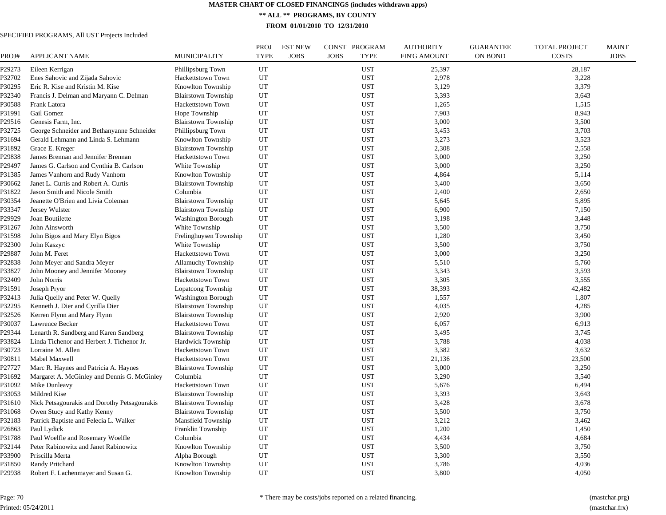**\*\* ALL \*\* PROGRAMS, BY COUNTY**

**FROM 01/01/2010 TO 12/31/2010**

| PROJ#  | <b>APPLICANT NAME</b>                        | MUNICIPALITY               | <b>PROJ</b><br><b>TYPE</b> | <b>EST NEW</b><br><b>JOBS</b> | CONST PROGRAM<br><b>JOBS</b><br><b>TYPE</b> | <b>AUTHORITY</b><br><b>FIN'G AMOUNT</b> | <b>GUARANTEE</b><br><b>ON BOND</b> | <b>TOTAL PROJECT</b><br><b>COSTS</b> | <b>MAINT</b><br><b>JOBS</b> |
|--------|----------------------------------------------|----------------------------|----------------------------|-------------------------------|---------------------------------------------|-----------------------------------------|------------------------------------|--------------------------------------|-----------------------------|
| P29273 | Eileen Kerrigan                              | Phillipsburg Town          | UT                         |                               | <b>UST</b>                                  | 25,397                                  |                                    | 28,187                               |                             |
| P32702 | Enes Sahovic and Zijada Sahovic              | Hackettstown Town          | UT                         |                               | <b>UST</b>                                  | 2,978                                   |                                    | 3,228                                |                             |
| P30295 | Eric R. Kise and Kristin M. Kise             | Knowlton Township          | UT                         |                               | <b>UST</b>                                  | 3,129                                   |                                    | 3,379                                |                             |
| P32340 | Francis J. Delman and Maryann C. Delman      | <b>Blairstown Township</b> | UT                         |                               | <b>UST</b>                                  | 3,393                                   |                                    | 3,643                                |                             |
| P30588 | Frank Latora                                 | Hackettstown Town          | UT                         |                               | <b>UST</b>                                  | 1,265                                   |                                    | 1,515                                |                             |
| P31991 | Gail Gomez                                   | Hope Township              | UT                         |                               | <b>UST</b>                                  | 7,903                                   |                                    | 8,943                                |                             |
| P29516 | Genesis Farm, Inc.                           | <b>Blairstown Township</b> | UT                         |                               | <b>UST</b>                                  | 3,000                                   |                                    | 3,500                                |                             |
| P32725 | George Schneider and Bethanyanne Schneider   | Phillipsburg Town          | UT                         |                               | <b>UST</b>                                  | 3,453                                   |                                    | 3,703                                |                             |
| P31694 | Gerald Lehmann and Linda S. Lehmann          | Knowlton Township          | UT                         |                               | <b>UST</b>                                  | 3,273                                   |                                    | 3,523                                |                             |
| P31892 | Grace E. Kreger                              | <b>Blairstown Township</b> | UT                         |                               | <b>UST</b>                                  | 2,308                                   |                                    | 2,558                                |                             |
| P29838 | James Brennan and Jennifer Brennan           | Hackettstown Town          | UT                         |                               | <b>UST</b>                                  | 3,000                                   |                                    | 3,250                                |                             |
| P29497 | James G. Carlson and Cynthia B. Carlson      | White Township             | UT                         |                               | <b>UST</b>                                  | 3,000                                   |                                    | 3,250                                |                             |
| P31385 | James Vanhorn and Rudy Vanhorn               | Knowlton Township          | UT                         |                               | <b>UST</b>                                  | 4,864                                   |                                    | 5,114                                |                             |
| P30662 | Janet L. Curtis and Robert A. Curtis         | <b>Blairstown Township</b> | UT                         |                               | <b>UST</b>                                  | 3,400                                   |                                    | 3,650                                |                             |
| P31822 | Jason Smith and Nicole Smith                 | Columbia                   | UT                         |                               | <b>UST</b>                                  | 2,400                                   |                                    | 2,650                                |                             |
| P30354 | Jeanette O'Brien and Livia Coleman           | <b>Blairstown Township</b> | UT                         |                               | <b>UST</b>                                  | 5,645                                   |                                    | 5,895                                |                             |
| P33347 | Jersey Wulster                               | <b>Blairstown Township</b> | UT                         |                               | <b>UST</b>                                  | 6,900                                   |                                    | 7,150                                |                             |
| P29929 | Joan Boutilette                              | <b>Washington Borough</b>  | UT                         |                               | <b>UST</b>                                  | 3,198                                   |                                    | 3,448                                |                             |
| P31267 | John Ainsworth                               | White Township             | UT                         |                               | <b>UST</b>                                  | 3,500                                   |                                    | 3,750                                |                             |
| P31598 | John Bigos and Mary Elyn Bigos               | Frelinghuysen Township     | UT                         |                               | <b>UST</b>                                  | 1,280                                   |                                    | 3,450                                |                             |
| P32300 | John Kaszyc                                  | White Township             | UT                         |                               | <b>UST</b>                                  | 3,500                                   |                                    | 3,750                                |                             |
| P29887 | John M. Feret                                | Hackettstown Town          | UT                         |                               | <b>UST</b>                                  | 3,000                                   |                                    | 3,250                                |                             |
| P32838 | John Meyer and Sandra Meyer                  | Allamuchy Township         | UT                         |                               | <b>UST</b>                                  | 5,510                                   |                                    | 5,760                                |                             |
| P33827 | John Mooney and Jennifer Mooney              | <b>Blairstown Township</b> | UT                         |                               | <b>UST</b>                                  | 3,343                                   |                                    | 3,593                                |                             |
| P32409 | John Norris                                  | Hackettstown Town          | UT                         |                               | <b>UST</b>                                  | 3,305                                   |                                    | 3,555                                |                             |
| P31591 | Joseph Pryor                                 | Lopatcong Township         | UT                         |                               | <b>UST</b>                                  | 38,393                                  |                                    | 42,482                               |                             |
| P32413 | Julia Quelly and Peter W. Quelly             | <b>Washington Borough</b>  | UT                         |                               | <b>UST</b>                                  | 1,557                                   |                                    | 1,807                                |                             |
| P32295 | Kenneth J. Dier and Cyrilla Dier             | <b>Blairstown Township</b> | UT                         |                               | <b>UST</b>                                  | 4,035                                   |                                    | 4,285                                |                             |
| P32526 | Kerren Flynn and Mary Flynn                  | <b>Blairstown Township</b> | UT                         |                               | <b>UST</b>                                  | 2,920                                   |                                    | 3,900                                |                             |
| P30037 | Lawrence Becker                              |                            | UT                         |                               | <b>UST</b>                                  | 6,057                                   |                                    | 6,913                                |                             |
| P29344 |                                              | Hackettstown Town          | UT                         |                               | <b>UST</b>                                  | 3,495                                   |                                    | 3,745                                |                             |
|        | Lenarth R. Sandberg and Karen Sandberg       | <b>Blairstown Township</b> | UT                         |                               |                                             |                                         |                                    |                                      |                             |
| P33824 | Linda Tichenor and Herbert J. Tichenor Jr.   | Hardwick Township          |                            |                               | <b>UST</b>                                  | 3,788                                   |                                    | 4,038                                |                             |
| P30723 | Lorraine M. Allen                            | Hackettstown Town          | UT                         |                               | <b>UST</b>                                  | 3,382                                   |                                    | 3,632                                |                             |
| P30811 | Mabel Maxwell                                | Hackettstown Town          | UT                         |                               | <b>UST</b>                                  | 21,136                                  |                                    | 23,500                               |                             |
| P27727 | Marc R. Haynes and Patricia A. Haynes        | <b>Blairstown Township</b> | UT                         |                               | <b>UST</b>                                  | 3,000                                   |                                    | 3,250                                |                             |
| P31692 | Margaret A. McGinley and Dennis G. McGinley  | Columbia                   | UT                         |                               | <b>UST</b>                                  | 3,290                                   |                                    | 3,540                                |                             |
| P31092 | Mike Dunleavy                                | Hackettstown Town          | UT                         |                               | <b>UST</b>                                  | 5,676                                   |                                    | 6,494                                |                             |
| P33053 | Mildred Kise                                 | <b>Blairstown Township</b> | UT                         |                               | <b>UST</b>                                  | 3,393                                   |                                    | 3,643                                |                             |
| P31610 | Nick Petsagourakis and Dorothy Petsagourakis | <b>Blairstown Township</b> | UT                         |                               | <b>UST</b>                                  | 3,428                                   |                                    | 3,678                                |                             |
| P31068 | Owen Stucy and Kathy Kenny                   | <b>Blairstown Township</b> | UT                         |                               | <b>UST</b>                                  | 3,500                                   |                                    | 3,750                                |                             |
| P32183 | Patrick Baptiste and Felecia L. Walker       | Mansfield Township         | UT                         |                               | <b>UST</b>                                  | 3,212                                   |                                    | 3,462                                |                             |
| P26863 | Paul Lydick                                  | Franklin Township          | UT                         |                               | <b>UST</b>                                  | 1,200                                   |                                    | 1,450                                |                             |
| P31788 | Paul Woelfle and Rosemary Woelfle            | Columbia                   | UT                         |                               | UST                                         | 4,434                                   |                                    | 4,684                                |                             |
| P32144 | Peter Rabinowitz and Janet Rabinowitz        | Knowlton Township          | UT                         |                               | <b>UST</b>                                  | 3,500                                   |                                    | 3,750                                |                             |
| P33900 | Priscilla Merta                              | Alpha Borough              | UT                         |                               | <b>UST</b>                                  | 3,300                                   |                                    | 3,550                                |                             |
| P31850 | Randy Pritchard                              | Knowlton Township          | UT                         |                               | <b>UST</b>                                  | 3,786                                   |                                    | 4,036                                |                             |
| P29938 | Robert F. Lachenmayer and Susan G.           | Knowlton Township          | UT                         |                               | <b>UST</b>                                  | 3,800                                   |                                    | 4,050                                |                             |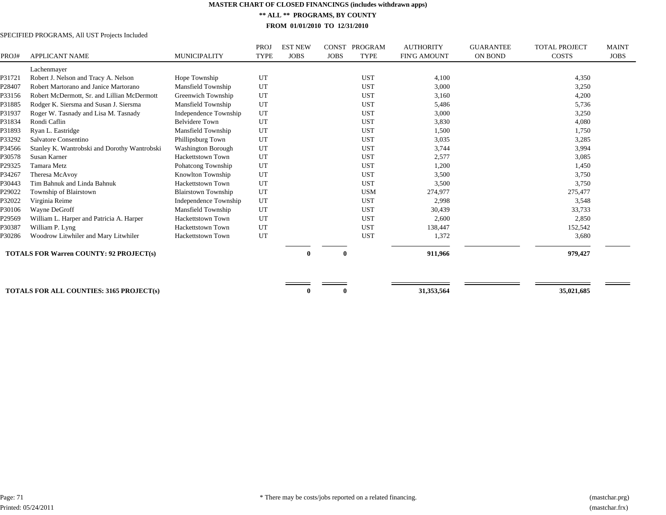**\*\* ALL \*\* PROGRAMS, BY COUNTY**

**FROM 01/01/2010 TO 12/31/2010**

|        |                                                 |                            | <b>PROJ</b> | <b>EST NEW</b> | <b>CONST</b> | PROGRAM     | <b>AUTHORITY</b>    | <b>GUARANTEE</b> | <b>TOTAL PROJECT</b> | <b>MAINT</b> |
|--------|-------------------------------------------------|----------------------------|-------------|----------------|--------------|-------------|---------------------|------------------|----------------------|--------------|
| PROJ#  | <b>APPLICANT NAME</b>                           | <b>MUNICIPALITY</b>        | <b>TYPE</b> | <b>JOBS</b>    | <b>JOBS</b>  | <b>TYPE</b> | <b>FIN'G AMOUNT</b> | ON BOND          | <b>COSTS</b>         | <b>JOBS</b>  |
|        | Lachenmayer                                     |                            |             |                |              |             |                     |                  |                      |              |
| P31721 | Robert J. Nelson and Tracy A. Nelson            | Hope Township              | UT          |                |              | <b>UST</b>  | 4,100               |                  | 4,350                |              |
| P28407 | Robert Martorano and Janice Martorano           | Mansfield Township         | UT          |                |              | <b>UST</b>  | 3,000               |                  | 3,250                |              |
| P33156 | Robert McDermott, Sr. and Lillian McDermott     | Greenwich Township         | UT          |                |              | <b>UST</b>  | 3,160               |                  | 4,200                |              |
| P31885 | Rodger K. Siersma and Susan J. Siersma          | Mansfield Township         | UT          |                |              | <b>UST</b>  | 5,486               |                  | 5,736                |              |
| P31937 | Roger W. Tasnady and Lisa M. Tasnady            | Independence Township      | UT          |                |              | <b>UST</b>  | 3,000               |                  | 3,250                |              |
| P31834 | Rondi Caflin                                    | <b>Belvidere Town</b>      | UT          |                |              | <b>UST</b>  | 3,830               |                  | 4,080                |              |
| P31893 | Ryan L. Eastridge                               | Mansfield Township         | UT          |                |              | <b>UST</b>  | 1,500               |                  | 1,750                |              |
| P33292 | Salvatore Consentino                            | Phillipsburg Town          | UT          |                |              | <b>UST</b>  | 3,035               |                  | 3,285                |              |
| P34566 | Stanley K. Wantrobski and Dorothy Wantrobski    | <b>Washington Borough</b>  | UT          |                |              | <b>UST</b>  | 3,744               |                  | 3,994                |              |
| P30578 | Susan Karner                                    | <b>Hackettstown Town</b>   | UT          |                |              | <b>UST</b>  | 2,577               |                  | 3,085                |              |
| P29325 | Tamara Metz                                     | Pohatcong Township         | UT          |                |              | <b>UST</b>  | 1,200               |                  | 1,450                |              |
| P34267 | Theresa McAvov                                  | Knowlton Township          | UT          |                |              | <b>UST</b>  | 3,500               |                  | 3,750                |              |
| P30443 | Tim Bahnuk and Linda Bahnuk                     | Hackettstown Town          | UT          |                |              | <b>UST</b>  | 3,500               |                  | 3,750                |              |
| P29022 | Township of Blairstown                          | <b>Blairstown Township</b> | UT          |                |              | <b>USM</b>  | 274,977             |                  | 275,477              |              |
| P32022 | Virginia Reime                                  | Independence Township      | UT          |                |              | <b>UST</b>  | 2,998               |                  | 3,548                |              |
| P30106 | Wayne DeGroff                                   | Mansfield Township         | UT          |                |              | <b>UST</b>  | 30,439              |                  | 33,733               |              |
| P29569 | William L. Harper and Patricia A. Harper        | <b>Hackettstown Town</b>   | UT          |                |              | <b>UST</b>  | 2,600               |                  | 2,850                |              |
| P30387 | William P. Lyng                                 | <b>Hackettstown Town</b>   | UT          |                |              | <b>UST</b>  | 138,447             |                  | 152,542              |              |
| P30286 | Woodrow Litwhiler and Mary Litwhiler            | <b>Hackettstown Town</b>   | UT          |                |              | <b>UST</b>  | 1,372               |                  | 3,680                |              |
|        | <b>TOTALS FOR Warren COUNTY: 92 PROJECT(s)</b>  |                            |             |                |              |             | 911,966             |                  | 979,427              |              |
|        |                                                 |                            |             |                |              |             |                     |                  |                      |              |
|        |                                                 |                            |             |                |              |             | 31,353,564          |                  | 35,021,685           |              |
|        | <b>TOTALS FOR ALL COUNTIES: 3165 PROJECT(s)</b> |                            |             |                |              |             |                     |                  |                      |              |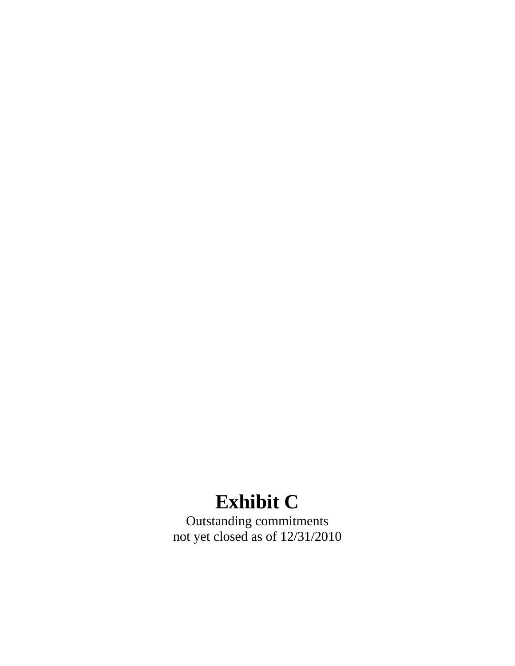# **Exhibit C**

Outstanding commitments not yet closed as of 12/31/2010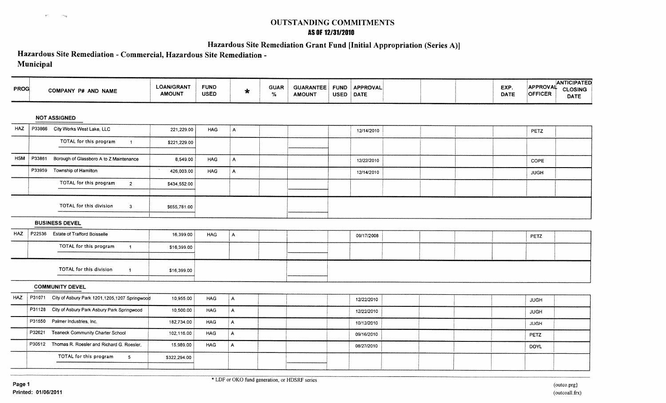## **OUTSTANDING COMMITMENTS AS Of 12/31/2010**

## **Hazardous Site Remediation Grant Fund [Initial Appropriation (Series A)]**

# **Hazardous Site Remediation - Commercial, Hazardous Site Remediation** -

## **Municipal**

 $\pm \tau$ 

 $\sim_{\gamma}$ 

|        |                                           | <b>LOAN/GRANT</b><br><b>AMOUNT</b>                                                                                                                                                                                           | <b>FUND</b><br><b>USED</b>                           | $\star$      | <b>GUAR</b><br>% | <b>AMOUNT</b> |                  |                                | EXP.<br><b>DATE</b> | APPROVAL<br><b>OFFICER</b> | <b>ANTICIPATED</b><br>CLOSING<br><b>DATE</b> |
|--------|-------------------------------------------|------------------------------------------------------------------------------------------------------------------------------------------------------------------------------------------------------------------------------|------------------------------------------------------|--------------|------------------|---------------|------------------|--------------------------------|---------------------|----------------------------|----------------------------------------------|
|        |                                           |                                                                                                                                                                                                                              |                                                      |              |                  |               |                  |                                |                     |                            |                                              |
|        | City Works West Lake, LLC                 | 221,229.00                                                                                                                                                                                                                   | <b>HAG</b>                                           | $\mathsf{A}$ |                  |               | 12/14/2010       |                                |                     | PETZ                       |                                              |
|        | TOTAL for this program<br>$\overline{1}$  | \$221,229.00                                                                                                                                                                                                                 |                                                      |              |                  |               |                  |                                |                     |                            |                                              |
| P33861 | Borough of Glassboro A to Z Maintenance   | 8,549.00                                                                                                                                                                                                                     | <b>HAG</b>                                           | $\mathsf{A}$ |                  |               | 12/22/2010       |                                |                     | COPE                       |                                              |
|        | Township of Hamilton                      | 426,003.00                                                                                                                                                                                                                   | <b>HAG</b>                                           | $\mathsf{A}$ |                  |               | 12/14/2010       |                                |                     | <b>JUGH</b>                |                                              |
|        | TOTAL for this program<br>$\overline{2}$  | \$434,552.00                                                                                                                                                                                                                 |                                                      |              |                  |               |                  |                                |                     |                            |                                              |
|        | TOTAL for this division<br>$\mathbf{3}$   | \$655,781.00                                                                                                                                                                                                                 |                                                      |              |                  |               |                  |                                |                     |                            |                                              |
|        |                                           |                                                                                                                                                                                                                              |                                                      |              |                  |               |                  |                                |                     |                            |                                              |
|        | <b>Estate of Trafford Boisselle</b>       | 16,399.00                                                                                                                                                                                                                    | <b>HAG</b>                                           | $\mathsf{A}$ |                  |               | 09/17/2008       |                                |                     | PETZ                       |                                              |
|        | TOTAL for this program<br>$\overline{1}$  | \$16,399.00                                                                                                                                                                                                                  |                                                      |              |                  |               |                  |                                |                     |                            |                                              |
|        | TOTAL for this division<br>$\mathbf{1}$   | \$16,399.00                                                                                                                                                                                                                  |                                                      |              |                  |               |                  |                                |                     |                            |                                              |
|        |                                           |                                                                                                                                                                                                                              |                                                      |              |                  |               |                  |                                |                     |                            |                                              |
|        |                                           | 10,955.00                                                                                                                                                                                                                    | HAG                                                  | A.           |                  |               | 12/22/2010       |                                |                     | <b>JUGH</b>                |                                              |
|        |                                           | 10,500.00                                                                                                                                                                                                                    | <b>HAG</b>                                           | $\mathbf{A}$ |                  |               | 12/22/2010       |                                |                     | <b>JUGH</b>                |                                              |
|        |                                           | 182,734.00                                                                                                                                                                                                                   | HAG                                                  | $\mathsf{A}$ |                  |               | 10/12/2010       |                                |                     | <b>JUGH</b>                |                                              |
| P32621 | <b>Teaneck Community Charter School</b>   | 102,116.00                                                                                                                                                                                                                   | <b>HAG</b>                                           | $\mathsf{A}$ |                  |               | 09/16/2010       |                                |                     | PETZ                       |                                              |
|        | Thomas R. Roesler and Richard G. Roesler, | 15,989.00                                                                                                                                                                                                                    | <b>HAG</b>                                           | $\mathsf{A}$ |                  |               | 08/27/2010       |                                |                     | DOYL                       |                                              |
|        | TOTAL for this program<br>5 <sub>1</sub>  | \$322,294.00                                                                                                                                                                                                                 |                                                      |              |                  |               |                  |                                |                     |                            |                                              |
|        | <b>PROG</b>                               | COMPANY P# AND NAME<br><b>NOT ASSIGNED</b><br>P33866<br>P33959<br><b>BUSINESS DEVEL</b><br>P22536<br><b>COMMUNITY DEVEL</b><br>P31128 City of Asbury Park Asbury Park Springwood<br>P31550 Palmer Industries, Inc.<br>P30512 | P31071 City of Asbury Park 1201,1205,1207 Springwood |              |                  |               | <b>GUARANTEE</b> | FUND   APPROVAL<br>USED   DATE |                     |                            |                                              |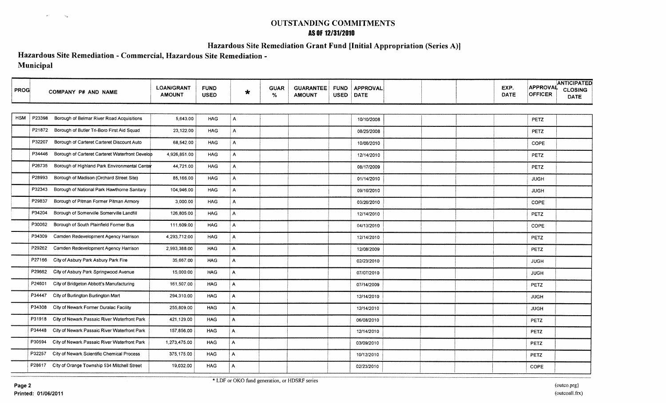## **OUTSTANDING COMMITMENTS AS OF 12/31/2010**

## **Hazardous Site Remediation Grant Fund [Initial Appropriation (Series A»)**

## **Hazardous Site Remediation - Commercial, Hazardous Site Remediation - Municipal**

| <b>PROG</b> | COMPANY P# AND NAME                                       | <b>LOAN/GRANT</b><br><b>AMOUNT</b> | <b>FUND</b><br><b>USED</b> | $\star$      | <b>GUAR</b><br>% | <b>GUARANTEE</b><br><b>AMOUNT</b> | <b>FUND</b><br><b>USED</b> | <b>APPROVAL</b><br><b>DATE</b> | EXP.<br><b>DATE</b> | <b>APPROVAL</b><br><b>OFFICER</b> | <b>ANTICIPATED</b><br><b>CLOSING</b><br><b>DATE</b> |
|-------------|-----------------------------------------------------------|------------------------------------|----------------------------|--------------|------------------|-----------------------------------|----------------------------|--------------------------------|---------------------|-----------------------------------|-----------------------------------------------------|
|             |                                                           |                                    |                            |              |                  |                                   |                            |                                |                     |                                   |                                                     |
| <b>HSM</b>  | P23398<br>Borough of Belmar River Road Acquisitions       | 5,643.00                           | <b>HAG</b>                 | A            |                  |                                   |                            | 10/10/2008                     |                     | PETZ                              |                                                     |
|             | P21872<br>Borough of Butler Tri-Boro First Aid Squad      | 23,122.00                          | <b>HAG</b>                 | A            |                  |                                   |                            | 08/25/2008                     |                     | <b>PETZ</b>                       |                                                     |
|             | P32207<br>Borough of Carteret Carteret Discount Auto      | 68,542.00                          | <b>HAG</b>                 | A            |                  |                                   |                            | 10/06/2010                     |                     | COPE                              |                                                     |
|             | P34446<br>Borough of Carteret Carteret Waterfront Develop | 4,926,851.00                       | <b>HAG</b>                 | A            |                  |                                   |                            | 12/14/2010                     |                     | PETZ                              |                                                     |
|             | P26735<br>Borough of Highland Park Environmental Center   | 44,721.00                          | <b>HAG</b>                 | A            |                  |                                   |                            | 08/17/2009                     |                     | PETZ                              |                                                     |
|             | P28993<br>Borough of Madison (Orchard Street Site)        | 85,166.00                          | HAG                        | A            |                  |                                   |                            | 01/14/2010                     |                     | <b>JUGH</b>                       |                                                     |
|             | Borough of National Park Hawthorne Sanitary<br>P32343     | 104,946.00                         | <b>HAG</b>                 | A            |                  |                                   |                            | 09/16/2010                     |                     | <b>JUGH</b>                       |                                                     |
|             | P29837<br>Borough of Pitman Former Pitman Armory          | 3,000.00                           | HAG                        | $\mathsf{A}$ |                  |                                   |                            | 03/26/2010                     |                     | COPE                              |                                                     |
|             | Borough of Somerville Somerville Landfill<br>P34204       | 126,805.00                         | <b>HAG</b>                 | $\mathsf{A}$ |                  |                                   |                            | 12/14/2010                     |                     | PETZ                              |                                                     |
|             | Borough of South Plainfield Former Bus<br>P30062          | 111,609.00                         | <b>HAG</b>                 | $\mathsf{A}$ |                  |                                   |                            | 04/13/2010                     |                     | COPE                              |                                                     |
|             | P34309<br>Camden Redevelopment Agency Harrison            | 4,293,712.00                       | <b>HAG</b>                 | $\mathsf{A}$ |                  |                                   |                            | 12/14/2010                     |                     | PETZ                              |                                                     |
|             | P29262<br>Camden Redevelopment Agency Harrison            | 2,993,388.00                       | <b>HAG</b>                 | $\mathsf{A}$ |                  |                                   |                            | 12/08/2009                     |                     | <b>PETZ</b>                       |                                                     |
|             | City of Asbury Park Asbury Park Fire<br>P27166            | 35,667,00                          | <b>HAG</b>                 | $\mathsf{A}$ |                  |                                   |                            | 02/23/2010                     |                     | <b>JUGH</b>                       |                                                     |
|             | P29662<br>City of Asbury Park Springwood Avenue           | 15,000.00                          | <b>HAG</b>                 | $\mathsf{A}$ |                  |                                   |                            | 07/07/2010                     |                     | <b>JUGH</b>                       |                                                     |
|             | P24601<br>City of Bridgeton Abbott's Manufacturing        | 161,507.00                         | <b>HAG</b>                 | A            |                  |                                   |                            | 07/14/2009                     |                     | PETZ                              |                                                     |
|             | City of Burlington Burlington Mart<br>P34447              | 294,310.00                         | <b>HAG</b>                 | A            |                  |                                   |                            | 12/14/2010                     |                     | <b>JUGH</b>                       |                                                     |
|             | P34308 City of Newark Former Duralac Facility             | 255,809.00                         | <b>HAG</b>                 | A            |                  |                                   |                            | 12/14/2010                     |                     | <b>JUGH</b>                       |                                                     |
|             | P31918 City of Newark Passaic River Waterfront Park       | 421,129.00                         | <b>HAG</b>                 | $\mathsf{A}$ |                  |                                   |                            | 06/08/2010                     |                     | <b>PETZ</b>                       |                                                     |
|             | City of Newark Passaic River Waterfront Park<br>P34448    | 157,856.00                         | <b>HAG</b>                 | A            |                  |                                   |                            | 12/14/2010                     |                     | <b>PETZ</b>                       |                                                     |
|             | P30594<br>City of Newark Passaic River Waterfront Park    | 1,273,475.00                       | <b>HAG</b>                 | A            |                  |                                   |                            | 03/09/2010                     |                     | <b>PETZ</b>                       |                                                     |
|             | P32257<br>City of Newark Scientific Chemical Process      | 375,175.00                         | <b>HAG</b>                 | A            |                  |                                   |                            | 10/12/2010                     |                     | PETZ                              |                                                     |
|             | P28617 City of Orange Township 534 Mitchell Street        | 19,032.00                          | HAG                        | A            |                  |                                   |                            | 02/23/2010                     |                     | COPE                              |                                                     |

 $\mathbb{R}^3$ 

 $\sim_{\rm g}$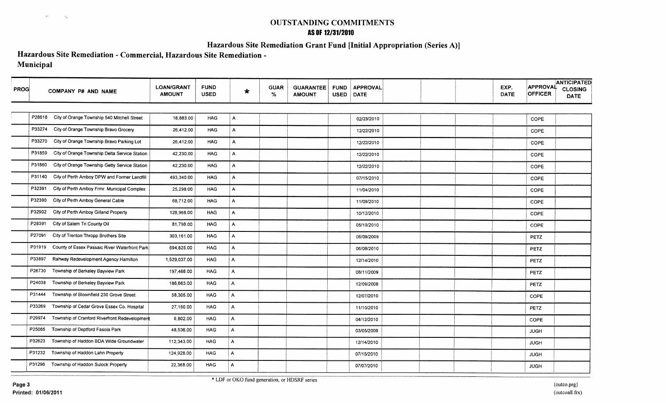## **OUTSTANDING COMMITMENTS AS OF 12/31/2010**

## **Hazardous Site Remediation Grant Fund [Initial Appropriation (Series A)]**

## **Hazardous Site Remediation - Commercial, Hazardous Site Remediation - Municipal**

| <b>PROG</b> | COMPANY P# AND NAME                                     | <b>LOAN/GRANT</b><br><b>AMOUNT</b> | <b>FUND</b><br><b>USED</b> | $\star$        | <b>GUAR</b><br>% | <b>GUARANTEE</b><br><b>AMOUNT</b> | <b>FUND</b><br><b>USED</b> | <b>APPROVAL</b><br>DATE | EXP.<br><b>DATE</b> | APPROVAL<br><b>OFFICER</b> | <b>ANTICIPATED</b><br><b>CLOSING</b><br><b>DATE</b> |
|-------------|---------------------------------------------------------|------------------------------------|----------------------------|----------------|------------------|-----------------------------------|----------------------------|-------------------------|---------------------|----------------------------|-----------------------------------------------------|
|             |                                                         |                                    |                            |                |                  |                                   |                            |                         |                     |                            |                                                     |
|             | P28618 City of Orange Township 540 Mitchell Street      | 18,883.00                          | <b>HAG</b>                 | $\mathsf{A}$   |                  |                                   |                            | 02/23/2010              |                     | COPE                       |                                                     |
|             | P33274<br>City of Orange Township Bravo Grocery         | 26,412.00                          | <b>HAG</b>                 | $\overline{A}$ |                  |                                   |                            | 12/22/2010              |                     | COPE                       |                                                     |
|             | P33270<br>City of Orange Township Bravo Parking Lot     | 26,412.00                          | <b>HAG</b>                 | $\mathsf{A}$   |                  |                                   |                            | 12/22/2010              |                     | COPE                       |                                                     |
|             | P31859<br>City of Orange Township Delta Service Station | 42,230.00                          | <b>HAG</b>                 | A              |                  |                                   |                            | 12/22/2010              |                     | COPE                       |                                                     |
|             | P31860<br>City of Orange Township Getty Service Station | 42,230.00                          | <b>HAG</b>                 | A              |                  |                                   |                            | 12/22/2010              |                     | COPE                       |                                                     |
|             | P31140 City of Perth Amboy DPW and Former Landfill      | 493,340.00                         | <b>HAG</b>                 | $\mathsf{A}$   |                  |                                   |                            | 07/15/2010              |                     | COPE                       |                                                     |
|             | P32391<br>City of Perth Amboy Frmr. Municipal Complex   | 25,298.00                          | <b>HAG</b>                 | $\mathsf{A}$   |                  |                                   |                            | 11/04/2010              |                     | COPE                       |                                                     |
|             | City of Perth Amboy General Cable<br>P32390             | 68,712.00                          | <b>HAG</b>                 | $\mathsf{A}$   |                  |                                   |                            | 11/09/2010              |                     | <b>COPE</b>                |                                                     |
|             | City of Perth Amboy Gilland Property<br>P32902          | 128,968.00                         | <b>HAG</b>                 | A              |                  |                                   |                            | 10/12/2010              |                     | COPE                       |                                                     |
|             | City of Salem Tri County Oil<br>P28391                  | 81,798.00                          | <b>HAG</b>                 | A              |                  |                                   |                            | 05/10/2010              |                     | COPE                       |                                                     |
|             | City of Trenton Thropp Brothers Site<br>P27091          | 303.161.00                         | <b>HAG</b>                 | $\mathsf{A}$   |                  |                                   |                            | 06/09/2009              |                     | PETZ                       |                                                     |
|             | County of Essex Passaic River Waterfront Park<br>P31919 | 694,825.00                         | <b>HAG</b>                 | Α              |                  |                                   |                            | 06/08/2010              |                     | PETZ                       |                                                     |
|             | P33897<br>Rahway Redevelopment Agency Hamilton          | 1,529,037.00                       | <b>HAG</b>                 | Α              |                  |                                   |                            | 12/14/2010              |                     | PETZ                       |                                                     |
|             | Township of Berkeley Bayview Park<br>P26730             | 197,468.00                         | <b>HAG</b>                 | A              |                  |                                   |                            | 08/11/2009              |                     | PETZ                       |                                                     |
|             | Township of Berkeley Bayview Park<br>P24038             | 186,663.00                         | <b>HAG</b>                 | A              |                  |                                   |                            | 12/09/2008              |                     | PETZ                       |                                                     |
|             | Township of Bloomfield 230 Grove Street<br>P31444       | 58,305.00                          | <b>HAG</b>                 | A              |                  |                                   |                            | 12/07/2010              |                     | COPE                       |                                                     |
|             | Township of Cedar Grove Essex Co. Hospital<br>P33269    | 27,150.00                          | <b>HAG</b>                 | A              |                  |                                   |                            | 11/10/2010              |                     | PETZ                       |                                                     |
|             | Township of Cranford Riverfront Redevelopment<br>P29974 | 6,802.00                           | HAG                        | A              |                  |                                   |                            | 04/12/2010              |                     | COPE                       |                                                     |
|             | Township of Deptford Fasola Park<br>P25065              | 48,536.00                          | <b>HAG</b>                 | A              |                  |                                   |                            | 03/05/2009              |                     | <b>JUGH</b>                |                                                     |
|             | P32623<br>Township of Haddon BDA Wide Groundwater       | 112,343.00                         | <b>HAG</b>                 | $\mathsf{A}$   |                  |                                   |                            | 12/14/2010              |                     | <b>JUGH</b>                |                                                     |
|             | Township of Haddon Lahn Property<br>P31232              | 124,928.00                         | <b>HAG</b>                 | A              |                  |                                   |                            | 07/15/2010              |                     | <b>JUGH</b>                |                                                     |
|             | Township of Haddon Sulock Property<br>P31296            | 22,368.00                          | <b>HAG</b>                 | A              |                  |                                   |                            | 07/07/2010              |                     | <b>JUGH</b>                |                                                     |

 $\ll$  :

 $\sim_{\rm g}$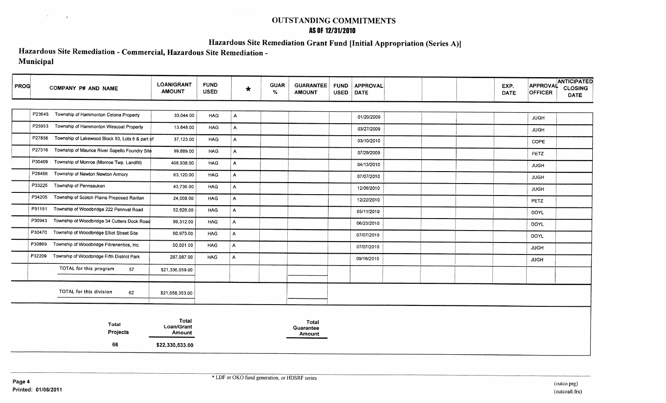## **OUTSTANDING COMMITMENTS AS OF 12/31/2010**

**Hazardous Site Remediation Grant Fund [Initial Appropriation (Series A)l**

## **Hazardous Site Remediation - Commercial, Hazardous Site Remediation - Municipal**

| <b>PROG</b> | COMPANY P# AND NAME                                       | <b>LOAN/GRANT</b><br><b>AMOUNT</b> | <b>FUND</b><br><b>USED</b> | $\star$        | <b>GUAR</b><br>% | <b>GUARANTEE</b><br><b>AMOUNT</b> | <b>FUND</b><br><b>USED</b> | <b>APPROVAL</b><br>DATE | EXP.<br><b>DATE</b> | <b>ANTICIPATED</b><br>APPROVAL<br><b>CLOSING</b><br><b>OFFICER</b><br><b>DATE</b> |  |  |  |
|-------------|-----------------------------------------------------------|------------------------------------|----------------------------|----------------|------------------|-----------------------------------|----------------------------|-------------------------|---------------------|-----------------------------------------------------------------------------------|--|--|--|
|             |                                                           |                                    |                            |                |                  |                                   |                            |                         |                     |                                                                                   |  |  |  |
|             | P23645 Township of Hammonton Celona Property              | 33,044.00                          | <b>HAG</b>                 | A              |                  |                                   |                            | 01/20/2009              |                     | <b>JUGH</b>                                                                       |  |  |  |
|             | P25953<br>Township of Hammonton Wescoat Property          | 13,848.00                          | <b>HAG</b>                 | A              |                  |                                   |                            | 03/27/2009              |                     | <b>JUGH</b>                                                                       |  |  |  |
|             | P27856<br>Township of Lakewood Block 93, Lots 6 & part of | 37,123.00                          | <b>HAG</b>                 | $\mathsf{A}$   |                  |                                   |                            | 03/10/2010              |                     | COPE                                                                              |  |  |  |
|             | P27316 Township of Maurice River Sapello Foundry Site     | 99,889.00                          | <b>HAG</b>                 | $\mathsf{A}$   |                  |                                   |                            | 07/29/2009              |                     | PETZ                                                                              |  |  |  |
|             | P30409<br>Township of Monroe (Monroe Twp. Landfill)       | 408,938.00                         | <b>HAG</b>                 | A              |                  |                                   |                            | 04/13/2010              |                     | <b>JUGH</b>                                                                       |  |  |  |
|             | P28456<br>Township of Newton Newton Armory                | 63,120.00                          | <b>HAG</b>                 | $\overline{A}$ |                  |                                   |                            | 07/07/2010              |                     | <b>JUGH</b>                                                                       |  |  |  |
|             | P33225<br>Township of Pennsauken                          | 43,736.00                          | <b>HAG</b>                 | $\mathsf{A}$   |                  |                                   |                            | 12/06/2010              |                     | <b>JUGH</b>                                                                       |  |  |  |
|             | P34205<br>Township of Scotch Plains Proposed Raritan      | 24,008.00                          | <b>HAG</b>                 | A              |                  |                                   |                            | 12/22/2010              |                     | PETZ                                                                              |  |  |  |
|             | P31151<br>Township of Woodbridge 222 Pennval Road         | 52,626.00                          | <b>HAG</b>                 | A              |                  |                                   |                            | 05/11/2010              |                     | <b>DOYL</b>                                                                       |  |  |  |
|             | P30943<br>Township of Woodbridge 34 Cutters Dock Road     | 99,312.00                          | HAG                        | Α              |                  |                                   |                            | 06/23/2010              |                     | <b>DOYL</b>                                                                       |  |  |  |
|             | P30470<br>Township of Woodbridge Elliot Street Site       | 60,973.00                          | HAG                        | A              |                  |                                   |                            | 07/07/2010              |                     |                                                                                   |  |  |  |
|             | P30869 Township of Woodbridge Fibrenentics, Inc.          | 50,021.00                          | <b>HAG</b>                 | A              |                  |                                   |                            |                         |                     | <b>DOYL</b>                                                                       |  |  |  |
|             | P32209 Township of Woodbridge Fifth District Park         | 287,087.00                         | <b>HAG</b>                 | A              |                  |                                   |                            | 07/07/2010              |                     | <b>JUGH</b>                                                                       |  |  |  |
|             |                                                           |                                    |                            |                |                  |                                   |                            | 09/16/2010              |                     | <b>JUGH</b>                                                                       |  |  |  |
|             | TOTAL for this program<br>57                              | \$21,336,059.00                    |                            |                |                  |                                   |                            |                         |                     |                                                                                   |  |  |  |
|             | TOTAL for this division<br>62                             | \$21,658,353.00                    |                            |                |                  |                                   |                            |                         |                     |                                                                                   |  |  |  |
|             | Total<br>Projects                                         | Total<br>Loan/Grant<br>Amount      |                            |                |                  | Total<br>Guarantee<br>Amount      |                            |                         |                     |                                                                                   |  |  |  |
|             | 66                                                        | \$22,330,533.00                    |                            |                |                  |                                   |                            |                         |                     |                                                                                   |  |  |  |

 $\lambda^{\pm}$ 

 $^{\circ}$  is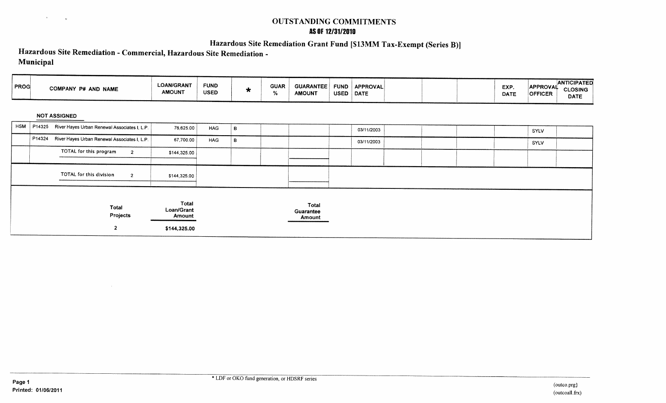## **OUTSTANDING COMMITMENTS AS Of 12/31/2010**

# **Hazardous Site Remediation Grant Fund [\$13MM Tax-Exempt (Series B)]**

## **Hazardous Site Remediation - Commercial, Hazardous Site Remediation - Municipal**

 $\sim 30$ 

 $\theta_{\rm{max}}$  and  $\theta_{\rm{max}}$ 

| PROG       | COMPANY P# AND NAME                                    | <b>LOAN/GRANT</b><br><b>AMOUNT</b>            | <b>FUND</b><br><b>USED</b> | $\star$ | <b>GUAR</b><br>% | <b>GUARANTEE</b><br><b>AMOUNT</b>   | <b>FUND</b><br><b>USED</b> | <b>APPROVAL</b><br>DATE |  |  | EXP.<br><b>DATE</b> | APPROVAL<br><b>OFFICER</b> | <b>ANTICIPATED</b><br><b>CLOSING</b><br><b>DATE</b> |  |
|------------|--------------------------------------------------------|-----------------------------------------------|----------------------------|---------|------------------|-------------------------------------|----------------------------|-------------------------|--|--|---------------------|----------------------------|-----------------------------------------------------|--|
|            | <b>NOT ASSIGNED</b>                                    |                                               |                            |         |                  |                                     |                            |                         |  |  |                     |                            |                                                     |  |
| <b>HSM</b> | P14325 River Hayes Urban Renewal Associates I, L.P.    | 76,625.00                                     | <b>HAG</b>                 | B       |                  |                                     |                            | 03/11/2003              |  |  |                     | SYLV                       |                                                     |  |
|            | P14324<br>River Hayes Urban Renewal Associates I, L.P. | 67,700.00                                     | <b>HAG</b>                 | B       |                  |                                     |                            | 03/11/2003              |  |  |                     | <b>SYLV</b>                |                                                     |  |
|            | TOTAL for this program<br>$\overline{a}$               | \$144,325.00                                  |                            |         |                  |                                     |                            |                         |  |  |                     |                            |                                                     |  |
|            | TOTAL for this division<br>$\overline{2}$              | \$144,325.00                                  |                            |         |                  |                                     |                            |                         |  |  |                     |                            |                                                     |  |
|            | Total<br>Projects<br>$\mathbf{2}$                      | Total<br>Loan/Grant<br>Amount<br>\$144,325.00 |                            |         |                  | <b>Total</b><br>Guarantee<br>Amount |                            |                         |  |  |                     |                            |                                                     |  |